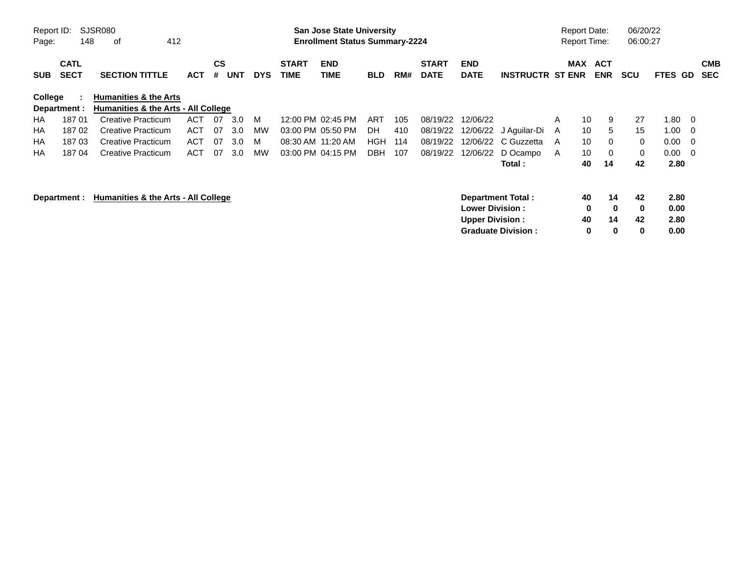| Report ID:<br>Page: | 148                                                 | SJSR080<br>412<br>0f                |            |                    |            |            |                      | <b>San Jose State University</b><br><b>Enrollment Status Summary-2224</b> |            |     |                             |                           |                           |              | <b>Report Date:</b><br><b>Report Time:</b> |                          | 06/20/22<br>06:00:27 |              |     |                          |
|---------------------|-----------------------------------------------------|-------------------------------------|------------|--------------------|------------|------------|----------------------|---------------------------------------------------------------------------|------------|-----|-----------------------------|---------------------------|---------------------------|--------------|--------------------------------------------|--------------------------|----------------------|--------------|-----|--------------------------|
| <b>SUB</b>          | <b>CATL</b><br><b>SECT</b>                          | <b>SECTION TITTLE</b>               | <b>ACT</b> | $\mathsf{cs}$<br># | <b>UNT</b> | <b>DYS</b> | <b>START</b><br>TIME | <b>END</b><br><b>TIME</b>                                                 | <b>BLD</b> | RM# | <b>START</b><br><b>DATE</b> | <b>END</b><br><b>DATE</b> | <b>INSTRUCTR ST ENR</b>   |              | MAX                                        | <b>ACT</b><br><b>ENR</b> | <b>SCU</b>           | FTES GD      |     | <b>CMB</b><br><b>SEC</b> |
| College             |                                                     | <b>Humanities &amp; the Arts</b>    |            |                    |            |            |                      |                                                                           |            |     |                             |                           |                           |              |                                            |                          |                      |              |     |                          |
|                     | Department :                                        | Humanities & the Arts - All College |            |                    |            |            |                      |                                                                           |            |     |                             |                           |                           |              |                                            |                          |                      |              |     |                          |
| <b>HA</b>           | 18701                                               | <b>Creative Practicum</b>           | <b>ACT</b> | -07                | 3.0        | M          |                      | 12:00 PM 02:45 PM                                                         | ART        | 105 | 08/19/22                    | 12/06/22                  |                           | A            | 10                                         | 9                        | 27                   | 1.80         | - 0 |                          |
| НA                  | 18702                                               | <b>Creative Practicum</b>           | <b>ACT</b> | 07                 | 3.0        | МW         |                      | 03:00 PM 05:50 PM                                                         | DH         | 410 | 08/19/22                    |                           | 12/06/22 J Aguilar-Di     | $\mathsf{A}$ | 10                                         | 5                        | 15                   | 1.00         | - 0 |                          |
| НA                  | 18703                                               | <b>Creative Practicum</b>           | <b>ACT</b> | 07                 | 3.0        | M          | 08:30 AM 11:20 AM    |                                                                           | <b>HGH</b> | 114 | 08/19/22                    | 12/06/22                  | C Guzzetta                | A            | 10                                         | $\Omega$                 | $\Omega$             | 0.00         | - 0 |                          |
| HA                  | 18704                                               | Creative Practicum                  | <b>ACT</b> | 07                 | 3.0        | МW         |                      | 03:00 PM 04:15 PM                                                         | <b>DBH</b> | 107 | 08/19/22                    | 12/06/22                  | D Ocampo                  | $\mathsf{A}$ | 10                                         | 0                        | 0                    | 0.00         | - 0 |                          |
|                     |                                                     |                                     |            |                    |            |            |                      |                                                                           |            |     |                             |                           | Total:                    |              | 40                                         | 14                       | 42                   | 2.80         |     |                          |
|                     | Humanities & the Arts - All College<br>Department : |                                     |            |                    |            |            |                      |                                                                           |            |     |                             | <b>Lower Division :</b>   | Department Total:         |              | 40<br>0                                    | 14<br>$\bf{0}$           | 42<br>0              | 2.80<br>0.00 |     |                          |
|                     |                                                     |                                     |            |                    |            |            |                      |                                                                           |            |     |                             | <b>Upper Division:</b>    |                           |              | 40                                         | 14                       | 42                   | 2.80         |     |                          |
|                     |                                                     |                                     |            |                    |            |            |                      |                                                                           |            |     |                             |                           | <b>Graduate Division:</b> |              | 0                                          | 0                        | 0                    | 0.00         |     |                          |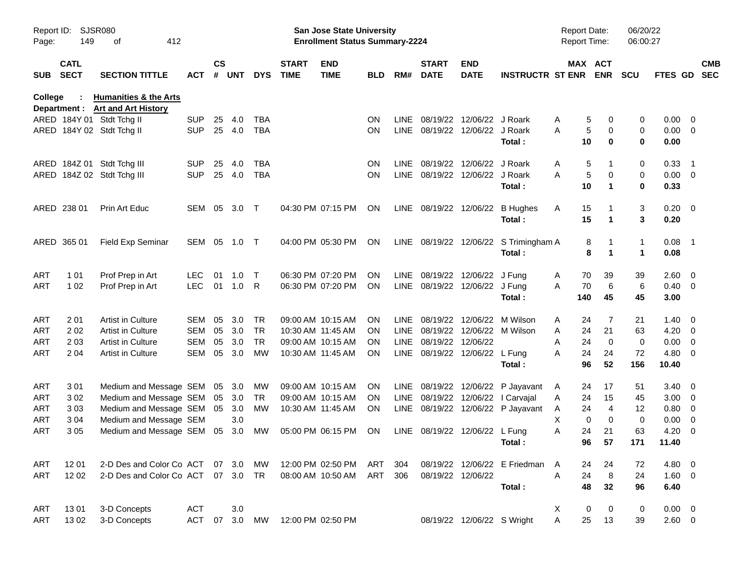| Report ID:<br>Page: | 149                        | <b>SJSR080</b><br>412<br>οf                                          |              |                    |            |            |                             | San Jose State University<br><b>Enrollment Status Summary-2224</b> |            |             |                                |                            |                                       | Report Date: | <b>Report Time:</b>        | 06/20/22<br>06:00:27 |                   |                          |                          |
|---------------------|----------------------------|----------------------------------------------------------------------|--------------|--------------------|------------|------------|-----------------------------|--------------------------------------------------------------------|------------|-------------|--------------------------------|----------------------------|---------------------------------------|--------------|----------------------------|----------------------|-------------------|--------------------------|--------------------------|
| SUB                 | <b>CATL</b><br><b>SECT</b> | <b>SECTION TITTLE</b>                                                | ACT          | $\mathsf{cs}$<br># | <b>UNT</b> | <b>DYS</b> | <b>START</b><br><b>TIME</b> | <b>END</b><br><b>TIME</b>                                          | <b>BLD</b> | RM#         | <b>START</b><br><b>DATE</b>    | <b>END</b><br><b>DATE</b>  | <b>INSTRUCTR ST ENR</b>               |              | MAX ACT<br><b>ENR</b>      | <b>SCU</b>           | FTES GD           |                          | <b>CMB</b><br><b>SEC</b> |
| <b>College</b>      |                            | <b>Humanities &amp; the Arts</b><br>Department : Art and Art History |              |                    |            |            |                             |                                                                    |            |             |                                |                            |                                       |              |                            |                      |                   |                          |                          |
|                     |                            | ARED 184Y 01 Stdt Tchg II                                            | <b>SUP</b>   | 25                 | 4.0        | <b>TBA</b> |                             |                                                                    | ON         | LINE        |                                | 08/19/22 12/06/22 J Roark  |                                       | Α            | 5<br>0                     | 0                    | $0.00 \t 0$       |                          |                          |
|                     |                            | ARED 184Y 02 Stdt Tchg II                                            | <b>SUP</b>   |                    | 25 4.0     | <b>TBA</b> |                             |                                                                    | ON.        |             | LINE 08/19/22 12/06/22 J Roark |                            |                                       | Α            | 5<br>$\mathbf 0$           | 0                    | $0.00 \t 0$       |                          |                          |
|                     |                            |                                                                      |              |                    |            |            |                             |                                                                    |            |             |                                |                            | Total :                               |              | 10<br>$\mathbf 0$          | $\bf{0}$             | 0.00              |                          |                          |
|                     |                            | ARED 184Z 01 Stdt Tchg III                                           | <b>SUP</b>   | 25                 | 4.0        | <b>TBA</b> |                             |                                                                    | <b>ON</b>  | <b>LINE</b> |                                | 08/19/22 12/06/22 J Roark  |                                       | Α            | 5<br>1                     | 0                    | 0.33              | $\overline{\phantom{0}}$ |                          |
|                     |                            | ARED 184Z 02 Stdt Tchg III                                           | <b>SUP</b>   |                    | 25 4.0     | <b>TBA</b> |                             |                                                                    | ON.        |             | LINE 08/19/22 12/06/22 J Roark |                            |                                       | Α            | 5<br>$\mathbf 0$           | 0                    | $0.00 \t 0$       |                          |                          |
|                     |                            |                                                                      |              |                    |            |            |                             |                                                                    |            |             |                                |                            | Total:                                |              | 10<br>$\blacktriangleleft$ | 0                    | 0.33              |                          |                          |
|                     | ARED 238 01                | Prin Art Educ                                                        | SEM 05       |                    | 3.0        | $\top$     |                             | 04:30 PM 07:15 PM                                                  | ON         |             |                                |                            | LINE 08/19/22 12/06/22 B Hughes       | Α            | 15<br>1                    | 3                    | $0.20 \ 0$        |                          |                          |
|                     |                            |                                                                      |              |                    |            |            |                             |                                                                    |            |             |                                |                            | Total:                                |              | 15<br>$\mathbf 1$          | 3                    | 0.20              |                          |                          |
|                     | ARED 365 01                | Field Exp Seminar                                                    | SEM 05 1.0 T |                    |            |            |                             | 04:00 PM 05:30 PM                                                  | ON         |             |                                |                            | LINE 08/19/22 12/06/22 S Trimingham A |              | 8<br>1                     | 1                    | $0.08$ 1          |                          |                          |
|                     |                            |                                                                      |              |                    |            |            |                             |                                                                    |            |             |                                |                            | Total:                                |              | 8<br>1                     | 1                    | 0.08              |                          |                          |
| ART                 | 1 0 1                      | Prof Prep in Art                                                     | <b>LEC</b>   | 01                 | 1.0        | $\top$     |                             | 06:30 PM 07:20 PM                                                  | ON.        |             | LINE 08/19/22 12/06/22 J Fung  |                            |                                       | Α            | 39<br>70                   | 39                   | $2.60 \quad 0$    |                          |                          |
| ART                 | 1 0 2                      | Prof Prep in Art                                                     | <b>LEC</b>   | 01                 | 1.0        | R          |                             | 06:30 PM 07:20 PM                                                  | ON.        |             | LINE 08/19/22 12/06/22 J Fung  |                            |                                       | A            | 6<br>70                    | 6                    | $0.40 \ 0$        |                          |                          |
|                     |                            |                                                                      |              |                    |            |            |                             |                                                                    |            |             |                                |                            | Total:                                | 140          | 45                         | 45                   | 3.00              |                          |                          |
| ART                 | 201                        | Artist in Culture                                                    | SEM          | 05                 | 3.0        | TR         |                             | 09:00 AM 10:15 AM                                                  | ON.        | <b>LINE</b> |                                |                            | 08/19/22 12/06/22 M Wilson            | Α            | 24<br>7                    | 21                   | $1.40 \quad 0$    |                          |                          |
| ART                 | 202                        | Artist in Culture                                                    | <b>SEM</b>   | 05                 | 3.0        | <b>TR</b>  | 10:30 AM 11:45 AM           |                                                                    | <b>ON</b>  | LINE        |                                | 08/19/22 12/06/22 M Wilson |                                       | Α            | 24<br>21                   | 63                   | $4.20 \ 0$        |                          |                          |
| ART                 | 2 0 3                      | Artist in Culture                                                    | <b>SEM</b>   | 05                 | 3.0        | <b>TR</b>  |                             | 09:00 AM 10:15 AM                                                  | ON         | LINE        | 08/19/22 12/06/22              |                            |                                       | A            | 24<br>$\mathbf 0$          | 0                    | $0.00 \t 0$       |                          |                          |
| ART                 | 2 0 4                      | Artist in Culture                                                    | <b>SEM</b>   | 05                 | 3.0        | МW         |                             | 10:30 AM 11:45 AM                                                  | ON         |             | LINE 08/19/22 12/06/22 L Fung  |                            | Total:                                | Α            | 24<br>24<br>96<br>52       | 72<br>156            | $4.80$ 0<br>10.40 |                          |                          |
| ART                 | 301                        | Medium and Message SEM                                               |              |                    | 05 3.0     | <b>MW</b>  |                             | 09:00 AM 10:15 AM                                                  | <b>ON</b>  |             |                                |                            | LINE 08/19/22 12/06/22 P Jayavant     | A            | 24<br>17                   | 51                   | $3.40 \quad 0$    |                          |                          |
| ART                 | 302                        | Medium and Message SEM                                               |              | 05                 | 3.0        | TR         |                             | 09:00 AM 10:15 AM                                                  | ON         | LINE        |                                |                            | 08/19/22 12/06/22 I Carvajal          | A            | 24<br>15                   | 45                   | $3.00 \ 0$        |                          |                          |
| ART                 | 303                        | Medium and Message SEM                                               |              |                    | 05 3.0     | МW         |                             | 10:30 AM 11:45 AM                                                  | ON.        |             |                                |                            | LINE 08/19/22 12/06/22 P Jayavant     | A            | 24<br>$\overline{4}$       | 12                   | $0.80 \ 0$        |                          |                          |
| ART                 | 3 0 4                      | Medium and Message SEM                                               |              |                    | 3.0        |            |                             |                                                                    |            |             |                                |                            |                                       | X            | $\mathbf 0$<br>0           | 0                    | $0.00 \t 0$       |                          |                          |
| ART                 | 305                        | Medium and Message SEM                                               |              |                    | 05 3.0     | MW         |                             | 05:00 PM 06:15 PM                                                  | <b>ON</b>  |             | LINE 08/19/22 12/06/22 L Fung  |                            |                                       | A            | 24<br>21                   | 63                   | 4.20              | $\overline{\phantom{0}}$ |                          |
|                     |                            |                                                                      |              |                    |            |            |                             |                                                                    |            |             |                                |                            | Total:                                |              | 96<br>57                   | 171                  | 11.40             |                          |                          |
| ART                 | 1201                       | 2-D Des and Color Co ACT 07 3.0                                      |              |                    |            | MW         |                             | 12:00 PM 02:50 PM                                                  | ART        | 304         |                                |                            | 08/19/22 12/06/22 E Friedman A        |              | 24<br>24                   | 72                   | 4.80 0            |                          |                          |
| ART                 | 1202                       | 2-D Des and Color Co ACT                                             |              |                    | 07 3.0 TR  |            |                             | 08:00 AM 10:50 AM                                                  | ART        | 306         |                                | 08/19/22 12/06/22          |                                       | A            | 8<br>24                    | 24                   | 1.60 0            |                          |                          |
|                     |                            |                                                                      |              |                    |            |            |                             |                                                                    |            |             |                                |                            | Total:                                |              | 48<br>32                   | 96                   | 6.40              |                          |                          |
| ART                 | 1301                       | 3-D Concepts                                                         | <b>ACT</b>   |                    | 3.0        |            |                             |                                                                    |            |             |                                |                            |                                       | X            | 0<br>0                     | 0                    | $0.00 \t 0$       |                          |                          |
| ART                 | 1302                       | 3-D Concepts                                                         | <b>ACT</b>   | 07                 | 3.0        | MW         |                             | 12:00 PM 02:50 PM                                                  |            |             |                                | 08/19/22 12/06/22 S Wright |                                       | Α            | 25<br>13                   | 39                   | $2.60 \t 0$       |                          |                          |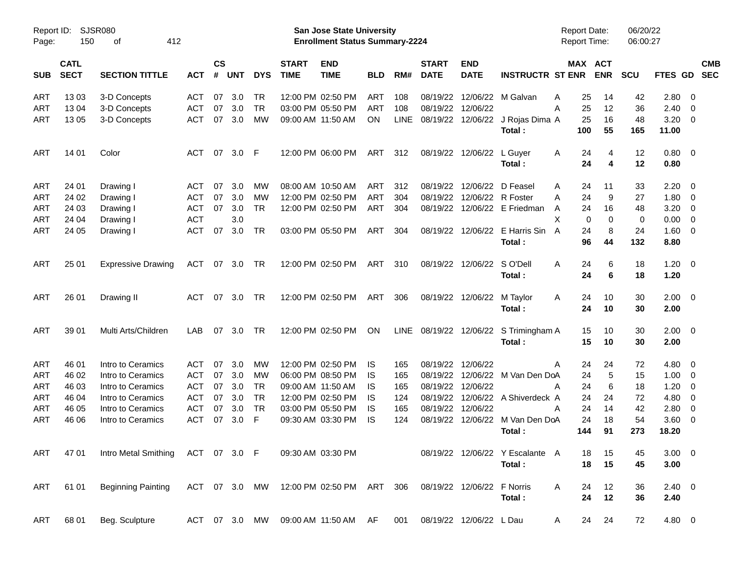| Report ID:<br>Page: | 150                        | <b>SJSR080</b><br>412<br>оf       |            |                |            |            |                             | San Jose State University<br><b>Enrollment Status Summary-2224</b> |            |             |                             |                            |                                  | Report Date:<br>Report Time: |             | 06/20/22<br>06:00:27 |             |                          |                          |
|---------------------|----------------------------|-----------------------------------|------------|----------------|------------|------------|-----------------------------|--------------------------------------------------------------------|------------|-------------|-----------------------------|----------------------------|----------------------------------|------------------------------|-------------|----------------------|-------------|--------------------------|--------------------------|
| <b>SUB</b>          | <b>CATL</b><br><b>SECT</b> | <b>SECTION TITTLE</b>             | <b>ACT</b> | <b>CS</b><br># | <b>UNT</b> | <b>DYS</b> | <b>START</b><br><b>TIME</b> | <b>END</b><br><b>TIME</b>                                          | <b>BLD</b> | RM#         | <b>START</b><br><b>DATE</b> | <b>END</b><br><b>DATE</b>  | <b>INSTRUCTR ST ENR</b>          | MAX ACT                      | <b>ENR</b>  | <b>SCU</b>           | FTES GD     |                          | <b>CMB</b><br><b>SEC</b> |
| <b>ART</b>          | 1303                       | 3-D Concepts                      | ACT        | 07             | 3.0        | TR         |                             | 12:00 PM 02:50 PM                                                  | ART        | 108         |                             |                            | 08/19/22 12/06/22 M Galvan       | 25<br>Α                      | 14          | 42                   | 2.80        | - 0                      |                          |
| ART                 | 13 04                      | 3-D Concepts                      | <b>ACT</b> | 07             | 3.0        | <b>TR</b>  |                             | 03:00 PM 05:50 PM                                                  | <b>ART</b> | 108         |                             | 08/19/22 12/06/22          |                                  | 25<br>Α                      | 12          | 36                   | 2.40        | - 0                      |                          |
| ART                 | 13 05                      | 3-D Concepts                      | <b>ACT</b> | 07             | 3.0        | <b>MW</b>  |                             | 09:00 AM 11:50 AM                                                  | ON         | <b>LINE</b> |                             |                            | 08/19/22 12/06/22 J Rojas Dima A | 25                           | 16          | 48                   | 3.20        | $\overline{\mathbf{0}}$  |                          |
|                     |                            |                                   |            |                |            |            |                             |                                                                    |            |             |                             |                            | Total:                           | 100                          | 55          | 165                  | 11.00       |                          |                          |
| <b>ART</b>          | 14 01                      | Color                             | <b>ACT</b> | 07             | 3.0        | F          |                             | 12:00 PM 06:00 PM                                                  | ART        | 312         |                             | 08/19/22 12/06/22          | L Guyer                          | 24<br>A                      | 4           | 12                   | 0.80        | $\overline{\mathbf{0}}$  |                          |
|                     |                            |                                   |            |                |            |            |                             |                                                                    |            |             |                             |                            | Total:                           | 24                           | 4           | 12                   | 0.80        |                          |                          |
| <b>ART</b>          | 24 01                      | Drawing I                         | ACT        | 07             | 3.0        | MW         |                             | 08:00 AM 10:50 AM                                                  | ART        | 312         |                             | 08/19/22 12/06/22          | D Feasel                         | Α<br>24                      | 11          | 33                   | 2.20        | - 0                      |                          |
| <b>ART</b>          | 24 02                      | Drawing I                         | <b>ACT</b> | 07             | 3.0        | MW         |                             | 12:00 PM 02:50 PM                                                  | ART        | 304         |                             | 08/19/22 12/06/22 R Foster |                                  | 24<br>Α                      | 9           | 27                   | 1.80        | $\overline{\mathbf{0}}$  |                          |
| ART                 | 24 03                      | Drawing I                         | <b>ACT</b> | 07             | 3.0        | <b>TR</b>  |                             | 12:00 PM 02:50 PM                                                  | ART        | 304         |                             |                            | 08/19/22 12/06/22 E Friedman     | 24<br>A                      | 16          | 48                   | 3.20        | $\overline{\mathbf{0}}$  |                          |
| ART                 | 24 04                      | Drawing I                         | <b>ACT</b> |                | 3.0        |            |                             |                                                                    |            |             |                             |                            |                                  | X<br>$\mathbf 0$             | $\mathbf 0$ | 0                    | 0.00        | $\overline{\mathbf{0}}$  |                          |
| ART                 | 24 05                      | Drawing I                         | <b>ACT</b> | 07             | 3.0        | <b>TR</b>  |                             | 03:00 PM 05:50 PM                                                  | ART        | 304         |                             | 08/19/22 12/06/22          | E Harris Sin                     | 24<br>A                      | 8           | 24                   | 1.60        | $\overline{\phantom{0}}$ |                          |
|                     |                            |                                   |            |                |            |            |                             |                                                                    |            |             |                             |                            | Total:                           | 96                           | 44          | 132                  | 8.80        |                          |                          |
| <b>ART</b>          | 25 01                      | <b>Expressive Drawing</b>         | <b>ACT</b> | 07             | 3.0        | TR         |                             | 12:00 PM 02:50 PM                                                  | ART        | 310         |                             | 08/19/22 12/06/22          | S O'Dell                         | Α<br>24                      | 6           | 18                   | 1.20        | $\overline{\mathbf{0}}$  |                          |
|                     |                            |                                   |            |                |            |            |                             |                                                                    |            |             |                             |                            | Total:                           | 24                           | 6           | 18                   | 1.20        |                          |                          |
| <b>ART</b>          | 26 01                      | Drawing II                        | <b>ACT</b> | 07             | 3.0        | <b>TR</b>  |                             | 12:00 PM 02:50 PM                                                  | ART        | 306         |                             | 08/19/22 12/06/22          | M Taylor                         | 24<br>A                      | 10          | 30                   | $2.00 \t 0$ |                          |                          |
|                     |                            |                                   |            |                |            |            |                             |                                                                    |            |             |                             |                            | Total:                           | 24                           | 10          | 30                   | 2.00        |                          |                          |
| <b>ART</b>          | 39 01                      | Multi Arts/Children               | LAB        | 07             | 3.0        | <b>TR</b>  |                             | 12:00 PM 02:50 PM                                                  | ON         | LINE        |                             |                            | 08/19/22 12/06/22 S Trimingham A | 15                           | 10          | 30                   | $2.00 \t 0$ |                          |                          |
|                     |                            |                                   |            |                |            |            |                             |                                                                    |            |             |                             |                            | Total:                           | 15                           | 10          | 30                   | 2.00        |                          |                          |
| <b>ART</b>          | 46 01                      | Intro to Ceramics                 | ACT        | 07             | 3.0        | MW         |                             | 12:00 PM 02:50 PM                                                  | IS         | 165         |                             | 08/19/22 12/06/22          |                                  | 24<br>A                      | 24          | 72                   | 4.80        | $\overline{\mathbf{0}}$  |                          |
| <b>ART</b>          | 46 02                      | Intro to Ceramics                 | <b>ACT</b> | 07             | 3.0        | MW         |                             | 06:00 PM 08:50 PM                                                  | IS         | 165         |                             |                            | 08/19/22 12/06/22 M Van Den DoA  | 24                           | 5           | 15                   | 1.00        | $\overline{\mathbf{0}}$  |                          |
| ART                 | 46 03                      | Intro to Ceramics                 | <b>ACT</b> | 07             | 3.0        | <b>TR</b>  |                             | 09:00 AM 11:50 AM                                                  | IS         | 165         |                             | 08/19/22 12/06/22          |                                  | 24<br>A                      | 6           | 18                   | 1.20        | $\overline{\mathbf{0}}$  |                          |
| ART                 | 46 04                      | Intro to Ceramics                 | <b>ACT</b> | 07             | 3.0        | <b>TR</b>  |                             | 12:00 PM 02:50 PM                                                  | IS         | 124         |                             |                            | 08/19/22 12/06/22 A Shiverdeck A | 24                           | 24          | 72                   | 4.80        | $\overline{\mathbf{0}}$  |                          |
| ART                 | 46 05                      | Intro to Ceramics                 | <b>ACT</b> | 07             | 3.0        | <b>TR</b>  |                             | 03:00 PM 05:50 PM                                                  | IS         | 165         |                             | 08/19/22 12/06/22          |                                  | 24<br>А                      | 14          | 42                   | 2.80        | $\overline{\mathbf{0}}$  |                          |
| ART                 | 46 06                      | Intro to Ceramics                 | <b>ACT</b> | 07             | 3.0        | F          |                             | 09:30 AM 03:30 PM                                                  | IS         | 124         |                             |                            | 08/19/22 12/06/22 M Van Den DoA  | 24                           | 18          | 54                   | 3.60        | $\overline{\mathbf{0}}$  |                          |
|                     |                            |                                   |            |                |            |            |                             |                                                                    |            |             |                             |                            | Total:                           | 144                          | 91          | 273                  | 18.20       |                          |                          |
| ART                 | 47 01                      | Intro Metal Smithing ACT 07 3.0 F |            |                |            |            |                             | 09:30 AM 03:30 PM                                                  |            |             |                             |                            | 08/19/22 12/06/22 Y Escalante A  | 18                           | 15          | 45                   | $3.00 \ 0$  |                          |                          |
|                     |                            |                                   |            |                |            |            |                             |                                                                    |            |             |                             |                            | Total:                           | 18                           | 15          | 45                   | 3.00        |                          |                          |
| ART                 | 61 01                      | <b>Beginning Painting</b>         |            |                |            |            |                             | ACT 07 3.0 MW 12:00 PM 02:50 PM ART 306                            |            |             |                             | 08/19/22 12/06/22 F Norris |                                  | A<br>24                      | 12          | 36                   | $2.40 \ 0$  |                          |                          |
|                     |                            |                                   |            |                |            |            |                             |                                                                    |            |             |                             |                            | Total:                           | 24                           | 12          | 36                   | 2.40        |                          |                          |
| ART                 | 68 01                      | Beg. Sculpture                    |            |                |            |            |                             | ACT 07 3.0 MW 09:00 AM 11:50 AM AF                                 |            | 001         |                             | 08/19/22 12/06/22 L Dau    |                                  | A                            | 24 24       | 72                   | 4.80 0      |                          |                          |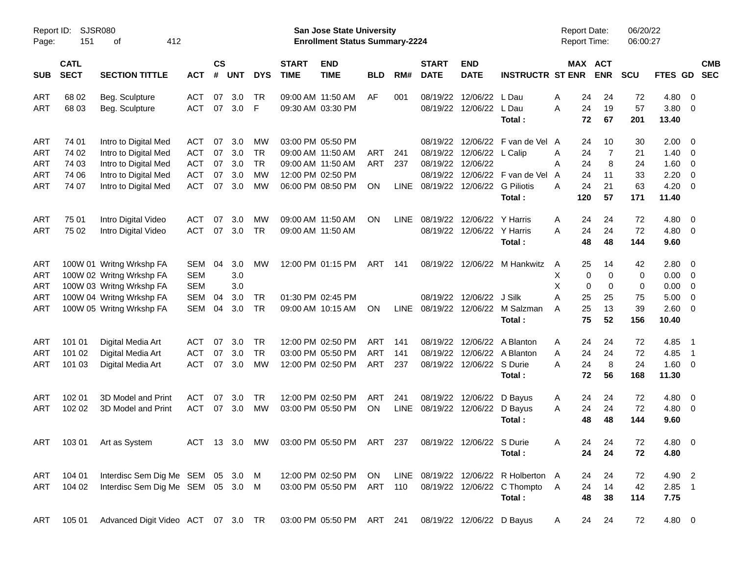| Report ID:<br>Page: | <b>SJSR080</b><br>151      | 412<br>οf                          |            |                    |            |            |                             | <b>San Jose State University</b><br><b>Enrollment Status Summary-2224</b> |            |             |                             |                              |                                       | <b>Report Date:</b><br><b>Report Time:</b> |                       | 06/20/22<br>06:00:27 |                 |                          |                          |
|---------------------|----------------------------|------------------------------------|------------|--------------------|------------|------------|-----------------------------|---------------------------------------------------------------------------|------------|-------------|-----------------------------|------------------------------|---------------------------------------|--------------------------------------------|-----------------------|----------------------|-----------------|--------------------------|--------------------------|
| <b>SUB</b>          | <b>CATL</b><br><b>SECT</b> | <b>SECTION TITTLE</b>              | <b>ACT</b> | $\mathsf{cs}$<br># | <b>UNT</b> | <b>DYS</b> | <b>START</b><br><b>TIME</b> | <b>END</b><br><b>TIME</b>                                                 | <b>BLD</b> | RM#         | <b>START</b><br><b>DATE</b> | <b>END</b><br><b>DATE</b>    | <b>INSTRUCTR ST ENR</b>               |                                            | MAX ACT<br><b>ENR</b> | <b>SCU</b>           | <b>FTES GD</b>  |                          | <b>CMB</b><br><b>SEC</b> |
| ART                 | 68 02                      | Beg. Sculpture                     | <b>ACT</b> | 07                 | 3.0        | TR         |                             | 09:00 AM 11:50 AM                                                         | AF         | 001         | 08/19/22                    | 12/06/22                     | L Dau                                 | 24<br>Α                                    | 24                    | 72                   | 4.80 0          |                          |                          |
| ART                 | 68 03                      | Beg. Sculpture                     | <b>ACT</b> | 07                 | 3.0        | F          |                             | 09:30 AM 03:30 PM                                                         |            |             |                             | 08/19/22 12/06/22 L Dau      | Total:                                | 24<br>A<br>72                              | 19<br>67              | 57<br>201            | 3.80 0<br>13.40 |                          |                          |
| ART                 | 74 01                      | Intro to Digital Med               | ACT        | 07                 | 3.0        | MW         |                             | 03:00 PM 05:50 PM                                                         |            |             | 08/19/22                    |                              | 12/06/22 F van de Vel A               | 24                                         | 10                    | 30                   | $2.00 \t 0$     |                          |                          |
| ART                 | 74 02                      | Intro to Digital Med               | <b>ACT</b> | 07                 | 3.0        | <b>TR</b>  |                             | 09:00 AM 11:50 AM                                                         | <b>ART</b> | 241         |                             | 08/19/22 12/06/22 L Calip    |                                       | 24<br>A                                    | $\overline{7}$        | 21                   | $1.40 \ 0$      |                          |                          |
| ART                 | 74 03                      | Intro to Digital Med               | <b>ACT</b> | 07                 | 3.0        | <b>TR</b>  |                             | 09:00 AM 11:50 AM                                                         | ART        | 237         | 08/19/22                    | 12/06/22                     |                                       | 24<br>Α                                    | 8                     | 24                   | $1.60 \t 0$     |                          |                          |
| ART                 | 74 06                      | Intro to Digital Med               | <b>ACT</b> | 07                 | 3.0        | <b>MW</b>  |                             | 12:00 PM 02:50 PM                                                         |            |             | 08/19/22                    |                              | 12/06/22 F van de Vel                 | 24<br>A                                    | 11                    | 33                   | 2.20            | $\overline{\phantom{0}}$ |                          |
| ART                 | 74 07                      | Intro to Digital Med               | <b>ACT</b> | 07                 | 3.0        | MW         |                             | 06:00 PM 08:50 PM                                                         | ΟN         | LINE        |                             | 08/19/22 12/06/22 G Piliotis | Total:                                | 24<br>Α<br>120                             | 21<br>57              | 63<br>171            | 4.20<br>11.40   | $\overline{\mathbf{0}}$  |                          |
| ART                 | 75 01                      | Intro Digital Video                | <b>ACT</b> | 07                 | 3.0        | МW         |                             | 09:00 AM 11:50 AM                                                         | ΟN         | <b>LINE</b> | 08/19/22                    | 12/06/22 Y Harris            |                                       | 24<br>Α                                    | 24                    | 72                   | 4.80            | $\overline{\phantom{0}}$ |                          |
| ART                 | 75 02                      | Intro Digital Video                | <b>ACT</b> | 07                 | 3.0        | <b>TR</b>  |                             | 09:00 AM 11:50 AM                                                         |            |             |                             | 08/19/22 12/06/22 Y Harris   |                                       | 24<br>Α                                    | 24                    | 72                   | $4.80\ 0$       |                          |                          |
|                     |                            |                                    |            |                    |            |            |                             |                                                                           |            |             |                             |                              | Total:                                | 48                                         | 48                    | 144                  | 9.60            |                          |                          |
| <b>ART</b>          |                            | 100W 01 Writng Wrkshp FA           | SEM        | 04                 | 3.0        | МW         |                             | 12:00 PM 01:15 PM                                                         | ART        | 141         |                             |                              | 08/19/22 12/06/22 M Hankwitz          | 25<br>A                                    | 14                    | 42                   | 2.80 0          |                          |                          |
| <b>ART</b>          |                            | 100W 02 Writng Wrkshp FA           | <b>SEM</b> |                    | 3.0        |            |                             |                                                                           |            |             |                             |                              |                                       | X                                          | 0<br>0                | 0                    | $0.00 \t 0$     |                          |                          |
| ART                 |                            | 100W 03 Writng Wrkshp FA           | <b>SEM</b> |                    | 3.0        |            |                             |                                                                           |            |             |                             |                              |                                       | X                                          | $\pmb{0}$<br>0        | 0                    | $0.00 \t 0$     |                          |                          |
| <b>ART</b>          |                            | 100W 04 Writng Wrkshp FA           | SEM        | 04                 | 3.0        | <b>TR</b>  |                             | 01:30 PM 02:45 PM                                                         |            |             |                             | 08/19/22 12/06/22 J Silk     |                                       | A<br>25                                    | 25                    | 75                   | 5.00            | $\overline{\phantom{0}}$ |                          |
| <b>ART</b>          |                            | 100W 05 Writng Wrkshp FA           | SEM        | 04                 | 3.0        | <b>TR</b>  |                             | 09:00 AM 10:15 AM                                                         | ΟN         | <b>LINE</b> |                             |                              | 08/19/22 12/06/22 M Salzman<br>Total: | 25<br>A<br>75                              | 13<br>52              | 39<br>156            | 2.60 0<br>10.40 |                          |                          |
| <b>ART</b>          | 101 01                     | Digital Media Art                  | ACT        | 07                 | 3.0        | <b>TR</b>  |                             | 12:00 PM 02:50 PM                                                         | ART        | 141         | 08/19/22                    |                              | 12/06/22 A Blanton                    | 24<br>A                                    | 24                    | 72                   | 4.85            | $\overline{\phantom{1}}$ |                          |
| ART                 | 101 02                     | Digital Media Art                  | <b>ACT</b> | 07                 | 3.0        | <b>TR</b>  |                             | 03:00 PM 05:50 PM                                                         | <b>ART</b> | 141         | 08/19/22                    |                              | 12/06/22 A Blanton                    | 24<br>Α                                    | 24                    | 72                   | 4.85            | $\overline{\phantom{1}}$ |                          |
| ART                 | 101 03                     | Digital Media Art                  | <b>ACT</b> | 07                 | 3.0        | <b>MW</b>  |                             | 12:00 PM 02:50 PM                                                         | ART        | 237         |                             | 08/19/22 12/06/22 S Durie    | Total:                                | 24<br>Α<br>72                              | 8<br>56               | 24<br>168            | 1.60 0<br>11.30 |                          |                          |
| ART                 | 102 01                     | 3D Model and Print                 | <b>ACT</b> | 07                 | 3.0        | <b>TR</b>  |                             | 12:00 PM 02:50 PM                                                         | ART        | 241         | 08/19/22                    | 12/06/22 D Bayus             |                                       | 24<br>A                                    | 24                    | 72                   | 4.80            | $\overline{\phantom{0}}$ |                          |
| ART                 | 102 02                     | 3D Model and Print                 | <b>ACT</b> | 07                 | 3.0        | MW         |                             | 03:00 PM 05:50 PM                                                         | ON         | LINE        |                             | 08/19/22 12/06/22 D Bayus    |                                       | 24<br>A                                    | 24                    | 72                   | $4.80\ 0$       |                          |                          |
|                     |                            |                                    |            |                    |            |            |                             |                                                                           |            |             |                             |                              | Total:                                | 48                                         | 48                    | 144                  | 9.60            |                          |                          |
| ART                 |                            | 103 01 Art as System               |            |                    |            |            |                             | ACT 13 3.0 MW 03:00 PM 05:50 PM ART 237 08/19/22 12/06/22 S Durie         |            |             |                             |                              |                                       | Α                                          | 24<br>24              | 72                   | 4.80 0          |                          |                          |
|                     |                            |                                    |            |                    |            |            |                             |                                                                           |            |             |                             |                              | Total :                               | 24                                         | 24                    | 72                   | 4.80            |                          |                          |
| ART                 | 104 01                     | Interdisc Sem Dig Me SEM 05 3.0 M  |            |                    |            |            |                             | 12:00 PM 02:50 PM ON                                                      |            |             |                             |                              | LINE 08/19/22 12/06/22 R Holberton A  | 24                                         | 24                    | 72                   | 4.90 2          |                          |                          |
| ART                 | 104 02                     | Interdisc Sem Dig Me SEM 05 3.0 M  |            |                    |            |            |                             | 03:00 PM 05:50 PM ART 110                                                 |            |             |                             |                              | 08/19/22 12/06/22 C Thompto A         | 24                                         | 14                    | 42                   | $2.85$ 1        |                          |                          |
|                     |                            |                                    |            |                    |            |            |                             |                                                                           |            |             |                             |                              | Total:                                | 48                                         | 38                    | 114                  | 7.75            |                          |                          |
| ART                 | 105 01                     | Advanced Digit Video ACT 07 3.0 TR |            |                    |            |            |                             | 03:00 PM 05:50 PM ART 241                                                 |            |             |                             | 08/19/22 12/06/22 D Bayus    |                                       | A                                          | 24<br>24              | 72                   | 4.80 0          |                          |                          |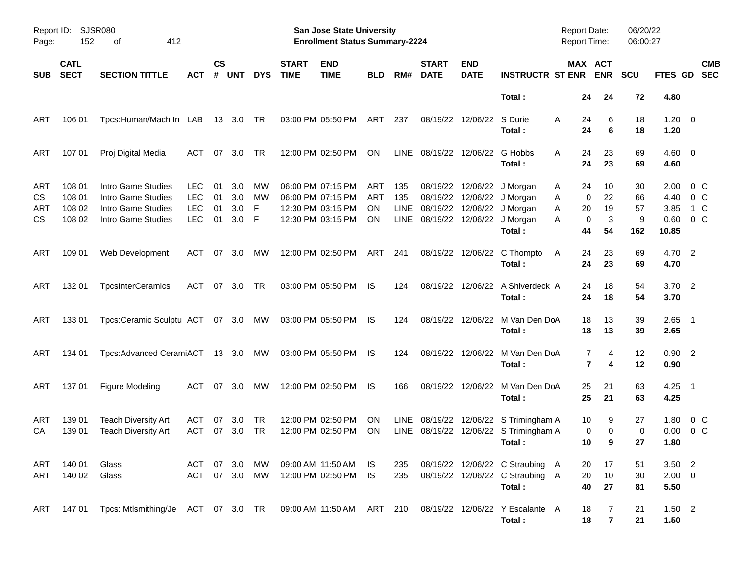| Report ID:<br>Page:           | 152                                  | SJSR080<br>412<br>οf                                                                 |                                                      |                      |                          |                    |                             | San Jose State University<br><b>Enrollment Status Summary-2224</b>               |                                             |                                   |                             |                           |                                                                                                  | <b>Report Date:</b> | <b>Report Time:</b>                                   | 06/20/22<br>06:00:27       |                                       |                           |
|-------------------------------|--------------------------------------|--------------------------------------------------------------------------------------|------------------------------------------------------|----------------------|--------------------------|--------------------|-----------------------------|----------------------------------------------------------------------------------|---------------------------------------------|-----------------------------------|-----------------------------|---------------------------|--------------------------------------------------------------------------------------------------|---------------------|-------------------------------------------------------|----------------------------|---------------------------------------|---------------------------|
| <b>SUB</b>                    | <b>CATL</b><br><b>SECT</b>           | <b>SECTION TITTLE</b>                                                                | ACT                                                  | $\mathsf{cs}$<br>#   | <b>UNT</b>               | <b>DYS</b>         | <b>START</b><br><b>TIME</b> | <b>END</b><br><b>TIME</b>                                                        | <b>BLD</b>                                  | RM#                               | <b>START</b><br><b>DATE</b> | <b>END</b><br><b>DATE</b> | <b>INSTRUCTR ST ENR</b>                                                                          |                     | MAX ACT<br><b>ENR</b>                                 | <b>SCU</b>                 | FTES GD                               | <b>CMB</b><br><b>SEC</b>  |
|                               |                                      |                                                                                      |                                                      |                      |                          |                    |                             |                                                                                  |                                             |                                   |                             |                           | Total:                                                                                           |                     | 24<br>24                                              | 72                         | 4.80                                  |                           |
| ART                           | 106 01                               | Tpcs:Human/Mach In LAB                                                               |                                                      |                      | 13 3.0                   | TR                 |                             | 03:00 PM 05:50 PM                                                                | ART                                         | 237                               |                             | 08/19/22 12/06/22 S Durie | Total:                                                                                           | A                   | 6<br>24<br>24<br>6                                    | 18<br>18                   | $1.20 \ 0$<br>1.20                    |                           |
| ART                           | 107 01                               | Proj Digital Media                                                                   | <b>ACT</b>                                           | 07                   | 3.0                      | TR                 |                             | 12:00 PM 02:50 PM                                                                | <b>ON</b>                                   | <b>LINE</b>                       |                             | 08/19/22 12/06/22 G Hobbs | Total:                                                                                           | A                   | 24<br>23<br>24<br>23                                  | 69<br>69                   | $4.60 \ 0$<br>4.60                    |                           |
| ART<br>CS<br>ART<br><b>CS</b> | 108 01<br>108 01<br>108 02<br>108 02 | Intro Game Studies<br>Intro Game Studies<br>Intro Game Studies<br>Intro Game Studies | <b>LEC</b><br><b>LEC</b><br><b>LEC</b><br><b>LEC</b> | 01<br>01<br>01<br>01 | 3.0<br>3.0<br>3.0<br>3.0 | МW<br>МW<br>F<br>F |                             | 06:00 PM 07:15 PM<br>06:00 PM 07:15 PM<br>12:30 PM 03:15 PM<br>12:30 PM 03:15 PM | ART<br><b>ART</b><br><b>ON</b><br><b>ON</b> | 135<br>135<br><b>LINE</b><br>LINE | 08/19/22                    | 12/06/22 J Morgan         | 08/19/22 12/06/22 J Morgan<br>08/19/22 12/06/22 J Morgan<br>08/19/22 12/06/22 J Morgan<br>Total: | Α<br>Α<br>Α<br>Α    | 10<br>24<br>22<br>0<br>20<br>19<br>3<br>0<br>44<br>54 | 30<br>66<br>57<br>9<br>162 | 2.00<br>4.40<br>3.85<br>0.60<br>10.85 | 0 C<br>0 C<br>1 C<br>0 C  |
| ART                           | 109 01                               | Web Development                                                                      | ACT                                                  | 07                   | 3.0                      | МW                 |                             | 12:00 PM 02:50 PM                                                                | ART                                         | 241                               |                             |                           | 08/19/22 12/06/22 C Thompto<br>Total:                                                            | A                   | 23<br>24<br>24<br>23                                  | 69<br>69                   | 4.70 2<br>4.70                        |                           |
| ART                           | 132 01                               | <b>TpcsInterCeramics</b>                                                             | <b>ACT</b>                                           | 07                   | 3.0                      | TR                 |                             | 03:00 PM 05:50 PM                                                                | IS.                                         | 124                               |                             |                           | 08/19/22 12/06/22 A Shiverdeck A<br>Total:                                                       |                     | 18<br>24<br>24<br>18                                  | 54<br>54                   | $3.70$ 2<br>3.70                      |                           |
| ART                           | 133 01                               | Tpcs:Ceramic Sculptu ACT 07 3.0                                                      |                                                      |                      |                          | MW                 |                             | 03:00 PM 05:50 PM                                                                | IS.                                         | 124                               |                             |                           | 08/19/22 12/06/22 M Van Den DoA<br>Total:                                                        |                     | 18<br>13<br>18<br>13                                  | 39<br>39                   | $2.65$ 1<br>2.65                      |                           |
| ART                           | 134 01                               | Tpcs:Advanced CeramiACT 13 3.0                                                       |                                                      |                      |                          | MW                 |                             | 03:00 PM 05:50 PM                                                                | IS.                                         | 124                               |                             |                           | 08/19/22 12/06/22 M Van Den DoA<br>Total:                                                        |                     | 7<br>4<br>7<br>4                                      | 12<br>12                   | $0.90$ 2<br>0.90                      |                           |
| ART                           | 137 01                               | Figure Modeling                                                                      | ACT                                                  |                      | 07 3.0                   | МW                 |                             | 12:00 PM 02:50 PM                                                                | IS.                                         | 166                               |                             |                           | 08/19/22 12/06/22 M Van Den DoA<br>Total:                                                        |                     | 25<br>21<br>25<br>21                                  | 63<br>63                   | 4.25<br>4.25                          | $\overline{\phantom{1}}$  |
| ART<br>CA                     | 139 01<br>139 01                     | Teach Diversity Art<br><b>Teach Diversity Art</b>                                    | ACT<br>ACT                                           | 07<br>07             | 3.0<br>3.0               | TR<br><b>TR</b>    |                             | 12:00 PM 02:50 PM<br>12:00 PM 02:50 PM                                           | <b>ON</b><br><b>ON</b>                      | LINE.<br>LINE                     | 08/19/22                    |                           | 12/06/22 S Trimingham A<br>08/19/22 12/06/22 S Trimingham A<br>Total:                            |                     | 10<br>9<br>0<br>0<br>10<br>9                          | 27<br>0<br>27              | 1.80<br>0.00<br>1.80                  | 0 <sup>o</sup><br>$0\,$ C |
| ART<br>ART                    | 140 01<br>140 02                     | Glass<br>Glass                                                                       | ACT 07 3.0<br>ACT 07 3.0                             |                      |                          | MW<br>MW           |                             | 09:00 AM 11:50 AM IS<br>12:00 PM 02:50 PM                                        | - IS                                        | 235<br>235                        |                             |                           | 08/19/22 12/06/22 C Straubing A<br>08/19/22 12/06/22 C Straubing A<br>Total:                     |                     | 20<br>17<br>10<br>20<br>40<br>27                      | 51<br>30<br>81             | $3.50$ 2<br>$2.00 \t 0$<br>5.50       |                           |
| ART                           |                                      | 147 01  Tpcs: Mtlsmithing/Je  ACT  07  3.0  TR  09:00 AM  11:50 AM  ART  210         |                                                      |                      |                          |                    |                             |                                                                                  |                                             |                                   |                             |                           | 08/19/22 12/06/22 Y Escalante A<br>Total:                                                        |                     | 18<br>7<br>$\overline{7}$<br>18                       | 21<br>21                   | $1.50$ 2<br>1.50                      |                           |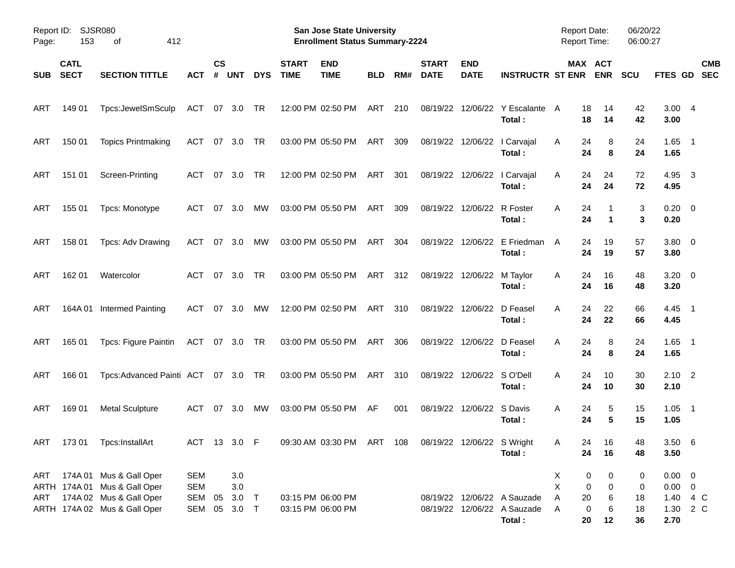| Page:      | Report ID: SJSR080<br>153  | 412<br>οf                                                                                                          |                                                    |                    |                   |            |                             | <b>San Jose State University</b><br><b>Enrollment Status Summary-2224</b> |            |     |                             |                           |                                                            | <b>Report Date:</b><br><b>Report Time:</b>       |                                             | 06/20/22<br>06:00:27 |                                                    |                          |
|------------|----------------------------|--------------------------------------------------------------------------------------------------------------------|----------------------------------------------------|--------------------|-------------------|------------|-----------------------------|---------------------------------------------------------------------------|------------|-----|-----------------------------|---------------------------|------------------------------------------------------------|--------------------------------------------------|---------------------------------------------|----------------------|----------------------------------------------------|--------------------------|
| <b>SUB</b> | <b>CATL</b><br><b>SECT</b> | <b>SECTION TITTLE</b>                                                                                              | АСТ                                                | $\mathsf{cs}$<br># | <b>UNT</b>        | <b>DYS</b> | <b>START</b><br><b>TIME</b> | <b>END</b><br><b>TIME</b>                                                 | <b>BLD</b> | RM# | <b>START</b><br><b>DATE</b> | <b>END</b><br><b>DATE</b> | <b>INSTRUCTR ST ENR</b>                                    |                                                  | MAX ACT<br><b>ENR</b>                       | <b>SCU</b>           | <b>FTES GD</b>                                     | <b>CMB</b><br><b>SEC</b> |
| <b>ART</b> | 149 01                     | Tpcs:JewelSmSculp                                                                                                  | ACT                                                | 07 3.0             |                   | TR         |                             | 12:00 PM 02:50 PM                                                         | ART        | 210 |                             | 08/19/22 12/06/22         | Y Escalante<br>Total:                                      | 18<br>A<br>18                                    | 14<br>14                                    | 42<br>42             | 3.004<br>3.00                                      |                          |
| <b>ART</b> | 150 01                     | <b>Topics Printmaking</b>                                                                                          | ACT                                                | 07                 | 3.0               | TR         |                             | 03:00 PM 05:50 PM                                                         | ART        | 309 |                             |                           | 08/19/22 12/06/22   Carvajal<br>Total:                     | 24<br>A<br>24                                    | 8<br>8                                      | 24<br>24             | $1.65$ 1<br>1.65                                   |                          |
| ART        | 151 01                     | Screen-Printing                                                                                                    | ACT                                                | 07                 | 3.0               | TR         |                             | 12:00 PM 02:50 PM                                                         | ART        | 301 |                             |                           | 08/19/22 12/06/22   Carvajal<br>Total:                     | Α<br>24<br>24                                    | 24<br>24                                    | 72<br>72             | 4.95<br>4.95                                       | $\overline{\mathbf{3}}$  |
| ART        | 155 01                     | Tpcs: Monotype                                                                                                     | ACT                                                | 07                 | 3.0               | <b>MW</b>  |                             | 03:00 PM 05:50 PM                                                         | ART        | 309 |                             | 08/19/22 12/06/22         | R Foster<br>Total:                                         | A<br>24<br>24                                    | $\mathbf 1$                                 | 3<br>3               | $0.20 \ 0$<br>0.20                                 |                          |
| ART        | 158 01                     | Tpcs: Adv Drawing                                                                                                  | <b>ACT</b>                                         | 07                 | 3.0               | <b>MW</b>  |                             | 03:00 PM 05:50 PM                                                         | ART        | 304 |                             | 08/19/22 12/06/22         | E Friedman<br>Total:                                       | 24<br>A<br>24                                    | 19<br>19                                    | 57<br>57             | 3.80 0<br>3.80                                     |                          |
| ART        | 162 01                     | Watercolor                                                                                                         | ACT                                                | 07                 | 3.0               | TR         |                             | 03:00 PM 05:50 PM                                                         | ART        | 312 |                             | 08/19/22 12/06/22         | M Taylor<br>Total:                                         | Α<br>24<br>24                                    | 16<br>16                                    | 48<br>48             | $3.20 \ 0$<br>3.20                                 |                          |
| ART        |                            | 164A 01 Intermed Painting                                                                                          | <b>ACT</b>                                         | 07                 | 3.0               | <b>MW</b>  |                             | 12:00 PM 02:50 PM                                                         | ART        | 310 |                             | 08/19/22 12/06/22         | D Feasel<br>Total:                                         | A<br>24<br>24                                    | 22<br>22                                    | 66<br>66             | $4.45$ 1<br>4.45                                   |                          |
| <b>ART</b> | 165 01                     | Tpcs: Figure Paintin                                                                                               | ACT 07 3.0                                         |                    |                   | TR         |                             | 03:00 PM 05:50 PM                                                         | ART        | 306 |                             | 08/19/22 12/06/22         | D Feasel<br>Total:                                         | A<br>24<br>24                                    | 8<br>8                                      | 24<br>24             | $1.65$ 1<br>1.65                                   |                          |
| <b>ART</b> | 166 01                     | Tpcs:Advanced Painti ACT 07 3.0 TR                                                                                 |                                                    |                    |                   |            |                             | 03:00 PM 05:50 PM                                                         | ART        | 310 |                             | 08/19/22 12/06/22 SO'Dell | Total:                                                     | A<br>24<br>24                                    | 10<br>10                                    | 30<br>30             | $2.10$ 2<br>2.10                                   |                          |
| ART        | 169 01                     | <b>Metal Sculpture</b>                                                                                             | ACT                                                | 07                 | 3.0               | MW         |                             | 03:00 PM 05:50 PM                                                         | AF         | 001 |                             | 08/19/22 12/06/22 S Davis | Total:                                                     | 24<br>A<br>24                                    | 5<br>5                                      | 15<br>15             | $1.05$ 1<br>1.05                                   |                          |
|            |                            | ART 173 01 Tpcs:InstallArt                                                                                         | ACT 13 3.0 F                                       |                    |                   |            |                             | 09:30 AM 03:30 PM ART 108 08/19/22 12/06/22 S Wright                      |            |     |                             |                           | Total:                                                     | Α<br>24                                          | 24<br>16<br>16                              | 48<br>48             | 3.506<br>3.50                                      |                          |
| ART<br>ART |                            | 174A 01 Mus & Gall Oper<br>ARTH 174A 01 Mus & Gall Oper<br>174A 02 Mus & Gall Oper<br>ARTH 174A 02 Mus & Gall Oper | <b>SEM</b><br><b>SEM</b><br>SEM 05<br>SEM 05 3.0 T |                    | 3.0<br>3.0<br>3.0 | $\top$     |                             | 03:15 PM 06:00 PM<br>03:15 PM 06:00 PM                                    |            |     |                             |                           | 08/19/22 12/06/22 A Sauzade<br>08/19/22 12/06/22 A Sauzade | X<br>$\pmb{0}$<br>X<br>Α<br>20<br>$\pmb{0}$<br>Α | 0<br>$\pmb{0}$<br>$\pmb{0}$<br>6<br>$\,6\,$ | 0<br>0<br>18<br>18   | $0.00 \t 0$<br>$0.00 \t 0$<br>1.40 4 C<br>1.30 2 C |                          |
|            |                            |                                                                                                                    |                                                    |                    |                   |            |                             |                                                                           |            |     |                             |                           | Total:                                                     | 20                                               | 12                                          | 36                   | 2.70                                               |                          |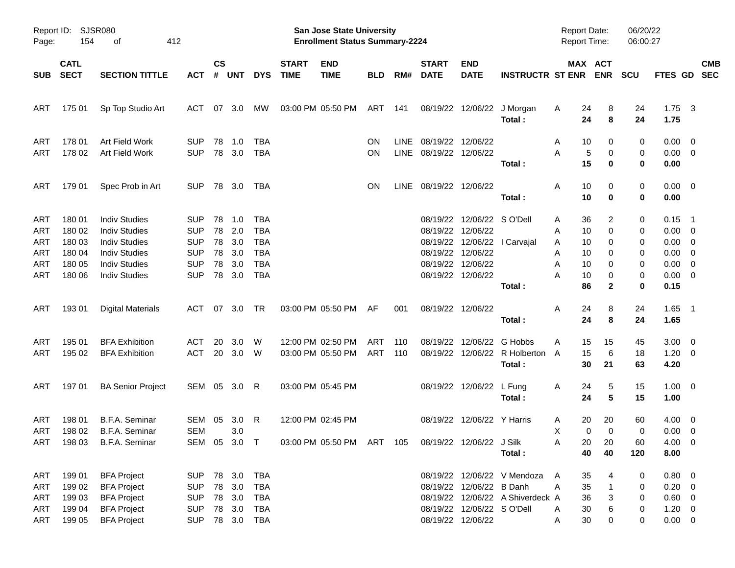| Page:                                                       | Report ID: SJSR080<br>154                                | 412<br>оf                                                                                                                                    |                                                                                  |                                  |                                        |                                                                           |                             | San Jose State University<br><b>Enrollment Status Summary-2224</b>      |            |                     |                                                    |                                                                                 |                                                                 | <b>Report Date:</b><br><b>Report Time:</b>                           |                                            | 06/20/22<br>06:00:27            |                                                                                             |                           |
|-------------------------------------------------------------|----------------------------------------------------------|----------------------------------------------------------------------------------------------------------------------------------------------|----------------------------------------------------------------------------------|----------------------------------|----------------------------------------|---------------------------------------------------------------------------|-----------------------------|-------------------------------------------------------------------------|------------|---------------------|----------------------------------------------------|---------------------------------------------------------------------------------|-----------------------------------------------------------------|----------------------------------------------------------------------|--------------------------------------------|---------------------------------|---------------------------------------------------------------------------------------------|---------------------------|
| <b>SUB</b>                                                  | <b>CATL</b><br><b>SECT</b>                               | <b>SECTION TITTLE</b>                                                                                                                        | <b>ACT</b>                                                                       | $\mathsf{cs}$<br>#               | <b>UNT</b>                             | <b>DYS</b>                                                                | <b>START</b><br><b>TIME</b> | <b>END</b><br><b>TIME</b>                                               | <b>BLD</b> | RM#                 | <b>START</b><br><b>DATE</b>                        | <b>END</b><br><b>DATE</b>                                                       | <b>INSTRUCTR ST ENR</b>                                         |                                                                      | MAX ACT<br><b>ENR</b>                      | <b>SCU</b>                      |                                                                                             | <b>CMB</b><br>FTES GD SEC |
| ART                                                         | 175 01                                                   | Sp Top Studio Art                                                                                                                            | ACT                                                                              | 07                               | 3.0                                    | <b>MW</b>                                                                 |                             | 03:00 PM 05:50 PM                                                       | ART        | 141                 |                                                    |                                                                                 | 08/19/22 12/06/22 J Morgan<br>Total:                            | Α<br>24<br>24                                                        | 8<br>8                                     | 24<br>24                        | 1.75<br>1.75                                                                                | $\overline{\mathbf{3}}$   |
| ART<br><b>ART</b>                                           | 178 01<br>178 02                                         | Art Field Work<br>Art Field Work                                                                                                             | <b>SUP</b><br><b>SUP</b>                                                         | 78                               | 1.0<br>78 3.0                          | TBA<br><b>TBA</b>                                                         |                             |                                                                         | ON<br>ON   | <b>LINE</b><br>LINE | 08/19/22 12/06/22<br>08/19/22 12/06/22             |                                                                                 | Total:                                                          | 10<br>Α<br>Α<br>5<br>15                                              | 0<br>0<br>0                                | 0<br>0<br>0                     | $0.00 \t 0$<br>$0.00 \t 0$<br>0.00                                                          |                           |
| ART                                                         | 179 01                                                   | Spec Prob in Art                                                                                                                             | <b>SUP</b>                                                                       |                                  | 78 3.0                                 | TBA                                                                       |                             |                                                                         | ON         | LINE                | 08/19/22 12/06/22                                  |                                                                                 | Total:                                                          | 10<br>Α<br>10                                                        | 0<br>0                                     | 0<br>0                          | $0.00 \t 0$<br>0.00                                                                         |                           |
| ART<br>ART<br>ART<br><b>ART</b><br><b>ART</b><br><b>ART</b> | 180 01<br>180 02<br>180 03<br>180 04<br>180 05<br>180 06 | <b>Indiv Studies</b><br><b>Indiv Studies</b><br><b>Indiv Studies</b><br><b>Indiv Studies</b><br><b>Indiv Studies</b><br><b>Indiv Studies</b> | <b>SUP</b><br><b>SUP</b><br><b>SUP</b><br><b>SUP</b><br><b>SUP</b><br><b>SUP</b> | 78<br>78<br>78<br>78<br>78<br>78 | 1.0<br>2.0<br>3.0<br>3.0<br>3.0<br>3.0 | TBA<br><b>TBA</b><br><b>TBA</b><br><b>TBA</b><br><b>TBA</b><br><b>TBA</b> |                             |                                                                         |            |                     | 08/19/22 12/06/22<br>08/19/22<br>08/19/22 12/06/22 | 08/19/22 12/06/22 SO'Dell<br>08/19/22 12/06/22<br>12/06/22<br>08/19/22 12/06/22 | l Carvajal<br>Total:                                            | 36<br>Α<br>10<br>Α<br>10<br>Α<br>10<br>Α<br>10<br>Α<br>10<br>Α<br>86 | 2<br>0<br>0<br>0<br>0<br>0<br>$\mathbf{2}$ | 0<br>0<br>0<br>0<br>0<br>0<br>0 | $0.15$ 1<br>$0.00 \t 0$<br>$0.00 \t 0$<br>$0.00 \t 0$<br>$0.00 \t 0$<br>$0.00 \t 0$<br>0.15 |                           |
| ART                                                         | 193 01                                                   | <b>Digital Materials</b>                                                                                                                     | ACT 07 3.0                                                                       |                                  |                                        | TR                                                                        |                             | 03:00 PM 05:50 PM                                                       | AF         | 001                 |                                                    | 08/19/22 12/06/22                                                               | Total:                                                          | 24<br>Α<br>24                                                        | 8<br>8                                     | 24<br>24                        | $1.65$ 1<br>1.65                                                                            |                           |
| ART<br><b>ART</b>                                           | 195 01<br>195 02                                         | <b>BFA Exhibition</b><br><b>BFA Exhibition</b>                                                                                               | ACT<br>ACT                                                                       | 20                               | 3.0<br>20 3.0                          | W<br>- W                                                                  |                             | 12:00 PM 02:50 PM<br>03:00 PM 05:50 PM                                  | ART<br>ART | 110<br>110          | 08/19/22                                           | 12/06/22                                                                        | G Hobbs<br>08/19/22 12/06/22 R Holberton<br>Total:              | 15<br>Α<br>15<br>A<br>30                                             | 15<br>6<br>21                              | 45<br>18<br>63                  | $3.00 \ 0$<br>$1.20 \t 0$<br>4.20                                                           |                           |
| ART                                                         | 197 01                                                   | <b>BA Senior Project</b>                                                                                                                     | SEM 05 3.0 R                                                                     |                                  |                                        |                                                                           | 03:00 PM 05:45 PM           |                                                                         |            |                     |                                                    | 08/19/22 12/06/22 L Fung                                                        | Total:                                                          | 24<br>A<br>24                                                        | 5<br>5                                     | 15<br>15                        | $1.00 \t 0$<br>1.00                                                                         |                           |
| <b>ART</b><br>ART<br>ART                                    | 198 01<br>198 02<br>198 03                               | <b>B.F.A. Seminar</b><br><b>B.F.A. Seminar</b><br>B.F.A. Seminar                                                                             | SEM<br><b>SEM</b><br>SEM 05 3.0 T                                                | 05                               | 3.0<br>3.0                             | -R                                                                        |                             | 12:00 PM 02:45 PM<br>03:00 PM 05:50 PM ART 105 08/19/22 12/06/22 J Silk |            |                     |                                                    | 08/19/22 12/06/22 Y Harris                                                      | Total:                                                          | 20<br>Α<br>Χ<br>20<br>Α<br>40                                        | 20<br>0<br>$\mathbf 0$<br>20<br>40         | 60<br>0<br>60<br>120            | $4.00 \ 0$<br>$0.00 \t 0$<br>$4.00 \ 0$<br>8.00                                             |                           |
| ART<br>ART<br>ART<br>ART<br>ART                             | 199 01<br>199 02<br>199 03<br>199 04<br>199 05           | <b>BFA Project</b><br><b>BFA Project</b><br><b>BFA Project</b><br><b>BFA Project</b><br><b>BFA Project</b>                                   | SUP 78 3.0 TBA<br><b>SUP</b><br><b>SUP</b><br><b>SUP</b><br><b>SUP</b>           |                                  | 78 3.0<br>78 3.0<br>78 3.0             | <b>TBA</b><br><b>TBA</b><br><b>TBA</b><br>78 3.0 TBA                      |                             |                                                                         |            |                     |                                                    | 08/19/22 12/06/22 B Danh<br>08/19/22 12/06/22 S O'Dell<br>08/19/22 12/06/22     | 08/19/22 12/06/22 V Mendoza<br>08/19/22 12/06/22 A Shiverdeck A | 35<br>A<br>35<br>A<br>36<br>30<br>A<br>30<br>A                       | 4<br>$\mathbf{1}$<br>3<br>6<br>0           | 0<br>0<br>0<br>0<br>0           | 0.80 0<br>$0.20 \ 0$<br>$0.60 \t 0$<br>$1.20 \t 0$<br>$0.00 \t 0$                           |                           |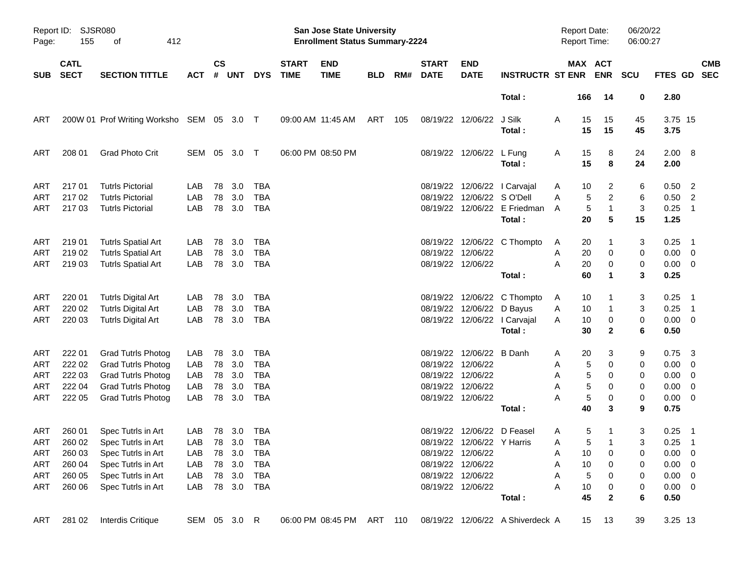| Page:      | Report ID: SJSR080<br>155  | 412<br>οf                                          |                |               |            |                   |                             | San Jose State University<br><b>Enrollment Status Summary-2224</b> |            |     |                             |                            |                                                            | Report Date:<br>Report Time: |                                | 06/20/22<br>06:00:27 |                 |                                                        |            |
|------------|----------------------------|----------------------------------------------------|----------------|---------------|------------|-------------------|-----------------------------|--------------------------------------------------------------------|------------|-----|-----------------------------|----------------------------|------------------------------------------------------------|------------------------------|--------------------------------|----------------------|-----------------|--------------------------------------------------------|------------|
| <b>SUB</b> | <b>CATL</b><br><b>SECT</b> | <b>SECTION TITTLE</b>                              | <b>ACT</b>     | $\mathsf{cs}$ | # UNT      | <b>DYS</b>        | <b>START</b><br><b>TIME</b> | <b>END</b><br><b>TIME</b>                                          | <b>BLD</b> | RM# | <b>START</b><br><b>DATE</b> | <b>END</b><br><b>DATE</b>  | <b>INSTRUCTR ST ENR</b>                                    |                              | MAX ACT<br><b>ENR</b>          | <b>SCU</b>           | FTES GD SEC     |                                                        | <b>CMB</b> |
|            |                            |                                                    |                |               |            |                   |                             |                                                                    |            |     |                             |                            | Total:                                                     | 166                          | 14                             | 0                    | 2.80            |                                                        |            |
| ART        |                            | 200W 01 Prof Writing Worksho SEM 05 3.0 T          |                |               |            |                   |                             | 09:00 AM 11:45 AM                                                  | ART        | 105 |                             | 08/19/22 12/06/22          | J Silk<br>Total:                                           | A<br>15<br>15                | 15<br>15                       | 45<br>45             | 3.75 15<br>3.75 |                                                        |            |
| ART        | 208 01                     | <b>Grad Photo Crit</b>                             | SEM 05         |               | 3.0        | $\top$            |                             | 06:00 PM 08:50 PM                                                  |            |     |                             | 08/19/22 12/06/22 L Fung   | Total:                                                     | 15<br>A<br>15                | 8<br>8                         | 24<br>24             | 2.00 8<br>2.00  |                                                        |            |
| <b>ART</b> | 21701                      | <b>Tutrls Pictorial</b>                            | LAB            | 78            | 3.0        | <b>TBA</b>        |                             |                                                                    |            |     |                             |                            | 08/19/22 12/06/22   Carvajal                               | 10<br>A                      | 2                              | 6                    | 0.50            | $\overline{\phantom{0}}$                               |            |
| ART<br>ART | 217 02<br>217 03           | <b>Tutrls Pictorial</b><br><b>Tutrls Pictorial</b> | LAB<br>LAB     | 78<br>78      | 3.0<br>3.0 | <b>TBA</b><br>TBA |                             |                                                                    |            |     |                             | 08/19/22 12/06/22 SO'Dell  | 08/19/22 12/06/22 E Friedman                               | 5<br>A<br>$\sqrt{5}$<br>A    | $\overline{c}$<br>$\mathbf{1}$ | 6<br>3               | 0.50<br>0.25    | $\overline{\phantom{a}}$<br>$\overline{\phantom{0}}$ 1 |            |
|            |                            |                                                    |                |               |            |                   |                             |                                                                    |            |     |                             |                            | Total:                                                     | 20                           | 5                              | 15                   | 1.25            |                                                        |            |
| ART        | 219 01                     | <b>Tutrls Spatial Art</b>                          | LAB            | 78            | 3.0        | <b>TBA</b>        |                             |                                                                    |            |     |                             |                            | 08/19/22 12/06/22 C Thompto                                | 20<br>A                      |                                | 3                    | 0.25            | $\overline{\phantom{0}}$ 1                             |            |
| <b>ART</b> | 219 02                     | <b>Tutrls Spatial Art</b>                          | LAB            | 78            | 3.0        | <b>TBA</b>        |                             |                                                                    |            |     | 08/19/22 12/06/22           |                            |                                                            | 20<br>Α                      | 0                              | 0                    | $0.00 \t 0$     |                                                        |            |
| ART        | 219 03                     | <b>Tutrls Spatial Art</b>                          | LAB            | 78            | 3.0        | TBA               |                             |                                                                    |            |     |                             | 08/19/22 12/06/22          |                                                            | 20<br>A                      | 0                              | 0                    | $0.00 \t 0$     |                                                        |            |
|            |                            |                                                    |                |               |            |                   |                             |                                                                    |            |     |                             |                            | Total:                                                     | 60                           | 1                              | 3                    | 0.25            |                                                        |            |
| ART        | 220 01                     | <b>Tutrls Digital Art</b>                          | LAB            | 78            | 3.0        | <b>TBA</b>        |                             |                                                                    |            |     |                             |                            | 08/19/22 12/06/22 C Thompto                                | 10<br>A                      |                                | 3                    | 0.25            | $\overline{\phantom{1}}$                               |            |
| <b>ART</b> | 220 02                     | <b>Tutrls Digital Art</b>                          | LAB            | 78            | 3.0        | <b>TBA</b>        |                             |                                                                    |            |     |                             | 08/19/22 12/06/22 D Bayus  |                                                            | 10<br>Α                      |                                | 3                    | 0.25            | $\overline{\phantom{0}}$ 1                             |            |
| ART        | 220 03                     | <b>Tutrls Digital Art</b>                          | LAB            | 78            | 3.0        | TBA               |                             |                                                                    |            |     |                             |                            | 08/19/22 12/06/22 l Carvajal                               | 10<br>A                      | 0                              | 0                    | $0.00 \t 0$     |                                                        |            |
|            |                            |                                                    |                |               |            |                   |                             |                                                                    |            |     |                             |                            | Total:                                                     | 30                           | $\mathbf{2}$                   | 6                    | 0.50            |                                                        |            |
| ART        | 222 01                     | <b>Grad Tutrls Photog</b>                          | LAB            | 78            | 3.0        | <b>TBA</b>        |                             |                                                                    |            |     |                             | 08/19/22 12/06/22 B Danh   |                                                            | 20<br>Α                      | 3                              | 9                    | 0.75            | $\overline{\mathbf{3}}$                                |            |
| ART        | 222 02                     | <b>Grad Tutrls Photog</b>                          | LAB            | 78            | 3.0        | <b>TBA</b>        |                             |                                                                    |            |     |                             | 08/19/22 12/06/22          |                                                            | 5<br>Α                       | 0                              | 0                    | 0.00            | $\overline{\mathbf{0}}$                                |            |
| <b>ART</b> | 222 03                     | <b>Grad Tutrls Photog</b>                          | LAB            | 78            | 3.0        | <b>TBA</b>        |                             |                                                                    |            |     | 08/19/22 12/06/22           |                            |                                                            | Α                            | 5<br>0                         | 0                    | 0.00            | $\overline{\phantom{0}}$                               |            |
| <b>ART</b> | 222 04                     | <b>Grad Tutrls Photog</b>                          | LAB            | 78            | 3.0        | <b>TBA</b>        |                             |                                                                    |            |     | 08/19/22 12/06/22           |                            |                                                            | 5<br>Α                       | 0                              | 0                    | 0.00            | $\overline{\mathbf{0}}$                                |            |
| ART        | 222 05                     | <b>Grad Tutrls Photog</b>                          | LAB            | 78            | 3.0        | TBA               |                             |                                                                    |            |     |                             | 08/19/22 12/06/22          |                                                            | 5<br>A                       | 0                              | 0                    | $0.00 \t 0$     |                                                        |            |
|            |                            |                                                    |                |               |            |                   |                             |                                                                    |            |     |                             |                            | Total:                                                     | 40                           | 3                              | 9                    | 0.75            |                                                        |            |
| ART        | 260 01                     | Spec Tutrls in Art                                 | LAB            |               | 78 3.0     | TBA               |                             |                                                                    |            |     |                             | 08/19/22 12/06/22 D Feasel |                                                            | A                            | 5                              | 3                    | 0.25            | - 1                                                    |            |
|            |                            | ART 260 02 Spec Tutrls in Art                      | LAB 78 3.0 TBA |               |            |                   |                             |                                                                    |            |     |                             | 08/19/22 12/06/22 Y Harris |                                                            | A                            | $5 \quad 1$                    | $\overline{3}$       | $0.25$ 1        |                                                        |            |
| ART        | 260 03                     | Spec Tutrls in Art                                 | LAB            |               | 78 3.0     | TBA               |                             |                                                                    |            |     |                             | 08/19/22 12/06/22          |                                                            | 10<br>A                      | 0                              | 0                    | $0.00 \t 0$     |                                                        |            |
| ART        | 260 04                     | Spec Tutrls in Art                                 | LAB            |               | 78 3.0     | <b>TBA</b>        |                             |                                                                    |            |     |                             | 08/19/22 12/06/22          |                                                            | 10<br>Α                      | 0                              | 0                    | $0.00 \t 0$     |                                                        |            |
| ART        | 260 05                     | Spec Tutrls in Art                                 | LAB            |               | 78 3.0     | TBA               |                             |                                                                    |            |     | 08/19/22 12/06/22           |                            |                                                            | $\sqrt{5}$<br>Α              | 0                              | 0                    | $0.00 \t 0$     |                                                        |            |
| ART        | 260 06                     | Spec Tutrls in Art                                 | LAB            |               | 78 3.0     | TBA               |                             |                                                                    |            |     |                             | 08/19/22 12/06/22          |                                                            | A<br>10                      | 0                              | 0                    | $0.00 \t 0$     |                                                        |            |
|            |                            |                                                    |                |               |            |                   |                             |                                                                    |            |     |                             |                            | Total:                                                     | 45                           | $\mathbf{2}$                   | 6                    | 0.50            |                                                        |            |
| ART        | 281 02                     | Interdis Critique                                  | SEM 05 3.0 R   |               |            |                   |                             |                                                                    |            |     |                             |                            | 06:00 PM 08:45 PM ART 110 08/19/22 12/06/22 A Shiverdeck A | 15                           | - 13                           | 39                   | 3.25 13         |                                                        |            |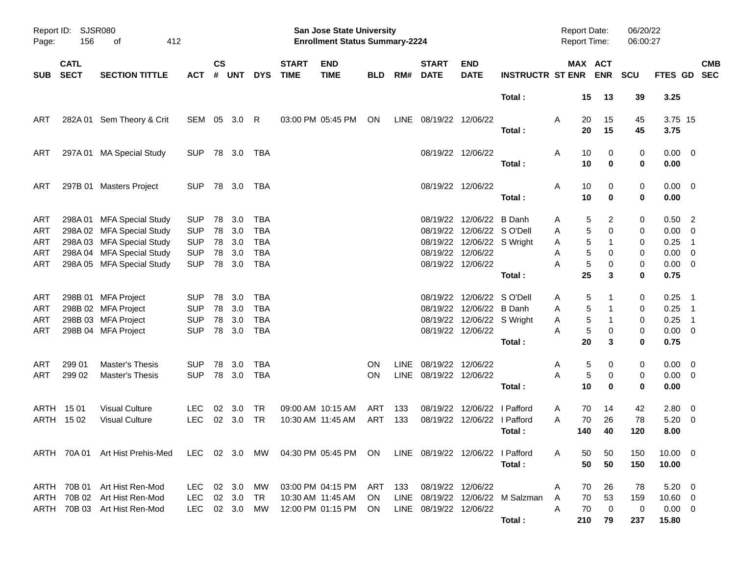| Page:                           | Report ID: SJSR080<br>156  | 412<br>οf                                                                                                                                     |                                                                    |                      |                                    |                                                                    |                             | San Jose State University<br><b>Enrollment Status Summary-2224</b>     |            |              |                                             |                                                                                                                               |                                            | Report Date:<br><b>Report Time:</b> |                             |                                  | 06/20/22<br>06:00:27       |                                                                       |                            |            |
|---------------------------------|----------------------------|-----------------------------------------------------------------------------------------------------------------------------------------------|--------------------------------------------------------------------|----------------------|------------------------------------|--------------------------------------------------------------------|-----------------------------|------------------------------------------------------------------------|------------|--------------|---------------------------------------------|-------------------------------------------------------------------------------------------------------------------------------|--------------------------------------------|-------------------------------------|-----------------------------|----------------------------------|----------------------------|-----------------------------------------------------------------------|----------------------------|------------|
| <b>SUB</b>                      | <b>CATL</b><br><b>SECT</b> | <b>SECTION TITTLE</b>                                                                                                                         | ACT                                                                | $\mathsf{cs}$<br>#   | <b>UNT</b>                         | <b>DYS</b>                                                         | <b>START</b><br><b>TIME</b> | <b>END</b><br><b>TIME</b>                                              | <b>BLD</b> | RM#          | <b>START</b><br><b>DATE</b>                 | <b>END</b><br><b>DATE</b>                                                                                                     | <b>INSTRUCTR ST ENR ENR</b>                |                                     |                             | MAX ACT                          | <b>SCU</b>                 | FTES GD SEC                                                           |                            | <b>CMB</b> |
|                                 |                            |                                                                                                                                               |                                                                    |                      |                                    |                                                                    |                             |                                                                        |            |              |                                             |                                                                                                                               | Total:                                     |                                     | 15                          | 13                               | 39                         | 3.25                                                                  |                            |            |
| ART                             |                            | 282A 01 Sem Theory & Crit                                                                                                                     | SEM 05 3.0                                                         |                      |                                    | -R                                                                 |                             | 03:00 PM 05:45 PM                                                      | ON         |              | LINE 08/19/22 12/06/22                      |                                                                                                                               | Total:                                     | Α                                   | 20<br>20                    | 15<br>15                         | 45<br>45                   | 3.75 15<br>3.75                                                       |                            |            |
| ART                             |                            | 297A 01 MA Special Study                                                                                                                      | <b>SUP</b>                                                         |                      | 78 3.0                             | TBA                                                                |                             |                                                                        |            |              |                                             | 08/19/22 12/06/22                                                                                                             | Total:                                     | Α                                   | 10<br>10                    | 0<br>$\bf{0}$                    | 0<br>0                     | $0.00 \t 0$<br>0.00                                                   |                            |            |
| ART                             |                            | 297B 01 Masters Project                                                                                                                       | <b>SUP</b>                                                         |                      | 78 3.0                             | TBA                                                                |                             |                                                                        |            |              |                                             | 08/19/22 12/06/22                                                                                                             | Total:                                     | Α                                   | 10<br>10                    | 0<br>0                           | 0<br>0                     | $0.00 \t 0$<br>0.00                                                   |                            |            |
| ART<br>ART<br>ART<br>ART<br>ART |                            | 298A 01 MFA Special Study<br>298A 02 MFA Special Study<br>298A 03 MFA Special Study<br>298A 04 MFA Special Study<br>298A 05 MFA Special Study | <b>SUP</b><br><b>SUP</b><br><b>SUP</b><br><b>SUP</b><br><b>SUP</b> | 78<br>78<br>78<br>78 | 3.0<br>3.0<br>3.0<br>3.0<br>78 3.0 | <b>TBA</b><br><b>TBA</b><br><b>TBA</b><br><b>TBA</b><br><b>TBA</b> |                             |                                                                        |            |              |                                             | 08/19/22 12/06/22 B Danh<br>08/19/22 12/06/22 SO'Dell<br>08/19/22 12/06/22 S Wright<br>08/19/22 12/06/22<br>08/19/22 12/06/22 | Total:                                     | Α<br>Α<br>Α<br>Α<br>А               | 5<br>5<br>5<br>5<br>5<br>25 | 2<br>0<br>1<br>0<br>0<br>3       | 0<br>0<br>0<br>0<br>0<br>0 | $0.50$ 2<br>$0.00 \t 0$<br>0.25<br>$0.00 \t 0$<br>$0.00 \t 0$<br>0.75 | $\overline{\phantom{1}}$   |            |
| ART<br>ART<br>ART<br>ART        |                            | 298B 01 MFA Project<br>298B 02 MFA Project<br>298B 03 MFA Project<br>298B 04 MFA Project                                                      | <b>SUP</b><br><b>SUP</b><br><b>SUP</b><br><b>SUP</b>               | 78<br>78             | 3.0<br>78 3.0<br>3.0<br>78 3.0     | TBA<br><b>TBA</b><br><b>TBA</b><br><b>TBA</b>                      |                             |                                                                        |            |              |                                             | 08/19/22 12/06/22 SO'Dell<br>08/19/22 12/06/22 B Danh<br>08/19/22 12/06/22 S Wright<br>08/19/22 12/06/22                      | Total:                                     | Α<br>Α<br>Α<br>A                    | 5<br>5<br>5<br>5<br>20      | 0<br>3                           | 0<br>0<br>0<br>0<br>0      | $0.25$ 1<br>$0.25$ 1<br>0.25<br>$0.00 \t 0$<br>0.75                   | $\overline{\phantom{0}}$ 1 |            |
| ART<br>ART                      | 299 01<br>299 02           | <b>Master's Thesis</b><br><b>Master's Thesis</b>                                                                                              | <b>SUP</b><br><b>SUP</b>                                           | 78                   | 3.0<br>78 3.0                      | TBA<br><b>TBA</b>                                                  |                             |                                                                        | ON.<br>ON. | LINE<br>LINE | 08/19/22 12/06/22<br>08/19/22 12/06/22      |                                                                                                                               | Total:                                     | Α<br>A                              | 5<br>5<br>10                | 0<br>0<br>$\bf{0}$               | 0<br>0<br>0                | $0.00 \t 0$<br>$0.00 \t 0$<br>0.00                                    |                            |            |
|                                 | ARTH 1501<br>ARTH 1502     | <b>Visual Culture</b><br><b>Visual Culture</b>                                                                                                | <b>LEC</b><br><b>LEC</b>                                           | 02                   | 3.0<br>02 3.0                      | TR<br><b>TR</b>                                                    |                             | 09:00 AM 10:15 AM<br>10:30 AM 11:45 AM                                 | ART<br>ART | 133<br>133   | 08/19/22                                    | 12/06/22<br>08/19/22 12/06/22 I Pafford                                                                                       | l Pafford<br>Total:                        | Α<br>A                              | 70<br>70<br>140             | 14<br>26<br>40                   | 42<br>78<br>120            | 2.80 0<br>$5.20 \ 0$<br>8.00                                          |                            |            |
|                                 |                            | ARTH 70A 01 Art Hist Prehis-Med LEC 02 3.0 MW 04:30 PM 05:45 PM ON LINE 08/19/22 12/06/22 I Pafford                                           |                                                                    |                      |                                    |                                                                    |                             |                                                                        |            |              |                                             |                                                                                                                               | Total:                                     | A                                   | 50<br>50                    | 50<br>50                         | 150<br>150                 | $10.00 \t 0$<br>10.00                                                 |                            |            |
|                                 |                            | ARTH 70B 01 Art Hist Ren-Mod<br>ARTH 70B 02 Art Hist Ren-Mod<br>ARTH 70B 03 Art Hist Ren-Mod                                                  | LEC 02 3.0<br>LEC<br>LEC 02 3.0                                    |                      | 02 3.0                             | MW<br>TR.<br>MW                                                    |                             | 03:00 PM 04:15 PM ART 133<br>10:30 AM 11:45 AM<br>12:00 PM 01:15 PM ON | - ON       |              | 08/19/22 12/06/22<br>LINE 08/19/22 12/06/22 |                                                                                                                               | LINE 08/19/22 12/06/22 M Salzman<br>Total: | Α<br>A<br>A                         | 70<br>70<br>70<br>210       | 26<br>53<br>$\overline{0}$<br>79 | 78<br>159<br>0<br>237      | $5.20 \ 0$<br>$10.60 \t 0$<br>$0.00 \t 0$<br>15.80                    |                            |            |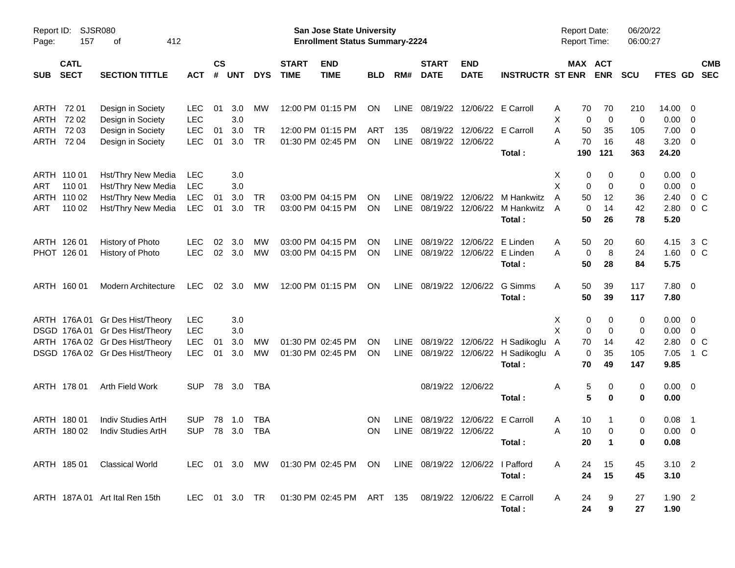| Report ID:<br>Page: | 157                        | SJSR080<br>412<br>οf            |            |                    |            |            |                             | San Jose State University<br><b>Enrollment Status Summary-2224</b>  |            |             |                             |                             |                         | <b>Report Date:</b><br>Report Time: |                       | 06/20/22<br>06:00:27 |                |                          |                          |
|---------------------|----------------------------|---------------------------------|------------|--------------------|------------|------------|-----------------------------|---------------------------------------------------------------------|------------|-------------|-----------------------------|-----------------------------|-------------------------|-------------------------------------|-----------------------|----------------------|----------------|--------------------------|--------------------------|
| <b>SUB</b>          | <b>CATL</b><br><b>SECT</b> | <b>SECTION TITTLE</b>           | <b>ACT</b> | $\mathsf{cs}$<br># | <b>UNT</b> | <b>DYS</b> | <b>START</b><br><b>TIME</b> | <b>END</b><br><b>TIME</b>                                           | <b>BLD</b> | RM#         | <b>START</b><br><b>DATE</b> | <b>END</b><br><b>DATE</b>   | <b>INSTRUCTR ST ENR</b> |                                     | MAX ACT<br><b>ENR</b> | <b>SCU</b>           | <b>FTES GD</b> |                          | <b>CMB</b><br><b>SEC</b> |
| ARTH                | 72 01                      | Design in Society               | <b>LEC</b> | 01                 | 3.0        | MW         |                             | 12:00 PM 01:15 PM                                                   | <b>ON</b>  | <b>LINE</b> | 08/19/22                    |                             | 12/06/22 E Carroll      | A                                   | 70<br>70              | 210                  | 14.00          | -0                       |                          |
| ARTH                | 72 02                      | Design in Society               | <b>LEC</b> |                    | 3.0        |            |                             |                                                                     |            |             |                             |                             |                         | X                                   | 0<br>$\mathbf 0$      | 0                    | 0.00           | 0                        |                          |
| ARTH                | 72 03                      | Design in Society               | <b>LEC</b> | 01                 | 3.0        | <b>TR</b>  |                             | 12:00 PM 01:15 PM                                                   | <b>ART</b> | 135         | 08/19/22                    |                             | 12/06/22 E Carroll      | Α                                   | 50<br>35              | 105                  | 7.00           | 0                        |                          |
| ARTH                | 72 04                      | Design in Society               | <b>LEC</b> | 01                 | 3.0        | <b>TR</b>  |                             | 01:30 PM 02:45 PM                                                   | ON         | <b>LINE</b> | 08/19/22                    | 12/06/22                    | Total:                  | Α<br>190                            | 16<br>70<br>121       | 48<br>363            | 3.20<br>24.20  | - 0                      |                          |
|                     | ARTH 110 01                | Hst/Thry New Media              | <b>LEC</b> |                    | 3.0        |            |                             |                                                                     |            |             |                             |                             |                         | Х                                   | 0<br>0                | 0                    | 0.00           | $\overline{\mathbf{0}}$  |                          |
| ART                 | 110 01                     | Hst/Thry New Media              | <b>LEC</b> |                    | 3.0        |            |                             |                                                                     |            |             |                             |                             |                         | X                                   | 0<br>0                | 0                    | 0.00           | $\mathbf 0$              |                          |
|                     | ARTH 110 02                | Hst/Thry New Media              | <b>LEC</b> | 01                 | 3.0        | <b>TR</b>  |                             | 03:00 PM 04:15 PM                                                   | ON         | <b>LINE</b> | 08/19/22                    | 12/06/22                    | M Hankwitz              | A                                   | 12<br>50              | 36                   | 2.40           | $0\,C$                   |                          |
| ART                 | 110 02                     | Hst/Thry New Media              | <b>LEC</b> | 01                 | 3.0        | <b>TR</b>  |                             | 03:00 PM 04:15 PM                                                   | <b>ON</b>  | <b>LINE</b> | 08/19/22                    | 12/06/22                    | M Hankwitz              | A                                   | $\mathbf 0$<br>14     | 42                   | 2.80           | 0 <sup>o</sup>           |                          |
|                     |                            |                                 |            |                    |            |            |                             |                                                                     |            |             |                             |                             | Total:                  |                                     | 50<br>26              | 78                   | 5.20           |                          |                          |
|                     | ARTH 126 01                | History of Photo                | <b>LEC</b> | 02                 | 3.0        | МW         |                             | 03:00 PM 04:15 PM                                                   | ΟN         | <b>LINE</b> | 08/19/22                    | 12/06/22                    | E Linden                | A                                   | 50<br>20              | 60                   | 4.15           | 3 C                      |                          |
|                     | PHOT 126 01                | History of Photo                | <b>LEC</b> | 02                 | 3.0        | <b>MW</b>  |                             | 03:00 PM 04:15 PM                                                   | ON         | LINE        | 08/19/22                    | 12/06/22                    | E Linden                | A                                   | 8<br>0                | 24                   | 1.60           | 0 <sup>o</sup>           |                          |
|                     |                            |                                 |            |                    |            |            |                             |                                                                     |            |             |                             |                             | Total:                  |                                     | 50<br>28              | 84                   | 5.75           |                          |                          |
|                     | ARTH 160 01                | <b>Modern Architecture</b>      | <b>LEC</b> | 02                 | 3.0        | MW         |                             | 12:00 PM 01:15 PM                                                   | ON         | LINE        | 08/19/22                    | 12/06/22                    | G Simms                 | Α                                   | 50<br>39              | 117                  | 7.80 0         |                          |                          |
|                     |                            |                                 |            |                    |            |            |                             |                                                                     |            |             |                             |                             | Total:                  |                                     | 50<br>39              | 117                  | 7.80           |                          |                          |
|                     | ARTH 176A 01               | Gr Des Hist/Theory              | <b>LEC</b> |                    | 3.0        |            |                             |                                                                     |            |             |                             |                             |                         | Х                                   | 0<br>0                | 0                    | 0.00           | $\overline{\phantom{0}}$ |                          |
|                     |                            | DSGD 176A 01 Gr Des Hist/Theory | <b>LEC</b> |                    | 3.0        |            |                             |                                                                     |            |             |                             |                             |                         | X                                   | 0<br>$\mathbf 0$      | 0                    | 0.00           | $\mathbf 0$              |                          |
|                     |                            | ARTH 176A 02 Gr Des Hist/Theory | <b>LEC</b> | 01                 | 3.0        | MW         |                             | 01:30 PM 02:45 PM                                                   | <b>ON</b>  | <b>LINE</b> | 08/19/22                    |                             | 12/06/22 H Sadikoglu    | A                                   | 70<br>14              | 42                   | 2.80           | $0\,C$                   |                          |
|                     |                            | DSGD 176A 02 Gr Des Hist/Theory | <b>LEC</b> | 01                 | 3.0        | <b>MW</b>  |                             | 01:30 PM 02:45 PM                                                   | ON         | <b>LINE</b> | 08/19/22                    | 12/06/22                    | H Sadikoglu A           |                                     | 35<br>0               | 105                  | 7.05           | $1\,C$                   |                          |
|                     |                            |                                 |            |                    |            |            |                             |                                                                     |            |             |                             |                             | Total:                  |                                     | 49<br>70              | 147                  | 9.85           |                          |                          |
|                     | ARTH 178 01                | Arth Field Work                 | <b>SUP</b> | 78                 | 3.0        | TBA        |                             |                                                                     |            |             | 08/19/22                    | 12/06/22                    |                         | Α                                   | 5<br>0                | 0                    | $0.00 \t 0$    |                          |                          |
|                     |                            |                                 |            |                    |            |            |                             |                                                                     |            |             |                             |                             | Total:                  |                                     | 5<br>$\bf{0}$         | 0                    | 0.00           |                          |                          |
|                     | ARTH 180 01                | Indiv Studies ArtH              | <b>SUP</b> | 78                 | 1.0        | <b>TBA</b> |                             |                                                                     | 0N         | LINE.       | 08/19/22                    |                             | 12/06/22 E Carroll      | A                                   | 10<br>1               | 0                    | 0.08           | $\overline{\phantom{1}}$ |                          |
|                     | ARTH 180 02                | Indiv Studies ArtH              | <b>SUP</b> | 78                 | 3.0        | <b>TBA</b> |                             |                                                                     | ΟN         | <b>LINE</b> | 08/19/22                    | 12/06/22                    |                         | Α                                   | 10<br>0               | 0                    | 0.00           | $\overline{0}$           |                          |
|                     |                            |                                 |            |                    |            |            |                             |                                                                     |            |             |                             |                             | Total:                  |                                     | 20                    | 0                    | 0.08           |                          |                          |
|                     | ARTH 185 01                | Classical World                 |            |                    |            |            |                             | LEC 01 3.0 MW 01:30 PM 02:45 PM ON LINE 08/19/22 12/06/22 I Pafford |            |             |                             |                             |                         | A                                   | 15<br>24              | 45                   | $3.10$ 2       |                          |                          |
|                     |                            |                                 |            |                    |            |            |                             |                                                                     |            |             |                             |                             | Total:                  |                                     | 24<br>15              | 45                   | 3.10           |                          |                          |
|                     |                            | ARTH 187A 01 Art Ital Ren 15th  |            |                    |            |            |                             | LEC 01 3.0 TR  01:30 PM 02:45 PM  ART  135                          |            |             |                             | 08/19/22 12/06/22 E Carroll |                         | A                                   | 24<br>9               | 27                   | $1.90$ 2       |                          |                          |
|                     |                            |                                 |            |                    |            |            |                             |                                                                     |            |             |                             |                             | Total:                  |                                     | 9<br>24               | 27                   | 1.90           |                          |                          |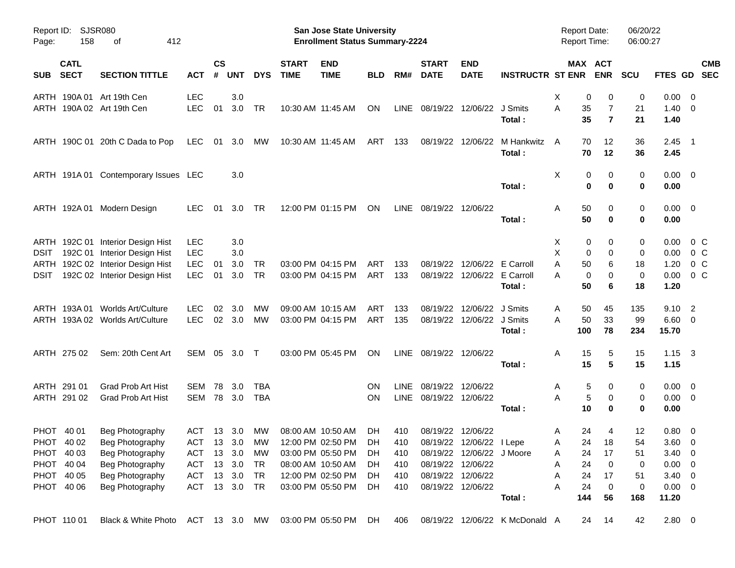| Report ID:<br>Page: | 158                        | <b>SJSR080</b><br>412<br>οf          |               |                    |            |               |                             | <b>San Jose State University</b><br><b>Enrollment Status Summary-2224</b> |            |      |                             |                                |                                | Report Date:<br><b>Report Time:</b> |                                   | 06/20/22<br>06:00:27 |                        |                           |
|---------------------|----------------------------|--------------------------------------|---------------|--------------------|------------|---------------|-----------------------------|---------------------------------------------------------------------------|------------|------|-----------------------------|--------------------------------|--------------------------------|-------------------------------------|-----------------------------------|----------------------|------------------------|---------------------------|
| <b>SUB</b>          | <b>CATL</b><br><b>SECT</b> | <b>SECTION TITTLE</b>                | <b>ACT</b>    | $\mathsf{cs}$<br># | <b>UNT</b> | <b>DYS</b>    | <b>START</b><br><b>TIME</b> | <b>END</b><br><b>TIME</b>                                                 | <b>BLD</b> | RM#  | <b>START</b><br><b>DATE</b> | <b>END</b><br><b>DATE</b>      | <b>INSTRUCTR ST ENR</b>        |                                     | MAX ACT<br><b>ENR</b>             | <b>SCU</b>           |                        | <b>CMB</b><br>FTES GD SEC |
|                     |                            | ARTH 190A 01 Art 19th Cen            | LEC           |                    | 3.0        |               |                             |                                                                           |            |      |                             |                                |                                | X                                   | 0<br>0                            | 0                    | $0.00 \t 0$            |                           |
|                     |                            | ARTH 190A 02 Art 19th Cen            | <b>LEC</b>    | 01                 | 3.0        | TR            |                             | 10:30 AM 11:45 AM                                                         | ON         |      |                             | LINE 08/19/22 12/06/22 J Smits | Total :                        | A<br>35<br>35                       | $\overline{7}$<br>$\overline{7}$  | 21<br>21             | $1.40 \ 0$<br>1.40     |                           |
|                     |                            | ARTH 190C 01 20th C Dada to Pop      | LEC           |                    | 01 3.0     | МW            |                             | 10:30 AM 11:45 AM                                                         | ART        | 133  |                             | 08/19/22 12/06/22              | M Hankwitz<br>Total:           | A<br>70<br>70                       | 12<br>12                          | 36<br>36             | $2.45$ 1<br>2.45       |                           |
|                     |                            | ARTH 191A 01 Contemporary Issues LEC |               |                    | 3.0        |               |                             |                                                                           |            |      |                             |                                | Total:                         | Χ                                   | 0<br>0<br>$\bf{0}$<br>$\mathbf 0$ | 0<br>0               | $0.00 \quad 0$<br>0.00 |                           |
|                     |                            | ARTH 192A 01 Modern Design           | LEC.          | 01                 | 3.0        | TR            |                             | 12:00 PM 01:15 PM                                                         | <b>ON</b>  |      | LINE 08/19/22 12/06/22      |                                | Total:                         | 50<br>Α<br>50                       | 0<br>0                            | 0<br>0               | $0.00 \quad 0$<br>0.00 |                           |
|                     |                            | ARTH 192C 01 Interior Design Hist    | <b>LEC</b>    |                    | 3.0        |               |                             |                                                                           |            |      |                             |                                |                                | X                                   | 0<br>0                            | 0                    | 0.00                   | 0 C                       |
| <b>DSIT</b>         |                            | 192C 01 Interior Design Hist         | <b>LEC</b>    |                    | 3.0        |               |                             |                                                                           |            |      |                             |                                |                                | X                                   | 0<br>0                            | 0                    | 0.00                   | 0 <sup>o</sup>            |
|                     |                            | ARTH 192C 02 Interior Design Hist    | LEC           | 01                 | 3.0        | TR            |                             | 03:00 PM 04:15 PM                                                         | ART        | 133  |                             | 08/19/22 12/06/22 E Carroll    |                                | A<br>50                             | 6                                 | 18                   | 1.20                   | 0 <sup>o</sup>            |
| DSIT                |                            | 192C 02 Interior Design Hist         | <b>LEC</b>    | 01                 | 3.0        | TR            |                             | 03:00 PM 04:15 PM                                                         | ART        | 133  |                             | 08/19/22 12/06/22 E Carroll    |                                | Α                                   | 0<br>0                            | $\mathbf 0$          | 0.00                   | 0 <sup>o</sup>            |
|                     |                            |                                      |               |                    |            |               |                             |                                                                           |            |      |                             |                                | Total:                         | 50                                  | 6                                 | 18                   | 1.20                   |                           |
|                     |                            | ARTH 193A 01 Worlds Art/Culture      | <b>LEC</b>    | 02                 | 3.0        | МW            |                             | 09:00 AM 10:15 AM                                                         | ART        | 133  | 08/19/22                    | 12/06/22 J Smits               |                                | 50<br>Α                             | 45                                | 135                  | $9.10 \quad 2$         |                           |
|                     |                            | ARTH 193A 02 Worlds Art/Culture      | <b>LEC</b>    |                    | 02 3.0     | MW            |                             | 03:00 PM 04:15 PM                                                         | ART        | 135  |                             | 08/19/22 12/06/22 J Smits      |                                | 50<br>Α                             | 33                                | 99                   | $6.60$ 0               |                           |
|                     |                            |                                      |               |                    |            |               |                             |                                                                           |            |      |                             |                                | Total:                         | 100                                 | 78                                | 234                  | 15.70                  |                           |
|                     | ARTH 275 02                | Sem: 20th Cent Art                   | SEM 05 3.0 T  |                    |            |               |                             | 03:00 PM 05:45 PM                                                         | ON         |      | LINE 08/19/22 12/06/22      |                                |                                | 15<br>Α                             | 5                                 | 15                   | $1.15 \quad 3$         |                           |
|                     |                            |                                      |               |                    |            |               |                             |                                                                           |            |      |                             |                                | Total:                         | 15                                  | 5                                 | 15                   | 1.15                   |                           |
|                     | ARTH 291 01                | <b>Grad Prob Art Hist</b>            | SEM           | 78                 | 3.0        | <b>TBA</b>    |                             |                                                                           | <b>ON</b>  | LINE | 08/19/22 12/06/22           |                                |                                | Α                                   | 5<br>0                            | 0                    | $0.00 \quad 0$         |                           |
|                     | ARTH 291 02                | <b>Grad Prob Art Hist</b>            | SEM 78        |                    | 3.0        | <b>TBA</b>    |                             |                                                                           | <b>ON</b>  |      | LINE 08/19/22 12/06/22      |                                |                                | A                                   | 5<br>0                            | 0                    | $0.00 \quad 0$         |                           |
|                     |                            |                                      |               |                    |            |               |                             |                                                                           |            |      |                             |                                | Total:                         | 10                                  | 0                                 | 0                    | 0.00                   |                           |
|                     | PHOT 40 01                 | Beg Photography                      | ACT 13 3.0    |                    |            | <b>MW</b>     | 08:00 AM 10:50 AM           |                                                                           | DH.        | 410  |                             | 08/19/22 12/06/22              |                                | 24<br>A                             | 4                                 | 12                   | $0.80 \ 0$             |                           |
|                     | PHOT 40 02                 | Beg Photography                      |               |                    |            | ACT 13 3.0 MW | 12:00 PM 02:50 PM           |                                                                           | DH         | 410  |                             | 08/19/22 12/06/22 I Lepe       |                                | Α                                   | 24 18                             | 54                   | 3.60 0                 |                           |
|                     | PHOT 40 03                 | Beg Photography                      | ACT           | 13                 | 3.0        | МW            |                             | 03:00 PM 05:50 PM                                                         | <b>DH</b>  | 410  |                             | 08/19/22 12/06/22 J Moore      |                                | 24<br>Α                             | 17                                | 51                   | $3.40 \ 0$             |                           |
|                     | PHOT 40 04                 | Beg Photography                      | ACT           |                    | 13 3.0     | TR            |                             | 08:00 AM 10:50 AM                                                         | DH.        | 410  |                             | 08/19/22 12/06/22              |                                | 24<br>Α                             | 0                                 | 0                    | $0.00 \t 0$            |                           |
|                     | PHOT 40 05                 | Beg Photography                      | ACT           |                    | 13 3.0     | <b>TR</b>     |                             | 12:00 PM 02:50 PM                                                         | DH.        | 410  |                             | 08/19/22 12/06/22              |                                | 24<br>Α                             | 17                                | 51                   | $3.40 \ 0$             |                           |
|                     | PHOT 40 06                 | Beg Photography                      | ACT 13 3.0 TR |                    |            |               |                             | 03:00 PM 05:50 PM                                                         | DH.        | 410  |                             | 08/19/22 12/06/22              |                                | 24<br>A                             | 0                                 | 0                    | $0.00 \t 0$            |                           |
|                     |                            |                                      |               |                    |            |               |                             |                                                                           |            |      |                             |                                | Total:                         | 144                                 | 56                                | 168                  | 11.20                  |                           |
|                     | PHOT 110 01                | Black & White Photo                  | ACT 13 3.0 MW |                    |            |               |                             | 03:00 PM 05:50 PM                                                         | DH.        | 406  |                             |                                | 08/19/22 12/06/22 K McDonald A | 24                                  | 14                                | 42                   | 2.80 0                 |                           |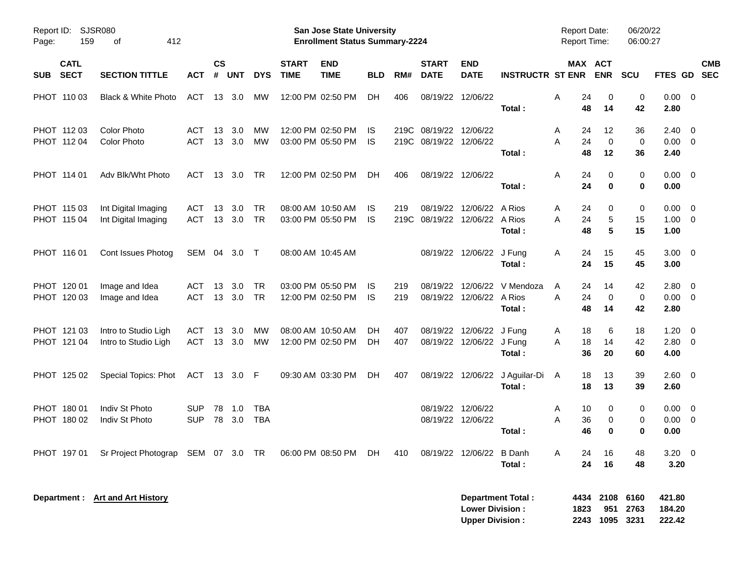| SJSR080<br>Report ID:<br>159<br>412<br>Page:<br>оf<br><b>CATL</b><br><b>SECT</b><br><b>SECTION TITTLE</b> |                                                         |                          |                    |               |                   |                             | <b>San Jose State University</b><br><b>Enrollment Status Summary-2224</b> |            |             |                                         |                                                  |                                          | <b>Report Date:</b><br><b>Report Time:</b> |                                         | 06/20/22<br>06:00:27 |                                    |                         |
|-----------------------------------------------------------------------------------------------------------|---------------------------------------------------------|--------------------------|--------------------|---------------|-------------------|-----------------------------|---------------------------------------------------------------------------|------------|-------------|-----------------------------------------|--------------------------------------------------|------------------------------------------|--------------------------------------------|-----------------------------------------|----------------------|------------------------------------|-------------------------|
| <b>SUB</b>                                                                                                |                                                         | <b>ACT</b>               | $\mathsf{cs}$<br># | <b>UNT</b>    | <b>DYS</b>        | <b>START</b><br><b>TIME</b> | <b>END</b><br><b>TIME</b>                                                 | <b>BLD</b> | RM#         | <b>START</b><br><b>DATE</b>             | <b>END</b><br><b>DATE</b>                        | <b>INSTRUCTR ST ENR</b>                  |                                            | MAX ACT<br><b>ENR</b>                   | <b>SCU</b>           | FTES GD SEC                        | <b>CMB</b>              |
| PHOT 110 03                                                                                               | Black & White Photo                                     | ACT                      | 13                 | 3.0           | МW                |                             | 12:00 PM 02:50 PM                                                         | DH         | 406         |                                         | 08/19/22 12/06/22                                | Total:                                   | 24<br>Α<br>48                              | 0<br>14                                 | 0<br>42              | $0.00 \t 0$<br>2.80                |                         |
| PHOT 112 03<br>PHOT 112 04                                                                                | <b>Color Photo</b><br><b>Color Photo</b>                | ACT<br><b>ACT</b>        | 13<br>13           | 3.0<br>3.0    | МW<br>MW          |                             | 12:00 PM 02:50 PM<br>03:00 PM 05:50 PM                                    | IS.<br>IS. |             | 219C 08/19/22<br>219C 08/19/22 12/06/22 | 12/06/22                                         | Total:                                   | 24<br>A<br>24<br>A<br>48                   | 12<br>$\mathbf 0$<br>12                 | 36<br>0<br>36        | 2.40<br>$0.00 \t 0$<br>2.40        | $\overline{\mathbf{0}}$ |
| PHOT 114 01                                                                                               | Adv Blk/Wht Photo                                       | <b>ACT</b>               | 13                 | 3.0           | TR                |                             | 12:00 PM 02:50 PM                                                         | DH         | 406         |                                         | 08/19/22 12/06/22                                | Total:                                   | 24<br>Α<br>24                              | 0<br>0                                  | 0<br>0               | $0.00 \t 0$<br>0.00                |                         |
| PHOT 115 03<br>PHOT 115 04                                                                                | Int Digital Imaging<br>Int Digital Imaging              | <b>ACT</b><br><b>ACT</b> | 13<br>13           | 3.0<br>3.0    | TR<br><b>TR</b>   |                             | 08:00 AM 10:50 AM<br>03:00 PM 05:50 PM                                    | IS.<br>IS  | 219<br>219C | 08/19/22                                | 12/06/22 A Rios<br>08/19/22 12/06/22 A Rios      | Total:                                   | 24<br>A<br>24<br>Α<br>48                   | 0<br>5<br>5                             | 0<br>15<br>15        | $0.00 \ 0$<br>$1.00 \t 0$<br>1.00  |                         |
| PHOT 116 01                                                                                               | Cont Issues Photog                                      | SEM 04 3.0 T             |                    |               |                   |                             | 08:00 AM 10:45 AM                                                         |            |             |                                         | 08/19/22 12/06/22 J Fung                         | Total:                                   | 24<br>A<br>24                              | 15<br>15                                | 45<br>45             | $3.00 \ 0$<br>3.00                 |                         |
| PHOT 120 01<br>PHOT 120 03                                                                                | Image and Idea<br>Image and Idea                        | <b>ACT</b><br><b>ACT</b> | 13<br>13           | 3.0<br>3.0    | TR<br><b>TR</b>   |                             | 03:00 PM 05:50 PM<br>12:00 PM 02:50 PM                                    | IS.<br>IS. | 219<br>219  | 08/19/22                                | 08/19/22 12/06/22 A Rios                         | 12/06/22 V Mendoza<br>Total:             | 24<br>Α<br>A<br>24<br>48                   | 14<br>0<br>14                           | 42<br>0<br>42        | $2.80 \ 0$<br>$0.00 \t 0$<br>2.80  |                         |
| PHOT 121 03<br>PHOT 121 04                                                                                | Intro to Studio Ligh<br>Intro to Studio Ligh            | <b>ACT</b><br><b>ACT</b> | 13                 | 3.0<br>13 3.0 | МW<br>MW          |                             | 08:00 AM 10:50 AM<br>12:00 PM 02:50 PM                                    | DH<br>DН   | 407<br>407  | 08/19/22                                | 12/06/22 J Fung<br>08/19/22 12/06/22 J Fung      | Total:                                   | 18<br>A<br>18<br>A<br>36                   | 6<br>14<br>20                           | 18<br>42<br>60       | $1.20 \t 0$<br>$2.80 \ 0$<br>4.00  |                         |
| PHOT 125 02                                                                                               | Special Topics: Phot                                    | ACT 13 3.0 F             |                    |               |                   |                             | 09:30 AM 03:30 PM                                                         | DH         | 407         |                                         |                                                  | 08/19/22 12/06/22 J Aguilar-Di<br>Total: | 18<br>A<br>18                              | 13<br>13                                | 39<br>39             | $2.60 \t 0$<br>2.60                |                         |
| PHOT 180 01<br>PHOT 180 02                                                                                | Indiv St Photo<br>Indiv St Photo                        | <b>SUP</b><br><b>SUP</b> | 78<br>78           | 1.0<br>3.0    | TBA<br><b>TBA</b> |                             |                                                                           |            |             |                                         | 08/19/22 12/06/22<br>08/19/22 12/06/22           | Total:                                   | 10<br>Α<br>36<br>Α<br>46                   | 0<br>0<br>0                             | 0<br>0<br>0          | $0.00 \t 0$<br>$0.00 \t 0$<br>0.00 |                         |
| PHOT 19701                                                                                                | Sr Project Photograp SEM 07 3.0 TR 06:00 PM 08:50 PM DH |                          |                    |               |                   |                             |                                                                           |            | 410         |                                         | 08/19/22 12/06/22 B Danh                         | Total:                                   | 24<br>Α<br>24                              | 16<br>16                                | 48<br>48             | $3.20 \ 0$<br>3.20                 |                         |
|                                                                                                           | Department : Art and Art History                        |                          |                    |               |                   |                             |                                                                           |            |             |                                         | <b>Lower Division:</b><br><b>Upper Division:</b> | <b>Department Total:</b>                 | 1823                                       | 4434 2108 6160<br>951<br>2243 1095 3231 | 2763                 | 421.80<br>184.20<br>222.42         |                         |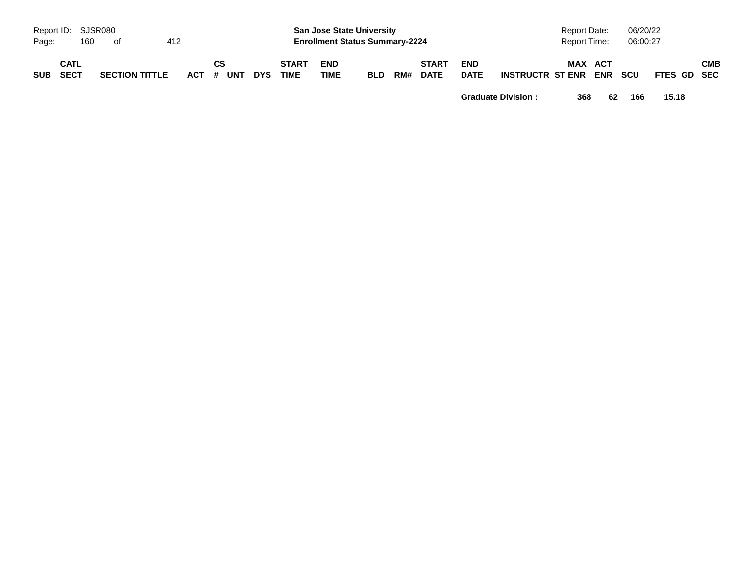| Page:      | Report ID: SJSR080<br>160 | of                    | 412 |                        |            |                             | <b>San Jose State University</b><br><b>Enrollment Status Summary-2224</b> |            |     |                             |                           |                  | <b>Report Date:</b><br>Report Time: |                | 06/20/22<br>06:00:27 |             |     |
|------------|---------------------------|-----------------------|-----|------------------------|------------|-----------------------------|---------------------------------------------------------------------------|------------|-----|-----------------------------|---------------------------|------------------|-------------------------------------|----------------|----------------------|-------------|-----|
| <b>SUB</b> | <b>CATL</b><br>SECT       | <b>SECTION TITTLE</b> |     | <b>CS</b><br>ACT # UNT | <b>DYS</b> | <b>START</b><br><b>TIME</b> | <b>END</b><br><b>TIME</b>                                                 | <b>BLD</b> | RM# | <b>START</b><br><b>DATE</b> | <b>END</b><br><b>DATE</b> | INSTRUCTR ST ENR |                                     | MAX ACT<br>ENR | <b>SCU</b>           | FTES GD SEC | СМВ |

**Graduate Division : 368 62 166 15.18**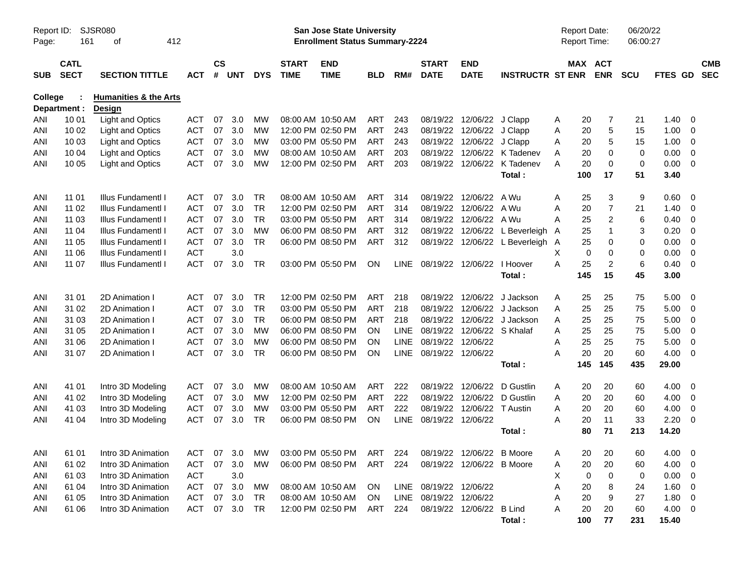| Report ID:<br>Page: | 161                        | SJSR080<br>412<br>οf                              |            |                    |            |            |                             | San Jose State University<br><b>Enrollment Status Summary-2224</b> |            |             |                                 |                            |                                | <b>Report Date:</b><br>Report Time: |                       | 06/20/22<br>06:00:27 |                |                          |                          |
|---------------------|----------------------------|---------------------------------------------------|------------|--------------------|------------|------------|-----------------------------|--------------------------------------------------------------------|------------|-------------|---------------------------------|----------------------------|--------------------------------|-------------------------------------|-----------------------|----------------------|----------------|--------------------------|--------------------------|
| <b>SUB</b>          | <b>CATL</b><br><b>SECT</b> | <b>SECTION TITTLE</b>                             | <b>ACT</b> | $\mathsf{cs}$<br># | <b>UNT</b> | <b>DYS</b> | <b>START</b><br><b>TIME</b> | <b>END</b><br><b>TIME</b>                                          | <b>BLD</b> | RM#         | <b>START</b><br><b>DATE</b>     | <b>END</b><br><b>DATE</b>  | <b>INSTRUCTR ST ENR</b>        |                                     | MAX ACT<br><b>ENR</b> | <b>SCU</b>           | <b>FTES GD</b> |                          | <b>CMB</b><br><b>SEC</b> |
| College             | Department :               | <b>Humanities &amp; the Arts</b><br><b>Design</b> |            |                    |            |            |                             |                                                                    |            |             |                                 |                            |                                |                                     |                       |                      |                |                          |                          |
| ANI                 | 10 01                      | <b>Light and Optics</b>                           | <b>ACT</b> | 07                 | 3.0        | MW         |                             | 08:00 AM 10:50 AM                                                  | ART        | 243         |                                 | 08/19/22 12/06/22 J Clapp  |                                | A                                   | 20                    | 7<br>21              | 1.40           | - 0                      |                          |
| ANI                 | 10 02                      | <b>Light and Optics</b>                           | <b>ACT</b> | 07                 | 3.0        | МW         |                             | 12:00 PM 02:50 PM                                                  | <b>ART</b> | 243         |                                 | 08/19/22 12/06/22 J Clapp  |                                | Α                                   | 20                    | 5<br>15              | 1.00           | - 0                      |                          |
| ANI                 | 10 03                      | <b>Light and Optics</b>                           | <b>ACT</b> | 07                 | 3.0        | МW         |                             | 03:00 PM 05:50 PM                                                  | <b>ART</b> | 243         |                                 | 08/19/22 12/06/22          | J Clapp                        | A                                   | 20                    | 5<br>15              | 1.00           | $\overline{0}$           |                          |
| ANI                 | 10 04                      | <b>Light and Optics</b>                           | <b>ACT</b> | 07                 | 3.0        | МW         |                             | 08:00 AM 10:50 AM                                                  | <b>ART</b> | 203         |                                 |                            | 08/19/22 12/06/22 K Tadenev    | Α                                   | 20                    | 0<br>0               | 0.00           | $\overline{0}$           |                          |
| ANI                 | 10 05                      | <b>Light and Optics</b>                           | <b>ACT</b> | 07                 | 3.0        | MW         |                             | 12:00 PM 02:50 PM                                                  | ART        | 203         |                                 |                            | 08/19/22 12/06/22 K Tadenev    | A                                   | 20                    | 0<br>0               | 0.00           | 0                        |                          |
|                     |                            |                                                   |            |                    |            |            |                             |                                                                    |            |             |                                 |                            | Total:                         | 100                                 | 17                    | 51                   | 3.40           |                          |                          |
| ANI                 | 11 01                      | Illus Fundamentl I                                | <b>ACT</b> | 07                 | 3.0        | <b>TR</b>  |                             | 08:00 AM 10:50 AM                                                  | <b>ART</b> | 314         |                                 | 08/19/22 12/06/22          | A Wu                           | A                                   | 25                    | 3<br>9               | 0.60           | - 0                      |                          |
| ANI                 | 11 02                      | Illus Fundamentl I                                | <b>ACT</b> | 07                 | 3.0        | <b>TR</b>  |                             | 12:00 PM 02:50 PM                                                  | <b>ART</b> | 314         |                                 | 08/19/22 12/06/22          | A Wu                           | A                                   | 20                    | $\overline{7}$<br>21 | 1.40           | - 0                      |                          |
| ANI                 | 11 03                      | <b>Illus FundamentI I</b>                         | <b>ACT</b> | 07                 | 3.0        | <b>TR</b>  |                             | 03:00 PM 05:50 PM                                                  | <b>ART</b> | 314         |                                 | 08/19/22 12/06/22 A Wu     |                                | A                                   | 25                    | $\overline{c}$<br>6  | 0.40           | - 0                      |                          |
| ANI                 | 11 04                      | <b>Illus FundamentI I</b>                         | <b>ACT</b> | 07                 | 3.0        | <b>MW</b>  |                             | 06:00 PM 08:50 PM                                                  | <b>ART</b> | 312         |                                 |                            | 08/19/22 12/06/22 L Beverleigh | A                                   | 25                    | $\mathbf{1}$<br>3    | 0.20           | 0                        |                          |
| ANI                 | 11 05                      | Illus Fundamentl I                                | <b>ACT</b> | 07                 | 3.0        | <b>TR</b>  |                             | 06:00 PM 08:50 PM                                                  | <b>ART</b> | 312         |                                 |                            | 08/19/22 12/06/22 L Beverleigh | A                                   | 25                    | 0<br>0               | 0.00           | $\overline{\mathbf{0}}$  |                          |
| ANI                 | 11 06                      | Illus Fundamentl I                                | <b>ACT</b> |                    | 3.0        |            |                             |                                                                    |            |             |                                 |                            |                                | X                                   | 0                     | 0<br>0               | 0.00           | $\overline{0}$           |                          |
| ANI                 | 11 07                      | Illus Fundamentl I                                | <b>ACT</b> | 07                 | 3.0        | <b>TR</b>  |                             | 03:00 PM 05:50 PM                                                  | <b>ON</b>  |             | LINE 08/19/22 12/06/22 I Hoover |                            |                                | A                                   | 25                    | $\overline{2}$<br>6  | 0.40           | 0                        |                          |
|                     |                            |                                                   |            |                    |            |            |                             |                                                                    |            |             |                                 |                            | Total:                         | 145                                 | 15                    | 45                   | 3.00           |                          |                          |
| ANI                 | 31 01                      | 2D Animation I                                    | <b>ACT</b> | 07                 | 3.0        | <b>TR</b>  |                             | 12:00 PM 02:50 PM                                                  | <b>ART</b> | 218         |                                 | 08/19/22 12/06/22          | J Jackson                      | A                                   | 25<br>25              | 75                   | 5.00           | - 0                      |                          |
| ANI                 | 31 02                      | 2D Animation I                                    | <b>ACT</b> | 07                 | 3.0        | <b>TR</b>  |                             | 03:00 PM 05:50 PM                                                  | <b>ART</b> | 218         |                                 | 08/19/22 12/06/22          | J Jackson                      | Α                                   | 25<br>25              | 75                   | 5.00           | $\overline{0}$           |                          |
| ANI                 | 31 03                      | 2D Animation I                                    | <b>ACT</b> | 07                 | 3.0        | <b>TR</b>  |                             | 06:00 PM 08:50 PM                                                  | <b>ART</b> | 218         |                                 | 08/19/22 12/06/22          | J Jackson                      | Α                                   | 25<br>25              | 75                   | 5.00           | - 0                      |                          |
| ANI                 | 31 05                      | 2D Animation I                                    | <b>ACT</b> | 07                 | 3.0        | <b>MW</b>  |                             | 06:00 PM 08:50 PM                                                  | ON         | <b>LINE</b> |                                 | 08/19/22 12/06/22 S Khalaf |                                | A                                   | 25<br>25              | 75                   | 5.00           | $\overline{\mathbf{0}}$  |                          |
| ANI                 | 31 06                      | 2D Animation I                                    | <b>ACT</b> | 07                 | 3.0        | МW         |                             | 06:00 PM 08:50 PM                                                  | <b>ON</b>  | <b>LINE</b> | 08/19/22 12/06/22               |                            |                                | A                                   | 25<br>25              | 75                   | 5.00           | $\overline{\mathbf{0}}$  |                          |
| ANI                 | 31 07                      | 2D Animation I                                    | <b>ACT</b> | 07                 | 3.0        | <b>TR</b>  |                             | 06:00 PM 08:50 PM                                                  | ON         | LINE        | 08/19/22 12/06/22               |                            |                                | А                                   | 20<br>20              | 60                   | 4.00           | 0                        |                          |
|                     |                            |                                                   |            |                    |            |            |                             |                                                                    |            |             |                                 |                            | Total:                         | 145                                 | 145                   | 435                  | 29.00          |                          |                          |
| ANI                 | 41 01                      | Intro 3D Modeling                                 | ACT        | 07                 | 3.0        | MW         |                             | 08:00 AM 10:50 AM                                                  | <b>ART</b> | 222         | 08/19/22                        | 12/06/22                   | D Gustlin                      | A                                   | 20<br>20              | 60                   | 4.00           | - 0                      |                          |
| ANI                 | 41 02                      | Intro 3D Modeling                                 | <b>ACT</b> | 07                 | 3.0        | MW         |                             | 12:00 PM 02:50 PM                                                  | <b>ART</b> | 222         |                                 | 08/19/22 12/06/22          | D Gustlin                      | Α                                   | 20<br>20              | 60                   | 4.00           | $\overline{0}$           |                          |
| ANI                 | 41 03                      | Intro 3D Modeling                                 | <b>ACT</b> | 07                 | 3.0        | MW         |                             | 03:00 PM 05:50 PM                                                  | ART        | 222         |                                 | 08/19/22 12/06/22          | T Austin                       | A                                   | 20<br>20              | 60                   | 4.00           | $\overline{0}$           |                          |
| ANI                 | 41 04                      | Intro 3D Modeling                                 | <b>ACT</b> | 07                 | 3.0        | TR         |                             | 06:00 PM 08:50 PM                                                  | ON         | <b>LINE</b> | 08/19/22 12/06/22               |                            |                                | Α                                   | 20<br>11              | 33                   | 2.20           | 0                        |                          |
|                     |                            |                                                   |            |                    |            |            |                             |                                                                    |            |             |                                 |                            | Total:                         |                                     | 80<br>71              | 213                  | 14.20          |                          |                          |
| ANI                 | 61 01                      | Intro 3D Animation                                | <b>ACT</b> | 07                 | 3.0        | МW         |                             | 03:00 PM 05:50 PM                                                  | ART        | 224         |                                 | 08/19/22 12/06/22 B Moore  |                                | A                                   | 20<br>20              | 60                   | 4.00 0         |                          |                          |
| ANI                 | 61 02                      | Intro 3D Animation                                | <b>ACT</b> | 07                 | 3.0        | МW         |                             | 06:00 PM 08:50 PM                                                  | <b>ART</b> | 224         |                                 | 08/19/22 12/06/22 B Moore  |                                | A                                   | 20<br>20              | 60                   | 4.00 0         |                          |                          |
| ANI                 | 61 03                      | Intro 3D Animation                                | <b>ACT</b> |                    | 3.0        |            |                             |                                                                    |            |             |                                 |                            |                                | Х                                   | 0                     | 0<br>0               | $0.00 \t 0$    |                          |                          |
| ANI                 | 61 04                      | Intro 3D Animation                                | <b>ACT</b> | 07                 | 3.0        | МW         |                             | 08:00 AM 10:50 AM                                                  | ON         |             | LINE 08/19/22 12/06/22          |                            |                                | A                                   | 20                    | 8<br>24              | 1.60           | $\overline{\phantom{0}}$ |                          |
| ANI                 | 61 05                      | Intro 3D Animation                                | <b>ACT</b> | 07                 | 3.0        | TR         |                             | 08:00 AM 10:50 AM                                                  | <b>ON</b>  |             | LINE 08/19/22 12/06/22          |                            |                                | Α                                   | 20                    | 9<br>27              | 1.80 0         |                          |                          |
| ANI                 | 61 06                      | Intro 3D Animation                                | <b>ACT</b> | 07                 | 3.0        | TR         |                             | 12:00 PM 02:50 PM                                                  | ART        | 224         |                                 | 08/19/22 12/06/22 B Lind   |                                | A                                   | 20<br>20              | 60                   | $4.00 \t 0$    |                          |                          |
|                     |                            |                                                   |            |                    |            |            |                             |                                                                    |            |             |                                 |                            | Total:                         | 100                                 | 77                    | 231                  | 15.40          |                          |                          |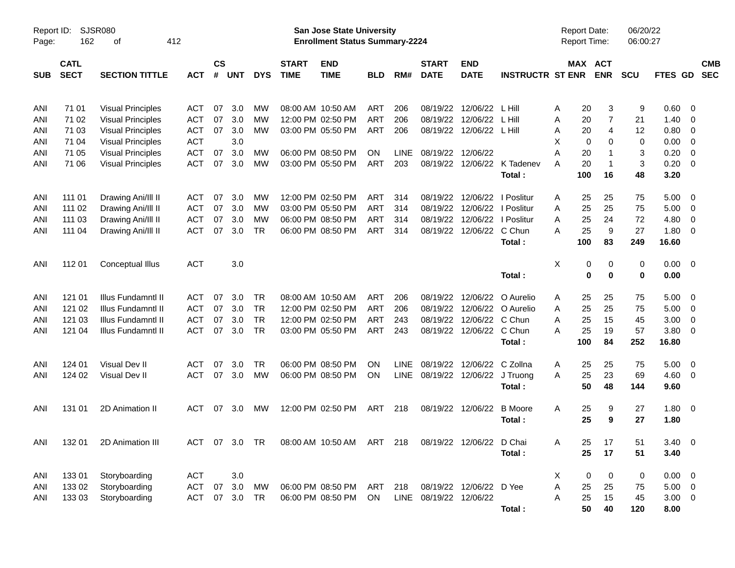| Report ID:<br>Page: | 162                        | <b>SJSR080</b><br>412<br>οf |            |                    |            |            |                             | <b>San Jose State University</b><br><b>Enrollment Status Summary-2224</b> |            |             |                             |                           |                         | <b>Report Date:</b><br>Report Time: |                       | 06/20/22<br>06:00:27 |             |                |            |
|---------------------|----------------------------|-----------------------------|------------|--------------------|------------|------------|-----------------------------|---------------------------------------------------------------------------|------------|-------------|-----------------------------|---------------------------|-------------------------|-------------------------------------|-----------------------|----------------------|-------------|----------------|------------|
| <b>SUB</b>          | <b>CATL</b><br><b>SECT</b> | <b>SECTION TITTLE</b>       | <b>ACT</b> | $\mathsf{cs}$<br># | <b>UNT</b> | <b>DYS</b> | <b>START</b><br><b>TIME</b> | <b>END</b><br><b>TIME</b>                                                 | <b>BLD</b> | RM#         | <b>START</b><br><b>DATE</b> | <b>END</b><br><b>DATE</b> | <b>INSTRUCTR ST ENR</b> |                                     | MAX ACT<br><b>ENR</b> | <b>SCU</b>           | FTES GD SEC |                | <b>CMB</b> |
| ANI                 | 71 01                      | <b>Visual Principles</b>    | <b>ACT</b> | 07                 | 3.0        | МW         |                             | 08:00 AM 10:50 AM                                                         | <b>ART</b> | 206         | 08/19/22                    | 12/06/22                  | L Hill                  | Α                                   | 20<br>3               | 9                    | 0.60        | 0              |            |
| ANI                 | 71 02                      | <b>Visual Principles</b>    | <b>ACT</b> | 07                 | 3.0        | МW         |                             | 12:00 PM 02:50 PM                                                         | <b>ART</b> | 206         | 08/19/22                    | 12/06/22                  | L Hill                  | Α                                   | 20<br>7               | 21                   | 1.40        | 0              |            |
| ANI                 | 71 03                      | <b>Visual Principles</b>    | <b>ACT</b> | 07                 | 3.0        | <b>MW</b>  |                             | 03:00 PM 05:50 PM                                                         | ART        | 206         | 08/19/22                    | 12/06/22                  | L Hill                  | Α                                   | 20<br>4               | 12                   | 0.80        | 0              |            |
| ANI                 | 71 04                      | <b>Visual Principles</b>    | <b>ACT</b> |                    | 3.0        |            |                             |                                                                           |            |             |                             |                           |                         | х                                   | 0<br>0                | 0                    | 0.00        | 0              |            |
| ANI                 | 71 05                      | <b>Visual Principles</b>    | <b>ACT</b> | 07                 | 3.0        | МW         |                             | 06:00 PM 08:50 PM                                                         | ON         | <b>LINE</b> | 08/19/22                    | 12/06/22                  |                         | A                                   | 20<br>-1              | 3                    | 0.20        | 0              |            |
| ANI                 | 71 06                      | <b>Visual Principles</b>    | <b>ACT</b> | 07                 | 3.0        | МW         |                             | 03:00 PM 05:50 PM                                                         | ART        | 203         | 08/19/22                    |                           | 12/06/22 K Tadenev      | A                                   | 20<br>$\mathbf{1}$    | $\mathbf{3}$         | 0.20        | 0              |            |
|                     |                            |                             |            |                    |            |            |                             |                                                                           |            |             |                             |                           | Total:                  | 100                                 | 16                    | 48                   | 3.20        |                |            |
| ANI                 | 111 01                     | Drawing Ani/III II          | ACT        | 07                 | 3.0        | МW         |                             | 12:00 PM 02:50 PM                                                         | ART        | 314         | 08/19/22                    | 12/06/22                  | I Poslitur              | Α                                   | 25<br>25              | 75                   | 5.00        | 0              |            |
| ANI                 | 111 02                     | Drawing Ani/III II          | <b>ACT</b> | 07                 | 3.0        | МW         |                             | 03:00 PM 05:50 PM                                                         | <b>ART</b> | 314         | 08/19/22                    | 12/06/22                  | I Poslitur              | Α                                   | 25<br>25              | 75                   | 5.00        | 0              |            |
| ANI                 | 111 03                     | Drawing Ani/III II          | <b>ACT</b> | 07                 | 3.0        | МW         |                             | 06:00 PM 08:50 PM                                                         | <b>ART</b> | 314         | 08/19/22                    | 12/06/22                  | I Poslitur              | Α                                   | 25<br>24              | 72                   | 4.80        | 0              |            |
| ANI                 | 111 04                     | Drawing Ani/III II          | <b>ACT</b> | 07                 | 3.0        | <b>TR</b>  |                             | 06:00 PM 08:50 PM                                                         | <b>ART</b> | 314         | 08/19/22                    | 12/06/22                  | C Chun                  | Α                                   | 9<br>25               | 27                   | 1.80        | 0              |            |
|                     |                            |                             |            |                    |            |            |                             |                                                                           |            |             |                             |                           | Total:                  | 100                                 | 83                    | 249                  | 16.60       |                |            |
| ANI                 | 112 01                     | Conceptual Illus            | <b>ACT</b> |                    | 3.0        |            |                             |                                                                           |            |             |                             |                           |                         | X                                   | 0<br>0                | 0                    | 0.00        | $\overline{0}$ |            |
|                     |                            |                             |            |                    |            |            |                             |                                                                           |            |             |                             |                           | Total:                  |                                     | $\bf{0}$<br>$\bf{0}$  | $\mathbf 0$          | 0.00        |                |            |
| ANI                 | 121 01                     | Illus Fundamntl II          | <b>ACT</b> | 07                 | 3.0        | TR         |                             | 08:00 AM 10:50 AM                                                         | ART        | 206         | 08/19/22                    | 12/06/22                  | O Aurelio               | A                                   | 25<br>25              | 75                   | 5.00        | $\overline{0}$ |            |
| ANI                 | 121 02                     | Illus Fundamntl II          | <b>ACT</b> | 07                 | 3.0        | TR         |                             | 12:00 PM 02:50 PM                                                         | <b>ART</b> | 206         | 08/19/22                    | 12/06/22                  | O Aurelio               | Α                                   | 25<br>25              | 75                   | 5.00        | 0              |            |
| ANI                 | 121 03                     | Illus Fundamntl II          | <b>ACT</b> | 07                 | 3.0        | <b>TR</b>  |                             | 12:00 PM 02:50 PM                                                         | <b>ART</b> | 243         | 08/19/22                    | 12/06/22                  | C Chun                  | 25<br>A                             | 15                    | 45                   | 3.00        | 0              |            |
| ANI                 | 121 04                     | Illus Fundamntl II          | <b>ACT</b> | 07                 | 3.0        | <b>TR</b>  |                             | 03:00 PM 05:50 PM                                                         | ART        | 243         | 08/19/22                    | 12/06/22 C Chun           |                         | 25<br>Α                             | 19                    | 57                   | 3.80        | 0              |            |
|                     |                            |                             |            |                    |            |            |                             |                                                                           |            |             |                             |                           | Total:                  | 100                                 | 84                    | 252                  | 16.80       |                |            |
| ANI                 | 124 01                     | Visual Dev II               | <b>ACT</b> | 07                 | 3.0        | <b>TR</b>  |                             | 06:00 PM 08:50 PM                                                         | ΟN         | <b>LINE</b> | 08/19/22                    | 12/06/22                  | C Zollna                | A                                   | 25<br>25              | 75                   | 5.00        | $\overline{0}$ |            |
| ANI                 | 124 02                     | Visual Dev II               | <b>ACT</b> | 07                 | 3.0        | <b>MW</b>  |                             | 06:00 PM 08:50 PM                                                         | ON         | LINE        | 08/19/22                    | 12/06/22                  | J Truong                | A                                   | 25<br>23              | 69                   | 4.60        | 0              |            |
|                     |                            |                             |            |                    |            |            |                             |                                                                           |            |             |                             |                           | Total:                  |                                     | 50<br>48              | 144                  | 9.60        |                |            |
| ANI                 | 131 01                     | 2D Animation II             | <b>ACT</b> | 07                 | 3.0        | МW         |                             | 12:00 PM 02:50 PM                                                         | <b>ART</b> | 218         | 08/19/22                    | 12/06/22                  | <b>B</b> Moore          | Α                                   | 25<br>9               | 27                   | 1.80        | $\overline{0}$ |            |
|                     |                            |                             |            |                    |            |            |                             |                                                                           |            |             |                             |                           | Total:                  |                                     | 25<br>9               | 27                   | 1.80        |                |            |
|                     |                            | ANI 132 01 2D Animation III |            |                    |            |            |                             | ACT 07 3.0 TR 08:00 AM 10:50 AM ART 218 08/19/22 12/06/22 D Chai          |            |             |                             |                           |                         | Α                                   | 25<br>17              | 51                   | $3.40 \ 0$  |                |            |
|                     |                            |                             |            |                    |            |            |                             |                                                                           |            |             |                             |                           | Total:                  |                                     | 25<br>17              | 51                   | 3.40        |                |            |
| ANI                 | 13301                      | Storyboarding               | <b>ACT</b> |                    | 3.0        |            |                             |                                                                           |            |             |                             |                           |                         | X                                   | 0<br>0                | 0                    | $0.00 \t 0$ |                |            |
| ANI                 | 133 02                     | Storyboarding               | <b>ACT</b> | 07                 | 3.0        | MW         |                             | 06:00 PM 08:50 PM                                                         | ART        | 218         |                             | 08/19/22 12/06/22 D Yee   |                         | A                                   | 25<br>25              | 75                   | $5.00 \t 0$ |                |            |
| ANI                 | 133 03                     | Storyboarding               | <b>ACT</b> |                    | 07 3.0     | TR         |                             | 06:00 PM 08:50 PM                                                         | ON         |             | LINE 08/19/22 12/06/22      |                           |                         | A                                   | 15<br>25              | 45                   | $3.00 \t 0$ |                |            |
|                     |                            |                             |            |                    |            |            |                             |                                                                           |            |             |                             |                           | Total:                  |                                     | 50<br>40              | 120                  | 8.00        |                |            |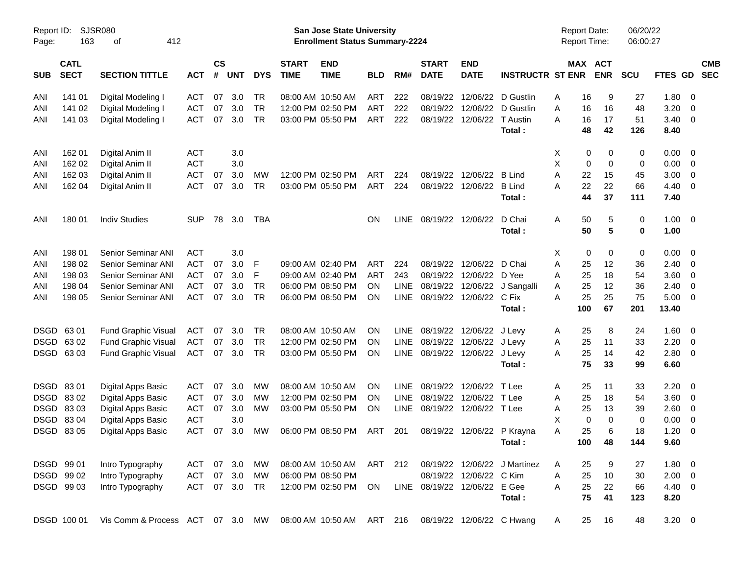| Report ID:<br>Page: | 163                        | SJSR080<br>412<br>оf                                       |               |                |            |            |                             | San Jose State University<br><b>Enrollment Status Summary-2224</b> |           |             |                             |                              |                              | <b>Report Date:</b><br><b>Report Time:</b> |                            | 06/20/22<br>06:00:27 |                |                          |                          |
|---------------------|----------------------------|------------------------------------------------------------|---------------|----------------|------------|------------|-----------------------------|--------------------------------------------------------------------|-----------|-------------|-----------------------------|------------------------------|------------------------------|--------------------------------------------|----------------------------|----------------------|----------------|--------------------------|--------------------------|
| <b>SUB</b>          | <b>CATL</b><br><b>SECT</b> | <b>SECTION TITTLE</b>                                      | <b>ACT</b>    | <b>CS</b><br># | <b>UNT</b> | <b>DYS</b> | <b>START</b><br><b>TIME</b> | <b>END</b><br><b>TIME</b>                                          | BLD       | RM#         | <b>START</b><br><b>DATE</b> | <b>END</b><br><b>DATE</b>    | <b>INSTRUCTR ST ENR</b>      |                                            | MAX ACT<br><b>ENR</b>      | <b>SCU</b>           | <b>FTES GD</b> |                          | <b>CMB</b><br><b>SEC</b> |
| ANI                 | 141 01                     | Digital Modeling I                                         | <b>ACT</b>    | 07             | 3.0        | TR         |                             | 08:00 AM 10:50 AM                                                  | ART       | 222         | 08/19/22                    | 12/06/22                     | D Gustlin                    | A                                          | 16<br>9                    | 27                   | 1.80           | $\overline{\mathbf{0}}$  |                          |
| ANI                 | 141 02                     | Digital Modeling I                                         | <b>ACT</b>    | 07             | 3.0        | <b>TR</b>  |                             | 12:00 PM 02:50 PM                                                  | ART       | 222         |                             | 08/19/22 12/06/22            | D Gustlin                    | Α                                          | 16<br>16                   | 48                   | 3.20           | - 0                      |                          |
| ANI                 | 141 03                     | Digital Modeling I                                         | <b>ACT</b>    | 07             | 3.0        | <b>TR</b>  |                             | 03:00 PM 05:50 PM                                                  | ART       | 222         |                             | 08/19/22 12/06/22            | T Austin                     | А                                          | 17<br>16                   | 51                   | 3.40           | $\overline{\mathbf{0}}$  |                          |
|                     |                            |                                                            |               |                |            |            |                             |                                                                    |           |             |                             |                              | Total:                       |                                            | 48<br>42                   | 126                  | 8.40           |                          |                          |
| ANI                 | 162 01                     | Digital Anim II                                            | <b>ACT</b>    |                | 3.0        |            |                             |                                                                    |           |             |                             |                              |                              | Х                                          | 0<br>0                     | 0                    | 0.00           | - 0                      |                          |
| ANI                 | 162 02                     | Digital Anim II                                            | <b>ACT</b>    |                | 3.0        |            |                             |                                                                    |           |             |                             |                              |                              | X                                          | 0<br>0                     | 0                    | 0.00           | $\overline{\mathbf{0}}$  |                          |
| ANI                 | 162 03                     | Digital Anim II                                            | <b>ACT</b>    | 07             | 3.0        | MW         |                             | 12:00 PM 02:50 PM                                                  | ART       | 224         |                             | 08/19/22 12/06/22            | <b>B</b> Lind                | 22<br>Α                                    | 15                         | 45                   | 3.00           | $\overline{\mathbf{0}}$  |                          |
| ANI                 | 162 04                     | Digital Anim II                                            | <b>ACT</b>    | 07             | 3.0        | TR.        |                             | 03:00 PM 05:50 PM                                                  | ART       | 224         |                             | 08/19/22 12/06/22            | <b>B</b> Lind<br>Total:      | 22<br>А                                    | 22<br>37<br>44             | 66<br>111            | 4.40<br>7.40   | $\overline{\mathbf{0}}$  |                          |
| ANI                 | 180 01                     | <b>Indiv Studies</b>                                       | <b>SUP</b>    | 78             | 3.0        | TBA        |                             |                                                                    | ΟN        | LINE        |                             | 08/19/22 12/06/22            | D Chai                       | Α                                          | 50<br>5                    | 0                    | 1.00           | $\overline{\phantom{0}}$ |                          |
|                     |                            |                                                            |               |                |            |            |                             |                                                                    |           |             |                             |                              | Total:                       |                                            | 50<br>5                    | 0                    | 1.00           |                          |                          |
| ANI                 | 198 01                     | <b>Senior Seminar ANI</b>                                  | <b>ACT</b>    |                | 3.0        |            |                             |                                                                    |           |             |                             |                              |                              | X                                          | 0<br>0                     | 0                    | 0.00           | - 0                      |                          |
| ANI                 | 198 02                     | Senior Seminar ANI                                         | <b>ACT</b>    | 07             | 3.0        | F          |                             | 09:00 AM 02:40 PM                                                  | ART       | 224         |                             | 08/19/22 12/06/22            | D Chai                       | Α                                          | 25<br>12                   | 36                   | 2.40           | $\overline{\mathbf{0}}$  |                          |
| ANI                 | 198 03                     | Senior Seminar ANI                                         | <b>ACT</b>    | 07             | 3.0        | F          |                             | 09:00 AM 02:40 PM                                                  | ART       | 243         |                             | 08/19/22 12/06/22            | D Yee                        | Α<br>25                                    | 18                         | 54                   | 3.60           | $\overline{\mathbf{0}}$  |                          |
| ANI                 | 198 04                     | Senior Seminar ANI                                         | <b>ACT</b>    | 07             | 3.0        | <b>TR</b>  |                             | 06:00 PM 08:50 PM                                                  | ON        | <b>LINE</b> |                             | 08/19/22 12/06/22            | J Sangalli                   | Α                                          | 25<br>12                   | 36                   | 2.40           | $\overline{\mathbf{0}}$  |                          |
| ANI                 | 198 05                     | Senior Seminar ANI                                         | <b>ACT</b>    | 07             | 3.0        | <b>TR</b>  |                             | 06:00 PM 08:50 PM                                                  | ON        | LINE        |                             | 08/19/22 12/06/22            | C Fix                        | 25<br>А                                    | 25                         | 75                   | 5.00           | $\overline{\phantom{0}}$ |                          |
|                     |                            |                                                            |               |                |            |            |                             |                                                                    |           |             |                             |                              | Total:                       | 100                                        | 67                         | 201                  | 13.40          |                          |                          |
| <b>DSGD</b>         | 6301                       | <b>Fund Graphic Visual</b>                                 | ACT           | 07             | 3.0        | TR         |                             | 08:00 AM 10:50 AM                                                  | ΟN        | <b>LINE</b> |                             | 08/19/22 12/06/22 J Levy     |                              | 25<br>A                                    | 8                          | 24                   | 1.60           | $\overline{\mathbf{0}}$  |                          |
| <b>DSGD</b>         | 63 02                      | <b>Fund Graphic Visual</b>                                 | <b>ACT</b>    | 07             | 3.0        | <b>TR</b>  |                             | 12:00 PM 02:50 PM                                                  | ON        | LINE        |                             | 08/19/22 12/06/22 J Levy     |                              | A                                          | 25<br>11                   | 33                   | 2.20           | $\overline{\mathbf{0}}$  |                          |
|                     | DSGD 6303                  | <b>Fund Graphic Visual</b>                                 | ACT           | 07             | 3.0        | <b>TR</b>  |                             | 03:00 PM 05:50 PM                                                  | ΟN        | LINE        |                             | 08/19/22 12/06/22 J Levy     |                              | Α                                          | 25<br>14                   | 42                   | 2.80           | $\overline{\phantom{0}}$ |                          |
|                     |                            |                                                            |               |                |            |            |                             |                                                                    |           |             |                             |                              | Total:                       | 75                                         | 33                         | 99                   | 6.60           |                          |                          |
| <b>DSGD</b>         | 8301                       | Digital Apps Basic                                         | <b>ACT</b>    | 07             | 3.0        | MW         |                             | 08:00 AM 10:50 AM                                                  | ΟN        | <b>LINE</b> |                             | 08/19/22 12/06/22            | T Lee                        | A                                          | 25<br>11                   | 33                   | 2.20           | $\overline{\phantom{0}}$ |                          |
| <b>DSGD</b>         | 8302                       | Digital Apps Basic                                         | <b>ACT</b>    | 07             | 3.0        | MW         |                             | 12:00 PM 02:50 PM                                                  | <b>ON</b> | <b>LINE</b> |                             | 08/19/22 12/06/22            | T Lee                        | Α<br>25                                    | 18                         | 54                   | 3.60           | - 0                      |                          |
| <b>DSGD</b>         | 8303                       | Digital Apps Basic                                         | <b>ACT</b>    | 07             | 3.0        | MW         |                             | 03:00 PM 05:50 PM                                                  | <b>ON</b> | <b>LINE</b> |                             | 08/19/22 12/06/22 T Lee      |                              | Α                                          | 25<br>13                   | 39                   | 2.60           | $\overline{\mathbf{0}}$  |                          |
| <b>DSGD</b>         | 83 04                      | <b>Digital Apps Basic</b>                                  | <b>ACT</b>    |                | 3.0        |            |                             |                                                                    |           |             |                             |                              |                              | X                                          | $\mathbf 0$<br>$\mathbf 0$ | 0                    | 0.00           | $\overline{\mathbf{0}}$  |                          |
|                     | DSGD 83 05                 | Digital Apps Basic                                         | <b>ACT</b>    | 07             | 3.0        | МW         |                             | 06:00 PM 08:50 PM                                                  | ART       | -201        |                             | 08/19/22 12/06/22 P Krayna   |                              | A                                          | 25<br>6                    | 18                   | 1.20           | - 0                      |                          |
|                     |                            |                                                            |               |                |            |            |                             |                                                                    |           |             |                             |                              | Total:                       | 100                                        | 48                         | 144                  | 9.60           |                          |                          |
|                     | DSGD 99 01                 | Intro Typography                                           | ACT 07 3.0    |                |            | МW         |                             | 08:00 AM 10:50 AM                                                  | ART 212   |             |                             |                              | 08/19/22 12/06/22 J Martinez | 25<br>A                                    | 9                          | 27                   | $1.80 \t 0$    |                          |                          |
|                     | DSGD 99 02                 | Intro Typography                                           | ACT           |                | 07 3.0     | МW         |                             | 06:00 PM 08:50 PM                                                  |           |             |                             | 08/19/22 12/06/22 C Kim      |                              | 25<br>Α                                    | 10                         | 30                   | $2.00 \t 0$    |                          |                          |
|                     | DSGD 99 03                 | Intro Typography                                           | ACT 07 3.0 TR |                |            |            |                             | 12:00 PM 02:50 PM                                                  | ON        |             |                             | LINE 08/19/22 12/06/22 E Gee |                              | 25<br>Α                                    | 22                         | 66                   | 4.40 0         |                          |                          |
|                     |                            |                                                            |               |                |            |            |                             |                                                                    |           |             |                             |                              | Total:                       | 75                                         | 41                         | 123                  | 8.20           |                          |                          |
|                     | DSGD 100 01                | Vis Comm & Process ACT 07 3.0 MW 08:00 AM 10:50 AM ART 216 |               |                |            |            |                             |                                                                    |           |             |                             |                              | 08/19/22 12/06/22 C Hwang    | 25<br>A                                    | 16                         | 48                   | $3.20 \ 0$     |                          |                          |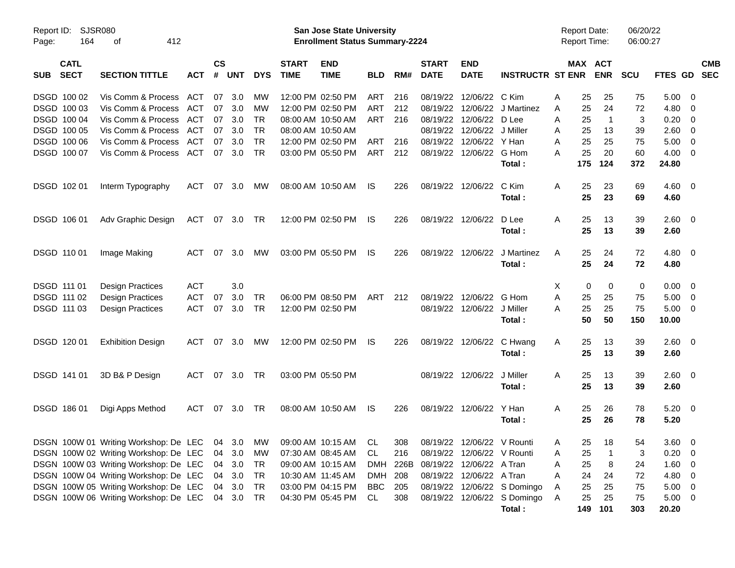| Report ID:<br>Page: | <b>SJSR080</b><br>164      | 412<br>оf                                                            |            |                    |            |            |                             | <b>San Jose State University</b><br><b>Enrollment Status Summary-2224</b> |                |     |                             |                                   |                             | <b>Report Date:</b><br><b>Report Time:</b> |     |                       | 06/20/22<br>06:00:27 |             |                          |            |
|---------------------|----------------------------|----------------------------------------------------------------------|------------|--------------------|------------|------------|-----------------------------|---------------------------------------------------------------------------|----------------|-----|-----------------------------|-----------------------------------|-----------------------------|--------------------------------------------|-----|-----------------------|----------------------|-------------|--------------------------|------------|
| <b>SUB</b>          | <b>CATL</b><br><b>SECT</b> | <b>SECTION TITTLE</b>                                                | <b>ACT</b> | $\mathsf{cs}$<br># | <b>UNT</b> | <b>DYS</b> | <b>START</b><br><b>TIME</b> | <b>END</b><br><b>TIME</b>                                                 | <b>BLD</b>     | RM# | <b>START</b><br><b>DATE</b> | <b>END</b><br><b>DATE</b>         | <b>INSTRUCTR ST ENR</b>     |                                            |     | MAX ACT<br><b>ENR</b> | <b>SCU</b>           | FTES GD SEC |                          | <b>CMB</b> |
|                     | DSGD 100 02                | Vis Comm & Process                                                   | ACT        | 07                 | 3.0        | MW         |                             | 12:00 PM 02:50 PM                                                         | ART            | 216 |                             | 08/19/22 12/06/22                 | C Kim                       | A                                          | 25  | 25                    | 75                   | 5.00        | - 0                      |            |
|                     | DSGD 100 03                | Vis Comm & Process                                                   | ACT        | 07                 | 3.0        | MW         |                             | 12:00 PM 02:50 PM                                                         | <b>ART</b>     | 212 |                             | 08/19/22 12/06/22                 | J Martinez                  | A                                          | 25  | 24                    | 72                   | 4.80        | $\overline{\mathbf{0}}$  |            |
|                     | DSGD 100 04                | Vis Comm & Process                                                   | ACT        | 07                 | 3.0        | <b>TR</b>  |                             | 08:00 AM 10:50 AM                                                         | <b>ART</b>     | 216 |                             | 08/19/22 12/06/22                 | D Lee                       | A                                          | 25  | $\overline{1}$        | 3                    | 0.20        | $\overline{\mathbf{0}}$  |            |
|                     | DSGD 100 05                | Vis Comm & Process                                                   | ACT        | 07                 | 3.0        | <b>TR</b>  |                             | 08:00 AM 10:50 AM                                                         |                |     |                             | 08/19/22 12/06/22                 | J Miller                    | A                                          | 25  | 13                    | 39                   | 2.60        | $\overline{\mathbf{0}}$  |            |
|                     | DSGD 100 06                | Vis Comm & Process                                                   | ACT        | 07                 | 3.0        | <b>TR</b>  |                             | 12:00 PM 02:50 PM                                                         | ART            | 216 | 08/19/22 12/06/22           |                                   | Y Han                       | A                                          | 25  | 25                    | 75                   | 5.00        | $\overline{\mathbf{0}}$  |            |
|                     | DSGD 100 07                | Vis Comm & Process                                                   | ACT        | 07                 | 3.0        | <b>TR</b>  |                             | 03:00 PM 05:50 PM                                                         | ART            | 212 |                             | 08/19/22 12/06/22                 | G Hom                       | Α                                          | 25  | 20                    | 60                   | 4.00        | $\overline{\mathbf{0}}$  |            |
|                     |                            |                                                                      |            |                    |            |            |                             |                                                                           |                |     |                             |                                   | Total:                      |                                            | 175 | 124                   | 372                  | 24.80       |                          |            |
|                     | DSGD 102 01                | Interm Typography                                                    | <b>ACT</b> | 07                 | 3.0        | МW         |                             | 08:00 AM 10:50 AM                                                         | IS             | 226 |                             | 08/19/22 12/06/22                 | C Kim                       | A                                          | 25  | 23                    | 69                   | $4.60 \ 0$  |                          |            |
|                     |                            |                                                                      |            |                    |            |            |                             |                                                                           |                |     |                             |                                   | Total:                      |                                            | 25  | 23                    | 69                   | 4.60        |                          |            |
|                     | DSGD 106 01                | Adv Graphic Design                                                   | ACT        | 07                 | 3.0        | TR         |                             | 12:00 PM 02:50 PM                                                         | IS             | 226 |                             | 08/19/22 12/06/22                 | D Lee                       | A                                          | 25  | 13                    | 39                   | 2.60        | $\overline{\phantom{0}}$ |            |
|                     |                            |                                                                      |            |                    |            |            |                             |                                                                           |                |     |                             |                                   | Total:                      |                                            | 25  | 13                    | 39                   | 2.60        |                          |            |
|                     | DSGD 110 01                | Image Making                                                         | <b>ACT</b> | 07                 | 3.0        | МW         |                             | 03:00 PM 05:50 PM                                                         | IS             | 226 |                             | 08/19/22 12/06/22                 | J Martinez                  | A                                          | 25  | 24                    | 72                   | 4.80 0      |                          |            |
|                     |                            |                                                                      |            |                    |            |            |                             |                                                                           |                |     |                             |                                   | Total:                      |                                            | 25  | 24                    | 72                   | 4.80        |                          |            |
|                     | DSGD 111 01                | <b>Design Practices</b>                                              | <b>ACT</b> |                    | 3.0        |            |                             |                                                                           |                |     |                             |                                   |                             | X                                          | 0   | 0                     | 0                    | 0.00        | $\overline{\mathbf{0}}$  |            |
|                     | DSGD 111 02                | <b>Design Practices</b>                                              | <b>ACT</b> | 07                 | 3.0        | <b>TR</b>  |                             | 06:00 PM 08:50 PM                                                         | <b>ART</b>     | 212 |                             | 08/19/22 12/06/22                 | G Hom                       | A                                          | 25  | 25                    | 75                   | 5.00        | $\overline{\mathbf{0}}$  |            |
|                     | DSGD 111 03                | <b>Design Practices</b>                                              | <b>ACT</b> | 07                 | 3.0        | <b>TR</b>  |                             | 12:00 PM 02:50 PM                                                         |                |     |                             | 08/19/22 12/06/22                 | J Miller                    | A                                          | 25  | 25                    | 75                   | 5.00        | $\overline{\mathbf{0}}$  |            |
|                     |                            |                                                                      |            |                    |            |            |                             |                                                                           |                |     |                             |                                   | Total:                      |                                            | 50  | 50                    | 150                  | 10.00       |                          |            |
|                     | DSGD 120 01                | <b>Exhibition Design</b>                                             | ACT        | 07                 | 3.0        | MW         |                             | 12:00 PM 02:50 PM                                                         | IS             | 226 |                             | 08/19/22 12/06/22 C Hwang         |                             | A                                          | 25  | 13                    | 39                   | 2.60 0      |                          |            |
|                     |                            |                                                                      |            |                    |            |            |                             |                                                                           |                |     |                             |                                   | Total:                      |                                            | 25  | 13                    | 39                   | 2.60        |                          |            |
|                     | DSGD 141 01                | 3D B& P Design                                                       | ACT        |                    | 07 3.0     | TR         |                             | 03:00 PM 05:50 PM                                                         |                |     |                             | 08/19/22 12/06/22                 | J Miller                    | A                                          | 25  | 13                    | 39                   | $2.60 \t 0$ |                          |            |
|                     |                            |                                                                      |            |                    |            |            |                             |                                                                           |                |     |                             |                                   | Total:                      |                                            | 25  | 13                    | 39                   | 2.60        |                          |            |
|                     | DSGD 186 01                | Digi Apps Method                                                     | ACT        | 07                 | 3.0        | TR         |                             | 08:00 AM 10:50 AM                                                         | IS             | 226 |                             | 08/19/22 12/06/22                 | Y Han                       | A                                          | 25  | 26                    | 78                   | $5.20 \ 0$  |                          |            |
|                     |                            |                                                                      |            |                    |            |            |                             |                                                                           |                |     |                             |                                   | Total:                      |                                            | 25  | 26                    | 78                   | 5.20        |                          |            |
|                     |                            | DSGN 100W 01 Writing Workshop: De LEC 04 3.0 MW 09:00 AM 10:15 AM CL |            |                    |            |            |                             |                                                                           |                | 308 |                             | 08/19/22 12/06/22 V Rounti        |                             | A                                          | 25  | 18                    | 54                   | $3.60 \ 0$  |                          |            |
|                     |                            | DSGN 100W 02 Writing Workshop: De LEC                                |            |                    | 04 3.0     | MW         |                             | 07:30 AM 08:45 AM                                                         | CL             | 216 |                             | 08/19/22 12/06/22 V Rounti        |                             | Α                                          | 25  | -1                    | 3                    | $0.20 \ 0$  |                          |            |
|                     |                            | DSGN 100W 03 Writing Workshop: De LEC                                |            |                    | 04 3.0     | TR         |                             | 09:00 AM 10:15 AM                                                         |                |     |                             | DMH 226B 08/19/22 12/06/22 A Tran |                             | Α                                          | 25  | 8                     | 24                   | 1.60        | $\overline{\phantom{0}}$ |            |
|                     |                            | DSGN 100W 04 Writing Workshop: De LEC                                |            |                    | 04 3.0     | TR         |                             | 10:30 AM 11:45 AM                                                         | DMH 208        |     |                             | 08/19/22 12/06/22 A Tran          |                             | Α                                          | 24  | 24                    | 72                   | 4.80 0      |                          |            |
|                     |                            | DSGN 100W 05 Writing Workshop: De LEC                                |            |                    | 04 3.0     | TR         |                             | 03:00 PM 04:15 PM                                                         | <b>BBC</b> 205 |     |                             |                                   | 08/19/22 12/06/22 S Domingo | A                                          | 25  | 25                    | 75                   | $5.00 \t 0$ |                          |            |
|                     |                            | DSGN 100W 06 Writing Workshop: De LEC 04 3.0                         |            |                    |            | TR         |                             | 04:30 PM 05:45 PM                                                         | CL             | 308 |                             |                                   | 08/19/22 12/06/22 S Domingo | A                                          | 25  | 25                    | 75                   | $5.00 \t 0$ |                          |            |
|                     |                            |                                                                      |            |                    |            |            |                             |                                                                           |                |     |                             |                                   | Total:                      |                                            |     | 149 101               | 303                  | 20.20       |                          |            |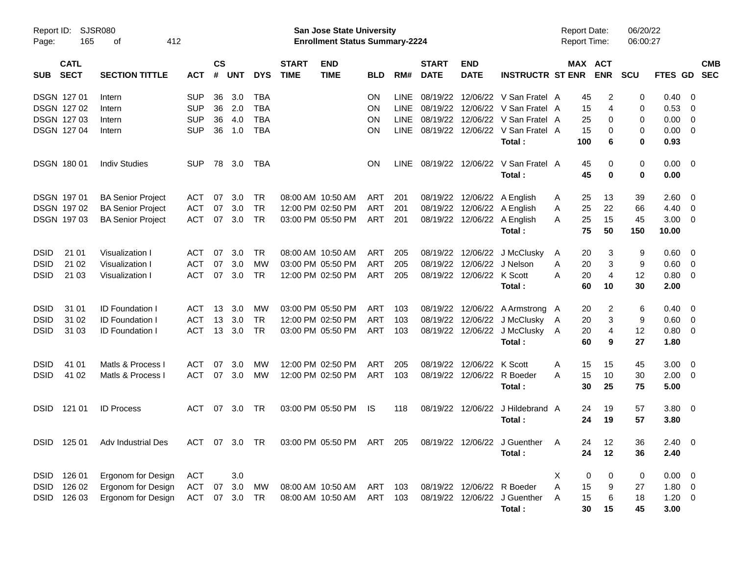| Page:       | Report ID: SJSR080<br>165  | 412<br>оf                      |               |                |            |            |                             | San Jose State University<br><b>Enrollment Status Summary-2224</b> |           |             |                             |                            |                                            | <b>Report Date:</b><br><b>Report Time:</b> |                       | 06/20/22<br>06:00:27 |                        |                          |                          |
|-------------|----------------------------|--------------------------------|---------------|----------------|------------|------------|-----------------------------|--------------------------------------------------------------------|-----------|-------------|-----------------------------|----------------------------|--------------------------------------------|--------------------------------------------|-----------------------|----------------------|------------------------|--------------------------|--------------------------|
| <b>SUB</b>  | <b>CATL</b><br><b>SECT</b> | <b>SECTION TITTLE</b>          | <b>ACT</b>    | <b>CS</b><br># | <b>UNT</b> | <b>DYS</b> | <b>START</b><br><b>TIME</b> | <b>END</b><br><b>TIME</b>                                          | BLD       | RM#         | <b>START</b><br><b>DATE</b> | <b>END</b><br><b>DATE</b>  | <b>INSTRUCTR ST ENR</b>                    |                                            | MAX ACT<br><b>ENR</b> | <b>SCU</b>           | <b>FTES GD</b>         |                          | <b>CMB</b><br><b>SEC</b> |
|             | <b>DSGN 12701</b>          | Intern                         | <b>SUP</b>    | 36             | 3.0        | <b>TBA</b> |                             |                                                                    | ON        | <b>LINE</b> |                             |                            | 08/19/22 12/06/22 V San Fratel A           | 45                                         | 2                     | 0                    | 0.40                   | $\overline{\phantom{0}}$ |                          |
|             | DSGN 127 02                | Intern                         | <b>SUP</b>    | 36             | 2.0        | <b>TBA</b> |                             |                                                                    | <b>ON</b> | <b>LINE</b> |                             |                            | 08/19/22 12/06/22 V San Fratel A           | 15                                         | 4                     | 0                    | 0.53                   | $\overline{\phantom{0}}$ |                          |
|             | DSGN 127 03                | Intern                         | <b>SUP</b>    | 36             | 4.0        | <b>TBA</b> |                             |                                                                    | ON        | <b>LINE</b> |                             |                            | 08/19/22 12/06/22 V San Fratel A           | 25                                         | 0                     | 0                    | 0.00                   | $\overline{\mathbf{0}}$  |                          |
|             | <b>DSGN 12704</b>          | Intern                         | <b>SUP</b>    | 36             | 1.0        | <b>TBA</b> |                             |                                                                    | ON        | <b>LINE</b> |                             |                            | 08/19/22 12/06/22 V San Fratel A<br>Total: | 15<br>100                                  | 0<br>6                | 0<br>0               | $0.00 \quad 0$<br>0.93 |                          |                          |
|             | <b>DSGN 18001</b>          | <b>Indiv Studies</b>           | <b>SUP</b>    | 78             | 3.0        | TBA        |                             |                                                                    | <b>ON</b> | LINE        |                             | 08/19/22 12/06/22          | V San Fratel A<br>Total:                   | 45<br>45                                   | 0<br>0                | 0<br>0               | $0.00 \quad 0$<br>0.00 |                          |                          |
|             | DSGN 197 01                | <b>BA Senior Project</b>       | ACT           | 07             | 3.0        | TR         |                             | 08:00 AM 10:50 AM                                                  | ART       | 201         |                             |                            | 08/19/22 12/06/22 A English                | 25<br>A                                    | 13                    | 39                   | 2.60                   | $\overline{\phantom{0}}$ |                          |
|             | DSGN 197 02                | <b>BA Senior Project</b>       | <b>ACT</b>    | 07             | 3.0        | <b>TR</b>  |                             | 12:00 PM 02:50 PM                                                  | ART       | 201         |                             |                            | 08/19/22 12/06/22 A English                | 25<br>A                                    | 22                    | 66                   | 4.40                   | $\overline{\phantom{0}}$ |                          |
|             | <b>DSGN 19703</b>          | <b>BA Senior Project</b>       | <b>ACT</b>    | 07             | 3.0        | <b>TR</b>  |                             | 03:00 PM 05:50 PM                                                  | ART       | 201         |                             |                            | 08/19/22 12/06/22 A English                | 25<br>A                                    | 15                    | 45                   | $3.00 \ 0$             |                          |                          |
|             |                            |                                |               |                |            |            |                             |                                                                    |           |             |                             |                            | Total:                                     | 75                                         | 50                    | 150                  | 10.00                  |                          |                          |
| <b>DSID</b> | 21 01                      | Visualization I                | <b>ACT</b>    | 07             | 3.0        | <b>TR</b>  |                             | 08:00 AM 10:50 AM                                                  | ART       | 205         |                             |                            | 08/19/22 12/06/22 J McClusky               | A                                          | 20<br>3               | 9                    | 0.60                   | $\overline{\phantom{0}}$ |                          |
| <b>DSID</b> | 21 02                      | Visualization I                | <b>ACT</b>    | 07             | 3.0        | MW         |                             | 03:00 PM 05:50 PM                                                  | ART       | 205         |                             | 08/19/22 12/06/22 J Nelson |                                            | 20<br>A                                    | 3                     | 9                    | 0.60                   | $\overline{\phantom{0}}$ |                          |
| <b>DSID</b> | 21 03                      | Visualization I                | <b>ACT</b>    | 07             | 3.0        | <b>TR</b>  |                             | 12:00 PM 02:50 PM                                                  | ART       | 205         |                             | 08/19/22 12/06/22 K Scott  |                                            | 20<br>А                                    | 4                     | 12                   | $0.80 \quad 0$         |                          |                          |
|             |                            |                                |               |                |            |            |                             |                                                                    |           |             |                             |                            | Total :                                    | 60                                         | 10                    | 30                   | 2.00                   |                          |                          |
| <b>DSID</b> | 31 01                      | <b>ID Foundation I</b>         | <b>ACT</b>    | 13             | 3.0        | MW         |                             | 03:00 PM 05:50 PM                                                  | ART       | 103         |                             |                            | 08/19/22 12/06/22 A Armstrong A            | 20                                         | 2                     | 6                    | 0.40                   | $\overline{\phantom{0}}$ |                          |
| <b>DSID</b> | 31 02                      | <b>ID Foundation I</b>         | <b>ACT</b>    | 13             | 3.0        | <b>TR</b>  |                             | 12:00 PM 02:50 PM                                                  | ART       | 103         |                             |                            | 08/19/22 12/06/22 J McClusky               | 20<br>A                                    | 3                     | 9                    | 0.60                   | $\overline{\phantom{0}}$ |                          |
| <b>DSID</b> | 31 03                      | <b>ID Foundation I</b>         | <b>ACT</b>    |                | 13, 3.0    | <b>TR</b>  |                             | 03:00 PM 05:50 PM                                                  | ART       | 103         |                             |                            | 08/19/22 12/06/22 J McClusky               | 20<br>A                                    | 4                     | 12                   | $0.80 \ 0$             |                          |                          |
|             |                            |                                |               |                |            |            |                             |                                                                    |           |             |                             |                            | Total:                                     | 60                                         | 9                     | 27                   | 1.80                   |                          |                          |
| <b>DSID</b> | 41 01                      | Matls & Process I              | <b>ACT</b>    | 07             | 3.0        | MW         |                             | 12:00 PM 02:50 PM                                                  | ART       | 205         |                             | 08/19/22 12/06/22          | K Scott                                    | A<br>15                                    | 15                    | 45                   | 3.00                   | $\overline{\phantom{0}}$ |                          |
| <b>DSID</b> | 41 02                      | Matls & Process I              | <b>ACT</b>    | 07             | 3.0        | MW         |                             | 12:00 PM 02:50 PM                                                  | ART       | 103         |                             | 08/19/22 12/06/22          | R Boeder                                   | 15<br>A                                    | 10                    | 30                   | $2.00 \t 0$            |                          |                          |
|             |                            |                                |               |                |            |            |                             |                                                                    |           |             |                             |                            | Total:                                     | 30                                         | 25                    | 75                   | 5.00                   |                          |                          |
| <b>DSID</b> | 121 01                     | <b>ID Process</b>              | <b>ACT</b>    | 07             | 3.0        | TR.        |                             | 03:00 PM 05:50 PM                                                  | IS        | 118         |                             | 08/19/22 12/06/22          | J Hildebrand A                             |                                            | 19<br>24              | 57                   | $3.80\ 0$              |                          |                          |
|             |                            |                                |               |                |            |            |                             |                                                                    |           |             |                             |                            | Total:                                     |                                            | 24<br>19              | 57                   | 3.80                   |                          |                          |
|             |                            | DSID 125 01 Adv Industrial Des | ACT 07 3.0 TR |                |            |            |                             | 03:00 PM 05:50 PM ART 205                                          |           |             |                             |                            | 08/19/22 12/06/22 J Guenther A             |                                            | 24<br>12              | 36                   | $2.40 \ 0$             |                          |                          |
|             |                            |                                |               |                |            |            |                             |                                                                    |           |             |                             |                            | Total:                                     |                                            | 24<br>12              | 36                   | 2.40                   |                          |                          |
|             | DSID 126 01                | Ergonom for Design             | ACT           |                | 3.0        |            |                             |                                                                    |           |             |                             |                            |                                            | Χ                                          | 0<br>0                | 0                    | $0.00 \t 0$            |                          |                          |
| DSID        | 126 02                     | <b>Ergonom for Design</b>      | <b>ACT</b>    | 07             | 3.0        | MW         |                             | 08:00 AM 10:50 AM ART 103                                          |           |             |                             |                            | 08/19/22 12/06/22 R Boeder                 | 15<br>A                                    | 9                     | 27                   | $1.80 \ 0$             |                          |                          |
|             | DSID 126 03                | Ergonom for Design             | <b>ACT</b>    |                | 07 3.0     | TR         |                             | 08:00 AM 10:50 AM                                                  | ART       | 103         |                             |                            | 08/19/22 12/06/22 J Guenther               | 15<br>A                                    | 6                     | 18                   | $1.20 \t 0$            |                          |                          |
|             |                            |                                |               |                |            |            |                             |                                                                    |           |             |                             |                            | Total:                                     | 30                                         | 15                    | 45                   | 3.00                   |                          |                          |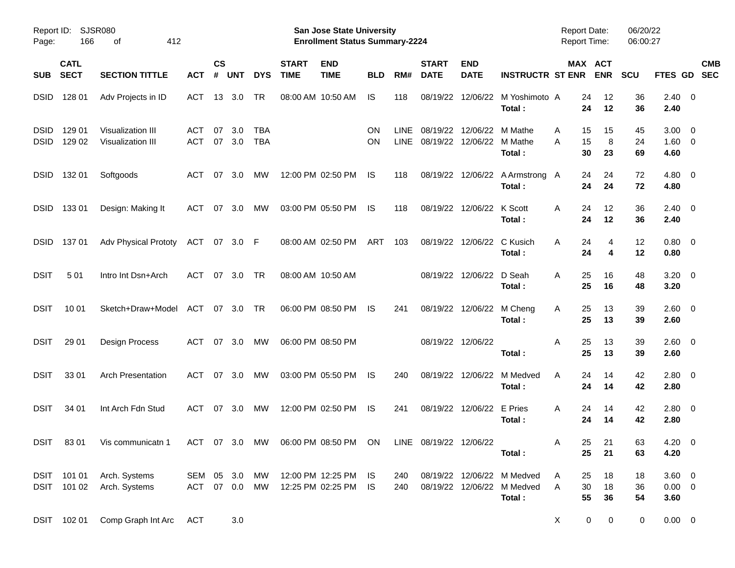| Report ID:<br>Page:        | <b>SJSR080</b><br>166      | 412<br>οf                                  |                                |                    |            |                          |                             | San Jose State University<br><b>Enrollment Status Summary-2224</b> |                 |                     |                             |                                       |                                                                    | Report Date:<br><b>Report Time:</b> |                       | 06/20/22<br>06:00:27 |                                       |                          |  |
|----------------------------|----------------------------|--------------------------------------------|--------------------------------|--------------------|------------|--------------------------|-----------------------------|--------------------------------------------------------------------|-----------------|---------------------|-----------------------------|---------------------------------------|--------------------------------------------------------------------|-------------------------------------|-----------------------|----------------------|---------------------------------------|--------------------------|--|
| <b>SUB</b>                 | <b>CATL</b><br><b>SECT</b> | <b>SECTION TITTLE</b>                      | <b>ACT</b>                     | $\mathsf{cs}$<br># | <b>UNT</b> | <b>DYS</b>               | <b>START</b><br><b>TIME</b> | <b>END</b><br><b>TIME</b>                                          | <b>BLD</b>      | RM#                 | <b>START</b><br><b>DATE</b> | <b>END</b><br><b>DATE</b>             | <b>INSTRUCTR ST ENR</b>                                            |                                     | MAX ACT<br><b>ENR</b> | <b>SCU</b>           | <b>FTES GD</b>                        | <b>CMB</b><br><b>SEC</b> |  |
| <b>DSID</b>                | 128 01                     | Adv Projects in ID                         | ACT                            | 13                 | 3.0        | TR                       |                             | 08:00 AM 10:50 AM                                                  | IS              | 118                 | 08/19/22                    |                                       | 12/06/22 M Yoshimoto A<br>Total:                                   | 24<br>24                            | 12<br>12              | 36<br>36             | 2.40<br>2.40                          | $\overline{\mathbf{0}}$  |  |
| <b>DSID</b><br><b>DSID</b> | 129 01<br>129 02           | Visualization III<br>Visualization III     | ACT<br><b>ACT</b>              | 07<br>07           | 3.0<br>3.0 | <b>TBA</b><br><b>TBA</b> |                             |                                                                    | ON<br><b>ON</b> | LINE<br><b>LINE</b> | 08/19/22                    | 12/06/22<br>08/19/22 12/06/22 M Mathe | M Mathe<br>Total:                                                  | 15<br>A<br>15<br>A<br>30            | 15<br>8<br>23         | 45<br>24<br>69       | 3.00<br>$1.60 \t 0$<br>4.60           | $\overline{0}$           |  |
| <b>DSID</b>                | 132 01                     | Softgoods                                  | ACT                            | 07                 | 3.0        | МW                       |                             | 12:00 PM 02:50 PM                                                  | IS              | 118                 |                             |                                       | 08/19/22 12/06/22 A Armstrong A<br>Total:                          | 24<br>24                            | 24<br>24              | 72<br>72             | 4.80<br>4.80                          | $\overline{\mathbf{0}}$  |  |
| <b>DSID</b>                | 13301                      | Design: Making It                          | ACT                            | 07                 | 3.0        | МW                       |                             | 03:00 PM 05:50 PM                                                  | IS              | 118                 |                             | 08/19/22 12/06/22 K Scott             | Total:                                                             | 24<br>A<br>24                       | 12<br>12              | 36<br>36             | 2.40<br>2.40                          | $\overline{\mathbf{0}}$  |  |
| <b>DSID</b>                | 13701                      | <b>Adv Physical Prototy</b>                | ACT 07 3.0 F                   |                    |            |                          |                             | 08:00 AM 02:50 PM                                                  | ART             | 103                 |                             | 08/19/22 12/06/22                     | C Kusich<br>Total:                                                 | 24<br>A<br>24                       | 4<br>4                | 12<br>12             | 0.80<br>0.80                          | $\overline{\mathbf{0}}$  |  |
| <b>DSIT</b>                | 501                        | Intro Int Dsn+Arch                         | ACT                            | 07                 | 3.0        | <b>TR</b>                |                             | 08:00 AM 10:50 AM                                                  |                 |                     |                             | 08/19/22 12/06/22                     | D Seah<br>Total:                                                   | 25<br>A<br>25                       | 16<br>16              | 48<br>48             | $3.20 \ 0$<br>3.20                    |                          |  |
| <b>DSIT</b>                | 10 01                      | Sketch+Draw+Model ACT                      |                                | 07                 | 3.0        | TR                       |                             | 06:00 PM 08:50 PM                                                  | IS              | 241                 |                             | 08/19/22 12/06/22 M Cheng             | Total:                                                             | 25<br>A<br>25                       | 13<br>13              | 39<br>39             | $2.60 \t 0$<br>2.60                   |                          |  |
| <b>DSIT</b>                | 29 01                      | Design Process                             | ACT                            | 07                 | 3.0        | МW                       |                             | 06:00 PM 08:50 PM                                                  |                 |                     |                             | 08/19/22 12/06/22                     | Total:                                                             | 25<br>A<br>25                       | 13<br>13              | 39<br>39             | $2.60 \t 0$<br>2.60                   |                          |  |
| <b>DSIT</b>                | 3301                       | <b>Arch Presentation</b>                   | <b>ACT</b>                     | 07                 | 3.0        | МW                       |                             | 03:00 PM 05:50 PM                                                  | IS              | 240                 | 08/19/22                    | 12/06/22                              | M Medved<br>Total:                                                 | 24<br>A<br>24                       | 14<br>14              | 42<br>42             | $2.80 \ 0$<br>2.80                    |                          |  |
| <b>DSIT</b>                | 34 01                      | Int Arch Fdn Stud                          | ACT                            | 07                 | 3.0        | МW                       |                             | 12:00 PM 02:50 PM                                                  | IS              | 241                 |                             | 08/19/22 12/06/22                     | E Pries<br>Total:                                                  | 24<br>A<br>24                       | 14<br>14              | 42<br>42             | $2.80 \ 0$<br>2.80                    |                          |  |
| <b>DSIT</b>                | 8301                       | Vis communicatn 1                          |                                |                    |            |                          |                             | ACT 07 3.0 MW 06:00 PM 08:50 PM ON LINE 08/19/22 12/06/22          |                 |                     |                             |                                       | Total:                                                             | 25<br>Α<br>25                       | 21<br>21              | 63<br>63             | 4.20 0<br>4.20                        |                          |  |
|                            | DSIT 101 02                | DSIT 101 01 Arch. Systems<br>Arch. Systems | SEM 05 3.0 MW<br>ACT 07 0.0 MW |                    |            |                          |                             | 12:00 PM 12:25 PM IS<br>12:25 PM 02:25 PM IS                       |                 | 240<br>240          |                             |                                       | 08/19/22 12/06/22 M Medved<br>08/19/22 12/06/22 M Medved<br>Total: | 25<br>A<br>30<br>A<br>55            | 18<br>18<br>36        | 18<br>36<br>54       | $3.60 \quad 0$<br>$0.00 \t 0$<br>3.60 |                          |  |
|                            | DSIT 102 01                | Comp Graph Int Arc                         | <b>ACT</b>                     |                    | 3.0        |                          |                             |                                                                    |                 |                     |                             |                                       |                                                                    | X                                   | 0<br>$\mathbf 0$      | 0                    | $0.00 \t 0$                           |                          |  |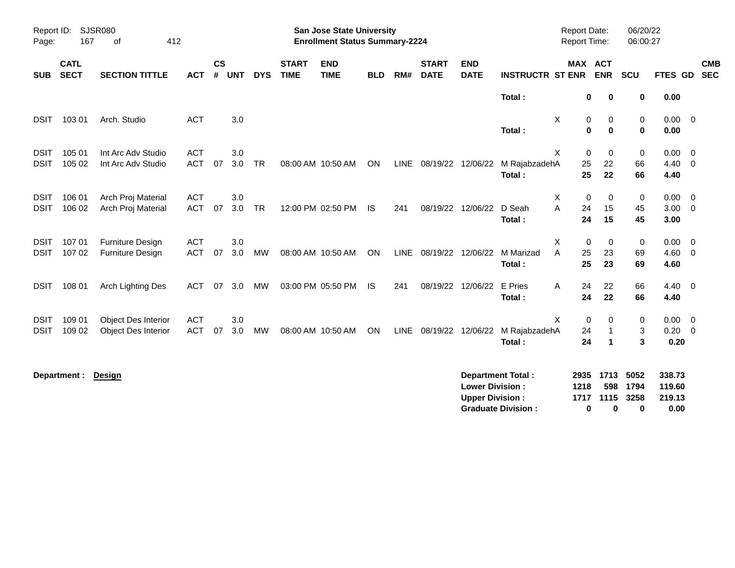| Report ID:<br>Page:        | 167                        | SJSR080<br>412<br>of                               |                          |                             |            |            |                             | <b>San Jose State University</b><br><b>Enrollment Status Summary-2224</b> |            |     |                             |                                                  |                                                       | <b>Report Date:</b><br>Report Time: |                                                            | 06/20/22<br>06:00:27      |                                    |                                           |
|----------------------------|----------------------------|----------------------------------------------------|--------------------------|-----------------------------|------------|------------|-----------------------------|---------------------------------------------------------------------------|------------|-----|-----------------------------|--------------------------------------------------|-------------------------------------------------------|-------------------------------------|------------------------------------------------------------|---------------------------|------------------------------------|-------------------------------------------|
| <b>SUB</b>                 | <b>CATL</b><br><b>SECT</b> | <b>SECTION TITTLE</b>                              | <b>ACT</b>               | $\mathsf{cs}$<br>$\pmb{\#}$ | <b>UNT</b> | <b>DYS</b> | <b>START</b><br><b>TIME</b> | <b>END</b><br><b>TIME</b>                                                 | <b>BLD</b> | RM# | <b>START</b><br><b>DATE</b> | <b>END</b><br><b>DATE</b>                        | <b>INSTRUCTR ST ENR</b>                               |                                     | MAX ACT<br><b>ENR</b>                                      | <b>SCU</b>                | <b>FTES GD</b>                     | <b>CMB</b><br><b>SEC</b>                  |
|                            |                            |                                                    |                          |                             |            |            |                             |                                                                           |            |     |                             |                                                  | Total:                                                |                                     | 0<br>0                                                     | 0                         | 0.00                               |                                           |
| <b>DSIT</b>                | 103 01                     | Arch. Studio                                       | <b>ACT</b>               |                             | 3.0        |            |                             |                                                                           |            |     |                             |                                                  | Total:                                                | Χ                                   | 0<br>0<br>$\bf{0}$<br>$\bf{0}$                             | 0<br>$\mathbf 0$          | $0.00 \t 0$<br>0.00                |                                           |
| <b>DSIT</b><br><b>DSIT</b> | 105 01<br>105 02           | Int Arc Adv Studio<br>Int Arc Adv Studio           | <b>ACT</b><br><b>ACT</b> | 07                          | 3.0<br>3.0 | <b>TR</b>  |                             | 08:00 AM 10:50 AM                                                         | ON         |     | LINE 08/19/22 12/06/22      |                                                  | M RajabzadehA<br>Total:                               | X                                   | $\mathbf 0$<br>$\mathbf 0$<br>25<br>22<br>25<br>22         | $\pmb{0}$<br>66<br>66     | 0.00<br>$4.40 \ 0$<br>4.40         | $\overline{\mathbf{0}}$                   |
| <b>DSIT</b><br><b>DSIT</b> | 106 01<br>106 02           | Arch Proj Material<br>Arch Proj Material           | <b>ACT</b><br><b>ACT</b> | 07                          | 3.0<br>3.0 | <b>TR</b>  |                             | 12:00 PM 02:50 PM                                                         | <b>IS</b>  | 241 |                             | 08/19/22 12/06/22                                | D Seah<br>Total:                                      | Χ<br>A                              | $\mathbf 0$<br>0<br>24<br>15<br>24<br>15                   | 0<br>45<br>45             | $0.00 \t 0$<br>3.00<br>3.00        | $\overline{\mathbf{0}}$                   |
| <b>DSIT</b><br><b>DSIT</b> | 107 01<br>107 02           | <b>Furniture Design</b><br><b>Furniture Design</b> | <b>ACT</b><br><b>ACT</b> | 07                          | 3.0<br>3.0 | <b>MW</b>  |                             | 08:00 AM 10:50 AM                                                         | ON         |     | LINE 08/19/22 12/06/22      |                                                  | M Marizad<br>Total:                                   | X<br>A                              | 0<br>0<br>25<br>23<br>25<br>23                             | $\pmb{0}$<br>69<br>69     | 0.00<br>4.60<br>4.60               | $\overline{\mathbf{0}}$<br>$\overline{0}$ |
| <b>DSIT</b>                | 108 01                     | Arch Lighting Des                                  | <b>ACT</b>               | 07                          | 3.0        | MW         |                             | 03:00 PM 05:50 PM                                                         | IS.        | 241 |                             | 08/19/22 12/06/22                                | E Pries<br>Total:                                     | Α                                   | 24<br>22<br>24<br>22                                       | 66<br>66                  | $4.40 \quad 0$<br>4.40             |                                           |
| <b>DSIT</b><br><b>DSIT</b> | 109 01<br>109 02           | Object Des Interior<br><b>Object Des Interior</b>  | <b>ACT</b><br><b>ACT</b> | 07                          | 3.0<br>3.0 | MW         |                             | 08:00 AM 10:50 AM                                                         | ON         |     | LINE 08/19/22 12/06/22      |                                                  | M RajabzadehA<br>Total:                               | X                                   | 0<br>0<br>24<br>$\mathbf{1}$<br>24<br>$\blacktriangleleft$ | 0<br>3<br>3               | 0.00<br>$0.20 \ 0$<br>0.20         | $\overline{\mathbf{0}}$                   |
|                            | Department :               | Design                                             |                          |                             |            |            |                             |                                                                           |            |     |                             | <b>Lower Division:</b><br><b>Upper Division:</b> | <b>Department Total:</b><br><b>Graduate Division:</b> | 2935<br>1218<br>1717                | 1713<br>598<br>1115<br>$\bf{0}$<br>0                       | 5052<br>1794<br>3258<br>0 | 338.73<br>119.60<br>219.13<br>0.00 |                                           |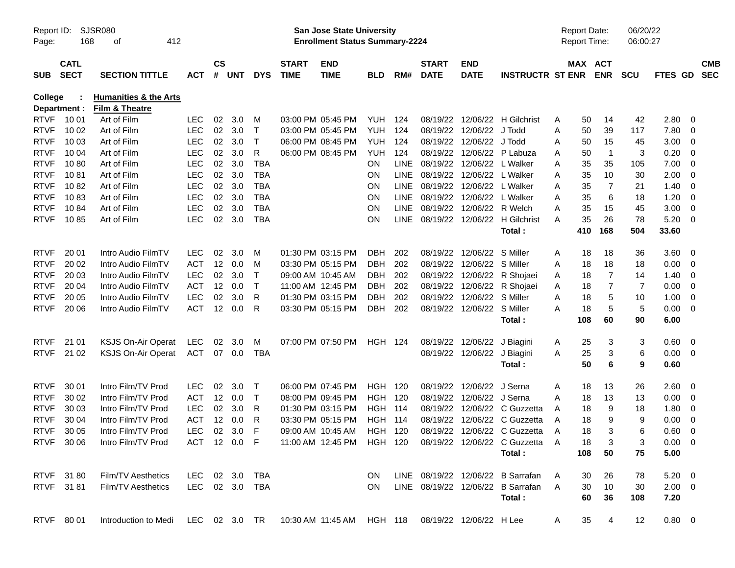| Report ID:<br>Page:        | 168                        | SJSR080<br>412<br>оf                               |                          |               |            |                            |                             | <b>San Jose State University</b><br><b>Enrollment Status Summary-2224</b> |                   |             |                             |                           |                                                                       |        | <b>Report Date:</b><br><b>Report Time:</b> | 06:00:27                     | 06/20/22     |                          |                          |
|----------------------------|----------------------------|----------------------------------------------------|--------------------------|---------------|------------|----------------------------|-----------------------------|---------------------------------------------------------------------------|-------------------|-------------|-----------------------------|---------------------------|-----------------------------------------------------------------------|--------|--------------------------------------------|------------------------------|--------------|--------------------------|--------------------------|
| <b>SUB</b>                 | <b>CATL</b><br><b>SECT</b> | <b>SECTION TITTLE</b>                              | <b>ACT</b>               | $\mathsf{cs}$ | # UNT      | <b>DYS</b>                 | <b>START</b><br><b>TIME</b> | <b>END</b><br><b>TIME</b>                                                 | <b>BLD</b>        | RM#         | <b>START</b><br><b>DATE</b> | <b>END</b><br><b>DATE</b> | <b>INSTRUCTR ST ENR</b>                                               |        | MAX ACT<br><b>ENR</b>                      | <b>SCU</b>                   | FTES GD      |                          | <b>CMB</b><br><b>SEC</b> |
| <b>College</b>             |                            | <b>Humanities &amp; the Arts</b><br>Film & Theatre |                          |               |            |                            |                             |                                                                           |                   |             |                             |                           |                                                                       |        |                                            |                              |              |                          |                          |
| <b>RTVF</b>                | Department :<br>10 01      | Art of Film                                        | LEC                      | 02            | 3.0        | М                          |                             | 03:00 PM 05:45 PM                                                         | <b>YUH</b>        | 124         | 08/19/22                    | 12/06/22                  | H Gilchrist                                                           | Α      | 50                                         | 42<br>14                     | 2.80         | 0                        |                          |
| <b>RTVF</b>                | 10 02                      | Art of Film                                        | <b>LEC</b>               | 02            | 3.0        | $\mathsf T$                |                             | 03:00 PM 05:45 PM                                                         | <b>YUH</b>        | 124         | 08/19/22                    | 12/06/22                  | J Todd                                                                | Α      | 50                                         | 39<br>117                    | 7.80         | - 0                      |                          |
| <b>RTVF</b>                | 10 03                      | Art of Film                                        | <b>LEC</b>               | 02            | 3.0        | Т                          |                             | 06:00 PM 08:45 PM                                                         | <b>YUH</b>        | 124         | 08/19/22                    | 12/06/22                  | J Todd                                                                | Α      | 50                                         | 15<br>45                     | 3.00         | - 0                      |                          |
| <b>RTVF</b>                | 10 04                      | Art of Film                                        | <b>LEC</b>               | 02            | 3.0        | R                          |                             | 06:00 PM 08:45 PM                                                         | <b>YUH</b>        | 124         | 08/19/22                    |                           | 12/06/22 P Labuza                                                     | Α      | 50                                         | 3<br>$\overline{\mathbf{1}}$ | 0.20         | 0                        |                          |
| <b>RTVF</b>                | 1080                       | Art of Film                                        | <b>LEC</b>               | 02            | 3.0        | <b>TBA</b>                 |                             |                                                                           | <b>ON</b>         | <b>LINE</b> | 08/19/22                    | 12/06/22                  | L Walker                                                              | Α      | 35                                         | 35<br>105                    | 7.00         | - 0                      |                          |
| <b>RTVF</b>                | 1081                       | Art of Film                                        | <b>LEC</b>               | 02            | 3.0        | <b>TBA</b>                 |                             |                                                                           | <b>ON</b>         | <b>LINE</b> | 08/19/22                    | 12/06/22                  | L Walker                                                              | Α      | 35                                         | 30<br>10                     | 2.00         | - 0                      |                          |
| <b>RTVF</b>                | 1082                       | Art of Film                                        | <b>LEC</b>               | 02            | 3.0        | <b>TBA</b>                 |                             |                                                                           | <b>ON</b>         | <b>LINE</b> | 08/19/22                    | 12/06/22                  | L Walker                                                              | Α      | 35                                         | 7<br>21                      | 1.40         | 0                        |                          |
| <b>RTVF</b>                | 1083                       | Art of Film                                        | <b>LEC</b>               | 02            | 3.0        | <b>TBA</b>                 |                             |                                                                           | <b>ON</b>         | <b>LINE</b> | 08/19/22                    | 12/06/22                  | L Walker                                                              | Α      | 35                                         | 6<br>18                      | 1.20         | - 0                      |                          |
| <b>RTVF</b>                | 1084                       | Art of Film                                        | <b>LEC</b>               | 02            | 3.0        | <b>TBA</b>                 |                             |                                                                           | <b>ON</b>         | <b>LINE</b> | 08/19/22                    | 12/06/22                  | R Welch                                                               | A      | 35                                         | 15<br>45                     | 3.00         | 0                        |                          |
| <b>RTVF</b>                | 1085                       | Art of Film                                        | <b>LEC</b>               |               | 02 3.0     | <b>TBA</b>                 |                             |                                                                           | <b>ON</b>         | <b>LINE</b> | 08/19/22                    | 12/06/22                  | <b>H</b> Gilchrist                                                    | A      | 35                                         | 26<br>78                     | 5.20         | - 0                      |                          |
|                            |                            |                                                    |                          |               |            |                            |                             |                                                                           |                   |             |                             |                           | Total:                                                                |        | 168<br>410                                 | 504                          | 33.60        |                          |                          |
| <b>RTVF</b>                | 20 01                      | Intro Audio FilmTV                                 | <b>LEC</b>               | 02            | 3.0        | M                          |                             | 01:30 PM 03:15 PM                                                         | DBH               | 202         | 08/19/22                    | 12/06/22                  | S Miller                                                              | Α      | 18                                         | 18<br>36                     | 3.60         | - 0                      |                          |
| <b>RTVF</b>                | 20 02                      | Intro Audio FilmTV                                 | <b>ACT</b>               | 12            | 0.0        | M                          |                             | 03:30 PM 05:15 PM                                                         | DBH               | 202         | 08/19/22                    | 12/06/22                  | S Miller                                                              | Α      | 18                                         | 18<br>18                     | 0.00         | - 0                      |                          |
| <b>RTVF</b>                | 20 03                      | Intro Audio FilmTV                                 | <b>LEC</b>               | 02            | 3.0        | Т                          |                             | 09:00 AM 10:45 AM                                                         | DBH               | 202         | 08/19/22                    | 12/06/22                  | R Shojaei                                                             | A      | 18                                         | 7<br>14                      | 1.40         | - 0                      |                          |
| <b>RTVF</b>                | 20 04                      | Intro Audio FilmTV                                 | <b>ACT</b>               | 12            | 0.0        | $\mathsf T$                |                             | 11:00 AM 12:45 PM                                                         | DBH               | 202         | 08/19/22                    | 12/06/22                  | R Shojaei                                                             | Α      | 18                                         | 7<br>7                       | 0.00         | 0                        |                          |
| <b>RTVF</b>                | 20 05                      | Intro Audio FilmTV                                 | <b>LEC</b>               | 02            | 3.0        | R                          |                             | 01:30 PM 03:15 PM                                                         | DBH               | 202         | 08/19/22                    | 12/06/22                  | S Miller                                                              | A      | 18                                         | 5<br>10                      | 1.00         | 0                        |                          |
| <b>RTVF</b>                | 20 06                      | Intro Audio FilmTV                                 | <b>ACT</b>               | 12            | 0.0        | R                          |                             | 03:30 PM 05:15 PM                                                         | DBH               | 202         | 08/19/22                    | 12/06/22                  | S Miller                                                              | A      | 18                                         | 5<br>5                       | 0.00         | - 0                      |                          |
|                            |                            |                                                    |                          |               |            |                            |                             |                                                                           |                   |             |                             |                           | Total:                                                                |        | 108                                        | 60<br>90                     | 6.00         |                          |                          |
| <b>RTVF</b>                | 21 01                      | <b>KSJS On-Air Operat</b>                          | <b>LEC</b>               | 02            | 3.0        | м                          |                             | 07:00 PM 07:50 PM                                                         | <b>HGH 124</b>    |             | 08/19/22                    | 12/06/22                  | J Biagini                                                             |        | 25                                         | 3<br>3                       | 0.60         | $\overline{\mathbf{0}}$  |                          |
| <b>RTVF</b>                | 21 02                      | <b>KSJS On-Air Operat</b>                          | <b>ACT</b>               |               | 07 0.0     | <b>TBA</b>                 |                             |                                                                           |                   |             | 08/19/22                    | 12/06/22                  | J Biagini                                                             | A<br>Α | 25                                         | 3<br>6                       | 0.00         | $\overline{\phantom{0}}$ |                          |
|                            |                            |                                                    |                          |               |            |                            |                             |                                                                           |                   |             |                             |                           | Total:                                                                |        | 50                                         | 6<br>9                       | 0.60         |                          |                          |
|                            |                            |                                                    |                          |               |            |                            |                             |                                                                           |                   |             |                             |                           |                                                                       |        |                                            |                              |              |                          |                          |
| <b>RTVF</b><br><b>RTVF</b> | 30 01<br>30 02             | Intro Film/TV Prod<br>Intro Film/TV Prod           | <b>LEC</b><br><b>ACT</b> | 02<br>12      | 3.0        | $\mathsf T$<br>$\mathsf T$ |                             | 06:00 PM 07:45 PM<br>08:00 PM 09:45 PM                                    | HGH<br><b>HGH</b> | 120<br>120  | 08/19/22<br>08/19/22        | 12/06/22<br>12/06/22      | J Serna<br>J Serna                                                    | Α      | 18<br>18                                   | 26<br>13<br>13               | 2.60         | - 0                      |                          |
| <b>RTVF</b>                | 30 03                      | Intro Film/TV Prod                                 |                          | 02            | 0.0<br>3.0 | R                          |                             | 01:30 PM 03:15 PM                                                         | HGH               | 114         | 08/19/22                    | 12/06/22                  | C Guzzetta                                                            | A      | 18                                         | 13<br>9<br>18                | 0.00         | - 0                      |                          |
| <b>RTVF</b>                | 30 04                      | Intro Film/TV Prod                                 | LEC<br><b>ACT</b>        | 12            | 0.0        | R                          |                             | 03:30 PM 05:15 PM                                                         | <b>HGH</b>        | 114         | 08/19/22                    | 12/06/22                  | C Guzzetta                                                            | Α<br>A | 18                                         | 9<br>9                       | 1.80<br>0.00 | 0<br>- 0                 |                          |
| <b>RTVF</b>                | 30 05                      | Intro Film/TV Prod                                 | <b>LEC</b>               | 02            | 3.0        | F                          |                             | 09:00 AM 10:45 AM                                                         | <b>HGH 120</b>    |             | 08/19/22                    |                           | 12/06/22 C Guzzetta                                                   | A      | 18                                         | 3<br>6                       | 0.60         | 0                        |                          |
|                            | RTVF 30 06                 | Intro Film/TV Prod                                 |                          |               |            |                            |                             |                                                                           |                   |             |                             |                           | ACT 12 0.0 F 11:00 AM 12:45 PM HGH 120 08/19/22 12/06/22 C Guzzetta A |        | 18                                         | 3<br>3                       | $0.00 \t 0$  |                          |                          |
|                            |                            |                                                    |                          |               |            |                            |                             |                                                                           |                   |             |                             |                           | Total :                                                               |        | 108                                        | 50<br>75                     | 5.00         |                          |                          |
|                            |                            |                                                    |                          |               |            |                            |                             |                                                                           |                   |             |                             |                           |                                                                       |        |                                            |                              |              |                          |                          |
|                            | RTVF 3180                  | Film/TV Aesthetics                                 | LEC 02 3.0 TBA           |               |            |                            |                             |                                                                           | ON.               |             |                             |                           | LINE 08/19/22 12/06/22 B Sarrafan                                     | A      | 30                                         | 26<br>78                     | $5.20 \ 0$   |                          |                          |
|                            | RTVF 3181                  | Film/TV Aesthetics                                 | LEC 02 3.0 TBA           |               |            |                            |                             |                                                                           | ON.               |             |                             |                           | LINE 08/19/22 12/06/22 B Sarrafan                                     | - A    | 30                                         | 10<br>30                     | $2.00 \t 0$  |                          |                          |
|                            |                            |                                                    |                          |               |            |                            |                             |                                                                           |                   |             |                             |                           | Total:                                                                |        | 60                                         | 36<br>108                    | 7.20         |                          |                          |
|                            | RTVF 80 01                 | Introduction to Medi                               | LEC 02 3.0 TR            |               |            |                            |                             | 10:30 AM 11:45 AM HGH 118                                                 |                   |             |                             | 08/19/22 12/06/22 H Lee   |                                                                       | A      | 35                                         | 12<br>4                      | $0.80 \t 0$  |                          |                          |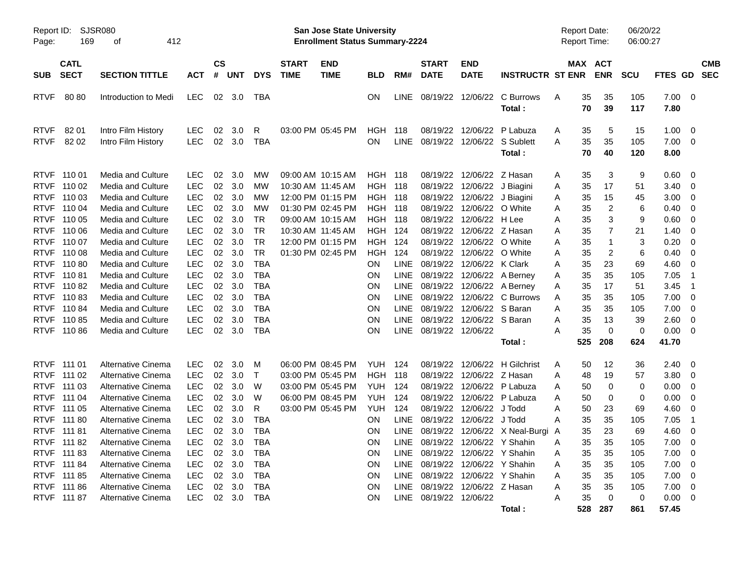| Report ID:<br>Page:                                                     | 169                                                      | SJSR080<br>412<br>οf                                                                                         |                                                                    |                            |                                   |                                                         |                             | San Jose State University<br><b>Enrollment Status Summary-2224</b>               |                                                                           |                                                          |                                                                                                       |                                                                  |                                                       | <b>Report Date:</b><br><b>Report Time:</b> |                            |                         | 06/20/22<br>06:00:27     |                                      |                                                                                      |                          |
|-------------------------------------------------------------------------|----------------------------------------------------------|--------------------------------------------------------------------------------------------------------------|--------------------------------------------------------------------|----------------------------|-----------------------------------|---------------------------------------------------------|-----------------------------|----------------------------------------------------------------------------------|---------------------------------------------------------------------------|----------------------------------------------------------|-------------------------------------------------------------------------------------------------------|------------------------------------------------------------------|-------------------------------------------------------|--------------------------------------------|----------------------------|-------------------------|--------------------------|--------------------------------------|--------------------------------------------------------------------------------------|--------------------------|
| <b>SUB</b>                                                              | <b>CATL</b><br><b>SECT</b>                               | <b>SECTION TITTLE</b>                                                                                        | <b>ACT</b>                                                         | $\mathsf{cs}$<br>#         | <b>UNT</b>                        | <b>DYS</b>                                              | <b>START</b><br><b>TIME</b> | <b>END</b><br><b>TIME</b>                                                        | <b>BLD</b>                                                                | RM#                                                      | <b>START</b><br><b>DATE</b>                                                                           | <b>END</b><br><b>DATE</b>                                        | <b>INSTRUCTR ST ENR</b>                               |                                            |                            | MAX ACT<br><b>ENR</b>   | <b>SCU</b>               | FTES GD                              |                                                                                      | <b>CMB</b><br><b>SEC</b> |
| <b>RTVF</b>                                                             | 8080                                                     | Introduction to Medi                                                                                         | LEC.                                                               |                            | 02 3.0                            | TBA                                                     |                             |                                                                                  | <b>ON</b>                                                                 | <b>LINE</b>                                              | 08/19/22                                                                                              | 12/06/22                                                         | C Burrows<br>Total:                                   | A                                          | 35<br>70                   | 35<br>39                | 105<br>117               | 7.00<br>7.80                         | $\overline{\mathbf{0}}$                                                              |                          |
| <b>RTVF</b><br><b>RTVF</b>                                              | 82 01<br>82 02                                           | Intro Film History<br>Intro Film History                                                                     | <b>LEC</b><br><b>LEC</b>                                           | 02<br>02                   | 3.0<br>3.0                        | R<br><b>TBA</b>                                         |                             | 03:00 PM 05:45 PM                                                                | HGH<br>ON                                                                 | 118<br><b>LINE</b>                                       | 08/19/22<br>08/19/22                                                                                  | 12/06/22<br>12/06/22                                             | P Labuza<br>S Sublett<br>Total:                       | Α<br>A                                     | 35<br>35<br>70             | 5<br>35<br>40           | 15<br>105<br>120         | 1.00<br>7.00<br>8.00                 | 0<br>- 0                                                                             |                          |
| <b>RTVF</b><br><b>RTVF</b><br><b>RTVF</b><br><b>RTVF</b>                | 11001<br>110 02<br>110 03<br>110 04                      | Media and Culture<br>Media and Culture<br>Media and Culture<br>Media and Culture                             | <b>LEC</b><br><b>LEC</b><br><b>LEC</b><br><b>LEC</b>               | 02<br>02<br>02<br>02       | 3.0<br>3.0<br>3.0<br>3.0          | MW<br>MW<br>MW<br>MW                                    |                             | 09:00 AM 10:15 AM<br>10:30 AM 11:45 AM<br>12:00 PM 01:15 PM<br>01:30 PM 02:45 PM | <b>HGH 118</b><br><b>HGH 118</b><br><b>HGH 118</b><br><b>HGH 118</b>      |                                                          | 08/19/22<br>08/19/22<br>08/19/22<br>08/19/22                                                          | 12/06/22<br>12/06/22<br>12/06/22<br>12/06/22                     | Z Hasan<br>J Biagini<br>J Biagini<br>O White          | Α<br>Α<br>Α<br>Α                           | 35<br>35<br>35<br>35       | 3<br>17<br>15<br>2      | 9<br>51<br>45<br>6       | 0.60<br>3.40<br>3.00<br>0.40         | - 0<br>- 0<br>0<br>0                                                                 |                          |
| <b>RTVF</b><br><b>RTVF</b><br><b>RTVF</b><br><b>RTVF</b><br><b>RTVF</b> | 110 05<br>110 06<br>110 07<br>110 08<br>11080            | <b>Media and Culture</b><br>Media and Culture<br>Media and Culture<br>Media and Culture<br>Media and Culture | <b>LEC</b><br><b>LEC</b><br><b>LEC</b><br><b>LEC</b><br><b>LEC</b> | 02<br>02<br>02<br>02<br>02 | 3.0<br>3.0<br>3.0<br>3.0<br>3.0   | TR<br><b>TR</b><br><b>TR</b><br><b>TR</b><br><b>TBA</b> |                             | 09:00 AM 10:15 AM<br>10:30 AM 11:45 AM<br>12:00 PM 01:15 PM<br>01:30 PM 02:45 PM | <b>HGH 118</b><br><b>HGH 124</b><br><b>HGH</b><br><b>HGH</b><br><b>ON</b> | 124<br>124<br><b>LINE</b>                                | 08/19/22<br>08/19/22<br>08/19/22<br>08/19/22<br>08/19/22                                              | 12/06/22<br>12/06/22<br>12/06/22<br>12/06/22<br>12/06/22 K Clark | H Lee<br>Z Hasan<br>O White<br>O White                | A<br>Α<br>Α<br>Α                           | 35<br>35<br>35<br>35       | 3<br>7<br>-1<br>2<br>23 | 9<br>21<br>3<br>6<br>69  | 0.60<br>1.40<br>0.20<br>0.40<br>4.60 | 0<br>-0<br>-0<br>-0<br>-0                                                            |                          |
| <b>RTVF</b><br><b>RTVF</b><br><b>RTVF</b><br><b>RTVF</b>                | 11081<br>11082<br>11083<br>11084                         | Media and Culture<br>Media and Culture<br>Media and Culture<br>Media and Culture                             | <b>LEC</b><br><b>LEC</b><br><b>LEC</b><br><b>LEC</b>               | 02<br>02<br>02<br>02       | 3.0<br>3.0<br>3.0<br>3.0          | <b>TBA</b><br><b>TBA</b><br><b>TBA</b><br><b>TBA</b>    |                             |                                                                                  | ON<br><b>ON</b><br>ON<br>ON                                               | <b>LINE</b><br><b>LINE</b><br><b>LINE</b><br><b>LINE</b> | 08/19/22<br>08/19/22<br>08/19/22<br>08/19/22                                                          | 12/06/22<br>12/06/22<br>12/06/22<br>12/06/22                     | A Berney<br>A Berney<br>C Burrows<br>S Baran          | Α<br>Α<br>Α<br>Α<br>A                      | 35<br>35<br>35<br>35<br>35 | 35<br>17<br>35<br>35    | 105<br>51<br>105<br>105  | 7.05<br>3.45<br>7.00<br>7.00         | -1<br>-1<br>0<br>- 0                                                                 |                          |
| <b>RTVF</b><br><b>RTVF</b>                                              | 11085<br>11086                                           | Media and Culture<br>Media and Culture                                                                       | <b>LEC</b><br><b>LEC</b>                                           | 02<br>02                   | 3.0<br>3.0                        | <b>TBA</b><br><b>TBA</b>                                |                             |                                                                                  | ON<br>ON                                                                  | <b>LINE</b><br><b>LINE</b>                               | 08/19/22                                                                                              | 12/06/22 S Baran<br>08/19/22 12/06/22                            | Total:                                                | Α<br>A                                     | 35<br>35<br>525            | 13<br>0<br>208          | 39<br>$\mathbf 0$<br>624 | 2.60<br>0.00<br>41.70                | 0<br>- 0                                                                             |                          |
| <b>RTVF</b><br><b>RTVF</b><br><b>RTVF</b><br><b>RTVF</b>                | 111 01<br>111 02<br>111 03<br>111 04                     | Alternative Cinema<br>Alternative Cinema<br>Alternative Cinema<br>Alternative Cinema                         | <b>LEC</b><br><b>LEC</b><br><b>LEC</b><br><b>LEC</b>               | 02<br>02<br>02<br>02       | 3.0<br>3.0<br>3.0<br>3.0          | м<br>$\mathsf T$<br>W<br>W                              |                             | 06:00 PM 08:45 PM<br>03:00 PM 05:45 PM<br>03:00 PM 05:45 PM<br>06:00 PM 08:45 PM | YUH<br>HGH<br><b>YUH</b><br><b>YUH</b>                                    | 124<br>118<br>124<br>124                                 | 08/19/22<br>08/19/22<br>08/19/22<br>08/19/22                                                          | 12/06/22<br>12/06/22<br>12/06/22<br>12/06/22                     | <b>H</b> Gilchrist<br>Z Hasan<br>P Labuza<br>P Labuza | Α<br>Α<br>Α<br>Α                           | 50<br>48<br>50<br>50       | 12<br>19<br>0<br>0      | 36<br>57<br>0<br>0       | 2.40<br>3.80<br>0.00<br>0.00         | - 0<br>- 0<br>0<br>0                                                                 |                          |
| <b>RTVF</b><br><b>RTVF</b>                                              | 111 05<br>111 80<br>RTVF 111 81<br>RTVF 111 82           | Alternative Cinema<br>Alternative Cinema<br>Alternative Cinema<br>Alternative Cinema                         | <b>LEC</b><br><b>LEC</b><br>LEC<br>LEC                             | 02<br>02<br>02<br>02       | 3.0<br>3.0<br>3.0<br>3.0          | R<br><b>TBA</b><br><b>TBA</b><br><b>TBA</b>             |                             | 03:00 PM 05:45 PM                                                                | YUH<br><b>ON</b><br><b>ON</b><br>ON                                       | 124<br><b>LINE</b><br><b>LINE</b><br>LINE                | 08/19/22<br>08/19/22<br>08/19/22 12/06/22 Y Shahin                                                    | 12/06/22<br>12/06/22                                             | J Todd<br>J Todd<br>08/19/22 12/06/22 X Neal-Burgi A  | A<br>A<br>A                                | 50<br>35<br>35<br>35       | 23<br>35<br>23<br>35    | 69<br>105<br>69<br>105   | 4.60<br>7.05<br>4.60<br>7.00         | 0<br>-1<br>-0<br>$\overline{\phantom{0}}$                                            |                          |
|                                                                         | RTVF 111 83<br>RTVF 111 84<br>RTVF 111 85<br>RTVF 111 86 | Alternative Cinema<br>Alternative Cinema<br>Alternative Cinema<br><b>Alternative Cinema</b>                  | <b>LEC</b><br><b>LEC</b><br><b>LEC</b><br><b>LEC</b>               | 02                         | 3.0<br>02 3.0<br>02 3.0<br>02 3.0 | <b>TBA</b><br><b>TBA</b><br>TBA<br>TBA                  |                             |                                                                                  | <b>ON</b><br><b>ON</b><br><b>ON</b><br><b>ON</b>                          | LINE                                                     | LINE 08/19/22 12/06/22 Y Shahin<br>LINE 08/19/22 12/06/22 Y Shahin<br>LINE 08/19/22 12/06/22 Y Shahin | 08/19/22 12/06/22 Z Hasan                                        |                                                       | A<br>Α<br>Α<br>A                           | 35<br>35<br>35<br>35       | 35<br>35<br>35<br>35    | 105<br>105<br>105<br>105 | 7.00<br>7.00<br>7.00<br>7.00         | - 0<br>$\overline{\mathbf{0}}$<br>$\overline{\mathbf{0}}$<br>$\overline{\mathbf{0}}$ |                          |
|                                                                         | RTVF 111 87                                              | Alternative Cinema                                                                                           | <b>LEC</b>                                                         |                            | 02 3.0                            | TBA                                                     |                             |                                                                                  | <b>ON</b>                                                                 |                                                          | LINE 08/19/22 12/06/22                                                                                |                                                                  | Total:                                                | A                                          | 35                         | 0<br>528 287            | 0<br>861                 | $0.00 \t 0$<br>57.45                 |                                                                                      |                          |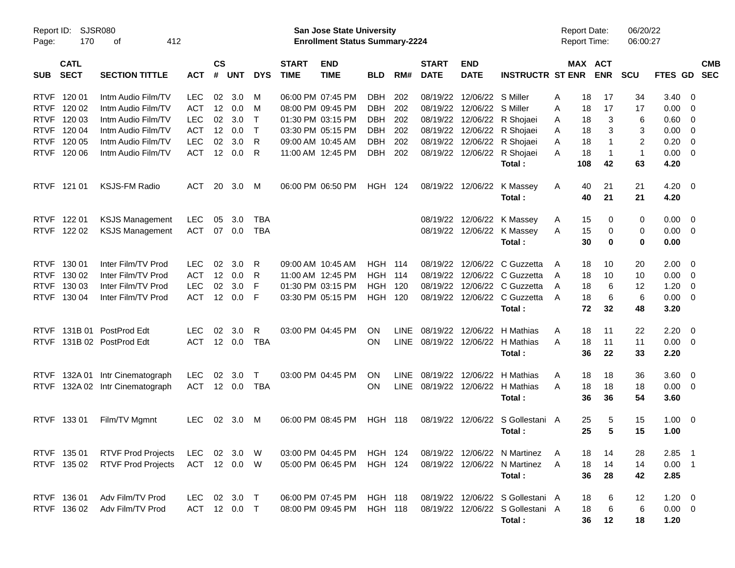| Report ID:<br>Page: | 170                        | <b>SJSR080</b><br>412<br>οf |              |                    |                |              |                             | San Jose State University<br><b>Enrollment Status Summary-2224</b> |                |             |                             |                            |                                  | <b>Report Date:</b><br><b>Report Time:</b> |                       | 06/20/22<br>06:00:27 |              |                          |            |
|---------------------|----------------------------|-----------------------------|--------------|--------------------|----------------|--------------|-----------------------------|--------------------------------------------------------------------|----------------|-------------|-----------------------------|----------------------------|----------------------------------|--------------------------------------------|-----------------------|----------------------|--------------|--------------------------|------------|
|                     |                            |                             |              |                    |                |              |                             |                                                                    |                |             |                             |                            |                                  |                                            |                       |                      |              |                          |            |
| <b>SUB</b>          | <b>CATL</b><br><b>SECT</b> | <b>SECTION TITTLE</b>       | <b>ACT</b>   | $\mathsf{cs}$<br># | <b>UNT</b>     | <b>DYS</b>   | <b>START</b><br><b>TIME</b> | <b>END</b><br><b>TIME</b>                                          | <b>BLD</b>     | RM#         | <b>START</b><br><b>DATE</b> | <b>END</b><br><b>DATE</b>  | <b>INSTRUCTR ST ENR</b>          |                                            | MAX ACT<br><b>ENR</b> | <b>SCU</b>           | FTES GD SEC  |                          | <b>CMB</b> |
| <b>RTVF</b>         | 120 01                     | Intm Audio Film/TV          | <b>LEC</b>   | 02                 | 3.0            | M            |                             | 06:00 PM 07:45 PM                                                  | DBH            | 202         |                             | 08/19/22 12/06/22 S Miller |                                  | A                                          | 18<br>17              | 34                   | 3.40         | - 0                      |            |
| <b>RTVF</b>         | 120 02                     | Intm Audio Film/TV          | <b>ACT</b>   |                    | 12 0.0         | M            |                             | 08:00 PM 09:45 PM                                                  | DBH            | 202         |                             | 08/19/22 12/06/22 S Miller |                                  | 18<br>A                                    | 17                    | 17                   | 0.00         | - 0                      |            |
| <b>RTVF</b>         | 120 03                     | Intm Audio Film/TV          | <b>LEC</b>   | 02                 | 3.0            | $\mathsf{T}$ |                             | 01:30 PM 03:15 PM                                                  | DBH            | 202         |                             |                            | 08/19/22 12/06/22 R Shojaei      | A                                          | 3<br>18               | 6                    | 0.60         | $\overline{\mathbf{0}}$  |            |
| <b>RTVF</b>         | 120 04                     | Intm Audio Film/TV          | <b>ACT</b>   | 12                 | 0.0            | $\mathsf{T}$ |                             | 03:30 PM 05:15 PM                                                  | DBH            | 202         |                             |                            | 08/19/22 12/06/22 R Shojaei      | A                                          | 3<br>18               | 3                    | 0.00         | $\overline{\mathbf{0}}$  |            |
| <b>RTVF</b>         | 120 05                     | Intm Audio Film/TV          | <b>LEC</b>   | 02                 | 3.0            | R            |                             | 09:00 AM 10:45 AM                                                  | <b>DBH</b>     | 202         |                             |                            | 08/19/22 12/06/22 R Shojaei      | 18<br>A                                    |                       | 2                    | 0.20         | $\overline{\mathbf{0}}$  |            |
| <b>RTVF</b>         | 120 06                     | Intm Audio Film/TV          | <b>ACT</b>   |                    | 12 0.0         | R            |                             | 11:00 AM 12:45 PM                                                  | DBH            | 202         |                             |                            | 08/19/22 12/06/22 R Shojaei      | 18<br>A                                    | $\mathbf 1$           | $\mathbf{1}$         | 0.00         | $\overline{\mathbf{0}}$  |            |
|                     |                            |                             |              |                    |                |              |                             |                                                                    |                |             |                             |                            | Total:                           | 108                                        | 42                    | 63                   | 4.20         |                          |            |
| <b>RTVF</b>         | 121 01                     | <b>KSJS-FM Radio</b>        | <b>ACT</b>   | 20                 | 3.0            | M            |                             | 06:00 PM 06:50 PM                                                  | <b>HGH 124</b> |             |                             | 08/19/22 12/06/22          | K Massey<br>Total:               | 40<br>A<br>40                              | 21<br>21              | 21<br>21             | 4.20<br>4.20 | $\overline{\phantom{0}}$ |            |
| <b>RTVF</b>         | 122 01                     | <b>KSJS Management</b>      | <b>LEC</b>   | 05                 | 3.0            | <b>TBA</b>   |                             |                                                                    |                |             |                             |                            | 08/19/22 12/06/22 K Massey       | A                                          | 15<br>0               | 0                    | 0.00         | - 0                      |            |
| <b>RTVF</b>         | 122 02                     | <b>KSJS Management</b>      | <b>ACT</b>   | 07                 | 0.0            | <b>TBA</b>   |                             |                                                                    |                |             |                             |                            | 08/19/22 12/06/22 K Massey       | A                                          | 15<br>0               | 0                    | 0.00         | $\overline{\phantom{0}}$ |            |
|                     |                            |                             |              |                    |                |              |                             |                                                                    |                |             |                             |                            | Total:                           |                                            | 30<br>0               | 0                    | 0.00         |                          |            |
| <b>RTVF</b>         | 130 01                     | Inter Film/TV Prod          | <b>LEC</b>   | 02                 | 3.0            | R            |                             | 09:00 AM 10:45 AM                                                  | <b>HGH 114</b> |             |                             | 08/19/22 12/06/22          | C Guzzetta                       | A                                          | 10<br>18              | 20                   | 2.00         | - 0                      |            |
| <b>RTVF</b>         | 130 02                     | Inter Film/TV Prod          | <b>ACT</b>   |                    | 12 0.0         | R            |                             | 11:00 AM 12:45 PM                                                  | <b>HGH 114</b> |             |                             |                            | 08/19/22 12/06/22 C Guzzetta     | 18<br>A                                    | 10                    | 10                   | 0.00         | - 0                      |            |
| <b>RTVF</b>         | 130 03                     | Inter Film/TV Prod          | <b>LEC</b>   | 02                 | 3.0            | F            |                             | 01:30 PM 03:15 PM                                                  | <b>HGH 120</b> |             |                             |                            | 08/19/22 12/06/22 C Guzzetta     | A                                          | 6<br>18               | 12                   | 1.20         | $\overline{\mathbf{0}}$  |            |
| <b>RTVF</b>         | 130 04                     | Inter Film/TV Prod          | <b>ACT</b>   |                    | 12 0.0         | F            |                             | 03:30 PM 05:15 PM                                                  | HGH 120        |             |                             |                            | 08/19/22 12/06/22 C Guzzetta     | A                                          | 18<br>6               | 6                    | 0.00         | - 0                      |            |
|                     |                            |                             |              |                    |                |              |                             |                                                                    |                |             |                             |                            | Total:                           |                                            | 72<br>32              | 48                   | 3.20         |                          |            |
| <b>RTVF</b>         | 131B 01                    | PostProd Edt                | <b>LEC</b>   | 02                 | 3.0            | R            |                             | 03:00 PM 04:45 PM                                                  | ON             | <b>LINE</b> |                             | 08/19/22 12/06/22          | H Mathias                        | A                                          | 18<br>11              | 22                   | 2.20         | - 0                      |            |
| <b>RTVF</b>         |                            | 131B 02 PostProd Edt        | <b>ACT</b>   |                    | $12 \t 0.0$    | <b>TBA</b>   |                             |                                                                    | <b>ON</b>      |             |                             |                            | LINE 08/19/22 12/06/22 H Mathias | 18<br>A                                    | 11                    | 11                   | 0.00         | $\overline{\phantom{0}}$ |            |
|                     |                            |                             |              |                    |                |              |                             |                                                                    |                |             |                             |                            | Total:                           |                                            | 36<br>22              | 33                   | 2.20         |                          |            |
| <b>RTVF</b>         |                            | 132A 01 Intr Cinematograph  | <b>LEC</b>   | 02                 | 3.0            | $\mathsf{T}$ |                             | 03:00 PM 04:45 PM                                                  | ON             | <b>LINE</b> |                             | 08/19/22 12/06/22          | H Mathias                        | A                                          | 18<br>18              | 36                   | 3.60         | $\overline{\phantom{0}}$ |            |
| <b>RTVF</b>         |                            | 132A 02 Intr Cinematograph  | <b>ACT</b>   |                    | 12 0.0         | <b>TBA</b>   |                             |                                                                    | <b>ON</b>      |             |                             |                            | LINE 08/19/22 12/06/22 H Mathias | A                                          | 18<br>18              | 18                   | 0.00         | $\overline{\phantom{0}}$ |            |
|                     |                            |                             |              |                    |                |              |                             |                                                                    |                |             |                             |                            | Total:                           |                                            | 36<br>36              | 54                   | 3.60         |                          |            |
| <b>RTVF</b>         | 133 01                     | Film/TV Mgmnt               | <b>LEC</b>   |                    | $02 \quad 3.0$ | M            |                             | 06:00 PM 08:45 PM                                                  | <b>HGH 118</b> |             |                             | 08/19/22 12/06/22          | S Gollestani A                   | 25                                         | 5                     | 15                   | 1.00         | $\overline{\mathbf{0}}$  |            |
|                     |                            |                             |              |                    |                |              |                             |                                                                    |                |             |                             |                            | Total:                           |                                            | 25<br>5               | 15                   | 1.00         |                          |            |
|                     | RTVF 135 01                | <b>RTVF Prod Projects</b>   | LEC 02 3.0 W |                    |                |              |                             | 03:00 PM 04:45 PM HGH 124                                          |                |             |                             |                            | 08/19/22 12/06/22 N Martinez     | A                                          | 14<br>18              | 28                   | $2.85$ 1     |                          |            |
|                     | RTVF 135 02                | <b>RTVF Prod Projects</b>   | ACT 12 0.0 W |                    |                |              |                             | 05:00 PM 06:45 PM                                                  | HGH 124        |             |                             |                            | 08/19/22 12/06/22 N Martinez     | A                                          | 18<br>14              | 14                   | $0.00$ 1     |                          |            |
|                     |                            |                             |              |                    |                |              |                             |                                                                    |                |             |                             |                            | Total:                           |                                            | 36<br>28              | 42                   | 2.85         |                          |            |
|                     | RTVF 136 01                | Adv Film/TV Prod            |              |                    | LEC 02 3.0 T   |              |                             | 06:00 PM 07:45 PM HGH 118                                          |                |             |                             |                            | 08/19/22 12/06/22 S Gollestani A |                                            | 18<br>6               | 12                   | $1.20 \t 0$  |                          |            |
|                     | RTVF 136 02                | Adv Film/TV Prod            |              |                    | ACT 12 0.0 T   |              |                             | 08:00 PM 09:45 PM                                                  | <b>HGH 118</b> |             |                             |                            | 08/19/22 12/06/22 S Gollestani A |                                            | 18<br>6               | 6                    | $0.00 \t 0$  |                          |            |
|                     |                            |                             |              |                    |                |              |                             |                                                                    |                |             |                             |                            | Total:                           |                                            | 36<br>12              | 18                   | 1.20         |                          |            |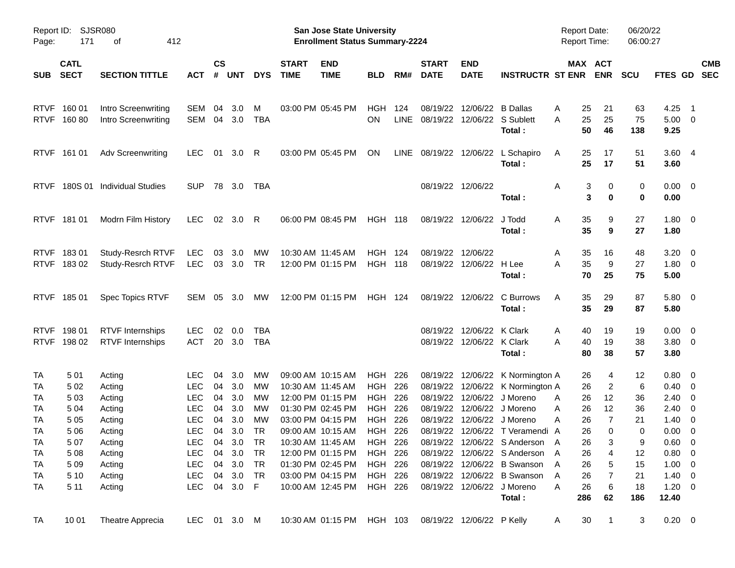| Report ID:<br>Page:    | 171                        | SJSR080<br>412<br>оf                              |                          |                    |            |            |                             | <b>San Jose State University</b><br><b>Enrollment Status Summary-2224</b> |                   |             |                                         |                           |                                                 | <b>Report Date:</b><br><b>Report Time:</b> |                       | 06/20/22<br>06:00:27 |                              |                          |
|------------------------|----------------------------|---------------------------------------------------|--------------------------|--------------------|------------|------------|-----------------------------|---------------------------------------------------------------------------|-------------------|-------------|-----------------------------------------|---------------------------|-------------------------------------------------|--------------------------------------------|-----------------------|----------------------|------------------------------|--------------------------|
| <b>SUB</b>             | <b>CATL</b><br><b>SECT</b> | <b>SECTION TITTLE</b>                             | <b>ACT</b>               | $\mathsf{cs}$<br># | <b>UNT</b> | <b>DYS</b> | <b>START</b><br><b>TIME</b> | <b>END</b><br><b>TIME</b>                                                 | <b>BLD</b>        | RM#         | <b>START</b><br><b>DATE</b>             | <b>END</b><br><b>DATE</b> | <b>INSTRUCTR ST ENR</b>                         |                                            | MAX ACT<br><b>ENR</b> | <b>SCU</b>           | FTES GD                      | <b>CMB</b><br><b>SEC</b> |
| <b>RTVF</b>            | 160 01<br>RTVF 160 80      | Intro Screenwriting<br><b>Intro Screenwriting</b> | <b>SEM</b><br><b>SEM</b> | 04<br>04           | 3.0<br>3.0 | M<br>TBA   |                             | 03:00 PM 05:45 PM                                                         | HGH<br>OΝ         | 124<br>LINE | 08/19/22<br>08/19/22 12/06/22 S Sublett | 12/06/22 B Dallas         |                                                 | 25<br>Α<br>25<br>Α                         | 21<br>25              | 63<br>75             | 4.25<br>$5.00 \t 0$          | $\blacksquare$ 1         |
|                        |                            |                                                   |                          |                    |            |            |                             |                                                                           |                   |             |                                         |                           | Total:                                          | 50                                         | 46                    | 138                  | 9.25                         |                          |
|                        | RTVF 161 01                | <b>Adv Screenwriting</b>                          | LEC.                     | 01                 | 3.0        | R          |                             | 03:00 PM 05:45 PM                                                         | <b>ON</b>         |             |                                         |                           | LINE 08/19/22 12/06/22 L Schapiro<br>Total:     | 25<br>Α<br>25                              | 17<br>17              | 51<br>51             | 3.604<br>3.60                |                          |
| <b>RTVF</b>            |                            | 180S 01 Individual Studies                        | <b>SUP</b>               |                    | 78 3.0     | TBA        |                             |                                                                           |                   |             |                                         | 08/19/22 12/06/22         | Total:                                          | 3<br>Α                                     | 0<br>3<br>$\bf{0}$    | 0<br>0               | $0.00 \t 0$<br>0.00          |                          |
|                        | RTVF 181 01                | Modrn Film History                                | LEC.                     |                    | 02 3.0     | R          |                             | 06:00 PM 08:45 PM                                                         | <b>HGH 118</b>    |             |                                         | 08/19/22 12/06/22 J Todd  | Total:                                          | 35<br>Α<br>35                              | 9<br>9                | 27<br>27             | $1.80 \ 0$<br>1.80           |                          |
|                        | RTVF 18301                 | Study-Resrch RTVF                                 | <b>LEC</b>               | 03                 | 3.0        | МW         |                             | 10:30 AM 11:45 AM                                                         | HGH               | 124         | 08/19/22                                | 12/06/22                  |                                                 | 35<br>Α                                    | 16                    | 48                   | $3.20 \ 0$                   |                          |
|                        | RTVF 18302                 | Study-Resrch RTVF                                 | <b>LEC</b>               |                    | 03 3.0     | TR         |                             | 12:00 PM 01:15 PM                                                         | <b>HGH 118</b>    |             |                                         | 08/19/22 12/06/22 H Lee   | Total :                                         | 35<br>А<br>70                              | 9<br>25               | 27<br>75             | $1.80 \ 0$<br>5.00           |                          |
|                        | RTVF 185 01                | Spec Topics RTVF                                  | SEM                      |                    | 05 3.0     | МW         |                             | 12:00 PM 01:15 PM                                                         | <b>HGH 124</b>    |             |                                         |                           | 08/19/22 12/06/22 C Burrows<br>Total:           | 35<br>A<br>35                              | 29<br>29              | 87<br>87             | 5.80 0<br>5.80               |                          |
| <b>RTVF</b>            | 198 01                     | <b>RTVF</b> Internships                           | <b>LEC</b>               | 02                 | 0.0        | TBA        |                             |                                                                           |                   |             |                                         | 08/19/22 12/06/22 K Clark |                                                 | 40<br>Α                                    | 19                    | 19                   | $0.00 \t 0$                  |                          |
|                        | RTVF 198 02                | <b>RTVF</b> Internships                           | ACT                      |                    | 20 3.0     | <b>TBA</b> |                             |                                                                           |                   |             |                                         | 08/19/22 12/06/22 K Clark | Total:                                          | А<br>40<br>80                              | 19<br>38              | 38<br>57             | $3.80\ 0$<br>3.80            |                          |
| <b>TA</b>              | 501                        | Acting                                            | <b>LEC</b>               | 04                 | 3.0        | <b>MW</b>  |                             | 09:00 AM 10:15 AM                                                         | HGH               | 226         |                                         |                           | 08/19/22 12/06/22 K Normington A                | 26                                         | 4                     | 12                   | $0.80 \quad 0$               |                          |
| TA                     | 5 0 2                      | Acting                                            | <b>LEC</b>               | 04                 | 3.0        | МW         |                             | 10:30 AM 11:45 AM                                                         | <b>HGH</b>        | 226         |                                         |                           | 08/19/22 12/06/22 K Normington A                | 26                                         | $\overline{c}$        | 6                    | $0.40 \ 0$                   |                          |
| <b>TA</b><br><b>TA</b> | 503<br>5 0 4               | Acting<br>Acting                                  | <b>LEC</b><br><b>LEC</b> | 04<br>04           | 3.0<br>3.0 | MW<br>МW   |                             | 12:00 PM 01:15 PM<br>01:30 PM 02:45 PM                                    | <b>HGH</b><br>HGH | 226<br>226  | 08/19/22                                |                           | 12/06/22 J Moreno<br>08/19/22 12/06/22 J Moreno | 26<br>Α<br>26<br>Α                         | 12<br>12              | 36<br>36             | $2.40 \ 0$<br>$2.40 \quad 0$ |                          |
| <b>TA</b>              | 5 0 5                      | Acting                                            | <b>LEC</b>               | 04                 | 3.0        | MW         |                             | 03:00 PM 04:15 PM                                                         | <b>HGH</b>        | 226         | 08/19/22                                |                           | 12/06/22 J Moreno                               | 26<br>Α                                    | $\overline{7}$        | 21                   | $1.40 \ 0$                   |                          |
| <b>TA</b>              | 5 0 6                      | Acting                                            | <b>LEC</b>               | 04                 | 3.0        | <b>TR</b>  |                             | 09:00 AM 10:15 AM                                                         | HGH 226           |             |                                         |                           | 08/19/22 12/06/22 T Veramendi A                 | 26                                         | $\Omega$              | 0                    | $0.00 \t 0$                  |                          |
| <b>TA</b>              | 507                        | Acting                                            | LEC                      |                    | 04 3.0     | <b>TR</b>  |                             | 10:30 AM 11:45 AM                                                         | HGH 226           |             |                                         |                           | 08/19/22 12/06/22 S Anderson A                  | 26                                         | 3                     | 9                    | $0.60 \t 0$                  |                          |
| <b>TA</b>              | 5 0 8                      | Acting                                            | LEC.                     |                    | 04 3.0     | - TR       |                             | 12:00 PM 01:15 PM                                                         | HGH 226           |             |                                         |                           | 08/19/22 12/06/22 S Anderson A                  | 26                                         | 4                     | 12                   | 0.80 0                       |                          |
| <b>TA</b>              | 5 0 9                      | Acting                                            | <b>LEC</b>               |                    | 04 3.0     | <b>TR</b>  |                             | 01:30 PM 02:45 PM                                                         | HGH 226           |             |                                         |                           | 08/19/22 12/06/22 B Swanson                     | 26<br>A                                    | 5                     | 15                   | $1.00 \t 0$                  |                          |
| <b>TA</b>              | 5 1 0                      | Acting                                            | <b>LEC</b>               |                    | 04 3.0 TR  |            |                             | 03:00 PM 04:15 PM                                                         | HGH 226           |             |                                         |                           | 08/19/22 12/06/22 B Swanson                     | 26<br>A                                    | 7                     | 21                   | $1.40 \ 0$                   |                          |
| <b>TA</b>              | 5 1 1                      | Acting                                            | LEC                      |                    | 04 3.0 F   |            |                             | 10:00 AM 12:45 PM                                                         | HGH 226           |             |                                         |                           | 08/19/22 12/06/22 J Moreno<br>Total:            | 26<br>Α<br>286                             | 6<br>62               | 18<br>186            | $1.20 \t 0$<br>12.40         |                          |
| <b>TA</b>              | 10 01                      | Theatre Apprecia                                  | LEC 01 3.0 M             |                    |            |            |                             | 10:30 AM 01:15 PM HGH 103                                                 |                   |             |                                         | 08/19/22 12/06/22 P Kelly |                                                 | 30<br>A                                    | $\mathbf{1}$          | 3                    | $0.20 \ 0$                   |                          |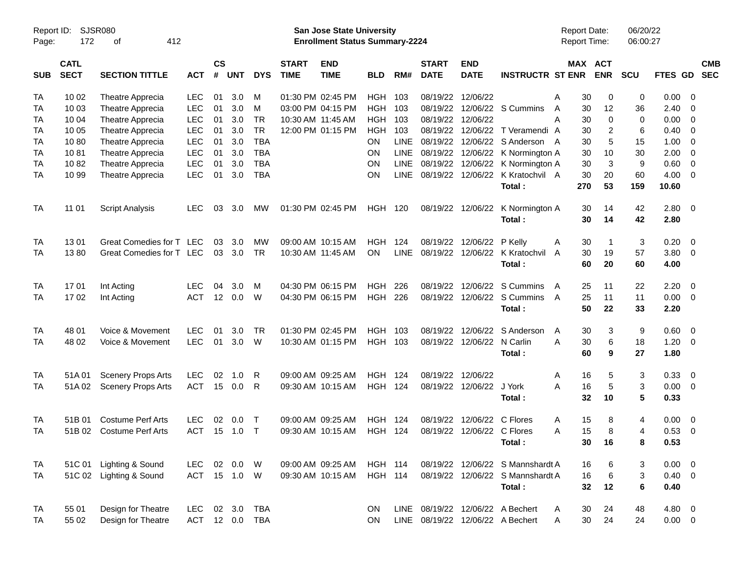| Page:      | Report ID: SJSR080<br>172  |                           |              |                    |            |            | San Jose State University<br><b>Enrollment Status Summary-2224</b> |                           |                |             |                             |                            | <b>Report Date:</b><br><b>Report Time:</b> |         | 06/20/22<br>06:00:27 |                |             |                          |                          |
|------------|----------------------------|---------------------------|--------------|--------------------|------------|------------|--------------------------------------------------------------------|---------------------------|----------------|-------------|-----------------------------|----------------------------|--------------------------------------------|---------|----------------------|----------------|-------------|--------------------------|--------------------------|
| <b>SUB</b> | <b>CATL</b><br><b>SECT</b> | <b>SECTION TITTLE</b>     | <b>ACT</b>   | $\mathsf{cs}$<br># | <b>UNT</b> | <b>DYS</b> | <b>START</b><br><b>TIME</b>                                        | <b>END</b><br><b>TIME</b> | <b>BLD</b>     | RM#         | <b>START</b><br><b>DATE</b> | <b>END</b><br><b>DATE</b>  | <b>INSTRUCTR ST ENR</b>                    | MAX ACT | <b>ENR</b>           | <b>SCU</b>     | FTES GD     |                          | <b>CMB</b><br><b>SEC</b> |
| TA         | 10 02                      | Theatre Apprecia          | <b>LEC</b>   | 01                 | 3.0        | м          |                                                                    | 01:30 PM 02:45 PM         | HGH            | 103         |                             | 08/19/22 12/06/22          |                                            | Α<br>30 | 0                    | 0              | 0.00        | - 0                      |                          |
| <b>TA</b>  | 10 03                      | Theatre Apprecia          | <b>LEC</b>   | 01                 | 3.0        | M          |                                                                    | 03:00 PM 04:15 PM         | <b>HGH</b>     | 103         |                             |                            | 08/19/22 12/06/22 S Cummins                | 30<br>A | 12                   | 36             | 2.40        | $\overline{0}$           |                          |
| <b>TA</b>  | 10 04                      | <b>Theatre Apprecia</b>   | <b>LEC</b>   | 01                 | 3.0        | <b>TR</b>  |                                                                    | 10:30 AM 11:45 AM         | <b>HGH</b>     | 103         | 08/19/22                    | 12/06/22                   |                                            | Α<br>30 | 0                    | 0              | 0.00        | - 0                      |                          |
| <b>TA</b>  | 10 05                      | Theatre Apprecia          | <b>LEC</b>   | 01                 | 3.0        | <b>TR</b>  |                                                                    | 12:00 PM 01:15 PM         | <b>HGH</b>     | 103         |                             |                            | 08/19/22 12/06/22 T Veramendi A            | 30      | 2                    | 6              | 0.40        | $\overline{0}$           |                          |
| <b>TA</b>  | 1080                       | Theatre Apprecia          | <b>LEC</b>   | 01                 | 3.0        | <b>TBA</b> |                                                                    |                           | ON             | LINE        | 08/19/22                    |                            | 12/06/22 S Anderson A                      | 30      | 5                    | 15             | 1.00        | $\overline{0}$           |                          |
| <b>TA</b>  | 1081                       | Theatre Apprecia          | <b>LEC</b>   | 01                 | 3.0        | <b>TBA</b> |                                                                    |                           | ON             | LINE        |                             |                            | 08/19/22 12/06/22 K Normington A           | 30      | 10                   | 30             | 2.00        | $\overline{0}$           |                          |
| <b>TA</b>  | 1082                       | Theatre Apprecia          | <b>LEC</b>   | 01                 | 3.0        | <b>TBA</b> |                                                                    |                           | <b>ON</b>      | LINE        |                             |                            | 08/19/22 12/06/22 K Normington A           | 30      | 3                    | 9              | 0.60        | $\overline{0}$           |                          |
| TA         | 10 99                      | Theatre Apprecia          | <b>LEC</b>   | 01                 | 3.0        | <b>TBA</b> |                                                                    |                           | ON             | <b>LINE</b> |                             |                            | 08/19/22 12/06/22 K Kratochvil A           | 30      | 20                   | 60             | 4.00        | $\overline{0}$           |                          |
|            |                            |                           |              |                    |            |            |                                                                    |                           |                |             |                             |                            | Total:                                     | 270     | 53                   | 159            | 10.60       |                          |                          |
| TA         | 11 01                      | <b>Script Analysis</b>    | <b>LEC</b>   | 03                 | 3.0        | MW         |                                                                    | 01:30 PM 02:45 PM         | HGH 120        |             |                             | 08/19/22 12/06/22          | K Normington A                             | 30      | 14                   | 42             | $2.80 \t 0$ |                          |                          |
|            |                            |                           |              |                    |            |            |                                                                    |                           |                |             |                             |                            | Total:                                     | 30      | 14                   | 42             | 2.80        |                          |                          |
| TA         | 1301                       | Great Comedies for T LEC  |              | 03                 | 3.0        | MW         |                                                                    | 09:00 AM 10:15 AM         | <b>HGH</b>     | 124         | 08/19/22                    | 12/06/22 P Kelly           |                                            | 30<br>Α | -1                   | 3              | 0.20        | $\overline{0}$           |                          |
| TA         | 1380                       | Great Comedies for T LEC  |              | 03                 | 3.0        | <b>TR</b>  |                                                                    | 10:30 AM 11:45 AM         | ON             | <b>LINE</b> |                             |                            | 08/19/22 12/06/22 K Kratochvil             | 30<br>A | 19                   | 57             | 3.80        | $\overline{0}$           |                          |
|            |                            |                           |              |                    |            |            |                                                                    |                           |                |             |                             |                            | Total:                                     | 60      | 20                   | 60             | 4.00        |                          |                          |
| TA         | 1701                       | Int Acting                | <b>LEC</b>   | 04                 | 3.0        | M          |                                                                    | 04:30 PM 06:15 PM         | <b>HGH</b>     | 226         | 08/19/22                    |                            | 12/06/22 S Cummins                         | 25<br>A | 11                   | 22             | 2.20        | $\overline{0}$           |                          |
| TA         | 1702                       | Int Acting                | <b>ACT</b>   |                    | 12 0.0     | W          |                                                                    | 04:30 PM 06:15 PM         | HGH            | 226         |                             |                            | 08/19/22 12/06/22 S Cummins                | 25<br>A | 11                   | 11             | 0.00        | $\overline{\phantom{0}}$ |                          |
|            |                            |                           |              |                    |            |            |                                                                    |                           |                |             |                             |                            | Total:                                     | 50      | 22                   | 33             | 2.20        |                          |                          |
| <b>TA</b>  | 48 01                      | Voice & Movement          | <b>LEC</b>   | 01                 | 3.0        | <b>TR</b>  |                                                                    | 01:30 PM 02:45 PM         | <b>HGH</b>     | 103         | 08/19/22                    |                            | 12/06/22 S Anderson                        | 30<br>A | 3                    | 9              | 0.60        | $\overline{\phantom{0}}$ |                          |
| TA         | 48 02                      | Voice & Movement          | <b>LEC</b>   | 01                 | 3.0        | W          |                                                                    | 10:30 AM 01:15 PM         | HGH 103        |             |                             | 08/19/22 12/06/22 N Carlin |                                            | А<br>30 | 6                    | 18             | 1.20        | $\overline{\phantom{0}}$ |                          |
|            |                            |                           |              |                    |            |            |                                                                    |                           |                |             |                             |                            | Total:                                     | 60      | 9                    | 27             | 1.80        |                          |                          |
| <b>TA</b>  | 51A 01                     | <b>Scenery Props Arts</b> | <b>LEC</b>   | 02                 | 1.0        | R          |                                                                    | 09:00 AM 09:25 AM         | <b>HGH</b>     | 124         | 08/19/22 12/06/22           |                            |                                            | 16<br>Α | 5                    | 3              | 0.33        | - 0                      |                          |
| TA         | 51A 02                     | <b>Scenery Props Arts</b> | <b>ACT</b>   | 15                 | 0.0        | R          |                                                                    | 09:30 AM 10:15 AM         | <b>HGH 124</b> |             |                             | 08/19/22 12/06/22 J York   |                                            | 16<br>А | 5                    | 3              | 0.00        | $\overline{\mathbf{0}}$  |                          |
|            |                            |                           |              |                    |            |            |                                                                    |                           |                |             |                             |                            | Total:                                     | 32      | 10                   | 5              | 0.33        |                          |                          |
| TA         | 51B 01                     | <b>Costume Perf Arts</b>  | <b>LEC</b>   | 02                 | 0.0        | $\top$     |                                                                    | 09:00 AM 09:25 AM         | <b>HGH</b>     | 124         | 08/19/22                    | 12/06/22 C Flores          |                                            | 15<br>Α | 8                    | 4              | 0.00        | $\overline{0}$           |                          |
| TA         | 51B 02                     | <b>Costume Perf Arts</b>  | <b>ACT</b>   | 15                 | 1.0        | $\top$     |                                                                    | 09:30 AM 10:15 AM         | <b>HGH 124</b> |             |                             | 08/19/22 12/06/22 C Flores |                                            | 15<br>Α | 8                    | $\overline{4}$ | 0.53        | - 0                      |                          |
|            |                            |                           |              |                    |            |            |                                                                    |                           |                |             |                             |                            | Total:                                     |         | 30 16                | 8              | 0.53        |                          |                          |
| TA         |                            | 51C 01 Lighting & Sound   | LEC.         | 02                 | 0.0 W      |            |                                                                    | 09:00 AM 09:25 AM         | <b>HGH 114</b> |             |                             |                            | 08/19/22 12/06/22 S Mannshardt A           | 16      | 6                    | 3              | $0.00 \t 0$ |                          |                          |
| TA         |                            | 51C 02 Lighting & Sound   | ACT 15 1.0 W |                    |            |            |                                                                    | 09:30 AM 10:15 AM         | <b>HGH 114</b> |             |                             |                            | 08/19/22 12/06/22 S Mannshardt A           | 16      | 6                    | 3              | $0.40 \ 0$  |                          |                          |
|            |                            |                           |              |                    |            |            |                                                                    |                           |                |             |                             |                            | Total:                                     | 32      | 12                   | 6              | 0.40        |                          |                          |
| TA         | 55 01                      | Design for Theatre        | <b>LEC</b>   |                    | 02 3.0     | <b>TBA</b> |                                                                    |                           | ON             |             |                             |                            | LINE 08/19/22 12/06/22 A Bechert           | 30<br>A | 24                   | 48             | 4.80 0      |                          |                          |
| <b>TA</b>  | 55 02                      | Design for Theatre        | <b>ACT</b>   |                    | 12 0.0     | <b>TBA</b> |                                                                    |                           | ON             |             |                             |                            | LINE 08/19/22 12/06/22 A Bechert           | 30<br>Α | 24                   | 24             | $0.00 \t 0$ |                          |                          |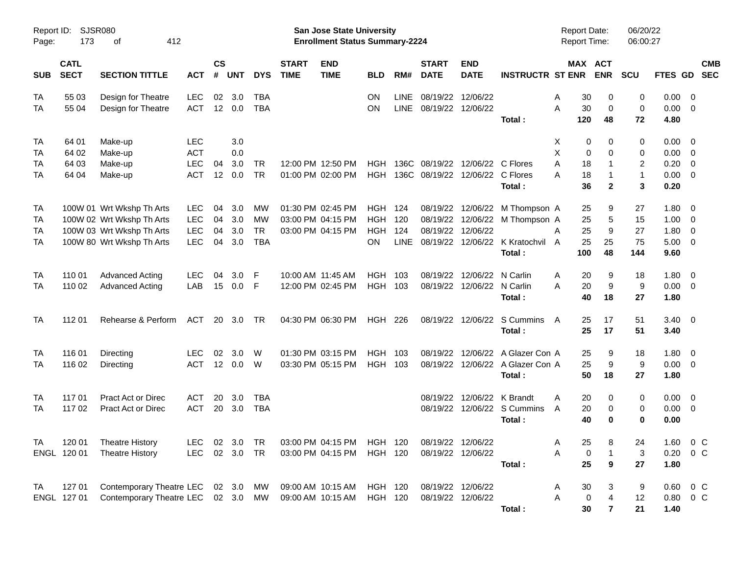| <b>SJSR080</b><br>Report ID:<br>173<br>412<br>Page:<br>οf |                                  |                                                                                                                  |                                               |                      |                          |                                            |                             | <b>San Jose State University</b><br><b>Enrollment Status Summary-2224</b>      |                                                         |                           |                                              |                                        |                                                                   | Report Date:<br>Report Time: |                             |                                    | 06/20/22<br>06:00:27                          |                                      |                                                |                          |
|-----------------------------------------------------------|----------------------------------|------------------------------------------------------------------------------------------------------------------|-----------------------------------------------|----------------------|--------------------------|--------------------------------------------|-----------------------------|--------------------------------------------------------------------------------|---------------------------------------------------------|---------------------------|----------------------------------------------|----------------------------------------|-------------------------------------------------------------------|------------------------------|-----------------------------|------------------------------------|-----------------------------------------------|--------------------------------------|------------------------------------------------|--------------------------|
| <b>SUB</b>                                                | <b>CATL</b><br><b>SECT</b>       | <b>SECTION TITTLE</b>                                                                                            | <b>ACT</b>                                    | <b>CS</b><br>#       | <b>UNT</b>               | <b>DYS</b>                                 | <b>START</b><br><b>TIME</b> | <b>END</b><br><b>TIME</b>                                                      | <b>BLD</b>                                              | RM#                       | <b>START</b><br><b>DATE</b>                  | <b>END</b><br><b>DATE</b>              | <b>INSTRUCTR ST ENR</b>                                           |                              | MAX ACT                     | <b>ENR</b>                         | <b>SCU</b>                                    | FTES GD                              |                                                | <b>CMB</b><br><b>SEC</b> |
| TA<br><b>TA</b>                                           | 55 03<br>55 04                   | Design for Theatre<br>Design for Theatre                                                                         | <b>LEC</b><br><b>ACT</b>                      | 02<br>12             | 3.0<br>0.0               | <b>TBA</b><br><b>TBA</b>                   |                             |                                                                                | ON<br>ON                                                | LINE<br>LINE              | 08/19/22<br>08/19/22                         | 12/06/22<br>12/06/22                   | Total:                                                            | Α<br>A                       | 30<br>30<br>120             | 0<br>0<br>48                       | 0<br>0<br>72                                  | 0.00<br>0.00<br>4.80                 | $\mathbf 0$<br>$\mathbf 0$                     |                          |
| TA<br>TA<br>TA<br>TA                                      | 64 01<br>64 02<br>64 03<br>64 04 | Make-up<br>Make-up<br>Make-up<br>Make-up                                                                         | <b>LEC</b><br><b>ACT</b><br>LEC<br><b>ACT</b> | 04<br>12             | 3.0<br>0.0<br>3.0<br>0.0 | TR<br><b>TR</b>                            |                             | 12:00 PM 12:50 PM<br>01:00 PM 02:00 PM                                         | <b>HGH</b><br><b>HGH</b>                                | 136C                      | 08/19/22<br>136C 08/19/22                    | 12/06/22 C Flores                      | 12/06/22 C Flores<br>Total:                                       | X<br>X<br>A<br>A             | 0<br>0<br>18<br>18<br>36    | 0<br>$\Omega$<br>1<br>$\mathbf{2}$ | 0<br>0<br>$\overline{2}$<br>$\mathbf{1}$<br>3 | 0.00<br>0.00<br>0.20<br>0.00<br>0.20 | 0<br>$\mathbf 0$<br>$\mathbf 0$<br>$\mathbf 0$ |                          |
| TA<br>TA<br>TA<br><b>TA</b>                               |                                  | 100W 01 Wrt Wkshp Th Arts<br>100W 02 Wrt Wkshp Th Arts<br>100W 03 Wrt Wkshp Th Arts<br>100W 80 Wrt Wkshp Th Arts | <b>LEC</b><br><b>LEC</b><br>LEC<br><b>LEC</b> | 04<br>04<br>04<br>04 | 3.0<br>3.0<br>3.0<br>3.0 | МW<br><b>MW</b><br><b>TR</b><br><b>TBA</b> |                             | 01:30 PM 02:45 PM<br>03:00 PM 04:15 PM<br>03:00 PM 04:15 PM                    | <b>HGH 124</b><br><b>HGH</b><br><b>HGH</b><br><b>ON</b> | 120<br>124<br><b>LINE</b> | 08/19/22<br>08/19/22<br>08/19/22<br>08/19/22 | 12/06/22<br>12/06/22<br>12/06/22       | M Thompson A<br>M Thompson A<br>12/06/22 K Kratochvil A<br>Total: | Α                            | 25<br>25<br>25<br>25<br>100 | 9<br>5<br>9<br>25<br>48            | 27<br>15<br>27<br>75<br>144                   | 1.80<br>1.00<br>1.80<br>5.00<br>9.60 | 0<br>0<br>0<br>$\mathbf 0$                     |                          |
| TA<br>TA                                                  | 110 01<br>110 02                 | <b>Advanced Acting</b><br><b>Advanced Acting</b>                                                                 | <b>LEC</b><br>LAB                             | 04<br>15             | 3.0<br>0.0               | F<br>-F                                    |                             | 10:00 AM 11:45 AM<br>12:00 PM 02:45 PM                                         | HGH<br>HGH 103                                          | 103                       | 08/19/22<br>08/19/22                         | 12/06/22<br>12/06/22                   | N Carlin<br>N Carlin<br>Total:                                    | Α<br>A                       | 20<br>20<br>40              | 9<br>9<br>18                       | 18<br>9<br>27                                 | 1.80<br>0.00<br>1.80                 | 0<br>$\overline{0}$                            |                          |
| TA                                                        | 112 01                           | Rehearse & Perform                                                                                               | ACT                                           |                      | 20 3.0                   | TR                                         |                             | 04:30 PM 06:30 PM                                                              | <b>HGH 226</b>                                          |                           | 08/19/22                                     | 12/06/22                               | S Cummins<br>Total:                                               | A                            | 25<br>25                    | 17<br>17                           | 51<br>51                                      | 3.40<br>3.40                         | $\overline{0}$                                 |                          |
| TA<br>TA                                                  | 116 01<br>116 02                 | Directing<br>Directing                                                                                           | <b>LEC</b><br><b>ACT</b>                      | 02<br>12             | 3.0<br>0.0               | W<br>W                                     |                             | 01:30 PM 03:15 PM<br>03:30 PM 05:15 PM                                         | HGH<br>HGH 103                                          | 103                       | 08/19/22<br>08/19/22                         | 12/06/22                               | A Glazer Con A<br>12/06/22 A Glazer Con A<br>Total:               |                              | 25<br>25<br>50              | 9<br>9<br>18                       | 18<br>9<br>27                                 | 1.80<br>0.00<br>1.80                 | 0<br>$\overline{0}$                            |                          |
| TA<br>TA                                                  | 117 01<br>117 02                 | Pract Act or Direc<br><b>Pract Act or Direc</b>                                                                  | <b>ACT</b><br><b>ACT</b>                      | 20<br>20             | 3.0<br>3.0               | <b>TBA</b><br><b>TBA</b>                   |                             |                                                                                |                                                         |                           | 08/19/22<br>08/19/22                         |                                        | 12/06/22 K Brandt<br>12/06/22 S Cummins<br>Total:                 | A<br>A                       | 20<br>20<br>40              | 0<br>0<br>$\bf{0}$                 | 0<br>0<br>$\mathbf 0$                         | 0.00<br>0.00<br>0.00                 | $\mathbf 0$<br>0                               |                          |
| <b>TA</b>                                                 | ENGL 120 01                      | 120 01 Theatre History<br><b>Theatre History</b>                                                                 | <b>LEC</b>                                    |                      | 02 3.0                   | TR                                         |                             | LEC 02 3.0 TR 03:00 PM 04:15 PM HGH 120 08/19/22 12/06/22<br>03:00 PM 04:15 PM | HGH 120                                                 |                           |                                              | 08/19/22 12/06/22                      | Total:                                                            | Α<br>Α                       | 25<br>0<br>25               | 8<br>9                             | 24<br>3<br>27                                 | 1.60 0 C<br>0.20<br>1.80             | 0 <sup>o</sup>                                 |                          |
| TA                                                        | 127 01<br>ENGL 127 01            | Contemporary Theatre LEC 02 3.0 MW<br>Contemporary Theatre LEC 02 3.0 MW                                         |                                               |                      |                          |                                            |                             | 09:00 AM 10:15 AM<br>09:00 AM 10:15 AM                                         | HGH 120<br>HGH 120                                      |                           |                                              | 08/19/22 12/06/22<br>08/19/22 12/06/22 | Total:                                                            | Α<br>Α                       | 30<br>0<br>30               | 3<br>4<br>$\overline{\mathbf{r}}$  | 9<br>12<br>21                                 | 0.60<br>0.80<br>1.40                 | $0\,$ C<br>0 <sup>o</sup>                      |                          |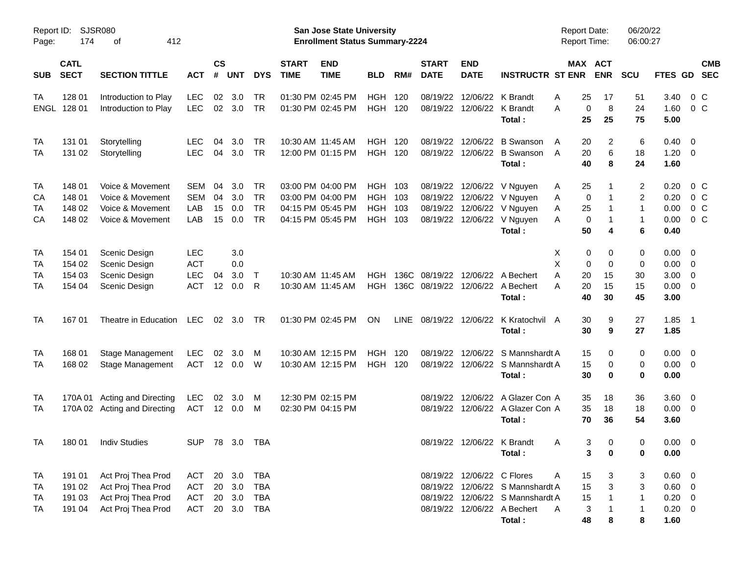| Report ID:<br>Page: | 174                        | <b>SJSR080</b><br>412<br>οf          |                |                    |            |                        |                             | San Jose State University<br><b>Enrollment Status Summary-2224</b> |                          |             |                             |                            |                                        | <b>Report Date:</b><br><b>Report Time:</b> |                                  | 06/20/22<br>06:00:27    |                     |                                  |            |
|---------------------|----------------------------|--------------------------------------|----------------|--------------------|------------|------------------------|-----------------------------|--------------------------------------------------------------------|--------------------------|-------------|-----------------------------|----------------------------|----------------------------------------|--------------------------------------------|----------------------------------|-------------------------|---------------------|----------------------------------|------------|
| <b>SUB</b>          | <b>CATL</b><br><b>SECT</b> | <b>SECTION TITTLE</b>                | <b>ACT</b>     | $\mathsf{cs}$<br># | <b>UNT</b> | <b>DYS</b>             | <b>START</b><br><b>TIME</b> | <b>END</b><br><b>TIME</b>                                          | <b>BLD</b>               | RM#         | <b>START</b><br><b>DATE</b> | <b>END</b><br><b>DATE</b>  | <b>INSTRUCTR ST ENR</b>                |                                            | MAX ACT<br><b>ENR</b>            | SCU                     | <b>FTES GD</b>      | <b>SEC</b>                       | <b>CMB</b> |
| TA                  | 128 01                     | Introduction to Play                 | <b>LEC</b>     | 02                 | 3.0        | <b>TR</b>              |                             | 01:30 PM 02:45 PM                                                  | <b>HGH</b>               | 120         | 08/19/22                    |                            | 12/06/22 K Brandt                      | 25<br>A                                    | 17                               | 51                      | 3.40                | 0 C                              |            |
| <b>ENGL</b>         | 128 01                     | Introduction to Play                 | <b>LEC</b>     |                    | 02 3.0     | <b>TR</b>              |                             | 01:30 PM 02:45 PM                                                  | <b>HGH 120</b>           |             | 08/19/22                    |                            | 12/06/22 K Brandt                      | Α<br>25                                    | 8<br>0<br>25                     | 24<br>75                | 1.60                | $0\,C$                           |            |
|                     |                            |                                      |                |                    |            |                        |                             |                                                                    |                          |             |                             |                            | Total:                                 |                                            |                                  |                         | 5.00                |                                  |            |
| TA                  | 131 01                     | Storytelling                         | <b>LEC</b>     | 04                 | 3.0        | <b>TR</b>              |                             | 10:30 AM 11:45 AM                                                  | <b>HGH</b>               | 120         | 08/19/22                    |                            | 12/06/22 B Swanson                     | A<br>20                                    | 2                                | 6                       | 0.40                | $\overline{\mathbf{0}}$          |            |
| TA                  | 131 02                     | Storytelling                         | <b>LEC</b>     | 04                 | 3.0        | <b>TR</b>              |                             | 12:00 PM 01:15 PM                                                  | <b>HGH 120</b>           |             | 08/19/22                    |                            | 12/06/22 B Swanson<br>Total:           | 20<br>A<br>40                              | 6<br>8                           | 18<br>24                | $1.20 \t 0$<br>1.60 |                                  |            |
|                     |                            |                                      |                |                    |            |                        |                             |                                                                    |                          |             |                             |                            |                                        |                                            |                                  |                         |                     |                                  |            |
| TA                  | 148 01                     | Voice & Movement                     | SEM            | 04                 | 3.0        | <b>TR</b>              |                             | 03:00 PM 04:00 PM                                                  | <b>HGH</b>               | 103         | 08/19/22                    |                            | 12/06/22 V Nguyen                      | 25<br>A                                    | 1                                | $\overline{\mathbf{c}}$ | 0.20                | 0 C                              |            |
| CА<br>TA            | 148 01<br>148 02           | Voice & Movement<br>Voice & Movement | SEM<br>LAB     | 04<br>15           | 3.0<br>0.0 | <b>TR</b><br><b>TR</b> |                             | 03:00 PM 04:00 PM<br>04:15 PM 05:45 PM                             | <b>HGH</b><br><b>HGH</b> | 103<br>103  | 08/19/22<br>08/19/22        |                            | 12/06/22 V Nguyen<br>12/06/22 V Nguyen | Α<br>25<br>Α                               | 0<br>-1<br>1                     | $\overline{c}$<br>1     | 0.20<br>0.00        | 0 <sup>o</sup><br>0 <sup>o</sup> |            |
| CA                  | 148 02                     | Voice & Movement                     | LAB            | 15                 | 0.0        | <b>TR</b>              |                             | 04:15 PM 05:45 PM                                                  | <b>HGH</b>               | 103         | 08/19/22                    |                            | 12/06/22 V Nguyen                      | Α                                          | 0<br>1                           | 1                       | 0.00                | 0 <sup>o</sup>                   |            |
|                     |                            |                                      |                |                    |            |                        |                             |                                                                    |                          |             |                             |                            | Total:                                 | 50                                         | 4                                | 6                       | 0.40                |                                  |            |
| TA                  | 154 01                     | Scenic Design                        | LEC            |                    | 3.0        |                        |                             |                                                                    |                          |             |                             |                            |                                        | х                                          | 0<br>0                           | 0                       | $0.00 \t 0$         |                                  |            |
| TA                  | 154 02                     | Scenic Design                        | <b>ACT</b>     |                    | 0.0        |                        |                             |                                                                    |                          |             |                             |                            |                                        | X                                          | 0<br>0                           | 0                       | 0.00                | $\overline{\mathbf{0}}$          |            |
| TA                  | 154 03                     | Scenic Design                        | <b>LEC</b>     | 04                 | 3.0        | $\top$                 |                             | 10:30 AM 11:45 AM                                                  | <b>HGH</b>               | 136C        | 08/19/22                    |                            | 12/06/22 A Bechert                     | Α<br>20                                    | 15                               | 30                      | 3.00                | $\overline{\phantom{0}}$         |            |
| TA                  | 154 04                     | Scenic Design                        | <b>ACT</b>     | 12                 | 0.0        | R                      |                             | 10:30 AM 11:45 AM                                                  | <b>HGH</b>               |             | 136C 08/19/22               |                            | 12/06/22 A Bechert                     | 20<br>Α                                    | 15                               | 15                      | 0.00                | $\overline{\phantom{0}}$         |            |
|                     |                            |                                      |                |                    |            |                        |                             |                                                                    |                          |             |                             |                            | Total:                                 | 40                                         | 30                               | 45                      | 3.00                |                                  |            |
| TA                  | 16701                      | Theatre in Education                 | LEC            |                    | 02 3.0     | - TR                   |                             | 01:30 PM 02:45 PM                                                  | ON                       | <b>LINE</b> |                             |                            | 08/19/22 12/06/22 K Kratochvil A       | 30                                         | 9                                | 27                      | $1.85$ 1            |                                  |            |
|                     |                            |                                      |                |                    |            |                        |                             |                                                                    |                          |             |                             |                            | Total:                                 | 30                                         | 9                                | 27                      | 1.85                |                                  |            |
| TA                  | 168 01                     | <b>Stage Management</b>              | <b>LEC</b>     | 02                 | 3.0        | M                      |                             | 10:30 AM 12:15 PM                                                  | <b>HGH</b>               | 120         | 08/19/22                    |                            | 12/06/22 S Mannshardt A                | 15                                         | 0                                | 0                       | $0.00 \t 0$         |                                  |            |
| TA                  | 168 02                     | Stage Management                     | <b>ACT</b>     |                    | 12 0.0     | W                      |                             | 10:30 AM 12:15 PM                                                  | <b>HGH 120</b>           |             | 08/19/22                    |                            | 12/06/22 S Mannshardt A                | 15                                         | 0                                | 0                       | $0.00 \t 0$         |                                  |            |
|                     |                            |                                      |                |                    |            |                        |                             |                                                                    |                          |             |                             |                            | Total:                                 | 30                                         | 0                                | 0                       | 0.00                |                                  |            |
| TA                  |                            | 170A 01 Acting and Directing         | <b>LEC</b>     | 02                 | 3.0        | M                      |                             | 12:30 PM 02:15 PM                                                  |                          |             | 08/19/22                    |                            | 12/06/22 A Glazer Con A                | 35                                         | 18                               | 36                      | 3.60 0              |                                  |            |
| TA                  |                            | 170A 02 Acting and Directing         | <b>ACT</b>     |                    | 12 0.0     | M                      |                             | 02:30 PM 04:15 PM                                                  |                          |             |                             |                            | 08/19/22 12/06/22 A Glazer Con A       | 35                                         | 18                               | 18                      | $0.00 \t 0$         |                                  |            |
|                     |                            |                                      |                |                    |            |                        |                             |                                                                    |                          |             |                             |                            | Total:                                 | 70                                         | 36                               | 54                      | 3.60                |                                  |            |
| <b>TA</b>           |                            | 180 01 Indiv Studies                 | SUP 78 3.0 TBA |                    |            |                        |                             |                                                                    |                          |             |                             |                            | 08/19/22 12/06/22 K Brandt             | <sub>A</sub>                               | 3 <sup>7</sup><br>$\overline{0}$ | $\overline{0}$          | $0.00 \t 0$         |                                  |            |
|                     |                            |                                      |                |                    |            |                        |                             |                                                                    |                          |             |                             |                            | Total:                                 |                                            | 3<br>0                           | 0                       | 0.00                |                                  |            |
| TA                  | 191 01                     | Act Proj Thea Prod                   | ACT            |                    | 20 3.0     | <b>TBA</b>             |                             |                                                                    |                          |             |                             | 08/19/22 12/06/22 C Flores |                                        | 15<br>A                                    | 3                                | 3                       | 0.60 0              |                                  |            |
| TA                  | 191 02                     | Act Proj Thea Prod                   | <b>ACT</b>     | 20                 | 3.0        | <b>TBA</b>             |                             |                                                                    |                          |             |                             |                            | 08/19/22 12/06/22 S Mannshardt A       | 15                                         | 3                                | 3                       | $0.60 \quad 0$      |                                  |            |
| TA                  | 191 03                     | Act Proj Thea Prod                   | <b>ACT</b>     |                    | 20 3.0     | <b>TBA</b>             |                             |                                                                    |                          |             |                             |                            | 08/19/22 12/06/22 S Mannshardt A       | 15                                         |                                  | 1                       | $0.20 \ 0$          |                                  |            |
| TA                  | 191 04                     | Act Proj Thea Prod                   | <b>ACT</b>     |                    | 20 3.0     | <b>TBA</b>             |                             |                                                                    |                          |             |                             |                            | 08/19/22 12/06/22 A Bechert            | 3<br>A                                     |                                  | 1                       | $0.20 \ 0$          |                                  |            |
|                     |                            |                                      |                |                    |            |                        |                             |                                                                    |                          |             |                             |                            | Total:                                 | 48                                         | 8                                | 8                       | 1.60                |                                  |            |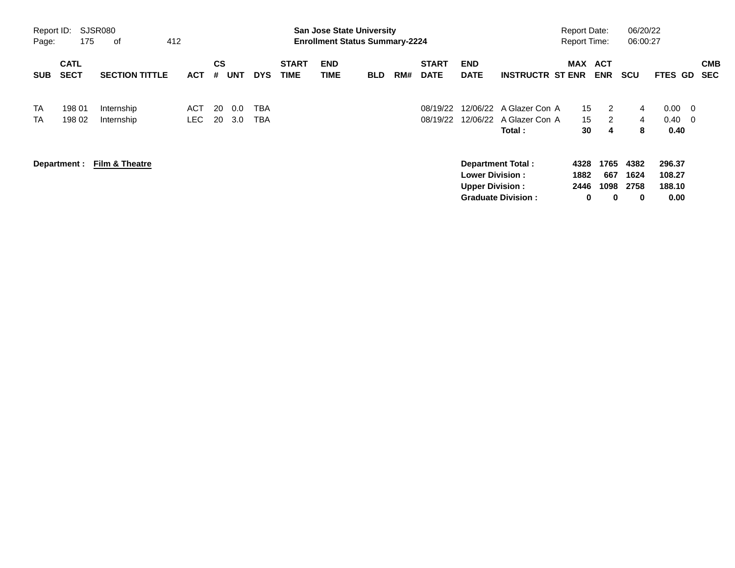| Report ID:<br>Page:    | 175                        | SJSR080<br>412<br>оf      |             |                |            |                   |                             |                    | <b>San Jose State University</b><br><b>Enrollment Status Summary-2224</b> |     |                             |                                                  |                                           | <b>Report Date:</b><br><b>Report Time:</b> |                  | 06/20/22<br>06:00:27 |                          |                                            |                          |
|------------------------|----------------------------|---------------------------|-------------|----------------|------------|-------------------|-----------------------------|--------------------|---------------------------------------------------------------------------|-----|-----------------------------|--------------------------------------------------|-------------------------------------------|--------------------------------------------|------------------|----------------------|--------------------------|--------------------------------------------|--------------------------|
| <b>SUB</b>             | <b>CATL</b><br><b>SECT</b> | <b>SECTION TITTLE</b>     | <b>ACT</b>  | <b>CS</b><br># | <b>UNT</b> | <b>DYS</b>        | <b>START</b><br><b>TIME</b> | <b>END</b><br>TIME | <b>BLD</b>                                                                | RM# | <b>START</b><br><b>DATE</b> | <b>END</b><br><b>DATE</b>                        | <b>INSTRUCTR ST ENR</b>                   | <b>MAX ACT</b>                             | <b>ENR</b>       | <b>SCU</b>           | <b>FTES</b>              | GD                                         | <b>CMB</b><br><b>SEC</b> |
| <b>TA</b><br><b>TA</b> | 198 01<br>198 02           | Internship<br>Internship  | ACT<br>LEC. | -20<br>20      | 0.0<br>3.0 | TBA<br><b>TBA</b> |                             |                    |                                                                           |     | 08/19/22<br>08/19/22        | 12/06/22                                         | 12/06/22 A Glazer Con A<br>A Glazer Con A | 15 <sup>15</sup><br>15                     | 2<br>2           | 4<br>4               | 0.00<br>0.40             | $\overline{\phantom{0}}$<br>$\overline{0}$ |                          |
|                        | Department :               | <b>Film &amp; Theatre</b> |             |                |            |                   |                             |                    |                                                                           |     |                             |                                                  | Total :<br><b>Department Total:</b>       | 30<br>4328                                 | 4<br>1765        | 8<br>4382            | 0.40<br>296.37           |                                            |                          |
|                        |                            |                           |             |                |            |                   |                             |                    |                                                                           |     |                             | <b>Lower Division:</b><br><b>Upper Division:</b> | <b>Graduate Division:</b>                 | 1882<br>2446<br>0                          | 667<br>1098<br>0 | 1624<br>2758<br>0    | 108.27<br>188.10<br>0.00 |                                            |                          |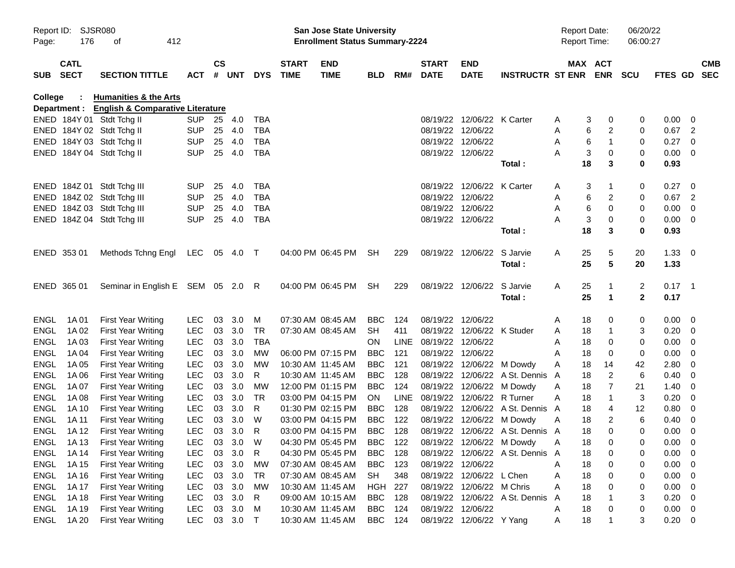| Page:       | Report ID: SJSR080<br>176  | 412<br>οf                                     |              |               |          |            |                             | <b>San Jose State University</b><br><b>Enrollment Status Summary-2224</b> |                |             |                          |                            |                                  | <b>Report Date:</b><br><b>Report Time:</b> |                  | 06/20/22<br>06:00:27 |                |                          |            |
|-------------|----------------------------|-----------------------------------------------|--------------|---------------|----------|------------|-----------------------------|---------------------------------------------------------------------------|----------------|-------------|--------------------------|----------------------------|----------------------------------|--------------------------------------------|------------------|----------------------|----------------|--------------------------|------------|
| <b>SUB</b>  | <b>CATL</b><br><b>SECT</b> | <b>SECTION TITTLE</b>                         | <b>ACT</b>   | $\mathsf{cs}$ | # UNT    | <b>DYS</b> | <b>START</b><br><b>TIME</b> | <b>END</b><br><b>TIME</b>                                                 | <b>BLD</b>     |             | <b>START</b><br>RM# DATE | <b>END</b><br><b>DATE</b>  | <b>INSTRUCTR ST ENR ENR</b>      |                                            | MAX ACT          | <b>SCU</b>           | FTES GD SEC    |                          | <b>CMB</b> |
| College     | $\sim$                     | <b>Humanities &amp; the Arts</b>              |              |               |          |            |                             |                                                                           |                |             |                          |                            |                                  |                                            |                  |                      |                |                          |            |
|             |                            | Department : English & Comparative Literature |              |               |          |            |                             |                                                                           |                |             |                          |                            |                                  |                                            |                  |                      |                |                          |            |
|             |                            | ENED 184Y 01 Stdt Tchg II                     | SUP 25       |               | 4.0      | TBA        |                             |                                                                           |                |             |                          | 08/19/22 12/06/22 K Carter |                                  | A                                          | 3<br>0           | 0                    | 0.00           | - 0                      |            |
|             |                            | ENED 184Y 02 Stdt Tchg II                     | <b>SUP</b>   | 25            | 4.0      | <b>TBA</b> |                             |                                                                           |                |             |                          | 08/19/22 12/06/22          |                                  | Α                                          | 2<br>6           | 0                    | $0.67$ 2       |                          |            |
|             |                            | ENED 184Y 03 Stdt Tchg II                     | <b>SUP</b>   | 25            | 4.0      | <b>TBA</b> |                             |                                                                           |                |             |                          | 08/19/22 12/06/22          |                                  | A                                          | 6<br>$\mathbf 1$ | 0                    | $0.27 \ 0$     |                          |            |
|             |                            | ENED 184Y 04 Stdt Tchg II                     | <b>SUP</b>   | 25            | 4.0      | <b>TBA</b> |                             |                                                                           |                |             |                          | 08/19/22 12/06/22          |                                  | A                                          | 3<br>0           | 0                    | $0.00 \t 0$    |                          |            |
|             |                            |                                               |              |               |          |            |                             |                                                                           |                |             |                          |                            | Total:                           | 18                                         | 3                | 0                    | 0.93           |                          |            |
|             |                            | ENED 184Z 01 Stdt Tchg III                    | <b>SUP</b>   | 25            | 4.0      | <b>TBA</b> |                             |                                                                           |                |             |                          | 08/19/22 12/06/22 K Carter |                                  | A                                          | 3<br>-1          | 0                    | 0.27           | - 0                      |            |
|             |                            | ENED 184Z 02 Stdt Tchg III                    | <b>SUP</b>   | 25            | 4.0      | <b>TBA</b> |                             |                                                                           |                |             |                          | 08/19/22 12/06/22          |                                  | Α                                          | 2<br>6           | 0                    | 0.67           | $\overline{\phantom{a}}$ |            |
|             |                            | ENED 184Z 03 Stdt Tchg III                    | <b>SUP</b>   | 25            | 4.0      | <b>TBA</b> |                             |                                                                           |                |             |                          | 08/19/22 12/06/22          |                                  | A                                          | 6<br>0           | 0                    | $0.00 \t 0$    |                          |            |
|             |                            | ENED 184Z 04 Stdt Tchg III                    | <b>SUP</b>   | 25            | 4.0      | TBA        |                             |                                                                           |                |             |                          | 08/19/22 12/06/22          |                                  | A                                          | 3<br>0           | 0                    | $0.00 \t 0$    |                          |            |
|             |                            |                                               |              |               |          |            |                             |                                                                           |                |             |                          |                            | Total:                           | 18                                         | 3                | 0                    | 0.93           |                          |            |
|             | ENED 353 01                | Methods Tchng Engl                            | LEC 05 4.0 T |               |          |            |                             | 04:00 PM 06:45 PM                                                         | SH             | 229         |                          | 08/19/22 12/06/22 S Jarvie |                                  | 25<br>A                                    | 5                | 20                   | $1.33 \ 0$     |                          |            |
|             |                            |                                               |              |               |          |            |                             |                                                                           |                |             |                          |                            | Total:                           | 25                                         | 5                | 20                   | 1.33           |                          |            |
|             | ENED 365 01                | Seminar in English E SEM 05 2.0 R             |              |               |          |            |                             | 04:00 PM 06:45 PM SH                                                      |                | 229         |                          | 08/19/22 12/06/22 S Jarvie |                                  | 25<br>A                                    | -1               | 2                    | $0.17$ 1       |                          |            |
|             |                            |                                               |              |               |          |            |                             |                                                                           |                |             |                          |                            | Total:                           | 25                                         | $\mathbf{1}$     | $\mathbf{2}$         | 0.17           |                          |            |
| ENGL        | 1A 01                      | <b>First Year Writing</b>                     | <b>LEC</b>   | 03            | 3.0      | M          |                             | 07:30 AM 08:45 AM                                                         | <b>BBC</b>     | 124         |                          | 08/19/22 12/06/22          |                                  | 18<br>A                                    | 0                | 0                    | $0.00 \ 0$     |                          |            |
| ENGL        | 1A 02                      | <b>First Year Writing</b>                     | <b>LEC</b>   | 03            | 3.0      | TR         |                             | 07:30 AM 08:45 AM                                                         | <b>SH</b>      | 411         |                          | 08/19/22 12/06/22 K Studer |                                  | 18<br>Α                                    | -1               | 3                    | $0.20 \ 0$     |                          |            |
| <b>ENGL</b> | 1A 03                      | <b>First Year Writing</b>                     | <b>LEC</b>   | 03            | 3.0      | <b>TBA</b> |                             |                                                                           | <b>ON</b>      | <b>LINE</b> | 08/19/22 12/06/22        |                            |                                  | 18<br>Α                                    | 0                | 0                    | $0.00 \t 0$    |                          |            |
| <b>ENGL</b> | 1A 04                      | <b>First Year Writing</b>                     | <b>LEC</b>   | 03            | 3.0      | MW         |                             | 06:00 PM 07:15 PM                                                         | <b>BBC</b>     | 121         |                          | 08/19/22 12/06/22          |                                  | 18<br>A                                    | 0                | 0                    | 0.00           | $\overline{\phantom{0}}$ |            |
| <b>ENGL</b> | 1A 05                      | <b>First Year Writing</b>                     | <b>LEC</b>   | 03            | 3.0      | MW         |                             | 10:30 AM 11:45 AM                                                         | <b>BBC</b>     | 121         |                          | 08/19/22 12/06/22 M Dowdy  |                                  | 18<br>Α                                    | 14               | 42                   | 2.80           | - 0                      |            |
| <b>ENGL</b> | 1A 06                      | <b>First Year Writing</b>                     | <b>LEC</b>   | 03            | 3.0      | R          |                             | 10:30 AM 11:45 AM                                                         | <b>BBC</b>     | 128         |                          |                            | 08/19/22 12/06/22 A St. Dennis A | 18                                         | 2                | 6                    | 0.40           | $\overline{\phantom{0}}$ |            |
| <b>ENGL</b> | 1A 07                      | <b>First Year Writing</b>                     | <b>LEC</b>   | 03            | 3.0      | MW         |                             | 12:00 PM 01:15 PM                                                         | <b>BBC</b>     | 124         |                          | 08/19/22 12/06/22 M Dowdy  |                                  | 18<br>Α                                    | 7                | 21                   | 1.40           | $\overline{\phantom{0}}$ |            |
| <b>ENGL</b> | 1A 08                      | <b>First Year Writing</b>                     | <b>LEC</b>   | 03            | 3.0      | <b>TR</b>  |                             | 03:00 PM 04:15 PM                                                         | ON.            | <b>LINE</b> |                          | 08/19/22 12/06/22 R Turner |                                  | 18<br>A                                    | $\mathbf{1}$     | 3                    | 0.20           | - 0                      |            |
| <b>ENGL</b> | 1A 10                      | <b>First Year Writing</b>                     | <b>LEC</b>   | 03            | 3.0      | R          |                             | 01:30 PM 02:15 PM                                                         | <b>BBC</b>     | 128         |                          |                            | 08/19/22 12/06/22 A St. Dennis A | 18                                         | 4                | 12                   | 0.80           | $\overline{\mathbf{0}}$  |            |
| <b>ENGL</b> | 1A 11                      | <b>First Year Writing</b>                     | <b>LEC</b>   | 03            | 3.0      | W          |                             | 03:00 PM 04:15 PM                                                         | <b>BBC</b>     | 122         |                          | 08/19/22 12/06/22 M Dowdy  |                                  | 18<br>A                                    | 2                | 6                    | $0.40 \quad 0$ |                          |            |
| ENGL        | 1A 12                      | <b>First Year Writing</b>                     | <b>LEC</b>   | 03            | 3.0      | R          |                             | 03:00 PM 04:15 PM                                                         | <b>BBC</b>     | 128         |                          |                            | 08/19/22 12/06/22 A St. Dennis A | 18                                         | $\Omega$         | 0                    | 0.00           | - 0                      |            |
| ENGL        | 1A 13                      | <b>First Year Writing</b>                     | LEC          |               | 03 3.0 W |            |                             | 04:30 PM 05:45 PM                                                         | <b>BBC</b>     | 122         |                          | 08/19/22 12/06/22 M Dowdy  |                                  | 18<br><b>A</b>                             | 0                | 0                    | $0.00 \t 0$    |                          |            |
|             | ENGL 1A14                  | <b>First Year Writing</b>                     | <b>LEC</b>   | 03            | 3.0      | R.         |                             | 04:30 PM 05:45 PM                                                         | <b>BBC</b>     | 128         |                          |                            | 08/19/22 12/06/22 A St. Dennis A | 18                                         | 0                | 0                    | $0.00 \t 0$    |                          |            |
| ENGL        | 1A 15                      | <b>First Year Writing</b>                     | <b>LEC</b>   |               | 03 3.0   | МW         |                             | 07:30 AM 08:45 AM                                                         | BBC            | 123         |                          | 08/19/22 12/06/22          |                                  | 18<br>Α                                    | 0                | 0                    | $0.00 \t 0$    |                          |            |
| ENGL        | 1A 16                      | <b>First Year Writing</b>                     | LEC          |               | 03 3.0   | TR         |                             | 07:30 AM 08:45 AM                                                         | SH             | 348         |                          | 08/19/22 12/06/22 L Chen   |                                  | 18<br>Α                                    | 0                | 0                    | $0.00 \t 0$    |                          |            |
| ENGL        | 1A 17                      | <b>First Year Writing</b>                     | LEC          |               | 03 3.0   | MW         |                             | 10:30 AM 11:45 AM                                                         | HGH            | 227         |                          | 08/19/22 12/06/22 M Chris  |                                  | 18<br>Α                                    | 0                | 0                    | $0.00 \t 0$    |                          |            |
| ENGL        | 1A 18                      | <b>First Year Writing</b>                     | <b>LEC</b>   | 03            | 3.0      | R          |                             | 09:00 AM 10:15 AM                                                         | BBC            | 128         |                          |                            | 08/19/22 12/06/22 A St. Dennis   | 18<br>A                                    |                  | 3                    | $0.20 \ 0$     |                          |            |
| ENGL        | 1A 19                      | <b>First Year Writing</b>                     | <b>LEC</b>   | 03            | 3.0      | M          |                             | 10:30 AM 11:45 AM                                                         | BBC            | 124         |                          | 08/19/22 12/06/22          |                                  | 18<br>Α                                    | 0                | 0                    | $0.00 \t 0$    |                          |            |
|             | ENGL 1A20                  | <b>First Year Writing</b>                     | <b>LEC</b>   |               | 03 3.0 T |            |                             | 10:30 AM 11:45 AM                                                         | <b>BBC</b> 124 |             |                          | 08/19/22 12/06/22 Y Yang   |                                  | 18<br>A                                    | -1               | 3                    | $0.20 \t 0$    |                          |            |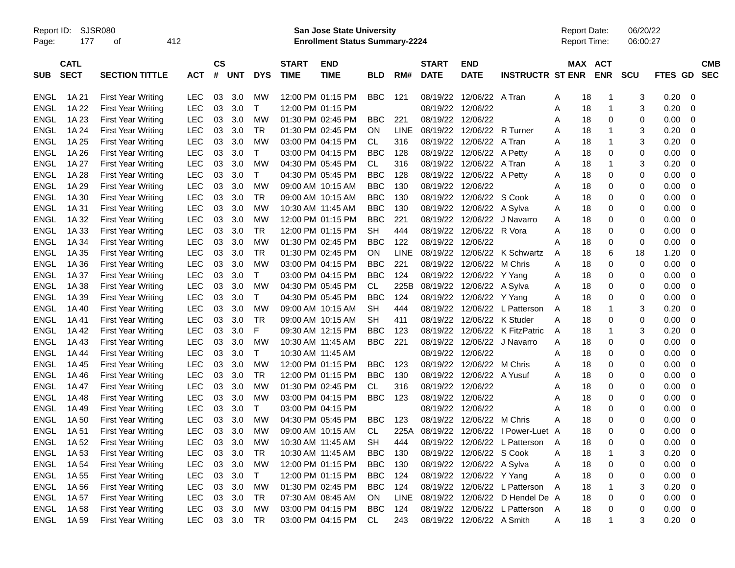Report ID: SJSR080 **San Jose State University** Report Date: 06/20/22

Page: 177 of 412 **Enrollment Status Summary-2224** Report Time: 06:00:27

|             | <b>CATL</b> |                           |            | <b>CS</b> |            |              | <b>START</b>      | <b>END</b>  |            |             | <b>START</b>      | <b>END</b>               |                         | <b>MAX</b> | <b>ACT</b>        |            |                |             | <b>CMB</b> |
|-------------|-------------|---------------------------|------------|-----------|------------|--------------|-------------------|-------------|------------|-------------|-------------------|--------------------------|-------------------------|------------|-------------------|------------|----------------|-------------|------------|
| <b>SUB</b>  | <b>SECT</b> | <b>SECTION TITTLE</b>     | <b>ACT</b> | #         | <b>UNT</b> | <b>DYS</b>   | <b>TIME</b>       | <b>TIME</b> | BLD        | RM#         | <b>DATE</b>       | <b>DATE</b>              | <b>INSTRUCTR ST ENR</b> |            | <b>ENR</b>        | <b>SCU</b> | <b>FTES GD</b> |             | <b>SEC</b> |
|             |             |                           |            |           |            |              |                   |             |            |             |                   |                          |                         |            |                   |            |                |             |            |
| ENGL        | 1A 21       | First Year Writing        | LEC        | 03        | 3.0        | МW           | 12:00 PM 01:15 PM |             | BBC        | 121         | 08/19/22          | 12/06/22                 | A Tran                  | Α          | 18<br>1           | 3          | 0.20           | 0           |            |
| ENGL        | 1A 22       | <b>First Year Writing</b> | LEC        | 03        | 3.0        | Т            | 12:00 PM 01:15 PM |             |            |             | 08/19/22          | 12/06/22                 |                         | Α          | 18<br>1           | 3          | 0.20           | 0           |            |
| <b>ENGL</b> | 1A 23       | <b>First Year Writing</b> | <b>LEC</b> | 03        | 3.0        | МW           | 01:30 PM 02:45 PM |             | <b>BBC</b> | 221         | 08/19/22          | 12/06/22                 |                         | Α          | 18<br>0           | 0          | 0.00           | $\mathbf 0$ |            |
| <b>ENGL</b> | 1A 24       | <b>First Year Writing</b> | <b>LEC</b> | 03        | 3.0        | TR           | 01:30 PM 02:45 PM |             | <b>ON</b>  | <b>LINE</b> | 08/19/22          | 12/06/22                 | R Turner                | A          | 1<br>18           | 3          | 0.20           | 0           |            |
| <b>ENGL</b> | 1A 25       | <b>First Year Writing</b> | LEC        | 03        | 3.0        | MW           | 03:00 PM 04:15 PM |             | CL.        | 316         | 08/19/22          | 12/06/22                 | A Tran                  | A          | 18<br>1           | 3          | 0.20           | 0           |            |
| ENGL        | 1A 26       | <b>First Year Writing</b> | LEC        | 03        | 3.0        | Т            | 03:00 PM 04:15 PM |             | BBC        | 128         | 08/19/22          | 12/06/22 A Petty         |                         | A          | 0<br>18           | 0          | 0.00           | $\mathbf 0$ |            |
| <b>ENGL</b> | 1A 27       | <b>First Year Writing</b> | <b>LEC</b> | 03        | 3.0        | MW           | 04:30 PM 05:45 PM |             | CL.        | 316         | 08/19/22          | 12/06/22 A Tran          |                         | A          | 18<br>1           | 3          | 0.20           | 0           |            |
| <b>ENGL</b> | 1A 28       | <b>First Year Writing</b> | <b>LEC</b> | 03        | 3.0        | $\mathsf{T}$ | 04:30 PM 05:45 PM |             | <b>BBC</b> | 128         | 08/19/22          | 12/06/22 A Petty         |                         | Α          | $\mathbf 0$<br>18 | 0          | 0.00           | 0           |            |
| <b>ENGL</b> | 1A 29       | <b>First Year Writing</b> | <b>LEC</b> | 03        | 3.0        | <b>MW</b>    | 09:00 AM 10:15 AM |             | <b>BBC</b> | 130         | 08/19/22          | 12/06/22                 |                         | Α          | 18<br>0           | 0          | 0.00           | $\mathbf 0$ |            |
| <b>ENGL</b> | 1A 30       | <b>First Year Writing</b> | <b>LEC</b> | 03        | 3.0        | TR           | 09:00 AM 10:15 AM |             | <b>BBC</b> | 130         |                   | 08/19/22 12/06/22 S Cook |                         | Α          | $\Omega$<br>18    | 0          | 0.00           | $\mathbf 0$ |            |
| <b>ENGL</b> | 1A 31       | <b>First Year Writing</b> | <b>LEC</b> | 03        | 3.0        | <b>MW</b>    | 10:30 AM 11:45 AM |             | <b>BBC</b> | 130         | 08/19/22          | 12/06/22                 | A Sylva                 | A          | 18<br>0           | 0          | 0.00           | 0           |            |
| ENGL        | 1A 32       | <b>First Year Writing</b> | <b>LEC</b> | 03        | 3.0        | МW           | 12:00 PM 01:15 PM |             | <b>BBC</b> | 221         | 08/19/22          | 12/06/22                 | J Navarro               | Α          | $\mathbf 0$<br>18 | 0          | 0.00           | 0           |            |
| <b>ENGL</b> | 1A 33       | <b>First Year Writing</b> | LEC        | 03        | 3.0        | <b>TR</b>    | 12:00 PM 01:15 PM |             | <b>SH</b>  | 444         | 08/19/22          | 12/06/22                 | R Vora                  | Α          | $\mathbf 0$<br>18 | 0          | 0.00           | $\mathbf 0$ |            |
| <b>ENGL</b> | 1A 34       | <b>First Year Writing</b> | <b>LEC</b> | 03        | 3.0        | MW           | 01:30 PM 02:45 PM |             | BBC        | 122         | 08/19/22 12/06/22 |                          |                         | Α          | 0<br>18           | 0          | 0.00           | $\mathbf 0$ |            |
| ENGL        | 1A 35       | <b>First Year Writing</b> | <b>LEC</b> | 03        | 3.0        | TR           | 01:30 PM 02:45 PM |             | ΟN         | LINE        | 08/19/22          | 12/06/22                 | K Schwartz              | A          | 6<br>18           | 18         | 1.20           | 0           |            |
| <b>ENGL</b> | 1A 36       | <b>First Year Writing</b> | <b>LEC</b> | 03        | 3.0        | <b>MW</b>    | 03:00 PM 04:15 PM |             | <b>BBC</b> | 221         | 08/19/22          | 12/06/22                 | M Chris                 | Α          | $\mathbf 0$<br>18 | 0          | 0.00           | $\mathbf 0$ |            |
| <b>ENGL</b> | 1A 37       | <b>First Year Writing</b> | <b>LEC</b> | 03        | 3.0        | $\mathsf{T}$ | 03:00 PM 04:15 PM |             | <b>BBC</b> | 124         | 08/19/22          | 12/06/22                 | Y Yang                  | Α          | $\mathbf 0$<br>18 | 0          | 0.00           | 0           |            |
| ENGL        | 1A 38       | <b>First Year Writing</b> | LEC        | 03        | 3.0        | MW           | 04:30 PM 05:45 PM |             | CL         | 225B        | 08/19/22          | 12/06/22 A Sylva         |                         | A          | 18<br>0           | 0          | 0.00           | 0           |            |
| <b>ENGL</b> | 1A 39       | <b>First Year Writing</b> | LEC        | 03        | 3.0        | T            | 04:30 PM 05:45 PM |             | <b>BBC</b> | 124         | 08/19/22          | 12/06/22 Y Yang          |                         | Α          | $\Omega$<br>18    | $\Omega$   | 0.00           | $\mathbf 0$ |            |
| <b>ENGL</b> | 1A40        | <b>First Year Writing</b> | <b>LEC</b> | 03        | 3.0        | <b>MW</b>    | 09:00 AM 10:15 AM |             | SH         | 444         | 08/19/22          |                          | 12/06/22 L Patterson    | Α          | 18<br>1           | 3          | 0.20           | 0           |            |
| <b>ENGL</b> | 1A 41       | <b>First Year Writing</b> | <b>LEC</b> | 03        | 3.0        | TR           | 09:00 AM 10:15 AM |             | SH         | 411         | 08/19/22          | 12/06/22 K Studer        |                         | Α          | $\mathbf 0$<br>18 | 0          | 0.00           | 0           |            |
| <b>ENGL</b> | 1A42        | <b>First Year Writing</b> | <b>LEC</b> | 03        | 3.0        | F            | 09:30 AM 12:15 PM |             | <b>BBC</b> | 123         | 08/19/22          | 12/06/22                 | K FitzPatric            | A          | 18<br>-1          | 3          | 0.20           | $\mathbf 0$ |            |
| <b>ENGL</b> | 1A 43       | <b>First Year Writing</b> | LEC        | 03        | 3.0        | MW           | 10:30 AM 11:45 AM |             | <b>BBC</b> | 221         | 08/19/22          | 12/06/22                 | J Navarro               | A          | $\Omega$<br>18    | 0          | 0.00           | $\mathbf 0$ |            |
| <b>ENGL</b> | 1A 44       | <b>First Year Writing</b> | <b>LEC</b> | 03        | 3.0        | Т            | 10:30 AM 11:45 AM |             |            |             | 08/19/22          | 12/06/22                 |                         | A          | 18<br>0           | 0          | 0.00           | 0           |            |
| ENGL        | 1A 45       | <b>First Year Writing</b> | <b>LEC</b> | 03        | 3.0        | МW           | 12:00 PM 01:15 PM |             | <b>BBC</b> | 123         | 08/19/22          | 12/06/22                 | M Chris                 | А          | $\mathbf 0$<br>18 | 0          | 0.00           | $\mathbf 0$ |            |
| <b>ENGL</b> | 1A 46       | <b>First Year Writing</b> | <b>LEC</b> | 03        | 3.0        | <b>TR</b>    | 12:00 PM 01:15 PM |             | <b>BBC</b> | 130         | 08/19/22          | 12/06/22                 | A Yusuf                 | A          | $\mathbf 0$<br>18 | 0          | 0.00           | $\mathbf 0$ |            |
| <b>ENGL</b> | 1A 47       | <b>First Year Writing</b> | <b>LEC</b> | 03        | 3.0        | MW           | 01:30 PM 02:45 PM |             | CL.        | 316         | 08/19/22          | 12/06/22                 |                         | Α          | 0<br>18           | 0          | 0.00           | 0           |            |
| ENGL        | 1A 48       | <b>First Year Writing</b> | LEC        | 03        | 3.0        | MW           | 03:00 PM 04:15 PM |             | <b>BBC</b> | 123         | 08/19/22          | 12/06/22                 |                         | A          | 0<br>18           | 0          | 0.00           | $\mathbf 0$ |            |
| <b>ENGL</b> | 1A49        | <b>First Year Writing</b> | <b>LEC</b> | 03        | 3.0        | $\mathsf T$  | 03:00 PM 04:15 PM |             |            |             | 08/19/22          | 12/06/22                 |                         | Α          | $\mathbf 0$<br>18 | 0          | 0.00           | $\mathbf 0$ |            |
| <b>ENGL</b> | 1A 50       | <b>First Year Writing</b> | <b>LEC</b> | 03        | 3.0        | <b>MW</b>    | 04:30 PM 05:45 PM |             | <b>BBC</b> | 123         | 08/19/22          | 12/06/22                 | M Chris                 | А          | $\mathbf 0$<br>18 | 0          | 0.00           | 0           |            |
| ENGL        | 1A 51       | <b>First Year Writing</b> | LEC        | 03        | 3.0        | <b>MW</b>    | 09:00 AM 10:15 AM |             | CL         | 225A        | 08/19/22          | 12/06/22                 | I Power-Luet A          |            | 18<br>0           | 0          | 0.00           | $\mathbf 0$ |            |
| <b>ENGL</b> | 1A 52       | <b>First Year Writing</b> | LEC        | 03        | 3.0        | <b>MW</b>    | 10:30 AM 11:45 AM |             | SH         | 444         | 08/19/22          |                          | 12/06/22 L Patterson    | A          | 18<br>0           | 0          | 0.00           | 0           |            |
| <b>ENGL</b> | 1A 53       | <b>First Year Writing</b> | <b>LEC</b> | 03        | 3.0        | TR           | 10:30 AM 11:45 AM |             | <b>BBC</b> | 130         | 08/19/22          | 12/06/22 S Cook          |                         | A          | 18<br>1           | 3          | 0.20           | 0           |            |
| <b>ENGL</b> | 1A 54       | <b>First Year Writing</b> | <b>LEC</b> | 03        | 3.0        | МW           | 12:00 PM 01:15 PM |             | <b>BBC</b> | 130         | 08/19/22          | 12/06/22                 | A Sylva                 | Α          | $\mathbf 0$<br>18 | 0          | 0.00           | 0           |            |
| <b>ENGL</b> | 1A 55       | <b>First Year Writing</b> | LEC        | 03        | 3.0        | $\mathsf{T}$ | 12:00 PM 01:15 PM |             | <b>BBC</b> | 124         | 08/19/22          | 12/06/22                 | Y Yang                  | A          | $\mathbf 0$<br>18 | 0          | 0.00           | $\mathbf 0$ |            |
| <b>ENGL</b> | 1A 56       | <b>First Year Writing</b> | LEC        | 03        | 3.0        | <b>MW</b>    | 01:30 PM 02:45 PM |             | BBC        | 124         | 08/19/22          |                          | 12/06/22 L Patterson    | Α          | 18<br>1           | 3          | 0.20           | 0           |            |
| <b>ENGL</b> | 1A 57       | <b>First Year Writing</b> | LEC        | 03        | 3.0        | TR           | 07:30 AM 08:45 AM |             | ΟN         | LINE        | 08/19/22          | 12/06/22                 | D Hendel De A           |            | 18<br>0           | 0          | 0.00           | 0           |            |
| <b>ENGL</b> | 1A 58       | <b>First Year Writing</b> | <b>LEC</b> | 03        | 3.0        | <b>MW</b>    | 03:00 PM 04:15 PM |             | <b>BBC</b> | 124         | 08/19/22          | 12/06/22                 | L Patterson             | A          | $\mathbf 0$<br>18 | 0          | 0.00           | $\mathbf 0$ |            |
| <b>ENGL</b> | 1A 59       | <b>First Year Writing</b> | <b>LEC</b> | 03        | 3.0        | <b>TR</b>    | 03:00 PM 04:15 PM |             | СL         | 243         | 08/19/22          | 12/06/22 A Smith         |                         | A          | 18<br>-1          | 3          | 0.20           | 0           |            |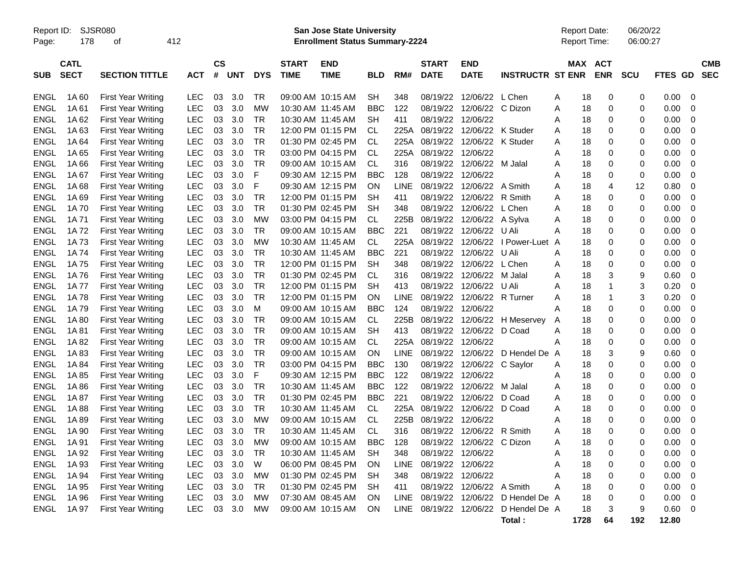Report ID: SJSR080 **San Jose State University** Report Date: 06/20/22

Page: 178 of 412 **Enrollment Status Summary-2224** Report Time: 06:00:27

|             | <b>CATL</b> |                           |            | <b>CS</b> |            |            | <b>START</b>      | <b>END</b>        |            |             | <b>START</b>      | <b>END</b>        |                         |   |      | MAX ACT      |             |         | <b>CMB</b>  |
|-------------|-------------|---------------------------|------------|-----------|------------|------------|-------------------|-------------------|------------|-------------|-------------------|-------------------|-------------------------|---|------|--------------|-------------|---------|-------------|
| <b>SUB</b>  | <b>SECT</b> | <b>SECTION TITTLE</b>     | ACT        | #         | <b>UNT</b> | <b>DYS</b> | <b>TIME</b>       | <b>TIME</b>       | <b>BLD</b> | RM#         | <b>DATE</b>       | <b>DATE</b>       | <b>INSTRUCTR ST ENR</b> |   |      | <b>ENR</b>   | <b>SCU</b>  | FTES GD | <b>SEC</b>  |
|             |             |                           |            |           |            |            |                   |                   |            |             |                   |                   |                         |   |      |              |             |         |             |
| ENGL        | 1A60        | <b>First Year Writing</b> | LEC        | 03        | 3.0        | TR         |                   | 09:00 AM 10:15 AM | SH         | 348         | 08/19/22          | 12/06/22          | L Chen                  | A | 18   | 0            | 0           | 0.00    | $\mathbf 0$ |
| ENGL        | 1A 61       | <b>First Year Writing</b> | <b>LEC</b> | 03        | 3.0        | <b>MW</b>  | 10:30 AM 11:45 AM |                   | <b>BBC</b> | 122         | 08/19/22          | 12/06/22 C Dizon  |                         | Α | 18   | 0            | 0           | 0.00    | $\mathbf 0$ |
| ENGL        | 1A 62       | <b>First Year Writing</b> | LEC        | 03        | 3.0        | TR         | 10:30 AM 11:45 AM |                   | SН         | 411         | 08/19/22          | 12/06/22          |                         | Α | 18   | 0            | 0           | 0.00    | 0           |
| <b>ENGL</b> | 1A63        | <b>First Year Writing</b> | <b>LEC</b> | 03        | 3.0        | TR         |                   | 12:00 PM 01:15 PM | СL         | 225A        | 08/19/22          | 12/06/22          | K Studer                | A | 18   | 0            | 0           | 0.00    | $\mathbf 0$ |
| <b>ENGL</b> | 1A64        | <b>First Year Writing</b> | LEC        | 03        | 3.0        | TR         |                   | 01:30 PM 02:45 PM | СL         | 225A        | 08/19/22          | 12/06/22          | K Studer                | Α | 18   | 0            | 0           | 0.00    | $\mathbf 0$ |
| <b>ENGL</b> | 1A 65       | <b>First Year Writing</b> | <b>LEC</b> | 03        | 3.0        | <b>TR</b>  |                   | 03:00 PM 04:15 PM | <b>CL</b>  | 225A        | 08/19/22          | 12/06/22          |                         | Α | 18   | 0            | 0           | 0.00    | $\mathbf 0$ |
| ENGL        | 1A66        | <b>First Year Writing</b> | <b>LEC</b> | 03        | 3.0        | TR         |                   | 09:00 AM 10:15 AM | СL         | 316         | 08/19/22          | 12/06/22 M Jalal  |                         | A | 18   | 0            | 0           | 0.00    | $\mathbf 0$ |
| <b>ENGL</b> | 1A 67       | <b>First Year Writing</b> | <b>LEC</b> | 03        | 3.0        | F          |                   | 09:30 AM 12:15 PM | <b>BBC</b> | 128         | 08/19/22          | 12/06/22          |                         | Α | 18   | 0            | 0           | 0.00    | $\mathbf 0$ |
| <b>ENGL</b> | 1A68        | <b>First Year Writing</b> | <b>LEC</b> | 03        | 3.0        | F          |                   | 09:30 AM 12:15 PM | ON         | <b>LINE</b> | 08/19/22          | 12/06/22          | A Smith                 | Α | 18   | 4            | 12          | 0.80    | $\mathbf 0$ |
| <b>ENGL</b> | 1A 69       | <b>First Year Writing</b> | <b>LEC</b> | 03        | 3.0        | TR         |                   | 12:00 PM 01:15 PM | SH         | 411         | 08/19/22          | 12/06/22          | R Smith                 | Α | 18   | 0            | 0           | 0.00    | 0           |
| <b>ENGL</b> | 1A 70       | <b>First Year Writing</b> | <b>LEC</b> | 03        | 3.0        | TR         |                   | 01:30 PM 02:45 PM | <b>SH</b>  | 348         | 08/19/22          | 12/06/22          | L Chen                  | Α | 18   | 0            | $\mathbf 0$ | 0.00    | $\mathbf 0$ |
| <b>ENGL</b> | 1A 71       | <b>First Year Writing</b> | LEC        | 03        | 3.0        | MW         |                   | 03:00 PM 04:15 PM | CL         | 225B        | 08/19/22          | 12/06/22          | A Sylva                 | A | 18   | 0            | 0           | 0.00    | $\mathbf 0$ |
| <b>ENGL</b> | 1A72        | <b>First Year Writing</b> | <b>LEC</b> | 03        | 3.0        | <b>TR</b>  |                   | 09:00 AM 10:15 AM | <b>BBC</b> | 221         | 08/19/22          | 12/06/22          | U Ali                   | A | 18   | 0            | 0           | 0.00    | 0           |
| <b>ENGL</b> | 1A73        | <b>First Year Writing</b> | LEC        | 03        | 3.0        | <b>MW</b>  | 10:30 AM 11:45 AM |                   | <b>CL</b>  | 225A        | 08/19/22          | 12/06/22          | I Power-Luet            | A | 18   | 0            | 0           | 0.00    | $\mathbf 0$ |
| <b>ENGL</b> | 1A 74       | <b>First Year Writing</b> | <b>LEC</b> | 03        | 3.0        | TR         | 10:30 AM 11:45 AM |                   | <b>BBC</b> | 221         | 08/19/22          | 12/06/22          | U Ali                   | A | 18   | 0            | 0           | 0.00    | 0           |
| <b>ENGL</b> | 1A75        | First Year Writing        | <b>LEC</b> | 03        | 3.0        | TR         |                   | 12:00 PM 01:15 PM | SH         | 348         | 08/19/22          | 12/06/22 L Chen   |                         | A | 18   | 0            | 0           | 0.00    | $\mathbf 0$ |
| <b>ENGL</b> | 1A76        | <b>First Year Writing</b> | <b>LEC</b> | 03        | 3.0        | TR         |                   | 01:30 PM 02:45 PM | СL         | 316         | 08/19/22          | 12/06/22          | M Jalal                 | Α | 18   | 3            | 9           | 0.60    | $\mathbf 0$ |
| <b>ENGL</b> | 1A 77       | <b>First Year Writing</b> | <b>LEC</b> | 03        | 3.0        | <b>TR</b>  |                   | 12:00 PM 01:15 PM | <b>SH</b>  | 413         | 08/19/22          | 12/06/22          | U Ali                   | Α | 18   | $\mathbf{1}$ | 3           | 0.20    | $\mathbf 0$ |
| <b>ENGL</b> | 1A78        | <b>First Year Writing</b> | <b>LEC</b> | 03        | 3.0        | <b>TR</b>  |                   | 12:00 PM 01:15 PM | ON         | <b>LINE</b> | 08/19/22          | 12/06/22          | R Turner                | Α | 18   | 1            | 3           | 0.20    | 0           |
| ENGL        | 1A 79       | <b>First Year Writing</b> | <b>LEC</b> | 03        | 3.0        | М          |                   | 09:00 AM 10:15 AM | <b>BBC</b> | 124         | 08/19/22          | 12/06/22          |                         | Α | 18   | 0            | 0           | 0.00    | 0           |
| <b>ENGL</b> | 1A 80       | <b>First Year Writing</b> | LEC        | 03        | 3.0        | TR         |                   | 09:00 AM 10:15 AM | СL         | 225B        | 08/19/22          | 12/06/22          | H Meservey              | A | 18   | 0            | 0           | 0.00    | $\mathbf 0$ |
| <b>ENGL</b> | 1A 81       | <b>First Year Writing</b> | <b>LEC</b> | 03        | 3.0        | TR         |                   | 09:00 AM 10:15 AM | SH         | 413         | 08/19/22          | 12/06/22          | D Coad                  | Α | 18   | 0            | 0           | 0.00    | $\mathbf 0$ |
| <b>ENGL</b> | 1A82        | <b>First Year Writing</b> | <b>LEC</b> | 03        | 3.0        | <b>TR</b>  |                   | 09:00 AM 10:15 AM | <b>CL</b>  | 225A        | 08/19/22          | 12/06/22          |                         | A | 18   | 0            | $\Omega$    | 0.00    | $\mathbf 0$ |
| <b>ENGL</b> | 1A83        | <b>First Year Writing</b> | <b>LEC</b> | 03        | 3.0        | TR         |                   | 09:00 AM 10:15 AM | ON         | <b>LINE</b> |                   | 08/19/22 12/06/22 | D Hendel De A           |   | 18   | 3            | 9           | 0.60    | $\mathbf 0$ |
| ENGL        | 1A 84       | First Year Writing        | LEC        | 03        | 3.0        | TR         |                   | 03:00 PM 04:15 PM | BBC        | 130         | 08/19/22          | 12/06/22          | C Saylor                | A | 18   | 0            | 0           | 0.00    | $\mathbf 0$ |
| <b>ENGL</b> | 1A85        | <b>First Year Writing</b> | <b>LEC</b> | 03        | 3.0        | F          |                   | 09:30 AM 12:15 PM | <b>BBC</b> | 122         | 08/19/22          | 12/06/22          |                         | Α | 18   | 0            | 0           | 0.00    | $\mathbf 0$ |
| <b>ENGL</b> | 1A86        | <b>First Year Writing</b> | <b>LEC</b> | 03        | 3.0        | TR         |                   | 10:30 AM 11:45 AM | <b>BBC</b> | 122         | 08/19/22          | 12/06/22          | M Jalal                 | Α | 18   | 0            | 0           | 0.00    | $\mathbf 0$ |
| <b>ENGL</b> | 1A 87       | <b>First Year Writing</b> | <b>LEC</b> | 03        | 3.0        | <b>TR</b>  |                   | 01:30 PM 02:45 PM | <b>BBC</b> | 221         | 08/19/22          | 12/06/22          | D Coad                  | A | 18   | 0            | 0           | 0.00    | $\mathbf 0$ |
| <b>ENGL</b> | 1A88        | <b>First Year Writing</b> | <b>LEC</b> | 03        | 3.0        | TR         | 10:30 AM 11:45 AM |                   | СL         | 225A        | 08/19/22          | 12/06/22          | D Coad                  | Α | 18   | 0            | 0           | 0.00    | $\mathbf 0$ |
| ENGL        | 1A89        | <b>First Year Writing</b> | LEC        | 03        | 3.0        | MW         |                   | 09:00 AM 10:15 AM | CL         | 225B        | 08/19/22          | 12/06/22          |                         | Α | 18   | 0            | 0           | 0.00    | 0           |
| <b>ENGL</b> | 1A 90       | <b>First Year Writing</b> | <b>LEC</b> | 03        | 3.0        | TR         | 10:30 AM 11:45 AM |                   | <b>CL</b>  | 316         | 08/19/22          | 12/06/22          | R Smith                 | A | 18   | 0            | 0           | 0.00    | $\mathbf 0$ |
| <b>ENGL</b> | 1A 91       | <b>First Year Writing</b> | LEC        | 03        | 3.0        | <b>MW</b>  |                   | 09:00 AM 10:15 AM | <b>BBC</b> | 128         | 08/19/22          | 12/06/22          | C Dizon                 | A | 18   | 0            | 0           | 0.00    | $\mathbf 0$ |
| <b>ENGL</b> | 1A 92       | <b>First Year Writing</b> | <b>LEC</b> | 03        | 3.0        | TR         | 10:30 AM 11:45 AM |                   | SН         | 348         | 08/19/22          | 12/06/22          |                         | Α | 18   | 0            | 0           | 0.00    | $\mathbf 0$ |
| <b>ENGL</b> | 1A 93       | <b>First Year Writing</b> | LEC        | 03        | 3.0        | W          |                   | 06:00 PM 08:45 PM | ON         | <b>LINE</b> | 08/19/22          | 12/06/22          |                         | A | 18   | 0            | 0           | 0.00    | $\mathbf 0$ |
| <b>ENGL</b> | 1A 94       | <b>First Year Writing</b> | LEC        | 03        | 3.0        | МW         |                   | 01:30 PM 02:45 PM | SH         | 348         | 08/19/22          | 12/06/22          |                         | A | 18   | 0            | 0           | 0.00    | 0           |
| <b>ENGL</b> | 1A 95       | <b>First Year Writing</b> | <b>LEC</b> | 03        | 3.0        | <b>TR</b>  |                   | 01:30 PM 02:45 PM | <b>SH</b>  | 411         | 08/19/22          | 12/06/22          | A Smith                 | Α | 18   | 0            | 0           | 0.00    | $\mathbf 0$ |
| <b>ENGL</b> | 1A 96       | <b>First Year Writing</b> | LEC        | 03        | 3.0        | <b>MW</b>  |                   | 07:30 AM 08:45 AM | ON         | <b>LINE</b> | 08/19/22          | 12/06/22          | D Hendel De A           |   | 18   | 0            | 0           | 0.00    | 0           |
| ENGL        | 1A 97       | <b>First Year Writing</b> | LEC        | 03        | 3.0        | МW         |                   | 09:00 AM 10:15 AM | ON         | LINE.       | 08/19/22 12/06/22 |                   | D Hendel De A           |   | 18   | 3            | 9           | 0.60    | $\Omega$    |
|             |             |                           |            |           |            |            |                   |                   |            |             |                   |                   | Total:                  |   | 1728 | 64           | 192         | 12.80   |             |
|             |             |                           |            |           |            |            |                   |                   |            |             |                   |                   |                         |   |      |              |             |         |             |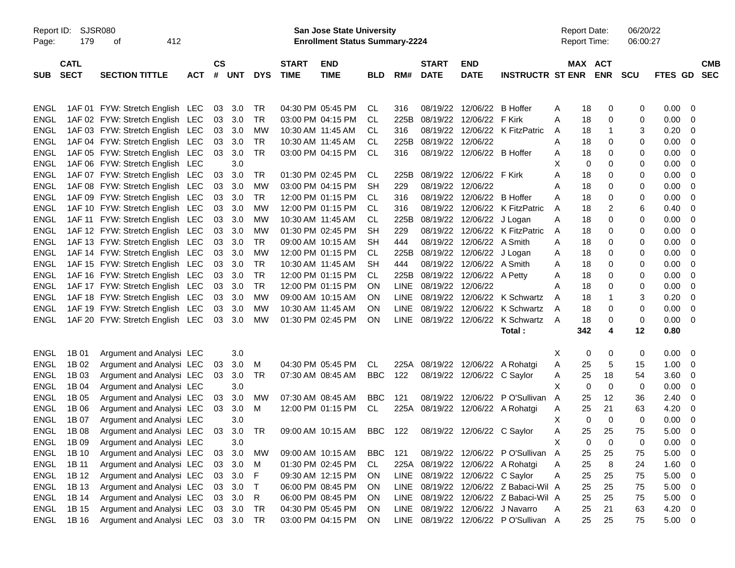| Report ID:<br>Page: | 179                        | SJSR080<br>412<br>οf                                               |            |                    |            |              |                             | <b>San Jose State University</b><br><b>Enrollment Status Summary-2224</b> |            |             |                             |                                                |                                       |        | <b>Report Date:</b><br>Report Time: | 06/20/22<br>06:00:27 |                |                          |
|---------------------|----------------------------|--------------------------------------------------------------------|------------|--------------------|------------|--------------|-----------------------------|---------------------------------------------------------------------------|------------|-------------|-----------------------------|------------------------------------------------|---------------------------------------|--------|-------------------------------------|----------------------|----------------|--------------------------|
| <b>SUB</b>          | <b>CATL</b><br><b>SECT</b> | <b>SECTION TITTLE</b>                                              | <b>ACT</b> | $\mathsf{cs}$<br># | UNT        | <b>DYS</b>   | <b>START</b><br><b>TIME</b> | <b>END</b><br><b>TIME</b>                                                 | <b>BLD</b> | RM#         | <b>START</b><br><b>DATE</b> | <b>END</b><br><b>DATE</b>                      | <b>INSTRUCTR ST ENR</b>               |        | MAX ACT<br><b>ENR</b>               | <b>SCU</b>           | <b>FTES GD</b> | <b>CMB</b><br><b>SEC</b> |
|                     |                            |                                                                    |            |                    |            |              |                             |                                                                           |            |             |                             |                                                |                                       |        |                                     |                      |                |                          |
| ENGL<br><b>ENGL</b> |                            | 1AF 01 FYW: Stretch English LEC<br>1AF 02 FYW: Stretch English LEC |            | 03                 | 3.0<br>3.0 | TR<br>TR     |                             | 04:30 PM 05:45 PM<br>03:00 PM 04:15 PM                                    | CL<br>CL.  | 316<br>225B | 08/19/22<br>08/19/22        | 12/06/22<br>12/06/22 F Kirk                    | <b>B</b> Hoffer                       | Α<br>A | 18<br>0<br>18<br>0                  | 0<br>$\mathbf 0$     | 0.00<br>0.00   | - 0                      |
| <b>ENGL</b>         |                            | 1AF 03 FYW: Stretch English LEC                                    |            | 03<br>03           | 3.0        | МW           |                             | 10:30 AM 11:45 AM                                                         | CL         | 316         |                             |                                                | 08/19/22 12/06/22 K FitzPatric        |        | 18<br>-1                            | 3                    | 0.20           | 0<br>0                   |
| <b>ENGL</b>         |                            | 1AF 04 FYW: Stretch English LEC                                    |            | 03                 | 3.0        | TR.          |                             | 10:30 AM 11:45 AM                                                         | CL         | 225B        |                             | 08/19/22 12/06/22                              |                                       | A      | 18<br>0                             | 0                    | 0.00           |                          |
|                     |                            |                                                                    |            |                    |            |              |                             |                                                                           |            |             |                             |                                                |                                       | A      |                                     | 0                    |                | 0                        |
| <b>ENGL</b>         |                            | 1AF 05 FYW: Stretch English LEC                                    |            | 03                 | 3.0        | <b>TR</b>    |                             | 03:00 PM 04:15 PM                                                         | CL         | 316         |                             | 08/19/22 12/06/22 B Hoffer                     |                                       | Α<br>X | 18<br>0                             | 0                    | 0.00           | 0                        |
| <b>ENGL</b>         |                            | 1AF 06 FYW: Stretch English LEC                                    |            |                    | 3.0        |              |                             |                                                                           |            |             |                             | 08/19/22 12/06/22 F Kirk                       |                                       |        | 0<br>0                              |                      | 0.00           | 0                        |
| <b>ENGL</b>         |                            | 1AF 07 FYW: Stretch English LEC                                    |            | 03                 | 3.0        | TR           |                             | 01:30 PM 02:45 PM<br>03:00 PM 04:15 PM                                    | CL         | 225B        | 08/19/22                    | 12/06/22                                       |                                       | Α      | 18<br>0                             | 0                    | 0.00           | 0                        |
| <b>ENGL</b>         |                            | 1AF 08 FYW: Stretch English LEC                                    |            | 03                 | 3.0        | МW           |                             |                                                                           | SН         | 229         |                             |                                                |                                       | A      | 18<br>0                             | 0<br>0               | 0.00           | 0                        |
| <b>ENGL</b>         |                            | 1AF 09 FYW: Stretch English LEC                                    |            | 03                 | 3.0        | TR           |                             | 12:00 PM 01:15 PM<br>12:00 PM 01:15 PM                                    | CL.        | 316         |                             | 08/19/22 12/06/22 B Hoffer                     |                                       | A      | 18<br>0                             |                      | 0.00           | 0                        |
| <b>ENGL</b>         |                            | 1AF 10 FYW: Stretch English LEC<br>1AF 11 FYW: Stretch English LEC |            | 03                 | 3.0        | МW           |                             |                                                                           | CL.        | 316         |                             |                                                | 08/19/22 12/06/22 K FitzPatric        | A      | 2<br>18                             | 6                    | 0.40           | 0                        |
| <b>ENGL</b>         |                            |                                                                    |            | 03                 | 3.0        | МW           |                             | 10:30 AM 11:45 AM                                                         | CL         | 225B        |                             | 08/19/22 12/06/22 J Logan                      |                                       | A      | 0<br>18                             | 0                    | 0.00           | 0                        |
| <b>ENGL</b>         |                            | 1AF 12 FYW: Stretch English LEC                                    |            | 03                 | 3.0        | MW           |                             | 01:30 PM 02:45 PM                                                         | SН         | 229         |                             |                                                | 08/19/22 12/06/22 K FitzPatric        | A      | 18<br>0                             | 0                    | 0.00           | 0                        |
| <b>ENGL</b>         |                            | 1AF 13 FYW: Stretch English LEC                                    |            | 03                 | 3.0        | TR           |                             | 09:00 AM 10:15 AM                                                         | SН         | 444         |                             | 08/19/22 12/06/22 A Smith                      |                                       | A      | 18<br>0                             | 0                    | 0.00           | 0                        |
| <b>ENGL</b>         |                            | 1AF 14 FYW: Stretch English LEC                                    |            | 03                 | 3.0        | МW           |                             | 12:00 PM 01:15 PM                                                         | CL         | 225B        |                             | 08/19/22 12/06/22 J Logan                      |                                       | Α      | 18<br>0                             | 0                    | 0.00           | 0                        |
| <b>ENGL</b>         |                            | 1AF 15 FYW: Stretch English LEC                                    |            | 03                 | 3.0        | TR           |                             | 10:30 AM 11:45 AM                                                         | SН         | 444         |                             | 08/19/22 12/06/22 A Smith                      |                                       | Α      | 18<br>0                             | 0                    | 0.00           | 0                        |
| <b>ENGL</b>         |                            | 1AF 16 FYW: Stretch English LEC                                    |            | 03                 | 3.0        | <b>TR</b>    |                             | 12:00 PM 01:15 PM                                                         | CL.        | 225B        |                             | 08/19/22 12/06/22 A Petty<br>08/19/22 12/06/22 |                                       | A      | 18<br>0                             | 0                    | 0.00           | 0                        |
| <b>ENGL</b>         |                            | 1AF 17 FYW: Stretch English LEC                                    |            | 03                 | 3.0        | TR.          |                             | 12:00 PM 01:15 PM                                                         | ON         | <b>LINE</b> |                             |                                                |                                       | A      | 18<br>0                             | 0                    | 0.00           | 0                        |
| <b>ENGL</b>         |                            | 1AF 18 FYW: Stretch English LEC                                    |            | 03                 | 3.0        | МW           |                             | 09:00 AM 10:15 AM                                                         | ON         | <b>LINE</b> |                             |                                                | 08/19/22 12/06/22 K Schwartz          | A      | 18<br>1                             | 3                    | 0.20           | - 0                      |
| <b>ENGL</b>         |                            | 1AF 19 FYW: Stretch English LEC                                    |            | 03                 | 3.0        | MW           |                             | 10:30 AM 11:45 AM                                                         | <b>ON</b>  | <b>LINE</b> |                             |                                                | 08/19/22 12/06/22 K Schwartz          | Α      | 18<br>0                             | 0                    | 0.00           | - 0                      |
| <b>ENGL</b>         |                            | 1AF 20 FYW: Stretch English LEC                                    |            | 03                 | 3.0        | <b>MW</b>    |                             | 01:30 PM 02:45 PM                                                         | ON         | LINE        |                             |                                                | 08/19/22 12/06/22 K Schwartz          | A      | 18<br>0                             | $\mathbf 0$          | 0.00           | - 0                      |
|                     |                            |                                                                    |            |                    |            |              |                             |                                                                           |            |             |                             |                                                | Total:                                |        | 342<br>4                            | 12                   | 0.80           |                          |
| <b>ENGL</b>         | 1B 01                      | Argument and Analysi LEC                                           |            |                    | 3.0        |              |                             |                                                                           |            |             |                             |                                                |                                       | X.     | 0<br>0                              | 0                    | 0.00           | $\overline{\phantom{0}}$ |
| <b>ENGL</b>         | 1B 02                      | Argument and Analysi LEC                                           |            | 03                 | 3.0        | M            |                             | 04:30 PM 05:45 PM                                                         | CL         |             |                             |                                                | 225A 08/19/22 12/06/22 A Rohatgi      | A      | 25<br>5                             | 15                   | 1.00           | - 0                      |
| <b>ENGL</b>         | 1B 03                      | Argument and Analysi LEC                                           |            | 03                 | 3.0        | <b>TR</b>    |                             | 07:30 AM 08:45 AM                                                         | <b>BBC</b> | 122         |                             | 08/19/22 12/06/22 C Saylor                     |                                       | Α      | 25<br>18                            | 54                   | 3.60           | - 0                      |
| <b>ENGL</b>         | 1B 04                      | Argument and Analysi LEC                                           |            |                    | 3.0        |              |                             |                                                                           |            |             |                             |                                                |                                       | X      | $\mathbf 0$<br>0                    | 0                    | 0.00           | 0                        |
| <b>ENGL</b>         | 1B 05                      | Argument and Analysi LEC                                           |            | 03                 | 3.0        | MW           |                             | 07:30 AM 08:45 AM                                                         | <b>BBC</b> | 121         |                             |                                                | 08/19/22 12/06/22 P O'Sullivan        | A      | 25<br>12                            | 36                   | 2.40           | 0                        |
| <b>ENGL</b>         | 1B 06                      | Argument and Analysi LEC                                           |            | 03                 | 3.0        | M            |                             | 12:00 PM 01:15 PM                                                         | CL         |             |                             |                                                | 225A 08/19/22 12/06/22 A Rohatgi      | A      | 25<br>21                            | 63                   | 4.20           | - 0                      |
| <b>ENGL</b>         | 1B 07                      | Argument and Analysi LEC                                           |            |                    | 3.0        |              |                             |                                                                           |            |             |                             |                                                |                                       | X      | $\mathbf 0$<br>$\mathbf 0$          | 0                    | 0.00           | - 0                      |
| ENGL                | 1B 08                      | Argument and Analysi LEC                                           |            | 03                 | 3.0        | TR           |                             | 09:00 AM 10:15 AM                                                         | BBC        | 122         |                             | 08/19/22 12/06/22 C Saylor                     |                                       | Α      | 25<br>25                            | 75                   | 5.00           | - 0                      |
| ENGL                | 1B 09                      | Argument and Analysi LEC                                           |            |                    | 3.0        |              |                             |                                                                           |            |             |                             |                                                |                                       | х      | 0<br>0                              | 0                    | 0.00           | $\overline{\mathbf{0}}$  |
| ENGL                | 1B 10                      | Argument and Analysi LEC                                           |            | 03                 | 3.0        | МW           |                             | 09:00 AM 10:15 AM                                                         | BBC        | 121         |                             |                                                | 08/19/22 12/06/22 PO'Sullivan A       |        | 25<br>25                            | 75                   | 5.00           | $\overline{\phantom{0}}$ |
| ENGL                | 1B 11                      | Argument and Analysi LEC                                           |            | 03                 | 3.0        | M            |                             | 01:30 PM 02:45 PM                                                         | CL         |             |                             |                                                | 225A 08/19/22 12/06/22 A Rohatgi      | Α      | 25<br>8                             | 24                   | 1.60           | $\overline{\phantom{0}}$ |
| ENGL                | 1B 12                      | Argument and Analysi LEC                                           |            | 03                 | 3.0        | F            |                             | 09:30 AM 12:15 PM                                                         | <b>ON</b>  |             |                             | LINE 08/19/22 12/06/22 C Saylor                |                                       | Α      | 25<br>25                            | 75                   | $5.00 \t 0$    |                          |
| ENGL                | 1B 13                      | Argument and Analysi LEC                                           |            | 03                 | 3.0        | $\mathsf{T}$ |                             | 06:00 PM 08:45 PM                                                         | <b>ON</b>  |             |                             |                                                | LINE 08/19/22 12/06/22 Z Babaci-Wil A |        | 25<br>25                            | 75                   | 5.00           | $\overline{\phantom{0}}$ |
| ENGL                | 1B 14                      | Argument and Analysi LEC                                           |            | 03                 | 3.0        | R            |                             | 06:00 PM 08:45 PM                                                         | <b>ON</b>  | LINE        |                             |                                                | 08/19/22 12/06/22 Z Babaci-Wil A      |        | 25<br>25                            | 75                   | 5.00           | $\overline{\phantom{0}}$ |
| ENGL                | 1B 15                      | Argument and Analysi LEC                                           |            |                    | 03 3.0     | TR           |                             | 04:30 PM 05:45 PM                                                         | <b>ON</b>  | LINE        |                             |                                                | 08/19/22 12/06/22 J Navarro           | A      | 25<br>21                            | 63                   | 4.20 0         |                          |
| ENGL                | 1B 16                      | Argument and Analysi LEC                                           |            |                    | 03 3.0     | TR           |                             | 03:00 PM 04:15 PM                                                         | ON         |             |                             |                                                | LINE 08/19/22 12/06/22 PO'Sullivan A  |        | 25<br>25                            | 75                   | $5.00 \t 0$    |                          |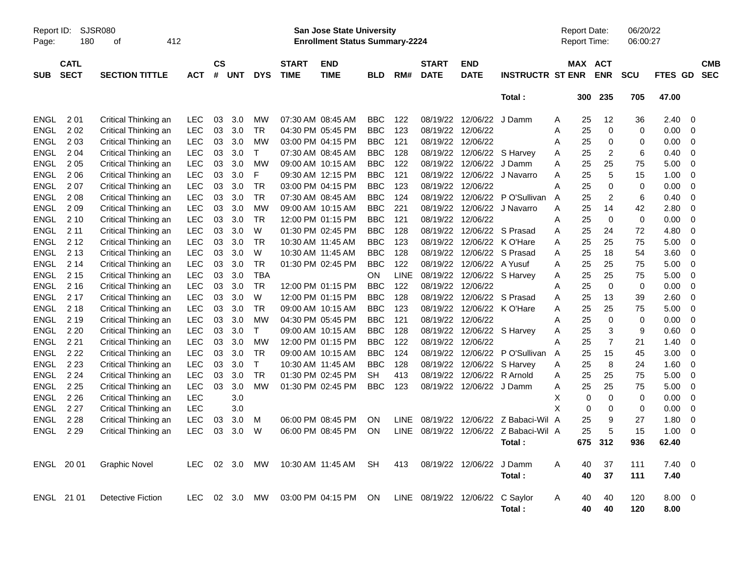| Report ID:<br>Page: | 180                        | <b>SJSR080</b><br>412<br>οf |            |                    |            |            |                             | <b>San Jose State University</b><br><b>Enrollment Status Summary-2224</b> |            |             |                                 |                           |                         |   | <b>Report Date:</b><br>Report Time: |                          | 06/20/22<br>06:00:27 |             |   |                          |
|---------------------|----------------------------|-----------------------------|------------|--------------------|------------|------------|-----------------------------|---------------------------------------------------------------------------|------------|-------------|---------------------------------|---------------------------|-------------------------|---|-------------------------------------|--------------------------|----------------------|-------------|---|--------------------------|
| <b>SUB</b>          | <b>CATL</b><br><b>SECT</b> | <b>SECTION TITTLE</b>       | <b>ACT</b> | $\mathsf{cs}$<br># | <b>UNT</b> | <b>DYS</b> | <b>START</b><br><b>TIME</b> | <b>END</b><br><b>TIME</b>                                                 | <b>BLD</b> | RM#         | <b>START</b><br><b>DATE</b>     | <b>END</b><br><b>DATE</b> | <b>INSTRUCTR ST ENR</b> |   | MAX                                 | <b>ACT</b><br><b>ENR</b> | <b>SCU</b>           | FTES GD     |   | <b>CMB</b><br><b>SEC</b> |
|                     |                            |                             |            |                    |            |            |                             |                                                                           |            |             |                                 |                           | Total:                  |   | 300                                 | 235                      | 705                  | 47.00       |   |                          |
| <b>ENGL</b>         | 2 0 1                      | Critical Thinking an        | <b>LEC</b> | 03                 | 3.0        | MW         |                             | 07:30 AM 08:45 AM                                                         | <b>BBC</b> | 122         | 08/19/22                        | 12/06/22                  | J Damm                  | A | 25                                  | 12                       | 36                   | 2.40        | 0 |                          |
| <b>ENGL</b>         | 202                        | Critical Thinking an        | <b>LEC</b> | 03                 | 3.0        | <b>TR</b>  |                             | 04:30 PM 05:45 PM                                                         | <b>BBC</b> | 123         | 08/19/22                        | 12/06/22                  |                         | A | 25                                  | 0                        | 0                    | 0.00        | 0 |                          |
| ENGL                | 203                        | Critical Thinking an        | LEC        | 03                 | 3.0        | МW         |                             | 03:00 PM 04:15 PM                                                         | <b>BBC</b> | 121         | 08/19/22                        | 12/06/22                  |                         | Α | 25                                  | 0                        | 0                    | 0.00        | 0 |                          |
| ENGL                | 2 0 4                      | Critical Thinking an        | LEC        | 03                 | 3.0        | $\top$     |                             | 07:30 AM 08:45 AM                                                         | <b>BBC</b> | 128         | 08/19/22                        | 12/06/22                  | S Harvey                | Α | 25                                  | 2                        | 6                    | 0.40        | 0 |                          |
| <b>ENGL</b>         | 205                        | Critical Thinking an        | LEC        | 03                 | 3.0        | МW         |                             | 09:00 AM 10:15 AM                                                         | <b>BBC</b> | 122         | 08/19/22                        | 12/06/22                  | J Damm                  | Α | 25                                  | 25                       | 75                   | 5.00        | 0 |                          |
| <b>ENGL</b>         | 206                        | Critical Thinking an        | LEC        | 03                 | 3.0        | F          |                             | 09:30 AM 12:15 PM                                                         | <b>BBC</b> | 121         | 08/19/22                        | 12/06/22                  | J Navarro               | Α | 25                                  | 5                        | 15                   | 1.00        | 0 |                          |
| <b>ENGL</b>         | 207                        | Critical Thinking an        | LEC        | 03                 | 3.0        | TR         |                             | 03:00 PM 04:15 PM                                                         | <b>BBC</b> | 123         | 08/19/22                        | 12/06/22                  |                         | Α | 25                                  | 0                        | 0                    | 0.00        | 0 |                          |
| <b>ENGL</b>         | 208                        | Critical Thinking an        | <b>LEC</b> | 03                 | 3.0        | TR         |                             | 07:30 AM 08:45 AM                                                         | <b>BBC</b> | 124         | 08/19/22                        | 12/06/22                  | P O'Sullivan            | Α | 25                                  | 2                        | 6                    | 0.40        | 0 |                          |
| <b>ENGL</b>         | 209                        | Critical Thinking an        | LEC        | 03                 | 3.0        | <b>MW</b>  |                             | 09:00 AM 10:15 AM                                                         | <b>BBC</b> | 221         | 08/19/22                        | 12/06/22                  | J Navarro               | Α | 25                                  | 14                       | 42                   | 2.80        | 0 |                          |
| <b>ENGL</b>         | 210                        | Critical Thinking an        | LEC        | 03                 | 3.0        | <b>TR</b>  |                             | 12:00 PM 01:15 PM                                                         | <b>BBC</b> | 121         | 08/19/22                        | 12/06/22                  |                         | Α | 25                                  | 0                        | 0                    | 0.00        | 0 |                          |
| <b>ENGL</b>         | 2 1 1                      | Critical Thinking an        | <b>LEC</b> | 03                 | 3.0        | W          |                             | 01:30 PM 02:45 PM                                                         | <b>BBC</b> | 128         | 08/19/22                        |                           | 12/06/22 S Prasad       | Α | 25                                  | 24                       | 72                   | 4.80        | 0 |                          |
| <b>ENGL</b>         | 2 1 2                      | Critical Thinking an        | <b>LEC</b> | 03                 | 3.0        | TR         |                             | 10:30 AM 11:45 AM                                                         | <b>BBC</b> | 123         | 08/19/22                        | 12/06/22                  | K O'Hare                | Α | 25                                  | 25                       | 75                   | 5.00        | 0 |                          |
| <b>ENGL</b>         | 2 1 3                      | Critical Thinking an        | LEC        | 03                 | 3.0        | W          |                             | 10:30 AM 11:45 AM                                                         | <b>BBC</b> | 128         | 08/19/22                        |                           | 12/06/22 S Prasad       | Α | 25                                  | 18                       | 54                   | 3.60        | 0 |                          |
| <b>ENGL</b>         | 2 14                       | Critical Thinking an        | <b>LEC</b> | 03                 | 3.0        | TR         |                             | 01:30 PM 02:45 PM                                                         | <b>BBC</b> | 122         | 08/19/22                        | 12/06/22                  | A Yusuf                 | Α | 25                                  | 25                       | 75                   | 5.00        | 0 |                          |
| <b>ENGL</b>         | 2 1 5                      | Critical Thinking an        | <b>LEC</b> | 03                 | 3.0        | <b>TBA</b> |                             |                                                                           | <b>ON</b>  | <b>LINE</b> | 08/19/22                        |                           | 12/06/22 S Harvey       | A | 25                                  | 25                       | 75                   | 5.00        | 0 |                          |
| <b>ENGL</b>         | 2 1 6                      | Critical Thinking an        | LEC        | 03                 | 3.0        | TR         |                             | 12:00 PM 01:15 PM                                                         | <b>BBC</b> | 122         | 08/19/22                        | 12/06/22                  |                         | Α | 25                                  | 0                        | 0                    | 0.00        | 0 |                          |
| <b>ENGL</b>         | 2 1 7                      | Critical Thinking an        | LEC        | 03                 | 3.0        | W          |                             | 12:00 PM 01:15 PM                                                         | <b>BBC</b> | 128         | 08/19/22                        |                           | 12/06/22 S Prasad       | Α | 25                                  | 13                       | 39                   | 2.60        | 0 |                          |
| <b>ENGL</b>         | 2 1 8                      | Critical Thinking an        | <b>LEC</b> | 03                 | 3.0        | TR         |                             | 09:00 AM 10:15 AM                                                         | <b>BBC</b> | 123         | 08/19/22                        |                           | 12/06/22 K O'Hare       | Α | 25                                  | 25                       | 75                   | 5.00        | 0 |                          |
| <b>ENGL</b>         | 2 1 9                      | Critical Thinking an        | <b>LEC</b> | 03                 | 3.0        | <b>MW</b>  |                             | 04:30 PM 05:45 PM                                                         | <b>BBC</b> | 121         | 08/19/22                        | 12/06/22                  |                         | Α | 25                                  | 0                        | 0                    | 0.00        | 0 |                          |
| <b>ENGL</b>         | 2 2 0                      | Critical Thinking an        | LEC        | 03                 | 3.0        | $\top$     |                             | 09:00 AM 10:15 AM                                                         | <b>BBC</b> | 128         | 08/19/22                        |                           | 12/06/22 S Harvey       | Α | 25                                  | 3                        | 9                    | 0.60        | 0 |                          |
| <b>ENGL</b>         | 2 2 1                      | Critical Thinking an        | LEC        | 03                 | 3.0        | МW         |                             | 12:00 PM 01:15 PM                                                         | <b>BBC</b> | 122         | 08/19/22                        | 12/06/22                  |                         | Α | 25                                  | $\overline{7}$           | 21                   | 1.40        | 0 |                          |
| <b>ENGL</b>         | 2 2 2                      | Critical Thinking an        | <b>LEC</b> | 03                 | 3.0        | TR         |                             | 09:00 AM 10:15 AM                                                         | <b>BBC</b> | 124         | 08/19/22                        | 12/06/22                  | P O'Sullivan            | A | 25                                  | 15                       | 45                   | 3.00        | 0 |                          |
| <b>ENGL</b>         | 2 2 3                      | Critical Thinking an        | LEC        | 03                 | 3.0        | Т          |                             | 10:30 AM 11:45 AM                                                         | <b>BBC</b> | 128         | 08/19/22                        | 12/06/22                  | S Harvey                | Α | 25                                  | 8                        | 24                   | 1.60        | 0 |                          |
| <b>ENGL</b>         | 2 2 4                      | Critical Thinking an        | LEC        | 03                 | 3.0        | TR         |                             | 01:30 PM 02:45 PM                                                         | <b>SH</b>  | 413         | 08/19/22                        | 12/06/22                  | R Arnold                | Α | 25                                  | 25                       | 75                   | 5.00        | 0 |                          |
| <b>ENGL</b>         | 2 2 5                      | Critical Thinking an        | <b>LEC</b> | 03                 | 3.0        | <b>MW</b>  |                             | 01:30 PM 02:45 PM                                                         | <b>BBC</b> | 123         | 08/19/22                        | 12/06/22 J Damm           |                         | Α | 25                                  | 25                       | 75                   | 5.00        | 0 |                          |
| <b>ENGL</b>         | 2 2 6                      | Critical Thinking an        | LEC        |                    | 3.0        |            |                             |                                                                           |            |             |                                 |                           |                         | Χ | 0                                   | 0                        | 0                    | 0.00        | 0 |                          |
| <b>ENGL</b>         | 2 2 7                      | Critical Thinking an        | LEC        |                    | 3.0        |            |                             |                                                                           |            |             |                                 |                           |                         | X | 0                                   | 0                        | 0                    | 0.00        | 0 |                          |
| <b>ENGL</b>         | 2 2 8                      | Critical Thinking an        | LEC        | 03                 | 3.0        | M          |                             | 06:00 PM 08:45 PM                                                         | ON         | <b>LINE</b> | 08/19/22                        | 12/06/22                  | Z Babaci-Wil   A        |   | 25                                  | 9                        | 27                   | 1.80        | 0 |                          |
| ENGL                | 2 2 9                      | Critical Thinking an        | <b>LEC</b> | 03                 | 3.0        | W          |                             | 06:00 PM 08:45 PM                                                         | ON         | <b>LINE</b> | 08/19/22                        |                           | 12/06/22 Z Babaci-Wil A |   | 25                                  | 5                        | 15                   | 1.00        | 0 |                          |
|                     |                            |                             |            |                    |            |            |                             |                                                                           |            |             |                                 |                           | Total:                  |   |                                     | 675 312                  | 936                  | 62.40       |   |                          |
|                     | ENGL 2001                  | <b>Graphic Novel</b>        |            |                    |            |            |                             | LEC 02 3.0 MW 10:30 AM 11:45 AM SH                                        |            |             | 413 08/19/22 12/06/22 J Damm    |                           |                         | A | 40                                  | 37                       | 111                  | $7.40 \ 0$  |   |                          |
|                     |                            |                             |            |                    |            |            |                             |                                                                           |            |             |                                 |                           | Total:                  |   | 40                                  | 37                       | 111                  | 7.40        |   |                          |
|                     | ENGL 21 01                 | <b>Detective Fiction</b>    |            |                    |            |            |                             | LEC 02 3.0 MW 03:00 PM 04:15 PM ON                                        |            |             | LINE 08/19/22 12/06/22 C Saylor |                           |                         | A | 40                                  | 40                       | 120                  | $8.00 \t 0$ |   |                          |
|                     |                            |                             |            |                    |            |            |                             |                                                                           |            |             |                                 |                           | Total:                  |   | 40                                  | 40                       | 120                  | 8.00        |   |                          |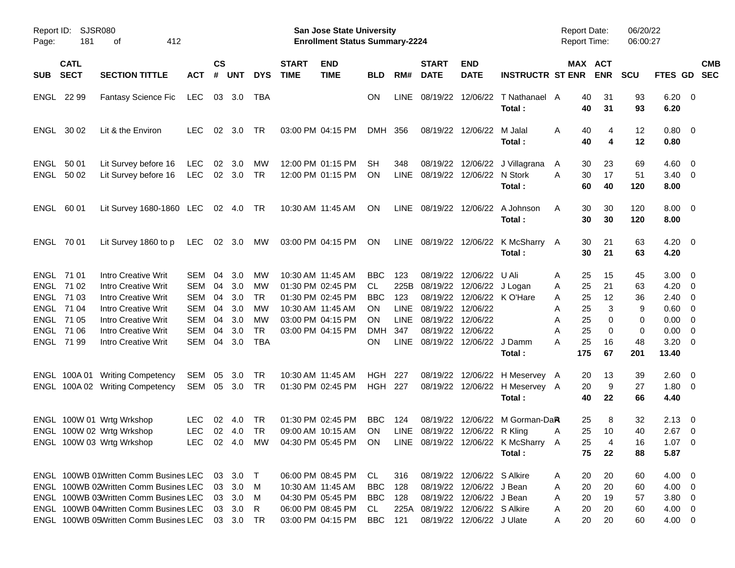| Page:        | Report ID: SJSR080<br>181                                                        | 412<br>οf                                                                                                                                                                                                 |                                                      |                                        |                                                     |                                                                     |                             | <b>San Jose State University</b><br><b>Enrollment Status Summary-2224</b>                                                  |                                                                 |                                                                        |                                                                                                                      |                                                                                                                 |                                                                                      | <b>Report Date:</b><br><b>Report Time:</b>                                |                                     | 06/20/22<br>06:00:27                |                                                                                                      |                          |  |
|--------------|----------------------------------------------------------------------------------|-----------------------------------------------------------------------------------------------------------------------------------------------------------------------------------------------------------|------------------------------------------------------|----------------------------------------|-----------------------------------------------------|---------------------------------------------------------------------|-----------------------------|----------------------------------------------------------------------------------------------------------------------------|-----------------------------------------------------------------|------------------------------------------------------------------------|----------------------------------------------------------------------------------------------------------------------|-----------------------------------------------------------------------------------------------------------------|--------------------------------------------------------------------------------------|---------------------------------------------------------------------------|-------------------------------------|-------------------------------------|------------------------------------------------------------------------------------------------------|--------------------------|--|
| <b>SUB</b>   | <b>CATL</b><br><b>SECT</b>                                                       | <b>SECTION TITTLE</b>                                                                                                                                                                                     | <b>ACT</b>                                           | <b>CS</b><br>#                         | <b>UNT</b>                                          | <b>DYS</b>                                                          | <b>START</b><br><b>TIME</b> | <b>END</b><br><b>TIME</b>                                                                                                  | <b>BLD</b>                                                      | RM#                                                                    | <b>START</b><br><b>DATE</b>                                                                                          | <b>END</b><br><b>DATE</b>                                                                                       | <b>INSTRUCTR ST ENR</b>                                                              |                                                                           | MAX ACT<br><b>ENR</b>               | <b>SCU</b>                          | FTES GD                                                                                              | <b>CMB</b><br><b>SEC</b> |  |
| ENGL 22 99   |                                                                                  | <b>Fantasy Science Fic</b>                                                                                                                                                                                | LEC                                                  |                                        | 03 3.0                                              | TBA                                                                 |                             |                                                                                                                            | ΟN                                                              | <b>LINE</b>                                                            | 08/19/22 12/06/22                                                                                                    |                                                                                                                 | T Nathanael A<br>Total:                                                              | 40<br>40                                                                  | 31<br>31                            | 93<br>93                            | $6.20 \quad 0$<br>6.20                                                                               |                          |  |
|              | ENGL 30 02                                                                       | Lit & the Environ                                                                                                                                                                                         | <b>LEC</b>                                           | 02                                     | 3.0                                                 | TR                                                                  |                             | 03:00 PM 04:15 PM                                                                                                          | DMH 356                                                         |                                                                        |                                                                                                                      | 08/19/22 12/06/22                                                                                               | M Jalal<br>Total:                                                                    | 40<br>A<br>40                                                             | 4<br>4                              | 12<br>12                            | $0.80 \ 0$<br>0.80                                                                                   |                          |  |
| ENGL<br>ENGL | 50 01<br>50 02                                                                   | Lit Survey before 16<br>Lit Survey before 16                                                                                                                                                              | LEC<br>LEC                                           | 02                                     | 3.0<br>02 3.0                                       | <b>MW</b><br>TR                                                     |                             | 12:00 PM 01:15 PM<br>12:00 PM 01:15 PM                                                                                     | SH<br>ON                                                        | 348<br><b>LINE</b>                                                     | 08/19/22 12/06/22 N Stork                                                                                            |                                                                                                                 | 08/19/22 12/06/22 J Villagrana<br>Total:                                             | 30<br>A<br>30<br>Α<br>60                                                  | 23<br>17<br>40                      | 69<br>51<br>120                     | $4.60 \quad 0$<br>$3.40 \quad 0$<br>8.00                                                             |                          |  |
| ENGL 60 01   |                                                                                  | Lit Survey 1680-1860 LEC 02 4.0                                                                                                                                                                           |                                                      |                                        |                                                     | TR                                                                  |                             | 10:30 AM 11:45 AM                                                                                                          | <b>ON</b>                                                       |                                                                        | LINE 08/19/22 12/06/22                                                                                               |                                                                                                                 | A Johnson<br>Total:                                                                  | 30<br>A<br>30                                                             | 30<br>30                            | 120<br>120                          | $8.00 \t 0$<br>8.00                                                                                  |                          |  |
| ENGL 70 01   |                                                                                  | Lit Survey 1860 to p                                                                                                                                                                                      | LEC                                                  |                                        | $02 \quad 3.0$                                      | <b>MW</b>                                                           |                             | 03:00 PM 04:15 PM                                                                                                          | ON                                                              |                                                                        |                                                                                                                      |                                                                                                                 | LINE 08/19/22 12/06/22 K McSharry A<br>Total:                                        | 30<br>30                                                                  | 21<br>21                            | 63<br>63                            | $4.20 \ 0$<br>4.20                                                                                   |                          |  |
| ENGL 71 01   | ENGL 71 02<br>ENGL 71 03<br>ENGL 71 04<br>ENGL 71 05<br>ENGL 71 06<br>ENGL 71 99 | <b>Intro Creative Writ</b><br><b>Intro Creative Writ</b><br><b>Intro Creative Writ</b><br><b>Intro Creative Writ</b><br><b>Intro Creative Writ</b><br><b>Intro Creative Writ</b><br>Intro Creative Writ   | SEM<br>SEM<br>SEM<br>SEM<br>SEM<br><b>SEM</b><br>SEM | 04<br>04<br>04<br>04<br>04<br>04<br>04 | 3.0<br>3.0<br>3.0<br>3.0<br>3.0<br>3.0<br>3.0       | MW<br><b>MW</b><br><b>TR</b><br>MW<br>MW<br><b>TR</b><br><b>TBA</b> |                             | 10:30 AM 11:45 AM<br>01:30 PM 02:45 PM<br>01:30 PM 02:45 PM<br>10:30 AM 11:45 AM<br>03:00 PM 04:15 PM<br>03:00 PM 04:15 PM | <b>BBC</b><br>CL<br><b>BBC</b><br>ON<br>ΟN<br><b>DMH</b><br>ON. | 123<br>225B<br>123<br><b>LINE</b><br><b>LINE</b><br>347<br><b>LINE</b> | 08/19/22 12/06/22 J Logan<br>08/19/22 12/06/22<br>08/19/22 12/06/22<br>08/19/22 12/06/22<br>08/19/22 12/06/22 J Damm | 08/19/22 12/06/22<br>08/19/22 12/06/22 K O'Hare                                                                 | U Ali                                                                                | 25<br>A<br>25<br>Α<br>25<br>Α<br>25<br>Α<br>25<br>Α<br>25<br>А<br>25<br>А | 15<br>21<br>12<br>3<br>0<br>0<br>16 | 45<br>63<br>36<br>9<br>0<br>0<br>48 | $3.00 \ 0$<br>$4.20 \ 0$<br>$2.40 \ 0$<br>$0.60 \quad 0$<br>$0.00 \t 0$<br>$0.00 \t 0$<br>$3.20 \ 0$ |                          |  |
|              |                                                                                  | ENGL 100A 01 Writing Competency<br>ENGL 100A 02 Writing Competency                                                                                                                                        | SEM<br>SEM 05 3.0                                    | 05                                     | 3.0                                                 | TR<br>TR                                                            |                             | 10:30 AM 11:45 AM<br>01:30 PM 02:45 PM                                                                                     | HGH<br><b>HGH 227</b>                                           | 227                                                                    |                                                                                                                      |                                                                                                                 | Total:<br>08/19/22 12/06/22 H Meservey A<br>08/19/22 12/06/22 H Meservey A<br>Total: | 175<br>20<br>20<br>40                                                     | 67<br>13<br>9<br>22                 | 201<br>39<br>27<br>66               | 13.40<br>$2.60 \quad 0$<br>$1.80 \ 0$<br>4.40                                                        |                          |  |
|              |                                                                                  | ENGL 100W 01 Wrtg Wrkshop<br>ENGL 100W 02 Wrtg Wrkshop<br>ENGL 100W 03 Wrtg Wrkshop                                                                                                                       | <b>LEC</b><br><b>LEC</b>                             | 02                                     | - 4.0<br>$02 \quad 4.0$                             | TR<br>TR                                                            |                             | 01:30 PM 02:45 PM<br>09:00 AM 10:15 AM<br>LEC 02 4.0 MW 04:30 PM 05:45 PM ON                                               | <b>BBC</b><br>ON                                                | 124<br>LINE                                                            | 08/19/22 12/06/22 R Kling                                                                                            | 08/19/22 12/06/22                                                                                               | M Gorman-Da <b>R</b><br>LINE 08/19/22 12/06/22 K McSharry A<br>Total:                | 25<br>25<br>A<br>75                                                       | 8<br>10<br>25 4<br>22               | 32<br>40<br>16<br>88                | $2.13 \quad 0$<br>$2.67$ 0<br>$1.07 \t 0$<br>5.87                                                    |                          |  |
|              |                                                                                  | ENGL 100WB 01Written Comm Busines LEC<br>ENGL 100WB 02Written Comm Busines LEC<br>ENGL 100WB 03Written Comm Busines LEC<br>ENGL 100WB 04Written Comm Busines LEC<br>ENGL 100WB 05Written Comm Busines LEC |                                                      |                                        | 03 3.0 T<br>03 3.0<br>03 3.0<br>03 3.0<br>03 3.0 TR | M<br>M<br>R                                                         |                             | 06:00 PM 08:45 PM<br>10:30 AM 11:45 AM<br>04:30 PM 05:45 PM<br>06:00 PM 08:45 PM<br>03:00 PM 04:15 PM                      | CL.<br>BBC<br>BBC<br>CL.<br><b>BBC</b>                          | 316<br>128<br>128<br>121                                               | 225A 08/19/22 12/06/22 S Alkire                                                                                      | 08/19/22 12/06/22 S Alkire<br>08/19/22 12/06/22 J Bean<br>08/19/22 12/06/22 J Bean<br>08/19/22 12/06/22 J Ulate |                                                                                      | 20<br>A<br>20<br>A<br>20<br>A<br>20<br>A<br>20<br>A                       | 20<br>20<br>19<br>20<br>20          | 60<br>60<br>57<br>60<br>60          | $4.00 \ 0$<br>$4.00 \ 0$<br>$3.80\ 0$<br>$4.00 \ 0$<br>4.00 0                                        |                          |  |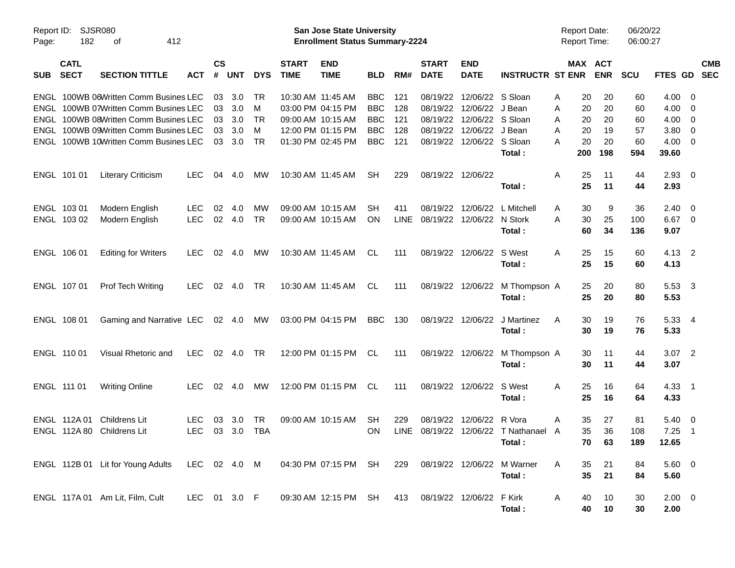| Report ID:<br>Page: | SJSR080<br>182             | 412<br>оf                                                                 |              |                    |            |            |                                        | <b>San Jose State University</b><br><b>Enrollment Status Summary-2224</b> |                          |             |                             |                              |                         |        | Report Date:<br>Report Time: |            | 06/20/22<br>06:00:27 |                |                          |                          |
|---------------------|----------------------------|---------------------------------------------------------------------------|--------------|--------------------|------------|------------|----------------------------------------|---------------------------------------------------------------------------|--------------------------|-------------|-----------------------------|------------------------------|-------------------------|--------|------------------------------|------------|----------------------|----------------|--------------------------|--------------------------|
| <b>SUB</b>          | <b>CATL</b><br><b>SECT</b> | <b>SECTION TITTLE</b>                                                     | <b>ACT</b>   | $\mathsf{cs}$<br># | <b>UNT</b> | <b>DYS</b> | <b>START</b><br><b>TIME</b>            | <b>END</b><br><b>TIME</b>                                                 | <b>BLD</b>               | RM#         | <b>START</b><br><b>DATE</b> | <b>END</b><br><b>DATE</b>    | <b>INSTRUCTR ST ENR</b> |        | MAX ACT                      | <b>ENR</b> | <b>SCU</b>           | <b>FTES GD</b> |                          | <b>CMB</b><br><b>SEC</b> |
| ENGL                |                            | ENGL 100WB 06Written Comm Busines LEC<br>100WB 07Written Comm Busines LEC |              | 03<br>03           | 3.0<br>3.0 | TR<br>м    | 10:30 AM 11:45 AM<br>03:00 PM 04:15 PM |                                                                           | <b>BBC</b><br><b>BBC</b> | 121<br>128  | 08/19/22<br>08/19/22        | 12/06/22 S Sloan<br>12/06/22 | J Bean                  | Α<br>A | 20<br>20                     | 20<br>20   | 60<br>60             | 4.00<br>4.00   | - 0<br>0                 |                          |
|                     |                            | ENGL 100WB 08Written Comm Busines LEC                                     |              | 03                 | 3.0        | TR         | 09:00 AM 10:15 AM                      |                                                                           | <b>BBC</b>               | 121         | 08/19/22                    | 12/06/22                     | S Sloan                 |        | 20                           | 20         | 60                   | 4.00           |                          |                          |
|                     |                            | ENGL 100WB 09Written Comm Busines LEC                                     |              | 03                 | 3.0        | м          |                                        | 12:00 PM 01:15 PM                                                         | <b>BBC</b>               | 128         | 08/19/22                    | 12/06/22                     | J Bean                  | A<br>A | 20                           | 19         | 57                   | 3.80           | 0<br>0                   |                          |
|                     |                            | ENGL 100WB 10Written Comm Busines LEC                                     |              | 03                 | 3.0        | <b>TR</b>  |                                        | 01:30 PM 02:45 PM                                                         | <b>BBC</b>               | 121         | 08/19/22                    | 12/06/22 S Sloan             |                         | А      | 20                           | 20         | 60                   | 4.00           | - 0                      |                          |
|                     |                            |                                                                           |              |                    |            |            |                                        |                                                                           |                          |             |                             |                              | Total:                  |        | 200                          | 198        | 594                  | 39.60          |                          |                          |
|                     | ENGL 101 01                | <b>Literary Criticism</b>                                                 | <b>LEC</b>   | 04                 | 4.0        | MW         | 10:30 AM 11:45 AM                      |                                                                           | SH                       | 229         | 08/19/22                    | 12/06/22                     |                         | A      | 25                           | 11         | 44                   | 2.93           | - 0                      |                          |
|                     |                            |                                                                           |              |                    |            |            |                                        |                                                                           |                          |             |                             |                              | Total:                  |        | 25                           | 11         | 44                   | 2.93           |                          |                          |
| ENGL 103 01         |                            | Modern English                                                            | <b>LEC</b>   | 02                 | 4.0        | МW         | 09:00 AM 10:15 AM                      |                                                                           | SН                       | 411         | 08/19/22                    | 12/06/22                     | L Mitchell              | A      | 30                           | 9          | 36                   | 2.40           | - 0                      |                          |
|                     | ENGL 103 02                | Modern English                                                            | <b>LEC</b>   | 02                 | 4.0        | <b>TR</b>  | 09:00 AM 10:15 AM                      |                                                                           | <b>ON</b>                | <b>LINE</b> | 08/19/22                    | 12/06/22                     | N Stork                 | A      | 30                           | 25         | 100                  | 6.67           | $\overline{\phantom{0}}$ |                          |
|                     |                            |                                                                           |              |                    |            |            |                                        |                                                                           |                          |             |                             |                              | Total:                  |        | 60                           | 34         | 136                  | 9.07           |                          |                          |
|                     | ENGL 106 01                | <b>Editing for Writers</b>                                                | <b>LEC</b>   | 02                 | 4.0        | MW         | 10:30 AM 11:45 AM                      |                                                                           | CL.                      | 111         | 08/19/22                    | 12/06/22                     | S West                  | A      | 25                           | 15         | 60                   | 4.13 2         |                          |                          |
|                     |                            |                                                                           |              |                    |            |            |                                        |                                                                           |                          |             |                             |                              | Total:                  |        | 25                           | 15         | 60                   | 4.13           |                          |                          |
|                     | ENGL 107 01                | Prof Tech Writing                                                         | <b>LEC</b>   | 02                 | 4.0        | TR         | 10:30 AM 11:45 AM                      |                                                                           | CL                       | 111         | 08/19/22 12/06/22           |                              | M Thompson A            |        | 25                           | 20         | 80                   | 5.53 3         |                          |                          |
|                     |                            |                                                                           |              |                    |            |            |                                        |                                                                           |                          |             |                             |                              | Total:                  |        | 25                           | 20         | 80                   | 5.53           |                          |                          |
|                     | ENGL 108 01                | Gaming and Narrative LEC 02 4.0                                           |              |                    |            | МW         |                                        | 03:00 PM 04:15 PM                                                         | <b>BBC</b>               | 130         | 08/19/22                    | 12/06/22                     | J Martinez              | A      | 30                           | 19         | 76                   | 5.33 4         |                          |                          |
|                     |                            |                                                                           |              |                    |            |            |                                        |                                                                           |                          |             |                             |                              | Total:                  |        | 30                           | 19         | 76                   | 5.33           |                          |                          |
|                     | ENGL 110 01                | Visual Rhetoric and                                                       | <b>LEC</b>   | 02                 | 4.0        | TR         |                                        | 12:00 PM 01:15 PM                                                         | CL                       | 111         | 08/19/22                    | 12/06/22                     | M Thompson A            |        | 30                           | 11         | 44                   | $3.07$ 2       |                          |                          |
|                     |                            |                                                                           |              |                    |            |            |                                        |                                                                           |                          |             |                             |                              | Total:                  |        | 30                           | 11         | 44                   | 3.07           |                          |                          |
| ENGL 111 01         |                            | <b>Writing Online</b>                                                     | <b>LEC</b>   | 02                 | 4.0        | MW         |                                        | 12:00 PM 01:15 PM                                                         | CL                       | 111         | 08/19/22                    | 12/06/22                     | S West                  | A      | 25                           | 16         | 64                   | 4.33 1         |                          |                          |
|                     |                            |                                                                           |              |                    |            |            |                                        |                                                                           |                          |             |                             |                              | Total:                  |        | 25                           | 16         | 64                   | 4.33           |                          |                          |
|                     | ENGL 112A 01               | <b>Childrens Lit</b>                                                      | LEC          | 03                 | 3.0        | TR         | 09:00 AM 10:15 AM                      |                                                                           | <b>SH</b>                | 229         | 08/19/22                    | 12/06/22                     | R Vora                  | A      | 35                           | 27         | 81                   | 5.40           | $\overline{\phantom{0}}$ |                          |
|                     |                            | ENGL 112A 80 Childrens Lit                                                | <b>LEC</b>   | 03                 | 3.0        | <b>TBA</b> |                                        |                                                                           | <b>ON</b>                | <b>LINE</b> | 08/19/22                    | 12/06/22                     | T Nathanael A           |        | 35                           | 36         | 108                  | 7.25           | - 1                      |                          |
|                     |                            |                                                                           |              |                    |            |            |                                        |                                                                           |                          |             |                             |                              | Total:                  |        |                              | 70 63      | 189                  | 12.65          |                          |                          |
|                     |                            | ENGL 112B 01 Lit for Young Adults                                         | LEC 02 4.0 M |                    |            |            |                                        | 04:30 PM 07:15 PM SH                                                      |                          | 229         | 08/19/22 12/06/22           |                              | M Warner                | A      | 35                           | 21         | 84                   | 5.60 0         |                          |                          |
|                     |                            |                                                                           |              |                    |            |            |                                        |                                                                           |                          |             |                             |                              | Total:                  |        | 35                           | 21         | 84                   | 5.60           |                          |                          |
|                     |                            |                                                                           |              |                    |            |            |                                        |                                                                           |                          |             |                             |                              |                         |        |                              |            |                      |                |                          |                          |
|                     |                            | ENGL 117A 01 Am Lit, Film, Cult                                           | LEC 01 3.0 F |                    |            |            |                                        | 09:30 AM 12:15 PM SH                                                      |                          | 413         |                             | 08/19/22 12/06/22            | F Kirk                  | A      | 40                           | 10         | 30                   | $2.00 \t 0$    |                          |                          |
|                     |                            |                                                                           |              |                    |            |            |                                        |                                                                           |                          |             |                             |                              | Total:                  |        | 40                           | 10         | 30                   | 2.00           |                          |                          |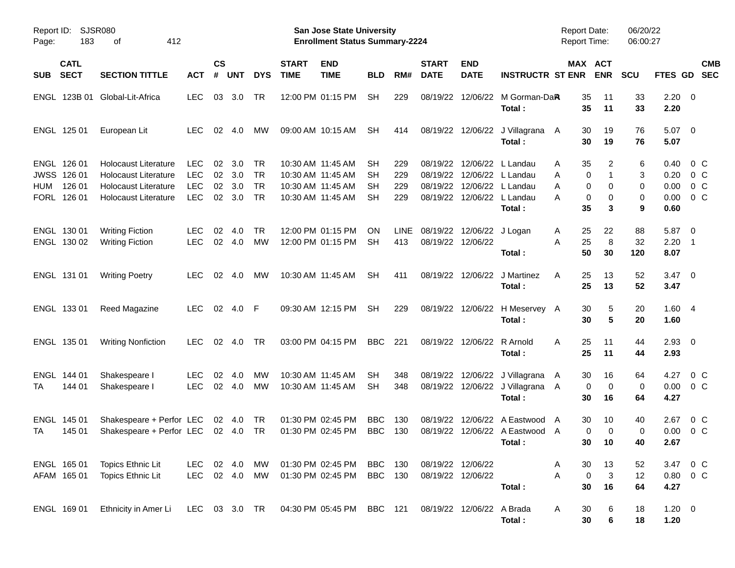| Report ID:<br>Page: | 183                                                 | SJSR080<br>412<br>οf                                                                                              |                                                      |                      |                          |                                           |                             | San Jose State University<br><b>Enrollment Status Summary-2224</b>               |                          |                          |                                        |                            |                                                                                                     | Report Date:<br><b>Report Time:</b> |                                      | 06/20/22<br>06:00:27    |                                      |                                                               |
|---------------------|-----------------------------------------------------|-------------------------------------------------------------------------------------------------------------------|------------------------------------------------------|----------------------|--------------------------|-------------------------------------------|-----------------------------|----------------------------------------------------------------------------------|--------------------------|--------------------------|----------------------------------------|----------------------------|-----------------------------------------------------------------------------------------------------|-------------------------------------|--------------------------------------|-------------------------|--------------------------------------|---------------------------------------------------------------|
| <b>SUB</b>          | <b>CATL</b><br><b>SECT</b>                          | <b>SECTION TITTLE</b>                                                                                             | <b>ACT</b>                                           | $\mathsf{cs}$<br>#   | <b>UNT</b>               | <b>DYS</b>                                | <b>START</b><br><b>TIME</b> | <b>END</b><br><b>TIME</b>                                                        | <b>BLD</b>               | RM#                      | <b>START</b><br><b>DATE</b>            | <b>END</b><br><b>DATE</b>  | <b>INSTRUCTR ST ENR</b>                                                                             |                                     | MAX ACT<br><b>ENR</b>                | <b>SCU</b>              | FTES GD                              | <b>CMB</b><br><b>SEC</b>                                      |
|                     |                                                     | ENGL 123B 01 Global-Lit-Africa                                                                                    | <b>LEC</b>                                           | 03                   | 3.0                      | TR                                        |                             | 12:00 PM 01:15 PM                                                                | <b>SH</b>                | 229                      | 08/19/22                               |                            | 12/06/22 M Gorman-DaR<br>Total:                                                                     | 35<br>35                            | 11<br>11                             | 33<br>33                | 2.20<br>2.20                         | $\overline{\phantom{0}}$                                      |
|                     | ENGL 125 01                                         | European Lit                                                                                                      | <b>LEC</b>                                           | 02                   | 4.0                      | мw                                        |                             | 09:00 AM 10:15 AM                                                                | <b>SH</b>                | 414                      |                                        |                            | 08/19/22 12/06/22 J Villagrana<br>Total:                                                            | 30<br>A<br>30                       | 19<br>19                             | 76<br>76                | 5.07<br>5.07                         | $\overline{\phantom{0}}$                                      |
| <b>HUM</b>          | ENGL 126 01<br>JWSS 126 01<br>126 01<br>FORL 126 01 | Holocaust Literature<br><b>Holocaust Literature</b><br><b>Holocaust Literature</b><br><b>Holocaust Literature</b> | <b>LEC</b><br><b>LEC</b><br><b>LEC</b><br><b>LEC</b> | 02<br>02<br>02<br>02 | 3.0<br>3.0<br>3.0<br>3.0 | TR<br><b>TR</b><br><b>TR</b><br><b>TR</b> |                             | 10:30 AM 11:45 AM<br>10:30 AM 11:45 AM<br>10:30 AM 11:45 AM<br>10:30 AM 11:45 AM | SН<br>SН<br>SН<br>SН     | 229<br>229<br>229<br>229 | 08/19/22<br>08/19/22<br>08/19/22       |                            | 12/06/22 L Landau<br>12/06/22 L Landau<br>12/06/22 L Landau<br>08/19/22 12/06/22 L Landau<br>Total: | 35<br>Α<br>Α<br>Α<br>А<br>35        | 2<br>0<br>1<br>0<br>0<br>0<br>0<br>3 | 6<br>3<br>0<br>0<br>9   | 0.40<br>0.20<br>0.00<br>0.00<br>0.60 | $0\,$ C<br>0 <sup>o</sup><br>0 <sup>o</sup><br>0 <sup>o</sup> |
|                     | ENGL 130 01<br>ENGL 130 02                          | <b>Writing Fiction</b><br><b>Writing Fiction</b>                                                                  | <b>LEC</b><br><b>LEC</b>                             | 02<br>02             | 4.0<br>4.0               | TR.<br>МW                                 |                             | 12:00 PM 01:15 PM<br>12:00 PM 01:15 PM                                           | <b>ON</b><br>SН          | LINE.<br>413             | 08/19/22 12/06/22                      | 08/19/22 12/06/22 J Logan  | Total:                                                                                              | 25<br>Α<br>25<br>Α<br>50            | 22<br>8<br>30                        | 88<br>32<br>120         | 5.87<br>2.20<br>8.07                 | $\overline{\phantom{0}}$<br>$\overline{\phantom{1}}$          |
|                     | ENGL 131 01                                         | <b>Writing Poetry</b>                                                                                             | <b>LEC</b>                                           | 02                   | -4.0                     | мw                                        |                             | 10:30 AM 11:45 AM                                                                | SH                       | 411                      |                                        |                            | 08/19/22 12/06/22 J Martinez<br>Total:                                                              | A<br>25<br>25                       | 13<br>13                             | 52<br>52                | 3.47<br>3.47                         | $\overline{\phantom{0}}$                                      |
|                     | ENGL 133 01                                         | Reed Magazine                                                                                                     | <b>LEC</b>                                           | 02                   | 4.0                      | -F                                        |                             | 09:30 AM 12:15 PM                                                                | <b>SH</b>                | 229                      |                                        |                            | 08/19/22 12/06/22 H Meservey A<br>Total:                                                            | 30<br>30                            | 5<br>5                               | 20<br>20                | 1.604<br>1.60                        |                                                               |
|                     | ENGL 135 01                                         | <b>Writing Nonfiction</b>                                                                                         | <b>LEC</b>                                           | 02                   | 4.0                      | TR                                        |                             | 03:00 PM 04:15 PM                                                                | <b>BBC</b>               | 221                      |                                        | 08/19/22 12/06/22 R Arnold | Total:                                                                                              | 25<br>A<br>25                       | 11<br>11                             | 44<br>44                | $2.93$ 0<br>2.93                     |                                                               |
| TA                  | ENGL 144 01<br>144 01                               | Shakespeare I<br>Shakespeare I                                                                                    | LEC<br><b>LEC</b>                                    | 02<br>02             | 4.0<br>4.0               | МW<br>МW                                  |                             | 10:30 AM 11:45 AM<br>10:30 AM 11:45 AM                                           | SН<br>SН                 | 348<br>348               | 08/19/22                               |                            | 12/06/22 J Villagrana<br>08/19/22 12/06/22 J Villagrana<br>Total:                                   | 30<br>A<br>A<br>30                  | 16<br>0<br>0<br>16                   | 64<br>0<br>64           | 4.27<br>0.00<br>4.27                 | $0\,$ C<br>0 C                                                |
| TA                  | ENGL 145 01<br>145 01                               | Shakespeare + Perfor LEC<br>Shakespeare + Perfor LEC                                                              |                                                      |                      | 02 4.0<br>02 4.0         | TR<br><b>TR</b>                           |                             | 01:30 PM 02:45 PM<br>01:30 PM 02:45 PM                                           | <b>BBC</b><br><b>BBC</b> | 130<br>130               | 08/19/22<br>08/19/22                   |                            | 12/06/22 A Eastwood<br>12/06/22 A Eastwood A<br>Total:                                              | 30<br>$\overline{\mathsf{A}}$<br>30 | 10<br>0<br>0<br>10                   | 40<br>$\mathbf 0$<br>40 | 2.67<br>0.00<br>2.67                 | $0\,$ C<br>0 <sup>o</sup>                                     |
|                     | ENGL 165 01<br>AFAM 165 01                          | Topics Ethnic Lit<br><b>Topics Ethnic Lit</b>                                                                     | LEC<br><b>LEC</b>                                    |                      | 02 4.0<br>02 4.0         | MW<br>MW                                  |                             | 01:30 PM 02:45 PM<br>01:30 PM 02:45 PM                                           | BBC<br>BBC 130           | 130                      | 08/19/22 12/06/22<br>08/19/22 12/06/22 |                            | Total:                                                                                              | 30<br>A<br>A<br>30                  | 13<br>$\mathbf 0$<br>3<br>16         | 52<br>12<br>64          | 4.27                                 | 3.47 0 C<br>$0.80 \t 0 \t C$                                  |
|                     | ENGL 169 01                                         | Ethnicity in Amer Li                                                                                              | LEC 03 3.0 TR                                        |                      |                          |                                           |                             | 04:30 PM 05:45 PM BBC 121                                                        |                          |                          |                                        | 08/19/22 12/06/22 A Brada  | Total:                                                                                              | 30<br>A<br>30                       | 6<br>6                               | 18<br>18                | $1.20 \t 0$<br>1.20                  |                                                               |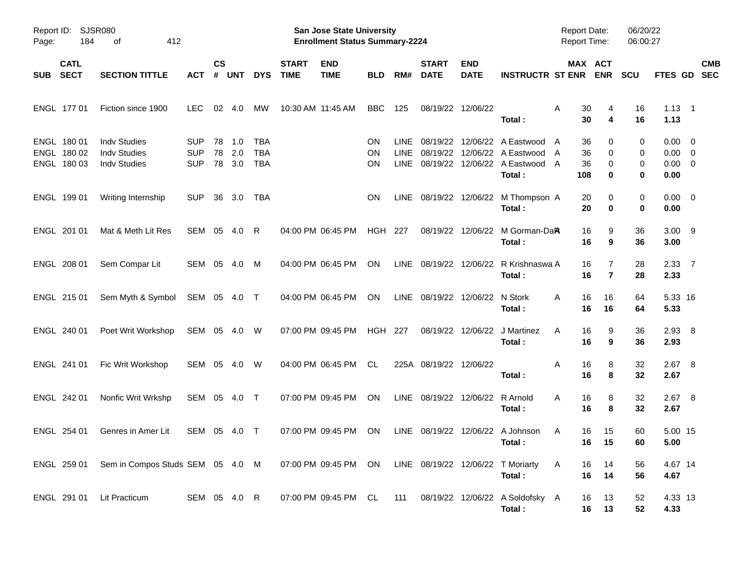| Page: | Report ID: SJSR080<br>184                 | 412<br>оf                                                         |                                        |                    |                   |                                 |                             | San Jose State University<br><b>Enrollment Status Summary-2224</b> |                       |                              |                                 |                           |                                                                                        | <b>Report Date:</b><br><b>Report Time:</b>                |                       | 06/20/22<br>06:00:27 |                                                   |                          |  |
|-------|-------------------------------------------|-------------------------------------------------------------------|----------------------------------------|--------------------|-------------------|---------------------------------|-----------------------------|--------------------------------------------------------------------|-----------------------|------------------------------|---------------------------------|---------------------------|----------------------------------------------------------------------------------------|-----------------------------------------------------------|-----------------------|----------------------|---------------------------------------------------|--------------------------|--|
| SUB   | <b>CATL</b><br><b>SECT</b>                | <b>SECTION TITTLE</b>                                             | <b>ACT</b>                             | $\mathsf{cs}$<br># | <b>UNT</b>        | <b>DYS</b>                      | <b>START</b><br><b>TIME</b> | <b>END</b><br><b>TIME</b>                                          | <b>BLD</b>            | RM#                          | <b>START</b><br><b>DATE</b>     | <b>END</b><br><b>DATE</b> | <b>INSTRUCTR ST ENR</b>                                                                |                                                           | MAX ACT<br><b>ENR</b> | <b>SCU</b>           | FTES GD                                           | <b>CMB</b><br><b>SEC</b> |  |
|       | ENGL 177 01                               | Fiction since 1900                                                | LEC.                                   | 02                 | 4.0               | МW                              | 10:30 AM 11:45 AM           |                                                                    | <b>BBC</b>            | 125                          | 08/19/22 12/06/22               |                           | Total:                                                                                 | 30<br>Α<br>30                                             | 4<br>4                | 16<br>16             | $1.13 \quad 1$<br>1.13                            |                          |  |
|       | ENGL 180 01<br>ENGL 180 02<br>ENGL 180 03 | <b>Indv Studies</b><br><b>Indv Studies</b><br><b>Indv Studies</b> | <b>SUP</b><br><b>SUP</b><br><b>SUP</b> | 78<br>78<br>78     | 1.0<br>2.0<br>3.0 | TBA<br><b>TBA</b><br><b>TBA</b> |                             |                                                                    | ON<br>ON<br><b>ON</b> | LINE.<br><b>LINE</b><br>LINE | 08/19/22<br>08/19/22            |                           | 12/06/22 A Eastwood<br>12/06/22 A Eastwood<br>08/19/22 12/06/22 A Eastwood A<br>Total: | 36<br>$\overline{A}$<br>36<br>$\overline{A}$<br>36<br>108 | 0<br>0<br>0<br>0      | 0<br>0<br>0<br>0     | $0.00 \t 0$<br>$0.00 \t 0$<br>$0.00 \t 0$<br>0.00 |                          |  |
|       | ENGL 199 01                               | Writing Internship                                                | <b>SUP</b>                             | 36                 | 3.0               | TBA                             |                             |                                                                    | ON                    |                              |                                 |                           | LINE 08/19/22 12/06/22 M Thompson A<br>Total:                                          | 20<br>20                                                  | 0<br>0                | 0<br>0               | $0.00 \t 0$<br>0.00                               |                          |  |
|       | ENGL 201 01                               | Mat & Meth Lit Res                                                | SEM                                    | 05                 | 4.0               | -R                              |                             | 04:00 PM 06:45 PM                                                  | HGH                   | 227                          |                                 | 08/19/22 12/06/22         | M Gorman-DaR<br>Total:                                                                 | 16<br>16                                                  | 9<br>9                | 36<br>36             | $3.00$ 9<br>3.00                                  |                          |  |
|       | ENGL 208 01                               | Sem Compar Lit                                                    | SEM 05 4.0                             |                    |                   | M                               |                             | 04:00 PM 06:45 PM                                                  | <b>ON</b>             |                              | LINE 08/19/22 12/06/22          |                           | R Krishnaswa A<br>Total:                                                               | 16<br>16                                                  | 7<br>$\overline{7}$   | 28<br>28             | $2.33 \quad 7$<br>2.33                            |                          |  |
|       | ENGL 215 01                               | Sem Myth & Symbol                                                 | SEM 05 4.0 T                           |                    |                   |                                 |                             | 04:00 PM 06:45 PM                                                  | ON                    |                              | LINE 08/19/22 12/06/22          |                           | N Stork<br>Total:                                                                      | 16<br>A<br>16                                             | 16<br>16              | 64<br>64             | 5.33 16<br>5.33                                   |                          |  |
|       | ENGL 240 01                               | Poet Writ Workshop                                                | SEM 05 4.0 W                           |                    |                   |                                 |                             | 07:00 PM 09:45 PM                                                  | <b>HGH 227</b>        |                              |                                 | 08/19/22 12/06/22         | J Martinez<br>Total:                                                                   | 16<br>A<br>16                                             | 9<br>9                | 36<br>36             | $2.93$ 8<br>2.93                                  |                          |  |
|       | ENGL 241 01                               | Fic Writ Workshop                                                 | SEM 05 4.0                             |                    |                   | W                               |                             | 04:00 PM 06:45 PM                                                  | CL                    |                              | 225A 08/19/22 12/06/22          |                           | Total:                                                                                 | Α<br>16<br>16                                             | 8<br>8                | 32<br>32             | $2.67$ 8<br>2.67                                  |                          |  |
|       | ENGL 242 01                               | Nonfic Writ Wrkshp                                                | SEM 05 4.0 T                           |                    |                   |                                 |                             | 07:00 PM 09:45 PM                                                  | ON                    |                              | LINE 08/19/22 12/06/22 R Arnold |                           | Total:                                                                                 | 16<br>A<br>16                                             | 8<br>8                | 32<br>32             | $2.67$ 8<br>2.67                                  |                          |  |
|       | ENGL 254 01                               | Genres in Amer Lit                                                | SEM 05 4.0                             |                    |                   | $\top$                          |                             | 07:00 PM 09:45 PM                                                  | <b>ON</b>             |                              |                                 |                           | LINE 08/19/22 12/06/22 A Johnson<br>Total:                                             | 16<br>A<br>16                                             | 15<br>15              | 60<br>60             | 5.00 15<br>5.00                                   |                          |  |
|       |                                           | ENGL 259 01 Sem in Compos Studs SEM 05 4.0 M                      |                                        |                    |                   |                                 |                             | 07:00 PM 09:45 PM ON LINE 08/19/22 12/06/22 T Moriarty             |                       |                              |                                 |                           | Total:                                                                                 | 16<br>A<br>16                                             | 14<br>14              | 56<br>56             | 4.67 14<br>4.67                                   |                          |  |
|       |                                           | ENGL 291 01 Lit Practicum                                         | SEM 05 4.0 R                           |                    |                   |                                 |                             | 07:00 PM 09:45 PM CL                                               |                       | 111                          |                                 |                           | 08/19/22 12/06/22 A Soldofsky A<br>Total:                                              | 16<br>16                                                  | 13<br>13              | 52<br>52             | 4.33 13<br>4.33                                   |                          |  |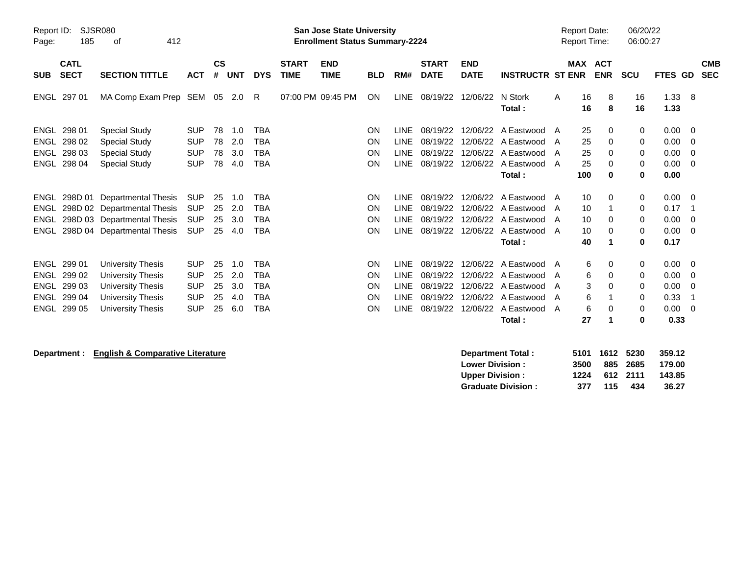| Report ID:<br>Page:                               | SJSR080<br>185<br>412<br>оf                         |                                                                                                                  |                                                                    |                            |                                 |                                                      |                             | <b>San Jose State University</b><br><b>Enrollment Status Summary-2224</b> |                                    |                                                                         |                                                          |                                  |                                                                                                           |                  | <b>Report Date:</b><br><b>Report Time:</b> |                              | 06/20/22<br>06:00:27       |                                              |                          |                          |
|---------------------------------------------------|-----------------------------------------------------|------------------------------------------------------------------------------------------------------------------|--------------------------------------------------------------------|----------------------------|---------------------------------|------------------------------------------------------|-----------------------------|---------------------------------------------------------------------------|------------------------------------|-------------------------------------------------------------------------|----------------------------------------------------------|----------------------------------|-----------------------------------------------------------------------------------------------------------|------------------|--------------------------------------------|------------------------------|----------------------------|----------------------------------------------|--------------------------|--------------------------|
| <b>SUB</b>                                        | <b>CATL</b><br><b>SECT</b>                          | <b>SECTION TITTLE</b>                                                                                            | <b>ACT</b>                                                         | $\mathsf{cs}$<br>#         | <b>UNT</b>                      | <b>DYS</b>                                           | <b>START</b><br><b>TIME</b> | <b>END</b><br><b>TIME</b>                                                 | <b>BLD</b>                         | RM#                                                                     | <b>START</b><br><b>DATE</b>                              | <b>END</b><br><b>DATE</b>        | <b>INSTRUCTR ST ENR</b>                                                                                   | <b>MAX</b>       |                                            | <b>ACT</b><br><b>ENR</b>     | <b>SCU</b>                 | FTES GD                                      |                          | <b>CMB</b><br><b>SEC</b> |
|                                                   | ENGL 297 01                                         | MA Comp Exam Prep SEM 05 2.0                                                                                     |                                                                    |                            |                                 | R.                                                   |                             | 07:00 PM 09:45 PM                                                         | <b>ON</b>                          |                                                                         | LINE 08/19/22                                            | 12/06/22                         | N Stork<br>Total:                                                                                         | A                | 16<br>16                                   | 8<br>8                       | 16<br>16                   | 1.33<br>1.33                                 | -8                       |                          |
| <b>ENGL</b><br><b>ENGL</b>                        | ENGL 298 01<br>ENGL 298 02<br>298 03<br>298 04      | Special Study<br><b>Special Study</b><br><b>Special Study</b><br><b>Special Study</b>                            | <b>SUP</b><br><b>SUP</b><br><b>SUP</b><br><b>SUP</b>               | 78<br>78<br>78<br>78       | 1.0<br>2.0<br>3.0<br>4.0        | TBA<br><b>TBA</b><br><b>TBA</b><br><b>TBA</b>        |                             |                                                                           | <b>ON</b><br>ON<br>ON<br><b>ON</b> | <b>LINE</b><br><b>LINE</b><br><b>LINE</b><br><b>LINE</b>                | 08/19/22<br>08/19/22<br>08/19/22<br>08/19/22             | 12/06/22<br>12/06/22<br>12/06/22 | A Eastwood A<br>12/06/22 A Eastwood A<br>A Eastwood<br>A Eastwood A<br>Total:                             | A                | 25<br>25<br>25<br>25<br>100                | 0<br>0<br>$\Omega$<br>0<br>0 | 0<br>0<br>0<br>0<br>0      | 0.00<br>0.00<br>0.00<br>0.00<br>0.00         | - 0<br>0<br>0<br>0       |                          |
| ENGL<br>ENGL<br><b>ENGL</b><br>ENGL               | 298D 01                                             | Departmental Thesis<br>298D 02 Departmental Thesis<br>298D 03 Departmental Thesis<br>298D 04 Departmental Thesis | <b>SUP</b><br><b>SUP</b><br><b>SUP</b><br><b>SUP</b>               | 25<br>25<br>25<br>25       | 1.0<br>2.0<br>3.0<br>4.0        | <b>TBA</b><br><b>TBA</b><br><b>TBA</b><br><b>TBA</b> |                             |                                                                           | ON<br>ON<br>ON<br><b>ON</b>        | <b>LINE</b><br><b>LINE</b><br><b>LINE</b><br>LINE                       | 08/19/22<br>08/19/22<br>08/19/22<br>08/19/22             | 12/06/22<br>12/06/22<br>12/06/22 | A Eastwood<br>A Eastwood<br>12/06/22 A Eastwood A<br>A Eastwood A<br>Total:                               | A<br>A           | 10<br>10<br>10<br>10<br>40                 | 0<br>0<br>0<br>1             | 0<br>0<br>0<br>0<br>0      | 0.00<br>0.17<br>0.00<br>0.00<br>0.17         | 0<br>-1<br>0<br>$\Omega$ |                          |
| <b>ENGL</b><br><b>ENGL</b><br><b>ENGL</b><br>ENGL | 299 01<br>299 02<br>299 03<br>ENGL 299 04<br>299 05 | University Thesis<br>University Thesis<br><b>University Thesis</b><br>University Thesis<br>University Thesis     | <b>SUP</b><br><b>SUP</b><br><b>SUP</b><br><b>SUP</b><br><b>SUP</b> | 25<br>25<br>25<br>25<br>25 | 1.0<br>2.0<br>3.0<br>4.0<br>6.0 | TBA<br>TBA<br><b>TBA</b><br><b>TBA</b><br><b>TBA</b> |                             |                                                                           | ON<br>ON<br><b>ON</b><br>ON<br>ON  | <b>LINE</b><br><b>LINE</b><br><b>LINE</b><br><b>LINE</b><br><b>LINE</b> | 08/19/22<br>08/19/22<br>08/19/22<br>08/19/22<br>08/19/22 | 12/06/22<br>12/06/22             | A Eastwood<br>12/06/22 A Eastwood A<br>12/06/22 A Eastwood<br>12/06/22 A Eastwood<br>A Eastwood<br>Total: | A<br>A<br>A<br>A | 6<br>6<br>3<br>6<br>6<br>27                | 0<br>0<br>0<br>0             | 0<br>0<br>0<br>0<br>0<br>0 | 0.00<br>0.00<br>0.00<br>0.33<br>0.00<br>0.33 | - 0<br>0<br>0<br>-1<br>0 |                          |

## **Department :** English & Comparative Literature<br>
Low

| <b>Department Total:</b>  |      | 5101 1612 5230 |          | 359.12 |
|---------------------------|------|----------------|----------|--------|
| <b>Lower Division :</b>   | 3500 |                | 885 2685 | 179.00 |
| <b>Upper Division :</b>   | 1224 |                | 612 2111 | 143.85 |
| <b>Graduate Division:</b> | 377  | 115            | 434      | 36.27  |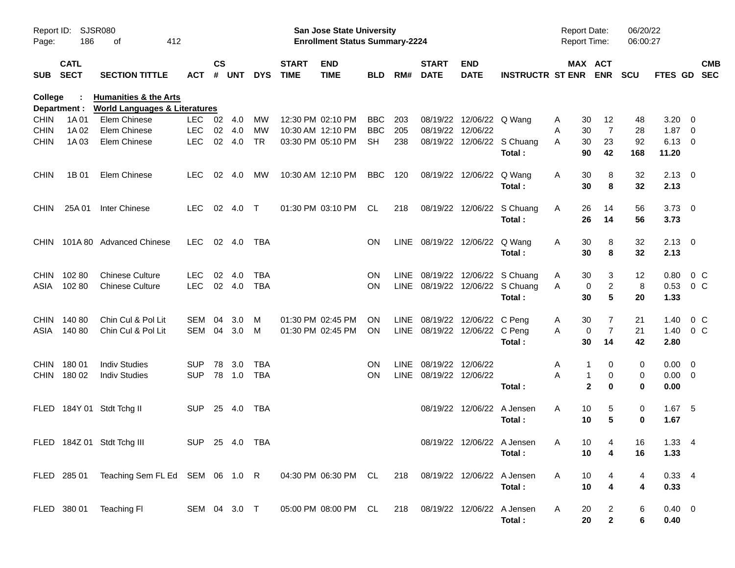| Report ID:<br>Page: | 186                        | SJSR080<br>412<br>οf                                                         |                |               |        |            |                             | <b>San Jose State University</b><br><b>Enrollment Status Summary-2224</b> |            |       |                                |                            |                                 | <b>Report Date:</b><br><b>Report Time:</b> |                          | 06/20/22<br>06:00:27 |                |                           |
|---------------------|----------------------------|------------------------------------------------------------------------------|----------------|---------------|--------|------------|-----------------------------|---------------------------------------------------------------------------|------------|-------|--------------------------------|----------------------------|---------------------------------|--------------------------------------------|--------------------------|----------------------|----------------|---------------------------|
| <b>SUB</b>          | <b>CATL</b><br><b>SECT</b> | <b>SECTION TITTLE</b>                                                        | ACT            | $\mathsf{cs}$ | # UNT  | <b>DYS</b> | <b>START</b><br><b>TIME</b> | <b>END</b><br><b>TIME</b>                                                 | <b>BLD</b> | RM#   | <b>START</b><br><b>DATE</b>    | <b>END</b><br><b>DATE</b>  | <b>INSTRUCTR ST ENR</b>         |                                            | MAX ACT<br><b>ENR</b>    | <b>SCU</b>           |                | <b>CMB</b><br>FTES GD SEC |
| <b>College</b>      | Department :               | <b>Humanities &amp; the Arts</b><br><b>World Languages &amp; Literatures</b> |                |               |        |            |                             |                                                                           |            |       |                                |                            |                                 |                                            |                          |                      |                |                           |
| <b>CHIN</b>         | 1A 01                      | Elem Chinese                                                                 | LEC            | 02 4.0        |        | МW         |                             | 12:30 PM 02:10 PM                                                         | <b>BBC</b> | 203   | 08/19/22                       | 12/06/22 Q Wang            |                                 | 30<br>A                                    | 12                       | 48                   | 3.20           | - 0                       |
| <b>CHIN</b>         | 1A 02                      | Elem Chinese                                                                 | <b>LEC</b>     | 02            | 4.0    | MW         |                             | 10:30 AM 12:10 PM                                                         | <b>BBC</b> | 205   | 08/19/22                       | 12/06/22                   |                                 | 30<br>A                                    | 7                        | 28                   | 1.87           | - 0                       |
| <b>CHIN</b>         | 1A 03                      | Elem Chinese                                                                 | <b>LEC</b>     | 02            | 4.0    | <b>TR</b>  |                             | 03:30 PM 05:10 PM                                                         | <b>SH</b>  | 238   | 08/19/22                       |                            | 12/06/22 S Chuang               | 30<br>A                                    | 23                       | 92                   | $6.13 \quad 0$ |                           |
|                     |                            |                                                                              |                |               |        |            |                             |                                                                           |            |       |                                |                            | Total:                          | 90                                         | 42                       | 168                  | 11.20          |                           |
| <b>CHIN</b>         | 1B 01                      | Elem Chinese                                                                 | <b>LEC</b>     | 02            | 4.0    | МW         |                             | 10:30 AM 12:10 PM                                                         | <b>BBC</b> | 120   |                                | 08/19/22 12/06/22          | Q Wang                          | A<br>30                                    | 8                        | 32                   | $2.13 \ 0$     |                           |
|                     |                            |                                                                              |                |               |        |            |                             |                                                                           |            |       |                                |                            | Total:                          | 30                                         | 8                        | 32                   | 2.13           |                           |
| <b>CHIN</b>         | 25A 01                     | <b>Inter Chinese</b>                                                         | <b>LEC</b>     |               | 02 4.0 | $\top$     |                             | 01:30 PM 03:10 PM                                                         | CL         | 218   |                                | 08/19/22 12/06/22          | S Chuang                        | A<br>26                                    | 14                       | 56                   | $3.73 \quad 0$ |                           |
|                     |                            |                                                                              |                |               |        |            |                             |                                                                           |            |       |                                |                            | Total:                          | 26                                         | 14                       | 56                   | 3.73           |                           |
| <b>CHIN</b>         |                            | 101A 80 Advanced Chinese                                                     | LEC.           |               | 02 4.0 | TBA        |                             |                                                                           | <b>ON</b>  |       | LINE 08/19/22 12/06/22         |                            | Q Wang                          | A<br>30                                    | 8                        | 32                   | $2.13 \quad 0$ |                           |
|                     |                            |                                                                              |                |               |        |            |                             |                                                                           |            |       |                                |                            | Total:                          | 30                                         | 8                        | 32                   | 2.13           |                           |
| <b>CHIN</b>         | 10280                      | <b>Chinese Culture</b>                                                       | <b>LEC</b>     | 02            | 4.0    | <b>TBA</b> |                             |                                                                           | <b>ON</b>  |       |                                |                            | LINE 08/19/22 12/06/22 S Chuang | 30<br>A                                    | 3                        | 12                   | 0.80           | $0\,C$                    |
| ASIA                | 10280                      | <b>Chinese Culture</b>                                                       | <b>LEC</b>     |               | 02 4.0 | <b>TBA</b> |                             |                                                                           | <b>ON</b>  |       |                                |                            | LINE 08/19/22 12/06/22 S Chuang | A                                          | $\overline{c}$<br>0      | 8                    | 0.53           | 0 C                       |
|                     |                            |                                                                              |                |               |        |            |                             |                                                                           |            |       |                                |                            | Total:                          | 30                                         | 5                        | 20                   | 1.33           |                           |
| <b>CHIN</b>         | 140 80                     | Chin Cul & Pol Lit                                                           | SEM            | 04            | 3.0    | M          |                             | 01:30 PM 02:45 PM                                                         | ON.        |       | LINE 08/19/22                  | 12/06/22 C Peng            |                                 | 30<br>A                                    | 7                        | 21                   | 1.40           | $0\,C$                    |
| ASIA                | 14080                      | Chin Cul & Pol Lit                                                           | SEM 04         |               | 3.0    | M          |                             | 01:30 PM 02:45 PM                                                         | <b>ON</b>  |       | LINE 08/19/22 12/06/22 C Peng  |                            |                                 | A                                          | $\overline{7}$<br>0      | 21                   | 1.40           | 0 <sup>C</sup>            |
|                     |                            |                                                                              |                |               |        |            |                             |                                                                           |            |       |                                |                            | Total:                          | 30                                         | 14                       | 42                   | 2.80           |                           |
| <b>CHIN</b>         | 18001                      | <b>Indiv Studies</b>                                                         | <b>SUP</b>     | 78            | 3.0    | <b>TBA</b> |                             |                                                                           | <b>ON</b>  | LINE. | 08/19/22                       | 12/06/22                   |                                 | A                                          | 0                        | 0                    | $0.00 \quad 0$ |                           |
| <b>CHIN</b>         | 180 02                     | <b>Indiv Studies</b>                                                         | <b>SUP</b>     | 78            | 1.0    | <b>TBA</b> |                             |                                                                           | <b>ON</b>  |       | LINE 08/19/22 12/06/22         |                            |                                 | A                                          | 0<br>1                   | 0                    | $0.00 \t 0$    |                           |
|                     |                            |                                                                              |                |               |        |            |                             |                                                                           |            |       |                                |                            | Total:                          |                                            | $\mathbf{2}$<br>$\bf{0}$ | $\bf{0}$             | 0.00           |                           |
| <b>FLED</b>         |                            | 184Y 01 Stdt Tchg II                                                         | <b>SUP</b>     |               | 25 4.0 | TBA        |                             |                                                                           |            |       |                                | 08/19/22 12/06/22 A Jensen |                                 | 10<br>A                                    | 5                        | 0                    | $1.67$ 5       |                           |
|                     |                            |                                                                              |                |               |        |            |                             |                                                                           |            |       |                                |                            | Total:                          | 10                                         | 5                        | 0                    | 1.67           |                           |
|                     |                            | FLED 184Z 01 Stdt Tchg III                                                   | SUP 25 4.0 TBA |               |        |            |                             |                                                                           |            |       |                                |                            | 08/19/22 12/06/22 A Jensen      | $\mathsf{A}$                               | $10 \t 4$                | 16                   | $1.33 \quad 4$ |                           |
|                     |                            |                                                                              |                |               |        |            |                             |                                                                           |            |       |                                |                            | Total:                          | 10                                         | 4                        | 16                   | 1.33           |                           |
|                     |                            | FLED 285 01 Teaching Sem FL Ed SEM 06 1.0 R                                  |                |               |        |            |                             | 04:30 PM 06:30 PM CL                                                      |            |       | 218 08/19/22 12/06/22 A Jensen |                            |                                 | A<br>10                                    |                          | 4                    | 0.334          |                           |
|                     |                            |                                                                              |                |               |        |            |                             |                                                                           |            |       |                                |                            | Total:                          | 10                                         | $\overline{\mathbf{4}}$  | 4                    | 0.33           |                           |
|                     |                            | FLED 380 01 Teaching FI                                                      | SEM 04 3.0 T   |               |        |            |                             | 05:00 PM 08:00 PM CL                                                      |            |       | 218 08/19/22 12/06/22 A Jensen |                            |                                 | 20<br>A                                    | $\overline{c}$           | 6                    | $0.40 \quad 0$ |                           |
|                     |                            |                                                                              |                |               |        |            |                             |                                                                           |            |       |                                |                            | Total:                          | 20                                         | $\mathbf 2$              | 6                    | 0.40           |                           |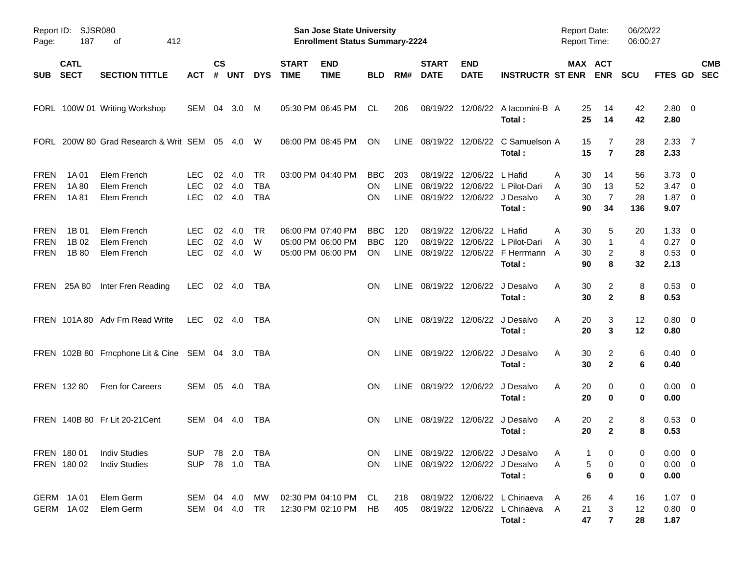| Page:                                     | Report ID: SJSR080<br>187  | 412<br>οf                                    |                                        |                    |                      |                                |                             | <b>San Jose State University</b><br><b>Enrollment Status Summary-2224</b> |                                 |                    |                             |                           |                                                                                         | <b>Report Date:</b><br><b>Report Time:</b> |                                          | 06/20/22<br>06:00:27  |                                                         |                          |
|-------------------------------------------|----------------------------|----------------------------------------------|----------------------------------------|--------------------|----------------------|--------------------------------|-----------------------------|---------------------------------------------------------------------------|---------------------------------|--------------------|-----------------------------|---------------------------|-----------------------------------------------------------------------------------------|--------------------------------------------|------------------------------------------|-----------------------|---------------------------------------------------------|--------------------------|
| <b>SUB</b>                                | <b>CATL</b><br><b>SECT</b> | <b>SECTION TITTLE</b>                        | ACT                                    | $\mathsf{cs}$<br># | <b>UNT</b>           | <b>DYS</b>                     | <b>START</b><br><b>TIME</b> | <b>END</b><br><b>TIME</b>                                                 | <b>BLD</b>                      | RM#                | <b>START</b><br><b>DATE</b> | <b>END</b><br><b>DATE</b> | <b>INSTRUCTR ST ENR</b>                                                                 |                                            | <b>MAX ACT</b><br><b>ENR</b>             | <b>SCU</b>            | FTES GD                                                 | <b>CMB</b><br><b>SEC</b> |
|                                           |                            | FORL 100W 01 Writing Workshop                | SEM 04                                 |                    | 3.0                  | M                              |                             | 05:30 PM 06:45 PM                                                         | CL                              | 206                |                             |                           | 08/19/22 12/06/22 A lacomini-B A<br>Total:                                              | 25<br>25                                   | 14<br>14                                 | 42<br>42              | 2.80 0<br>2.80                                          |                          |
|                                           |                            | FORL 200W 80 Grad Research & Writ SEM 05 4.0 |                                        |                    |                      | W                              |                             | 06:00 PM 08:45 PM                                                         | <b>ON</b>                       |                    |                             |                           | LINE 08/19/22 12/06/22 C Samuelson A<br>Total:                                          | 15<br>15                                   | 7<br>$\overline{7}$                      | 28<br>28              | 2.3377<br>2.33                                          |                          |
| <b>FREN</b><br><b>FREN</b><br><b>FREN</b> | 1A 01<br>1A 80<br>1A 81    | Elem French<br>Elem French<br>Elem French    | LEC.<br><b>LEC</b><br><b>LEC</b>       | 02<br>02           | 4.0<br>4.0<br>02 4.0 | TR<br><b>TBA</b><br><b>TBA</b> |                             | 03:00 PM 04:40 PM                                                         | BBC.<br>ON.<br>ΟN               | 203<br><b>LINE</b> | 08/19/22                    | 12/06/22                  | L Hafid<br>08/19/22 12/06/22 L Pilot-Dari<br>LINE 08/19/22 12/06/22 J Desalvo<br>Total: | A<br>30<br>30<br>A<br>30<br>A<br>90        | 14<br>13<br>$\overline{7}$<br>34         | 56<br>52<br>28<br>136 | $3.73 \quad 0$<br>$3.47 \quad 0$<br>$1.87 \t 0$<br>9.07 |                          |
| <b>FREN</b><br><b>FREN</b><br><b>FREN</b> | 1B 01<br>1B 02<br>1B 80    | Elem French<br>Elem French<br>Elem French    | <b>LEC</b><br><b>LEC</b><br><b>LEC</b> | 02<br>02<br>02     | 4.0<br>4.0<br>4.0    | TR<br>W<br>W                   |                             | 06:00 PM 07:40 PM<br>05:00 PM 06:00 PM<br>05:00 PM 06:00 PM               | <b>BBC</b><br><b>BBC</b><br>ON. | 120<br>120         |                             | 08/19/22 12/06/22 L Hafid | 08/19/22 12/06/22 L Pilot-Dari<br>LINE 08/19/22 12/06/22 F Herrmann<br>Total:           | A<br>30<br>30<br>A<br>30<br>A<br>90        | 5<br>$\mathbf{1}$<br>$\overline{c}$<br>8 | 20<br>4<br>8<br>32    | $1.33 \ 0$<br>$0.27$ 0<br>0.53 0<br>2.13                |                          |
|                                           | FREN 25A 80                | Inter Fren Reading                           | <b>LEC</b>                             |                    | 02 4.0               | TBA                            |                             |                                                                           | ΟN                              |                    |                             |                           | LINE 08/19/22 12/06/22 J Desalvo<br>Total:                                              | 30<br>A<br>30                              | 2<br>$\overline{2}$                      | 8<br>8                | $0.53$ 0<br>0.53                                        |                          |
|                                           |                            | FREN 101A 80 Adv Frn Read Write              | <b>LEC</b>                             |                    | 02 4.0               | TBA                            |                             |                                                                           | ΟN                              |                    |                             |                           | LINE 08/19/22 12/06/22 J Desalvo<br>Total:                                              | A<br>20<br>20                              | 3<br>3                                   | 12<br>12              | $0.80 \ 0$<br>0.80                                      |                          |
|                                           |                            | FREN 102B 80 Frncphone Lit & Cine SEM 04 3.0 |                                        |                    |                      | TBA                            |                             |                                                                           | ON                              |                    |                             |                           | LINE 08/19/22 12/06/22 J Desalvo<br>Total:                                              | 30<br>A<br>30                              | 2<br>$\overline{2}$                      | 6<br>6                | $0.40 \quad 0$<br>0.40                                  |                          |
|                                           | FREN 132 80                | Fren for Careers                             | SEM 05 4.0                             |                    |                      | TBA                            |                             |                                                                           | ON                              |                    | LINE 08/19/22 12/06/22      |                           | J Desalvo<br>Total:                                                                     | 20<br>A<br>20                              | 0<br>0                                   | 0<br>0                | $0.00 \t 0$<br>0.00                                     |                          |
|                                           |                            | FREN 140B 80 Fr Lit 20-21 Cent               | SEM 04                                 |                    | - 4.0                | TBA                            |                             |                                                                           | ON                              |                    | LINE 08/19/22 12/06/22      |                           | J Desalvo<br>Total:                                                                     | 20<br>A<br>20                              | 2<br>$\mathbf{2}$                        | 8<br>8                | 0.53 0<br>0.53                                          |                          |
|                                           | FREN 180 01<br>FREN 180 02 | <b>Indiv Studies</b><br><b>Indiv Studies</b> | SUP 78 2.0 TBA<br><b>SUP</b>           |                    |                      | 78  1.0  TBA                   |                             |                                                                           | <b>ON</b><br><b>ON</b>          |                    |                             |                           | LINE 08/19/22 12/06/22 J Desalvo<br>LINE 08/19/22 12/06/22 J Desalvo<br>Total:          | 1<br>A<br>5<br>A<br>$\bf 6$                | 0<br>0<br>0                              | 0<br>0<br>0           | $0.00 \t 0$<br>$0.00 \t 0$<br>0.00                      |                          |
|                                           | GERM 1A01<br>GERM 1A02     | Elem Germ<br>Elem Germ                       | SEM 04 4.0<br>SEM 04 4.0               |                    |                      | MW<br>TR.                      |                             | 02:30 PM 04:10 PM CL<br>12:30 PM 02:10 PM                                 | HB                              | 218<br>405         |                             |                           | 08/19/22 12/06/22 L Chiriaeva<br>08/19/22 12/06/22 L Chiriaeva A<br>Total:              | 26<br>A<br>21<br>47                        | 4<br>3<br>$\overline{7}$                 | 16<br>12<br>28        | $1.07 \t 0$<br>$0.80 \ 0$<br>1.87                       |                          |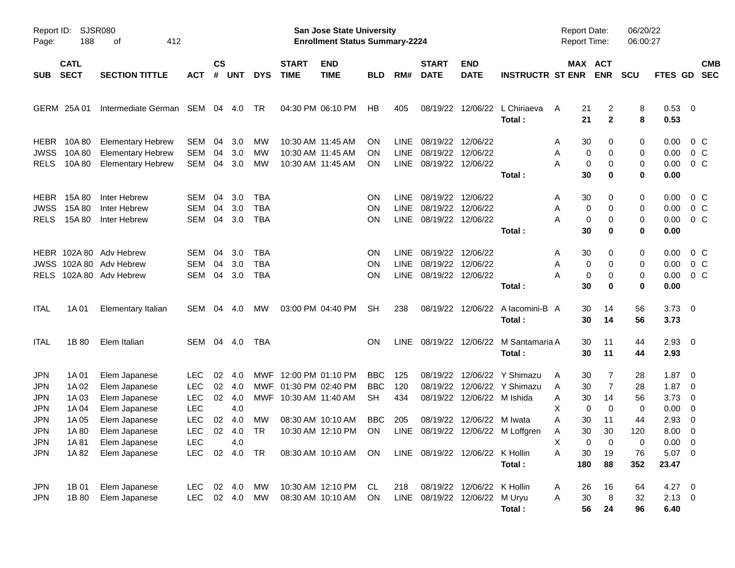| Report ID:<br>Page:                                                                                   | 188                                                                  | SJSR080<br>412<br>οf                                                                                                                 |                                                                                                |                            |                                                |                                      |                                            | San Jose State University<br><b>Enrollment Status Summary-2224</b>                  |                                                           |                                    |                                                                                 |                                                               |                                                                  | <b>Report Date:</b><br><b>Report Time:</b>                                           |                                                                  | 06/20/22<br>06:00:27                               |                                                                                                        |                                                                                  |
|-------------------------------------------------------------------------------------------------------|----------------------------------------------------------------------|--------------------------------------------------------------------------------------------------------------------------------------|------------------------------------------------------------------------------------------------|----------------------------|------------------------------------------------|--------------------------------------|--------------------------------------------|-------------------------------------------------------------------------------------|-----------------------------------------------------------|------------------------------------|---------------------------------------------------------------------------------|---------------------------------------------------------------|------------------------------------------------------------------|--------------------------------------------------------------------------------------|------------------------------------------------------------------|----------------------------------------------------|--------------------------------------------------------------------------------------------------------|----------------------------------------------------------------------------------|
| <b>SUB</b>                                                                                            | <b>CATL</b><br><b>SECT</b>                                           | <b>SECTION TITTLE</b>                                                                                                                | <b>ACT</b>                                                                                     | $\mathsf{cs}$<br>#         | <b>UNT</b>                                     | <b>DYS</b>                           | <b>START</b><br><b>TIME</b>                | <b>END</b><br><b>TIME</b>                                                           | <b>BLD</b>                                                | RM#                                | <b>START</b><br><b>DATE</b>                                                     | <b>END</b><br><b>DATE</b>                                     | <b>INSTRUCTR ST ENR</b>                                          |                                                                                      | MAX ACT<br><b>ENR</b>                                            | <b>SCU</b>                                         | <b>FTES GD</b>                                                                                         | <b>CMB</b><br><b>SEC</b>                                                         |
| GERM                                                                                                  | 25A 01                                                               | Intermediate German                                                                                                                  | SEM                                                                                            | 04                         | 4.0                                            | TR                                   |                                            | 04:30 PM 06:10 PM                                                                   | HB                                                        | 405                                | 08/19/22                                                                        | 12/06/22                                                      | L Chiriaeva<br>Total:                                            | 21<br>A<br>21                                                                        | 2<br>$\mathbf{2}$                                                | 8<br>8                                             | 0.53 0<br>0.53                                                                                         |                                                                                  |
| <b>HEBR</b><br><b>JWSS</b><br><b>RELS</b>                                                             | 10A 80<br>10A 80<br>10A 80                                           | <b>Elementary Hebrew</b><br><b>Elementary Hebrew</b><br><b>Elementary Hebrew</b>                                                     | SEM<br><b>SEM</b><br><b>SEM</b>                                                                | 04<br>04<br>04             | 3.0<br>3.0<br>3.0                              | <b>MW</b><br>MW<br>MW                |                                            | 10:30 AM 11:45 AM<br>10:30 AM 11:45 AM<br>10:30 AM 11:45 AM                         | ON<br><b>ON</b><br>ON                                     | LINE.<br>LINE<br>LINE              | 08/19/22<br>08/19/22<br>08/19/22 12/06/22                                       | 12/06/22<br>12/06/22                                          | Total:                                                           | 30<br>A<br>0<br>Α<br>0<br>А<br>30                                                    | 0<br>0<br>0<br>0                                                 | 0<br>0<br>0<br>0                                   | 0.00<br>0.00<br>0.00<br>0.00                                                                           | 0 C<br>0 <sup>o</sup><br>0 <sup>o</sup>                                          |
| <b>HEBR</b><br><b>JWSS</b><br><b>RELS</b>                                                             | 15A 80<br>15A 80<br>15A 80                                           | Inter Hebrew<br>Inter Hebrew<br>Inter Hebrew                                                                                         | SEM<br><b>SEM</b><br><b>SEM</b>                                                                | 04<br>04<br>04             | 3.0<br>3.0<br>3.0                              | TBA<br><b>TBA</b><br><b>TBA</b>      |                                            |                                                                                     | ON<br>ON<br><b>ON</b>                                     | <b>LINE</b><br><b>LINE</b><br>LINE | 08/19/22<br>08/19/22<br>08/19/22                                                | 12/06/22<br>12/06/22<br>12/06/22                              | Total:                                                           | 30<br>A<br>0<br>Α<br>0<br>А<br>30                                                    | 0<br>0<br>0<br>0                                                 | 0<br>0<br>0<br>0                                   | 0.00<br>0.00<br>0.00<br>0.00                                                                           | 0 C<br>0 <sup>o</sup><br>0 <sup>o</sup>                                          |
| <b>RELS</b>                                                                                           |                                                                      | HEBR 102A 80 Adv Hebrew<br>JWSS 102A 80 Adv Hebrew<br>102A 80 Adv Hebrew                                                             | <b>SEM</b><br><b>SEM</b><br><b>SEM</b>                                                         | 04<br>04<br>04             | 3.0<br>3.0<br>3.0                              | TBA<br><b>TBA</b><br><b>TBA</b>      |                                            |                                                                                     | <b>ON</b><br>ON<br><b>ON</b>                              | <b>LINE</b><br><b>LINE</b><br>LINE | 08/19/22<br>08/19/22<br>08/19/22 12/06/22                                       | 12/06/22<br>12/06/22                                          | Total:                                                           | 30<br>A<br>0<br>Α<br>0<br>А<br>30                                                    | 0<br>0<br>0<br>0                                                 | 0<br>0<br>0<br>0                                   | 0.00<br>0.00<br>0.00<br>0.00                                                                           | 0 C<br>0 <sup>o</sup><br>0 <sup>o</sup>                                          |
| <b>ITAL</b>                                                                                           | 1A 01                                                                | <b>Elementary Italian</b>                                                                                                            | SEM                                                                                            | 04                         | 4.0                                            | <b>MW</b>                            |                                            | 03:00 PM 04:40 PM                                                                   | <b>SH</b>                                                 | 238                                | 08/19/22                                                                        | 12/06/22                                                      | A lacomini-B A<br>Total:                                         | 30<br>30                                                                             | 14<br>14                                                         | 56<br>56                                           | $3.73 \quad 0$<br>3.73                                                                                 |                                                                                  |
| <b>ITAL</b>                                                                                           | 1B 80                                                                | Elem Italian                                                                                                                         | SEM 04 4.0                                                                                     |                            |                                                | TBA                                  |                                            |                                                                                     | OΝ                                                        | <b>LINE</b>                        |                                                                                 | 08/19/22 12/06/22                                             | M Santamaria A<br>Total:                                         | 30<br>30                                                                             | 11<br>11                                                         | 44<br>44                                           | $2.93$ 0<br>2.93                                                                                       |                                                                                  |
| <b>JPN</b><br><b>JPN</b><br><b>JPN</b><br><b>JPN</b><br><b>JPN</b><br><b>JPN</b><br><b>JPN</b><br>JPN | 1A 01<br>1A 02<br>1A 03<br>1A 04<br>1A 05<br>1A 80<br>1A 81<br>1A 82 | Elem Japanese<br>Elem Japanese<br>Elem Japanese<br>Elem Japanese<br>Elem Japanese<br>Elem Japanese<br>Elem Japanese<br>Elem Japanese | <b>LEC</b><br><b>LEC</b><br><b>LEC</b><br><b>LEC</b><br><b>LEC</b><br><b>LEC</b><br>LEC<br>LEC | 02<br>02<br>02<br>02<br>02 | -4.0<br>4.0<br>4.0<br>4.0<br>4.0<br>4.0<br>4.0 | MWF<br>MWF<br><b>MW</b><br><b>TR</b> | 01:30 PM 02:40 PM<br>MWF 10:30 AM 11:40 AM | 12:00 PM 01:10 PM<br>08:30 AM 10:10 AM<br>10:30 AM 12:10 PM<br>08:30 AM 10:10 AM ON | <b>BBC</b><br><b>BBC</b><br><b>SH</b><br><b>BBC</b><br>ON | 125<br>120<br>434<br>205<br>LINE   | 08/19/22<br>08/19/22<br>08/19/22<br>08/19/22<br>LINE 08/19/22 12/06/22 K Hollin | 12/06/22<br>12/06/22<br>12/06/22 M Ishida<br>12/06/22 M Iwata | Y Shimazu<br>Y Shimazu<br>08/19/22 12/06/22 M Loffgren<br>Total: | 30<br>A<br>30<br>A<br>30<br>Α<br>х<br>0<br>30<br>Α<br>30<br>A<br>Χ<br>Α<br>30<br>180 | 7<br>$\overline{7}$<br>14<br>0<br>11<br>30<br>0<br>0<br>19<br>88 | 28<br>28<br>56<br>0<br>44<br>120<br>0<br>76<br>352 | 1.87<br>$1.87 \t 0$<br>$3.73 \quad 0$<br>$0.00 \t 0$<br>2.93<br>8.00<br>$0.00 \t 0$<br>5.07 0<br>23.47 | $\overline{\phantom{0}}$<br>$\overline{\phantom{0}}$<br>$\overline{\phantom{0}}$ |
| JPN<br><b>JPN</b>                                                                                     | 1B 01<br>1B 80                                                       | Elem Japanese<br>Elem Japanese                                                                                                       | LEC.<br><b>LEC</b>                                                                             |                            | 02 4.0                                         | MW<br>02  4.0  MW                    |                                            | 10:30 AM 12:10 PM<br>08:30 AM 10:10 AM                                              | CL.<br><b>ON</b>                                          | 218                                | LINE 08/19/22 12/06/22 M Uryu                                                   | 08/19/22 12/06/22 K Hollin                                    | Total:                                                           | 26<br>A<br>30<br>Α<br>56                                                             | 16<br>8<br>24                                                    | 64<br>32<br>96                                     | 4.27 0<br>$2.13 \t 0$<br>6.40                                                                          |                                                                                  |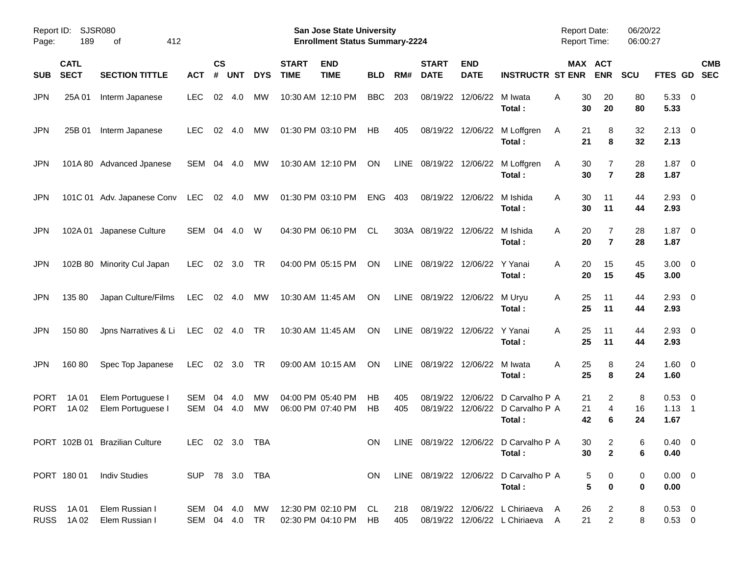| Page:                      | Report ID: SJSR080<br>189  | 412<br>οf                              |                                |                    |                |            |                             | San Jose State University<br><b>Enrollment Status Summary-2224</b> |            |            |                             |                           |                                                                    | <b>Report Date:</b><br><b>Report Time:</b> |                                              | 06/20/22<br>06:00:27 |                                    |                          |
|----------------------------|----------------------------|----------------------------------------|--------------------------------|--------------------|----------------|------------|-----------------------------|--------------------------------------------------------------------|------------|------------|-----------------------------|---------------------------|--------------------------------------------------------------------|--------------------------------------------|----------------------------------------------|----------------------|------------------------------------|--------------------------|
| <b>SUB</b>                 | <b>CATL</b><br><b>SECT</b> | <b>SECTION TITTLE</b>                  | <b>ACT</b>                     | $\mathsf{cs}$<br># | <b>UNT</b>     | <b>DYS</b> | <b>START</b><br><b>TIME</b> | <b>END</b><br><b>TIME</b>                                          | <b>BLD</b> | RM#        | <b>START</b><br><b>DATE</b> | <b>END</b><br><b>DATE</b> | <b>INSTRUCTR ST ENR</b>                                            |                                            | MAX ACT<br><b>ENR</b>                        | <b>SCU</b>           | FTES GD                            | <b>CMB</b><br><b>SEC</b> |
| JPN.                       | 25A 01                     | Interm Japanese                        | <b>LEC</b>                     | 02                 | -4.0           | МW         |                             | 10:30 AM 12:10 PM                                                  | <b>BBC</b> | 203        | 08/19/22                    | 12/06/22                  | M Iwata<br>Total:                                                  | Α                                          | 30<br>20<br>30<br>20                         | 80<br>80             | 5.33 0<br>5.33                     |                          |
| <b>JPN</b>                 | 25B 01                     | Interm Japanese                        | <b>LEC</b>                     | 02                 | -4.0           | MW         |                             | 01:30 PM 03:10 PM                                                  | НB         | 405        | 08/19/22                    | 12/06/22                  | M Loffgren<br>Total:                                               | A                                          | 21<br>8<br>21<br>8                           | 32<br>32             | $2.13 \quad 0$<br>2.13             |                          |
| JPN                        |                            | 101A 80 Advanced Jpanese               | SEM                            | 04                 | -4.0           | МW         |                             | 10:30 AM 12:10 PM                                                  | ON         | LINE       | 08/19/22 12/06/22           |                           | M Loffgren<br>Total:                                               | A                                          | 30<br>7<br>30<br>$\overline{7}$              | 28<br>28             | 1.87<br>1.87                       | $\overline{\phantom{0}}$ |
| <b>JPN</b>                 |                            | 101C 01 Adv. Japanese Conv             | LEC                            |                    | 02 4.0         | МW         |                             | 01:30 PM 03:10 PM                                                  | <b>ENG</b> | 403        | 08/19/22                    | 12/06/22                  | M Ishida<br>Total:                                                 | A                                          | 30<br>11<br>30<br>11                         | 44<br>44             | $2.93$ 0<br>2.93                   |                          |
| JPN                        | 102A 01                    | Japanese Culture                       | SEM                            | 04                 | 4.0            | W          |                             | 04:30 PM 06:10 PM                                                  | <b>CL</b>  |            | 303A 08/19/22               | 12/06/22                  | M Ishida<br>Total:                                                 | A                                          | 20<br>7<br>20<br>$\overline{7}$              | 28<br>28             | $1.87 \ 0$<br>1.87                 |                          |
| <b>JPN</b>                 |                            | 102B 80 Minority Cul Japan             | <b>LEC</b>                     | 02                 | 3.0            | TR         |                             | 04:00 PM 05:15 PM                                                  | <b>ON</b>  |            | LINE 08/19/22 12/06/22      |                           | Y Yanai<br>Total:                                                  | A                                          | 20<br>15<br>20<br>15                         | 45<br>45             | $3.00 \ 0$<br>3.00                 |                          |
| JPN                        | 135 80                     | Japan Culture/Films                    | <b>LEC</b>                     |                    | 02 4.0         | МW         |                             | 10:30 AM 11:45 AM                                                  | <b>ON</b>  |            | LINE 08/19/22 12/06/22      |                           | M Uryu<br>Total:                                                   | A                                          | 11<br>25<br>25<br>11                         | 44<br>44             | $2.93$ 0<br>2.93                   |                          |
| JPN                        | 15080                      | Jpns Narratives & Li                   | <b>LEC</b>                     |                    | 02 4.0         | TR         |                             | 10:30 AM 11:45 AM                                                  | <b>ON</b>  |            | LINE 08/19/22 12/06/22      |                           | Y Yanai<br>Total:                                                  | A                                          | 25<br>11<br>25<br>11                         | 44<br>44             | $2.93$ 0<br>2.93                   |                          |
| JPN.                       | 16080                      | Spec Top Japanese                      | <b>LEC</b>                     |                    | $02 \quad 3.0$ | TR         |                             | 09:00 AM 10:15 AM                                                  | <b>ON</b>  | LINE       | 08/19/22 12/06/22           |                           | M Iwata<br>Total:                                                  | A                                          | 25<br>8<br>25<br>8                           | 24<br>24             | $1.60 \t 0$<br>1.60                |                          |
| <b>PORT</b><br><b>PORT</b> | 1A 01<br>1A 02             | Elem Portuguese I<br>Elem Portuguese I | <b>SEM</b><br>SEM              | 04<br>04           | 4.0<br>4.0     | MW<br>MW   |                             | 04:00 PM 05:40 PM<br>06:00 PM 07:40 PM                             | НB<br>НB   | 405<br>405 | 08/19/22<br>08/19/22        | 12/06/22                  | D Carvalho P A<br>12/06/22 D Carvalho P A<br>Total:                |                                            | 21<br>2<br>$\overline{4}$<br>21<br>42<br>6   | 8<br>16<br>24        | $0.53$ 0<br>$1.13 \quad 1$<br>1.67 |                          |
|                            |                            | PORT 102B 01 Brazilian Culture         | LEC 02 3.0 TBA                 |                    |                |            |                             |                                                                    |            |            |                             |                           | ON LINE 08/19/22 12/06/22 D Carvalho P A<br>Total:                 |                                            | 30<br>$\overline{c}$<br>$\overline{2}$<br>30 | 6<br>6               | $0.40 \quad 0$<br>0.40             |                          |
|                            |                            | PORT 180 01 Indiv Studies              | SUP 78 3.0 TBA                 |                    |                |            |                             |                                                                    | ON.        |            |                             |                           | LINE 08/19/22 12/06/22 D Carvalho P A<br>Total:                    |                                            | 5<br>0<br>$5\phantom{.0}$<br>$\bf{0}$        | 0<br>0               | $0.00 \quad 0$<br>0.00             |                          |
|                            | RUSS 1A01<br>RUSS 1A02     | Elem Russian I<br>Elem Russian I       | SEM 04 4.0 MW<br>SEM 04 4.0 TR |                    |                |            |                             | 12:30 PM 02:10 PM CL<br>02:30 PM 04:10 PM HB                       |            | 218<br>405 |                             |                           | 08/19/22 12/06/22 L Chiriaeva A<br>08/19/22 12/06/22 L Chiriaeva A |                                            | 26<br>$\overline{2}$<br>$\overline{a}$<br>21 | 8<br>8               | $0.53 \ 0$<br>$0.53 \t 0$          |                          |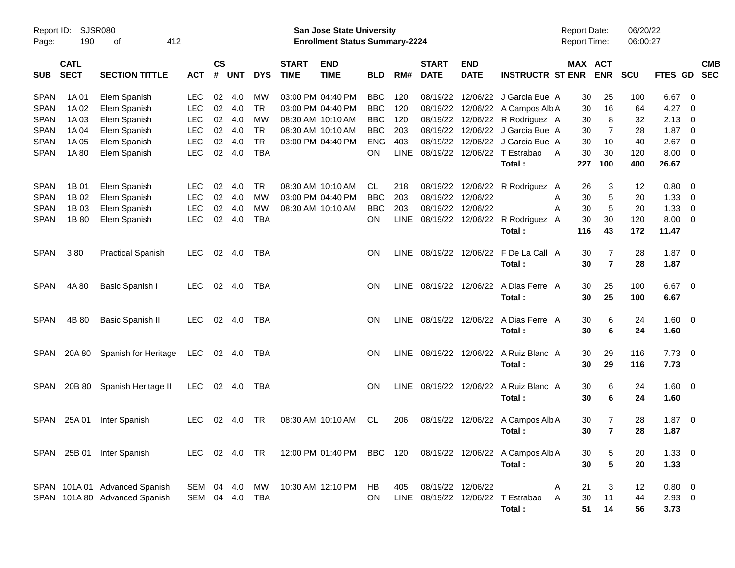| Report ID:  |             | SJSR080                       |                |               |            |            |                                       | San Jose State University |            |     |                   |                   |                                                                          | <b>Report Date:</b> |                | 06/20/22 |                |                          |            |
|-------------|-------------|-------------------------------|----------------|---------------|------------|------------|---------------------------------------|---------------------------|------------|-----|-------------------|-------------------|--------------------------------------------------------------------------|---------------------|----------------|----------|----------------|--------------------------|------------|
| Page:       | 190         | 412                           |                |               |            |            | <b>Enrollment Status Summary-2224</b> |                           |            |     |                   |                   | <b>Report Time:</b>                                                      |                     | 06:00:27       |          |                |                          |            |
|             | <b>CATL</b> |                               |                | $\mathsf{cs}$ |            |            | <b>START</b>                          | <b>END</b>                |            |     | <b>START</b>      | <b>END</b>        |                                                                          |                     | <b>MAX ACT</b> |          |                |                          | <b>CMB</b> |
| <b>SUB</b>  | <b>SECT</b> | <b>SECTION TITTLE</b>         | <b>ACT</b>     | #             | <b>UNT</b> | <b>DYS</b> | <b>TIME</b>                           | <b>TIME</b>               | <b>BLD</b> | RM# | <b>DATE</b>       | <b>DATE</b>       | <b>INSTRUCTR ST ENR</b>                                                  |                     | <b>ENR</b>     | SCU      | <b>FTES GD</b> |                          | <b>SEC</b> |
| <b>SPAN</b> | 1A 01       | Elem Spanish                  | <b>LEC</b>     | 02            | 4.0        | MW         |                                       | 03:00 PM 04:40 PM         | <b>BBC</b> | 120 | 08/19/22          |                   | 12/06/22 J Garcia Bue A                                                  | 30                  | 25             | 100      | 6.67           | - 0                      |            |
| <b>SPAN</b> | 1A 02       | Elem Spanish                  | <b>LEC</b>     | 02            | 4.0        | <b>TR</b>  |                                       | 03:00 PM 04:40 PM         | <b>BBC</b> | 120 |                   |                   | 08/19/22 12/06/22 A Campos Alb A                                         | 30                  | 16             | 64       | 4.27           | - 0                      |            |
| <b>SPAN</b> | 1A03        | Elem Spanish                  | <b>LEC</b>     | 02            | 4.0        | MW         |                                       | 08:30 AM 10:10 AM         | <b>BBC</b> | 120 |                   |                   | 08/19/22 12/06/22 R Rodriguez A                                          | 30                  | 8              | 32       | 2.13           | $\overline{0}$           |            |
| <b>SPAN</b> | 1A 04       | Elem Spanish                  | <b>LEC</b>     | 02            | 4.0        | <b>TR</b>  |                                       | 08:30 AM 10:10 AM         | <b>BBC</b> | 203 |                   |                   | 08/19/22 12/06/22 J Garcia Bue A                                         | 30                  | 7              | 28       | 1.87           | $\overline{0}$           |            |
| <b>SPAN</b> | 1A 05       | Elem Spanish                  | <b>LEC</b>     | 02            | 4.0        | <b>TR</b>  |                                       | 03:00 PM 04:40 PM         | <b>ENG</b> | 403 | 08/19/22          |                   | 12/06/22 J Garcia Bue A                                                  | 30                  | 10             | 40       | 2.67           | $\overline{0}$           |            |
| <b>SPAN</b> | 1A 80       | Elem Spanish                  | LEC            | 02            | 4.0        | <b>TBA</b> |                                       |                           | <b>ON</b>  |     |                   |                   | LINE 08/19/22 12/06/22 T Estrabao                                        | 30<br>A             | 30             | 120      | 8.00           | $\overline{0}$           |            |
|             |             |                               |                |               |            |            |                                       |                           |            |     |                   |                   | Total:                                                                   | 227                 | 100            | 400      | 26.67          |                          |            |
| <b>SPAN</b> | 1B 01       | Elem Spanish                  | <b>LEC</b>     | 02            | 4.0        | <b>TR</b>  |                                       | 08:30 AM 10:10 AM         | CL         | 218 |                   |                   | 08/19/22 12/06/22 R Rodriguez A                                          | 26                  | 3              | 12       | 0.80           | $\overline{\mathbf{0}}$  |            |
| <b>SPAN</b> | 1B 02       | Elem Spanish                  | <b>LEC</b>     | 02            | 4.0        | MW         |                                       | 03:00 PM 04:40 PM         | <b>BBC</b> | 203 |                   | 08/19/22 12/06/22 |                                                                          | 30<br>A             | 5              | 20       | 1.33           | $\overline{0}$           |            |
| <b>SPAN</b> | 1B 03       | Elem Spanish                  | <b>LEC</b>     | 02            | 4.0        | <b>MW</b>  |                                       | 08:30 AM 10:10 AM         | <b>BBC</b> | 203 |                   | 08/19/22 12/06/22 |                                                                          | A<br>30             | 5              | 20       | 1.33           | $\overline{0}$           |            |
| <b>SPAN</b> | 1B 80       | Elem Spanish                  | <b>LEC</b>     | 02            | 4.0        | <b>TBA</b> |                                       |                           | <b>ON</b>  |     |                   |                   | LINE 08/19/22 12/06/22 R Rodriguez A                                     | 30                  | 30             | 120      | 8.00           | $\overline{0}$           |            |
|             |             |                               |                |               |            |            |                                       |                           |            |     |                   |                   | Total :                                                                  | 116                 | 43             | 172      | 11.47          |                          |            |
| <b>SPAN</b> | 380         | <b>Practical Spanish</b>      | <b>LEC</b>     |               | 02 4.0     | TBA        |                                       |                           | <b>ON</b>  |     |                   |                   | LINE 08/19/22 12/06/22 F De La Call A                                    | 30                  | 7              | 28       | 1.87           | $\overline{\phantom{0}}$ |            |
|             |             |                               |                |               |            |            |                                       |                           |            |     |                   |                   | Total:                                                                   | 30                  | $\overline{7}$ | 28       | 1.87           |                          |            |
| <b>SPAN</b> | 4A 80       | Basic Spanish I               | <b>LEC</b>     |               | 02 4.0     | TBA        |                                       |                           | <b>ON</b>  |     |                   |                   | LINE 08/19/22 12/06/22 A Dias Ferre A                                    | 30                  | 25             | 100      | 6.67           | $\overline{\phantom{0}}$ |            |
|             |             |                               |                |               |            |            |                                       |                           |            |     |                   |                   | Total:                                                                   | 30                  | 25             | 100      | 6.67           |                          |            |
| <b>SPAN</b> | 4B 80       | <b>Basic Spanish II</b>       | <b>LEC</b>     |               | 02 4.0     | TBA        |                                       |                           | <b>ON</b>  |     |                   |                   | LINE 08/19/22 12/06/22 A Dias Ferre A                                    | 30                  | 6              | 24       | 1.60           | $\overline{\mathbf{0}}$  |            |
|             |             |                               |                |               |            |            |                                       |                           |            |     |                   |                   | Total:                                                                   | 30                  | 6              | 24       | 1.60           |                          |            |
| SPAN        | 20A 80      | Spanish for Heritage          | LEC            |               | 02 4.0     | TBA        |                                       |                           | ON.        |     |                   |                   | LINE 08/19/22 12/06/22 A Ruiz Blanc A                                    | 30                  | 29             | 116      | 7.73           | $\overline{\mathbf{0}}$  |            |
|             |             |                               |                |               |            |            |                                       |                           |            |     |                   |                   | Total:                                                                   | 30                  | 29             | 116      | 7.73           |                          |            |
| <b>SPAN</b> | 20B 80      | Spanish Heritage II           | LEC.           |               | 02 4.0     | TBA        |                                       |                           | <b>ON</b>  |     |                   |                   | LINE 08/19/22 12/06/22 A Ruiz Blanc A                                    | 30                  | 6              | 24       | $1.60 \t 0$    |                          |            |
|             |             |                               |                |               |            |            |                                       |                           |            |     |                   |                   | Total :                                                                  | 30                  | 6              | 24       | 1.60           |                          |            |
| SPAN        | 25A 01      | Inter Spanish                 | <b>LEC</b>     | 02            | 4.0        | TR         |                                       | 08:30 AM 10:10 AM         | CL         | 206 |                   | 08/19/22 12/06/22 | A Campos Alb A                                                           | 30                  | 7              | 28       | 1.87           | $\overline{\mathbf{0}}$  |            |
|             |             |                               |                |               |            |            |                                       |                           |            |     |                   |                   | Total:                                                                   | 30                  | $\overline{7}$ | 28       | 1.87           |                          |            |
|             |             | SPAN 25B 01 Inter Spanish     |                |               |            |            |                                       |                           |            |     |                   |                   | LEC 02 4.0 TR 12:00 PM 01:40 PM BBC 120 08/19/22 12/06/22 A Campos Alb A | 30                  | 5              | 20       | $1.33 \ 0$     |                          |            |
|             |             |                               |                |               |            |            |                                       |                           |            |     |                   |                   | Total:                                                                   | 30                  | $5\phantom{1}$ | 20       | 1.33           |                          |            |
|             |             | SPAN 101A 01 Advanced Spanish | SEM 04 4.0     |               |            | MW         |                                       | 10:30 AM 12:10 PM HB      |            | 405 | 08/19/22 12/06/22 |                   |                                                                          | 21<br>A             | 3              | 12       | $0.80 \ 0$     |                          |            |
|             |             | SPAN 101A 80 Advanced Spanish | SEM 04 4.0 TBA |               |            |            |                                       |                           | ON.        |     |                   |                   | LINE 08/19/22 12/06/22 T Estrabao                                        | 30<br>A             | 11             | 44       | $2.93$ 0       |                          |            |
|             |             |                               |                |               |            |            |                                       |                           |            |     |                   |                   | Total:                                                                   |                     | 14<br>51       | 56       | 3.73           |                          |            |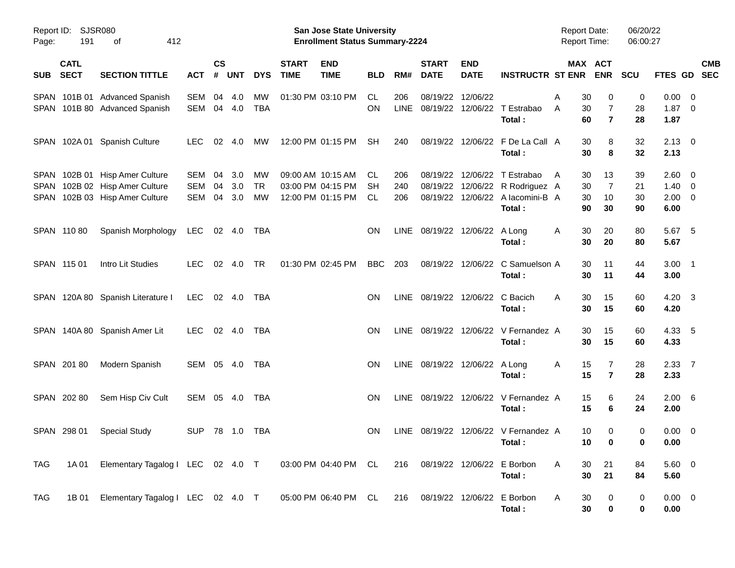| Page:      | Report ID: SJSR080<br>191  | 412<br>οf                                                                                          |                   |                    |                   |                       |                             | <b>San Jose State University</b><br><b>Enrollment Status Summary-2224</b> |                         |                    |                             |                                |                                                                                                      | <b>Report Date:</b><br><b>Report Time:</b> |                                                          | 06/20/22<br>06:00:27 |                                                 |                          |
|------------|----------------------------|----------------------------------------------------------------------------------------------------|-------------------|--------------------|-------------------|-----------------------|-----------------------------|---------------------------------------------------------------------------|-------------------------|--------------------|-----------------------------|--------------------------------|------------------------------------------------------------------------------------------------------|--------------------------------------------|----------------------------------------------------------|----------------------|-------------------------------------------------|--------------------------|
| <b>SUB</b> | <b>CATL</b><br><b>SECT</b> | <b>SECTION TITTLE</b>                                                                              | <b>ACT</b>        | $\mathsf{cs}$<br># | <b>UNT</b>        | <b>DYS</b>            | <b>START</b><br><b>TIME</b> | <b>END</b><br><b>TIME</b>                                                 | <b>BLD</b>              | RM#                | <b>START</b><br><b>DATE</b> | <b>END</b><br><b>DATE</b>      | <b>INSTRUCTR ST ENR</b>                                                                              |                                            | MAX ACT<br><b>ENR</b>                                    | <b>SCU</b>           | <b>FTES GD</b>                                  | <b>CMB</b><br><b>SEC</b> |
|            |                            | SPAN 101B 01 Advanced Spanish<br>SPAN 101B 80 Advanced Spanish                                     | SEM<br>SEM        | 04                 | 4.0<br>04 4.0     | МW<br><b>TBA</b>      |                             | 01:30 PM 03:10 PM                                                         | CL.<br><b>ON</b>        | 206<br><b>LINE</b> | 08/19/22                    | 12/06/22                       | 08/19/22 12/06/22 T Estrabao<br>Total:                                                               | Α<br>A                                     | 30<br>0<br>7<br>30<br>$\overline{7}$<br>60               | 0<br>28<br>28        | 0.00<br>$1.87 \ 0$<br>1.87                      | $\overline{\phantom{0}}$ |
|            |                            | SPAN 102A 01 Spanish Culture                                                                       | <b>LEC</b>        | 02                 | 4.0               | МW                    |                             | 12:00 PM 01:15 PM                                                         | <b>SH</b>               | 240                |                             |                                | 08/19/22 12/06/22 F De La Call A<br>Total:                                                           |                                            | 30<br>8<br>30<br>8                                       | 32<br>32             | $2.13 \quad 0$<br>2.13                          |                          |
|            |                            | SPAN 102B 01 Hisp Amer Culture<br>SPAN 102B 02 Hisp Amer Culture<br>SPAN 102B 03 Hisp Amer Culture | SEM<br>SEM<br>SEM | 04<br>04<br>04     | 3.0<br>3.0<br>3.0 | МW<br><b>TR</b><br>МW |                             | 09:00 AM 10:15 AM<br>03:00 PM 04:15 PM<br>12:00 PM 01:15 PM               | CL.<br><b>SH</b><br>CL. | 206<br>240<br>206  | 08/19/22                    |                                | 12/06/22 T Estrabao<br>08/19/22 12/06/22 R Rodriguez A<br>08/19/22 12/06/22 A lacomini-B A<br>Total: | $\mathsf{A}$                               | 13<br>30<br>$\overline{7}$<br>30<br>10<br>30<br>90<br>30 | 39<br>21<br>30<br>90 | 2.60 0<br>$1.40 \quad 0$<br>$2.00 \t 0$<br>6.00 |                          |
|            | SPAN 11080                 | Spanish Morphology                                                                                 | <b>LEC</b>        |                    | 02 4.0            | TBA                   |                             |                                                                           | <b>ON</b>               | LINE               |                             | 08/19/22 12/06/22 A Long       | Total:                                                                                               | A                                          | 30<br>20<br>30<br>20                                     | 80<br>80             | 5.67 5<br>5.67                                  |                          |
|            | SPAN 115 01                | Intro Lit Studies                                                                                  | <b>LEC</b>        | 02                 | 4.0               | <b>TR</b>             |                             | 01:30 PM 02:45 PM                                                         | <b>BBC</b>              | 203                |                             |                                | 08/19/22 12/06/22 C Samuelson A<br>Total:                                                            |                                            | 30<br>11<br>30<br>11                                     | 44<br>44             | $3.00$ 1<br>3.00                                |                          |
|            |                            | SPAN 120A 80 Spanish Literature I                                                                  | <b>LEC</b>        |                    | 02 4.0            | TBA                   |                             |                                                                           | <b>ON</b>               | LINE               |                             | 08/19/22 12/06/22 C Bacich     | Total:                                                                                               | A                                          | 30<br>15<br>30<br>15                                     | 60<br>60             | 4.20 3<br>4.20                                  |                          |
|            |                            | SPAN 140A 80 Spanish Amer Lit                                                                      | <b>LEC</b>        |                    | 02 4.0            | TBA                   |                             |                                                                           | <b>ON</b>               | LINE               |                             |                                | 08/19/22 12/06/22 V Fernandez A<br>Total:                                                            |                                            | 30<br>15<br>30<br>15                                     | 60<br>60             | 4.33 5<br>4.33                                  |                          |
|            | SPAN 20180                 | Modern Spanish                                                                                     | SEM 05 4.0        |                    |                   | TBA                   |                             |                                                                           | <b>ON</b>               |                    |                             | LINE 08/19/22 12/06/22 A Long  | Total:                                                                                               | Α                                          | 15<br>7<br>15<br>$\overline{7}$                          | 28<br>28             | 2.3377<br>2.33                                  |                          |
|            | SPAN 202 80                | Sem Hisp Civ Cult                                                                                  | SEM 05 4.0        |                    |                   | TBA                   |                             |                                                                           | <b>ON</b>               |                    |                             |                                | LINE 08/19/22 12/06/22 V Fernandez A<br>Total:                                                       |                                            | 15<br>6<br>15<br>6                                       | 24<br>24             | $2.00\quad 6$<br>2.00                           |                          |
|            | SPAN 298 01                | <b>Special Study</b>                                                                               | <b>SUP</b>        |                    | 78 1.0            | TBA                   |                             |                                                                           | <b>ON</b>               | LINE               |                             |                                | 08/19/22 12/06/22 V Fernandez A<br>Total:                                                            |                                            | 10<br>0<br>10<br>$\mathbf 0$                             | 0<br>0               | $0.00 \t 0$<br>0.00                             |                          |
| TAG        | 1A 01                      | Elementary Tagalog I LEC 02 4.0 T 03:00 PM 04:40 PM CL 216 08/19/22 12/06/22 E Borbon              |                   |                    |                   |                       |                             |                                                                           |                         |                    |                             |                                | Total:                                                                                               | A                                          | 30<br>21<br>30<br>21                                     | 84<br>84             | $5.60$ 0<br>5.60                                |                          |
| TAG        | 1B 01                      | Elementary Tagalog I LEC 02 4.0 T                                                                  |                   |                    |                   |                       |                             | 05:00 PM 06:40 PM CL                                                      |                         |                    |                             | 216 08/19/22 12/06/22 E Borbon | Total:                                                                                               | A                                          | 30<br>0<br>30<br>0                                       | 0<br>0               | $0.00 \t 0$<br>0.00                             |                          |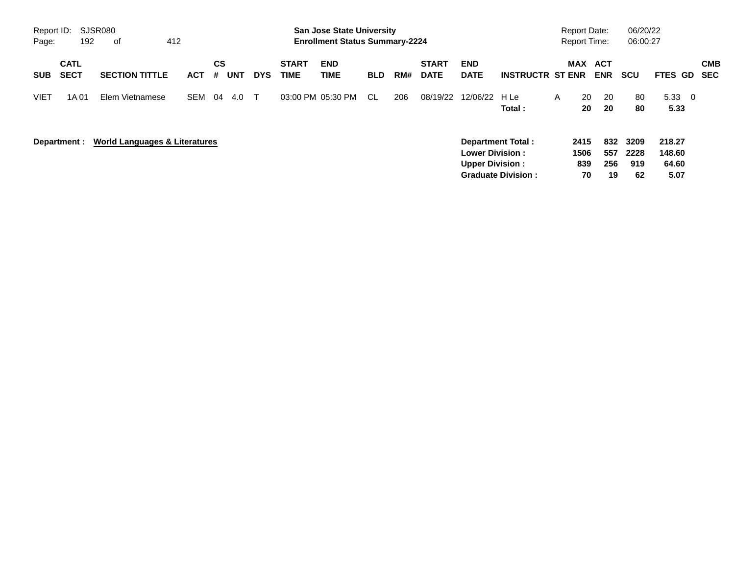| Page:       | SJSR080<br>Report ID:<br>412<br>192<br>0f |                                          |            |                |            |            |                             | <b>San Jose State University</b><br><b>Enrollment Status Summary-2224</b> |            |     |                                                  |                                                |                         |                           | <b>Report Date:</b><br><b>Report Time:</b> |                           | 06/20/22<br>06:00:27              |                |                          |                          |
|-------------|-------------------------------------------|------------------------------------------|------------|----------------|------------|------------|-----------------------------|---------------------------------------------------------------------------|------------|-----|--------------------------------------------------|------------------------------------------------|-------------------------|---------------------------|--------------------------------------------|---------------------------|-----------------------------------|----------------|--------------------------|--------------------------|
| <b>SUB</b>  | <b>CATL</b><br><b>SECT</b>                | <b>SECTION TITTLE</b>                    | <b>ACT</b> | <b>CS</b><br># | <b>UNT</b> | <b>DYS</b> | <b>START</b><br><b>TIME</b> | <b>END</b><br><b>TIME</b>                                                 | <b>BLD</b> | RM# | <b>START</b><br><b>DATE</b>                      | <b>END</b><br><b>DATE</b>                      | <b>INSTRUCTR ST ENR</b> |                           | MAX                                        | ACT<br><b>ENR</b>         | <b>SCU</b>                        | <b>FTES GD</b> |                          | <b>CMB</b><br><b>SEC</b> |
| <b>VIET</b> | 1A 01                                     | Elem Vietnamese                          | <b>SEM</b> | 04             | 4.0        | $\top$     |                             | 03:00 PM 05:30 PM                                                         | CL.        | 206 | 08/19/22                                         | 12/06/22                                       | H Le<br>Total:          | A                         | 20<br>20                                   | 20<br>20                  | 80<br>80                          | 5.33<br>5.33   | $\overline{\phantom{0}}$ |                          |
|             | Department :                              | <b>World Languages &amp; Literatures</b> |            |                |            |            |                             |                                                                           |            |     | <b>Lower Division:</b><br><b>Upper Division:</b> | Department Total:<br><b>Graduate Division:</b> |                         | 2415<br>1506<br>839<br>70 | 832<br>557<br>256<br>19                    | 3209<br>2228<br>919<br>62 | 218.27<br>148.60<br>64.60<br>5.07 |                |                          |                          |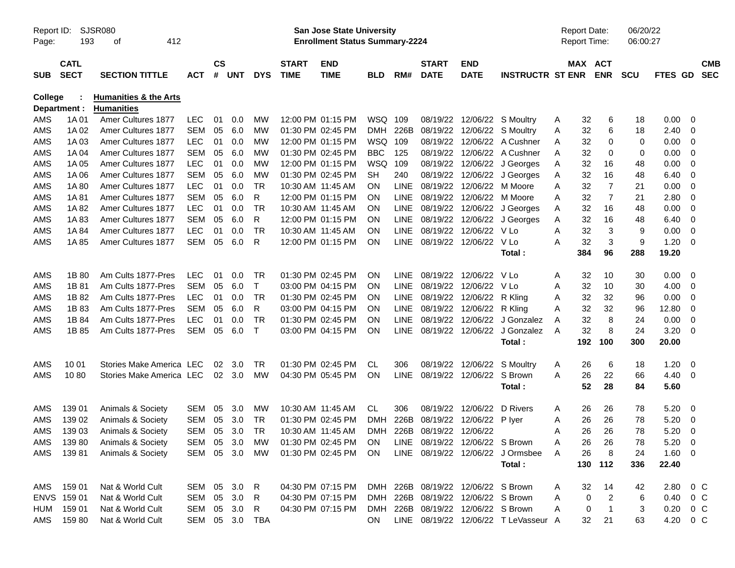| Report ID:<br>Page: | 193                        | SJSR080<br>412<br>οf                                  |            |                    |            |                |                             | San Jose State University<br><b>Enrollment Status Summary-2224</b> |            |             |                                    |                           |                                      |   | <b>Report Date:</b><br>Report Time: |                       | 06/20/22<br>06:00:27 |                        |                          |                          |
|---------------------|----------------------------|-------------------------------------------------------|------------|--------------------|------------|----------------|-----------------------------|--------------------------------------------------------------------|------------|-------------|------------------------------------|---------------------------|--------------------------------------|---|-------------------------------------|-----------------------|----------------------|------------------------|--------------------------|--------------------------|
| <b>SUB</b>          | <b>CATL</b><br><b>SECT</b> | <b>SECTION TITTLE</b>                                 | <b>ACT</b> | $\mathsf{cs}$<br># | <b>UNT</b> | <b>DYS</b>     | <b>START</b><br><b>TIME</b> | <b>END</b><br><b>TIME</b>                                          | <b>BLD</b> | RM#         | <b>START</b><br><b>DATE</b>        | <b>END</b><br><b>DATE</b> | <b>INSTRUCTR ST ENR</b>              |   |                                     | MAX ACT<br><b>ENR</b> | <b>SCU</b>           | FTES GD                |                          | <b>CMB</b><br><b>SEC</b> |
| <b>College</b>      | Department :               | <b>Humanities &amp; the Arts</b><br><b>Humanities</b> |            |                    |            |                |                             |                                                                    |            |             |                                    |                           |                                      |   |                                     |                       |                      |                        |                          |                          |
| AMS                 | 1A 01                      | Amer Cultures 1877                                    | <b>LEC</b> | 01                 | 0.0        | МW             |                             | 12:00 PM 01:15 PM                                                  | WSQ        | 109         | 08/19/22                           |                           | 12/06/22 S Moultry                   | A | 32                                  | 6                     | 18                   | 0.00                   | - 0                      |                          |
| AMS                 | 1A 02                      | Amer Cultures 1877                                    | <b>SEM</b> | 05                 | 6.0        | MW             |                             | 01:30 PM 02:45 PM                                                  | <b>DMH</b> | 226B        | 08/19/22                           |                           | 12/06/22 S Moultry                   | Α | 32                                  | 6                     | 18                   | 2.40                   | - 0                      |                          |
| AMS                 | 1A 03                      | Amer Cultures 1877                                    | <b>LEC</b> | 01                 | 0.0        | МW             |                             | 12:00 PM 01:15 PM                                                  | <b>WSQ</b> | 109         | 08/19/22                           |                           | 12/06/22 A Cushner                   | Α | 32                                  | 0                     | 0                    | 0.00                   | - 0                      |                          |
| AMS                 | 1A 04                      | Amer Cultures 1877                                    | <b>SEM</b> | 05                 | 6.0        | MW             |                             | 01:30 PM 02:45 PM                                                  | <b>BBC</b> | 125         | 08/19/22                           |                           | 12/06/22 A Cushner                   | Α | 32                                  | 0                     | 0                    | 0.00                   | 0                        |                          |
| AMS                 | 1A 05                      | Amer Cultures 1877                                    | <b>LEC</b> | 01                 | 0.0        | MW             |                             | 12:00 PM 01:15 PM                                                  | <b>WSQ</b> | 109         | 08/19/22                           |                           | 12/06/22 J Georges                   | Α | 32                                  | 16                    | 48                   | 0.00                   | - 0                      |                          |
| AMS                 | 1A 06                      | Amer Cultures 1877                                    | <b>SEM</b> | 05                 | 6.0        | MW             |                             | 01:30 PM 02:45 PM                                                  | SН         | 240         | 08/19/22                           |                           | 12/06/22 J Georges                   | A | 32                                  | 16                    | 48                   | 6.40                   | - 0                      |                          |
| AMS                 | 1A 80                      | Amer Cultures 1877                                    | <b>LEC</b> | 01                 | 0.0        | <b>TR</b>      |                             | 10:30 AM 11:45 AM                                                  | ΟN         | <b>LINE</b> | 08/19/22                           |                           | 12/06/22 M Moore                     | Α | 32                                  | $\overline{7}$        | 21                   | 0.00                   | 0                        |                          |
| AMS                 | 1A 81                      | Amer Cultures 1877                                    | <b>SEM</b> | 05                 | 6.0        | R              |                             | 12:00 PM 01:15 PM                                                  | ΟN         | <b>LINE</b> | 08/19/22                           |                           | 12/06/22 M Moore                     | Α | 32                                  | $\overline{7}$        | 21                   | 2.80                   | 0                        |                          |
| AMS                 | 1A 82                      | Amer Cultures 1877                                    | <b>LEC</b> | 01                 | 0.0        | <b>TR</b>      |                             | 10:30 AM 11:45 AM                                                  | ΟN         | <b>LINE</b> | 08/19/22                           |                           | 12/06/22 J Georges                   | Α | 32                                  | 16                    | 48                   | 0.00                   | 0                        |                          |
| AMS                 | 1A83                       | Amer Cultures 1877                                    | <b>SEM</b> | 05                 | 6.0        | R              |                             | 12:00 PM 01:15 PM                                                  | ΟN         | <b>LINE</b> | 08/19/22                           | 12/06/22                  | J Georges                            | Α | 32                                  | 16                    | 48                   | 6.40                   | - 0                      |                          |
| AMS                 | 1A 84                      | Amer Cultures 1877                                    | <b>LEC</b> | 01                 | 0.0        | <b>TR</b>      |                             | 10:30 AM 11:45 AM                                                  | ΟN         | <b>LINE</b> | 08/19/22                           | 12/06/22 V Lo             |                                      | Α | 32                                  | 3                     | 9                    | 0.00                   | $\overline{\mathbf{0}}$  |                          |
| AMS                 | 1A 85                      | Amer Cultures 1877                                    | <b>SEM</b> | 05                 | 6.0        | R              |                             | 12:00 PM 01:15 PM                                                  | ΟN         | LINE        |                                    | 08/19/22 12/06/22 V Lo    |                                      | Α | 32                                  | 3                     | 9                    | 1.20                   | - 0                      |                          |
|                     |                            |                                                       |            |                    |            |                |                             |                                                                    |            |             |                                    |                           | Total :                              |   | 384                                 | 96                    | 288                  | 19.20                  |                          |                          |
| AMS                 | 1B 80                      | Am Cults 1877-Pres                                    | <b>LEC</b> | 01                 | 0.0        | <b>TR</b>      |                             | 01:30 PM 02:45 PM                                                  | ΟN         | <b>LINE</b> |                                    | 08/19/22 12/06/22 V Lo    |                                      | Α | 32                                  | 10                    | 30                   | $0.00 \t 0$            |                          |                          |
| AMS                 | 1B 81                      | Am Cults 1877-Pres                                    | <b>SEM</b> | 05                 | 6.0        | $\top$         |                             | 03:00 PM 04:15 PM                                                  | ΟN         | <b>LINE</b> | 08/19/22                           | 12/06/22                  | V Lo                                 | Α | 32                                  | 10                    | 30                   | 4.00                   | - 0                      |                          |
| AMS                 | 1B 82                      | Am Cults 1877-Pres                                    | <b>LEC</b> | 01                 | 0.0        | <b>TR</b>      |                             | 01:30 PM 02:45 PM                                                  | ΟN         | <b>LINE</b> | 08/19/22                           | 12/06/22                  | R Kling                              | Α | 32                                  | 32                    | 96                   | 0.00                   | 0                        |                          |
| AMS                 | 1B 83                      | Am Cults 1877-Pres                                    | <b>SEM</b> | 05                 | 6.0        | R              |                             | 03:00 PM 04:15 PM                                                  | ΟN         | <b>LINE</b> | 08/19/22                           | 12/06/22                  | R Kling                              | A | 32                                  | 32                    | 96                   | 12.80                  | 0                        |                          |
| AMS                 | 1B 84                      | Am Cults 1877-Pres                                    | <b>LEC</b> | 01                 | 0.0        | <b>TR</b>      |                             | 01:30 PM 02:45 PM                                                  | ΟN         | LINE.       | 08/19/22                           | 12/06/22                  | J Gonzalez                           | A | 32                                  | 8                     | 24                   | 0.00                   | 0                        |                          |
| AMS                 | 1B 85                      | Am Cults 1877-Pres                                    | <b>SEM</b> | 05                 | 6.0        | $\top$         |                             | 03:00 PM 04:15 PM                                                  | ON         | LINE        | 08/19/22                           | 12/06/22                  | J Gonzalez                           | A | 32                                  | 8                     | 24                   | 3.20                   | - 0                      |                          |
|                     |                            |                                                       |            |                    |            |                |                             |                                                                    |            |             |                                    |                           | Total:                               |   | 192                                 | 100                   | 300                  | 20.00                  |                          |                          |
|                     |                            |                                                       |            |                    |            |                |                             |                                                                    |            |             |                                    |                           |                                      |   |                                     |                       |                      |                        |                          |                          |
| AMS                 | 10 01                      | Stories Make America LEC                              |            | 02                 | 3.0        | TR             |                             | 01:30 PM 02:45 PM                                                  | CL.        | 306         | 08/19/22                           |                           | 12/06/22 S Moultry                   | A | 26                                  | 6                     | 18                   | 1.20                   | $\overline{\mathbf{0}}$  |                          |
| AMS                 | 1080                       | Stories Make America LEC                              |            | 02                 | 3.0        | MW             |                             | 04:30 PM 05:45 PM                                                  | ΟN         | LINE.       |                                    | 08/19/22 12/06/22         | S Brown                              | А | 26                                  | 22                    | 66                   | 4.40                   | $\overline{\phantom{0}}$ |                          |
|                     |                            |                                                       |            |                    |            |                |                             |                                                                    |            |             |                                    |                           | Total:                               |   | 52                                  | 28                    | 84                   | 5.60                   |                          |                          |
| AMS                 | 139 01                     | Animals & Society                                     | <b>SEM</b> | 05                 | 3.0        | MW             |                             | 10:30 AM 11:45 AM                                                  | CL.        | 306         | 08/19/22                           | 12/06/22                  | D Rivers                             | A | 26                                  | 26                    | 78                   | 5.20                   | $\overline{\phantom{0}}$ |                          |
| AMS                 | 139 02                     | Animals & Society                                     | <b>SEM</b> | 05                 | 3.0        | TR             |                             | 01:30 PM 02:45 PM                                                  | <b>DMH</b> | 226B        | 08/19/22                           | 12/06/22                  | P lyer                               | A | 26                                  | 26                    | 78                   | 5.20                   | $\overline{\mathbf{0}}$  |                          |
| AMS                 | 139 03                     | Animals & Society                                     | <b>SEM</b> | 05                 | 3.0        | <b>TR</b>      |                             | 10:30 AM 11:45 AM                                                  | DMH        | 226B        | 08/19/22                           | 12/06/22                  |                                      | Α | 26                                  | 26                    | 78                   | 5.20                   | $\overline{\phantom{0}}$ |                          |
| AMS                 | 139 80                     | Animals & Society                                     | SEM 05 3.0 |                    |            | МW             |                             | 01:30 PM 02:45 PM                                                  | ON         |             | LINE 08/19/22 12/06/22 S Brown     |                           |                                      | A | 26                                  | 26                    | 78                   | 5.20                   | $\overline{\phantom{0}}$ |                          |
| AMS                 | 13981                      | Animals & Society                                     | SEM 05 3.0 |                    |            | МW             |                             | 01:30 PM 02:45 PM                                                  | <b>ON</b>  |             |                                    |                           | LINE 08/19/22 12/06/22 J Ormsbee     | A | 26                                  | 8                     | 24                   | 1.60 0                 |                          |                          |
|                     |                            |                                                       |            |                    |            |                |                             |                                                                    |            |             |                                    |                           | Total:                               |   |                                     | 130 112               | 336                  | 22.40                  |                          |                          |
| AMS                 | 159 01                     | Nat & World Cult                                      | SEM 05 3.0 |                    |            | $\mathsf{R}$   |                             | 04:30 PM 07:15 PM                                                  |            |             | DMH 226B 08/19/22 12/06/22 S Brown |                           |                                      | A | 32                                  | 14                    | 42                   | $2.80 \t 0 \t C$       |                          |                          |
|                     | ENVS 159 01                | Nat & World Cult                                      | SEM        |                    | 05 3.0     | R              |                             | 04:30 PM 07:15 PM                                                  |            |             | DMH 226B 08/19/22 12/06/22 S Brown |                           |                                      | A | 0                                   | 2                     | 6                    | $0.40 \quad 0 \quad C$ |                          |                          |
| HUM                 | 159 01                     | Nat & World Cult                                      | SEM 05 3.0 |                    |            | $\mathsf{R}$   |                             | 04:30 PM 07:15 PM                                                  |            |             | DMH 226B 08/19/22 12/06/22 S Brown |                           |                                      | A | $\boldsymbol{0}$                    | $\mathbf{1}$          | 3                    | $0.20 \t 0 C$          |                          |                          |
| AMS                 | 15980                      | Nat & World Cult                                      |            |                    |            | SEM 05 3.0 TBA |                             |                                                                    | <b>ON</b>  |             |                                    |                           | LINE 08/19/22 12/06/22 T LeVasseur A |   | 32                                  | 21                    | 63                   | 4.20 0 C               |                          |                          |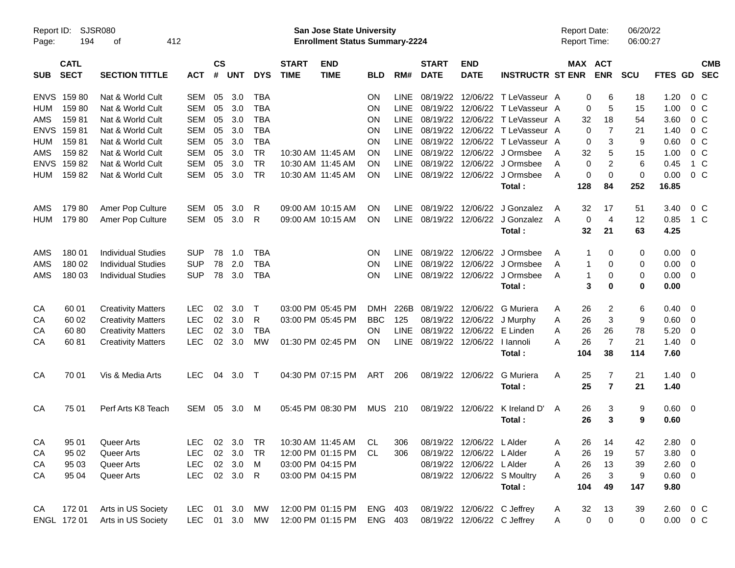| Report ID:<br>Page: | 194                        | SJSR080<br>412<br>οf      |               |                    |            |            |                             | San Jose State University<br><b>Enrollment Status Summary-2224</b> |            |             |                             |                             |                             | <b>Report Date:</b><br><b>Report Time:</b> |              |                       | 06/20/22<br>06:00:27 |                |                          |  |
|---------------------|----------------------------|---------------------------|---------------|--------------------|------------|------------|-----------------------------|--------------------------------------------------------------------|------------|-------------|-----------------------------|-----------------------------|-----------------------------|--------------------------------------------|--------------|-----------------------|----------------------|----------------|--------------------------|--|
| <b>SUB</b>          | <b>CATL</b><br><b>SECT</b> | <b>SECTION TITTLE</b>     | <b>ACT</b>    | $\mathsf{cs}$<br># | <b>UNT</b> | <b>DYS</b> | <b>START</b><br><b>TIME</b> | <b>END</b><br><b>TIME</b>                                          | <b>BLD</b> | RM#         | <b>START</b><br><b>DATE</b> | <b>END</b><br><b>DATE</b>   | <b>INSTRUCTR ST ENR</b>     |                                            |              | MAX ACT<br><b>ENR</b> | <b>SCU</b>           | FTES GD        | <b>CMB</b><br><b>SEC</b> |  |
| <b>ENVS</b>         | 15980                      | Nat & World Cult          | <b>SEM</b>    | 05                 | 3.0        | <b>TBA</b> |                             |                                                                    | <b>ON</b>  | <b>LINE</b> | 08/19/22                    |                             | 12/06/22 T LeVasseur A      |                                            | 0            | 6                     | 18                   | 1.20           | 0 <sup>o</sup>           |  |
| <b>HUM</b>          | 15980                      | Nat & World Cult          | <b>SEM</b>    | 05                 | 3.0        | <b>TBA</b> |                             |                                                                    | <b>ON</b>  | <b>LINE</b> | 08/19/22                    |                             | 12/06/22 T LeVasseur A      |                                            | 0            | 5                     | 15                   | 1.00           | 0 <sup>o</sup>           |  |
| AMS                 | 15981                      | Nat & World Cult          | <b>SEM</b>    | 05                 | 3.0        | <b>TBA</b> |                             |                                                                    | ON         | <b>LINE</b> | 08/19/22                    | 12/06/22                    | T LeVasseur A               |                                            | 32           | 18                    | 54                   | 3.60           | 0 <sup>o</sup>           |  |
| <b>ENVS</b>         | 15981                      | Nat & World Cult          | <b>SEM</b>    | 05                 | 3.0        | <b>TBA</b> |                             |                                                                    | ON         | <b>LINE</b> | 08/19/22                    |                             | 12/06/22 T LeVasseur A      |                                            | 0            | $\overline{7}$        | 21                   | 1.40           | 0 <sup>o</sup>           |  |
| <b>HUM</b>          | 15981                      | Nat & World Cult          | <b>SEM</b>    | 05                 | 3.0        | <b>TBA</b> |                             |                                                                    | ΟN         | <b>LINE</b> | 08/19/22                    |                             | 12/06/22 T LeVasseur A      |                                            | 0            | 3                     | 9                    | 0.60           | 0 <sup>o</sup>           |  |
| AMS                 | 15982                      | Nat & World Cult          | <b>SEM</b>    | 05                 | 3.0        | <b>TR</b>  |                             | 10:30 AM 11:45 AM                                                  | <b>ON</b>  | <b>LINE</b> | 08/19/22                    |                             | 12/06/22 J Ormsbee          | A                                          | 32           | 5                     | 15                   | 1.00           | 0 <sup>o</sup>           |  |
| <b>ENVS</b>         | 15982                      | Nat & World Cult          | <b>SEM</b>    | 05                 | 3.0        | <b>TR</b>  |                             | 10:30 AM 11:45 AM                                                  | <b>ON</b>  | <b>LINE</b> | 08/19/22                    |                             | 12/06/22 J Ormsbee          | A                                          | 0            | 2                     | 6                    | 0.45           | 1 C                      |  |
| <b>HUM</b>          | 15982                      | Nat & World Cult          | <b>SEM</b>    | 05                 | 3.0        | <b>TR</b>  |                             | 10:30 AM 11:45 AM                                                  | <b>ON</b>  | LINE        | 08/19/22                    |                             | 12/06/22 J Ormsbee          | A                                          | 0            | 0                     | 0                    | 0.00           | 0 <sup>o</sup>           |  |
|                     |                            |                           |               |                    |            |            |                             |                                                                    |            |             |                             |                             | Total:                      |                                            | 128          | 84                    | 252                  | 16.85          |                          |  |
| AMS                 | 17980                      | Amer Pop Culture          | <b>SEM</b>    | 05                 | 3.0        | R          |                             | 09:00 AM 10:15 AM                                                  | ON         | <b>LINE</b> | 08/19/22                    | 12/06/22                    | J Gonzalez                  | A                                          | 32           | 17                    | 51                   | 3.40           | 0 <sup>o</sup>           |  |
| <b>HUM</b>          | 17980                      | Amer Pop Culture          | <b>SEM</b>    | 05                 | 3.0        | R          |                             | 09:00 AM 10:15 AM                                                  | OΝ         | <b>LINE</b> | 08/19/22                    |                             | 12/06/22 J Gonzalez         | A                                          | 0            | $\overline{4}$        | 12                   | 0.85           | 1 C                      |  |
|                     |                            |                           |               |                    |            |            |                             |                                                                    |            |             |                             |                             | Total:                      |                                            | 32           | 21                    | 63                   | 4.25           |                          |  |
| AMS                 | 180 01                     | <b>Individual Studies</b> | <b>SUP</b>    | 78                 | 1.0        | <b>TBA</b> |                             |                                                                    | <b>ON</b>  | <b>LINE</b> | 08/19/22                    | 12/06/22                    | J Ormsbee                   | A                                          | 1            | 0                     | 0                    | $0.00 \t 0$    |                          |  |
| AMS                 | 180 02                     | <b>Individual Studies</b> | <b>SUP</b>    | 78                 | 2.0        | <b>TBA</b> |                             |                                                                    | <b>ON</b>  | <b>LINE</b> | 08/19/22                    |                             | 12/06/22 J Ormsbee          | A                                          | 1            | 0                     | 0                    | $0.00 \t 0$    |                          |  |
| AMS                 | 180 03                     | <b>Individual Studies</b> | <b>SUP</b>    | 78                 | 3.0        | <b>TBA</b> |                             |                                                                    | <b>ON</b>  | LINE        | 08/19/22                    |                             | 12/06/22 J Ormsbee          | A                                          | $\mathbf{1}$ | 0                     | 0                    | $0.00 \t 0$    |                          |  |
|                     |                            |                           |               |                    |            |            |                             |                                                                    |            |             |                             |                             | Total:                      |                                            | 3            | $\bf{0}$              | 0                    | 0.00           |                          |  |
| CA                  | 60 01                      | <b>Creativity Matters</b> | <b>LEC</b>    | 02                 | 3.0        | $\top$     |                             | 03:00 PM 05:45 PM                                                  | <b>DMH</b> | 226B        | 08/19/22                    | 12/06/22                    | G Muriera                   | A                                          | 26           | 2                     | 6                    | $0.40 \ 0$     |                          |  |
| CA                  | 60 02                      | <b>Creativity Matters</b> | <b>LEC</b>    | 02                 | 3.0        | R          |                             | 03:00 PM 05:45 PM                                                  | <b>BBC</b> | 125         | 08/19/22                    | 12/06/22                    | J Murphy                    | A                                          | 26           | 3                     | 9                    | $0.60 \quad 0$ |                          |  |
| CA                  | 60 80                      | <b>Creativity Matters</b> | <b>LEC</b>    | 02                 | 3.0        | <b>TBA</b> |                             |                                                                    | <b>ON</b>  | <b>LINE</b> | 08/19/22                    | 12/06/22                    | E Linden                    | A                                          | 26           | 26                    | 78                   | 5.20           | $\overline{\phantom{0}}$ |  |
| СA                  | 6081                       | <b>Creativity Matters</b> | <b>LEC</b>    | 02                 | 3.0        | MW         |                             | 01:30 PM 02:45 PM                                                  | <b>ON</b>  | LINE        | 08/19/22                    | 12/06/22   lannoli          |                             | Α                                          | 26           | $\overline{7}$        | 21                   | $1.40 \ 0$     |                          |  |
|                     |                            |                           |               |                    |            |            |                             |                                                                    |            |             |                             |                             | Total:                      |                                            | 104          | 38                    | 114                  | 7.60           |                          |  |
| CA                  | 70 01                      | Vis & Media Arts          | LEC.          | 04                 | 3.0        | $\top$     |                             | 04:30 PM 07:15 PM                                                  | ART        | 206         | 08/19/22                    | 12/06/22                    | G Muriera                   | A                                          | 25           | 7                     | 21                   | $1.40 \ 0$     |                          |  |
|                     |                            |                           |               |                    |            |            |                             |                                                                    |            |             |                             |                             | Total:                      |                                            | 25           | $\overline{7}$        | 21                   | 1.40           |                          |  |
| CA                  | 75 01                      | Perf Arts K8 Teach        | SEM           | 05                 | 3.0        | M          |                             | 05:45 PM 08:30 PM                                                  | <b>MUS</b> | 210         | 08/19/22                    | 12/06/22                    | K Ireland D'                | A                                          | 26           | 3                     | 9                    | $0.60 \quad 0$ |                          |  |
|                     |                            |                           |               |                    |            |            |                             |                                                                    |            |             |                             |                             | Total:                      |                                            | 26           | 3                     | 9                    | 0.60           |                          |  |
| CA                  | 95 01                      | Queer Arts                | <b>LEC</b>    |                    | 02 3.0 TR  |            |                             | 10:30 AM 11:45 AM CL                                               |            | 306         |                             | 08/19/22 12/06/22 LAIder    |                             | Α                                          | 26           | 14                    | 42                   | $2.80\quad 0$  |                          |  |
| CA                  | 95 02                      | Queer Arts                | <b>LEC</b>    |                    | 02 3.0     | TR         |                             | 12:00 PM 01:15 PM CL                                               |            | 306         |                             | 08/19/22 12/06/22 L Alder   |                             | A                                          | 26           | 19                    | 57                   | $3.80\ 0$      |                          |  |
| CA                  | 95 03                      | Queer Arts                | <b>LEC</b>    |                    | 02 3.0     | M          |                             | 03:00 PM 04:15 PM                                                  |            |             |                             | 08/19/22 12/06/22 L Alder   |                             | A                                          | 26           | 13                    | 39                   | $2.60 \t 0$    |                          |  |
| CA                  | 95 04                      | Queer Arts                | <b>LEC</b>    |                    | 02 3.0 R   |            |                             | 03:00 PM 04:15 PM                                                  |            |             |                             |                             | 08/19/22 12/06/22 S Moultry | Α                                          | 26           | 3                     | 9                    | $0.60 \quad 0$ |                          |  |
|                     |                            |                           |               |                    |            |            |                             |                                                                    |            |             |                             |                             | Total:                      |                                            | 104          | 49                    | 147                  | 9.80           |                          |  |
| CA                  | 172 01                     | Arts in US Society        | LEC           |                    | 01 3.0 MW  |            |                             | 12:00 PM 01:15 PM                                                  | ENG 403    |             |                             | 08/19/22 12/06/22 C Jeffrey |                             | A                                          | 32           | 13                    | 39                   |                | 2.60 0 C                 |  |
|                     | ENGL 172 01                | Arts in US Society        | LEC 01 3.0 MW |                    |            |            |                             | 12:00 PM 01:15 PM                                                  | ENG 403    |             |                             | 08/19/22 12/06/22 C Jeffrey |                             | Α                                          | $\mathbf 0$  | $\mathbf 0$           | 0                    |                | $0.00 \t 0 C$            |  |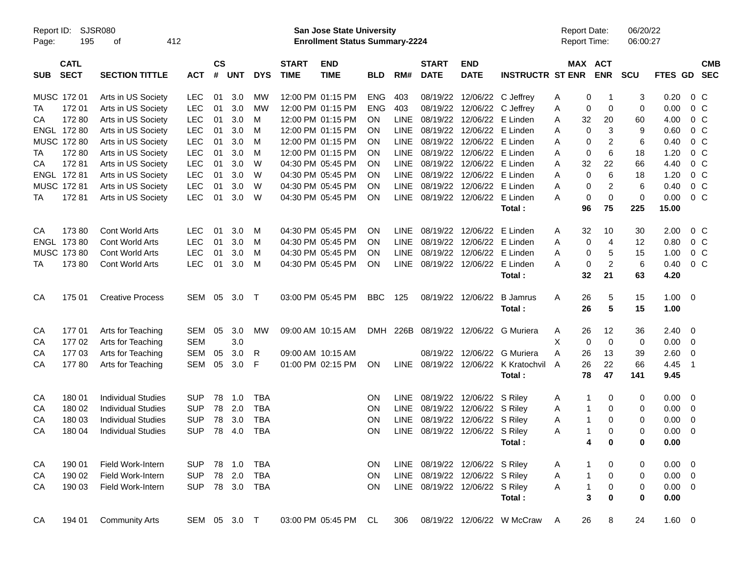| Report ID:<br>Page: | 195                        | SJSR080<br>412<br>οf      |              |                    |            |            |                             | San Jose State University<br><b>Enrollment Status Summary-2224</b> |            |             |                                |                           |                                 | <b>Report Date:</b><br>Report Time: |                           | 06/20/22<br>06:00:27 |                |                          |                          |
|---------------------|----------------------------|---------------------------|--------------|--------------------|------------|------------|-----------------------------|--------------------------------------------------------------------|------------|-------------|--------------------------------|---------------------------|---------------------------------|-------------------------------------|---------------------------|----------------------|----------------|--------------------------|--------------------------|
| <b>SUB</b>          | <b>CATL</b><br><b>SECT</b> | <b>SECTION TITTLE</b>     | <b>ACT</b>   | $\mathsf{cs}$<br># | <b>UNT</b> | <b>DYS</b> | <b>START</b><br><b>TIME</b> | <b>END</b><br><b>TIME</b>                                          | <b>BLD</b> | RM#         | <b>START</b><br><b>DATE</b>    | <b>END</b><br><b>DATE</b> | <b>INSTRUCTR ST ENR</b>         |                                     | MAX ACT<br><b>ENR</b>     | <b>SCU</b>           | FTES GD        |                          | <b>CMB</b><br><b>SEC</b> |
|                     | MUSC 172 01                | Arts in US Society        | <b>LEC</b>   | 01                 | 3.0        | MW         |                             | 12:00 PM 01:15 PM                                                  | <b>ENG</b> | 403         | 08/19/22                       |                           | 12/06/22 C Jeffrey              | Α                                   | 0<br>-1                   | 3                    | 0.20           | $0\,C$                   |                          |
| TA                  | 17201                      | Arts in US Society        | <b>LEC</b>   | 01                 | 3.0        | <b>MW</b>  |                             | 12:00 PM 01:15 PM                                                  | <b>ENG</b> | 403         | 08/19/22                       | 12/06/22                  | C Jeffrey                       | Α                                   | 0<br>0                    | 0                    | 0.00           | 0 <sup>o</sup>           |                          |
| CА                  | 17280                      | Arts in US Society        | <b>LEC</b>   | 01                 | 3.0        | M          |                             | 12:00 PM 01:15 PM                                                  | OΝ         | <b>LINE</b> | 08/19/22                       | 12/06/22                  | E Linden                        | 32<br>Α                             | 20                        | 60                   | 4.00           | 0 <sup>o</sup>           |                          |
|                     | ENGL 172 80                | Arts in US Society        | <b>LEC</b>   | 01                 | 3.0        | M          |                             | 12:00 PM 01:15 PM                                                  | ΟN         | <b>LINE</b> | 08/19/22                       |                           | 12/06/22 E Linden               | Α                                   | 0<br>3                    | 9                    | 0.60           | 0 <sup>o</sup>           |                          |
|                     | MUSC 172 80                | Arts in US Society        | <b>LEC</b>   | 01                 | 3.0        | M          |                             | 12:00 PM 01:15 PM                                                  | ΟN         | <b>LINE</b> | 08/19/22                       |                           | 12/06/22 E Linden               | Α                                   | 2<br>0                    | 6                    | 0.40           | 0 <sup>o</sup>           |                          |
| TA                  | 172 80                     | Arts in US Society        | <b>LEC</b>   | 01                 | 3.0        | M          |                             | 12:00 PM 01:15 PM                                                  | ΟN         | <b>LINE</b> | 08/19/22                       |                           | 12/06/22 E Linden               | Α                                   | $6\phantom{1}6$<br>0      | 18                   | 1.20           | 0 <sup>o</sup>           |                          |
| CA                  | 17281                      | Arts in US Society        | <b>LEC</b>   | 01                 | 3.0        | W          |                             | 04:30 PM 05:45 PM                                                  | ΟN         | <b>LINE</b> | 08/19/22                       |                           | 12/06/22 E Linden               | Α<br>32                             | 22                        | 66                   | 4.40           | 0 <sup>o</sup>           |                          |
|                     | ENGL 172 81                | Arts in US Society        | <b>LEC</b>   | 01                 | 3.0        | W          |                             | 04:30 PM 05:45 PM                                                  | ΟN         | <b>LINE</b> | 08/19/22                       |                           | 12/06/22 E Linden               | Α                                   | $\mathbf 0$<br>6          | 18                   | 1.20           | 0 <sup>o</sup>           |                          |
|                     | MUSC 172 81                | Arts in US Society        | <b>LEC</b>   | 01                 | 3.0        | W          |                             | 04:30 PM 05:45 PM                                                  | ΟN         | <b>LINE</b> | 08/19/22                       | 12/06/22                  | E Linden                        | Α                                   | 2<br>0                    | 6                    | 0.40           | $0\,C$                   |                          |
| TA                  | 17281                      | Arts in US Society        | <b>LEC</b>   | 01                 | 3.0        | W          |                             | 04:30 PM 05:45 PM                                                  | ON         | LINE        | 08/19/22                       |                           | 12/06/22 E Linden               | A                                   | $\mathbf 0$<br>0          | 0                    | 0.00           | 0 <sup>o</sup>           |                          |
|                     |                            |                           |              |                    |            |            |                             |                                                                    |            |             |                                |                           | Total:                          | 96                                  | 75                        | 225                  | 15.00          |                          |                          |
| CA                  | 17380                      | Cont World Arts           | <b>LEC</b>   | 01                 | 3.0        | М          |                             | 04:30 PM 05:45 PM                                                  | ΟN         | <b>LINE</b> | 08/19/22                       | 12/06/22                  | E Linden                        | 32<br>Α                             | 10                        | 30                   | 2.00           | $0\,$ C                  |                          |
|                     | ENGL 173 80                | Cont World Arts           | <b>LEC</b>   | 01                 | 3.0        | М          |                             | 04:30 PM 05:45 PM                                                  | OΝ         | <b>LINE</b> | 08/19/22                       | 12/06/22                  | E Linden                        | Α                                   | 0<br>$\overline{4}$       | 12                   | 0.80           | 0 <sup>o</sup>           |                          |
|                     | MUSC 173 80                | <b>Cont World Arts</b>    | <b>LEC</b>   | 01                 | 3.0        | M          |                             | 04:30 PM 05:45 PM                                                  | ΟN         | <b>LINE</b> | 08/19/22                       | 12/06/22                  | E Linden                        | Α                                   | 5<br>0                    | 15                   | 1.00           | 0 <sup>o</sup>           |                          |
| TA                  | 17380                      | <b>Cont World Arts</b>    | <b>LEC</b>   | 01                 | 3.0        | М          |                             | 04:30 PM 05:45 PM                                                  | ON         | LINE        | 08/19/22                       |                           | 12/06/22 E Linden               | A                                   | $\overline{c}$<br>0       | 6                    | 0.40           | 0 <sup>o</sup>           |                          |
|                     |                            |                           |              |                    |            |            |                             |                                                                    |            |             |                                |                           | Total:                          | 32                                  | 21                        | 63                   | 4.20           |                          |                          |
| CA                  | 175 01                     | <b>Creative Process</b>   | SEM          | 05                 | 3.0        | $\top$     |                             | 03:00 PM 05:45 PM                                                  | <b>BBC</b> | 125         | 08/19/22                       | 12/06/22                  | <b>B</b> Jamrus                 | 26<br>Α                             | 5                         | 15                   | 1.00           | $\overline{\phantom{0}}$ |                          |
|                     |                            |                           |              |                    |            |            |                             |                                                                    |            |             |                                |                           | Total:                          | 26                                  | 5                         | 15                   | 1.00           |                          |                          |
| CA                  | 17701                      | Arts for Teaching         | <b>SEM</b>   | 05                 | 3.0        | MW         |                             | 09:00 AM 10:15 AM                                                  | DMH        | 226B        | 08/19/22                       |                           | 12/06/22 G Muriera              | 26<br>A                             | 12                        | 36                   | $2.40 \quad 0$ |                          |                          |
| CA                  | 17702                      | Arts for Teaching         | <b>SEM</b>   |                    | 3.0        |            |                             |                                                                    |            |             |                                |                           |                                 | Х                                   | 0<br>0                    | 0                    | 0.00           | $\overline{\mathbf{0}}$  |                          |
| СA                  | 17703                      | Arts for Teaching         | <b>SEM</b>   | 05                 | 3.0        | R          |                             | 09:00 AM 10:15 AM                                                  |            |             | 08/19/22                       |                           | 12/06/22 G Muriera              | A<br>26                             | 13                        | 39                   | 2.60           | $\mathbf 0$              |                          |
| СA                  | 17780                      | Arts for Teaching         | <b>SEM</b>   | 05                 | 3.0        | F          |                             | 01:00 PM 02:15 PM                                                  | ON         | LINE        | 08/19/22                       |                           | 12/06/22 K Kratochvil<br>Total: | 26<br>$\overline{A}$<br>78          | 22<br>47                  | 66<br>141            | 4.45<br>9.45   | $\overline{1}$           |                          |
| CA                  | 180 01                     | <b>Individual Studies</b> | <b>SUP</b>   | 78                 | 1.0        | <b>TBA</b> |                             |                                                                    | ON         | <b>LINE</b> | 08/19/22                       | 12/06/22 S Riley          |                                 | A                                   | $\mathbf{1}$<br>0         | 0                    | 0.00           | $\overline{\phantom{0}}$ |                          |
| CA                  | 180 02                     | <b>Individual Studies</b> | <b>SUP</b>   | 78                 | 2.0        | <b>TBA</b> |                             |                                                                    | ON         | <b>LINE</b> | 08/19/22                       | 12/06/22 S Riley          |                                 | Α                                   | $\mathbf{1}$<br>0         | 0                    | 0.00           | $\overline{\mathbf{0}}$  |                          |
| CA                  | 180 03                     | <b>Individual Studies</b> | <b>SUP</b>   | 78                 | 3.0        | <b>TBA</b> |                             |                                                                    | ON         | <b>LINE</b> | 08/19/22                       | 12/06/22 S Riley          |                                 | Α                                   | $\mathbf{1}$<br>0         | 0                    | 0.00           | 0                        |                          |
| CA                  | 180 04                     | <b>Individual Studies</b> | <b>SUP</b>   | 78                 | 4.0        | <b>TBA</b> |                             |                                                                    | ΟN         | LINE        | 08/19/22                       | 12/06/22 S Riley          |                                 | A                                   | $\mathbf{1}$<br>$\Omega$  | 0                    | 0.00           | 0                        |                          |
|                     |                            |                           |              |                    |            |            |                             |                                                                    |            |             |                                |                           | Total :                         |                                     | 4<br>0                    | 0                    | 0.00           |                          |                          |
| CA                  | 190 01                     | Field Work-Intern         | <b>SUP</b>   | 78                 | 1.0        | <b>TBA</b> |                             |                                                                    | ON         |             | LINE 08/19/22 12/06/22 S Riley |                           |                                 | A                                   | 1<br>0                    | 0                    | $0.00 \t 0$    |                          |                          |
| CA                  | 190 02                     | Field Work-Intern         | <b>SUP</b>   | 78                 | 2.0        | <b>TBA</b> |                             |                                                                    | ON         | LINE        | 08/19/22                       | 12/06/22 S Riley          |                                 | Α                                   | $\pmb{0}$<br>$\mathbf{1}$ | 0                    | $0.00 \t 0$    |                          |                          |
| CA                  | 190 03                     | Field Work-Intern         | <b>SUP</b>   |                    | 78 3.0     | <b>TBA</b> |                             |                                                                    | <b>ON</b>  | LINE        | 08/19/22                       | 12/06/22 S Riley          |                                 | Α                                   | $\mathbf{1}$<br>$\pmb{0}$ | 0                    | $0.00 \t 0$    |                          |                          |
|                     |                            |                           |              |                    |            |            |                             |                                                                    |            |             |                                |                           | Total:                          |                                     | 3<br>0                    | 0                    | 0.00           |                          |                          |
| CA                  | 194 01                     | <b>Community Arts</b>     | SEM 05 3.0 T |                    |            |            |                             | 03:00 PM 05:45 PM                                                  | CL.        | 306         | 08/19/22                       |                           | 12/06/22 W McCraw               | 26<br>A                             | 8                         | 24                   | 1.60 0         |                          |                          |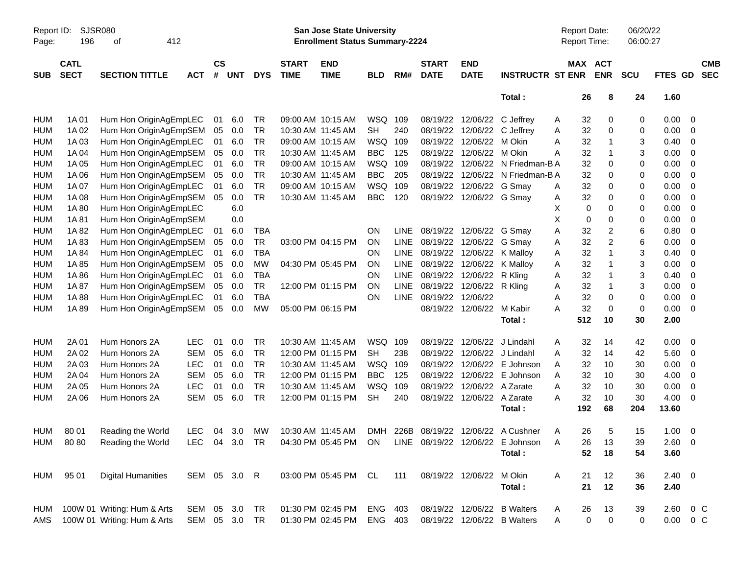| Report ID:<br>Page: | SJSR080<br>196             | 412<br>оf                   |               |                |            |            |                             | San Jose State University<br><b>Enrollment Status Summary-2224</b> |            |             |                             |                           |                                  | Report Date:<br>Report Time: |                         | 06/20/22<br>06:00:27 |               |                         |                          |
|---------------------|----------------------------|-----------------------------|---------------|----------------|------------|------------|-----------------------------|--------------------------------------------------------------------|------------|-------------|-----------------------------|---------------------------|----------------------------------|------------------------------|-------------------------|----------------------|---------------|-------------------------|--------------------------|
| <b>SUB</b>          | <b>CATL</b><br><b>SECT</b> | <b>SECTION TITTLE</b>       | <b>ACT</b>    | <b>CS</b><br># | <b>UNT</b> | <b>DYS</b> | <b>START</b><br><b>TIME</b> | <b>END</b><br><b>TIME</b>                                          | <b>BLD</b> | RM#         | <b>START</b><br><b>DATE</b> | <b>END</b><br><b>DATE</b> | <b>INSTRUCTR ST ENR</b>          |                              | MAX ACT<br><b>ENR</b>   | <b>SCU</b>           | FTES GD       |                         | <b>CMB</b><br><b>SEC</b> |
|                     |                            |                             |               |                |            |            |                             |                                                                    |            |             |                             |                           | Total:                           | 26                           | 8                       | 24                   | 1.60          |                         |                          |
| HUM                 | 1A 01                      | Hum Hon OriginAgEmpLEC      |               | 01             | 6.0        | <b>TR</b>  |                             | 09:00 AM 10:15 AM                                                  | WSQ 109    |             | 08/19/22                    | 12/06/22                  | C Jeffrey                        | 32<br>A                      | 0                       | 0                    | 0.00          | 0                       |                          |
| <b>HUM</b>          | 1A 02                      | Hum Hon OriginAgEmpSEM      |               | 05             | 0.0        | <b>TR</b>  | 10:30 AM 11:45 AM           |                                                                    | <b>SH</b>  | 240         | 08/19/22                    | 12/06/22                  | C Jeffrey                        | 32<br>A                      | 0                       | 0                    | 0.00          | 0                       |                          |
| <b>HUM</b>          | 1A03                       | Hum Hon OriginAgEmpLEC      |               | 01             | 6.0        | <b>TR</b>  |                             | 09:00 AM 10:15 AM                                                  | WSQ        | 109         | 08/19/22                    | 12/06/22                  | M Okin                           | 32<br>Α                      | 1                       | 3                    | 0.40          | 0                       |                          |
| <b>HUM</b>          | 1A 04                      | Hum Hon OriginAgEmpSEM      |               | 05             | 0.0        | <b>TR</b>  | 10:30 AM 11:45 AM           |                                                                    | <b>BBC</b> | 125         | 08/19/22                    | 12/06/22                  | M Okin                           | 32<br>Α                      | 1                       | 3                    | 0.00          | 0                       |                          |
| <b>HUM</b>          | 1A 05                      | Hum Hon OriginAgEmpLEC      |               | 01             | 6.0        | <b>TR</b>  |                             | 09:00 AM 10:15 AM                                                  | WSQ        | 109         | 08/19/22                    | 12/06/22                  | N Friedman-B A                   | 32                           | 0                       | 0                    | 0.00          | 0                       |                          |
| <b>HUM</b>          | 1A 06                      | Hum Hon OriginAgEmpSEM      |               | 05             | 0.0        | <b>TR</b>  | 10:30 AM 11:45 AM           |                                                                    | <b>BBC</b> | 205         | 08/19/22                    | 12/06/22                  | N Friedman-B A                   | 32                           | 0                       | 0                    | 0.00          | 0                       |                          |
| <b>HUM</b>          | 1A 07                      | Hum Hon OriginAgEmpLEC      |               | 01             | 6.0        | <b>TR</b>  |                             | 09:00 AM 10:15 AM                                                  | WSQ        | 109         | 08/19/22                    | 12/06/22 G Smay           |                                  | 32<br>A                      | 0                       | 0                    | 0.00          | 0                       |                          |
| <b>HUM</b>          | 1A 08                      | Hum Hon OriginAgEmpSEM      |               | 05             | 0.0        | <b>TR</b>  | 10:30 AM 11:45 AM           |                                                                    | <b>BBC</b> | 120         | 08/19/22                    | 12/06/22 G Smay           |                                  | 32<br>A                      | 0                       | 0                    | 0.00          | 0                       |                          |
| <b>HUM</b>          | 1A 80                      | Hum Hon OriginAgEmpLEC      |               |                | 6.0        |            |                             |                                                                    |            |             |                             |                           |                                  | Х<br>0                       | 0                       | 0                    | 0.00          | 0                       |                          |
| <b>HUM</b>          | 1A81                       | Hum Hon OriginAgEmpSEM      |               |                | 0.0        |            |                             |                                                                    |            |             |                             |                           |                                  | X<br>0                       | 0                       | 0                    | 0.00          | 0                       |                          |
| <b>HUM</b>          | 1A82                       | Hum Hon OriginAgEmpLEC      |               | 01             | 6.0        | <b>TBA</b> |                             |                                                                    | ON         | <b>LINE</b> | 08/19/22                    | 12/06/22 G Smay           |                                  | 32<br>Α                      | 2                       | 6                    | 0.80          | 0                       |                          |
| <b>HUM</b>          | 1A83                       | Hum Hon OriginAgEmpSEM      |               | 05             | 0.0        | <b>TR</b>  |                             | 03:00 PM 04:15 PM                                                  | ON         | <b>LINE</b> | 08/19/22                    | 12/06/22                  | G Smay                           | 32<br>Α                      | $\overline{\mathbf{c}}$ | 6                    | 0.00          | 0                       |                          |
| <b>HUM</b>          | 1A 84                      | Hum Hon OriginAgEmpLEC      |               | 01             | 6.0        | <b>TBA</b> |                             |                                                                    | ON         | <b>LINE</b> | 08/19/22                    | 12/06/22                  | K Malloy                         | 32<br>Α                      | 1                       | 3                    | 0.40          | 0                       |                          |
| <b>HUM</b>          | 1A85                       | Hum Hon OriginAgEmpSEM      |               | 05             | 0.0        | <b>MW</b>  |                             | 04:30 PM 05:45 PM                                                  | ON         | <b>LINE</b> | 08/19/22                    | 12/06/22                  | K Malloy                         | 32<br>Α                      | 1                       | 3                    | 0.00          | 0                       |                          |
| <b>HUM</b>          | 1A 86                      | Hum Hon OriginAgEmpLEC      |               | 01             | 6.0        | <b>TBA</b> |                             |                                                                    | ON         | <b>LINE</b> | 08/19/22                    | 12/06/22                  | R Kling                          | 32<br>Α                      |                         | 3                    | 0.40          | 0                       |                          |
| <b>HUM</b>          | 1A 87                      | Hum Hon OriginAgEmpSEM      |               | 05             | 0.0        | <b>TR</b>  |                             | 12:00 PM 01:15 PM                                                  | ON         | LINE        | 08/19/22                    | 12/06/22                  | R Kling                          | 32<br>Α                      | 1                       | 3                    | 0.00          | 0                       |                          |
| <b>HUM</b>          | 1A 88                      | Hum Hon OriginAgEmpLEC      |               | 01             | 6.0        | <b>TBA</b> |                             |                                                                    | ON         | <b>LINE</b> | 08/19/22                    | 12/06/22                  |                                  | 32<br>Α                      | 0                       | 0                    | 0.00          | 0                       |                          |
| <b>HUM</b>          | 1A 89                      | Hum Hon OriginAgEmpSEM      |               | 05             | 0.0        | <b>MW</b>  |                             | 05:00 PM 06:15 PM                                                  |            |             | 08/19/22                    | 12/06/22 M Kabir          |                                  | 32<br>Α                      | 0                       | 0                    | 0.00          | 0                       |                          |
|                     |                            |                             |               |                |            |            |                             |                                                                    |            |             |                             |                           | Total:                           | 512                          | 10                      | 30                   | 2.00          |                         |                          |
| HUM                 | 2A 01                      | Hum Honors 2A               | <b>LEC</b>    | 01             | 0.0        | <b>TR</b>  | 10:30 AM 11:45 AM           |                                                                    | WSQ        | 109         | 08/19/22                    | 12/06/22                  | J Lindahl                        | 32<br>Α                      | 14                      | 42                   | 0.00          | 0                       |                          |
| <b>HUM</b>          | 2A 02                      | Hum Honors 2A               | <b>SEM</b>    | 05             | 6.0        | <b>TR</b>  |                             | 12:00 PM 01:15 PM                                                  | <b>SH</b>  | 238         | 08/19/22                    | 12/06/22                  | J Lindahl                        | 32<br>Α                      | 14                      | 42                   | 5.60          | 0                       |                          |
| <b>HUM</b>          | 2A 03                      | Hum Honors 2A               | <b>LEC</b>    | 01             | 0.0        | <b>TR</b>  | 10:30 AM 11:45 AM           |                                                                    | WSQ        | 109         | 08/19/22                    | 12/06/22                  | E Johnson                        | 32<br>Α                      | 10                      | 30                   | 0.00          | 0                       |                          |
| <b>HUM</b>          | 2A 04                      | Hum Honors 2A               | <b>SEM</b>    | 05             | 6.0        | <b>TR</b>  |                             | 12:00 PM 01:15 PM                                                  | <b>BBC</b> | 125         | 08/19/22                    | 12/06/22                  | E Johnson                        | 32<br>Α                      | 10                      | 30                   | 4.00          | 0                       |                          |
| <b>HUM</b>          | 2A 05                      | Hum Honors 2A               | <b>LEC</b>    | 01             | 0.0        | <b>TR</b>  | 10:30 AM 11:45 AM           |                                                                    | WSQ        | 109         | 08/19/22                    | 12/06/22                  | A Zarate                         | 32<br>Α                      | 10                      | 30                   | 0.00          | 0                       |                          |
| <b>HUM</b>          | 2A 06                      | Hum Honors 2A               | <b>SEM</b>    | 05             | 6.0        | <b>TR</b>  |                             | 12:00 PM 01:15 PM                                                  | <b>SH</b>  | 240         | 08/19/22                    | 12/06/22 A Zarate         |                                  | 32<br>Α                      | 10                      | 30                   | 4.00          | 0                       |                          |
|                     |                            |                             |               |                |            |            |                             |                                                                    |            |             |                             |                           | Total:                           | 192                          | 68                      | 204                  | 13.60         |                         |                          |
| <b>HUM</b>          | 80 01                      | Reading the World           | <b>LEC</b>    |                | 04 3.0     | MW         | 10:30 AM 11:45 AM           |                                                                    | DMH        |             |                             |                           | 226B 08/19/22 12/06/22 A Cushner | 26<br>A                      | 5                       | 15                   | 1.00          | $\overline{\mathbf{0}}$ |                          |
|                     | HUM 8080                   | Reading the World           | LEC 04 3.0 TR |                |            |            |                             | 04:30 PM 05:45 PM ON                                               |            |             |                             |                           | LINE 08/19/22 12/06/22 E Johnson | 26<br>A                      | 13                      | 39                   | 2.60 0        |                         |                          |
|                     |                            |                             |               |                |            |            |                             |                                                                    |            |             |                             |                           | Total:                           | 52                           | 18                      | 54                   | 3.60          |                         |                          |
| HUM                 | 95 01                      | <b>Digital Humanities</b>   | SEM 05 3.0 R  |                |            |            |                             | 03:00 PM 05:45 PM                                                  | CL         | 111         |                             | 08/19/22 12/06/22         | M Okin                           | 21<br>A                      | 12                      | 36                   | $2.40 \ 0$    |                         |                          |
|                     |                            |                             |               |                |            |            |                             |                                                                    |            |             |                             |                           | Total:                           | 21                           | 12                      | 36                   | 2.40          |                         |                          |
| HUM                 |                            | 100W 01 Writing: Hum & Arts | SEM           |                | 05 3.0     | TR         |                             | 01:30 PM 02:45 PM                                                  | ENG 403    |             |                             | 08/19/22 12/06/22         | <b>B</b> Walters                 | 26<br>A                      | 13                      | 39                   | 2.60          | $0\,$ C                 |                          |
| AMS                 |                            | 100W 01 Writing: Hum & Arts | SEM 05 3.0    |                |            | TR         |                             | 01:30 PM 02:45 PM                                                  | ENG 403    |             |                             |                           | 08/19/22 12/06/22 B Walters      | $\pmb{0}$<br>Α               | $\pmb{0}$               | 0                    | $0.00 \t 0 C$ |                         |                          |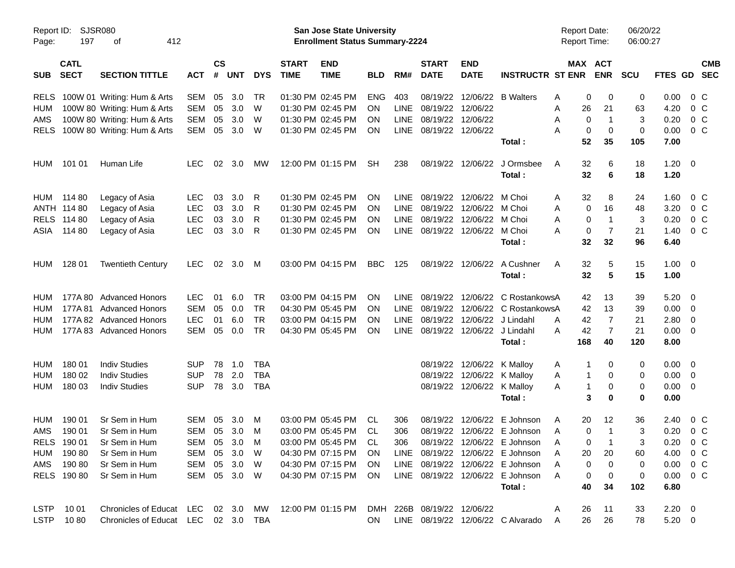| Report ID:<br>Page: | SJSR080<br>197             | 412<br>οf                           |              |                    |            |            |                             | San Jose State University<br><b>Enrollment Status Summary-2224</b> |            |             |                             |                           |                                   | <b>Report Date:</b><br>Report Time: |                       | 06/20/22<br>06:00:27 |                |                          |
|---------------------|----------------------------|-------------------------------------|--------------|--------------------|------------|------------|-----------------------------|--------------------------------------------------------------------|------------|-------------|-----------------------------|---------------------------|-----------------------------------|-------------------------------------|-----------------------|----------------------|----------------|--------------------------|
| <b>SUB</b>          | <b>CATL</b><br><b>SECT</b> | <b>SECTION TITTLE</b>               | <b>ACT</b>   | $\mathsf{cs}$<br># | <b>UNT</b> | <b>DYS</b> | <b>START</b><br><b>TIME</b> | <b>END</b><br><b>TIME</b>                                          | <b>BLD</b> | RM#         | <b>START</b><br><b>DATE</b> | <b>END</b><br><b>DATE</b> | <b>INSTRUCTR ST ENR</b>           |                                     | MAX ACT<br><b>ENR</b> | <b>SCU</b>           | <b>FTES GD</b> | <b>CMB</b><br><b>SEC</b> |
| <b>RELS</b>         |                            | 100W 01 Writing: Hum & Arts         | <b>SEM</b>   | 05                 | 3.0        | TR         |                             | 01:30 PM 02:45 PM                                                  | <b>ENG</b> | 403         | 08/19/22                    | 12/06/22                  | <b>B</b> Walters                  | 0<br>Α                              | 0                     | 0                    | 0.00           | 0 C                      |
| <b>HUM</b>          |                            | 100W 80 Writing: Hum & Arts         | <b>SEM</b>   | 05                 | 3.0        | W          |                             | 01:30 PM 02:45 PM                                                  | OΝ         | <b>LINE</b> | 08/19/22                    | 12/06/22                  |                                   | 26<br>Α                             | 21                    | 63                   | 4.20           | 0 <sup>o</sup>           |
| AMS                 |                            | 100W 80 Writing: Hum & Arts         | <b>SEM</b>   | 05                 | 3.0        | W          |                             | 01:30 PM 02:45 PM                                                  | ΟN         | <b>LINE</b> | 08/19/22                    | 12/06/22                  |                                   | 0<br>Α                              | $\mathbf{1}$          | 3                    | 0.20           | $0\,C$                   |
| <b>RELS</b>         |                            | 100W 80 Writing: Hum & Arts         | <b>SEM</b>   | 05                 | 3.0        | W          |                             | 01:30 PM 02:45 PM                                                  | ON         | LINE        | 08/19/22                    | 12/06/22                  |                                   | Α<br>0                              | $\mathbf 0$           | 0                    | 0.00           | 0 <sup>o</sup>           |
|                     |                            |                                     |              |                    |            |            |                             |                                                                    |            |             |                             |                           | Total:                            | 52                                  | 35                    | 105                  | 7.00           |                          |
| <b>HUM</b>          | 101 01                     | Human Life                          | <b>LEC</b>   | 02                 | 3.0        | MW         |                             | 12:00 PM 01:15 PM                                                  | <b>SH</b>  | 238         | 08/19/22                    | 12/06/22                  | J Ormsbee                         | 32<br>A                             | 6                     | 18                   | 1.20           | $\overline{\phantom{0}}$ |
|                     |                            |                                     |              |                    |            |            |                             |                                                                    |            |             |                             |                           | Total:                            | 32                                  | 6                     | 18                   | 1.20           |                          |
| <b>HUM</b>          | 114 80                     | Legacy of Asia                      | <b>LEC</b>   | 03                 | 3.0        | R          |                             | 01:30 PM 02:45 PM                                                  | ON         | <b>LINE</b> | 08/19/22                    | 12/06/22                  | M Choi                            | 32<br>A                             | 8                     | 24                   | 1.60           | 0 C                      |
|                     | ANTH 114 80                | Legacy of Asia                      | <b>LEC</b>   | 03                 | 3.0        | R          |                             | 01:30 PM 02:45 PM                                                  | ΟN         | <b>LINE</b> | 08/19/22                    | 12/06/22                  | M Choi                            | 0<br>Α                              | 16                    | 48                   | 3.20           | 0 <sup>o</sup>           |
| <b>RELS</b>         | 114 80                     | Legacy of Asia                      | <b>LEC</b>   | 03                 | 3.0        | R          |                             | 01:30 PM 02:45 PM                                                  | ΟN         | <b>LINE</b> | 08/19/22                    | 12/06/22                  | M Choi                            | Α<br>0                              | $\mathbf{1}$          | 3                    | 0.20           | 0 <sup>o</sup>           |
| ASIA                | 114 80                     | Legacy of Asia                      | <b>LEC</b>   | 03                 | 3.0        | R          |                             | 01:30 PM 02:45 PM                                                  | ON         | LINE        | 08/19/22                    | 12/06/22                  | M Choi                            | 0<br>А                              | 7                     | 21                   | 1.40           | 0 <sup>o</sup>           |
|                     |                            |                                     |              |                    |            |            |                             |                                                                    |            |             |                             |                           | Total:                            | 32                                  | 32                    | 96                   | 6.40           |                          |
| <b>HUM</b>          | 128 01                     | <b>Twentieth Century</b>            | <b>LEC</b>   | 02                 | 3.0        | M          |                             | 03:00 PM 04:15 PM                                                  | <b>BBC</b> | 125         | 08/19/22                    | 12/06/22                  | A Cushner                         | 32<br>A                             | 5                     | 15                   | $1.00 \t 0$    |                          |
|                     |                            |                                     |              |                    |            |            |                             |                                                                    |            |             |                             |                           | Total:                            | 32                                  | 5                     | 15                   | 1.00           |                          |
| HUM                 |                            | 177A 80 Advanced Honors             | <b>LEC</b>   | 01                 | 6.0        | <b>TR</b>  |                             | 03:00 PM 04:15 PM                                                  | ON         | <b>LINE</b> | 08/19/22                    | 12/06/22                  | C RostankowsA                     | 42                                  | 13                    | 39                   | 5.20           | $\overline{\phantom{0}}$ |
| HUM                 | 177A 81                    | <b>Advanced Honors</b>              | <b>SEM</b>   | 05                 | 0.0        | <b>TR</b>  |                             | 04:30 PM 05:45 PM                                                  | ΟN         | <b>LINE</b> | 08/19/22                    | 12/06/22                  | C RostankowsA                     | 42                                  | 13                    | 39                   | 0.00           | $\overline{\mathbf{0}}$  |
| HUM                 |                            | 177A 82 Advanced Honors             | <b>LEC</b>   | 01                 | 6.0        | <b>TR</b>  |                             | 03:00 PM 04:15 PM                                                  | ΟN         | <b>LINE</b> | 08/19/22                    | 12/06/22                  | J Lindahl                         | 42<br>Α                             | $\overline{7}$        | 21                   | 2.80           | 0                        |
| HUM                 |                            | 177A 83 Advanced Honors             | <b>SEM</b>   | 05                 | 0.0        | <b>TR</b>  |                             | 04:30 PM 05:45 PM                                                  | ON         | LINE        | 08/19/22                    | 12/06/22 J Lindahl        |                                   | 42<br>А                             | $\overline{7}$        | 21                   | 0.00           | - 0                      |
|                     |                            |                                     |              |                    |            |            |                             |                                                                    |            |             |                             |                           | Total:                            | 168                                 | 40                    | 120                  | 8.00           |                          |
| HUM                 | 180 01                     | <b>Indiv Studies</b>                | <b>SUP</b>   | 78                 | 1.0        | TBA        |                             |                                                                    |            |             | 08/19/22                    | 12/06/22 K Malloy         |                                   | 1<br>A                              | 0                     | 0                    | $0.00 \t 0$    |                          |
| HUM                 | 180 02                     | <b>Indiv Studies</b>                | <b>SUP</b>   | 78                 | 2.0        | <b>TBA</b> |                             |                                                                    |            |             | 08/19/22                    | 12/06/22                  | K Malloy                          | A<br>1                              | 0                     | 0                    | 0.00           | $\overline{\mathbf{0}}$  |
| <b>HUM</b>          | 180 03                     | <b>Indiv Studies</b>                | <b>SUP</b>   | 78                 | 3.0        | <b>TBA</b> |                             |                                                                    |            |             | 08/19/22                    | 12/06/22 K Malloy         |                                   | $\mathbf{1}$<br>A                   | 0                     | 0                    | 0.00           | - 0                      |
|                     |                            |                                     |              |                    |            |            |                             |                                                                    |            |             |                             |                           | Total:                            | 3                                   | 0                     | 0                    | 0.00           |                          |
| HUM                 | 190 01                     | Sr Sem in Hum                       | <b>SEM</b>   | 05                 | 3.0        | M          |                             | 03:00 PM 05:45 PM                                                  | CL.        | 306         | 08/19/22                    | 12/06/22                  | E Johnson                         | 20<br>A                             | 12                    | 36                   | 2.40           | 0 <sup>o</sup>           |
| AMS                 | 190 01                     | Sr Sem in Hum                       | SEM          | 05                 | 3.0        | м          |                             | 03:00 PM 05:45 PM                                                  | CL         | 306         |                             |                           | 08/19/22 12/06/22 E Johnson       | A<br>0                              | $\mathbf 1$           | 3                    | 0.20           | $0\,$ C                  |
|                     | RELS 190 01                | Sr Sem in Hum                       | SEM 05 3.0   |                    |            | M          |                             | 03:00 PM 05:45 PM                                                  | <b>CL</b>  | 306         |                             |                           | 08/19/22 12/06/22 E Johnson       | 0                                   |                       | 3                    |                | $0.20 \t 0 C$            |
| HUM                 | 190 80                     | Sr Sem in Hum                       | SEM          | 05                 | 3.0        | W          |                             | 04:30 PM 07:15 PM                                                  | <b>ON</b>  | <b>LINE</b> |                             |                           | 08/19/22 12/06/22 E Johnson       | 20<br>Α                             | 20                    | 60                   |                | 4.00 0 C                 |
| AMS                 | 190 80                     | Sr Sem in Hum                       | SEM          |                    | 05 3.0     | - W        |                             | 04:30 PM 07:15 PM                                                  | <b>ON</b>  |             |                             |                           | LINE 08/19/22 12/06/22 E Johnson  | 0<br>A                              | 0                     | 0                    |                | $0.00 \t 0 C$            |
|                     | RELS 190 80                | Sr Sem in Hum                       | SEM 05 3.0 W |                    |            |            |                             | 04:30 PM 07:15 PM                                                  | ON         |             |                             |                           | LINE 08/19/22 12/06/22 E Johnson  | A<br>0                              | 0                     | 0                    |                | $0.00 \t 0 C$            |
|                     |                            |                                     |              |                    |            |            |                             |                                                                    |            |             |                             |                           | Total:                            | 40                                  | 34                    | 102                  | 6.80           |                          |
| LSTP                | 10 01                      | Chronicles of Educat LEC 02 3.0     |              |                    |            | МW         |                             | 12:00 PM 01:15 PM                                                  |            |             | DMH 226B 08/19/22 12/06/22  |                           |                                   | 26<br>A                             | 11                    | 33                   | $2.20 \t 0$    |                          |
| <b>LSTP</b>         | 1080                       | Chronicles of Educat LEC 02 3.0 TBA |              |                    |            |            |                             |                                                                    | ON.        |             |                             |                           | LINE 08/19/22 12/06/22 C Alvarado | 26<br>Α                             | 26                    | 78                   | 5.20 0         |                          |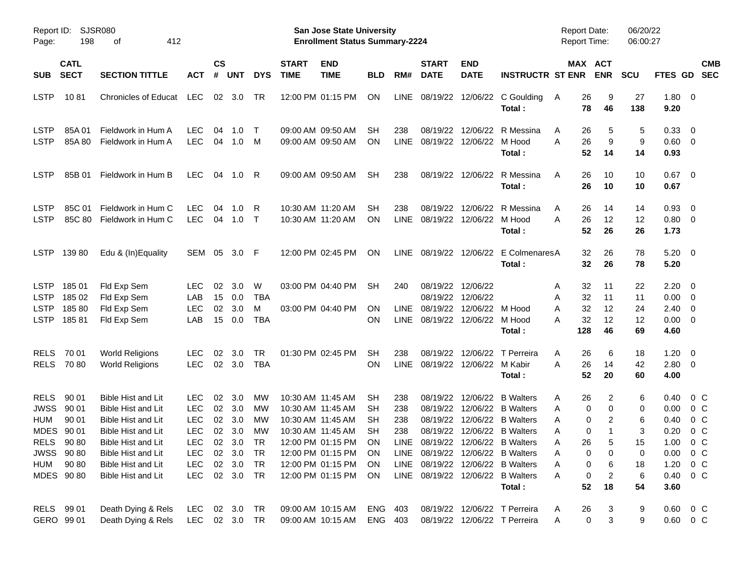| Report ID:<br>Page:                                                   | 198                                                                                       | SJSR080<br>412<br>οf                                                                                                                                                                                     |                                                                                                              |                      |                                                                     |                                               |                             | San Jose State University<br><b>Enrollment Status Summary-2224</b>                                                                                                   |                                                      |                                   |                                              |                                                                |                                                                                                                                                                                                                                          | <b>Report Date:</b><br><b>Report Time:</b>             |                                                                                  | 06/20/22<br>06:00:27                         |                                                              |                                                                                                       |
|-----------------------------------------------------------------------|-------------------------------------------------------------------------------------------|----------------------------------------------------------------------------------------------------------------------------------------------------------------------------------------------------------|--------------------------------------------------------------------------------------------------------------|----------------------|---------------------------------------------------------------------|-----------------------------------------------|-----------------------------|----------------------------------------------------------------------------------------------------------------------------------------------------------------------|------------------------------------------------------|-----------------------------------|----------------------------------------------|----------------------------------------------------------------|------------------------------------------------------------------------------------------------------------------------------------------------------------------------------------------------------------------------------------------|--------------------------------------------------------|----------------------------------------------------------------------------------|----------------------------------------------|--------------------------------------------------------------|-------------------------------------------------------------------------------------------------------|
| <b>SUB</b>                                                            | <b>CATL</b><br><b>SECT</b>                                                                | <b>SECTION TITTLE</b>                                                                                                                                                                                    | <b>ACT</b>                                                                                                   | $\mathsf{cs}$<br>#   | <b>UNT</b>                                                          | <b>DYS</b>                                    | <b>START</b><br><b>TIME</b> | <b>END</b><br><b>TIME</b>                                                                                                                                            | <b>BLD</b>                                           | RM#                               | <b>START</b><br><b>DATE</b>                  | <b>END</b><br><b>DATE</b>                                      | <b>INSTRUCTR ST ENR</b>                                                                                                                                                                                                                  |                                                        | MAX ACT<br><b>ENR</b>                                                            | <b>SCU</b>                                   | FTES GD                                                      | <b>CMB</b><br><b>SEC</b>                                                                              |
| <b>LSTP</b>                                                           | 1081                                                                                      | <b>Chronicles of Educat</b>                                                                                                                                                                              | LEC                                                                                                          | 02                   | 3.0                                                                 | TR                                            |                             | 12:00 PM 01:15 PM                                                                                                                                                    | ON                                                   | <b>LINE</b>                       |                                              | 08/19/22 12/06/22                                              | C Goulding<br>Total:                                                                                                                                                                                                                     | 26<br>A<br>78                                          | 9<br>46                                                                          | 27<br>138                                    | 1.80<br>9.20                                                 | $\overline{\mathbf{0}}$                                                                               |
| <b>LSTP</b><br><b>LSTP</b>                                            | 85A 01<br>85A 80                                                                          | Fieldwork in Hum A<br>Fieldwork in Hum A                                                                                                                                                                 | <b>LEC</b><br><b>LEC</b>                                                                                     | 04<br>04             | 1.0<br>1.0                                                          | $\top$<br>M                                   |                             | 09:00 AM 09:50 AM<br>09:00 AM 09:50 AM                                                                                                                               | SН<br>ΟN                                             | 238<br><b>LINE</b>                | 08/19/22                                     | 12/06/22<br>08/19/22 12/06/22                                  | R Messina<br>M Hood<br>Total:                                                                                                                                                                                                            | 26<br>A<br>26<br>A<br>52                               | 5<br>9<br>14                                                                     | 5<br>9<br>14                                 | 0.33<br>$0.60 \quad 0$<br>0.93                               | 0                                                                                                     |
| <b>LSTP</b>                                                           | 85B 01                                                                                    | Fieldwork in Hum B                                                                                                                                                                                       | <b>LEC</b>                                                                                                   | 04                   | 1.0                                                                 | R                                             |                             | 09:00 AM 09:50 AM                                                                                                                                                    | <b>SH</b>                                            | 238                               |                                              | 08/19/22 12/06/22                                              | R Messina<br>Total:                                                                                                                                                                                                                      | A<br>26<br>26                                          | 10<br>10                                                                         | 10<br>10                                     | 0.67<br>0.67                                                 | $\overline{\mathbf{0}}$                                                                               |
| <b>LSTP</b><br><b>LSTP</b>                                            | 85C 01<br>85C 80                                                                          | Fieldwork in Hum C<br>Fieldwork in Hum C                                                                                                                                                                 | <b>LEC</b><br><b>LEC</b>                                                                                     | 04<br>04             | 1.0<br>1.0                                                          | R<br>$\top$                                   |                             | 10:30 AM 11:20 AM<br>10:30 AM 11:20 AM                                                                                                                               | SН<br><b>ON</b>                                      | 238<br><b>LINE</b>                | 08/19/22                                     | 12/06/22<br>08/19/22 12/06/22                                  | R Messina<br>M Hood<br>Total :                                                                                                                                                                                                           | A<br>26<br>26<br>A<br>52                               | 14<br>12<br>26                                                                   | 14<br>12<br>26                               | 0.93<br>0.80<br>1.73                                         | $\overline{0}$<br>$\overline{\phantom{0}}$                                                            |
| <b>LSTP</b>                                                           | 13980                                                                                     | Edu & (In)Equality                                                                                                                                                                                       | SEM                                                                                                          | 05                   | 3.0 F                                                               |                                               |                             | 12:00 PM 02:45 PM                                                                                                                                                    | ON                                                   | <b>LINE</b>                       |                                              | 08/19/22 12/06/22                                              | E ColmenaresA<br>Total:                                                                                                                                                                                                                  | 32                                                     | 26<br>32<br>26                                                                   | 78<br>78                                     | 5.20<br>5.20                                                 | $\overline{\mathbf{0}}$                                                                               |
| <b>LSTP</b><br><b>LSTP</b><br><b>LSTP</b><br><b>LSTP</b>              | 185 01<br>185 02<br>18580<br>18581                                                        | Fld Exp Sem<br>Fld Exp Sem<br>Fld Exp Sem<br>Fld Exp Sem                                                                                                                                                 | <b>LEC</b><br>LAB<br><b>LEC</b><br>LAB                                                                       | 02<br>15<br>02<br>15 | 3.0<br>0.0<br>3.0<br>0.0                                            | W<br><b>TBA</b><br>M<br><b>TBA</b>            |                             | 03:00 PM 04:40 PM<br>03:00 PM 04:40 PM                                                                                                                               | <b>SH</b><br>ΟN<br>ΟN                                | 240<br><b>LINE</b><br><b>LINE</b> | 08/19/22<br>08/19/22                         | 12/06/22<br>08/19/22 12/06/22<br>12/06/22<br>08/19/22 12/06/22 | M Hood<br>M Hood<br>Total:                                                                                                                                                                                                               | 32<br>A<br>32<br>Α<br>32<br>A<br>32<br>А<br>128        | 11<br>11<br>12<br>12<br>46                                                       | 22<br>11<br>24<br>12<br>69                   | 2.20<br>0.00<br>2.40<br>0.00<br>4.60                         | - 0<br>$\overline{0}$<br>0<br>$\overline{0}$                                                          |
| <b>RELS</b><br><b>RELS</b>                                            | 70 01<br>7080                                                                             | <b>World Religions</b><br><b>World Religions</b>                                                                                                                                                         | <b>LEC</b><br><b>LEC</b>                                                                                     | 02                   | 3.0<br>02 3.0                                                       | <b>TR</b><br><b>TBA</b>                       |                             | 01:30 PM 02:45 PM                                                                                                                                                    | <b>SH</b><br>ΟN                                      | 238<br><b>LINE</b>                | 08/19/22                                     | 12/06/22<br>08/19/22 12/06/22                                  | T Perreira<br>M Kabir<br>Total:                                                                                                                                                                                                          | 26<br>A<br>26<br>A<br>52                               | 6<br>14<br>20                                                                    | 18<br>42<br>60                               | 1.20<br>2.80<br>4.00                                         | $\overline{0}$<br>$\overline{\mathbf{0}}$                                                             |
| <b>RELS</b><br><b>JWSS</b><br><b>HUM</b><br><b>MDES</b><br><b>HUM</b> | 90 01<br>90 01<br>90 01<br>90 01<br>RELS 90 80<br><b>JWSS 9080</b><br>90 80<br>MDES 90 80 | <b>Bible Hist and Lit</b><br><b>Bible Hist and Lit</b><br><b>Bible Hist and Lit</b><br><b>Bible Hist and Lit</b><br>Bible Hist and Lit<br>Bible Hist and Lit<br>Bible Hist and Lit<br>Bible Hist and Lit | <b>LEC</b><br><b>LEC</b><br><b>LEC</b><br><b>LEC</b><br><b>LEC</b><br><b>LEC</b><br><b>LEC</b><br><b>LEC</b> | 02<br>02<br>02<br>02 | 3.0<br>3.0<br>3.0<br>3.0<br>02 3.0<br>02 3.0<br>02 3.0<br>02 3.0 TR | МW<br>МW<br>МW<br>МW<br><b>TR</b><br>TR<br>TR |                             | 10:30 AM 11:45 AM<br>10:30 AM 11:45 AM<br>10:30 AM 11:45 AM<br>10:30 AM 11:45 AM<br>12:00 PM 01:15 PM<br>12:00 PM 01:15 PM<br>12:00 PM 01:15 PM<br>12:00 PM 01:15 PM | SН<br>SН<br>SН<br><b>SH</b><br>ON<br>ON.<br>ON<br>ON | 238<br>238<br>238<br>238          | 08/19/22<br>08/19/22<br>08/19/22<br>08/19/22 | 12/06/22<br>12/06/22<br>12/06/22                               | <b>B</b> Walters<br><b>B</b> Walters<br><b>B</b> Walters<br>12/06/22 B Walters<br>LINE 08/19/22 12/06/22 B Walters<br>LINE 08/19/22 12/06/22 B Walters<br>LINE 08/19/22 12/06/22 B Walters<br>LINE 08/19/22 12/06/22 B Walters<br>Total: | 26<br>Α<br>Α<br>Α<br>Α<br>26<br>Α<br>Α<br>Α<br>Α<br>52 | 2<br>0<br>0<br>0<br>2<br>0<br>5<br>0<br>0<br>0<br>6<br>0<br>$\overline{c}$<br>18 | 6<br>0<br>6<br>3<br>15<br>0<br>18<br>6<br>54 | 0.40<br>0.00<br>0.40<br>0.20<br>1.00<br>1.20<br>0.40<br>3.60 | $0\,$ C<br>$0\,$ C<br>0 <sup>o</sup><br>0 <sup>o</sup><br>$0\,C$<br>$0.00 \t 0 C$<br>$0\,C$<br>$0\,C$ |
|                                                                       | RELS 99 01<br>GERO 99 01                                                                  | Death Dying & Rels<br>Death Dying & Rels                                                                                                                                                                 | LEC<br>LEC 02 3.0 TR                                                                                         |                      | 02 3.0 TR                                                           |                                               |                             | 09:00 AM 10:15 AM<br>09:00 AM 10:15 AM                                                                                                                               | ENG 403<br>ENG 403                                   |                                   |                                              |                                                                | 08/19/22 12/06/22 T Perreira<br>08/19/22 12/06/22 T Perreira                                                                                                                                                                             | 26<br>A<br>Α                                           | 3<br>$\pmb{0}$<br>3                                                              | 9<br>9                                       |                                                              | $0.60 \t 0 C$<br>$0.60 \t 0 C$                                                                        |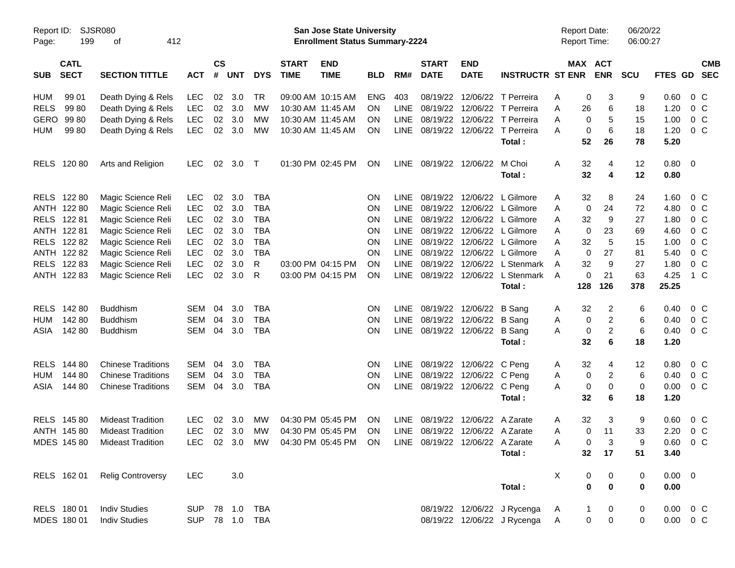| Page:       | Report ID: SJSR080<br>199  | 412<br>оf                     |                |                |            |            |                             | San Jose State University<br><b>Enrollment Status Summary-2224</b> |            |             |                             |                                 |                              | <b>Report Date:</b><br><b>Report Time:</b> |                       |                         | 06/20/22<br>06:00:27 |               |                         |            |
|-------------|----------------------------|-------------------------------|----------------|----------------|------------|------------|-----------------------------|--------------------------------------------------------------------|------------|-------------|-----------------------------|---------------------------------|------------------------------|--------------------------------------------|-----------------------|-------------------------|----------------------|---------------|-------------------------|------------|
| <b>SUB</b>  | <b>CATL</b><br><b>SECT</b> | <b>SECTION TITTLE</b>         | <b>ACT</b>     | <b>CS</b><br># | <b>UNT</b> | <b>DYS</b> | <b>START</b><br><b>TIME</b> | <b>END</b><br><b>TIME</b>                                          | <b>BLD</b> | RM#         | <b>START</b><br><b>DATE</b> | <b>END</b><br><b>DATE</b>       | <b>INSTRUCTR ST ENR</b>      |                                            | MAX ACT<br><b>ENR</b> |                         | <b>SCU</b>           | FTES GD SEC   |                         | <b>CMB</b> |
| HUM         | 99 01                      | Death Dying & Rels            | <b>LEC</b>     | 02             | 3.0        | TR         |                             | 09:00 AM 10:15 AM                                                  | <b>ENG</b> | 403         |                             |                                 | 08/19/22 12/06/22 T Perreira | Α                                          | 0                     | 3                       | 9                    | 0.60          | $0\,C$                  |            |
| <b>RELS</b> | 99 80                      | Death Dying & Rels            | <b>LEC</b>     | 02             | 3.0        | MW         |                             | 10:30 AM 11:45 AM                                                  | <b>ON</b>  | <b>LINE</b> |                             |                                 | 08/19/22 12/06/22 T Perreira | Α                                          | 26                    | 6                       | 18                   | 1.20          | $0\,C$                  |            |
| GERO        | 99 80                      | Death Dying & Rels            | <b>LEC</b>     | 02             | 3.0        | MW         |                             | 10:30 AM 11:45 AM                                                  | <b>ON</b>  | <b>LINE</b> |                             |                                 | 08/19/22 12/06/22 T Perreira | Α                                          | 0                     | 5                       | 15                   | 1.00          | $0\,C$                  |            |
| <b>HUM</b>  | 99 80                      | Death Dying & Rels            | <b>LEC</b>     | 02             | 3.0        | MW         |                             | 10:30 AM 11:45 AM                                                  | ON         | LINE        |                             |                                 | 08/19/22 12/06/22 T Perreira | А                                          | 0                     | 6                       | 18                   | 1.20          | $0\,C$                  |            |
|             |                            |                               |                |                |            |            |                             |                                                                    |            |             |                             |                                 | Total:                       |                                            | 52                    | 26                      | 78                   | 5.20          |                         |            |
|             | RELS 120 80                | Arts and Religion             | <b>LEC</b>     | 02             | 3.0        | $\top$     |                             | 01:30 PM 02:45 PM                                                  | <b>ON</b>  | LINE        |                             | 08/19/22 12/06/22               | M Choi                       | A                                          | 32                    | 4                       | 12                   | 0.80          | $\overline{\mathbf{0}}$ |            |
|             |                            |                               |                |                |            |            |                             |                                                                    |            |             |                             |                                 | Total:                       |                                            | 32                    | 4                       | 12                   | 0.80          |                         |            |
|             | RELS 122 80                | Magic Science Reli            | <b>LEC</b>     | 02             | 3.0        | <b>TBA</b> |                             |                                                                    | <b>ON</b>  | <b>LINE</b> |                             |                                 | 08/19/22 12/06/22 L Gilmore  | A                                          | 32                    | 8                       | 24                   | 1.60          | $0\,$ C                 |            |
|             | ANTH 122 80                | Magic Science Reli            | <b>LEC</b>     | 02             | 3.0        | <b>TBA</b> |                             |                                                                    | <b>ON</b>  | LINE        |                             |                                 | 08/19/22 12/06/22 L Gilmore  | Α                                          | 0                     | 24                      | 72                   | 4.80          | 0 <sup>o</sup>          |            |
|             | RELS 122 81                | Magic Science Reli            | <b>LEC</b>     | 02             | 3.0        | <b>TBA</b> |                             |                                                                    | <b>ON</b>  | <b>LINE</b> |                             |                                 | 08/19/22 12/06/22 L Gilmore  | A                                          | 32                    | 9                       | 27                   | 1.80          | $0\,C$                  |            |
|             | ANTH 122 81                | Magic Science Reli            | <b>LEC</b>     | 02             | 3.0        | <b>TBA</b> |                             |                                                                    | ON         | <b>LINE</b> |                             |                                 | 08/19/22 12/06/22 L Gilmore  | A                                          | 0                     | 23                      | 69                   | 4.60          | $0\,C$                  |            |
|             | RELS 122 82                | Magic Science Reli            | <b>LEC</b>     | 02             | 3.0        | <b>TBA</b> |                             |                                                                    | ON         | <b>LINE</b> |                             |                                 | 08/19/22 12/06/22 L Gilmore  | Α                                          | 32                    | 5                       | 15                   | 1.00          | 0 <sup>o</sup>          |            |
|             | ANTH 122 82                | Magic Science Reli            | <b>LEC</b>     | 02             | 3.0        | <b>TBA</b> |                             |                                                                    | ON         | <b>LINE</b> |                             |                                 | 08/19/22 12/06/22 L Gilmore  | Α                                          | $\mathbf 0$           | 27                      | 81                   | 5.40          | $0\,C$                  |            |
|             | RELS 122 83                | Magic Science Reli            | <b>LEC</b>     | 02             | 3.0        | R          |                             | 03:00 PM 04:15 PM                                                  | ON         | <b>LINE</b> |                             |                                 | 08/19/22 12/06/22 L Stenmark | A                                          | 32                    | 9                       | 27                   | 1.80          | 0 <sup>o</sup>          |            |
|             | ANTH 122 83                | Magic Science Reli            | <b>LEC</b>     | 02             | 3.0        | R          |                             | 03:00 PM 04:15 PM                                                  | ON         | LINE        |                             |                                 | 08/19/22 12/06/22 L Stenmark | A                                          | $\mathbf 0$           | 21                      | 63                   | 4.25          | 1 C                     |            |
|             |                            |                               |                |                |            |            |                             |                                                                    |            |             |                             |                                 | Total:                       | 128                                        |                       | 126                     | 378                  | 25.25         |                         |            |
|             | RELS 142 80                | <b>Buddhism</b>               | SEM            | 04             | 3.0        | <b>TBA</b> |                             |                                                                    | <b>ON</b>  | <b>LINE</b> |                             | 08/19/22 12/06/22 B Sang        |                              | A                                          | 32                    | 2                       | 6                    | 0.40          | $0\,C$                  |            |
| HUM         | 142 80                     | <b>Buddhism</b>               | <b>SEM</b>     | 04             | 3.0        | <b>TBA</b> |                             |                                                                    | <b>ON</b>  | <b>LINE</b> |                             | 08/19/22 12/06/22               | B Sang                       | Α                                          | 0                     | $\overline{\mathbf{c}}$ | 6                    | 0.40          | 0 <sup>o</sup>          |            |
| ASIA        | 142 80                     | <b>Buddhism</b>               | SEM            | 04             | 3.0        | <b>TBA</b> |                             |                                                                    | ΟN         | LINE        |                             | 08/19/22 12/06/22 B Sang        |                              | Α                                          | 0                     | $\overline{c}$          | 6                    | 0.40          | $0\,C$                  |            |
|             |                            |                               |                |                |            |            |                             |                                                                    |            |             |                             |                                 | Total:                       |                                            | 32                    | 6                       | 18                   | 1.20          |                         |            |
| <b>RELS</b> | 144 80                     | <b>Chinese Traditions</b>     | <b>SEM</b>     | 04             | 3.0        | <b>TBA</b> |                             |                                                                    | ON         | <b>LINE</b> |                             | 08/19/22 12/06/22 C Peng        |                              | A                                          | 32                    | 4                       | 12                   | 0.80          | $0\,C$                  |            |
| <b>HUM</b>  | 144 80                     | <b>Chinese Traditions</b>     | <b>SEM</b>     | 04             | 3.0        | <b>TBA</b> |                             |                                                                    | <b>ON</b>  | <b>LINE</b> |                             | 08/19/22 12/06/22 C Peng        |                              | Α                                          | 0                     | 2                       | 6                    | 0.40          | 0 <sup>o</sup>          |            |
| ASIA        | 144 80                     | <b>Chinese Traditions</b>     | SEM            | 04             | 3.0        | <b>TBA</b> |                             |                                                                    | ΟN         | LINE        |                             | 08/19/22 12/06/22 C Peng        |                              | Α                                          | 0                     | 0                       | 0                    | 0.00          | 0 <sup>o</sup>          |            |
|             |                            |                               |                |                |            |            |                             |                                                                    |            |             |                             |                                 | Total:                       |                                            | 32                    | 6                       | 18                   | 1.20          |                         |            |
|             | RELS 145 80                | <b>Mideast Tradition</b>      | <b>LEC</b>     | 02             | 3.0        | MW         |                             | 04:30 PM 05:45 PM                                                  | <b>ON</b>  | <b>LINE</b> |                             | 08/19/22 12/06/22 A Zarate      |                              | Α                                          | 32                    | 3                       | 9                    | 0.60          | $0\,$ C                 |            |
|             | ANTH 145 80                | <b>Mideast Tradition</b>      | <b>LEC</b>     |                | 02 3.0     | MW         |                             | 04:30 PM 05:45 PM                                                  | ON         | <b>LINE</b> |                             | 08/19/22 12/06/22 A Zarate      |                              | Α                                          | $\mathbf 0$           | 11                      | 33                   | 2.20          | 0 <sup>o</sup>          |            |
|             |                            | MDES 145 80 Mideast Tradition |                |                |            |            |                             | LEC 02 3.0 MW 04:30 PM 05:45 PM ON                                 |            |             |                             | LINE 08/19/22 12/06/22 A Zarate |                              | A                                          | 0                     | 3                       | 9                    | $0.60$ 0 C    |                         |            |
|             |                            |                               |                |                |            |            |                             |                                                                    |            |             |                             |                                 | Total:                       |                                            | 32 <sub>2</sub>       | 17                      | 51                   | 3.40          |                         |            |
|             | RELS 162 01                | <b>Relig Controversy</b>      | <b>LEC</b>     |                | 3.0        |            |                             |                                                                    |            |             |                             |                                 |                              | X                                          | 0                     | 0                       | 0                    | $0.00 \t 0$   |                         |            |
|             |                            |                               |                |                |            |            |                             |                                                                    |            |             |                             |                                 | Total:                       |                                            | $\mathbf 0$           | $\mathbf 0$             | $\mathbf 0$          | 0.00          |                         |            |
|             | RELS 180 01                | <b>Indiv Studies</b>          | SUP 78 1.0 TBA |                |            |            |                             |                                                                    |            |             |                             |                                 | 08/19/22 12/06/22 J Rycenga  | A                                          | 1                     | 0                       | 0                    | $0.00 \t 0 C$ |                         |            |
|             | MDES 180 01                | <b>Indiv Studies</b>          | SUP 78 1.0 TBA |                |            |            |                             |                                                                    |            |             |                             |                                 | 08/19/22 12/06/22 J Rycenga  | <b>A</b>                                   | $\mathbf 0$           | $\mathbf 0$             | 0                    | $0.00 \t 0 C$ |                         |            |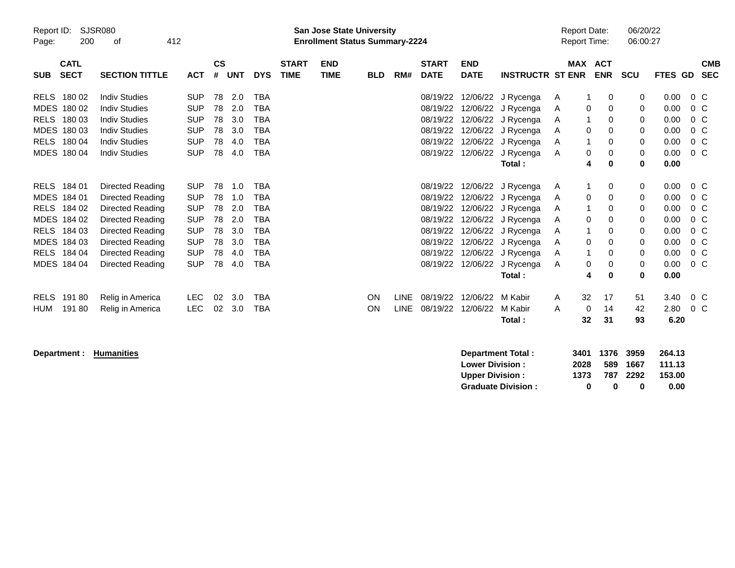| Report ID:<br>Page: | <b>SJSR080</b><br>200      | 412<br>οf             |            |                    |            |            |                             | <b>San Jose State University</b><br><b>Enrollment Status Summary-2224</b> |            |             |                             |                           |                         | <b>Report Date:</b><br><b>Report Time:</b> |                |            | 06/20/22<br>06:00:27 |         |                          |
|---------------------|----------------------------|-----------------------|------------|--------------------|------------|------------|-----------------------------|---------------------------------------------------------------------------|------------|-------------|-----------------------------|---------------------------|-------------------------|--------------------------------------------|----------------|------------|----------------------|---------|--------------------------|
| <b>SUB</b>          | <b>CATL</b><br><b>SECT</b> | <b>SECTION TITTLE</b> | <b>ACT</b> | $\mathsf{cs}$<br># | <b>UNT</b> | <b>DYS</b> | <b>START</b><br><b>TIME</b> | <b>END</b><br><b>TIME</b>                                                 | <b>BLD</b> | RM#         | <b>START</b><br><b>DATE</b> | <b>END</b><br><b>DATE</b> | <b>INSTRUCTR ST ENR</b> |                                            | <b>MAX ACT</b> | <b>ENR</b> | <b>SCU</b>           | FTES GD | <b>CMB</b><br><b>SEC</b> |
| <b>RELS</b>         | 180 02                     | <b>Indiv Studies</b>  | <b>SUP</b> | 78                 | 2.0        | <b>TBA</b> |                             |                                                                           |            |             | 08/19/22                    | 12/06/22                  | J Rycenga               | A                                          |                | 0          | 0                    | 0.00    | $0\,C$                   |
| <b>MDES</b>         | 180 02                     | <b>Indiv Studies</b>  | <b>SUP</b> | 78                 | 2.0        | <b>TBA</b> |                             |                                                                           |            |             | 08/19/22                    | 12/06/22                  | J Rycenga               | A                                          | 0              | 0          | 0                    | 0.00    | $0\,C$                   |
| <b>RELS</b>         | 180 03                     | <b>Indiv Studies</b>  | <b>SUP</b> | 78                 | 3.0        | <b>TBA</b> |                             |                                                                           |            |             | 08/19/22                    |                           | 12/06/22 J Rycenga      | A                                          |                | 0          | 0                    | 0.00    | 0 <sup>o</sup>           |
| <b>MDES</b>         | 180 03                     | <b>Indiv Studies</b>  | <b>SUP</b> | 78                 | 3.0        | <b>TBA</b> |                             |                                                                           |            |             | 08/19/22                    | 12/06/22                  | J Rycenga               | A                                          | 0              | 0          | 0                    | 0.00    | $0\,C$                   |
| <b>RELS</b>         | 180 04                     | <b>Indiv Studies</b>  | <b>SUP</b> | 78                 | 4.0        | <b>TBA</b> |                             |                                                                           |            |             | 08/19/22                    | 12/06/22                  | J Rycenga               | A                                          |                | 0          | $\mathbf 0$          | 0.00    | $0\,C$                   |
|                     | MDES 180 04                | <b>Indiv Studies</b>  | <b>SUP</b> | 78                 | 4.0        | <b>TBA</b> |                             |                                                                           |            |             | 08/19/22                    | 12/06/22                  | J Rycenga               | A                                          | 0              | 0          | $\mathbf{0}$         | 0.00    | $0\,C$                   |
|                     |                            |                       |            |                    |            |            |                             |                                                                           |            |             |                             |                           | Total:                  |                                            | 4              | 0          | 0                    | 0.00    |                          |
| RELS                | 184 01                     | Directed Reading      | <b>SUP</b> | 78                 | 1.0        | <b>TBA</b> |                             |                                                                           |            |             | 08/19/22                    | 12/06/22                  | J Rycenga               | A                                          |                | 0          | 0                    | 0.00    | $0\,C$                   |
| <b>MDES</b>         | 184 01                     | Directed Reading      | <b>SUP</b> | 78                 | 1.0        | <b>TBA</b> |                             |                                                                           |            |             | 08/19/22                    | 12/06/22                  | J Rycenga               | A                                          | 0              | 0          | 0                    | 0.00    | $0\,C$                   |
| <b>RELS</b>         | 184 02                     | Directed Reading      | <b>SUP</b> | 78                 | 2.0        | <b>TBA</b> |                             |                                                                           |            |             | 08/19/22                    |                           | 12/06/22 J Rycenga      | A                                          |                | 0          | 0                    | 0.00    | $0\,C$                   |
| MDES 184 02         |                            | Directed Reading      | <b>SUP</b> | 78                 | 2.0        | <b>TBA</b> |                             |                                                                           |            |             | 08/19/22                    | 12/06/22                  | J Rycenga               | A                                          | 0              | 0          | 0                    | 0.00    | $0\,C$                   |
| <b>RELS</b>         | 184 03                     | Directed Reading      | <b>SUP</b> | 78                 | 3.0        | <b>TBA</b> |                             |                                                                           |            |             | 08/19/22                    |                           | 12/06/22 J Rycenga      | A                                          |                | 0          | 0                    | 0.00    | $0\,C$                   |
| MDES 184 03         |                            | Directed Reading      | <b>SUP</b> | 78                 | 3.0        | <b>TBA</b> |                             |                                                                           |            |             | 08/19/22                    |                           | 12/06/22 J Rycenga      | A                                          | 0              | 0          | 0                    | 0.00    | 0 <sup>o</sup>           |
| <b>RELS</b>         | 184 04                     | Directed Reading      | <b>SUP</b> | 78                 | 4.0        | <b>TBA</b> |                             |                                                                           |            |             | 08/19/22                    |                           | 12/06/22 J Rycenga      | A                                          |                | 0          | 0                    | 0.00    | $0\,C$                   |
|                     | MDES 184 04                | Directed Reading      | <b>SUP</b> | 78                 | 4.0        | <b>TBA</b> |                             |                                                                           |            |             | 08/19/22                    | 12/06/22                  | J Rycenga               | A                                          | 0              | 0          | $\mathbf 0$          | 0.00    | $0\,C$                   |
|                     |                            |                       |            |                    |            |            |                             |                                                                           |            |             |                             |                           | Total:                  |                                            | 4              | 0          | $\bf{0}$             | 0.00    |                          |
| <b>RELS</b>         | 19180                      | Relig in America      | LEC.       | 02                 | 3.0        | <b>TBA</b> |                             |                                                                           | ON         | <b>LINE</b> | 08/19/22                    | 12/06/22                  | M Kabir                 | A                                          | 32             | 17         | 51                   | 3.40    | $0\,C$                   |
| HUM                 | 19180                      | Relig in America      | <b>LEC</b> | 02                 | 3.0        | <b>TBA</b> |                             |                                                                           | ON         | <b>LINE</b> | 08/19/22                    | 12/06/22                  | M Kabir                 | A                                          | 0              | 14         | 42                   | 2.80    | $0\,$ C                  |
|                     |                            |                       |            |                    |            |            |                             |                                                                           |            |             |                             |                           | Total:                  |                                            | 32             | 31         | 93                   | 6.20    |                          |

**Department : Humanities** 

| Department Total:         |      | 3401 1376 3959 |          | 264.13 |
|---------------------------|------|----------------|----------|--------|
| <b>Lower Division:</b>    | 2028 |                | 589 1667 | 111.13 |
| <b>Upper Division:</b>    | 1373 |                | 787 2292 | 153.00 |
| <b>Graduate Division:</b> | n    | n              | o        | 0.00   |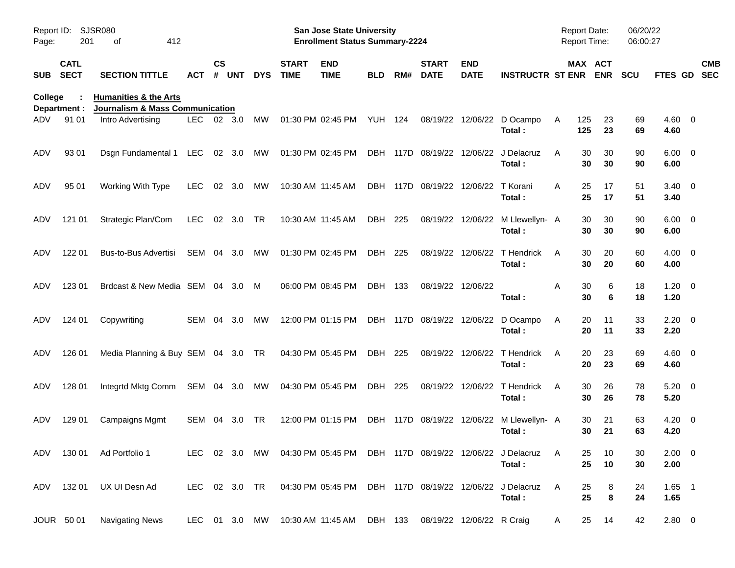| Report ID:<br>Page: | 201                        | SJSR080<br>412<br>οf                                                           |            |                    |            |               |                             | <b>San Jose State University</b><br><b>Enrollment Status Summary-2224</b> |                |      |                             |                           |                                                                                 | Report Date:    | Report Time:            | 06/20/22<br>06:00:27 |                        |                          |
|---------------------|----------------------------|--------------------------------------------------------------------------------|------------|--------------------|------------|---------------|-----------------------------|---------------------------------------------------------------------------|----------------|------|-----------------------------|---------------------------|---------------------------------------------------------------------------------|-----------------|-------------------------|----------------------|------------------------|--------------------------|
| <b>SUB</b>          | <b>CATL</b><br><b>SECT</b> | <b>SECTION TITTLE</b>                                                          | ACT        | $\mathsf{cs}$<br># | <b>UNT</b> | <b>DYS</b>    | <b>START</b><br><b>TIME</b> | <b>END</b><br><b>TIME</b>                                                 | BLD            | RM#  | <b>START</b><br><b>DATE</b> | <b>END</b><br><b>DATE</b> | <b>INSTRUCTR ST ENR</b>                                                         |                 | MAX ACT<br><b>ENR</b>   | <b>SCU</b>           | FTES GD                | <b>CMB</b><br><b>SEC</b> |
| <b>College</b>      | Department :               | <b>Humanities &amp; the Arts</b><br><b>Journalism &amp; Mass Communication</b> |            |                    |            |               |                             |                                                                           |                |      |                             |                           |                                                                                 |                 |                         |                      |                        |                          |
| ADV                 | 91 01                      | Intro Advertising                                                              | LEC.       | 02 3.0             |            | MW            |                             | 01:30 PM 02:45 PM                                                         | <b>YUH 124</b> |      | 08/19/22                    | 12/06/22                  | D Ocampo<br>Total:                                                              | 125<br>A<br>125 | 23<br>23                | 69<br>69             | $4.60$ 0<br>4.60       |                          |
| ADV                 | 93 01                      | Dsgn Fundamental 1                                                             | LEC        |                    | 02 3.0     | MW            |                             | 01:30 PM 02:45 PM                                                         |                |      | DBH 117D 08/19/22           | 12/06/22                  | J Delacruz<br>Total:                                                            | A               | 30<br>30<br>30<br>30    | 90<br>90             | $6.00 \quad 0$<br>6.00 |                          |
| ADV                 | 95 01                      | Working With Type                                                              | <b>LEC</b> | 02                 | 3.0        | MW            |                             | 10:30 AM 11:45 AM                                                         |                |      | DBH 117D 08/19/22           | 12/06/22                  | T Korani<br>Total:                                                              | A               | 25<br>17<br>25<br>17    | 51<br>51             | $3.40 \ 0$<br>3.40     |                          |
| ADV                 | 121 01                     | Strategic Plan/Com                                                             | <b>LEC</b> |                    | 02 3.0     | <b>TR</b>     | 10:30 AM 11:45 AM           |                                                                           | DBH            | 225  | 08/19/22                    | 12/06/22                  | M Llewellyn- A<br>Total:                                                        |                 | 30<br>30<br>30<br>30    | 90<br>90             | $6.00 \quad 0$<br>6.00 |                          |
| ADV                 | 122 01                     | Bus-to-Bus Advertisi                                                           | SEM        | 04                 | 3.0        | MW            |                             | 01:30 PM 02:45 PM                                                         | DBH            | 225  | 08/19/22                    | 12/06/22                  | T Hendrick<br>Total:                                                            | A               | 30<br>20<br>30<br>20    | 60<br>60             | $4.00 \ 0$<br>4.00     |                          |
| ADV                 | 123 01                     | Brdcast & New Media SEM 04 3.0                                                 |            |                    |            | M             |                             | 06:00 PM 08:45 PM                                                         | DBH 133        |      | 08/19/22 12/06/22           |                           | Total:                                                                          | Α               | 30<br>6<br>30<br>6      | 18<br>18             | $1.20 \t 0$<br>1.20    |                          |
| ADV                 | 124 01                     | Copywriting                                                                    | SEM 04     |                    | 3.0        | MW            |                             | 12:00 PM 01:15 PM                                                         |                |      | DBH 117D 08/19/22 12/06/22  |                           | D Ocampo<br>Total:                                                              | A               | 20<br>11<br>20<br>11    | 33<br>33             | $2.20 \t 0$<br>2.20    |                          |
| ADV                 | 126 01                     | Media Planning & Buy SEM 04 3.0                                                |            |                    |            | TR            |                             | 04:30 PM 05:45 PM                                                         | DBH 225        |      |                             | 08/19/22 12/06/22         | T Hendrick<br>Total:                                                            | A               | 20<br>23<br>20<br>23    | 69<br>69             | $4.60$ 0<br>4.60       |                          |
| ADV                 | 128 01                     | Integrtd Mktg Comm                                                             | SEM 04 3.0 |                    |            | MW            |                             | 04:30 PM 05:45 PM                                                         | DBH 225        |      | 08/19/22                    | 12/06/22                  | T Hendrick<br>Total:                                                            | A               | 30<br>26<br>30<br>26    | 78<br>78             | $5.20 \ 0$<br>5.20     |                          |
| ADV                 | 129 01                     | Campaigns Mgmt                                                                 | <b>SEM</b> | 04                 | 3.0        | <b>TR</b>     |                             | 12:00 PM 01:15 PM                                                         | <b>DBH</b>     | 117D | 08/19/22                    | 12/06/22                  | M Llewellyn- A<br>Total:                                                        |                 | 30<br>21<br>21<br>30    | 63<br>63             | $4.20 \ 0$<br>4.20     |                          |
|                     |                            | ADV 130 01 Ad Portfolio 1                                                      |            |                    |            |               |                             |                                                                           |                |      |                             |                           | LEC 02 3.0 MW 04:30 PM 05:45 PM DBH 117D 08/19/22 12/06/22 J Delacruz<br>Total: | A               | 25<br>10<br>25<br>10    | 30<br>30             | $2.00 \t 0$<br>2.00    |                          |
|                     |                            | ADV 132 01 UX UI Desn Ad                                                       |            |                    |            | LEC 02 3.0 TR |                             | 04:30 PM 05:45 PM DBH 117D 08/19/22 12/06/22 J Delacruz                   |                |      |                             |                           | Total:                                                                          | A               | 25<br>8<br>$\bf8$<br>25 | 24<br>24             | $1.65$ 1<br>1.65       |                          |
|                     | JOUR 50 01                 | <b>Navigating News</b>                                                         |            |                    |            |               |                             | LEC 01 3.0 MW 10:30 AM 11:45 AM                                           | DBH 133        |      | 08/19/22 12/06/22 R Craig   |                           |                                                                                 | A               | 25<br>14                | 42                   | 2.80 0                 |                          |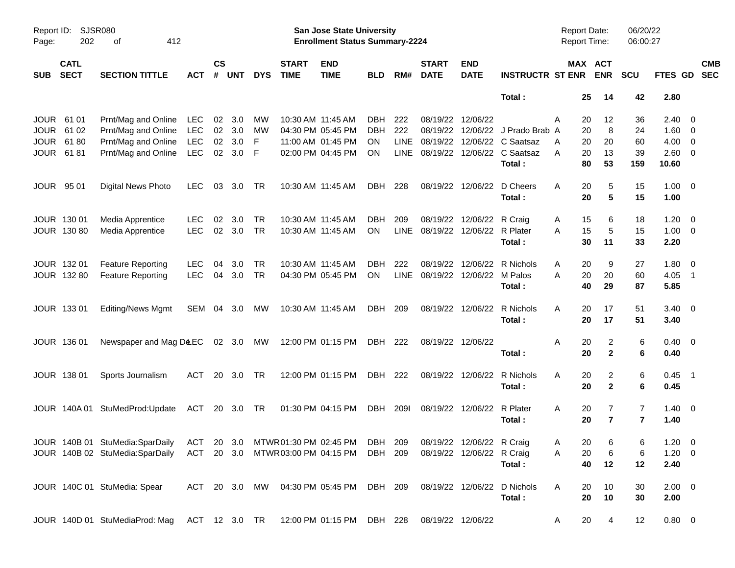| Report ID:<br>Page: | 202                        | <b>SJSR080</b><br>412<br>оf                                                                        |            |                |            |            |                             | San Jose State University<br><b>Enrollment Status Summary-2224</b> |            |             |                             |                            |                             | <b>Report Date:</b><br><b>Report Time:</b> |                       | 06/20/22<br>06:00:27 |                |                          |
|---------------------|----------------------------|----------------------------------------------------------------------------------------------------|------------|----------------|------------|------------|-----------------------------|--------------------------------------------------------------------|------------|-------------|-----------------------------|----------------------------|-----------------------------|--------------------------------------------|-----------------------|----------------------|----------------|--------------------------|
| <b>SUB</b>          | <b>CATL</b><br><b>SECT</b> | <b>SECTION TITTLE</b>                                                                              | ACT        | <b>CS</b><br># | <b>UNT</b> | <b>DYS</b> | <b>START</b><br><b>TIME</b> | <b>END</b><br><b>TIME</b>                                          | <b>BLD</b> | RM#         | <b>START</b><br><b>DATE</b> | <b>END</b><br><b>DATE</b>  | <b>INSTRUCTR ST ENR</b>     |                                            | MAX ACT<br><b>ENR</b> | <b>SCU</b>           | <b>FTES GD</b> | <b>CMB</b><br><b>SEC</b> |
|                     |                            |                                                                                                    |            |                |            |            |                             |                                                                    |            |             |                             |                            | Total:                      | 25                                         | 14                    | 42                   | 2.80           |                          |
| <b>JOUR</b>         | 61 01                      | Prnt/Mag and Online                                                                                | LEC        | 02             | 3.0        | MW         |                             | 10:30 AM 11:45 AM                                                  | <b>DBH</b> | 222         | 08/19/22                    | 12/06/22                   |                             | Α<br>20                                    | 12                    | 36                   | $2.40 \quad 0$ |                          |
| <b>JOUR</b>         | 61 02                      | Prnt/Mag and Online                                                                                | <b>LEC</b> |                | 02 3.0     | MW         |                             | 04:30 PM 05:45 PM                                                  | <b>DBH</b> | 222         | 08/19/22                    |                            | 12/06/22 J Prado Brab A     | 20                                         | 8                     | 24                   | $1.60 \t 0$    |                          |
| <b>JOUR</b>         | 6180                       | Prnt/Mag and Online                                                                                | <b>LEC</b> | 02             | 3.0        | F          |                             | 11:00 AM 01:45 PM                                                  | <b>ON</b>  | LINE        | 08/19/22                    |                            | 12/06/22 C Saatsaz          | 20<br>A                                    | 20                    | 60                   | $4.00 \ 0$     |                          |
| <b>JOUR</b>         | 6181                       | Prnt/Mag and Online                                                                                | <b>LEC</b> | 02             | 3.0        | -F         |                             | 02:00 PM 04:45 PM                                                  | ON         |             | LINE 08/19/22               |                            | 12/06/22 C Saatsaz          | 20<br>A                                    | 13                    | 39                   | 2.60 0         |                          |
|                     |                            |                                                                                                    |            |                |            |            |                             |                                                                    |            |             |                             |                            | Total:                      | 80                                         | 53                    | 159                  | 10.60          |                          |
| <b>JOUR</b>         | 95 01                      | Digital News Photo                                                                                 | LEC.       | 03             | 3.0        | TR         |                             | 10:30 AM 11:45 AM                                                  | DBH        | 228         | 08/19/22                    | 12/06/22                   | D Cheers                    | Α<br>20                                    | 5                     | 15                   | $1.00 \t 0$    |                          |
|                     |                            |                                                                                                    |            |                |            |            |                             |                                                                    |            |             |                             |                            | Total:                      | 20                                         | $5\phantom{1}$        | 15                   | 1.00           |                          |
|                     | JOUR 130 01                | Media Apprentice                                                                                   | <b>LEC</b> | 02             | 3.0        | TR         |                             | 10:30 AM 11:45 AM                                                  | DBH        | 209         | 08/19/22                    | 12/06/22                   | R Craig                     | 15<br>A                                    | 6                     | 18                   | $1.20 \t 0$    |                          |
|                     | JOUR 130 80                | Media Apprentice                                                                                   | <b>LEC</b> | 02             | 3.0        | <b>TR</b>  |                             | 10:30 AM 11:45 AM                                                  | ON         | LINE        | 08/19/22                    | 12/06/22 R Plater          |                             | 15<br>A                                    | 5                     | 15                   | $1.00 \t 0$    |                          |
|                     |                            |                                                                                                    |            |                |            |            |                             |                                                                    |            |             |                             |                            | Total:                      | 30                                         | 11                    | 33                   | 2.20           |                          |
|                     | JOUR 132 01                | <b>Feature Reporting</b>                                                                           | <b>LEC</b> | 04             | 3.0        | TR         |                             | 10:30 AM 11:45 AM                                                  | DBH.       | 222         | 08/19/22                    | 12/06/22                   | R Nichols                   | 20<br>A                                    | 9                     | 27                   | $1.80 \ 0$     |                          |
|                     | JOUR 132 80                | <b>Feature Reporting</b>                                                                           | <b>LEC</b> | 04             | 3.0        | <b>TR</b>  |                             | 04:30 PM 05:45 PM                                                  | ON         | <b>LINE</b> | 08/19/22 12/06/22 M Palos   |                            |                             | 20<br>А                                    | 20                    | 60                   | $4.05$ 1       |                          |
|                     |                            |                                                                                                    |            |                |            |            |                             |                                                                    |            |             |                             |                            | Total:                      | 40                                         | 29                    | 87                   | 5.85           |                          |
|                     | JOUR 133 01                | <b>Editing/News Mgmt</b>                                                                           | SEM        |                | 04 3.0     | МW         |                             | 10:30 AM 11:45 AM                                                  | DBH        | 209         |                             | 08/19/22 12/06/22          | R Nichols                   | A<br>20                                    | 17                    | 51                   | $3.40 \ 0$     |                          |
|                     |                            |                                                                                                    |            |                |            |            |                             |                                                                    |            |             |                             |                            | Total:                      | 20                                         | 17                    | 51                   | 3.40           |                          |
|                     | JOUR 136 01                | Newspaper and Mag D&EC 02 3.0 MW                                                                   |            |                |            |            |                             | 12:00 PM 01:15 PM                                                  | DBH 222    |             |                             | 08/19/22 12/06/22          |                             | A<br>20                                    | 2                     | 6                    | $0.40 \quad 0$ |                          |
|                     |                            |                                                                                                    |            |                |            |            |                             |                                                                    |            |             |                             |                            | Total :                     | 20                                         | $\overline{2}$        | 6                    | 0.40           |                          |
|                     | JOUR 138 01                | Sports Journalism                                                                                  | ACT        |                | 20 3.0     | TR         |                             | 12:00 PM 01:15 PM                                                  | DBH 222    |             |                             | 08/19/22 12/06/22          | R Nichols                   | Α<br>20                                    | 2                     | 6                    | $0.45$ 1       |                          |
|                     |                            |                                                                                                    |            |                |            |            |                             |                                                                    |            |             |                             |                            | Total:                      | 20                                         | $\overline{2}$        | 6                    | 0.45           |                          |
|                     |                            | JOUR 140A 01 StuMedProd: Update                                                                    | ACT        |                | 20 3.0 TR  |            |                             | 01:30 PM 04:15 PM                                                  | DBH        | 2091        |                             | 08/19/22 12/06/22 R Plater |                             | A<br>20                                    | 7                     | $\overline{7}$       | $1.40 \ 0$     |                          |
|                     |                            |                                                                                                    |            |                |            |            |                             |                                                                    |            |             |                             |                            | Total:                      | 20                                         | $\overline{7}$        | $\overline{7}$       | 1.40           |                          |
|                     |                            |                                                                                                    |            |                |            |            |                             |                                                                    |            |             |                             |                            |                             |                                            |                       |                      |                |                          |
|                     |                            | JOUR 140B 01 StuMedia:SparDaily ACT 20 3.0 MTWR01:30 PM 02:45 PM DBH 209 08/19/22 12/06/22 R Craig |            |                |            |            |                             |                                                                    |            |             |                             |                            |                             | 20<br>Α                                    | 6                     | 6                    | $1.20 \t 0$    |                          |
|                     |                            | JOUR 140B 02 StuMedia:SparDaily                                                                    |            |                |            |            |                             | ACT 20 3.0 MTWR03:00 PM 04:15 PM DBH 209                           |            |             |                             | 08/19/22 12/06/22 R Craig  |                             | 20<br>Α                                    | 6                     | 6                    | $1.20 \t 0$    |                          |
|                     |                            |                                                                                                    |            |                |            |            |                             |                                                                    |            |             |                             |                            | Total:                      | 40                                         | 12                    | 12                   | 2.40           |                          |
|                     |                            | JOUR 140C 01 StuMedia: Spear                                                                       |            |                |            |            |                             | ACT 20 3.0 MW 04:30 PM 05:45 PM DBH 209                            |            |             |                             |                            | 08/19/22 12/06/22 D Nichols | A<br>20                                    | 10                    | 30                   | $2.00 \t 0$    |                          |
|                     |                            |                                                                                                    |            |                |            |            |                             |                                                                    |            |             |                             |                            | Total:                      | 20                                         | 10                    | 30                   | 2.00           |                          |
|                     |                            | JOUR 140D 01 StuMediaProd: Mag                                                                     |            |                |            |            |                             | ACT 12 3.0 TR 12:00 PM 01:15 PM DBH 228                            |            |             | 08/19/22 12/06/22           |                            |                             | 20<br>A                                    | $\overline{4}$        | 12                   | $0.80 \ 0$     |                          |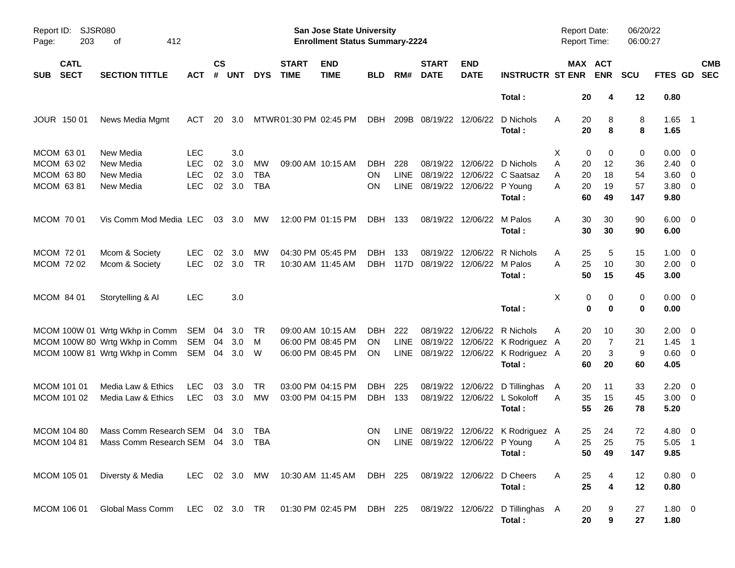| Report ID:<br>203<br>Page:               | <b>SJSR080</b><br>412<br>оf                                                               |            |                |            |            |                             | <b>San Jose State University</b><br><b>Enrollment Status Summary-2224</b> |            |      |                                    |                           |                                                | Report Date:<br><b>Report Time:</b> |                       | 06/20/22<br>06:00:27 |                        |            |
|------------------------------------------|-------------------------------------------------------------------------------------------|------------|----------------|------------|------------|-----------------------------|---------------------------------------------------------------------------|------------|------|------------------------------------|---------------------------|------------------------------------------------|-------------------------------------|-----------------------|----------------------|------------------------|------------|
| <b>CATL</b><br><b>SECT</b><br><b>SUB</b> | <b>SECTION TITTLE</b>                                                                     | <b>ACT</b> | <b>CS</b><br># | <b>UNT</b> | <b>DYS</b> | <b>START</b><br><b>TIME</b> | <b>END</b><br><b>TIME</b>                                                 | <b>BLD</b> | RM#  | <b>START</b><br><b>DATE</b>        | <b>END</b><br><b>DATE</b> | <b>INSTRUCTR ST ENR</b>                        |                                     | MAX ACT<br><b>ENR</b> | <b>SCU</b>           | FTES GD SEC            | <b>CMB</b> |
|                                          |                                                                                           |            |                |            |            |                             |                                                                           |            |      |                                    |                           | Total:                                         | 20                                  | 4                     | 12                   | 0.80                   |            |
| JOUR 150 01                              | News Media Mgmt                                                                           | ACT        | 20             | 3.0        |            | MTWR01:30 PM 02:45 PM       |                                                                           | DBH        |      | 209B 08/19/22 12/06/22             |                           | D Nichols<br>Total:                            | 20<br>A<br>20                       | 8<br>8                | 8<br>8               | $1.65$ 1<br>1.65       |            |
| MCOM 63 01                               | New Media                                                                                 | <b>LEC</b> |                | 3.0        |            |                             |                                                                           |            |      |                                    |                           |                                                | X                                   | 0<br>0                | 0                    | $0.00 \quad 0$         |            |
| MCOM 63 02                               | New Media                                                                                 | <b>LEC</b> | 02             | 3.0        | МW         |                             | 09:00 AM 10:15 AM                                                         | <b>DBH</b> | 228  | 08/19/22                           |                           | 12/06/22 D Nichols                             | A<br>20                             | 12                    | 36                   | $2.40 \quad 0$         |            |
| MCOM 63 80                               | New Media                                                                                 | <b>LEC</b> | 02             | 3.0        | <b>TBA</b> |                             |                                                                           | ON.        |      |                                    |                           | LINE 08/19/22 12/06/22 C Saatsaz               | 20<br>A                             | 18                    | 54                   | $3.60 \ 0$             |            |
| MCOM 63 81                               | New Media                                                                                 | <b>LEC</b> |                | 02 3.0     | <b>TBA</b> |                             |                                                                           | ON         |      | LINE 08/19/22 12/06/22 P Young     |                           | Total:                                         | 20<br>A<br>60                       | 19<br>49              | 57<br>147            | $3.80\ 0$<br>9.80      |            |
| MCOM 70 01                               | Vis Comm Mod Media LEC                                                                    |            |                | 03 3.0     | MW         |                             | 12:00 PM 01:15 PM                                                         | DBH 133    |      |                                    | 08/19/22 12/06/22 M Palos | Total:                                         | 30<br>A<br>30                       | 30<br>30              | 90<br>90             | $6.00 \quad 0$<br>6.00 |            |
|                                          |                                                                                           |            |                |            |            |                             |                                                                           |            |      |                                    |                           |                                                |                                     |                       |                      |                        |            |
| MCOM 72 01                               | Mcom & Society                                                                            | <b>LEC</b> | 02             | 3.0        | МW         |                             | 04:30 PM 05:45 PM                                                         | DBH        | 133  |                                    |                           | 08/19/22 12/06/22 R Nichols                    | 25<br>A                             | 5                     | 15                   | $1.00 \ 0$             |            |
| MCOM 72 02                               | Mcom & Society                                                                            | <b>LEC</b> |                | 02 3.0     | <b>TR</b>  |                             | 10:30 AM 11:45 AM                                                         |            |      | DBH 117D 08/19/22 12/06/22 M Palos |                           |                                                | 25<br>A                             | 10                    | 30                   | $2.00 \t 0$            |            |
|                                          |                                                                                           |            |                |            |            |                             |                                                                           |            |      |                                    |                           | Total:                                         | 50                                  | 15                    | 45                   | 3.00                   |            |
| MCOM 84 01                               | Storytelling & Al                                                                         | <b>LEC</b> |                | 3.0        |            |                             |                                                                           |            |      |                                    |                           |                                                | X                                   | 0<br>0                | 0                    | $0.00 \t 0$            |            |
|                                          |                                                                                           |            |                |            |            |                             |                                                                           |            |      |                                    |                           | Total:                                         |                                     | 0<br>0                | 0                    | 0.00                   |            |
|                                          |                                                                                           |            |                |            |            |                             |                                                                           |            |      |                                    |                           |                                                |                                     |                       |                      |                        |            |
|                                          | MCOM 100W 01 Wrtg Wkhp in Comm SEM 04 3.0                                                 |            |                |            | - TR       |                             | 09:00 AM 10:15 AM                                                         | DBH        | 222  |                                    |                           | 08/19/22 12/06/22 R Nichols                    | 20<br>A                             | 10                    | 30                   | $2.00 \t 0$            |            |
|                                          | MCOM 100W 80 Wrtg Wkhp in Comm                                                            | SEM 04     |                | 3.0        | M          |                             | 06:00 PM 08:45 PM                                                         | ON.        | LINE |                                    |                           | 08/19/22 12/06/22 K Rodriguez A                | 20                                  | 7                     | 21                   | $1.45$ 1               |            |
|                                          | MCOM 100W 81 Wrtg Wkhp in Comm                                                            | SEM 04 3.0 |                |            | - W        |                             | 06:00 PM 08:45 PM                                                         | ON         |      |                                    |                           | LINE 08/19/22 12/06/22 K Rodriguez A<br>Total: | 20<br>60                            | 3<br>20               | 9<br>60              | 0.60 0<br>4.05         |            |
| MCOM 101 01                              | Media Law & Ethics                                                                        | LEC        | 03             | 3.0        | <b>TR</b>  |                             | 03:00 PM 04:15 PM                                                         | DBH        | 225  |                                    |                           | 08/19/22 12/06/22 D Tillinghas                 | 20<br>A                             | 11                    | 33                   | $2.20 \t 0$            |            |
| MCOM 101 02                              | Media Law & Ethics                                                                        | LEC        |                | 03 3.0     | МW         |                             | 03:00 PM 04:15 PM                                                         | DBH 133    |      |                                    |                           | 08/19/22 12/06/22 L Sokoloff                   | 35<br>A                             | 15                    | 45                   | $3.00 \ 0$             |            |
|                                          |                                                                                           |            |                |            |            |                             |                                                                           |            |      |                                    |                           | Total:                                         | 55                                  | 26                    | 78                   | 5.20                   |            |
|                                          |                                                                                           |            |                |            |            |                             |                                                                           |            |      |                                    |                           |                                                |                                     |                       |                      |                        |            |
| <b>MCOM 104 80</b>                       | Mass Comm Research SEM 04 3.0                                                             |            |                |            | TBA        |                             |                                                                           | ON.        |      |                                    |                           | LINE 08/19/22 12/06/22 K Rodriguez A           | 25                                  | 24                    | 72                   | $4.80$ 0               |            |
|                                          | MCOM 104 81 Mass Comm Research SEM 04 3.0 TBA                                             |            |                |            |            |                             |                                                                           |            |      |                                    |                           | ON LINE 08/19/22 12/06/22 P Young              | <b>A</b>                            | 25 25                 | 75                   | $5.05$ 1               |            |
|                                          |                                                                                           |            |                |            |            |                             |                                                                           |            |      |                                    |                           | Total :                                        | 50                                  | 49                    | 147                  | 9.85                   |            |
| MCOM 105 01                              | Diversty & Media                                                                          |            |                |            |            |                             | LEC 02 3.0 MW 10:30 AM 11:45 AM DBH 225                                   |            |      |                                    |                           | 08/19/22 12/06/22 D Cheers                     | A<br>25                             | 4                     | 12                   | $0.80 \ 0$             |            |
|                                          |                                                                                           |            |                |            |            |                             |                                                                           |            |      |                                    |                           | Total:                                         | 25                                  | 4                     | 12                   | 0.80                   |            |
|                                          |                                                                                           |            |                |            |            |                             |                                                                           |            |      |                                    |                           |                                                |                                     |                       |                      |                        |            |
| MCOM 106 01                              | Global Mass Comm LEC 02 3.0 TR 01:30 PM 02:45 PM DBH 225 08/19/22 12/06/22 D Tillinghas A |            |                |            |            |                             |                                                                           |            |      |                                    |                           |                                                | 20                                  | 9                     | 27                   | 1.80 0                 |            |
|                                          |                                                                                           |            |                |            |            |                             |                                                                           |            |      |                                    |                           | Total:                                         | 20                                  | 9                     | 27                   | 1.80                   |            |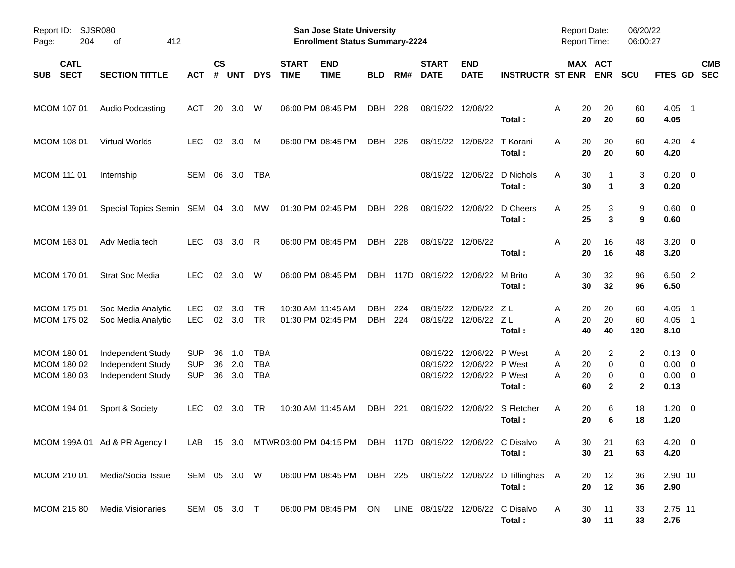| Report ID:<br>204<br>Page:                | SJSR080<br>412<br>οf                                        |                                        |                    |                   |                                        |                             | <b>San Jose State University</b><br><b>Enrollment Status Summary-2224</b> |                          |            |                             |                                                                |                                                                      | <b>Report Date:</b><br>Report Time: |                                       | 06/20/22<br>06:00:27       |                                                      |                          |
|-------------------------------------------|-------------------------------------------------------------|----------------------------------------|--------------------|-------------------|----------------------------------------|-----------------------------|---------------------------------------------------------------------------|--------------------------|------------|-----------------------------|----------------------------------------------------------------|----------------------------------------------------------------------|-------------------------------------|---------------------------------------|----------------------------|------------------------------------------------------|--------------------------|
| <b>CATL</b><br><b>SECT</b><br><b>SUB</b>  | <b>SECTION TITTLE</b>                                       | АСТ                                    | $\mathsf{cs}$<br># | <b>UNT</b>        | <b>DYS</b>                             | <b>START</b><br><b>TIME</b> | <b>END</b><br><b>TIME</b>                                                 | <b>BLD</b>               | RM#        | <b>START</b><br><b>DATE</b> | <b>END</b><br><b>DATE</b>                                      | <b>INSTRUCTR ST ENR</b>                                              |                                     | MAX ACT<br><b>ENR</b>                 | <b>SCU</b>                 | FTES GD                                              | <b>CMB</b><br><b>SEC</b> |
| MCOM 107 01                               | Audio Podcasting                                            | ACT                                    | 20                 | 3.0               | W                                      |                             | 06:00 PM 08:45 PM                                                         | <b>DBH</b>               | 228        |                             | 08/19/22 12/06/22                                              | Total:                                                               | 20<br>A<br>20                       | 20<br>20                              | 60<br>60                   | $4.05$ 1<br>4.05                                     |                          |
| <b>MCOM 108 01</b>                        | Virtual Worlds                                              | <b>LEC</b>                             | 02                 | 3.0               | M                                      |                             | 06:00 PM 08:45 PM                                                         | DBH                      | 226        |                             | 08/19/22 12/06/22                                              | T Korani<br>Total:                                                   | 20<br>A<br>20                       | 20<br>20                              | 60<br>60                   | $4.20$ 4<br>4.20                                     |                          |
| MCOM 111 01                               | Internship                                                  | SEM 06 3.0                             |                    |                   | <b>TBA</b>                             |                             |                                                                           |                          |            |                             |                                                                | 08/19/22 12/06/22 D Nichols<br>Total:                                | 30<br>A<br>30                       | $\blacktriangleleft$                  | 3<br>3                     | $0.20 \ 0$<br>0.20                                   |                          |
| MCOM 139 01                               | Special Topics Semin SEM 04 3.0                             |                                        |                    |                   | МW                                     |                             | 01:30 PM 02:45 PM                                                         | DBH 228                  |            |                             | 08/19/22 12/06/22                                              | D Cheers<br>Total:                                                   | 25<br>A<br>25                       | 3<br>3                                | 9<br>9                     | $0.60 \quad 0$<br>0.60                               |                          |
| MCOM 163 01                               | Adv Media tech                                              | <b>LEC</b>                             | 03                 | 3.0               | R                                      |                             | 06:00 PM 08:45 PM                                                         | DBH                      | 228        |                             | 08/19/22 12/06/22                                              | Total:                                                               | A<br>20<br>20                       | 16<br>16                              | 48<br>48                   | $3.20 \ 0$<br>3.20                                   |                          |
| MCOM 170 01                               | <b>Strat Soc Media</b>                                      | <b>LEC</b>                             |                    | 02 3.0            | W                                      |                             | 06:00 PM 08:45 PM                                                         |                          |            | DBH 117D 08/19/22 12/06/22  |                                                                | M Brito<br>Total:                                                    | 30<br>A<br>30                       | 32<br>32                              | 96<br>96                   | 6.50 2<br>6.50                                       |                          |
| MCOM 175 01<br>MCOM 175 02                | Soc Media Analytic<br>Soc Media Analytic                    | <b>LEC</b><br><b>LEC</b>               | 02                 | 3.0<br>02 3.0     | <b>TR</b><br><b>TR</b>                 |                             | 10:30 AM 11:45 AM<br>01:30 PM 02:45 PM                                    | <b>DBH</b><br><b>DBH</b> | 224<br>224 | 08/19/22                    | 12/06/22 Z Li<br>08/19/22 12/06/22 Z Li                        | Total:                                                               | 20<br>A<br>20<br>A<br>40            | 20<br>20<br>40                        | 60<br>60<br>120            | 4.05<br>$4.05$ 1<br>8.10                             | $\overline{\phantom{1}}$ |
| MCOM 180 01<br>MCOM 180 02<br>MCOM 180 03 | Independent Study<br>Independent Study<br>Independent Study | <b>SUP</b><br><b>SUP</b><br><b>SUP</b> | 36<br>36<br>36     | 1.0<br>2.0<br>3.0 | <b>TBA</b><br><b>TBA</b><br><b>TBA</b> |                             |                                                                           |                          |            | 08/19/22<br>08/19/22        | 12/06/22 P West<br>12/06/22 P West<br>08/19/22 12/06/22 P West | Total:                                                               | 20<br>A<br>20<br>Α<br>Α<br>20<br>60 | 2<br>$\mathbf 0$<br>0<br>$\mathbf{2}$ | 2<br>0<br>0<br>$\mathbf 2$ | $0.13 \quad 0$<br>$0.00 \t 0$<br>$0.00 \t 0$<br>0.13 |                          |
| MCOM 194 01                               | Sport & Society                                             | <b>LEC</b>                             |                    | 02 3.0            | TR                                     |                             | 10:30 AM 11:45 AM                                                         | <b>DBH 221</b>           |            |                             |                                                                | 08/19/22 12/06/22 S Fletcher<br>Total:                               | A<br>20<br>20                       | 6<br>6                                | 18<br>18                   | $1.20 \t 0$<br>1.20                                  |                          |
|                                           | MCOM 199A 01 Ad & PR Agency I                               |                                        |                    |                   |                                        |                             | LAB 15 3.0 MTWR03:00 PM 04:15 PM DBH 117D 08/19/22 12/06/22 C Disalvo     |                          |            |                             |                                                                | Total :                                                              | 30                                  | 30 <sub>o</sub><br>21<br>21           | 63<br>63                   | 4.20 0<br>4.20                                       |                          |
| MCOM 210 01                               | Media/Social Issue                                          |                                        |                    |                   | SEM 05 3.0 W                           |                             |                                                                           |                          |            |                             |                                                                | 06:00 PM 08:45 PM DBH 225 08/19/22 12/06/22 D Tillinghas A<br>Total: | 20<br>20                            | 12<br>12                              | 36<br>36                   | 2.90 10<br>2.90                                      |                          |
| MCOM 215 80                               | Media Visionaries                                           | SEM 05 3.0 T                           |                    |                   |                                        |                             | 06:00 PM 08:45 PM ON LINE 08/19/22 12/06/22 C Disalvo                     |                          |            |                             |                                                                | Total:                                                               | A<br>30<br>30                       | 11<br>11                              | 33<br>33                   | 2.75 11<br>2.75                                      |                          |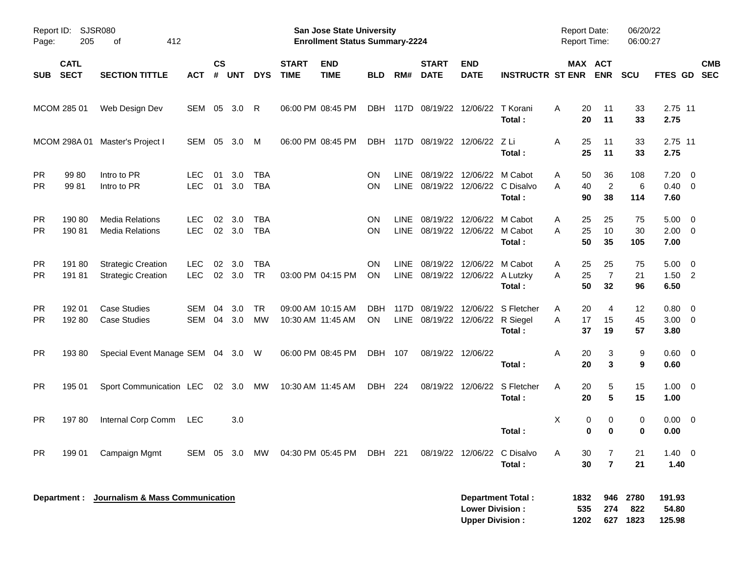| Page:                  | Report ID: SJSR080<br>205  | 412<br>оf                                              |                          |                    |               |                          |                                        | San Jose State University<br><b>Enrollment Status Summary-2224</b> |                  |             |                             |                                                              |                                             | <b>Report Date:</b><br>Report Time: |                                              | 06/20/22<br>06:00:27 |                             |                           |
|------------------------|----------------------------|--------------------------------------------------------|--------------------------|--------------------|---------------|--------------------------|----------------------------------------|--------------------------------------------------------------------|------------------|-------------|-----------------------------|--------------------------------------------------------------|---------------------------------------------|-------------------------------------|----------------------------------------------|----------------------|-----------------------------|---------------------------|
| <b>SUB</b>             | <b>CATL</b><br><b>SECT</b> | <b>SECTION TITTLE</b>                                  | <b>ACT</b>               | $\mathsf{cs}$<br># | <b>UNT</b>    | <b>DYS</b>               | <b>START</b><br><b>TIME</b>            | <b>END</b><br><b>TIME</b>                                          | <b>BLD</b>       | RM#         | <b>START</b><br><b>DATE</b> | <b>END</b><br><b>DATE</b>                                    | <b>INSTRUCTR ST ENR</b>                     |                                     | MAX ACT<br><b>ENR</b>                        | SCU                  |                             | <b>CMB</b><br>FTES GD SEC |
|                        | MCOM 285 01                | Web Design Dev                                         | SEM                      | 05                 | 3.0           | R                        | 06:00 PM 08:45 PM                      |                                                                    | <b>DBH</b>       |             | 117D 08/19/22 12/06/22      |                                                              | T Korani<br>Total:                          | A                                   | 20<br>11<br>20<br>11                         | 33<br>33             | 2.75 11<br>2.75             |                           |
|                        | MCOM 298A 01               | Master's Project I                                     | SEM                      | 05                 | 3.0           | M                        | 06:00 PM 08:45 PM                      |                                                                    | DBH              |             |                             | 117D 08/19/22 12/06/22                                       | - Z Li<br>Total:                            | A                                   | 25<br>11<br>25<br>11                         | 33<br>33             | 2.75 11<br>2.75             |                           |
| <b>PR</b><br><b>PR</b> | 99 80<br>9981              | Intro to PR<br>Intro to PR                             | <b>LEC</b><br><b>LEC</b> | 01<br>01           | 3.0<br>3.0    | <b>TBA</b><br><b>TBA</b> |                                        |                                                                    | <b>ON</b><br>ON. | <b>LINE</b> |                             | 08/19/22 12/06/22 M Cabot                                    | LINE 08/19/22 12/06/22 C Disalvo<br>Total:  | Α<br>A                              | 36<br>50<br>$\overline{2}$<br>40<br>38<br>90 | 108<br>6<br>114      | 7.20<br>$0.40 \ 0$<br>7.60  | $\overline{\mathbf{0}}$   |
| <b>PR</b><br><b>PR</b> | 190 80<br>19081            | <b>Media Relations</b><br><b>Media Relations</b>       | <b>LEC</b><br><b>LEC</b> | 02                 | 3.0<br>02 3.0 | <b>TBA</b><br><b>TBA</b> |                                        |                                                                    | ON<br>ON.        | LINE        |                             | 08/19/22 12/06/22 M Cabot<br>LINE 08/19/22 12/06/22 M Cabot  | Total:                                      | A<br>A                              | 25<br>25<br>10<br>25<br>50<br>35             | 75<br>30<br>105      | 5.00<br>$2.00 \t 0$<br>7.00 | $\overline{\mathbf{0}}$   |
| <b>PR</b><br><b>PR</b> | 191 80<br>19181            | <b>Strategic Creation</b><br><b>Strategic Creation</b> | <b>LEC</b><br><b>LEC</b> | 02                 | 3.0<br>02 3.0 | <b>TBA</b><br><b>TR</b>  |                                        | 03:00 PM 04:15 PM                                                  | ON.<br>ON.       | LINE        |                             | 08/19/22 12/06/22 M Cabot<br>LINE 08/19/22 12/06/22 A Lutzky | Total:                                      | Α<br>A                              | 25<br>25<br>$\overline{7}$<br>25<br>50<br>32 | 75<br>21<br>96       | 5.00<br>$1.50$ 2<br>6.50    | $\overline{\mathbf{0}}$   |
| <b>PR</b><br><b>PR</b> | 192 01<br>192 80           | <b>Case Studies</b><br><b>Case Studies</b>             | SEM<br>SEM               | 04<br>04           | 3.0<br>3.0    | <b>TR</b><br><b>MW</b>   | 09:00 AM 10:15 AM<br>10:30 AM 11:45 AM |                                                                    | DBH<br>ON        |             |                             | LINE 08/19/22 12/06/22 R Siegel                              | 117D 08/19/22 12/06/22 S Fletcher<br>Total: | A<br>A                              | 20<br>4<br>17<br>15<br>37<br>19              | 12<br>45<br>57       | 0.80<br>$3.00 \ 0$<br>3.80  | $\overline{\mathbf{0}}$   |
| <b>PR</b>              | 19380                      | Special Event Manage SEM 04 3.0 W                      |                          |                    |               |                          | 06:00 PM 08:45 PM                      |                                                                    | DBH              | 107         | 08/19/22 12/06/22           |                                                              | Total:                                      | A                                   | 20<br>3<br>20<br>3                           | 9<br>9               | 0.60 0<br>0.60              |                           |
| <b>PR</b>              | 195 01                     | Sport Communication LEC 02 3.0                         |                          |                    |               | MW                       | 10:30 AM 11:45 AM                      |                                                                    | DBH 224          |             |                             | 08/19/22 12/06/22                                            | S Fletcher<br>Total:                        | A                                   | 20<br>5<br>20<br>5                           | 15<br>15             | $1.00 \t 0$<br>1.00         |                           |
| <b>PR</b>              | 19780                      | Internal Corp Comm                                     | <b>LEC</b>               |                    | 3.0           |                          |                                        |                                                                    |                  |             |                             |                                                              | Total:                                      | X                                   | 0<br>0<br>0<br>0                             | 0<br>0               | $0.00 \t 0$<br>0.00         |                           |
| <b>PR</b>              | 199 01                     | Campaign Mgmt                                          | SEM 05 3.0               |                    |               | MW                       |                                        | 04:30 PM 05:45 PM                                                  | DBH 221          |             |                             |                                                              | 08/19/22 12/06/22 C Disalvo<br>Total:       | A                                   | 30<br>7<br>$\overline{7}$<br>30              | 21<br>21             | $1.40 \ 0$<br>1.40          |                           |
|                        |                            | Department : Journalism & Mass Communication           |                          |                    |               |                          |                                        |                                                                    |                  |             |                             | <b>Lower Division:</b><br><b>Upper Division:</b>             | <b>Department Total:</b>                    | 1832<br>535<br>1202                 | 946<br>274<br>627                            | 2780<br>822<br>1823  | 191.93<br>54.80<br>125.98   |                           |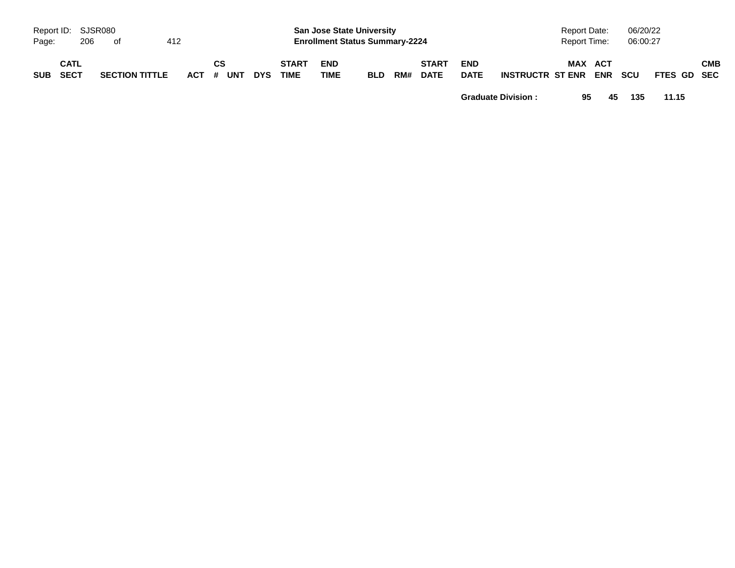| Report ID: SJSR080<br>Page: |      | 206 | of                    | 412 |           |    |            |                             | <b>San Jose State University</b><br><b>Enrollment Status Summary-2224</b> |            |     |                             |                           |                         | Report Date:<br>Report Time: |                       | 06/20/22<br>06:00:27 |             |            |
|-----------------------------|------|-----|-----------------------|-----|-----------|----|------------|-----------------------------|---------------------------------------------------------------------------|------------|-----|-----------------------------|---------------------------|-------------------------|------------------------------|-----------------------|----------------------|-------------|------------|
| SUB SECT                    | CATL |     | <b>SECTION TITTLE</b> |     | ACT # UNT | CS | <b>DYS</b> | <b>START</b><br><b>TIME</b> | <b>END</b><br><b>TIME</b>                                                 | <b>BLD</b> | RM# | <b>START</b><br><b>DATE</b> | <b>END</b><br><b>DATE</b> | <b>INSTRUCTR ST ENR</b> |                              | MAX ACT<br><b>ENR</b> | <b>SCU</b>           | FTES GD SEC | <b>CMB</b> |

**Graduate Division : 95 45 135 11.15**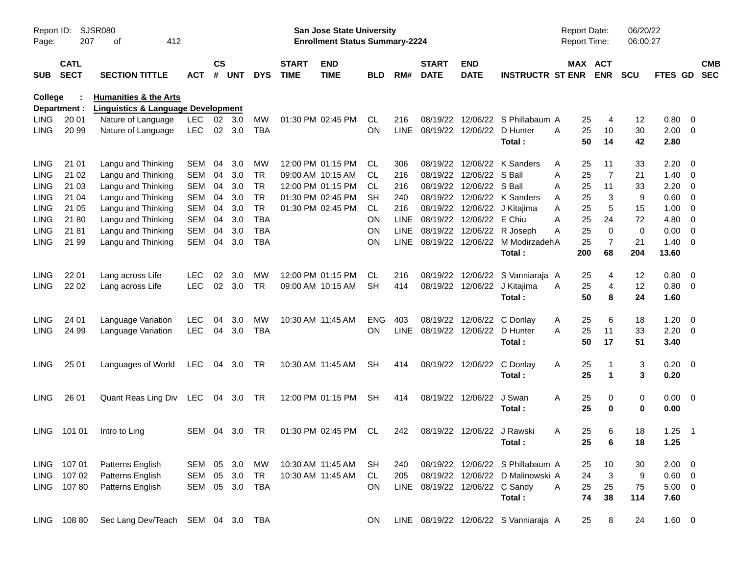| Report ID:<br>Page: | 207                        | SJSR080<br>412<br>оf                          |            |                    |                |            |                             | <b>San Jose State University</b><br><b>Enrollment Status Summary-2224</b> |                 |                    |                                |                            |                                       | <b>Report Date:</b><br>Report Time: |                       | 06/20/22<br>06:00:27 |                |                          |                          |
|---------------------|----------------------------|-----------------------------------------------|------------|--------------------|----------------|------------|-----------------------------|---------------------------------------------------------------------------|-----------------|--------------------|--------------------------------|----------------------------|---------------------------------------|-------------------------------------|-----------------------|----------------------|----------------|--------------------------|--------------------------|
| <b>SUB</b>          | <b>CATL</b><br><b>SECT</b> | <b>SECTION TITTLE</b>                         | ACT        | $\mathsf{cs}$<br># | <b>UNT</b>     | <b>DYS</b> | <b>START</b><br><b>TIME</b> | <b>END</b><br><b>TIME</b>                                                 | <b>BLD</b>      | RM#                | <b>START</b><br><b>DATE</b>    | <b>END</b><br><b>DATE</b>  | <b>INSTRUCTR ST ENR</b>               |                                     | MAX ACT<br><b>ENR</b> | <b>SCU</b>           | <b>FTES GD</b> |                          | <b>CMB</b><br><b>SEC</b> |
| <b>College</b>      |                            | <b>Humanities &amp; the Arts</b>              |            |                    |                |            |                             |                                                                           |                 |                    |                                |                            |                                       |                                     |                       |                      |                |                          |                          |
|                     | Department :               | <b>Linguistics &amp; Language Development</b> |            |                    | $02 \quad 3.0$ |            |                             |                                                                           |                 |                    | 08/19/22                       |                            | 12/06/22 S Phillabaum A               |                                     |                       |                      |                |                          |                          |
| <b>LING</b>         | 20 01                      | Nature of Language                            | LEC.       |                    |                | MW         |                             | 01:30 PM 02:45 PM                                                         | <b>CL</b><br>ON | 216<br><b>LINE</b> |                                |                            |                                       |                                     | 4<br>25               | 12                   | 0.80           | $\overline{\phantom{0}}$ |                          |
| <b>LING</b>         | 20 99                      | Nature of Language                            | LEC.       |                    | 02 3.0         | TBA        |                             |                                                                           |                 |                    | 08/19/22                       |                            | 12/06/22 D Hunter<br>Total:           | A                                   | 25<br>10<br>50<br>14  | 30<br>42             | 2.00<br>2.80   | $\overline{\phantom{0}}$ |                          |
| LING                | 21 01                      | Langu and Thinking                            | <b>SEM</b> | 04                 | 3.0            | MW         |                             | 12:00 PM 01:15 PM                                                         | CL.             | 306                | 08/19/22                       |                            | 12/06/22 K Sanders                    | A                                   | 11<br>25              | 33                   | 2.20           | - 0                      |                          |
| <b>LING</b>         | 21 02                      | Langu and Thinking                            | <b>SEM</b> | 04                 | 3.0            | <b>TR</b>  |                             | 09:00 AM 10:15 AM                                                         | CL.             | 216                | 08/19/22                       | 12/06/22 S Ball            |                                       | Α                                   | $\overline{7}$<br>25  | 21                   | 1.40           | $\overline{\phantom{0}}$ |                          |
| <b>LING</b>         | 21 03                      | Langu and Thinking                            | <b>SEM</b> | 04                 | 3.0            | <b>TR</b>  |                             | 12:00 PM 01:15 PM                                                         | CL.             | 216                | 08/19/22                       | 12/06/22 S Ball            |                                       | A<br>25                             | 11                    | 33                   | 2.20           | $\overline{\mathbf{0}}$  |                          |
| <b>LING</b>         | 21 04                      | Langu and Thinking                            | <b>SEM</b> | 04                 | 3.0            | <b>TR</b>  |                             | 01:30 PM 02:45 PM                                                         | SН              | 240                | 08/19/22                       |                            | 12/06/22 K Sanders                    | Α                                   | 25<br>3               | 9                    | 0.60           | 0                        |                          |
| <b>LING</b>         | 21 05                      | Langu and Thinking                            | <b>SEM</b> | 04                 | 3.0            | <b>TR</b>  |                             | 01:30 PM 02:45 PM                                                         | <b>CL</b>       | 216                | 08/19/22                       | 12/06/22                   | J Kitajima                            | Α                                   | 5<br>25               | 15                   | 1.00           | 0                        |                          |
| <b>LING</b>         | 21 80                      | Langu and Thinking                            | <b>SEM</b> | 04                 | 3.0            | <b>TBA</b> |                             |                                                                           | ΟN              | <b>LINE</b>        | 08/19/22                       | 12/06/22 E Chiu            |                                       | A                                   | 25<br>24              | 72                   | 4.80           | 0                        |                          |
| <b>LING</b>         | 21 81                      | Langu and Thinking                            | <b>SEM</b> | 04                 | 3.0            | TBA        |                             |                                                                           | ON              | <b>LINE</b>        | 08/19/22                       |                            | 12/06/22 R Joseph                     | Α                                   | 25<br>$\mathbf 0$     | 0                    | 0.00           | 0                        |                          |
| <b>LING</b>         | 21 99                      | Langu and Thinking                            | <b>SEM</b> | 04                 | 3.0            | <b>TBA</b> |                             |                                                                           | ON              | <b>LINE</b>        | 08/19/22                       |                            | 12/06/22 M ModirzadehA                |                                     | $\overline{7}$<br>25  | 21                   | 1.40           | $\overline{\phantom{0}}$ |                          |
|                     |                            |                                               |            |                    |                |            |                             |                                                                           |                 |                    |                                |                            | Total:                                | 200                                 | 68                    | 204                  | 13.60          |                          |                          |
| LING                | 22 01                      | Lang across Life                              | <b>LEC</b> | 02                 | 3.0            | MW         |                             | 12:00 PM 01:15 PM                                                         | <b>CL</b>       | 216                | 08/19/22                       | 12/06/22                   | S Vanniaraja A                        |                                     | 25<br>4               | 12                   | 0.80           | $\overline{\phantom{0}}$ |                          |
| <b>LING</b>         | 22 02                      | Lang across Life                              | <b>LEC</b> | 02                 | 3.0            | <b>TR</b>  |                             | 09:00 AM 10:15 AM                                                         | <b>SH</b>       | 414                |                                | 08/19/22 12/06/22          | J Kitajima                            | A                                   | 4<br>25               | 12                   | $0.80 \ 0$     |                          |                          |
|                     |                            |                                               |            |                    |                |            |                             |                                                                           |                 |                    |                                |                            | Total:                                |                                     | 50<br>8               | 24                   | 1.60           |                          |                          |
| LING                | 24 01                      | Language Variation                            | <b>LEC</b> | 04                 | 3.0            | MW         | 10:30 AM 11:45 AM           |                                                                           | <b>ENG</b>      | 403                | 08/19/22                       | 12/06/22                   | C Donlay                              | A                                   | 25<br>6               | 18                   | 1.20           | $\overline{\mathbf{0}}$  |                          |
| <b>LING</b>         | 24 99                      | Language Variation                            | <b>LEC</b> | 04                 | 3.0            | <b>TBA</b> |                             |                                                                           | <b>ON</b>       | <b>LINE</b>        | 08/19/22                       | 12/06/22                   | D Hunter                              | 25<br>A                             | 11                    | 33                   | 2.20           | $\overline{\phantom{0}}$ |                          |
|                     |                            |                                               |            |                    |                |            |                             |                                                                           |                 |                    |                                |                            | Total:                                |                                     | 17<br>50              | 51                   | 3.40           |                          |                          |
| <b>LING</b>         | 25 01                      | Languages of World                            | LEC        | 04                 | 3.0            | TR         |                             | 10:30 AM 11:45 AM                                                         | SH              | 414                | 08/19/22                       | 12/06/22                   | C Donlay                              | Α                                   | 25                    | 3                    | $0.20 \ 0$     |                          |                          |
|                     |                            |                                               |            |                    |                |            |                             |                                                                           |                 |                    |                                |                            | Total:                                |                                     | 25<br>1               | 3                    | 0.20           |                          |                          |
| <b>LING</b>         | 26 01                      | Quant Reas Ling Div                           | LEC        |                    | 04 3.0         | TR         |                             | 12:00 PM 01:15 PM                                                         | <b>SH</b>       | 414                |                                | 08/19/22 12/06/22          | J Swan                                | Α                                   | 25<br>0               | 0                    | $0.00 \t 0$    |                          |                          |
|                     |                            |                                               |            |                    |                |            |                             |                                                                           |                 |                    |                                |                            | Total:                                |                                     | 25<br>0               | 0                    | 0.00           |                          |                          |
| LING.               | 101 01                     | Intro to Ling                                 | SEM        | 04                 | 3.0            | TR         |                             | 01:30 PM 02:45 PM                                                         | CL              | 242                |                                | 08/19/22 12/06/22 J Rawski |                                       | A                                   | 6<br>25               | 18                   | 1.25           | $\overline{\phantom{1}}$ |                          |
|                     |                            |                                               |            |                    |                |            |                             |                                                                           |                 |                    |                                |                            | Total:                                |                                     | 25<br>6               | 18                   | 1.25           |                          |                          |
|                     | LING 107 01                | Patterns English                              | SEM 05 3.0 |                    |                | MW         | 10:30 AM 11:45 AM           |                                                                           | SH              | 240                |                                |                            | 08/19/22 12/06/22 S Phillabaum A      |                                     | 10<br>25              | 30                   | $2.00 \t 0$    |                          |                          |
|                     | LING 107 02                | Patterns English                              | SEM        |                    | 05 3.0         | TR         |                             | 10:30 AM 11:45 AM                                                         | CL              | 205                |                                |                            | 08/19/22 12/06/22 D Malinowski A      |                                     | $\mathbf{3}$<br>24    | 9                    | $0.60 \quad 0$ |                          |                          |
|                     | LING 107 80                | Patterns English                              | SEM        |                    | 05 3.0         | TBA        |                             |                                                                           | ON              |                    | LINE 08/19/22 12/06/22 C Sandy |                            |                                       | A<br>25                             | 25                    | 75                   | $5.00 \t 0$    |                          |                          |
|                     |                            |                                               |            |                    |                |            |                             |                                                                           |                 |                    |                                |                            | Total:                                |                                     | 74<br>38              | 114                  | 7.60           |                          |                          |
|                     | LING 108 80                | Sec Lang Dev/Teach SEM 04 3.0 TBA             |            |                    |                |            |                             |                                                                           | ON.             |                    |                                |                            | LINE 08/19/22 12/06/22 S Vanniaraja A |                                     | 25<br>8               | 24                   | $1.60 \t 0$    |                          |                          |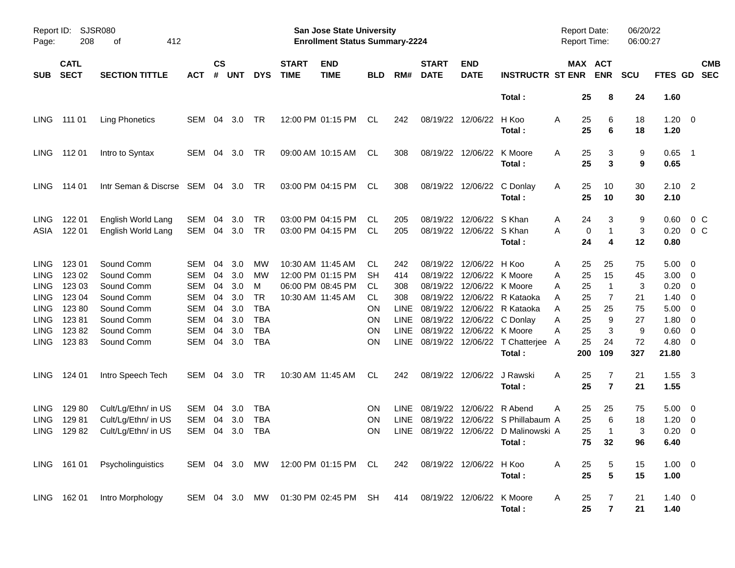| Report ID:<br>Page:                                                                                                  | 208                                                                      | <b>SJSR080</b><br>412<br>οf                                                                                  |                                                                                                       |                                              |                                                      |                                                                             |                             | San Jose State University<br><b>Enrollment Status Summary-2224</b>               |                                                |                                                                                      |                                                                                              |                                                                                      |                                                                                          | <b>Report Date:</b><br>Report Time:                                                  |                                          | 06/20/22<br>06:00:27                       |                                                              |                                                                                                                                                                           |                          |
|----------------------------------------------------------------------------------------------------------------------|--------------------------------------------------------------------------|--------------------------------------------------------------------------------------------------------------|-------------------------------------------------------------------------------------------------------|----------------------------------------------|------------------------------------------------------|-----------------------------------------------------------------------------|-----------------------------|----------------------------------------------------------------------------------|------------------------------------------------|--------------------------------------------------------------------------------------|----------------------------------------------------------------------------------------------|--------------------------------------------------------------------------------------|------------------------------------------------------------------------------------------|--------------------------------------------------------------------------------------|------------------------------------------|--------------------------------------------|--------------------------------------------------------------|---------------------------------------------------------------------------------------------------------------------------------------------------------------------------|--------------------------|
| <b>SUB</b>                                                                                                           | <b>CATL</b><br><b>SECT</b>                                               | <b>SECTION TITTLE</b>                                                                                        | <b>ACT</b>                                                                                            | $\mathsf{cs}$<br>#                           | <b>UNT</b>                                           | <b>DYS</b>                                                                  | <b>START</b><br><b>TIME</b> | <b>END</b><br><b>TIME</b>                                                        | <b>BLD</b>                                     | RM#                                                                                  | <b>START</b><br><b>DATE</b>                                                                  | <b>END</b><br><b>DATE</b>                                                            | <b>INSTRUCTR ST ENR</b>                                                                  | MAX ACT                                                                              | <b>ENR</b>                               | <b>SCU</b>                                 | <b>FTES GD</b>                                               |                                                                                                                                                                           | <b>CMB</b><br><b>SEC</b> |
|                                                                                                                      |                                                                          |                                                                                                              |                                                                                                       |                                              |                                                      |                                                                             |                             |                                                                                  |                                                |                                                                                      |                                                                                              |                                                                                      | Total:                                                                                   | 25                                                                                   | 8                                        | 24                                         | 1.60                                                         |                                                                                                                                                                           |                          |
| LING                                                                                                                 | 111 01                                                                   | <b>Ling Phonetics</b>                                                                                        | <b>SEM</b>                                                                                            | 04                                           | 3.0                                                  | TR                                                                          |                             | 12:00 PM 01:15 PM                                                                | CL.                                            | 242                                                                                  | 08/19/22                                                                                     | 12/06/22                                                                             | H Koo<br>Total:                                                                          | 25<br>Α<br>25                                                                        | 6<br>6                                   | 18<br>18                                   | 1.20<br>1.20                                                 | $\overline{\phantom{0}}$                                                                                                                                                  |                          |
| LING                                                                                                                 | 11201                                                                    | Intro to Syntax                                                                                              | SEM                                                                                                   | 04                                           | 3.0                                                  | TR                                                                          |                             | 09:00 AM 10:15 AM                                                                | CL.                                            | 308                                                                                  | 08/19/22                                                                                     | 12/06/22                                                                             | K Moore<br>Total:                                                                        | 25<br>A<br>25                                                                        | 3<br>3                                   | 9<br>9                                     | 0.65<br>0.65                                                 | $\overline{\phantom{1}}$                                                                                                                                                  |                          |
| LING.                                                                                                                | 114 01                                                                   | Intr Seman & Discrse SEM                                                                                     |                                                                                                       |                                              | 04 3.0                                               | TR                                                                          |                             | 03:00 PM 04:15 PM                                                                | CL.                                            | 308                                                                                  | 08/19/22                                                                                     | 12/06/22                                                                             | C Donlay<br>Total:                                                                       | Α<br>25<br>25                                                                        | 10<br>10                                 | 30<br>30                                   | 2.10<br>2.10                                                 | $\overline{\phantom{0}}^2$                                                                                                                                                |                          |
| <b>LING</b><br>ASIA                                                                                                  | 122 01<br>122 01                                                         | English World Lang<br>English World Lang                                                                     | SEM<br><b>SEM</b>                                                                                     | 04<br>04                                     | 3.0<br>3.0                                           | TR<br><b>TR</b>                                                             |                             | 03:00 PM 04:15 PM<br>03:00 PM 04:15 PM                                           | CL<br>.CL                                      | 205<br>205                                                                           | 08/19/22<br>08/19/22                                                                         | 12/06/22<br>12/06/22 S Khan                                                          | S Khan<br>Total:                                                                         | 24<br>A<br>A<br>0<br>24                                                              | 3<br>$\mathbf{1}$<br>4                   | 9<br>3<br>12                               | 0.60<br>0.20<br>0.80                                         | $0\,$ C<br>0 <sup>o</sup>                                                                                                                                                 |                          |
| <b>LING</b><br><b>LING</b><br><b>LING</b><br><b>LING</b><br><b>LING</b><br><b>LING</b><br><b>LING</b><br><b>LING</b> | 123 01<br>123 02<br>123 03<br>123 04<br>12380<br>12381<br>12382<br>12383 | Sound Comm<br>Sound Comm<br>Sound Comm<br>Sound Comm<br>Sound Comm<br>Sound Comm<br>Sound Comm<br>Sound Comm | SEM<br><b>SEM</b><br><b>SEM</b><br><b>SEM</b><br><b>SEM</b><br><b>SEM</b><br><b>SEM</b><br><b>SEM</b> | 04<br>04<br>04<br>04<br>04<br>04<br>04<br>04 | 3.0<br>3.0<br>3.0<br>3.0<br>3.0<br>3.0<br>3.0<br>3.0 | МW<br>MW<br>м<br>TR<br><b>TBA</b><br><b>TBA</b><br><b>TBA</b><br><b>TBA</b> |                             | 10:30 AM 11:45 AM<br>12:00 PM 01:15 PM<br>06:00 PM 08:45 PM<br>10:30 AM 11:45 AM | CL.<br>SН<br>CL.<br>CL<br>ON<br>ON<br>ON<br>ΟN | 242<br>414<br>308<br>308<br><b>LINE</b><br><b>LINE</b><br><b>LINE</b><br><b>LINE</b> | 08/19/22<br>08/19/22<br>08/19/22<br>08/19/22<br>08/19/22<br>08/19/22<br>08/19/22<br>08/19/22 | 12/06/22<br>12/06/22<br>12/06/22 K Moore<br>12/06/22<br>12/06/22<br>12/06/22 K Moore | H Koo<br>K Moore<br>12/06/22 R Kataoka<br>R Kataoka<br>C Donlay<br>12/06/22 T Chatterjee | 25<br>Α<br>25<br>Α<br>25<br>Α<br>25<br>Α<br>25<br>Α<br>Α<br>25<br>Α<br>25<br>25<br>A | 25<br>15<br>1<br>7<br>25<br>9<br>3<br>24 | 75<br>45<br>3<br>21<br>75<br>27<br>9<br>72 | 5.00<br>3.00<br>0.20<br>1.40<br>5.00<br>1.80<br>0.60<br>4.80 | $\overline{\phantom{0}}$<br>$\overline{\mathbf{0}}$<br>$\overline{\mathbf{0}}$<br>$\overline{\mathbf{0}}$<br>$\overline{\mathbf{0}}$<br>$\overline{\mathbf{0}}$<br>0<br>0 |                          |
| <b>LING</b>                                                                                                          | 124 01                                                                   | Intro Speech Tech                                                                                            | <b>SEM</b>                                                                                            | 04                                           | 3.0                                                  | TR                                                                          |                             | 10:30 AM 11:45 AM                                                                | CL.                                            | 242                                                                                  | 08/19/22                                                                                     | 12/06/22                                                                             | Total:<br>J Rawski<br>Total:                                                             | 200<br>Α<br>25<br>25                                                                 | 109<br>7<br>$\overline{7}$               | 327<br>21<br>21                            | 21.80<br>1.55<br>1.55                                        | $\overline{\mathbf{3}}$                                                                                                                                                   |                          |
| LING<br><b>LING</b><br>LING.                                                                                         | 12980<br>12981<br>12982                                                  | Cult/Lg/Ethn/ in US<br>Cult/Lg/Ethn/ in US<br>Cult/Lg/Ethn/ in US                                            | SEM<br><b>SEM</b><br><b>SEM</b>                                                                       | 04<br>04<br>04                               | 3.0<br>3.0<br>3.0                                    | TBA<br><b>TBA</b><br>TBA                                                    |                             |                                                                                  | ΟN<br>ΟN<br>ΟN                                 | LINE.<br>LINE<br><b>LINE</b>                                                         | 08/19/22<br>08/19/22<br>08/19/22                                                             | 12/06/22                                                                             | R Abend<br>12/06/22 S Phillabaum A<br>12/06/22 D Malinowski A<br>Total:                  | Α<br>25<br>25<br>25<br>75                                                            | 25<br>6<br>1<br>32                       | 75<br>18<br>3<br>96                        | 5.00<br>1.20<br>0.20<br>6.40                                 | $\overline{\phantom{0}}$<br>- 0<br>- 0                                                                                                                                    |                          |
|                                                                                                                      | LING 161 01                                                              | Psycholinguistics                                                                                            | SEM 04 3.0 MW                                                                                         |                                              |                                                      |                                                                             |                             | 12:00 PM 01:15 PM CL                                                             |                                                | 242                                                                                  |                                                                                              | 08/19/22 12/06/22                                                                    | H Koo<br>Total:                                                                          | 25<br>A<br>25                                                                        | 5<br>$\overline{\mathbf{5}}$             | 15<br>15                                   | $1.00 \t 0$<br>1.00                                          |                                                                                                                                                                           |                          |
|                                                                                                                      | LING 162 01                                                              | Intro Morphology                                                                                             |                                                                                                       |                                              |                                                      | SEM 04 3.0 MW                                                               |                             | 01:30 PM 02:45 PM SH                                                             |                                                | 414                                                                                  |                                                                                              | 08/19/22 12/06/22                                                                    | K Moore<br>Total:                                                                        | A<br>25<br>25                                                                        | 7<br>$\overline{\mathbf{7}}$             | 21<br>21                                   | $1.40 \ 0$<br>1.40                                           |                                                                                                                                                                           |                          |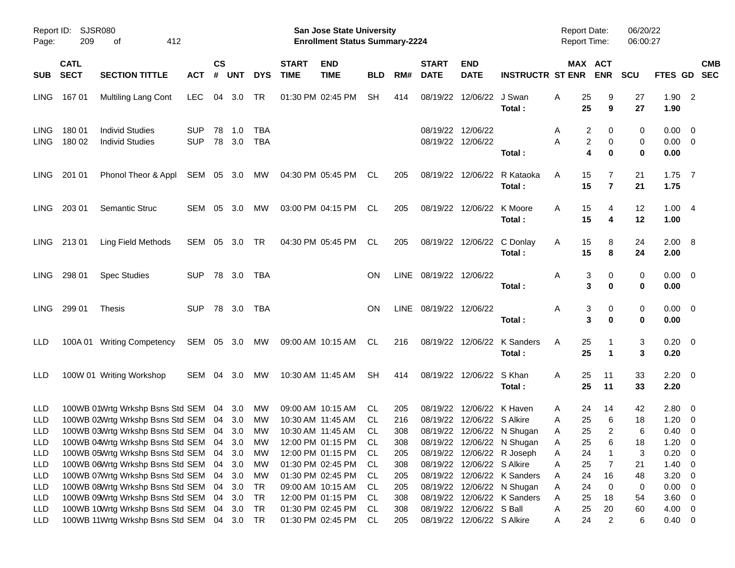| Report ID:<br>Page:        | 209                        | SJSR080<br>412<br>οf                                                       |                          |                    |            |                   |                             | <b>San Jose State University</b><br><b>Enrollment Status Summary-2224</b> |            |            |                             |                                                         |                                       | <b>Report Date:</b><br><b>Report Time:</b> |                | 06/20/22<br>06:00:27 |                                |                          |  |
|----------------------------|----------------------------|----------------------------------------------------------------------------|--------------------------|--------------------|------------|-------------------|-----------------------------|---------------------------------------------------------------------------|------------|------------|-----------------------------|---------------------------------------------------------|---------------------------------------|--------------------------------------------|----------------|----------------------|--------------------------------|--------------------------|--|
| <b>SUB</b>                 | <b>CATL</b><br><b>SECT</b> | <b>SECTION TITTLE</b>                                                      | ACT                      | $\mathsf{cs}$<br># | <b>UNT</b> | <b>DYS</b>        | <b>START</b><br><b>TIME</b> | <b>END</b><br><b>TIME</b>                                                 | <b>BLD</b> | RM#        | <b>START</b><br><b>DATE</b> | <b>END</b><br><b>DATE</b>                               | <b>INSTRUCTR ST ENR</b>               | MAX ACT                                    | <b>ENR</b>     | <b>SCU</b>           | FTES GD SEC                    | <b>CMB</b>               |  |
| LING.                      | 16701                      | <b>Multiling Lang Cont</b>                                                 | LEC.                     | 04                 | 3.0        | TR                |                             | 01:30 PM 02:45 PM                                                         | SH.        | 414        | 08/19/22                    | 12/06/22 J Swan                                         | Total:                                | Α<br>25<br>25                              | 9              | 27<br>27             | $1.90$ 2<br>1.90               |                          |  |
| <b>LING</b><br><b>LING</b> | 18001<br>180 02            | <b>Individ Studies</b><br><b>Individ Studies</b>                           | <b>SUP</b><br><b>SUP</b> | 78<br>78           | 1.0<br>3.0 | <b>TBA</b><br>TBA |                             |                                                                           |            |            |                             | 08/19/22 12/06/22<br>08/19/22 12/06/22                  | Total:                                | 2<br>A<br>2<br>Α<br>4                      | 0<br>0<br>0    | 0<br>0<br>0          | 0.00<br>$0.00 \quad 0$<br>0.00 | $\overline{\phantom{0}}$ |  |
| LING.                      | 201 01                     | Phonol Theor & Appl                                                        | SEM 05 3.0               |                    |            | <b>MW</b>         |                             | 04:30 PM 05:45 PM                                                         | CL.        | 205        |                             |                                                         | 08/19/22 12/06/22 R Kataoka<br>Total: | 15<br>A<br>15                              | $\overline{7}$ | 21<br>21             | $1.75$ 7<br>1.75               |                          |  |
| LING.                      | 203 01                     | <b>Semantic Struc</b>                                                      | SEM 05 3.0               |                    |            | <b>MW</b>         |                             | 03:00 PM 04:15 PM                                                         | CL.        | 205        |                             | 08/19/22 12/06/22 K Moore                               | Total:                                | 15<br>A<br>15                              | 4<br>4         | 12<br>12             | 1.004<br>1.00                  |                          |  |
| LING.                      | 21301                      | Ling Field Methods                                                         | SEM 05 3.0               |                    |            | TR                |                             | 04:30 PM 05:45 PM                                                         | CL.        | 205        |                             |                                                         | 08/19/22 12/06/22 C Donlay<br>Total:  | 15<br>A<br>15                              | 8<br>8         | 24<br>24             | $2.00 \ 8$<br>2.00             |                          |  |
| LING.                      | 298 01                     | <b>Spec Studies</b>                                                        | <b>SUP</b>               | 78 3.0             |            | TBA               |                             |                                                                           | <b>ON</b>  |            | LINE 08/19/22 12/06/22      |                                                         | Total :                               | Α<br>3<br>3                                | 0<br>0         | 0<br>0               | $0.00 \quad 0$<br>0.00         |                          |  |
| LING.                      | 299 01                     | Thesis                                                                     | <b>SUP</b>               | 78 3.0             |            | TBA               |                             |                                                                           | <b>ON</b>  |            | LINE 08/19/22 12/06/22      |                                                         | Total:                                | Α<br>3<br>3                                | 0<br>0         | 0<br>0               | $0.00 \quad 0$<br>0.00         |                          |  |
| LLD                        |                            | 100A 01 Writing Competency                                                 | SEM 05 3.0               |                    |            | МW                |                             | 09:00 AM 10:15 AM                                                         | CL.        | 216        |                             |                                                         | 08/19/22 12/06/22 K Sanders<br>Total: | A<br>25<br>25                              | $\mathbf 1$    | 3<br>3               | $0.20 \ 0$<br>0.20             |                          |  |
| LLD                        |                            | 100W 01 Writing Workshop                                                   | SEM 04 3.0               |                    |            | МW                |                             | 10:30 AM 11:45 AM                                                         | SH         | 414        |                             | 08/19/22 12/06/22 S Khan                                | Total:                                | A<br>25<br>25                              | 11<br>11       | 33<br>33             | $2.20 \t 0$<br>2.20            |                          |  |
| LLD                        |                            | 100WB 01Wrtg Wrkshp Bsns Std SEM 04 3.0                                    |                          |                    |            | МW                |                             | 09:00 AM 10:15 AM                                                         | CL.        | 205        |                             | 08/19/22 12/06/22 K Haven<br>08/19/22 12/06/22 S Alkire |                                       | 24<br>Α                                    | 14             | 42                   | 2.80                           | $\overline{\mathbf{0}}$  |  |
| LLD                        |                            | 100WB 02Wrtg Wrkshp Bsns Std SEM 04                                        |                          |                    | - 3.0      | <b>MW</b>         |                             | 10:30 AM 11:45 AM                                                         | CL.        | 216        |                             |                                                         |                                       | 25<br>Α                                    | 6              | 18                   | 1.20                           | $\overline{0}$           |  |
| <b>LLD</b>                 |                            | 100WB 03Wrtg Wrkshp Bsns Std SEM 04 3.0                                    |                          |                    |            | MW                |                             | 10:30 AM 11:45 AM                                                         | CL.        | 308        |                             |                                                         | 08/19/22 12/06/22 N Shugan            | 25<br>Α                                    | $\overline{2}$ | 6                    | 0.40                           | $\overline{\mathbf{0}}$  |  |
| <b>LLD</b>                 |                            | 100WB 04Wrtg Wrkshp Bsns Std SEM 04 3.0                                    |                          |                    |            | <b>MW</b>         |                             | 12:00 PM 01:15 PM CL                                                      |            | 308        |                             |                                                         | 08/19/22 12/06/22 N Shugan            | 25<br>Α                                    | 6              | 18                   | $1.20 \t 0$                    |                          |  |
| LLD                        |                            | 100WB 05Wrtg Wrkshp Bsns Std SEM 04                                        |                          |                    | 3.0        | МW                |                             | 12:00 PM 01:15 PM                                                         | CL.        | 205        |                             |                                                         | 08/19/22 12/06/22 R Joseph            | Α<br>24                                    |                | 3                    | 0.20                           | $\overline{\phantom{0}}$ |  |
| LLD                        |                            | 100WB 06Wrtg Wrkshp Bsns Std SEM 04                                        |                          |                    | 3.0        | МW                |                             | 01:30 PM 02:45 PM<br>01:30 PM 02:45 PM                                    | CL         | 308        |                             | 08/19/22 12/06/22 S Alkire                              | 08/19/22 12/06/22 K Sanders           | 25<br>Α<br>24                              | 7<br>16        | 21                   | 1.40<br>3.20                   | $\overline{\mathbf{0}}$  |  |
| LLD                        |                            | 100WB 07Wrtg Wrkshp Bsns Std SEM 04<br>100WB 08Wrtg Wrkshp Bsns Std SEM 04 |                          |                    | 3.0        | МW<br>TR          |                             | 09:00 AM 10:15 AM                                                         | CL.        | 205        |                             |                                                         | 08/19/22 12/06/22 N Shugan            | Α<br>24<br>Α                               | 0              | 48<br>0              | $0.00 \t 0$                    | $\overline{\mathbf{0}}$  |  |
| LLD<br>LLD                 |                            | 100WB 09Wrtg Wrkshp Bsns Std SEM                                           |                          | 04                 | 3.0<br>3.0 | TR                |                             | 12:00 PM 01:15 PM                                                         | CL.<br>CL  | 205<br>308 |                             |                                                         | 08/19/22 12/06/22 K Sanders           | 25<br>Α                                    | 18             | 54                   | $3.60 \ 0$                     |                          |  |
| LLD                        |                            | 100WB 10Wrtg Wrkshp Bsns Std SEM 04                                        |                          |                    | 3.0        | TR                |                             | 01:30 PM 02:45 PM                                                         | CL.        | 308        |                             | 08/19/22 12/06/22 S Ball                                |                                       | 25<br>Α                                    | 20             | 60                   | $4.00 \ 0$                     |                          |  |
|                            |                            | 100WB 11Wrtg Wrkshp Bsns Std SEM 04 3.0                                    |                          |                    |            | TR                |                             | 01:30 PM 02:45 PM                                                         |            | 205        |                             | 08/19/22 12/06/22 S Alkire                              |                                       | 24                                         |                |                      | $0.40 \quad 0$                 |                          |  |
| LLD                        |                            |                                                                            |                          |                    |            |                   |                             |                                                                           | CL         |            |                             |                                                         |                                       | Α                                          | $\overline{2}$ | 6                    |                                |                          |  |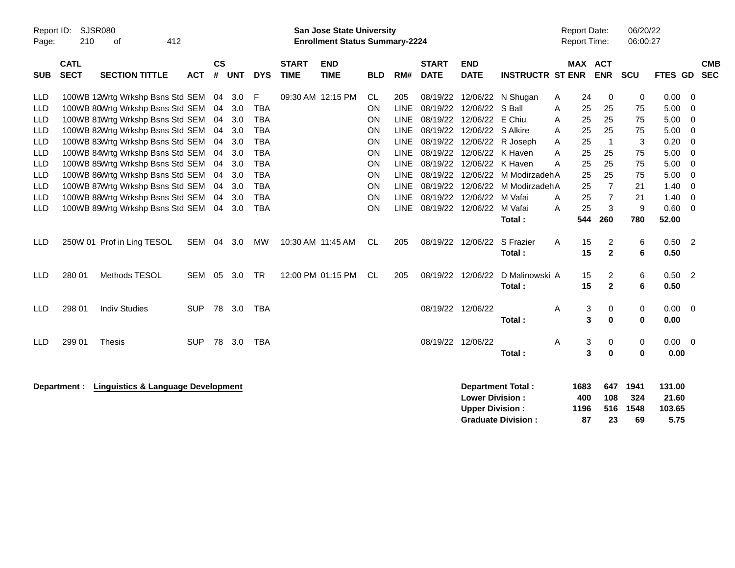| Report ID:<br>Page:                                                                                                                      | 210                        | SJSR080<br>412<br>οf                                                                                                                                                                                                                                                                                                                                                    |                   |                                                    |                                                                    |                                                                                                                                 |                             | <b>San Jose State University</b><br><b>Enrollment Status Summary-2224</b> |                                                                        |                                                                                                                                            |                             |                                                                                                                                                    |                                                                                                                                                    |                                      | <b>Report Date:</b><br><b>Report Time:</b>               |                                                                                             | 06/20/22<br>06:00:27                                   |                                                                              |                                                                                                              |            |
|------------------------------------------------------------------------------------------------------------------------------------------|----------------------------|-------------------------------------------------------------------------------------------------------------------------------------------------------------------------------------------------------------------------------------------------------------------------------------------------------------------------------------------------------------------------|-------------------|----------------------------------------------------|--------------------------------------------------------------------|---------------------------------------------------------------------------------------------------------------------------------|-----------------------------|---------------------------------------------------------------------------|------------------------------------------------------------------------|--------------------------------------------------------------------------------------------------------------------------------------------|-----------------------------|----------------------------------------------------------------------------------------------------------------------------------------------------|----------------------------------------------------------------------------------------------------------------------------------------------------|--------------------------------------|----------------------------------------------------------|---------------------------------------------------------------------------------------------|--------------------------------------------------------|------------------------------------------------------------------------------|--------------------------------------------------------------------------------------------------------------|------------|
| <b>SUB</b>                                                                                                                               | <b>CATL</b><br><b>SECT</b> | <b>SECTION TITTLE</b>                                                                                                                                                                                                                                                                                                                                                   | <b>ACT</b>        | $\mathsf{cs}$<br>#                                 | <b>UNT</b>                                                         | <b>DYS</b>                                                                                                                      | <b>START</b><br><b>TIME</b> | <b>END</b><br><b>TIME</b>                                                 | <b>BLD</b>                                                             | RM#                                                                                                                                        | <b>START</b><br><b>DATE</b> | <b>END</b><br><b>DATE</b>                                                                                                                          | <b>INSTRUCTR ST ENR</b>                                                                                                                            |                                      | MAX ACT                                                  | <b>ENR</b>                                                                                  | <b>SCU</b>                                             | FTES GD SEC                                                                  |                                                                                                              | <b>CMB</b> |
| <b>LLD</b><br><b>LLD</b><br><b>LLD</b><br><b>LLD</b><br><b>LLD</b><br><b>LLD</b><br><b>LLD</b><br><b>LLD</b><br><b>LLD</b><br><b>LLD</b> |                            | 100WB 12Wrtg Wrkshp Bsns Std SEM 04<br>100WB 80Wrtg Wrkshp Bsns Std SEM<br>100WB 81Wrtg Wrkshp Bsns Std SEM<br>100WB 82Wrtg Wrkshp Bsns Std SEM<br>100WB 83Wrtg Wrkshp Bsns Std SEM<br>100WB 84Wrtg Wrkshp Bsns Std SEM<br>100WB 85Wrtg Wrkshp Bsns Std SEM<br>100WB 86Wrtg Wrkshp Bsns Std SEM<br>100WB 87Wrtg Wrkshp Bsns Std SEM<br>100WB 88Wrtg Wrkshp Bsns Std SEM |                   | 04<br>04<br>04<br>04<br>04<br>04<br>04<br>04<br>04 | 3.0<br>3.0<br>3.0<br>3.0<br>3.0<br>3.0<br>3.0<br>3.0<br>3.0<br>3.0 | F<br><b>TBA</b><br><b>TBA</b><br><b>TBA</b><br><b>TBA</b><br><b>TBA</b><br><b>TBA</b><br><b>TBA</b><br><b>TBA</b><br><b>TBA</b> | 09:30 AM 12:15 PM           |                                                                           | CL<br><b>ON</b><br>ON<br>ON<br>ON<br>ON<br>ON<br><b>ON</b><br>ON<br>ON | 205<br><b>LINE</b><br><b>LINE</b><br><b>LINE</b><br><b>LINE</b><br><b>LINE</b><br><b>LINE</b><br><b>LINE</b><br><b>LINE</b><br><b>LINE</b> | 08/19/22                    | 08/19/22 12/06/22<br>12/06/22<br>08/19/22 12/06/22 S Alkire<br>08/19/22 12/06/22 K Haven<br>08/19/22 12/06/22 K Haven<br>08/19/22 12/06/22 M Vafai | 08/19/22 12/06/22 N Shugan<br>S Ball<br>E Chiu<br>08/19/22 12/06/22 R Joseph<br>08/19/22 12/06/22 M ModirzadehA<br>08/19/22 12/06/22 M ModirzadehA | A<br>Α<br>Α<br>A<br>A<br>A<br>A<br>A | 24<br>25<br>25<br>25<br>25<br>25<br>25<br>25<br>25<br>25 | 0<br>25<br>25<br>25<br>$\overline{1}$<br>25<br>25<br>25<br>$\overline{7}$<br>$\overline{7}$ | 0<br>75<br>75<br>75<br>3<br>75<br>75<br>75<br>21<br>21 | 0.00<br>5.00<br>5.00<br>5.00<br>0.20<br>5.00<br>5.00<br>5.00<br>1.40<br>1.40 | - 0<br>$\mathbf 0$<br>$\mathbf 0$<br>$\mathbf 0$<br>$\mathbf 0$<br>$\mathbf 0$<br>$\mathbf 0$<br>0<br>0<br>0 |            |
| <b>LLD</b><br>LLD                                                                                                                        |                            | 100WB 89Wrtg Wrkshp Bsns Std SEM<br>250W 01 Prof in Ling TESOL                                                                                                                                                                                                                                                                                                          | SEM 04            | 04                                                 | 3.0<br>3.0                                                         | <b>TBA</b><br>MW                                                                                                                | 10:30 AM 11:45 AM           |                                                                           | ON<br>CL.                                                              | <b>LINE</b><br>205                                                                                                                         | 08/19/22 12/06/22           | 08/19/22 12/06/22                                                                                                                                  | M Vafai<br>Total:<br>S Frazier<br>Total:                                                                                                           | A<br>A                               | 25<br>544<br>15<br>15                                    | 3<br>260<br>2<br>$\mathbf{2}$                                                               | 9<br>780<br>6<br>6                                     | 0.60<br>52.00<br>0.50<br>0.50                                                | $\overline{0}$<br>$\overline{\phantom{0}}^2$                                                                 |            |
| LLD<br>LLD                                                                                                                               | 280 01<br>298 01           | Methods TESOL<br><b>Indiv Studies</b>                                                                                                                                                                                                                                                                                                                                   | SEM<br><b>SUP</b> | 05                                                 | 3.0<br>78 3.0                                                      | <b>TR</b><br><b>TBA</b>                                                                                                         |                             | 12:00 PM 01:15 PM                                                         | CL.                                                                    | 205                                                                                                                                        | 08/19/22 12/06/22           | 08/19/22 12/06/22                                                                                                                                  | D Malinowski A<br>Total:                                                                                                                           | A                                    | 15<br>15<br>3                                            | 2<br>$\overline{2}$<br>0                                                                    | 6<br>6<br>0                                            | 0.50<br>0.50<br>0.00                                                         | $\overline{\phantom{0}}^2$<br>$\overline{0}$                                                                 |            |
| <b>LLD</b>                                                                                                                               | 299 01                     | <b>Thesis</b>                                                                                                                                                                                                                                                                                                                                                           | <b>SUP</b>        |                                                    | 78 3.0                                                             | <b>TBA</b>                                                                                                                      |                             |                                                                           |                                                                        |                                                                                                                                            | 08/19/22 12/06/22           |                                                                                                                                                    | Total:<br>Total:                                                                                                                                   | Α                                    | 3<br>3<br>3                                              | $\bf{0}$<br>0<br>0                                                                          | $\bf{0}$<br>0<br>$\mathbf 0$                           | 0.00<br>$0.00 \t 0$<br>0.00                                                  |                                                                                                              |            |
|                                                                                                                                          | Department :               | <b>Linguistics &amp; Language Development</b>                                                                                                                                                                                                                                                                                                                           |                   |                                                    |                                                                    |                                                                                                                                 |                             |                                                                           |                                                                        |                                                                                                                                            |                             | <b>Lower Division:</b><br><b>Upper Division:</b>                                                                                                   | <b>Department Total:</b><br><b>Graduate Division:</b>                                                                                              |                                      | 1683<br>400<br>1196<br>87                                | 647<br>108<br>516<br>23                                                                     | 1941<br>324<br>1548<br>69                              | 131.00<br>21.60<br>103.65<br>5.75                                            |                                                                                                              |            |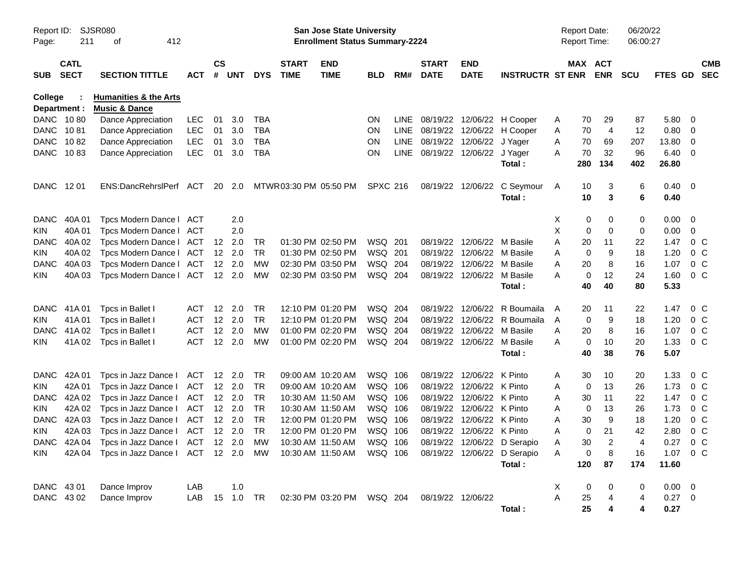| Report ID:<br>Page:     | 211                        | SJSR080<br>412<br>οf                                         |            |           |                |            |                             | <b>San Jose State University</b><br><b>Enrollment Status Summary-2224</b> |                 |       |                             |                           |                             |   | <b>Report Date:</b><br><b>Report Time:</b> |            | 06/20/22<br>06:00:27 |             |                |                          |
|-------------------------|----------------------------|--------------------------------------------------------------|------------|-----------|----------------|------------|-----------------------------|---------------------------------------------------------------------------|-----------------|-------|-----------------------------|---------------------------|-----------------------------|---|--------------------------------------------|------------|----------------------|-------------|----------------|--------------------------|
| <b>SUB</b>              | <b>CATL</b><br><b>SECT</b> | <b>SECTION TITTLE</b>                                        | <b>ACT</b> | <b>CS</b> | # UNT          | <b>DYS</b> | <b>START</b><br><b>TIME</b> | <b>END</b><br><b>TIME</b>                                                 | <b>BLD</b>      | RM#   | <b>START</b><br><b>DATE</b> | <b>END</b><br><b>DATE</b> | <b>INSTRUCTR ST ENR</b>     |   | MAX ACT                                    | <b>ENR</b> | <b>SCU</b>           | FTES GD     |                | <b>CMB</b><br><b>SEC</b> |
| College<br>Department : |                            | <b>Humanities &amp; the Arts</b><br><b>Music &amp; Dance</b> |            |           |                |            |                             |                                                                           |                 |       |                             |                           |                             |   |                                            |            |                      |             |                |                          |
| DANC 1080               |                            | Dance Appreciation                                           | LEC        | 01        | 3.0            | <b>TBA</b> |                             |                                                                           | ON.             | LINE. | 08/19/22                    | 12/06/22                  | H Cooper                    | A | 70                                         | 29         | 87                   | 5.80        | 0              |                          |
| DANC 1081               |                            | Dance Appreciation                                           | <b>LEC</b> | 01        | 3.0            | TBA        |                             |                                                                           | ON.             | LINE  | 08/19/22                    | 12/06/22                  | H Cooper                    | Α | 70                                         | 4          | 12                   | 0.80        | 0              |                          |
| <b>DANC</b>             | 1082                       | Dance Appreciation                                           | <b>LEC</b> | 01        | 3.0            | TBA        |                             |                                                                           | <b>ON</b>       | LINE  |                             | 08/19/22 12/06/22         | J Yager                     | Α | 70                                         | 69         | 207                  | 13.80       | 0              |                          |
| DANC 1083               |                            | Dance Appreciation                                           | <b>LEC</b> | 01        | 3.0            | <b>TBA</b> |                             |                                                                           | <b>ON</b>       |       | LINE 08/19/22 12/06/22      |                           | J Yager                     | A | 70                                         | 32         | 96                   | 6.40        | 0              |                          |
|                         |                            |                                                              |            |           |                |            |                             |                                                                           |                 |       |                             |                           | Total:                      |   | 280                                        | 134        | 402                  | 26.80       |                |                          |
| DANC 1201               |                            | ENS:DancRehrslPerf ACT                                       |            |           | 20 2.0         |            |                             | MTWR03:30 PM 05:50 PM                                                     | <b>SPXC 216</b> |       | 08/19/22                    | 12/06/22                  | C Seymour                   | A | 10                                         | 3          | 6                    | 0.40        | - 0            |                          |
|                         |                            |                                                              |            |           |                |            |                             |                                                                           |                 |       |                             |                           | Total:                      |   | 10                                         | 3          | 6                    | 0.40        |                |                          |
| <b>DANC</b>             | 40A 01                     | Tpcs Modern Dance I                                          | ACT        |           | 2.0            |            |                             |                                                                           |                 |       |                             |                           |                             | X | 0                                          | 0          | 0                    | 0.00        | 0              |                          |
| <b>KIN</b>              | 40A 01                     | Tpcs Modern Dance I                                          | ACT        |           | 2.0            |            |                             |                                                                           |                 |       |                             |                           |                             | Χ | 0                                          | 0          | 0                    | 0.00        | 0              |                          |
| <b>DANC</b>             | 40A 02                     | Tpcs Modern Dance I                                          | ACT        | 12        | 2.0            | TR         |                             | 01:30 PM 02:50 PM                                                         | WSQ 201         |       | 08/19/22                    | 12/06/22                  | M Basile                    | Α | 20                                         | 11         | 22                   | 1.47        | 0 <sup>o</sup> |                          |
| <b>KIN</b>              | 40A 02                     | Tpcs Modern Dance I                                          | ACT        | 12        | 2.0            | <b>TR</b>  |                             | 01:30 PM 02:50 PM                                                         | WSQ 201         |       | 08/19/22                    | 12/06/22                  | M Basile                    | A | 0                                          | 9          | 18                   | 1.20        | 0 <sub>C</sub> |                          |
| <b>DANC</b>             | 40A03                      | Tpcs Modern Dance I                                          | ACT        | 12        | 2.0            | МW         |                             | 02:30 PM 03:50 PM                                                         | WSQ 204         |       | 08/19/22                    | 12/06/22                  | M Basile                    | Α | 20                                         | 8          | 16                   | 1.07        | 0 <sub>C</sub> |                          |
| <b>KIN</b>              | 40A 03                     | Tpcs Modern Dance I                                          | ACT        |           | 12 2.0         | <b>MW</b>  |                             | 02:30 PM 03:50 PM                                                         | WSQ 204         |       | 08/19/22                    | 12/06/22                  | M Basile                    | Α | 0                                          | 12         | 24                   | 1.60        | 0 <sup>o</sup> |                          |
|                         |                            |                                                              |            |           |                |            |                             |                                                                           |                 |       |                             |                           | Total:                      |   | 40                                         | 40         | 80                   | 5.33        |                |                          |
| <b>DANC</b>             | 41A 01                     | Tpcs in Ballet I                                             | ACT        | 12        | 2.0            | TR         |                             | 12:10 PM 01:20 PM                                                         | WSQ 204         |       | 08/19/22                    | 12/06/22                  | R Boumaila                  | A | 20                                         | 11         | 22                   | 1.47        | 0 <sup>o</sup> |                          |
| <b>KIN</b>              | 41A01                      | Tpcs in Ballet I                                             | ACT        | 12        | 2.0            | TR         |                             | 12:10 PM 01:20 PM                                                         | WSQ 204         |       | 08/19/22                    | 12/06/22                  | R Boumaila                  | Α | 0                                          | 9          | 18                   | 1.20        | 0 <sup>o</sup> |                          |
| <b>DANC</b>             | 41A 02                     | Tpcs in Ballet I                                             | <b>ACT</b> | 12        | 2.0            | МW         |                             | 01:00 PM 02:20 PM                                                         | WSQ 204         |       | 08/19/22                    | 12/06/22                  | M Basile                    | A | 20                                         | 8          | 16                   | 1.07        | 0 <sup>C</sup> |                          |
| <b>KIN</b>              | 41A 02                     | Tpcs in Ballet I                                             | <b>ACT</b> | 12        | 2.0            | MW         |                             | 01:00 PM 02:20 PM                                                         | WSQ 204         |       | 08/19/22                    | 12/06/22                  | M Basile                    | Α | 0                                          | 10         | 20                   | 1.33        | 0 <sup>o</sup> |                          |
|                         |                            |                                                              |            |           |                |            |                             |                                                                           |                 |       |                             |                           | Total:                      |   | 40                                         | 38         | 76                   | 5.07        |                |                          |
| <b>DANC</b>             | 42A 01                     | Tpcs in Jazz Dance I                                         | ACT        | 12        | - 2.0          | TR         |                             | 09:00 AM 10:20 AM                                                         | WSQ 106         |       | 08/19/22                    | 12/06/22                  | K Pinto                     | Α | 30                                         | 10         | 20                   | 1.33        | 0 <sup>o</sup> |                          |
| <b>KIN</b>              | 42A 01                     | Tpcs in Jazz Dance I                                         | ACT        | 12        | - 2.0          | TR         |                             | 09:00 AM 10:20 AM                                                         | WSQ 106         |       | 08/19/22                    | 12/06/22                  | K Pinto                     | Α | 0                                          | 13         | 26                   | 1.73        | 0 <sup>o</sup> |                          |
| <b>DANC</b>             | 42A 02                     | Tpcs in Jazz Dance I                                         | ACT        | 12        | - 2.0          | TR         |                             | 10:30 AM 11:50 AM                                                         | WSQ 106         |       | 08/19/22                    | 12/06/22                  | K Pinto                     | Α | 30                                         | 11         | 22                   | 1.47        | 0 <sup>o</sup> |                          |
| <b>KIN</b>              | 42A 02                     | Tpcs in Jazz Dance I                                         | ACT        | 12        | - 2.0          | TR         |                             | 10:30 AM 11:50 AM                                                         | WSQ 106         |       | 08/19/22                    | 12/06/22                  | K Pinto                     | Α | 0                                          | 13         | 26                   | 1.73        | 0 <sup>o</sup> |                          |
| <b>DANC</b>             | 42A 03                     | Tpcs in Jazz Dance I                                         | ACT        | 12        | - 2.0          | TR         |                             | 12:00 PM 01:20 PM                                                         | WSQ 106         |       | 08/19/22                    | 12/06/22                  | K Pinto                     | Α | 30                                         | 9          | 18                   | 1.20        | 0 <sub>C</sub> |                          |
| <b>KIN</b>              | 42A 03                     | Tpcs in Jazz Dance I                                         | ACT        |           | $12 \quad 2.0$ | <b>TR</b>  |                             | 12:00 PM 01:20 PM                                                         | WSQ 106         |       |                             | 08/19/22 12/06/22 K Pinto |                             | Α | 0                                          | 21         | 42                   | 2.80        | 0 <sup>o</sup> |                          |
|                         |                            | DANC 42A 04 Tpcs in Jazz Dance   ACT 12 2.0                  |            |           |                | <b>MW</b>  |                             | 10:30 AM 11:50 AM   WSQ   106                                             |                 |       |                             |                           | 08/19/22 12/06/22 D Serapio | Α | 30                                         | 2          | 4                    | 0.27 0 C    |                |                          |
| KIN.                    |                            | 42A 04 Tpcs in Jazz Dance I ACT 12 2.0                       |            |           |                | MW         |                             | 10:30 AM 11:50 AM                                                         | WSQ 106         |       |                             |                           | 08/19/22 12/06/22 D Serapio | Α | 0                                          | 8          | 16                   | 1.07 0 C    |                |                          |
|                         |                            |                                                              |            |           |                |            |                             |                                                                           |                 |       |                             |                           | Total:                      |   | 120                                        | 87         | 174                  | 11.60       |                |                          |
| DANC 43 01              |                            | Dance Improv                                                 | LAB        |           | 1.0            |            |                             |                                                                           |                 |       |                             |                           |                             | X | $\boldsymbol{0}$                           | 0          | 0                    | $0.00 \t 0$ |                |                          |
| DANC 4302               |                            | Dance Improv                                                 | LAB        |           |                |            |                             | 02:30 PM 03:20 PM WSQ 204                                                 |                 |       | 08/19/22 12/06/22           |                           |                             | A | 25                                         |            | 4                    | $0.27$ 0    |                |                          |
|                         |                            |                                                              |            |           |                |            |                             |                                                                           |                 |       |                             |                           | Total:                      |   | 25                                         |            | 4                    | 0.27        |                |                          |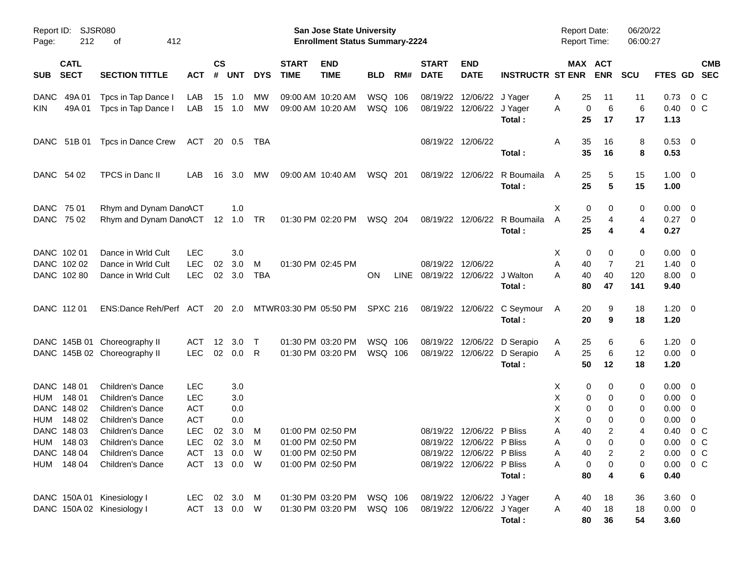| Report ID:<br>Page: | 212                        | <b>SJSR080</b><br>412<br>οf   |              |                |            |            |                             | San Jose State University<br><b>Enrollment Status Summary-2224</b> |                 |     |                                 |                           |                         | <b>Report Date:</b><br><b>Report Time:</b> |                       | 06/20/22<br>06:00:27 |                     |                           |
|---------------------|----------------------------|-------------------------------|--------------|----------------|------------|------------|-----------------------------|--------------------------------------------------------------------|-----------------|-----|---------------------------------|---------------------------|-------------------------|--------------------------------------------|-----------------------|----------------------|---------------------|---------------------------|
| <b>SUB</b>          | <b>CATL</b><br><b>SECT</b> | <b>SECTION TITTLE</b>         | ACT          | <b>CS</b><br># | <b>UNT</b> | <b>DYS</b> | <b>START</b><br><b>TIME</b> | <b>END</b><br><b>TIME</b>                                          | <b>BLD</b>      | RM# | <b>START</b><br><b>DATE</b>     | <b>END</b><br><b>DATE</b> | <b>INSTRUCTR ST ENR</b> |                                            | MAX ACT<br><b>ENR</b> | <b>SCU</b>           |                     | <b>CMB</b><br>FTES GD SEC |
| <b>DANC</b>         | 49A 01                     | Tpcs in Tap Dance I           | LAB          | 15             | 1.0        | МW         |                             | 09:00 AM 10:20 AM                                                  | WSQ 106         |     |                                 | 08/19/22 12/06/22         | J Yager                 | 25<br>A                                    | 11                    | 11                   | 0.73                | $0\,$ C                   |
| KIN                 | 49A 01                     | Tpcs in Tap Dance I           | LAB          | 15             | 1.0        | <b>MW</b>  |                             | 09:00 AM 10:20 AM                                                  | WSQ 106         |     |                                 | 08/19/22 12/06/22 J Yager | Total:                  | A<br>25                                    | 6<br>0<br>17          | 6<br>17              | 0.40<br>1.13        | 0 <sup>C</sup>            |
|                     | DANC 51B 01                | Tpcs in Dance Crew            | ACT          |                | 20 0.5     | TBA        |                             |                                                                    |                 |     |                                 | 08/19/22 12/06/22         |                         | Α<br>35                                    | 16                    | 8                    | $0.53 \ 0$          |                           |
|                     |                            |                               |              |                |            |            |                             |                                                                    |                 |     |                                 |                           | Total:                  | 35                                         | 16                    | 8                    | 0.53                |                           |
| DANC 54 02          |                            | TPCS in Danc II               | LAB          | 16             | 3.0        | MW         |                             | 09:00 AM 10:40 AM                                                  | WSQ 201         |     |                                 | 08/19/22 12/06/22         | R Boumaila<br>Total:    | A<br>25<br>25                              | 5<br>5                | 15<br>15             | $1.00 \t 0$<br>1.00 |                           |
| DANC 75 01          |                            | Rhym and Dynam DancACT        |              |                | 1.0        |            |                             |                                                                    |                 |     |                                 |                           |                         | Χ                                          | 0<br>0                | 0                    | 0.00                | - 0                       |
| DANC 75 02          |                            | Rhym and Dynam DancACT 12 1.0 |              |                |            | TR         |                             | 01:30 PM 02:20 PM                                                  | WSQ 204         |     |                                 | 08/19/22 12/06/22         | R Boumaila<br>Total:    | A<br>25<br>25                              | 4<br>4                | 4<br>4               | 0.27<br>0.27        | $\overline{\phantom{0}}$  |
|                     |                            |                               |              |                |            |            |                             |                                                                    |                 |     |                                 |                           |                         |                                            |                       |                      |                     |                           |
|                     | DANC 102 01                | Dance in Wrld Cult            | <b>LEC</b>   |                | 3.0        |            |                             |                                                                    |                 |     |                                 |                           |                         | X                                          | 0<br>0                | 0                    | 0.00                | $\overline{\mathbf{0}}$   |
|                     | DANC 102 02                | Dance in Wrld Cult            | <b>LEC</b>   | 02             | 3.0        | M          |                             | 01:30 PM 02:45 PM                                                  |                 |     | 08/19/22 12/06/22               |                           |                         | A<br>40                                    | 7                     | 21                   | 1.40                | $\overline{\mathbf{0}}$   |
|                     | DANC 102 80                | Dance in Wrld Cult            | <b>LEC</b>   | 02             | 3.0        | <b>TBA</b> |                             |                                                                    | <b>ON</b>       |     | LINE 08/19/22 12/06/22 J Walton |                           |                         | 40<br>A                                    | 40                    | 120                  | 8.00                | $\overline{\mathbf{0}}$   |
|                     |                            |                               |              |                |            |            |                             |                                                                    |                 |     |                                 |                           | Total:                  | 80                                         | 47                    | 141                  | 9.40                |                           |
|                     | DANC 112 01                | ENS:Dance Reh/Perf ACT 20 2.0 |              |                |            |            | MTWR 03:30 PM 05:50 PM      |                                                                    | <b>SPXC 216</b> |     |                                 | 08/19/22 12/06/22         | C Seymour               | A<br>20                                    | 9                     | 18                   | $1.20 \t 0$         |                           |
|                     |                            |                               |              |                |            |            |                             |                                                                    |                 |     |                                 |                           | Total:                  | 20                                         | 9                     | 18                   | 1.20                |                           |
|                     |                            | DANC 145B 01 Choreography II  | ACT          | 12             | 3.0        | $\top$     |                             | 01:30 PM 03:20 PM                                                  | WSQ 106         |     |                                 | 08/19/22 12/06/22         | D Serapio               | 25<br>A                                    | 6                     | 6                    | 1.20                | - 0                       |
|                     |                            | DANC 145B 02 Choreography II  | <b>LEC</b>   | 02             | 0.0        | R          |                             | 01:30 PM 03:20 PM                                                  | WSQ 106         |     |                                 | 08/19/22 12/06/22         | D Serapio               | 25<br>A                                    | 6                     | 12                   | $0.00 \t 0$         |                           |
|                     |                            |                               |              |                |            |            |                             |                                                                    |                 |     |                                 |                           | Total:                  | 50                                         | 12                    | 18                   | 1.20                |                           |
|                     | DANC 148 01                | <b>Children's Dance</b>       | <b>LEC</b>   |                | 3.0        |            |                             |                                                                    |                 |     |                                 |                           |                         | X                                          | 0<br>0                | 0                    | 0.00                | - 0                       |
| HUM                 | 148 01                     | <b>Children's Dance</b>       | LEC          |                | 3.0        |            |                             |                                                                    |                 |     |                                 |                           |                         | х                                          | 0<br>0                | 0                    | 0.00                | - 0                       |
|                     | DANC 148 02                | Children's Dance              | <b>ACT</b>   |                | 0.0        |            |                             |                                                                    |                 |     |                                 |                           |                         | х                                          | 0<br>0                | 0                    | 0.00                | 0                         |
| HUM                 | 148 02                     | <b>Children's Dance</b>       | <b>ACT</b>   |                | 0.0        |            |                             |                                                                    |                 |     |                                 |                           |                         | X                                          | 0<br>0                | 0                    | 0.00                | 0                         |
|                     | DANC 148 03                | <b>Children's Dance</b>       | <b>LEC</b>   | 02             | 3.0        | M          |                             | 01:00 PM 02:50 PM                                                  |                 |     |                                 | 08/19/22 12/06/22 P Bliss |                         | 40<br>A                                    | 2                     | 4                    | 0.40                | $0\,$ C                   |
|                     | HUM 148 03                 | Children's Dance              | <b>LEC</b>   |                | 02 3.0     | M          |                             | 01:00 PM 02:50 PM                                                  |                 |     |                                 | 08/19/22 12/06/22 P Bliss |                         | Α                                          | 0<br>0                | 0                    | $0.00 \t 0 C$       |                           |
|                     | DANC 148 04                | Children's Dance              | <b>ACT</b>   | 13             | 0.0        | W          |                             | 01:00 PM 02:50 PM                                                  |                 |     |                                 | 08/19/22 12/06/22 P Bliss |                         | Α<br>40                                    | 2                     | 2                    | 0.00                | $0\,$ C                   |
|                     | HUM 148 04                 | Children's Dance              | ACT          |                | 13  0.0  W |            |                             | 01:00 PM 02:50 PM                                                  |                 |     |                                 | 08/19/22 12/06/22 P Bliss |                         | Α                                          | 0<br>0                | 0                    | 0.00                | $0\,C$                    |
|                     |                            |                               |              |                |            |            |                             |                                                                    |                 |     |                                 |                           | Total:                  | 80                                         | 4                     | 6                    | 0.40                |                           |
|                     |                            | DANC 150A 01 Kinesiology I    | LEC          |                | 02 3.0     | M          |                             | 01:30 PM 03:20 PM                                                  | WSQ 106         |     |                                 | 08/19/22 12/06/22 J Yager |                         | 40<br>A                                    | 18                    | 36                   | $3.60 \ 0$          |                           |
|                     |                            | DANC 150A 02 Kinesiology I    | ACT 13 0.0 W |                |            |            |                             | 01:30 PM 03:20 PM                                                  | WSQ 106         |     |                                 | 08/19/22 12/06/22 J Yager |                         | A<br>40                                    | 18                    | 18                   | $0.00 \t 0$         |                           |
|                     |                            |                               |              |                |            |            |                             |                                                                    |                 |     |                                 |                           | Total:                  | 80                                         | 36                    | 54                   | 3.60                |                           |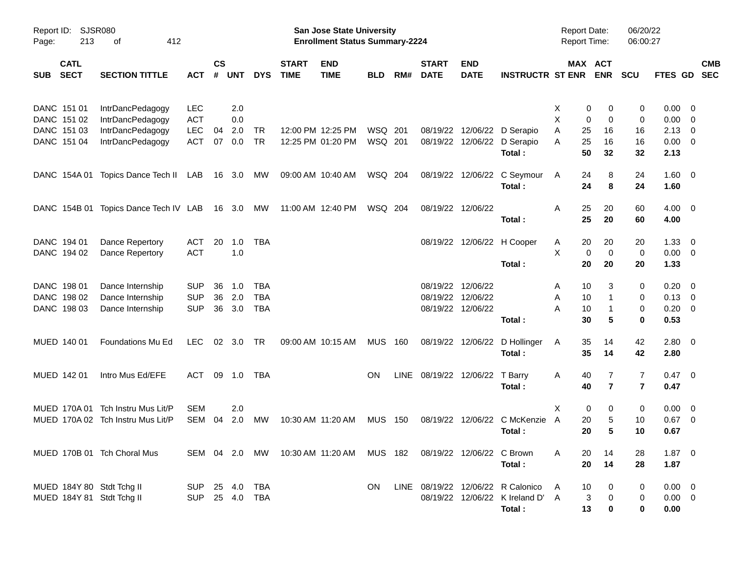| Report ID:<br>Page: | 213                        | <b>SJSR080</b><br>412<br>οf       |                |                    |                |            |                             | <b>San Jose State University</b><br><b>Enrollment Status Summary-2224</b> |                |     |                             |                           |                                   | <b>Report Date:</b><br>Report Time: |                       | 06/20/22<br>06:00:27 |                |                          |            |
|---------------------|----------------------------|-----------------------------------|----------------|--------------------|----------------|------------|-----------------------------|---------------------------------------------------------------------------|----------------|-----|-----------------------------|---------------------------|-----------------------------------|-------------------------------------|-----------------------|----------------------|----------------|--------------------------|------------|
| <b>SUB</b>          | <b>CATL</b><br><b>SECT</b> | <b>SECTION TITTLE</b>             | <b>ACT</b>     | $\mathsf{cs}$<br># | <b>UNT</b>     | <b>DYS</b> | <b>START</b><br><b>TIME</b> | <b>END</b><br><b>TIME</b>                                                 | <b>BLD</b>     | RM# | <b>START</b><br><b>DATE</b> | <b>END</b><br><b>DATE</b> | <b>INSTRUCTR ST ENR</b>           |                                     | MAX ACT<br><b>ENR</b> | <b>SCU</b>           | FTES GD SEC    |                          | <b>CMB</b> |
| DANC 151 01         |                            | IntrDancPedagogy                  | <b>LEC</b>     |                    | 2.0            |            |                             |                                                                           |                |     |                             |                           |                                   | X                                   | 0<br>0                | 0                    | 0.00           | $\overline{\mathbf{0}}$  |            |
| DANC 151 02         |                            | IntrDancPedagogy                  | <b>ACT</b>     |                    | 0.0            |            |                             |                                                                           |                |     |                             |                           |                                   | X                                   | 0<br>0                | 0                    | 0.00           | $\overline{\mathbf{0}}$  |            |
| DANC 151 03         |                            | IntrDancPedagogy                  | LEC            | 04                 | 2.0            | <b>TR</b>  |                             | 12:00 PM 12:25 PM                                                         | WSQ 201        |     |                             |                           | 08/19/22 12/06/22 D Serapio       | Α<br>25                             | 16                    | 16                   | 2.13           | $\overline{0}$           |            |
| DANC 151 04         |                            | IntrDancPedagogy                  | <b>ACT</b>     | 07                 | 0.0            | <b>TR</b>  |                             | 12:25 PM 01:20 PM                                                         | WSQ 201        |     |                             | 08/19/22 12/06/22         | D Serapio<br>Total:               | 25<br>A<br>50                       | 16<br>32              | 16<br>32             | 0.00<br>2.13   | $\overline{\mathbf{0}}$  |            |
|                     | DANC 154A 01               | Topics Dance Tech II              | LAB            |                    | 16 3.0         | МW         |                             | 09:00 AM 10:40 AM                                                         | WSQ 204        |     |                             | 08/19/22 12/06/22         | C Seymour                         | 24<br>A                             | 8                     | 24                   | $1.60 \t 0$    |                          |            |
|                     |                            |                                   |                |                    |                |            |                             |                                                                           |                |     |                             |                           | Total:                            | 24                                  | 8                     | 24                   | 1.60           |                          |            |
|                     | DANC 154B 01               | Topics Dance Tech IV LAB          |                |                    | 16 3.0         | МW         |                             | 11:00 AM 12:40 PM                                                         | WSQ 204        |     |                             | 08/19/22 12/06/22         |                                   | Α<br>25                             | 20                    | 60                   | $4.00 \ 0$     |                          |            |
|                     |                            |                                   |                |                    |                |            |                             |                                                                           |                |     |                             |                           | Total:                            | 25                                  | 20                    | 60                   | 4.00           |                          |            |
| DANC 194 01         |                            | Dance Repertory                   | <b>ACT</b>     | 20                 | 1.0            | <b>TBA</b> |                             |                                                                           |                |     |                             |                           | 08/19/22 12/06/22 H Cooper        | 20<br>A                             | 20                    | 20                   | 1.33           | $\overline{\mathbf{0}}$  |            |
| DANC 194 02         |                            | Dance Repertory                   | <b>ACT</b>     |                    | 1.0            |            |                             |                                                                           |                |     |                             |                           |                                   | X                                   | 0<br>$\mathbf 0$      | 0                    | $0.00 \t 0$    |                          |            |
|                     |                            |                                   |                |                    |                |            |                             |                                                                           |                |     |                             |                           | Total:                            | 20                                  | 20                    | 20                   | 1.33           |                          |            |
| DANC 198 01         |                            | Dance Internship                  | <b>SUP</b>     | 36                 | 1.0            | TBA        |                             |                                                                           |                |     | 08/19/22 12/06/22           |                           |                                   | 10<br>A                             | 3                     | 0                    | 0.20           | - 0                      |            |
| DANC 198 02         |                            | Dance Internship                  | <b>SUP</b>     | 36                 | 2.0            | <b>TBA</b> |                             |                                                                           |                |     | 08/19/22 12/06/22           |                           |                                   | 10<br>Α                             | $\mathbf{1}$          | 0                    | $0.13 \ 0$     |                          |            |
| DANC 198 03         |                            | Dance Internship                  | <b>SUP</b>     | 36                 | 3.0            | <b>TBA</b> |                             |                                                                           |                |     |                             | 08/19/22 12/06/22         |                                   | А<br>10                             | $\mathbf{1}$          | 0                    | 0.20           | $\overline{0}$           |            |
|                     |                            |                                   |                |                    |                |            |                             |                                                                           |                |     |                             |                           | Total:                            | 30                                  | 5                     | 0                    | 0.53           |                          |            |
| MUED 140 01         |                            | Foundations Mu Ed                 | <b>LEC</b>     |                    | $02 \quad 3.0$ | <b>TR</b>  |                             | 09:00 AM 10:15 AM                                                         | <b>MUS 160</b> |     |                             | 08/19/22 12/06/22         | D Hollinger                       | 35<br>A                             | 14                    | 42                   | $2.80 \ 0$     |                          |            |
|                     |                            |                                   |                |                    |                |            |                             |                                                                           |                |     |                             |                           | Total:                            | 35                                  | 14                    | 42                   | 2.80           |                          |            |
| MUED 142 01         |                            | Intro Mus Ed/EFE                  | <b>ACT</b>     |                    | 09 1.0         | TBA        |                             |                                                                           | <b>ON</b>      |     | LINE 08/19/22 12/06/22      |                           | T Barry                           | 40<br>A                             | 7                     | 7                    | $0.47 \quad 0$ |                          |            |
|                     |                            |                                   |                |                    |                |            |                             |                                                                           |                |     |                             |                           | Total:                            | 40                                  | $\overline{7}$        | $\overline{7}$       | 0.47           |                          |            |
|                     | MUED 170A 01               | Tch Instru Mus Lit/P              | <b>SEM</b>     |                    | 2.0            |            |                             |                                                                           |                |     |                             |                           |                                   | Χ                                   | 0<br>0                | 0                    | 0.00           | $\overline{\phantom{0}}$ |            |
|                     |                            | MUED 170A 02 Tch Instru Mus Lit/P | SEM            | 04                 | 2.0            | МW         |                             | 10:30 AM 11:20 AM                                                         | MUS            | 150 |                             | 08/19/22 12/06/22         | C McKenzie                        | A<br>20                             | 5                     | 10                   | $0.67$ 0       |                          |            |
|                     |                            |                                   |                |                    |                |            |                             |                                                                           |                |     |                             |                           | Total:                            | 20                                  | 5                     | 10                   | 0.67           |                          |            |
|                     |                            |                                   |                |                    |                |            |                             |                                                                           |                |     |                             |                           |                                   |                                     |                       |                      |                |                          |            |
|                     |                            | MUED 170B 01 Tch Choral Mus       |                |                    |                |            |                             | SEM 04 2.0 MW 10:30 AM 11:20 AM MUS 182 08/19/22 12/06/22 C Brown         |                |     |                             |                           |                                   | A                                   | 14<br>20              | 28                   | $1.87 \t 0$    |                          |            |
|                     |                            |                                   |                |                    |                |            |                             |                                                                           |                |     |                             |                           | Total:                            |                                     | 20<br>14              | 28                   | 1.87           |                          |            |
|                     |                            | MUED 184Y 80 Stdt Tchg II         | SUP 25 4.0 TBA |                    |                |            |                             |                                                                           | ON.            |     |                             |                           | LINE 08/19/22 12/06/22 R Calonico | 10<br>A                             | 0                     | 0                    | $0.00 \quad 0$ |                          |            |
|                     |                            | MUED 184Y 81 Stdt Tchg II         | SUP 25 4.0 TBA |                    |                |            |                             |                                                                           |                |     |                             |                           | 08/19/22 12/06/22 K Ireland D' A  |                                     | 3<br>0                | 0                    | $0.00 \quad 0$ |                          |            |
|                     |                            |                                   |                |                    |                |            |                             |                                                                           |                |     |                             |                           | Total:                            | 13                                  | 0                     | 0                    | 0.00           |                          |            |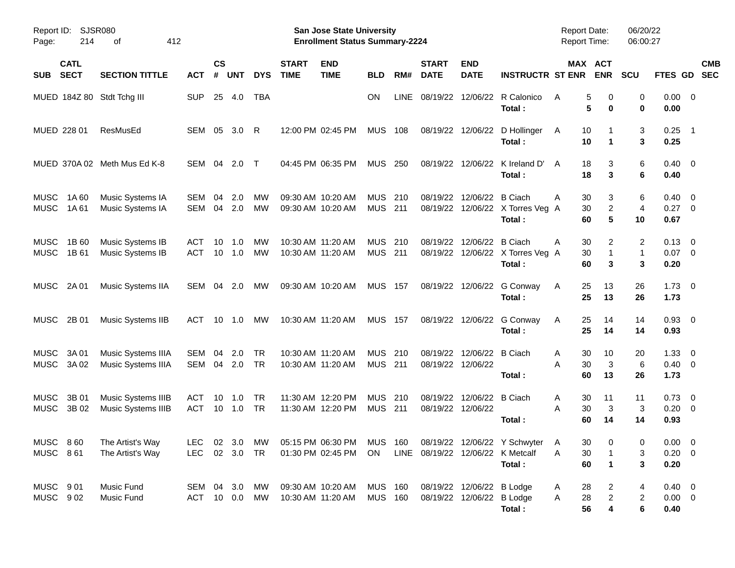| Report ID:<br>214<br>Page:                 | SJSR080<br>412<br>οf                            |                          |                    |            |                 |                             | San Jose State University<br><b>Enrollment Status Summary-2224</b> |                              |            |                             |                                       |                                                                                  | <b>Report Date:</b><br><b>Report Time:</b> |                          | 06/20/22<br>06:00:27 |                                      |                          |  |
|--------------------------------------------|-------------------------------------------------|--------------------------|--------------------|------------|-----------------|-----------------------------|--------------------------------------------------------------------|------------------------------|------------|-----------------------------|---------------------------------------|----------------------------------------------------------------------------------|--------------------------------------------|--------------------------|----------------------|--------------------------------------|--------------------------|--|
| <b>CATL</b><br><b>SECT</b><br><b>SUB</b>   | <b>SECTION TITTLE</b>                           | <b>ACT</b>               | $\mathsf{cs}$<br># | <b>UNT</b> | <b>DYS</b>      | <b>START</b><br><b>TIME</b> | <b>END</b><br><b>TIME</b>                                          | <b>BLD</b>                   | RM#        | <b>START</b><br><b>DATE</b> | <b>END</b><br><b>DATE</b>             | <b>INSTRUCTR ST ENR</b>                                                          |                                            | MAX ACT<br><b>ENR</b>    | <b>SCU</b>           | FTES GD                              | <b>CMB</b><br><b>SEC</b> |  |
| MUED 184Z 80 Stdt Tchg III                 |                                                 | <b>SUP</b>               | 25                 | 4.0        | <b>TBA</b>      |                             |                                                                    | <b>ON</b>                    | LINE       | 08/19/22                    |                                       | 12/06/22 R Calonico<br>Total:                                                    | A                                          | 5<br>0<br>5<br>0         | 0<br>0               | $0.00 \t 0$<br>0.00                  |                          |  |
| MUED 228 01                                | ResMusEd                                        | SEM                      | 05                 | 3.0        | -R              |                             | 12:00 PM 02:45 PM                                                  | <b>MUS</b>                   | 108        |                             |                                       | 08/19/22 12/06/22 D Hollinger<br>Total:                                          | 10<br>A<br>10                              | 1                        | 3<br>3               | 0.25<br>0.25                         | $\overline{\phantom{0}}$ |  |
|                                            | MUED 370A 02 Meth Mus Ed K-8                    | SEM                      | 04                 | 2.0        | $\top$          |                             | 04:45 PM 06:35 PM                                                  | <b>MUS</b>                   | 250        | 08/19/22                    | 12/06/22                              | K Ireland D'<br>Total:                                                           | 18<br>A<br>18                              | 3<br>3                   | 6<br>6               | $0.40 \quad 0$<br>0.40               |                          |  |
| <b>MUSC</b><br>1A60<br><b>MUSC</b><br>1A61 | Music Systems IA<br>Music Systems IA            | SEM<br><b>SEM</b>        | 04<br>04           | 2.0<br>2.0 | МW<br><b>MW</b> | 09:30 AM 10:20 AM           | 09:30 AM 10:20 AM                                                  | <b>MUS</b><br><b>MUS 211</b> | 210        | 08/19/22<br>08/19/22        | 12/06/22 B Ciach                      | 12/06/22 X Torres Veg A<br>Total:                                                | 30<br>Α<br>30<br>60                        | 3<br>$\overline{c}$<br>5 | 6<br>4<br>10         | 0.40<br>$0.27 \ 0$<br>0.67           | $\overline{\phantom{0}}$ |  |
| <b>MUSC</b><br>1B 60<br>MUSC<br>1B 61      | Music Systems IB<br>Music Systems IB            | <b>ACT</b><br><b>ACT</b> | 10<br>10           | 1.0<br>1.0 | МW<br><b>MW</b> |                             | 10:30 AM 11:20 AM<br>10:30 AM 11:20 AM                             | <b>MUS</b><br><b>MUS 211</b> | 210        | 08/19/22<br>08/19/22        | 12/06/22                              | B Ciach<br>12/06/22 X Torres Veg A<br>Total:                                     | 30<br>Α<br>30<br>60                        | 2<br>1<br>3              | 2<br>1<br>3          | $0.13 \quad 0$<br>$0.07$ 0<br>0.20   |                          |  |
| MUSC<br>2A 01                              | Music Systems IIA                               | SEM                      | 04                 | 2.0        | МW              |                             | 09:30 AM 10:20 AM                                                  | <b>MUS 157</b>               |            |                             |                                       | 08/19/22 12/06/22 G Conway<br>Total:                                             | 25<br>A<br>25                              | 13<br>13                 | 26<br>26             | $1.73 \t 0$<br>1.73                  |                          |  |
| MUSC<br>2B 01                              | Music Systems IIB                               | <b>ACT</b>               | 10                 | 1.0        | МW              |                             | 10:30 AM 11:20 AM                                                  | <b>MUS 157</b>               |            |                             |                                       | 08/19/22 12/06/22 G Conway<br>Total:                                             | 25<br>A<br>25                              | 14<br>14                 | 14<br>14             | $0.93$ 0<br>0.93                     |                          |  |
| <b>MUSC</b><br>3A 01<br>MUSC<br>3A 02      | Music Systems IIIA<br>Music Systems IIIA        | SEM<br><b>SEM</b>        | 04<br>04           | 2.0<br>2.0 | TR<br>TR        |                             | 10:30 AM 11:20 AM<br>10:30 AM 11:20 AM                             | <b>MUS</b><br><b>MUS 211</b> | 210        | 08/19/22                    | 12/06/22 B Ciach<br>08/19/22 12/06/22 | Total:                                                                           | 30<br>Α<br>30<br>Α<br>60                   | 10<br>3<br>13            | 20<br>6<br>26        | $1.33 \ 0$<br>$0.40 \quad 0$<br>1.73 |                          |  |
| <b>MUSC</b><br>3B 01<br>MUSC<br>3B 02      | Music Systems IIIB<br><b>Music Systems IIIB</b> | <b>ACT</b><br><b>ACT</b> | 10<br>10           | 1.0<br>1.0 | TR<br><b>TR</b> |                             | 11:30 AM 12:20 PM<br>11:30 AM 12:20 PM                             | <b>MUS</b><br><b>MUS</b>     | 210<br>211 | 08/19/22                    | 12/06/22 B Ciach<br>08/19/22 12/06/22 | Total:                                                                           | 30<br>A<br>A<br>30<br>60                   | 11<br>3<br>14            | 11<br>3<br>14        | $0.73 \quad 0$<br>$0.20 \ 0$<br>0.93 |                          |  |
| MUSC 860<br><b>MUSC 861</b>                | The Artist's Way<br>The Artist's Way            | LEC 02 3.0 TR            |                    |            |                 |                             | 01:30 PM 02:45 PM ON LINE 08/19/22 12/06/22 K Metcalf              |                              |            |                             |                                       | LEC 02 3.0 MW 05:15 PM 06:30 PM MUS 160 08/19/22 12/06/22 Y Schwyter A<br>Total: | 30<br>30<br>A<br>60                        | $\mathbf 0$<br>1         | 0<br>3<br>3          | $0.00 \t 0$<br>$0.20 \ 0$<br>0.20    |                          |  |
| MUSC 901<br>MUSC 902                       | Music Fund<br>Music Fund                        | SEM 04 3.0 MW<br>ACT     |                    |            | 10  0.0  MW     |                             | 09:30 AM 10:20 AM<br>10:30 AM 11:20 AM                             | MUS 160<br><b>MUS 160</b>    |            | 08/19/22 12/06/22 B Lodge   | 08/19/22 12/06/22 B Lodge             | Total:                                                                           | 28<br>A<br>28<br>A<br>56                   | 2<br>$\overline{c}$<br>4 | 4<br>2<br>6          | $0.40 \ 0$<br>$0.00 \t 0$<br>0.40    |                          |  |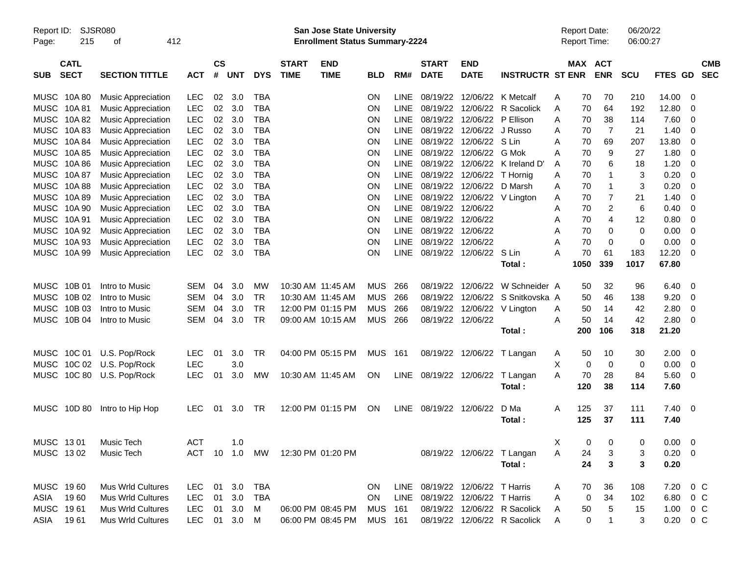| Report ID:<br>Page: | 215                        | <b>SJSR080</b><br>412<br>οf |               |                    |            |            |                             | <b>San Jose State University</b><br><b>Enrollment Status Summary-2224</b> |                |             |                             |                                 |                                |   | <b>Report Date:</b><br>Report Time: |                | 06/20/22<br>06:00:27 |                |                |                          |
|---------------------|----------------------------|-----------------------------|---------------|--------------------|------------|------------|-----------------------------|---------------------------------------------------------------------------|----------------|-------------|-----------------------------|---------------------------------|--------------------------------|---|-------------------------------------|----------------|----------------------|----------------|----------------|--------------------------|
| <b>SUB</b>          | <b>CATL</b><br><b>SECT</b> | <b>SECTION TITTLE</b>       | <b>ACT</b>    | $\mathsf{cs}$<br># | <b>UNT</b> | <b>DYS</b> | <b>START</b><br><b>TIME</b> | <b>END</b><br><b>TIME</b>                                                 | <b>BLD</b>     | RM#         | <b>START</b><br><b>DATE</b> | <b>END</b><br><b>DATE</b>       | <b>INSTRUCTR ST ENR</b>        |   | MAX ACT                             | <b>ENR</b>     | <b>SCU</b>           | FTES GD        |                | <b>CMB</b><br><b>SEC</b> |
|                     | MUSC 10A 80                | <b>Music Appreciation</b>   | <b>LEC</b>    | 02                 | 3.0        | <b>TBA</b> |                             |                                                                           | ON.            | <b>LINE</b> |                             | 08/19/22 12/06/22 K Metcalf     |                                | A | 70                                  | 70             | 210                  | 14.00          | 0              |                          |
|                     | MUSC 10A81                 | <b>Music Appreciation</b>   | <b>LEC</b>    | 02                 | 3.0        | <b>TBA</b> |                             |                                                                           | <b>ON</b>      | <b>LINE</b> |                             |                                 | 08/19/22 12/06/22 R Sacolick   | A | 70                                  | 64             | 192                  | 12.80          | 0              |                          |
| <b>MUSC</b>         | 10A 82                     | <b>Music Appreciation</b>   | <b>LEC</b>    | 02                 | 3.0        | <b>TBA</b> |                             |                                                                           | <b>ON</b>      | <b>LINE</b> |                             | 08/19/22 12/06/22 P Ellison     |                                | A | 70                                  | 38             | 114                  | 7.60           | 0              |                          |
|                     | MUSC 10A83                 | <b>Music Appreciation</b>   | <b>LEC</b>    | 02                 | 3.0        | <b>TBA</b> |                             |                                                                           | ON             | <b>LINE</b> |                             | 08/19/22 12/06/22 J Russo       |                                | A | 70                                  | $\overline{7}$ | 21                   | 1.40           | 0              |                          |
|                     | MUSC 10A 84                | <b>Music Appreciation</b>   | <b>LEC</b>    | 02                 | 3.0        | <b>TBA</b> |                             |                                                                           | <b>ON</b>      | <b>LINE</b> |                             | 08/19/22 12/06/22 S Lin         |                                | A | 70                                  | 69             | 207                  | 13.80          | 0              |                          |
|                     | MUSC 10A 85                | <b>Music Appreciation</b>   | <b>LEC</b>    | 02                 | 3.0        | <b>TBA</b> |                             |                                                                           | <b>ON</b>      | <b>LINE</b> |                             | 08/19/22 12/06/22 G Mok         |                                | A | 70                                  | 9              | 27                   | 1.80           | 0              |                          |
|                     | MUSC 10A 86                | <b>Music Appreciation</b>   | <b>LEC</b>    | 02                 | 3.0        | <b>TBA</b> |                             |                                                                           | ON             | <b>LINE</b> |                             |                                 | 08/19/22 12/06/22 K Ireland D' | A | 70                                  | 6              | 18                   | 1.20           | 0              |                          |
|                     | MUSC 10A 87                | <b>Music Appreciation</b>   | <b>LEC</b>    | 02                 | 3.0        | <b>TBA</b> |                             |                                                                           | ON             | <b>LINE</b> |                             | 08/19/22 12/06/22               | T Hornig                       | A | 70                                  | 1              | 3                    | 0.20           | 0              |                          |
| <b>MUSC</b>         | 10A 88                     | <b>Music Appreciation</b>   | <b>LEC</b>    | 02                 | 3.0        | <b>TBA</b> |                             |                                                                           | <b>ON</b>      | <b>LINE</b> |                             | 08/19/22 12/06/22 D Marsh       |                                | A | 70                                  | 1              | 3                    | 0.20           | 0              |                          |
|                     | MUSC 10A 89                | <b>Music Appreciation</b>   | <b>LEC</b>    | 02                 | 3.0        | <b>TBA</b> |                             |                                                                           | ON             | <b>LINE</b> |                             | 08/19/22 12/06/22 V Lington     |                                | A | 70                                  | $\overline{7}$ | 21                   | 1.40           | 0              |                          |
|                     | MUSC 10A 90                | <b>Music Appreciation</b>   | <b>LEC</b>    | 02                 | 3.0        | <b>TBA</b> |                             |                                                                           | <b>ON</b>      | <b>LINE</b> | 08/19/22 12/06/22           |                                 |                                | A | 70                                  | 2              | 6                    | 0.40           | 0              |                          |
|                     | MUSC 10A 91                | <b>Music Appreciation</b>   | <b>LEC</b>    | 02                 | 3.0        | <b>TBA</b> |                             |                                                                           | <b>ON</b>      | <b>LINE</b> | 08/19/22 12/06/22           |                                 |                                | A | 70                                  | 4              | 12                   | 0.80           | 0              |                          |
|                     | MUSC 10A 92                | <b>Music Appreciation</b>   | <b>LEC</b>    | 02                 | 3.0        | <b>TBA</b> |                             |                                                                           | ON             | <b>LINE</b> | 08/19/22 12/06/22           |                                 |                                | A | 70                                  | 0              | $\mathbf 0$          | 0.00           | 0              |                          |
|                     | MUSC 10A 93                | <b>Music Appreciation</b>   | <b>LEC</b>    | 02                 | 3.0        | <b>TBA</b> |                             |                                                                           | ON             | <b>LINE</b> | 08/19/22 12/06/22           |                                 |                                | A | 70                                  | $\mathbf 0$    | 0                    | 0.00           | 0              |                          |
|                     | MUSC 10A 99                | <b>Music Appreciation</b>   | <b>LEC</b>    | 02                 | 3.0        | <b>TBA</b> |                             |                                                                           | ON             | <b>LINE</b> |                             | 08/19/22 12/06/22 S Lin         |                                | A | 70                                  | 61             | 183                  | 12.20          | 0              |                          |
|                     |                            |                             |               |                    |            |            |                             |                                                                           |                |             |                             |                                 | Total:                         |   | 1050                                | 339            | 1017                 | 67.80          |                |                          |
|                     | MUSC 10B 01                | Intro to Music              | SEM           | 04                 | 3.0        | МW         |                             | 10:30 AM 11:45 AM                                                         | <b>MUS</b>     | 266         |                             | 08/19/22 12/06/22               | W Schneider A                  |   | 50                                  | 32             | 96                   | 6.40           | - 0            |                          |
| <b>MUSC</b>         | 10B 02                     | Intro to Music              | SEM           | 04                 | 3.0        | TR         |                             | 10:30 AM 11:45 AM                                                         | <b>MUS</b>     | 266         |                             | 08/19/22 12/06/22               | S Snitkovska A                 |   | 50                                  | 46             | 138                  | 9.20           | 0              |                          |
| <b>MUSC</b>         | 10B 03                     | Intro to Music              | <b>SEM</b>    | 04                 | 3.0        | <b>TR</b>  |                             | 12:00 PM 01:15 PM                                                         | <b>MUS</b>     | 266         |                             |                                 | 08/19/22 12/06/22 V Lington    | A | 50                                  | 14             | 42                   | 2.80           | 0              |                          |
|                     | MUSC 10B 04                | Intro to Music              | SEM           | 04                 | 3.0        | TR         |                             | 09:00 AM 10:15 AM                                                         | MUS            | 266         |                             | 08/19/22 12/06/22               |                                | A | 50                                  | 14             | 42                   | 2.80           | 0              |                          |
|                     |                            |                             |               |                    |            |            |                             |                                                                           |                |             |                             |                                 | Total:                         |   | 200                                 | 106            | 318                  | 21.20          |                |                          |
|                     | MUSC 10C 01                | U.S. Pop/Rock               | <b>LEC</b>    | 01                 | 3.0        | TR         |                             | 04:00 PM 05:15 PM                                                         | <b>MUS</b>     | 161         |                             | 08/19/22 12/06/22               | T Langan                       | A | 50                                  | 10             | 30                   | 2.00           | - 0            |                          |
|                     | MUSC 10C 02                | U.S. Pop/Rock               | <b>LEC</b>    |                    | 3.0        |            |                             |                                                                           |                |             |                             |                                 |                                | X | $\mathbf 0$                         | 0              | 0                    | 0.00           | $\mathbf 0$    |                          |
|                     | MUSC 10C 80                | U.S. Pop/Rock               | <b>LEC</b>    | 01                 | 3.0        | MW         |                             | 10:30 AM 11:45 AM                                                         | ON             |             | LINE 08/19/22 12/06/22      |                                 | T Langan                       | A | 70                                  | 28             | 84                   | 5.60           | $\overline{0}$ |                          |
|                     |                            |                             |               |                    |            |            |                             |                                                                           |                |             |                             |                                 | Total:                         |   | 120                                 | 38             | 114                  | 7.60           |                |                          |
|                     | MUSC 10D 80                | Intro to Hip Hop            | LEC           | 01                 | 3.0        | TR         |                             | 12:00 PM 01:15 PM                                                         | ON             | LINE        | 08/19/22 12/06/22           |                                 | D Ma                           | A | 125                                 | 37             | 111                  | $7.40 \quad 0$ |                |                          |
|                     |                            |                             |               |                    |            |            |                             |                                                                           |                |             |                             |                                 | Total:                         |   | 125                                 | 37             | 111                  | 7.40           |                |                          |
| MUSC 1301           |                            | Music Tech                  | <b>ACT</b>    |                    | 1.0        |            |                             |                                                                           |                |             |                             |                                 |                                | X | 0                                   | 0              | 0                    | $0.00 \t 0$    |                |                          |
| MUSC 1302           |                            | Music Tech                  | ACT 10 1.0 MW |                    |            |            |                             | 12:30 PM 01:20 PM                                                         |                |             |                             |                                 | 08/19/22 12/06/22 T Langan     | A | 24                                  | 3              | 3                    | $0.20 \ 0$     |                |                          |
|                     |                            |                             |               |                    |            |            |                             |                                                                           |                |             |                             |                                 | Total:                         |   | 24                                  | 3              | 3                    | 0.20           |                |                          |
| MUSC 1960           |                            | <b>Mus Wrld Cultures</b>    | LEC           |                    | 01 3.0     | TBA        |                             |                                                                           | ON.            |             |                             | LINE 08/19/22 12/06/22 T Harris |                                | A | 70                                  | 36             | 108                  | 7.20 0 C       |                |                          |
| ASIA                | 1960                       | Mus Wrld Cultures           | LEC           | 01                 | 3.0        | TBA        |                             |                                                                           | <b>ON</b>      |             |                             | LINE 08/19/22 12/06/22 T Harris |                                | A | 0                                   | 34             | 102                  | 6.80 0 C       |                |                          |
| MUSC 1961           |                            | Mus Wrld Cultures           | LEC 01 3.0    |                    |            | M          |                             | 06:00 PM 08:45 PM                                                         | <b>MUS 161</b> |             |                             |                                 | 08/19/22 12/06/22 R Sacolick   | A | 50                                  | 5              | 15                   | $1.00 \t 0 C$  |                |                          |
| ASIA 1961           |                            | Mus Wrld Cultures           | LEC 01 3.0 M  |                    |            |            |                             | 06:00 PM 08:45 PM                                                         | <b>MUS 161</b> |             |                             |                                 | 08/19/22 12/06/22 R Sacolick   | A | 0                                   |                | 3                    | $0.20 \t 0 C$  |                |                          |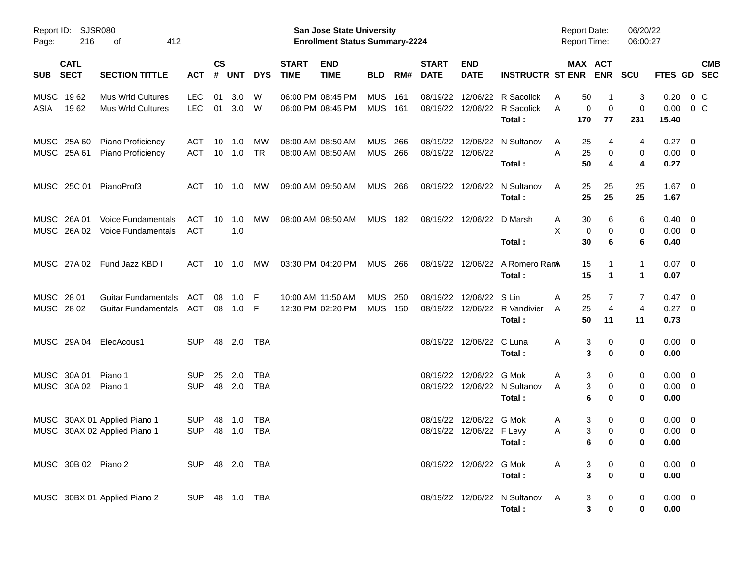| Page:       | Report ID: SJSR080<br>216  | 412<br>οf                                                    |                          |                    |                 |                          |                             | San Jose State University<br><b>Enrollment Status Summary-2224</b> |                              |     |                             |                                                     |                                                               | <b>Report Date:</b><br><b>Report Time:</b> |                                                              | 06/20/22<br>06:00:27             |                                       |                |            |
|-------------|----------------------------|--------------------------------------------------------------|--------------------------|--------------------|-----------------|--------------------------|-----------------------------|--------------------------------------------------------------------|------------------------------|-----|-----------------------------|-----------------------------------------------------|---------------------------------------------------------------|--------------------------------------------|--------------------------------------------------------------|----------------------------------|---------------------------------------|----------------|------------|
| <b>SUB</b>  | <b>CATL</b><br><b>SECT</b> | <b>SECTION TITTLE</b>                                        | <b>ACT</b>               | $\mathsf{cs}$<br># | <b>UNT</b>      | <b>DYS</b>               | <b>START</b><br><b>TIME</b> | <b>END</b><br><b>TIME</b>                                          | <b>BLD</b>                   | RM# | <b>START</b><br><b>DATE</b> | <b>END</b><br><b>DATE</b>                           | <b>INSTRUCTR ST ENR ENR</b>                                   |                                            | MAX ACT                                                      | SCU                              | FTES GD SEC                           |                | <b>CMB</b> |
| ASIA        | MUSC 1962<br>1962          | <b>Mus Wrld Cultures</b><br><b>Mus Wrld Cultures</b>         | <b>LEC</b><br><b>LEC</b> | 01                 | 3.0<br>01 3.0 W | W                        |                             | 06:00 PM 08:45 PM<br>06:00 PM 08:45 PM                             | <b>MUS</b><br>MUS 161        | 161 | 08/19/22                    |                                                     | 08/19/22 12/06/22 R Sacolick<br>12/06/22 R Sacolick<br>Total: | 50<br>A<br>A<br>170                        | -1<br>0<br>$\mathbf 0$<br>77                                 | 3<br>$\mathbf 0$<br>231          | 0.20<br>0.00<br>15.40                 | 0 C<br>$0\,$ C |            |
|             | MUSC 25A 60<br>MUSC 25A 61 | Piano Proficiency<br>Piano Proficiency                       | ACT<br>ACT               | 10                 | 1.0<br>10 1.0   | МW<br><b>TR</b>          |                             | 08:00 AM 08:50 AM<br>08:00 AM 08:50 AM                             | <b>MUS</b><br><b>MUS 266</b> | 266 | 08/19/22 12/06/22           | 08/19/22 12/06/22                                   | N Sultanov<br>Total:                                          | 25<br>A<br>A<br>25<br>50                   | 4<br>0<br>4                                                  | 4<br>0<br>4                      | $0.27 \t 0$<br>$0.00 \t 0$<br>0.27    |                |            |
|             |                            | MUSC 25C 01 PianoProf3                                       | ACT                      |                    | 10 1.0          | MW                       |                             | 09:00 AM 09:50 AM                                                  | <b>MUS 266</b>               |     |                             | 08/19/22 12/06/22                                   | N Sultanov<br>Total:                                          | A<br>25<br>25                              | 25<br>25                                                     | 25<br>25                         | $1.67$ 0<br>1.67                      |                |            |
| <b>MUSC</b> | 26A 01<br>MUSC 26A02       | <b>Voice Fundamentals</b><br><b>Voice Fundamentals</b>       | ACT<br><b>ACT</b>        | 10                 | 1.0<br>1.0      | MW                       |                             | 08:00 AM 08:50 AM                                                  | MUS 182                      |     |                             | 08/19/22 12/06/22                                   | D Marsh<br>Total:                                             | 30<br>Α<br>X<br>30                         | 6<br>0<br>0<br>6                                             | 6<br>0<br>6                      | $0.40 \quad 0$<br>$0.00 \t 0$<br>0.40 |                |            |
|             |                            | MUSC 27A 02 Fund Jazz KBD I                                  | ACT                      |                    | $10 \quad 1.0$  | MW                       |                             | 03:30 PM 04:20 PM                                                  | MUS 266                      |     |                             | 08/19/22 12/06/22                                   | A Romero Ran <b>A</b><br>Total:                               | 15<br>15                                   | 1<br>1                                                       | $\mathbf{1}$<br>1                | $0.07 \quad 0$<br>0.07                |                |            |
| MUSC 28 01  | MUSC 28 02                 | <b>Guitar Fundamentals</b><br>Guitar Fundamentals ACT        | ACT                      | 08                 | 1.0<br>08 1.0 F | -F                       |                             | 10:00 AM 11:50 AM<br>12:30 PM 02:20 PM                             | <b>MUS</b><br><b>MUS 150</b> | 250 | 08/19/22                    | 12/06/22                                            | S Lin<br>08/19/22 12/06/22 R Vandivier<br>Total:              | 25<br>Α<br>25<br>A<br>50                   | 7<br>$\overline{4}$<br>11                                    | 7<br>4<br>11                     | $0.47 \quad 0$<br>$0.27 \t 0$<br>0.73 |                |            |
|             | MUSC 29A 04                | ElecAcous1                                                   | <b>SUP</b>               |                    | 48 2.0          | TBA                      |                             |                                                                    |                              |     |                             | 08/19/22 12/06/22 C Luna                            | Total:                                                        | Α                                          | 3<br>0<br>3<br>0                                             | 0<br>0                           | $0.00 \quad 0$<br>0.00                |                |            |
|             | MUSC 30A 01<br>MUSC 30A02  | Piano 1<br>Piano 1                                           | <b>SUP</b><br><b>SUP</b> | 25                 | 2.0<br>48 2.0   | <b>TBA</b><br><b>TBA</b> |                             |                                                                    |                              |     |                             | 08/19/22 12/06/22 G Mok                             | 08/19/22 12/06/22 N Sultanov<br>Total:                        | Α<br>A                                     | 3<br>0<br>3<br>0<br>6<br>0                                   | 0<br>0<br>0                      | $0.00 \quad 0$<br>$0.00 \t 0$<br>0.00 |                |            |
|             |                            | MUSC 30AX 01 Applied Piano 1<br>MUSC 30AX 02 Applied Piano 1 | <b>SUP</b><br><b>SUP</b> | 48                 | 1.0<br>48 1.0   | <b>TBA</b><br><b>TBA</b> |                             |                                                                    |                              |     |                             | 08/19/22 12/06/22 G Mok<br>08/19/22 12/06/22 F Levy | Total:                                                        | Α<br>A                                     | 3<br>0<br>3<br>$\mathbf 0$<br>$6\overline{6}$<br>$\mathbf 0$ | 0<br>$\mathbf 0$<br>$\mathbf{0}$ | $0.00 \quad 0$<br>$0.00 \t 0$<br>0.00 |                |            |
|             | MUSC 30B 02 Piano 2        |                                                              | SUP 48 2.0 TBA           |                    |                 |                          |                             |                                                                    |                              |     |                             | 08/19/22 12/06/22 G Mok                             | Total:                                                        | A                                          | 3<br>0<br>3<br>0                                             | 0<br>0                           | $0.00 \t 0$<br>0.00                   |                |            |
|             |                            | MUSC 30BX 01 Applied Piano 2                                 | SUP 48 1.0 TBA           |                    |                 |                          |                             |                                                                    |                              |     |                             |                                                     | 08/19/22 12/06/22 N Sultanov A<br>Total:                      |                                            | 3<br>0<br>3<br>$\pmb{0}$                                     | 0<br>0                           | $0.00 \t 0$<br>0.00                   |                |            |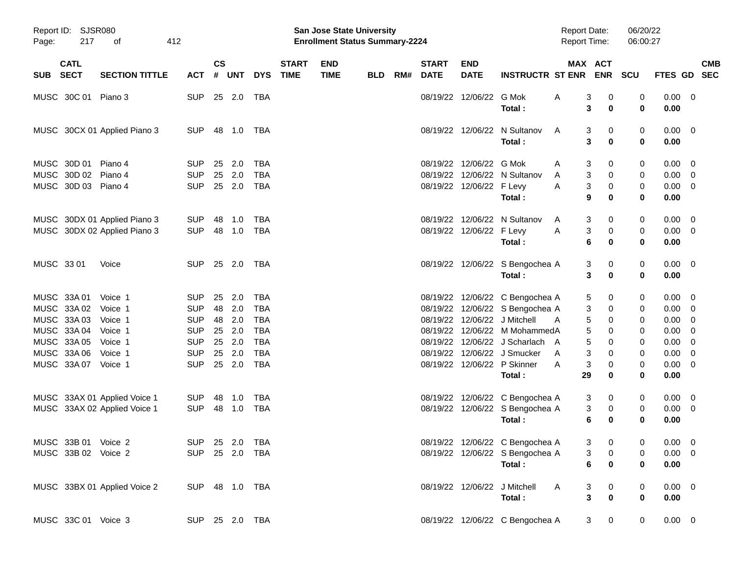| Page:      | Report ID: SJSR080<br>217                                               | οf                                                           | 412                                                                |                            |                                 |                                                                    |                             | <b>San Jose State University</b><br><b>Enrollment Status Summary-2224</b> |            |     |                                                          |                                      |                                                                                                                           | <b>Report Date:</b><br><b>Report Time:</b> |                                                                                     | 06/20/22<br>06:00:27  |                                          |                           |
|------------|-------------------------------------------------------------------------|--------------------------------------------------------------|--------------------------------------------------------------------|----------------------------|---------------------------------|--------------------------------------------------------------------|-----------------------------|---------------------------------------------------------------------------|------------|-----|----------------------------------------------------------|--------------------------------------|---------------------------------------------------------------------------------------------------------------------------|--------------------------------------------|-------------------------------------------------------------------------------------|-----------------------|------------------------------------------|---------------------------|
| <b>SUB</b> | <b>CATL</b><br><b>SECT</b>                                              | <b>SECTION TITTLE</b>                                        | <b>ACT</b>                                                         | $\mathsf{cs}$<br>#         | <b>UNT</b>                      | <b>DYS</b>                                                         | <b>START</b><br><b>TIME</b> | <b>END</b><br><b>TIME</b>                                                 | <b>BLD</b> | RM# | <b>START</b><br><b>DATE</b>                              | <b>END</b><br><b>DATE</b>            | <b>INSTRUCTR ST ENR</b>                                                                                                   |                                            | MAX ACT<br><b>ENR</b>                                                               | <b>SCU</b>            | FTES GD                                  | <b>CMB</b><br><b>SEC</b>  |
|            | MUSC 30C 01                                                             | Piano 3                                                      | <b>SUP</b>                                                         | 25                         | 2.0                             | TBA                                                                |                             |                                                                           |            |     | 08/19/22                                                 | 12/06/22                             | G Mok<br>Total:                                                                                                           | Α                                          | 3<br>0<br>3<br>0                                                                    | 0<br>0                | 0.00<br>0.00                             | $\overline{\phantom{0}}$  |
|            |                                                                         | MUSC 30CX 01 Applied Piano 3                                 | <b>SUP</b>                                                         | 48                         | 1.0                             | TBA                                                                |                             |                                                                           |            |     | 08/19/22                                                 | 12/06/22                             | N Sultanov<br>Total:                                                                                                      | A                                          | 3<br>0<br>3<br>0                                                                    | 0<br>0                | 0.00<br>0.00                             | $\overline{\phantom{0}}$  |
|            | MUSC 30D 01<br>MUSC 30D 02<br>MUSC 30D 03 Piano 4                       | Piano 4<br>Piano 4                                           | <b>SUP</b><br><b>SUP</b><br><b>SUP</b>                             | 25<br>25                   | 2.0<br>2.0<br>25 2.0            | <b>TBA</b><br><b>TBA</b><br><b>TBA</b>                             |                             |                                                                           |            |     | 08/19/22<br>08/19/22                                     | 12/06/22<br>08/19/22 12/06/22 F Levy | G Mok<br>12/06/22 N Sultanov<br>Total:                                                                                    | A<br>A<br>A                                | 3<br>0<br>3<br>0<br>3<br>0<br>9<br>0                                                | 0<br>0<br>0<br>0      | 0.00<br>0.00<br>0.00<br>0.00             | - 0<br>- 0<br>- 0         |
|            |                                                                         | MUSC 30DX 01 Applied Piano 3<br>MUSC 30DX 02 Applied Piano 3 | <b>SUP</b><br><b>SUP</b>                                           | 48<br>48                   | 1.0<br>1.0                      | TBA<br>TBA                                                         |                             |                                                                           |            |     | 08/19/22                                                 | 08/19/22 12/06/22 F Levy             | 12/06/22 N Sultanov<br>Total:                                                                                             | A<br>A                                     | 3<br>0<br>3<br>0<br>6<br>0                                                          | 0<br>0<br>0           | 0.00<br>0.00<br>0.00                     | - 0<br>- 0                |
|            | MUSC 33 01                                                              | Voice                                                        | <b>SUP</b>                                                         |                            | 25 2.0                          | TBA                                                                |                             |                                                                           |            |     |                                                          |                                      | 08/19/22 12/06/22 S Bengochea A<br>Total:                                                                                 |                                            | 3<br>0<br>3<br>0                                                                    | 0<br>0                | 0.00<br>0.00                             | $\overline{\phantom{0}}$  |
|            | MUSC 33A 01<br>MUSC 33A 02<br>MUSC 33A 03<br>MUSC 33A 04<br>MUSC 33A 05 | Voice 1<br>Voice 1<br>Voice 1<br>Voice 1<br>Voice 1          | <b>SUP</b><br><b>SUP</b><br><b>SUP</b><br><b>SUP</b><br><b>SUP</b> | 25<br>48<br>48<br>25<br>25 | 2.0<br>2.0<br>2.0<br>2.0<br>2.0 | <b>TBA</b><br><b>TBA</b><br><b>TBA</b><br><b>TBA</b><br><b>TBA</b> |                             |                                                                           |            |     | 08/19/22<br>08/19/22<br>08/19/22<br>08/19/22<br>08/19/22 |                                      | 12/06/22 C Bengochea A<br>12/06/22 S Bengochea A<br>12/06/22 J Mitchell<br>12/06/22 M MohammedA<br>12/06/22 J Scharlach A | A                                          | 5<br>0<br>3<br>0<br>5<br>0<br>5<br>0<br>5<br>0                                      | 0<br>0<br>0<br>0<br>0 | 0.00<br>0.00<br>0.00<br>0.00<br>0.00     | - 0<br>- 0<br>0<br>0<br>0 |
|            | MUSC 33A 06<br>MUSC 33A 07                                              | Voice 1<br>Voice 1                                           | <b>SUP</b><br><b>SUP</b>                                           | 25                         | 2.0<br>25 2.0                   | <b>TBA</b><br><b>TBA</b>                                           |                             |                                                                           |            |     | 08/19/22<br>08/19/22                                     |                                      | 12/06/22 J Smucker<br>12/06/22 P Skinner<br>Total:                                                                        | A<br>A<br>29                               | 3<br>0<br>3<br>0<br>0                                                               | 0<br>0<br>0           | 0.00<br>0.00<br>0.00                     | 0<br>0                    |
|            |                                                                         | MUSC 33AX 01 Applied Voice 1<br>MUSC 33AX 02 Applied Voice 1 | <b>SUP</b><br><b>SUP</b>                                           | 48<br>48                   | 1.0<br>1.0                      | <b>TBA</b><br>TBA                                                  |                             |                                                                           |            |     | 08/19/22                                                 |                                      | 12/06/22 C Bengochea A<br>08/19/22 12/06/22 S Bengochea A<br>Total:                                                       |                                            | 3<br>0<br>3<br>0<br>6<br>0                                                          | 0<br>0<br>0           | 0.00<br>0.00<br>0.00                     | - 0<br>- 0                |
|            | MUSC 33B 01 Voice 2<br>MUSC 33B 02 Voice 2                              |                                                              | SUP 25 2.0 TBA<br>SUP 25 2.0 TBA                                   |                            |                                 |                                                                    |                             |                                                                           |            |     |                                                          |                                      | 08/19/22 12/06/22 C Bengochea A<br>08/19/22 12/06/22 S Bengochea A<br>Total:                                              |                                            | 3 <sup>7</sup><br>$\mathbf{0}$<br>$\overline{0}$<br>$3^{\circ}$<br>6<br>$\mathbf 0$ | $\Omega$<br>0<br>0    | $0.00 \quad 0$<br>$0.00 \quad 0$<br>0.00 |                           |
|            |                                                                         | MUSC 33BX 01 Applied Voice 2                                 | SUP 48 1.0 TBA                                                     |                            |                                 |                                                                    |                             |                                                                           |            |     |                                                          |                                      | 08/19/22 12/06/22 J Mitchell<br>Total:                                                                                    | <b>A</b>                                   | 3<br>$\mathbf{0}$<br>$\mathbf{3}$<br>$\bf{0}$                                       | 0<br>0                | $0.00 \t 0$<br>0.00                      |                           |
|            | MUSC 33C 01 Voice 3                                                     |                                                              | SUP 25 2.0 TBA                                                     |                            |                                 |                                                                    |                             |                                                                           |            |     |                                                          |                                      | 08/19/22 12/06/22 C Bengochea A                                                                                           |                                            | $3\qquad 0$                                                                         | $\mathbf 0$           | $0.00 \t 0$                              |                           |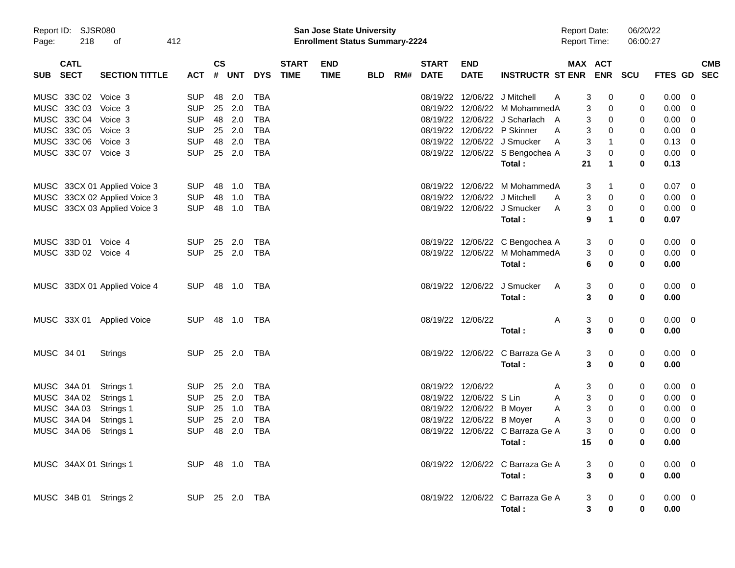| Report ID: SJSR080<br>218<br>Page:<br>of |                            | 412                          |  | <b>San Jose State University</b><br><b>Enrollment Status Summary-2224</b> |                    |                |            |                             |                           |     |     |                             |                           |                                  | <b>Report Date:</b><br><b>Report Time:</b> |                         | 06/20/22<br>06:00:27                           |            |                |                          |
|------------------------------------------|----------------------------|------------------------------|--|---------------------------------------------------------------------------|--------------------|----------------|------------|-----------------------------|---------------------------|-----|-----|-----------------------------|---------------------------|----------------------------------|--------------------------------------------|-------------------------|------------------------------------------------|------------|----------------|--------------------------|
| SUB                                      | <b>CATL</b><br><b>SECT</b> | <b>SECTION TITTLE</b>        |  | <b>ACT</b>                                                                | $\mathsf{cs}$<br># | UNT            | <b>DYS</b> | <b>START</b><br><b>TIME</b> | <b>END</b><br><b>TIME</b> | BLD | RM# | <b>START</b><br><b>DATE</b> | <b>END</b><br><b>DATE</b> | <b>INSTRUCTR ST ENR ENR</b>      |                                            |                         | MAX ACT                                        | <b>SCU</b> | <b>FTES GD</b> | <b>CMB</b><br><b>SEC</b> |
|                                          | MUSC 33C 02                | Voice 3                      |  | <b>SUP</b>                                                                | 48                 | 2.0            | <b>TBA</b> |                             |                           |     |     | 08/19/22                    | 12/06/22                  | J Mitchell                       | A                                          | 3                       | 0                                              | 0          | 0.00           | 0                        |
|                                          | MUSC 33C 03                | Voice 3                      |  | <b>SUP</b>                                                                | 25                 | 2.0            | <b>TBA</b> |                             |                           |     |     | 08/19/22                    | 12/06/22                  | M MohammedA                      |                                            | 3                       | 0                                              | 0          | 0.00           | 0                        |
|                                          | MUSC 33C 04                | Voice 3                      |  | <b>SUP</b>                                                                | 48                 | 2.0            | <b>TBA</b> |                             |                           |     |     |                             |                           | 08/19/22 12/06/22 J Scharlach A  |                                            | 3                       | 0                                              | 0          | 0.00           | 0                        |
|                                          | MUSC 33C 05                | Voice 3                      |  | <b>SUP</b>                                                                | 25                 | 2.0            | <b>TBA</b> |                             |                           |     |     |                             |                           | 08/19/22 12/06/22 P Skinner      | A                                          | 3                       | 0                                              | 0          | 0.00           | 0                        |
|                                          | MUSC 33C 06                | Voice 3                      |  | <b>SUP</b>                                                                | 48                 | 2.0            | <b>TBA</b> |                             |                           |     |     |                             |                           | 08/19/22 12/06/22 J Smucker      | A                                          | 3                       | 1                                              | 0          | 0.13           | 0                        |
|                                          | MUSC 33C 07 Voice 3        |                              |  | <b>SUP</b>                                                                | 25                 | 2.0            | <b>TBA</b> |                             |                           |     |     |                             |                           | 08/19/22 12/06/22 S Bengochea A  |                                            | 3                       | 0                                              | 0          | 0.00           | - 0                      |
|                                          |                            |                              |  |                                                                           |                    |                |            |                             |                           |     |     |                             |                           | Total:                           |                                            | 21                      | 1                                              | 0          | 0.13           |                          |
|                                          |                            | MUSC 33CX 01 Applied Voice 3 |  | <b>SUP</b>                                                                | 48                 | 1.0            | <b>TBA</b> |                             |                           |     |     |                             | 08/19/22 12/06/22         | M MohammedA                      |                                            | 3                       | 1                                              | 0          | 0.07           | 0                        |
|                                          |                            | MUSC 33CX 02 Applied Voice 3 |  | <b>SUP</b>                                                                | 48                 | 1.0            | <b>TBA</b> |                             |                           |     |     |                             | 08/19/22 12/06/22         | J Mitchell                       | A                                          | 3                       | 0                                              | 0          | 0.00           | 0                        |
|                                          |                            | MUSC 33CX 03 Applied Voice 3 |  | <b>SUP</b>                                                                | 48                 | 1.0            | TBA        |                             |                           |     |     |                             |                           | 08/19/22 12/06/22 J Smucker      | A                                          | 3                       | 0                                              | 0          | 0.00           | 0                        |
|                                          |                            |                              |  |                                                                           |                    |                |            |                             |                           |     |     |                             |                           | Total:                           |                                            | 9                       | 1                                              | 0          | 0.07           |                          |
|                                          | MUSC 33D 01 Voice 4        |                              |  | <b>SUP</b>                                                                | 25                 | 2.0            | TBA        |                             |                           |     |     |                             |                           | 08/19/22 12/06/22 C Bengochea A  |                                            | 3                       | 0                                              | 0          | 0.00           | $\overline{\mathbf{0}}$  |
|                                          | MUSC 33D 02 Voice 4        |                              |  | <b>SUP</b>                                                                | 25                 | 2.0            | <b>TBA</b> |                             |                           |     |     |                             | 08/19/22 12/06/22         | M MohammedA                      |                                            | 3                       | 0                                              | $\pmb{0}$  | 0.00           | 0                        |
|                                          |                            |                              |  |                                                                           |                    |                |            |                             |                           |     |     |                             |                           | Total:                           |                                            | 6                       | 0                                              | 0          | 0.00           |                          |
|                                          |                            | MUSC 33DX 01 Applied Voice 4 |  | <b>SUP</b>                                                                | 48                 | 1.0            | TBA        |                             |                           |     |     |                             | 08/19/22 12/06/22         | J Smucker                        | A                                          | 3                       | 0                                              | 0          | $0.00 \quad 0$ |                          |
|                                          |                            |                              |  |                                                                           |                    |                |            |                             |                           |     |     |                             |                           | Total:                           |                                            | 3                       | 0                                              | 0          | 0.00           |                          |
|                                          |                            | MUSC 33X 01 Applied Voice    |  | <b>SUP</b>                                                                | 48                 | 1.0            | TBA        |                             |                           |     |     | 08/19/22 12/06/22           |                           |                                  | Α                                          | 3                       | 0                                              | 0          | $0.00 \t 0$    |                          |
|                                          |                            |                              |  |                                                                           |                    |                |            |                             |                           |     |     |                             |                           | Total:                           |                                            | $\mathbf{3}$            | 0                                              | 0          | 0.00           |                          |
| MUSC 34 01                               |                            | <b>Strings</b>               |  | <b>SUP</b>                                                                |                    | 25 2.0         | TBA        |                             |                           |     |     |                             |                           | 08/19/22 12/06/22 C Barraza Ge A |                                            | 3                       | 0                                              | 0          | $0.00 \t 0$    |                          |
|                                          |                            |                              |  |                                                                           |                    |                |            |                             |                           |     |     |                             |                           | Total:                           |                                            | 3                       | 0                                              | 0          | 0.00           |                          |
|                                          | MUSC 34A 01                | Strings 1                    |  | <b>SUP</b>                                                                | 25                 | 2.0            | <b>TBA</b> |                             |                           |     |     | 08/19/22 12/06/22           |                           |                                  | A                                          | 3                       | 0                                              | 0          | 0.00           | $\overline{0}$           |
|                                          | MUSC 34A 02                | Strings 1                    |  | <b>SUP</b>                                                                | 25                 | 2.0            | <b>TBA</b> |                             |                           |     |     | 08/19/22                    | 12/06/22 S Lin            |                                  | Α                                          | 3                       | 0                                              | 0          | 0.00           | 0                        |
|                                          | MUSC 34A 03                | Strings 1                    |  | <b>SUP</b>                                                                | 25                 | 1.0            | <b>TBA</b> |                             |                           |     |     |                             | 08/19/22 12/06/22 B Moyer |                                  | A                                          | 3                       | 0                                              | 0          | 0.00           | 0                        |
|                                          | MUSC 34A 04                | Strings 1                    |  | <b>SUP</b>                                                                | 25                 | 2.0            | TBA        |                             |                           |     |     |                             | 08/19/22 12/06/22 B Moyer |                                  | A                                          | 3                       | 0                                              | 0          | 0.00           | 0                        |
|                                          | MUSC 34A 06                | Strings 1                    |  | <b>SUP</b>                                                                | 48                 | 2.0            | <b>TBA</b> |                             |                           |     |     |                             |                           | 08/19/22 12/06/22 C Barraza Ge A |                                            | 3                       | 0                                              | 0          | 0.00           | 0                        |
|                                          |                            |                              |  |                                                                           |                    |                |            |                             |                           |     |     |                             |                           | Total:                           |                                            | 15                      | 0                                              | 0          | 0.00           |                          |
|                                          | MUSC 34AX 01 Strings 1     |                              |  |                                                                           |                    | SUP 48 1.0 TBA |            |                             |                           |     |     |                             |                           | 08/19/22 12/06/22 C Barraza Ge A |                                            | 3                       |                                                | 0          | $0.00 \ 0$     |                          |
|                                          |                            |                              |  |                                                                           |                    |                |            |                             |                           |     |     |                             |                           | Total:                           |                                            | $\overline{\mathbf{3}}$ | $\begin{array}{c} 0 \\ \mathbf{0} \end{array}$ | 0          | 0.00           |                          |
|                                          | MUSC 34B 01 Strings 2      |                              |  |                                                                           |                    | SUP 25 2.0 TBA |            |                             |                           |     |     |                             |                           | 08/19/22 12/06/22 C Barraza Ge A |                                            | 3                       | $\mathbf 0$                                    | 0          | $0.00 \t 0$    |                          |
|                                          |                            |                              |  |                                                                           |                    |                |            |                             |                           |     |     |                             |                           | Total:                           |                                            | 3                       | 0                                              | 0          | 0.00           |                          |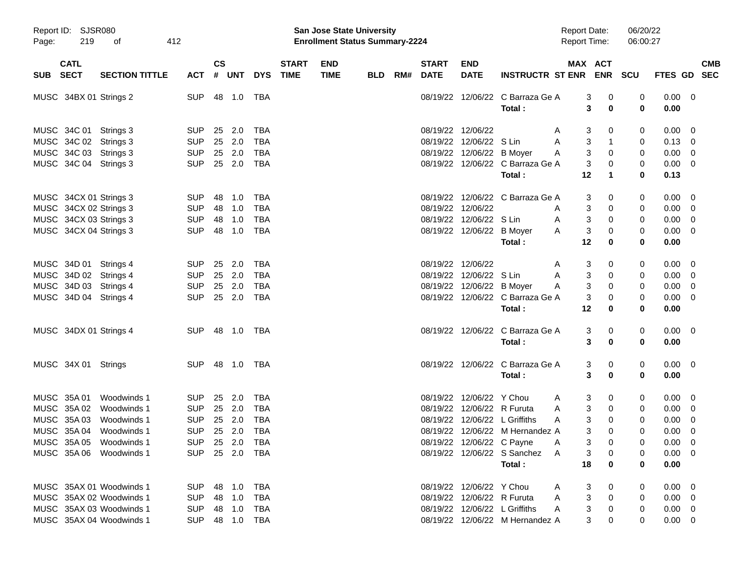| Report ID: SJSR080<br>219<br>412<br>Page:<br>οf |                            |                          |                |                    | San Jose State University<br><b>Enrollment Status Summary-2224</b> |                |                             |                           |            |     |                             |                            |                                 | 06/20/22<br><b>Report Date:</b><br>06:00:27<br><b>Report Time:</b> |                       |            |                |                          |
|-------------------------------------------------|----------------------------|--------------------------|----------------|--------------------|--------------------------------------------------------------------|----------------|-----------------------------|---------------------------|------------|-----|-----------------------------|----------------------------|---------------------------------|--------------------------------------------------------------------|-----------------------|------------|----------------|--------------------------|
| <b>SUB</b>                                      | <b>CATL</b><br><b>SECT</b> | <b>SECTION TITTLE</b>    | <b>ACT</b>     | $\mathsf{cs}$<br># | <b>UNT</b>                                                         | <b>DYS</b>     | <b>START</b><br><b>TIME</b> | <b>END</b><br><b>TIME</b> | <b>BLD</b> | RM# | <b>START</b><br><b>DATE</b> | <b>END</b><br><b>DATE</b>  | <b>INSTRUCTR ST ENR</b>         |                                                                    | MAX ACT<br><b>ENR</b> | <b>SCU</b> | FTES GD        | <b>CMB</b><br><b>SEC</b> |
|                                                 |                            |                          |                |                    |                                                                    |                |                             |                           |            |     |                             |                            |                                 |                                                                    |                       |            |                |                          |
|                                                 |                            | MUSC 34BX 01 Strings 2   | <b>SUP</b>     | 48                 | 1.0                                                                | <b>TBA</b>     |                             |                           |            |     | 08/19/22                    | 12/06/22                   | C Barraza Ge A<br>Total:        |                                                                    | 3<br>0<br>3<br>0      | 0<br>0     | 0.00<br>0.00   | $\overline{0}$           |
|                                                 |                            |                          |                |                    |                                                                    |                |                             |                           |            |     |                             |                            |                                 |                                                                    |                       |            |                |                          |
|                                                 | MUSC 34C 01                | Strings 3                | <b>SUP</b>     | 25                 | 2.0                                                                | <b>TBA</b>     |                             |                           |            |     | 08/19/22                    | 12/06/22                   |                                 | A                                                                  | 3<br>0                | 0          | 0.00           | 0                        |
|                                                 |                            | MUSC 34C 02 Strings 3    | <b>SUP</b>     |                    | 25 2.0                                                             | <b>TBA</b>     |                             |                           |            |     | 08/19/22                    | 12/06/22                   | S Lin                           | A                                                                  | 3<br>$\mathbf 1$      | 0          | 0.13           | 0                        |
|                                                 |                            | MUSC 34C 03 Strings 3    | <b>SUP</b>     |                    | 25 2.0                                                             | <b>TBA</b>     |                             |                           |            |     | 08/19/22                    | 12/06/22 B Moyer           |                                 | A                                                                  | 3<br>0                | 0          | 0.00           | 0                        |
|                                                 |                            | MUSC 34C 04 Strings 3    | <b>SUP</b>     |                    | 25 2.0                                                             | <b>TBA</b>     |                             |                           |            |     | 08/19/22                    |                            | 12/06/22 C Barraza Ge A         |                                                                    | 3<br>0                | 0          | 0.00           | 0                        |
|                                                 |                            |                          |                |                    |                                                                    |                |                             |                           |            |     |                             |                            | Total:                          | 12                                                                 | 1                     | 0          | 0.13           |                          |
|                                                 |                            | MUSC 34CX 01 Strings 3   | <b>SUP</b>     | 48                 | 1.0                                                                | <b>TBA</b>     |                             |                           |            |     | 08/19/22                    |                            | 12/06/22 C Barraza Ge A         |                                                                    | 3<br>0                | 0          | 0.00           | 0                        |
|                                                 |                            | MUSC 34CX 02 Strings 3   | <b>SUP</b>     | 48                 | 1.0                                                                | <b>TBA</b>     |                             |                           |            |     | 08/19/22                    | 12/06/22                   |                                 | A                                                                  | 3<br>0                | 0          | 0.00           | 0                        |
|                                                 |                            | MUSC 34CX 03 Strings 3   | <b>SUP</b>     | 48                 | 1.0                                                                | <b>TBA</b>     |                             |                           |            |     | 08/19/22                    | 12/06/22 S Lin             |                                 | Α                                                                  | 3<br>0                | 0          | 0.00           | 0                        |
|                                                 |                            | MUSC 34CX 04 Strings 3   | <b>SUP</b>     | 48                 | 1.0                                                                | <b>TBA</b>     |                             |                           |            |     | 08/19/22                    | 12/06/22 B Moyer           |                                 | A                                                                  | 3<br>0                | 0          | 0.00           | 0                        |
|                                                 |                            |                          |                |                    |                                                                    |                |                             |                           |            |     |                             |                            | Total:                          | 12                                                                 | 0                     | 0          | 0.00           |                          |
|                                                 | MUSC 34D 01                | Strings 4                | <b>SUP</b>     | 25                 | 2.0                                                                | <b>TBA</b>     |                             |                           |            |     | 08/19/22                    | 12/06/22                   |                                 | A                                                                  | 3<br>0                | 0          | 0.00           | 0                        |
|                                                 |                            | MUSC 34D 02 Strings 4    | <b>SUP</b>     |                    | 25 2.0                                                             | <b>TBA</b>     |                             |                           |            |     | 08/19/22                    | 12/06/22                   | S Lin                           | A                                                                  | 3<br>0                | 0          | 0.00           | 0                        |
|                                                 |                            | MUSC 34D 03 Strings 4    | <b>SUP</b>     |                    | 25 2.0                                                             | <b>TBA</b>     |                             |                           |            |     | 08/19/22                    | 12/06/22 B Moyer           |                                 | A                                                                  | 3<br>0                | 0          | 0.00           | 0                        |
|                                                 |                            | MUSC 34D 04 Strings 4    | <b>SUP</b>     |                    | 25 2.0                                                             | <b>TBA</b>     |                             |                           |            |     | 08/19/22                    |                            | 12/06/22 C Barraza Ge A         |                                                                    | 3<br>0                | 0          | 0.00           | 0                        |
|                                                 |                            |                          |                |                    |                                                                    |                |                             |                           |            |     |                             |                            | Total:                          | 12                                                                 | 0                     | 0          | 0.00           |                          |
|                                                 |                            | MUSC 34DX 01 Strings 4   | <b>SUP</b>     |                    | 48 1.0                                                             | TBA            |                             |                           |            |     |                             | 08/19/22 12/06/22          | C Barraza Ge A                  |                                                                    | 3<br>0                | 0          | 0.00           | 0                        |
|                                                 |                            |                          |                |                    |                                                                    |                |                             |                           |            |     |                             |                            | Total:                          |                                                                    | 3<br>0                | 0          | 0.00           |                          |
|                                                 | MUSC 34X 01 Strings        |                          | <b>SUP</b>     |                    | 48 1.0                                                             | TBA            |                             |                           |            |     |                             | 08/19/22 12/06/22          | C Barraza Ge A                  |                                                                    | 3<br>0                | 0          | 0.00           | 0                        |
|                                                 |                            |                          |                |                    |                                                                    |                |                             |                           |            |     |                             |                            | Total:                          |                                                                    | 3<br>0                | 0          | 0.00           |                          |
|                                                 | MUSC 35A 01                | Woodwinds 1              | <b>SUP</b>     | 25                 | 2.0                                                                | <b>TBA</b>     |                             |                           |            |     | 08/19/22                    | 12/06/22 Y Chou            |                                 | A                                                                  | 3<br>0                | 0          | $0.00\,$       | 0                        |
|                                                 | MUSC 35A 02                | Woodwinds 1              | <b>SUP</b>     | 25                 | 2.0                                                                | <b>TBA</b>     |                             |                           |            |     | 08/19/22                    |                            | 12/06/22 R Furuta               | Α                                                                  | 3<br>0                | 0          | 0.00           | 0                        |
| <b>MUSC</b>                                     | 35A 03                     | Woodwinds 1              | <b>SUP</b>     | 25                 | 2.0                                                                | <b>TBA</b>     |                             |                           |            |     | 08/19/22                    |                            | 12/06/22 L Griffiths            | A                                                                  | 3<br>0                | 0          | 0.00           | 0                        |
|                                                 | MUSC 35A 04                | Woodwinds 1              | <b>SUP</b>     |                    | 25 2.0                                                             | <b>TBA</b>     |                             |                           |            |     | 08/19/22                    |                            | 12/06/22 M Hernandez A          |                                                                    | 3<br>0                | 0          | 0.00           | 0                        |
|                                                 |                            | MUSC 35A 05 Woodwinds 1  | SUP 25 2.0 TBA |                    |                                                                    |                |                             |                           |            |     |                             | 08/19/22 12/06/22 C Payne  | <b>A</b>                        |                                                                    | $\mathbf{3}$<br>0     | 0          | $0.00 \t 0$    |                          |
|                                                 |                            | MUSC 35A 06 Woodwinds 1  | SUP 25 2.0 TBA |                    |                                                                    |                |                             |                           |            |     |                             |                            | 08/19/22 12/06/22 S Sanchez A   |                                                                    | 3<br>$\overline{0}$   | 0          | $0.00 \quad 0$ |                          |
|                                                 |                            |                          |                |                    |                                                                    |                |                             |                           |            |     |                             |                            | Total:                          | 18                                                                 | 0                     | 0          | 0.00           |                          |
|                                                 |                            | MUSC 35AX 01 Woodwinds 1 | SUP 48 1.0 TBA |                    |                                                                    |                |                             |                           |            |     |                             | 08/19/22 12/06/22 Y Chou   |                                 | $\mathsf{A}$                                                       | 0<br>3                | 0          | $0.00 \t 0$    |                          |
|                                                 |                            | MUSC 35AX 02 Woodwinds 1 | SUP 48 1.0     |                    |                                                                    | TBA            |                             |                           |            |     |                             | 08/19/22 12/06/22 R Furuta |                                 | $\mathsf{A}$                                                       | 3<br>$\mathbf 0$      | 0          | $0.00 \quad 0$ |                          |
|                                                 |                            | MUSC 35AX 03 Woodwinds 1 | SUP 48 1.0     |                    |                                                                    | TBA            |                             |                           |            |     |                             |                            | 08/19/22 12/06/22 L Griffiths   | A                                                                  | 3<br>$\boldsymbol{0}$ | 0          | $0.00 \quad 0$ |                          |
|                                                 |                            | MUSC 35AX 04 Woodwinds 1 |                |                    |                                                                    | SUP 48 1.0 TBA |                             |                           |            |     |                             |                            | 08/19/22 12/06/22 M Hernandez A |                                                                    | 3<br>0                | 0          | $0.00 \quad 0$ |                          |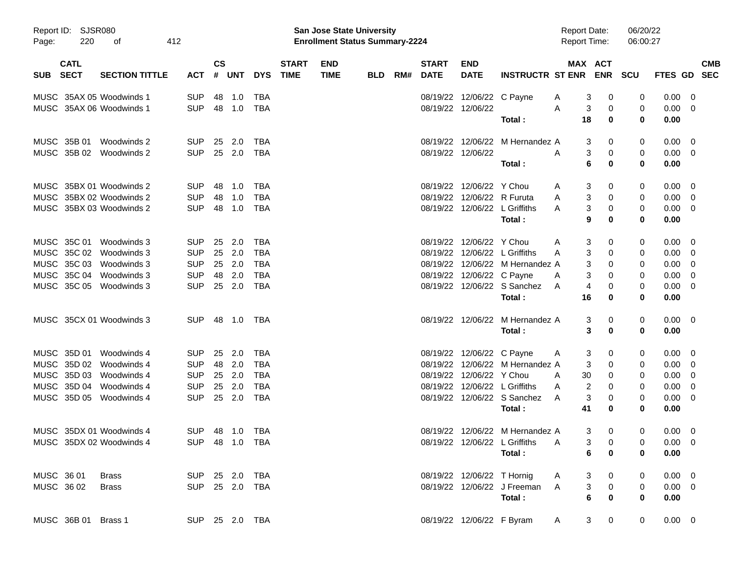| Page:      | Report ID: SJSR080<br>220  | 412<br>οf                |                |                |        |            |                             | <b>San Jose State University</b><br><b>Enrollment Status Summary-2224</b> |     |     |                             |                            |                                 | <b>Report Date:</b><br><b>Report Time:</b> |                       | 06/20/22<br>06:00:27 |                |                          |            |
|------------|----------------------------|--------------------------|----------------|----------------|--------|------------|-----------------------------|---------------------------------------------------------------------------|-----|-----|-----------------------------|----------------------------|---------------------------------|--------------------------------------------|-----------------------|----------------------|----------------|--------------------------|------------|
| SUB        | <b>CATL</b><br><b>SECT</b> | <b>SECTION TITTLE</b>    | <b>ACT</b>     | <b>CS</b><br># | UNT    | <b>DYS</b> | <b>START</b><br><b>TIME</b> | <b>END</b><br><b>TIME</b>                                                 | BLD | RM# | <b>START</b><br><b>DATE</b> | <b>END</b><br><b>DATE</b>  | <b>INSTRUCTR ST ENR</b>         |                                            | MAX ACT               | ENR SCU              | FTES GD SEC    |                          | <b>CMB</b> |
|            |                            | MUSC 35AX 05 Woodwinds 1 | <b>SUP</b>     |                | 48 1.0 | TBA        |                             |                                                                           |     |     |                             | 08/19/22 12/06/22 C Payne  |                                 | A                                          | 3<br>0                | 0                    | 0.00           | - 0                      |            |
|            |                            | MUSC 35AX 06 Woodwinds 1 | <b>SUP</b>     |                | 48 1.0 | <b>TBA</b> |                             |                                                                           |     |     |                             | 08/19/22 12/06/22          | Total :                         | A<br>18                                    | 3<br>0<br>$\bf{0}$    | 0<br>$\bf{0}$        | 0.00<br>0.00   | $\overline{\phantom{0}}$ |            |
|            | MUSC 35B 01                | Woodwinds 2              | <b>SUP</b>     |                | 25 2.0 | TBA        |                             |                                                                           |     |     |                             |                            | 08/19/22 12/06/22 M Hernandez A |                                            | 3<br>0                | 0                    | $0.00 \t 0$    |                          |            |
|            |                            | MUSC 35B 02 Woodwinds 2  | <b>SUP</b>     |                | 25 2.0 | TBA        |                             |                                                                           |     |     |                             | 08/19/22 12/06/22          |                                 | A                                          | 3<br>0                | 0                    | $0.00 \t 0$    |                          |            |
|            |                            |                          |                |                |        |            |                             |                                                                           |     |     |                             |                            | Total:                          |                                            | 6<br>$\bf{0}$         | 0                    | 0.00           |                          |            |
|            |                            | MUSC 35BX 01 Woodwinds 2 | <b>SUP</b>     | 48             | 1.0    | TBA        |                             |                                                                           |     |     |                             | 08/19/22 12/06/22 Y Chou   |                                 | A                                          | 3<br>0                | 0                    | $0.00 \t 0$    |                          |            |
|            |                            | MUSC 35BX 02 Woodwinds 2 | <b>SUP</b>     | 48             | 1.0    | <b>TBA</b> |                             |                                                                           |     |     |                             | 08/19/22 12/06/22 R Furuta |                                 | A                                          | 3<br>0                | 0                    | 0.00           | - 0                      |            |
|            |                            | MUSC 35BX 03 Woodwinds 2 | <b>SUP</b>     |                | 48 1.0 | TBA        |                             |                                                                           |     |     |                             |                            | 08/19/22 12/06/22 L Griffiths   | A                                          | 3<br>0                | 0                    | $0.00 \t 0$    |                          |            |
|            |                            |                          |                |                |        |            |                             |                                                                           |     |     |                             |                            | Total:                          |                                            | 9<br>0                | 0                    | 0.00           |                          |            |
|            | MUSC 35C 01                | Woodwinds 3              | <b>SUP</b>     | 25             | 2.0    | TBA        |                             |                                                                           |     |     |                             | 08/19/22 12/06/22 Y Chou   |                                 | A                                          | 3<br>0                | 0                    | $0.00 \t 0$    |                          |            |
|            |                            | MUSC 35C 02 Woodwinds 3  | <b>SUP</b>     |                | 25 2.0 | <b>TBA</b> |                             |                                                                           |     |     |                             |                            | 08/19/22 12/06/22 L Griffiths   | A                                          | 3<br>0                | 0                    | 0.00           | - 0                      |            |
|            | MUSC 35C 03                | Woodwinds 3              | <b>SUP</b>     |                | 25 2.0 | <b>TBA</b> |                             |                                                                           |     |     |                             |                            | 08/19/22 12/06/22 M Hernandez A |                                            | 3<br>0                | 0                    | 0.00           | - 0                      |            |
|            |                            | MUSC 35C 04 Woodwinds 3  | SUP            |                | 48 2.0 | <b>TBA</b> |                             |                                                                           |     |     |                             | 08/19/22 12/06/22 C Payne  |                                 | A                                          | 3<br>0                | 0                    | 0.00           | - 0                      |            |
|            |                            | MUSC 35C 05 Woodwinds 3  | <b>SUP</b>     |                | 25 2.0 | TBA        |                             |                                                                           |     |     |                             |                            | 08/19/22 12/06/22 S Sanchez     | A                                          | 4<br>0                | 0                    | 0.00           | $\overline{\phantom{0}}$ |            |
|            |                            |                          |                |                |        |            |                             |                                                                           |     |     |                             |                            | Total:                          | 16                                         | $\bf{0}$              | 0                    | 0.00           |                          |            |
|            |                            | MUSC 35CX 01 Woodwinds 3 | <b>SUP</b>     |                |        |            |                             |                                                                           |     |     |                             |                            | 08/19/22 12/06/22 M Hernandez A |                                            | 3<br>0                | 0                    | $0.00 \t 0$    |                          |            |
|            |                            |                          |                |                |        |            |                             |                                                                           |     |     |                             |                            | Total:                          |                                            | 3<br>0                | 0                    | 0.00           |                          |            |
|            | MUSC 35D 01                | Woodwinds 4              | <b>SUP</b>     |                | 25 2.0 | TBA        |                             |                                                                           |     |     |                             | 08/19/22 12/06/22 C Payne  |                                 | A                                          | 3<br>0                | 0                    | $0.00 \quad 0$ |                          |            |
|            |                            | MUSC 35D 02 Woodwinds 4  | <b>SUP</b>     |                | 48 2.0 | TBA        |                             |                                                                           |     |     |                             |                            | 08/19/22 12/06/22 M Hernandez A |                                            | 3<br>0                | 0                    | 0.00           | - 0                      |            |
|            |                            | MUSC 35D 03 Woodwinds 4  | <b>SUP</b>     |                | 25 2.0 | TBA        |                             |                                                                           |     |     |                             | 08/19/22 12/06/22 Y Chou   |                                 | 30<br>A                                    | 0                     | 0                    | 0.00           | - 0                      |            |
|            |                            | MUSC 35D 04 Woodwinds 4  | <b>SUP</b>     |                | 25 2.0 | <b>TBA</b> |                             |                                                                           |     |     |                             |                            | 08/19/22 12/06/22 L Griffiths   | A                                          | 2<br>0                | 0                    | 0.00           | - 0                      |            |
|            |                            | MUSC 35D 05 Woodwinds 4  | <b>SUP</b>     |                | 25 2.0 | <b>TBA</b> |                             |                                                                           |     |     |                             |                            | 08/19/22 12/06/22 S Sanchez     | A                                          | 3<br>0                | 0<br>0               | 0.00           | - 0                      |            |
|            |                            |                          |                |                |        |            |                             |                                                                           |     |     |                             |                            | Total:                          | 41                                         | 0                     |                      | 0.00           |                          |            |
|            |                            | MUSC 35DX 01 Woodwinds 4 | SUP 48 1.0 TBA |                |        |            |                             |                                                                           |     |     |                             |                            | 08/19/22 12/06/22 M Hernandez A |                                            | 3<br>0                | 0                    | $0.00 \quad 0$ |                          |            |
|            |                            | MUSC 35DX 02 Woodwinds 4 | SUP 48 1.0 TBA |                |        |            |                             |                                                                           |     |     |                             |                            | 08/19/22 12/06/22 L Griffiths   | A                                          | 3<br>0                | 0                    | $0.00 \quad 0$ |                          |            |
|            |                            |                          |                |                |        |            |                             |                                                                           |     |     |                             |                            | Total:                          |                                            | 6<br>0                | 0                    | 0.00           |                          |            |
| MUSC 36 01 |                            | <b>Brass</b>             | SUP 25 2.0 TBA |                |        |            |                             |                                                                           |     |     |                             | 08/19/22 12/06/22 T Hornig |                                 | A                                          | 3<br>$\mathbf 0$      | 0                    | $0.00 \t 0$    |                          |            |
| MUSC 36 02 |                            | <b>Brass</b>             | SUP 25 2.0 TBA |                |        |            |                             |                                                                           |     |     |                             |                            | 08/19/22 12/06/22 J Freeman     | A                                          | 3<br>$\boldsymbol{0}$ | 0                    | $0.00 \t 0$    |                          |            |
|            |                            |                          |                |                |        |            |                             |                                                                           |     |     |                             |                            | Total:                          |                                            | 6<br>0                | 0                    | 0.00           |                          |            |
|            | MUSC 36B 01 Brass 1        |                          | SUP 25 2.0 TBA |                |        |            |                             |                                                                           |     |     |                             | 08/19/22 12/06/22 F Byram  |                                 | A                                          | 3<br>0                | 0                    | $0.00 \t 0$    |                          |            |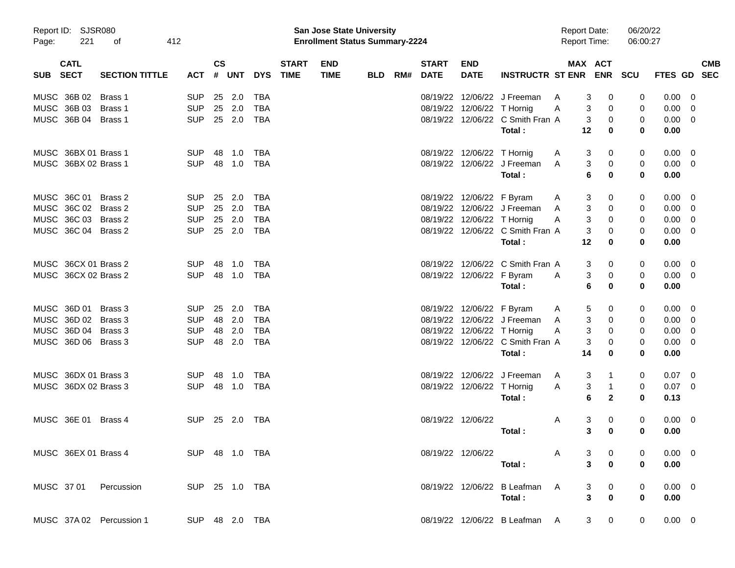| Page:      | Report ID: SJSR080<br>221  | οf                       | 412        |               |              |                |                             | San Jose State University<br><b>Enrollment Status Summary-2224</b> |            |     |                             |                            |                                  | <b>Report Date:</b><br><b>Report Time:</b> |                     | 06/20/22<br>06:00:27 |             |            |
|------------|----------------------------|--------------------------|------------|---------------|--------------|----------------|-----------------------------|--------------------------------------------------------------------|------------|-----|-----------------------------|----------------------------|----------------------------------|--------------------------------------------|---------------------|----------------------|-------------|------------|
| <b>SUB</b> | <b>CATL</b><br><b>SECT</b> | <b>SECTION TITTLE</b>    | <b>ACT</b> | $\mathsf{cs}$ | # UNT        | <b>DYS</b>     | <b>START</b><br><b>TIME</b> | <b>END</b><br><b>TIME</b>                                          | <b>BLD</b> | RM# | <b>START</b><br><b>DATE</b> | <b>END</b><br><b>DATE</b>  | <b>INSTRUCTR ST ENR ENR SCU</b>  |                                            | MAX ACT             |                      | FTES GD SEC | <b>CMB</b> |
|            | MUSC 36B 02                | Brass 1                  | <b>SUP</b> | 25            | 2.0          | <b>TBA</b>     |                             |                                                                    |            |     |                             |                            | 08/19/22 12/06/22 J Freeman      | A                                          | 3<br>0              | 0                    | 0.00        | 0          |
|            | MUSC 36B 03                | Brass 1                  | <b>SUP</b> |               | 25 2.0       | <b>TBA</b>     |                             |                                                                    |            |     |                             | 08/19/22 12/06/22 T Hornig |                                  | A                                          | 3<br>0              | 0                    | 0.00        | 0          |
|            | MUSC 36B 04 Brass 1        |                          | <b>SUP</b> |               | 25 2.0       | <b>TBA</b>     |                             |                                                                    |            |     |                             |                            | 08/19/22 12/06/22 C Smith Fran A |                                            | 3<br>0              | 0                    | 0.00        | 0          |
|            |                            |                          |            |               |              |                |                             |                                                                    |            |     |                             |                            | Total:                           | 12                                         | 0                   | 0                    | 0.00        |            |
|            | MUSC 36BX 01 Brass 1       |                          | <b>SUP</b> | 48            | 1.0          | TBA            |                             |                                                                    |            |     |                             | 08/19/22 12/06/22 T Hornig |                                  | A                                          | 3<br>0              | 0                    | 0.00        | 0          |
|            | MUSC 36BX 02 Brass 1       |                          | <b>SUP</b> |               | 48 1.0       | <b>TBA</b>     |                             |                                                                    |            |     |                             |                            | 08/19/22 12/06/22 J Freeman      | A                                          | 3<br>0              | 0                    | 0.00        | 0          |
|            |                            |                          |            |               |              |                |                             |                                                                    |            |     |                             |                            | Total:                           |                                            | 6<br>0              | 0                    | 0.00        |            |
|            | MUSC 36C 01                | Brass 2                  | <b>SUP</b> | 25            | 2.0          | <b>TBA</b>     |                             |                                                                    |            |     |                             | 08/19/22 12/06/22 F Byram  |                                  | A                                          | 3<br>0              | 0                    | 0.00        | 0          |
|            | MUSC 36C 02 Brass 2        |                          | <b>SUP</b> |               | 25 2.0       | <b>TBA</b>     |                             |                                                                    |            |     |                             |                            | 08/19/22 12/06/22 J Freeman      | A                                          | 3<br>0              | 0                    | 0.00        | 0          |
|            | MUSC 36C 03 Brass 2        |                          | <b>SUP</b> |               | 25 2.0       | <b>TBA</b>     |                             |                                                                    |            |     |                             | 08/19/22 12/06/22 T Hornig |                                  | A                                          | 3<br>0              | 0                    | 0.00        | 0          |
|            | MUSC 36C 04 Brass 2        |                          | <b>SUP</b> |               | 25 2.0       | <b>TBA</b>     |                             |                                                                    |            |     |                             |                            | 08/19/22 12/06/22 C Smith Fran A |                                            | 3<br>0              | 0                    | 0.00        | 0          |
|            |                            |                          |            |               |              |                |                             |                                                                    |            |     |                             |                            | Total:                           | 12                                         | 0                   | 0                    | 0.00        |            |
|            | MUSC 36CX 01 Brass 2       |                          | <b>SUP</b> | -48           | 1.0          | TBA            |                             |                                                                    |            |     |                             |                            | 08/19/22 12/06/22 C Smith Fran A |                                            | 3<br>0              | 0                    | 0.00        | 0          |
|            | MUSC 36CX 02 Brass 2       |                          | <b>SUP</b> |               | 48 1.0       | <b>TBA</b>     |                             |                                                                    |            |     |                             | 08/19/22 12/06/22 F Byram  |                                  | A                                          | 3<br>0              | 0                    | 0.00        | 0          |
|            |                            |                          |            |               |              |                |                             |                                                                    |            |     |                             |                            | Total :                          |                                            | 6<br>0              | 0                    | 0.00        |            |
|            | MUSC 36D 01                | Brass 3                  | <b>SUP</b> | 25            | 2.0          | TBA            |                             |                                                                    |            |     |                             | 08/19/22 12/06/22 F Byram  |                                  | A                                          | 5<br>0              | 0                    | 0.00        | 0          |
|            | MUSC 36D 02 Brass 3        |                          | <b>SUP</b> | 48            | 2.0          | <b>TBA</b>     |                             |                                                                    |            |     |                             |                            | 08/19/22 12/06/22 J Freeman      | A                                          | 3<br>0              | 0                    | 0.00        | 0          |
|            | MUSC 36D 04 Brass 3        |                          | <b>SUP</b> | 48            | 2.0          | <b>TBA</b>     |                             |                                                                    |            |     |                             | 08/19/22 12/06/22 T Hornig |                                  | A                                          | 3<br>0              | 0                    | 0.00        | 0          |
|            | MUSC 36D 06 Brass 3        |                          | <b>SUP</b> |               | 48 2.0       | <b>TBA</b>     |                             |                                                                    |            |     |                             |                            | 08/19/22 12/06/22 C Smith Fran A |                                            | 3<br>0              | 0                    | 0.00        | 0          |
|            |                            |                          |            |               |              |                |                             |                                                                    |            |     |                             |                            | Total:                           | 14                                         | 0                   | 0                    | 0.00        |            |
|            | MUSC 36DX 01 Brass 3       |                          | <b>SUP</b> | -48           | 1.0          | TBA            |                             |                                                                    |            |     |                             |                            | 08/19/22 12/06/22 J Freeman      | A                                          | 3<br>$\mathbf{1}$   | 0                    | 0.07        | 0          |
|            | MUSC 36DX 02 Brass 3       |                          | <b>SUP</b> |               | 48 1.0       | TBA            |                             |                                                                    |            |     |                             | 08/19/22 12/06/22 T Hornig |                                  | Α                                          | 3<br>1              | 0                    | 0.07        | 0          |
|            |                            |                          |            |               |              |                |                             |                                                                    |            |     |                             |                            | Total:                           |                                            | 6<br>$\mathbf{2}$   | 0                    | 0.13        |            |
|            | MUSC 36E 01                | Brass 4                  | <b>SUP</b> |               | 25  2.0  TBA |                |                             |                                                                    |            |     |                             | 08/19/22 12/06/22          |                                  | A                                          | 3<br>0              | 0                    | 0.00        | 0          |
|            |                            |                          |            |               |              |                |                             |                                                                    |            |     |                             |                            | Total :                          |                                            | 3<br>0              | 0                    | 0.00        |            |
|            |                            | MUSC 36EX 01 Brass 4     |            |               |              | SUP 48 1.0 TBA |                             |                                                                    |            |     |                             | 08/19/22 12/06/22          |                                  | A                                          | 3<br>0              |                      | $0.00 \t 0$ |            |
|            |                            |                          |            |               |              |                |                             |                                                                    |            |     |                             |                            | Total:                           |                                            | 3<br>$\bf{0}$       | 0                    | 0.00        |            |
|            |                            | MUSC 37 01 Percussion    |            |               |              | SUP 25 1.0 TBA |                             |                                                                    |            |     |                             |                            | 08/19/22 12/06/22 B Leafman A    |                                            | 0<br>3              |                      | $0.00 \t 0$ |            |
|            |                            |                          |            |               |              |                |                             |                                                                    |            |     |                             |                            | Total:                           |                                            | 3<br>$\pmb{0}$      | 0                    | 0.00        |            |
|            |                            | MUSC 37A 02 Percussion 1 |            |               |              | SUP 48 2.0 TBA |                             |                                                                    |            |     |                             |                            | 08/19/22 12/06/22 B Leafman A    |                                            | 3 <sup>7</sup><br>0 | 0                    | $0.00 \t 0$ |            |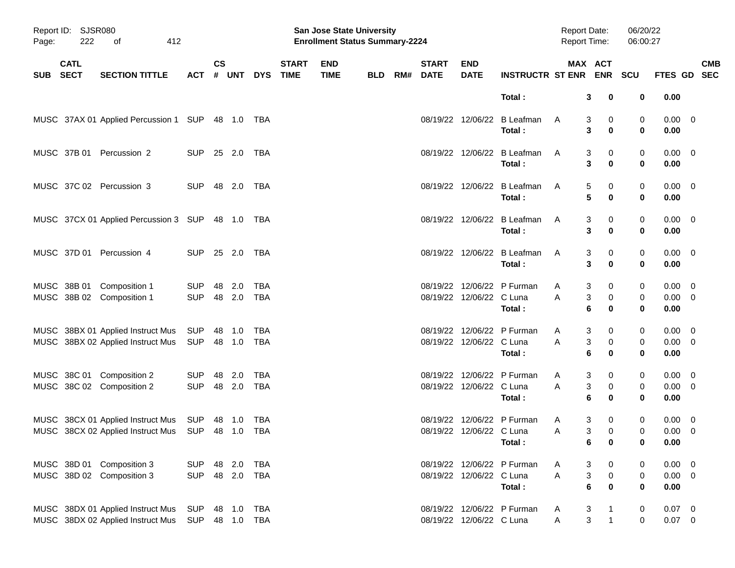| Page:      | Report ID: SJSR080<br>222<br>412<br>оf |                                                                                   |                          |                |                  |                   |                             | San Jose State University<br><b>Enrollment Status Summary-2224</b> |            |     |                             |                           |                                       | <b>Report Date:</b><br><b>Report Time:</b> |                                      | 06/20/22<br>06:00:27 |                                    |                          |            |
|------------|----------------------------------------|-----------------------------------------------------------------------------------|--------------------------|----------------|------------------|-------------------|-----------------------------|--------------------------------------------------------------------|------------|-----|-----------------------------|---------------------------|---------------------------------------|--------------------------------------------|--------------------------------------|----------------------|------------------------------------|--------------------------|------------|
| <b>SUB</b> | <b>CATL</b><br><b>SECT</b>             | <b>SECTION TITTLE</b>                                                             | <b>ACT</b>               | <b>CS</b><br># | <b>UNT</b>       | <b>DYS</b>        | <b>START</b><br><b>TIME</b> | <b>END</b><br><b>TIME</b>                                          | <b>BLD</b> | RM# | <b>START</b><br><b>DATE</b> | <b>END</b><br><b>DATE</b> | <b>INSTRUCTR ST ENR ENR</b>           | MAX ACT                                    |                                      | <b>SCU</b>           | FTES GD SEC                        |                          | <b>CMB</b> |
|            |                                        |                                                                                   |                          |                |                  |                   |                             |                                                                    |            |     |                             |                           | Total:                                | 3                                          | 0                                    | 0                    | 0.00                               |                          |            |
|            |                                        | MUSC 37AX 01 Applied Percussion 1 SUP 48 1.0 TBA                                  |                          |                |                  |                   |                             |                                                                    |            |     |                             |                           | 08/19/22 12/06/22 B Leafman<br>Total: | A<br>3                                     | 0<br>3<br>0                          | 0<br>$\bf{0}$        | $0.00 \quad 0$<br>0.00             |                          |            |
|            | MUSC 37B 01                            | Percussion 2                                                                      | <b>SUP</b>               |                | 25 2.0           | TBA               |                             |                                                                    |            |     |                             |                           | 08/19/22 12/06/22 B Leafman<br>Total: | 3<br>A<br>3                                | 0<br>0                               | 0<br>$\bf{0}$        | $0.00 \ 0$<br>0.00                 |                          |            |
|            |                                        | MUSC 37C 02 Percussion 3                                                          | <b>SUP</b>               |                | 48 2.0           | TBA               |                             |                                                                    |            |     |                             |                           | 08/19/22 12/06/22 B Leafman<br>Total: | 5<br>A<br>5                                | 0<br>0                               | 0<br>$\bf{0}$        | $0.00 \t 0$<br>0.00                |                          |            |
|            |                                        | MUSC 37CX 01 Applied Percussion 3 SUP 48 1.0 TBA                                  |                          |                |                  |                   |                             |                                                                    |            |     |                             |                           | 08/19/22 12/06/22 B Leafman<br>Total: | 3<br>A<br>3                                | 0<br>0                               | 0<br>$\bf{0}$        | $0.00 \t 0$<br>0.00                |                          |            |
|            |                                        | MUSC 37D 01 Percussion 4                                                          | <b>SUP</b>               |                | 25 2.0           | TBA               |                             |                                                                    |            |     |                             |                           | 08/19/22 12/06/22 B Leafman<br>Total: | 3<br>A<br>3                                | 0<br>0                               | 0<br>$\bf{0}$        | $0.00 \t 0$<br>0.00                |                          |            |
|            |                                        | MUSC 38B 01 Composition 1<br>MUSC 38B 02 Composition 1                            | <b>SUP</b><br><b>SUP</b> |                | 48 2.0<br>48 2.0 | TBA<br>TBA        |                             |                                                                    |            |     |                             | 08/19/22 12/06/22 C Luna  | 08/19/22 12/06/22 P Furman<br>Total:  | 3<br>A<br>A<br>3<br>6                      | 0<br>0<br>0                          | 0<br>0<br>$\bf{0}$   | 0.00<br>$0.00 \t 0$<br>0.00        | $\overline{\mathbf{0}}$  |            |
|            |                                        | MUSC 38BX 01 Applied Instruct Mus<br>MUSC 38BX 02 Applied Instruct Mus            | SUP<br>SUP               |                | 48 1.0<br>48 1.0 | TBA<br><b>TBA</b> |                             |                                                                    |            |     |                             | 08/19/22 12/06/22 C Luna  | 08/19/22 12/06/22 P Furman<br>Total:  | 3<br>A<br>A<br>3<br>6                      | 0<br>0<br>0                          | 0<br>0<br>$\bf{0}$   | $0.00 \t 0$<br>$0.00 \t 0$<br>0.00 |                          |            |
|            |                                        | MUSC 38C 01 Composition 2<br>MUSC 38C 02 Composition 2                            | <b>SUP</b><br><b>SUP</b> |                | 48 2.0<br>48 2.0 | TBA<br>TBA        |                             |                                                                    |            |     |                             | 08/19/22 12/06/22 C Luna  | 08/19/22 12/06/22 P Furman<br>Total:  | 3<br>A<br>3<br>A<br>6                      | 0<br>0<br>0                          | 0<br>0<br>$\bf{0}$   | $0.00 \t 0$<br>$0.00 \t 0$<br>0.00 |                          |            |
|            |                                        | MUSC 38CX 01 Applied Instruct Mus<br>MUSC 38CX 02 Applied Instruct Mus SUP 48 1.0 | SUP                      |                | 48 1.0           | TBA<br>TBA        |                             |                                                                    |            |     |                             | 08/19/22 12/06/22 C Luna  | 08/19/22 12/06/22 P Furman<br>Total:  | 3<br>A<br>Α                                | 0<br>3<br>$\mathbf 0$<br>$6\qquad 0$ | 0<br>0<br>0          | 0.00<br>$0.00 \t 0$<br>0.00        | $\overline{\phantom{0}}$ |            |
|            |                                        | MUSC 38D 01 Composition 3<br>MUSC 38D 02 Composition 3                            | <b>SUP</b><br><b>SUP</b> |                | 48 2.0<br>48 2.0 | TBA<br><b>TBA</b> |                             |                                                                    |            |     |                             | 08/19/22 12/06/22 C Luna  | 08/19/22 12/06/22 P Furman<br>Total:  | 3<br>A<br>Α<br>6                           | 0<br>3<br>$\pmb{0}$<br>0             | 0<br>0<br>0          | $0.00 \t 0$<br>$0.00 \t 0$<br>0.00 |                          |            |
|            |                                        | MUSC 38DX 01 Applied Instruct Mus<br>MUSC 38DX 02 Applied Instruct Mus            | SUP<br><b>SUP</b>        |                | 48 1.0<br>48 1.0 | TBA<br><b>TBA</b> |                             |                                                                    |            |     |                             | 08/19/22 12/06/22 C Luna  | 08/19/22 12/06/22 P Furman            | 3<br>A<br>3<br>Α                           | $\mathbf{1}$<br>$\mathbf{1}$         | 0<br>0               | $0.07$ 0<br>$0.07$ 0               |                          |            |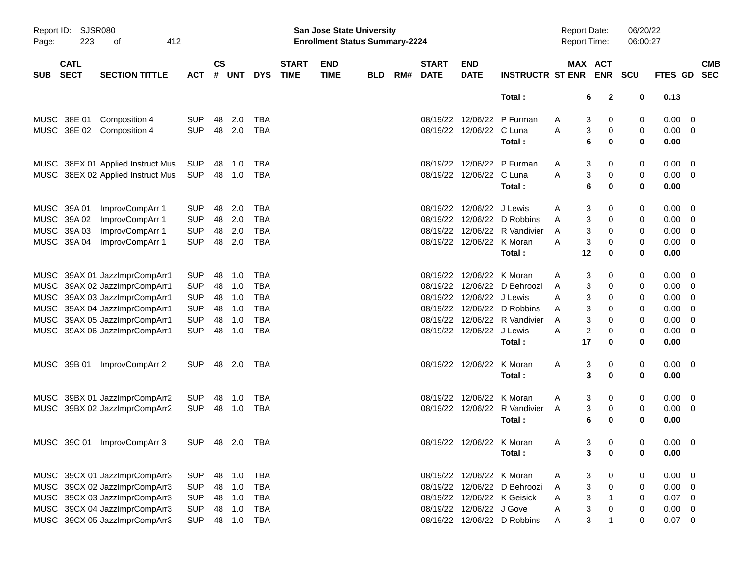| Page:      | <b>SJSR080</b><br>Report ID:<br>223<br>412<br>оf<br><b>CATL</b> |                                   |                |                    |            |            |                             | San Jose State University<br><b>Enrollment Status Summary-2224</b> |            |     |                             |                           |                               | <b>Report Date:</b><br><b>Report Time:</b> |                               | 06/20/22<br>06:00:27 |             |                          |
|------------|-----------------------------------------------------------------|-----------------------------------|----------------|--------------------|------------|------------|-----------------------------|--------------------------------------------------------------------|------------|-----|-----------------------------|---------------------------|-------------------------------|--------------------------------------------|-------------------------------|----------------------|-------------|--------------------------|
| <b>SUB</b> | <b>SECT</b>                                                     | <b>SECTION TITTLE</b>             | <b>ACT</b>     | $\mathsf{cs}$<br># | <b>UNT</b> | <b>DYS</b> | <b>START</b><br><b>TIME</b> | <b>END</b><br><b>TIME</b>                                          | <b>BLD</b> | RM# | <b>START</b><br><b>DATE</b> | <b>END</b><br><b>DATE</b> | <b>INSTRUCTR ST ENR</b>       |                                            | MAX ACT<br><b>ENR</b>         | <b>SCU</b>           | FTES GD     | <b>CMB</b><br><b>SEC</b> |
|            |                                                                 |                                   |                |                    |            |            |                             |                                                                    |            |     |                             |                           | Total:                        |                                            | $\mathbf{2}$<br>6             | 0                    | 0.13        |                          |
|            | MUSC 38E 01                                                     | Composition 4                     | <b>SUP</b>     | 48                 | 2.0        | TBA        |                             |                                                                    |            |     |                             | 08/19/22 12/06/22         | P Furman                      | Α                                          | 3<br>0                        | 0                    | 0.00        | - 0                      |
|            |                                                                 | MUSC 38E 02 Composition 4         | <b>SUP</b>     | 48                 | 2.0        | TBA        |                             |                                                                    |            |     |                             | 08/19/22 12/06/22 C Luna  |                               | Α                                          | 3<br>0                        | 0                    | $0.00 \t 0$ |                          |
|            |                                                                 |                                   |                |                    |            |            |                             |                                                                    |            |     |                             |                           | Total:                        |                                            | 6<br>0                        | $\bf{0}$             | 0.00        |                          |
|            |                                                                 | MUSC 38EX 01 Applied Instruct Mus | SUP            | 48                 | 1.0        | TBA        |                             |                                                                    |            |     |                             | 08/19/22 12/06/22         | P Furman                      | Α                                          | 3<br>0                        | 0                    | 0.00        | - 0                      |
|            |                                                                 | MUSC 38EX 02 Applied Instruct Mus | <b>SUP</b>     |                    | 48 1.0     | TBA        |                             |                                                                    |            |     |                             | 08/19/22 12/06/22 C Luna  |                               | Α                                          | 3<br>0                        | 0                    | $0.00 \t 0$ |                          |
|            |                                                                 |                                   |                |                    |            |            |                             |                                                                    |            |     |                             |                           | Total:                        |                                            | 6<br>0                        | $\bf{0}$             | 0.00        |                          |
|            | MUSC 39A 01                                                     | ImprovCompArr 1                   | <b>SUP</b>     | 48                 | 2.0        | TBA        |                             |                                                                    |            |     |                             | 08/19/22 12/06/22 J Lewis |                               | Α                                          | 3<br>0                        | 0                    | 0.00        | - 0                      |
|            | MUSC 39A 02                                                     | ImprovCompArr 1                   | <b>SUP</b>     | 48                 | 2.0        | <b>TBA</b> |                             |                                                                    |            |     |                             | 08/19/22 12/06/22         | D Robbins                     | A                                          | 0                             | 0                    | 0.00        | $\overline{\phantom{0}}$ |
|            | MUSC 39A 03                                                     | ImprovCompArr 1                   | <b>SUP</b>     | 48                 | 2.0        | <b>TBA</b> |                             |                                                                    |            |     |                             |                           | 08/19/22 12/06/22 R Vandivier | A                                          | 3<br>0                        | 0                    | 0.00        | $\overline{\phantom{0}}$ |
|            | MUSC 39A 04                                                     | ImprovCompArr 1                   | <b>SUP</b>     | 48                 | 2.0        | TBA        |                             |                                                                    |            |     |                             | 08/19/22 12/06/22 K Moran |                               | A                                          | 3<br>0                        | 0                    | $0.00 \t 0$ |                          |
|            |                                                                 |                                   |                |                    |            |            |                             |                                                                    |            |     |                             |                           | Total:                        | 12                                         | 0                             | 0                    | 0.00        |                          |
|            |                                                                 | MUSC 39AX 01 JazzImprCompArr1     | <b>SUP</b>     | 48                 | 1.0        | TBA        |                             |                                                                    |            |     |                             | 08/19/22 12/06/22         | K Moran                       | Α                                          | 3<br>0                        | 0                    | 0.00        | - 0                      |
|            |                                                                 | MUSC 39AX 02 JazzImprCompArr1     | <b>SUP</b>     | 48                 | 1.0        | <b>TBA</b> |                             |                                                                    |            |     |                             | 08/19/22 12/06/22         | D Behroozi                    | A                                          | 3<br>0                        | 0                    | 0.00        | $\overline{\phantom{0}}$ |
|            |                                                                 | MUSC 39AX 03 JazzImprCompArr1     | <b>SUP</b>     | 48                 | 1.0        | <b>TBA</b> |                             |                                                                    |            |     |                             | 08/19/22 12/06/22 J Lewis |                               | A                                          | 3<br>0                        | 0                    | 0.00        | $\overline{\phantom{0}}$ |
|            |                                                                 | MUSC 39AX 04 JazzImprCompArr1     | <b>SUP</b>     | 48                 | 1.0        | <b>TBA</b> |                             |                                                                    |            |     |                             |                           | 08/19/22 12/06/22 D Robbins   | A                                          | 3<br>0                        | 0                    | 0.00        | $\overline{\mathbf{0}}$  |
|            |                                                                 | MUSC 39AX 05 JazzImprCompArr1     | <b>SUP</b>     | 48                 | 1.0        | <b>TBA</b> |                             |                                                                    |            |     | 08/19/22                    | 12/06/22                  | R Vandivier                   | A                                          | 3<br>0                        | 0                    | 0.00        | $\overline{\phantom{0}}$ |
|            |                                                                 | MUSC 39AX 06 JazzImprCompArr1     | <b>SUP</b>     | 48                 | 1.0        | <b>TBA</b> |                             |                                                                    |            |     |                             | 08/19/22 12/06/22 J Lewis |                               | A                                          | 2<br>0                        | 0                    | $0.00 \ 0$  |                          |
|            |                                                                 |                                   |                |                    |            |            |                             |                                                                    |            |     |                             |                           | Total:                        | 17                                         | 0                             | 0                    | 0.00        |                          |
|            | MUSC 39B 01                                                     | ImprovCompArr 2                   | <b>SUP</b>     |                    | 48 2.0     | TBA        |                             |                                                                    |            |     |                             | 08/19/22 12/06/22         | K Moran                       | Α                                          | 3<br>0                        | 0                    | $0.00 \ 0$  |                          |
|            |                                                                 |                                   |                |                    |            |            |                             |                                                                    |            |     |                             |                           | Total:                        |                                            | 3<br>0                        | 0                    | 0.00        |                          |
|            |                                                                 | MUSC 39BX 01 JazzImprCompArr2     | <b>SUP</b>     | 48                 | 1.0        | TBA        |                             |                                                                    |            |     | 08/19/22                    | 12/06/22                  | K Moran                       | Α                                          | 3<br>0                        | 0                    | 0.00        | $\overline{\phantom{0}}$ |
|            |                                                                 | MUSC 39BX 02 JazzImprCompArr2     | <b>SUP</b>     | 48                 | 1.0        | TBA        |                             |                                                                    |            |     |                             | 08/19/22 12/06/22         | R Vandivier                   | A                                          | 3<br>0                        | 0                    | $0.00 \t 0$ |                          |
|            |                                                                 |                                   |                |                    |            |            |                             |                                                                    |            |     |                             |                           | Total:                        |                                            | 6<br>0                        | 0                    | 0.00        |                          |
|            |                                                                 | MUSC 39C 01 ImprovCompArr 3       | SUP 48 2.0 TBA |                    |            |            |                             |                                                                    |            |     |                             |                           | 08/19/22 12/06/22 K Moran     | A                                          | 3 <sup>7</sup><br>$\mathbf 0$ | 0                    | $0.00 \t 0$ |                          |
|            |                                                                 |                                   |                |                    |            |            |                             |                                                                    |            |     |                             |                           | Total:                        |                                            | 0<br>3                        | 0                    | 0.00        |                          |
|            |                                                                 | MUSC 39CX 01 JazzImprCompArr3     | <b>SUP</b>     |                    | 48 1.0     | <b>TBA</b> |                             |                                                                    |            |     |                             | 08/19/22 12/06/22 K Moran |                               | Α                                          | 3<br>0                        | 0                    | $0.00 \t 0$ |                          |
|            |                                                                 | MUSC 39CX 02 JazzImprCompArr3     | <b>SUP</b>     |                    | 48 1.0     | <b>TBA</b> |                             |                                                                    |            |     |                             |                           | 08/19/22 12/06/22 D Behroozi  | A                                          | 3<br>$\,0\,$                  | 0                    | $0.00 \t 0$ |                          |
|            |                                                                 | MUSC 39CX 03 JazzImprCompArr3     | <b>SUP</b>     |                    | 48 1.0     | <b>TBA</b> |                             |                                                                    |            |     |                             |                           | 08/19/22 12/06/22 K Geisick   | Α                                          | 3<br>$\mathbf{1}$             | 0                    | $0.07$ 0    |                          |
|            |                                                                 | MUSC 39CX 04 JazzImprCompArr3     | <b>SUP</b>     |                    | 48 1.0     | <b>TBA</b> |                             |                                                                    |            |     |                             | 08/19/22 12/06/22 J Gove  |                               | Α                                          | 3<br>0                        | 0                    | $0.00 \t 0$ |                          |
|            |                                                                 | MUSC 39CX 05 JazzImprCompArr3     | <b>SUP</b>     |                    | 48 1.0     | <b>TBA</b> |                             |                                                                    |            |     |                             |                           | 08/19/22 12/06/22 D Robbins   | A                                          | 3<br>$\mathbf 1$              | 0                    | $0.07$ 0    |                          |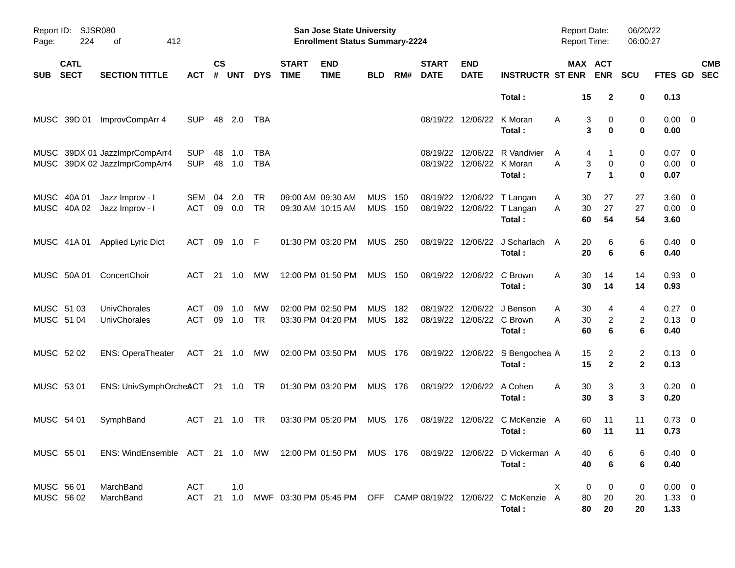| Page:                    | Report ID: SJSR080<br>224<br>412<br>οf<br><b>CATL</b> |                                                                                           |                          |                |            |                          |                             | <b>San Jose State University</b><br><b>Enrollment Status Summary-2224</b> |                          |            |                             |                                       |                                                                                    | <b>Report Date:</b><br><b>Report Time:</b> |                                                             | 06/20/22<br>06:00:27           |                                   |                          |
|--------------------------|-------------------------------------------------------|-------------------------------------------------------------------------------------------|--------------------------|----------------|------------|--------------------------|-----------------------------|---------------------------------------------------------------------------|--------------------------|------------|-----------------------------|---------------------------------------|------------------------------------------------------------------------------------|--------------------------------------------|-------------------------------------------------------------|--------------------------------|-----------------------------------|--------------------------|
| <b>SUB</b>               | <b>SECT</b>                                           | <b>SECTION TITTLE</b>                                                                     | ACT                      | <b>CS</b><br># | <b>UNT</b> | <b>DYS</b>               | <b>START</b><br><b>TIME</b> | <b>END</b><br><b>TIME</b>                                                 | <b>BLD</b>               | RM#        | <b>START</b><br><b>DATE</b> | <b>END</b><br><b>DATE</b>             | <b>INSTRUCTR ST ENR</b>                                                            |                                            | <b>MAX ACT</b><br><b>ENR</b>                                | SCU                            | FTES GD                           | <b>CMB</b><br><b>SEC</b> |
|                          |                                                       |                                                                                           |                          |                |            |                          |                             |                                                                           |                          |            |                             |                                       | Total:                                                                             | 15                                         | $\mathbf{2}$                                                | 0                              | 0.13                              |                          |
|                          | MUSC 39D 01                                           | ImprovCompArr 4                                                                           | SUP                      | 48             | 2.0        | TBA                      |                             |                                                                           |                          |            |                             | 08/19/22 12/06/22 K Moran             | Total:                                                                             | A                                          | 3<br>0<br>3<br>$\bf{0}$                                     | 0<br>$\bf{0}$                  | $0.00 \t 0$<br>0.00               |                          |
|                          |                                                       | MUSC 39DX 01 JazzImprCompArr4<br>MUSC 39DX 02 JazzImprCompArr4                            | <b>SUP</b><br><b>SUP</b> | 48<br>48       | 1.0<br>1.0 | <b>TBA</b><br><b>TBA</b> |                             |                                                                           |                          |            |                             | 08/19/22 12/06/22 K Moran             | 08/19/22 12/06/22 R Vandivier<br>Total:                                            | A<br>A                                     | 4<br>1<br>3<br>$\mathbf 0$<br>$\overline{7}$<br>$\mathbf 1$ | 0<br>0<br>$\bf{0}$             | $0.07$ 0<br>$0.00 \t 0$<br>0.07   |                          |
|                          | MUSC 40A 01<br>MUSC 40A 02                            | Jazz Improv - I<br>Jazz Improv - I                                                        | SEM<br><b>ACT</b>        | 04<br>09       | 2.0<br>0.0 | TR<br><b>TR</b>          |                             | 09:00 AM 09:30 AM<br>09:30 AM 10:15 AM                                    | <b>MUS</b><br><b>MUS</b> | 150<br>150 |                             |                                       | 08/19/22 12/06/22 T Langan<br>08/19/22 12/06/22 T Langan<br>Total:                 | 30<br>A<br>30<br>A<br>60                   | 27<br>27<br>54                                              | 27<br>27<br>54                 | $3.60 \ 0$<br>$0.00 \t 0$<br>3.60 |                          |
|                          | MUSC 41A 01                                           | <b>Applied Lyric Dict</b>                                                                 | ACT                      | 09             | 1.0        | -F                       |                             | 01:30 PM 03:20 PM                                                         | <b>MUS</b>               | 250        |                             | 08/19/22 12/06/22                     | J Scharlach<br>Total:                                                              | 20<br>A<br>20                              | 6<br>6                                                      | 6<br>6                         | $0.40 \quad 0$<br>0.40            |                          |
|                          | MUSC 50A 01                                           | ConcertChoir                                                                              | ACT                      | 21             | $-1.0$     | MW                       |                             | 12:00 PM 01:50 PM                                                         | <b>MUS 150</b>           |            |                             | 08/19/22 12/06/22                     | C Brown<br>Total:                                                                  | A<br>30<br>30                              | 14<br>14                                                    | 14<br>14                       | $0.93$ 0<br>0.93                  |                          |
| MUSC 51 03<br>MUSC 51 04 |                                                       | UnivChorales<br><b>UnivChorales</b>                                                       | <b>ACT</b><br><b>ACT</b> | 09<br>09       | 1.0<br>1.0 | MW<br>TR                 |                             | 02:00 PM 02:50 PM<br>03:30 PM 04:20 PM                                    | <b>MUS</b><br><b>MUS</b> | 182<br>182 | 08/19/22                    | 12/06/22<br>08/19/22 12/06/22 C Brown | J Benson<br>Total:                                                                 | 30<br>Α<br>30<br>A<br>60                   | 4<br>$\overline{c}$<br>6                                    | 4<br>2<br>6                    | 0.27<br>$0.13 \ 0$<br>0.40        | $\overline{\phantom{0}}$ |
| MUSC 52 02               |                                                       | <b>ENS: OperaTheater</b>                                                                  | ACT                      |                | 21 1.0     | MW                       |                             | 02:00 PM 03:50 PM                                                         | <b>MUS 176</b>           |            |                             |                                       | 08/19/22 12/06/22 S Bengochea A<br>Total:                                          | 15<br>15                                   | 2<br>$\mathbf{2}$                                           | $\overline{c}$<br>$\mathbf{2}$ | $0.13 \quad 0$<br>0.13            |                          |
| MUSC 53 01               |                                                       | ENS: UnivSymphOrcheACT 21 1.0 TR                                                          |                          |                |            |                          |                             | 01:30 PM 03:20 PM                                                         | <b>MUS 176</b>           |            |                             | 08/19/22 12/06/22                     | A Cohen<br>Total:                                                                  | A<br>30<br>30                              | 3<br>3                                                      | 3<br>3                         | $0.20 \ 0$<br>0.20                |                          |
| MUSC 54 01               |                                                       | SymphBand                                                                                 | ACT                      | 21             | 1.0        | TR                       |                             | 03:30 PM 05:20 PM                                                         | <b>MUS 176</b>           |            |                             | 08/19/22 12/06/22                     | C McKenzie A<br>Total:                                                             | 60<br>60                                   | 11<br>11                                                    | 11<br>11                       | $0.73 \quad 0$<br>0.73            |                          |
| MUSC 55 01               |                                                       | ENS: WindEnsemble ACT 21 1.0 MW 12:00 PM 01:50 PM MUS 176 08/19/22 12/06/22 D Vickerman A |                          |                |            |                          |                             |                                                                           |                          |            |                             |                                       | Total:                                                                             | 40<br>40                                   | 6<br>6                                                      | 6<br>6                         | $0.40 \quad 0$<br>0.40            |                          |
| MUSC 56 01<br>MUSC 56 02 |                                                       | MarchBand<br>MarchBand                                                                    | ACT                      |                | 1.0        |                          |                             |                                                                           |                          |            |                             |                                       | ACT 21 1.0 MWF 03:30 PM 05:45 PM OFF CAMP 08/19/22 12/06/22 C McKenzie A<br>Total: | X<br>80<br>80                              | 0<br>0<br>20<br>20                                          | 0<br>20<br>20                  | $0.00 \t 0$<br>$1.33 \ 0$<br>1.33 |                          |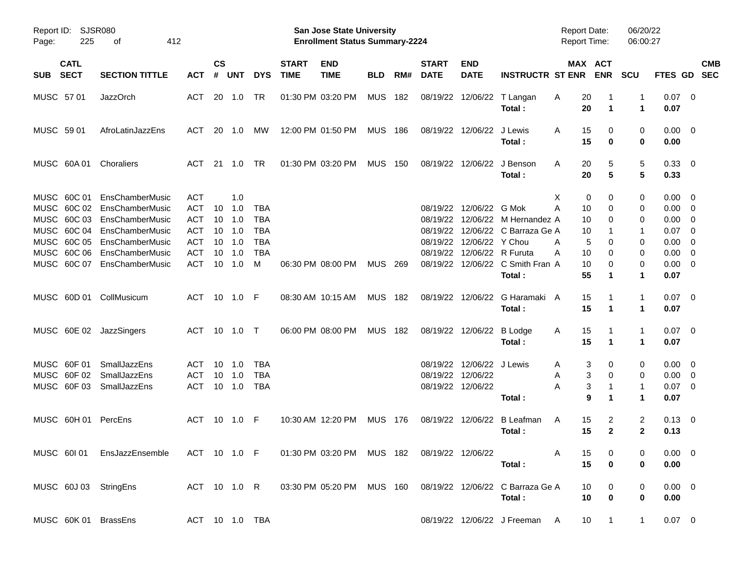| Report ID:<br>Page:                                      | SJSR080<br>225<br>412<br>οf                                                                                                                                           |                                                                                                |                                  |                                               |                                                                  |                             | <b>San Jose State University</b><br><b>Enrollment Status Summary-2224</b> |                |     |                             |                                                                                   |                                                                                                                   | <b>Report Date:</b><br><b>Report Time:</b>                |                                      | 06/20/22<br>06:00:27                    |                                                                                                               |                           |
|----------------------------------------------------------|-----------------------------------------------------------------------------------------------------------------------------------------------------------------------|------------------------------------------------------------------------------------------------|----------------------------------|-----------------------------------------------|------------------------------------------------------------------|-----------------------------|---------------------------------------------------------------------------|----------------|-----|-----------------------------|-----------------------------------------------------------------------------------|-------------------------------------------------------------------------------------------------------------------|-----------------------------------------------------------|--------------------------------------|-----------------------------------------|---------------------------------------------------------------------------------------------------------------|---------------------------|
| <b>CATL</b><br><b>SECT</b><br><b>SUB</b>                 | <b>SECTION TITTLE</b>                                                                                                                                                 | <b>ACT</b>                                                                                     | $\mathsf{cs}$<br>#               | <b>UNT</b>                                    | <b>DYS</b>                                                       | <b>START</b><br><b>TIME</b> | <b>END</b><br><b>TIME</b>                                                 | <b>BLD</b>     | RM# | <b>START</b><br><b>DATE</b> | <b>END</b><br><b>DATE</b>                                                         | <b>INSTRUCTR ST ENR</b>                                                                                           |                                                           | MAX ACT<br><b>ENR</b>                | <b>SCU</b>                              |                                                                                                               | <b>CMB</b><br>FTES GD SEC |
| MUSC 57 01                                               | <b>JazzOrch</b>                                                                                                                                                       | ACT                                                                                            |                                  | 20 1.0                                        | TR                                                               |                             | 01:30 PM 03:20 PM                                                         | MUS 182        |     |                             |                                                                                   | 08/19/22 12/06/22 T Langan<br>Total:                                                                              | 20<br>A<br>20                                             | 1                                    | 1<br>$\mathbf 1$                        | $0.07$ 0<br>0.07                                                                                              |                           |
| MUSC 5901                                                | AfroLatinJazzEns                                                                                                                                                      | <b>ACT</b>                                                                                     |                                  | 20 1.0                                        | МW                                                               |                             | 12:00 PM 01:50 PM                                                         | <b>MUS 186</b> |     |                             | 08/19/22 12/06/22 J Lewis                                                         | Total:                                                                                                            | 15<br>A<br>15                                             | 0<br>$\bf{0}$                        | 0<br>0                                  | $0.00 \quad 0$<br>0.00                                                                                        |                           |
| MUSC 60A01                                               | Choraliers                                                                                                                                                            | ACT                                                                                            |                                  | 21 1.0                                        | TR                                                               |                             | 01:30 PM 03:20 PM                                                         | <b>MUS 150</b> |     |                             |                                                                                   | 08/19/22 12/06/22 J Benson<br>Total:                                                                              | 20<br>A<br>20                                             | 5<br>5                               | 5<br>5                                  | $0.33 \ 0$<br>0.33                                                                                            |                           |
| MUSC 60C 01<br>MUSC 60C 02<br>MUSC 60C 05<br>MUSC 60C 06 | EnsChamberMusic<br>EnsChamberMusic<br>MUSC 60C 03 EnsChamberMusic<br>MUSC 60C 04 EnsChamberMusic<br>EnsChamberMusic<br>EnsChamberMusic<br>MUSC 60C 07 EnsChamberMusic | <b>ACT</b><br><b>ACT</b><br><b>ACT</b><br><b>ACT</b><br><b>ACT</b><br><b>ACT</b><br><b>ACT</b> | 10<br>10<br>10<br>10<br>10<br>10 | 1.0<br>1.0<br>1.0<br>1.0<br>1.0<br>1.0<br>1.0 | TBA<br><b>TBA</b><br><b>TBA</b><br><b>TBA</b><br><b>TBA</b><br>м |                             | 06:30 PM 08:00 PM                                                         | MUS 269        |     |                             | 08/19/22 12/06/22 G Mok<br>08/19/22 12/06/22 Y Chou<br>08/19/22 12/06/22 R Furuta | 08/19/22 12/06/22 M Hernandez A<br>08/19/22 12/06/22 C Barraza Ge A<br>08/19/22 12/06/22 C Smith Fran A<br>Total: | Х<br>Α<br>10<br>10<br>10<br>5<br>A<br>Α<br>10<br>10<br>55 | 0<br>0<br>0<br>0<br>0<br>0<br>0<br>1 | 0<br>0<br>0<br>-1<br>0<br>0<br>0<br>1   | $0.00 \quad 0$<br>$0.00 \t 0$<br>$0.00 \t 0$<br>$0.07$ 0<br>$0.00 \t 0$<br>$0.00 \t 0$<br>$0.00 \t 0$<br>0.07 |                           |
| MUSC 60D 01 CollMusicum                                  |                                                                                                                                                                       | ACT 10 1.0 F                                                                                   |                                  |                                               |                                                                  |                             | 08:30 AM 10:15 AM                                                         | <b>MUS 182</b> |     |                             |                                                                                   | 08/19/22 12/06/22 G Haramaki A<br>Total:                                                                          | 15<br>15                                                  | 1                                    | 1<br>1                                  | $0.07 \quad 0$<br>0.07                                                                                        |                           |
| MUSC 60E 02 JazzSingers                                  |                                                                                                                                                                       | ACT 10 1.0 T                                                                                   |                                  |                                               |                                                                  |                             | 06:00 PM 08:00 PM                                                         | MUS 182        |     |                             | 08/19/22 12/06/22 B Lodge                                                         | Total:                                                                                                            | 15<br>A<br>15                                             | 1                                    | 1<br>1                                  | $0.07 \quad 0$<br>0.07                                                                                        |                           |
| MUSC 60F 01<br>MUSC 60F 02<br>MUSC 60F03                 | SmallJazzEns<br>SmallJazzEns<br>SmallJazzEns                                                                                                                          | ACT<br><b>ACT</b><br><b>ACT</b>                                                                | 10<br>10                         | 1.0<br>1.0<br>10 1.0                          | <b>TBA</b><br><b>TBA</b><br><b>TBA</b>                           |                             |                                                                           |                |     |                             | 08/19/22 12/06/22 J Lewis<br>08/19/22 12/06/22<br>08/19/22 12/06/22               | Total:                                                                                                            | A<br>A<br>Α                                               | 3<br>0<br>3<br>0<br>3<br>9<br>1      | 0<br>0<br>1<br>1                        | $0.00 \quad 0$<br>$0.00 \t 0$<br>$0.07$ 0<br>0.07                                                             |                           |
| MUSC 60H 01                                              | PercEns                                                                                                                                                               | ACT                                                                                            |                                  | 10 1.0                                        | - F                                                              |                             | 10:30 AM 12:20 PM                                                         | <b>MUS 176</b> |     |                             |                                                                                   | 08/19/22 12/06/22 B Leafman<br>Total:                                                                             | 15<br>A<br>15                                             | 2<br>$\mathbf{2}$                    | $\overline{\mathbf{c}}$<br>$\mathbf{2}$ | $0.13 \ 0$<br>0.13                                                                                            |                           |
|                                                          | MUSC 601 01 EnsJazzEnsemble ACT 10 1.0 F 01:30 PM 03:20 PM MUS 182 08/19/22 12/06/22                                                                                  |                                                                                                |                                  |                                               |                                                                  |                             |                                                                           |                |     |                             |                                                                                   | Total:                                                                                                            | 15<br>A<br>15                                             | 0<br>$\bf{0}$                        | 0<br>0                                  | $0.00 \t 0$<br>0.00                                                                                           |                           |
| MUSC 60J 03 StringEns                                    |                                                                                                                                                                       |                                                                                                |                                  |                                               |                                                                  |                             |                                                                           |                |     |                             |                                                                                   | ACT 10 1.0 R 03:30 PM 05:20 PM MUS 160 08/19/22 12/06/22 C Barraza Ge A<br>Total:                                 | 10<br>10                                                  | 0<br>$\bf{0}$                        | $\overline{0}$<br>0                     | $0.00 \t 0$<br>0.00                                                                                           |                           |
| MUSC 60K 01 BrassEns                                     |                                                                                                                                                                       |                                                                                                |                                  |                                               | ACT 10 1.0 TBA                                                   |                             |                                                                           |                |     |                             |                                                                                   | 08/19/22 12/06/22 J Freeman A                                                                                     | 10 <sup>°</sup>                                           | $\overline{1}$                       | $\mathbf{1}$                            | $0.07 \quad 0$                                                                                                |                           |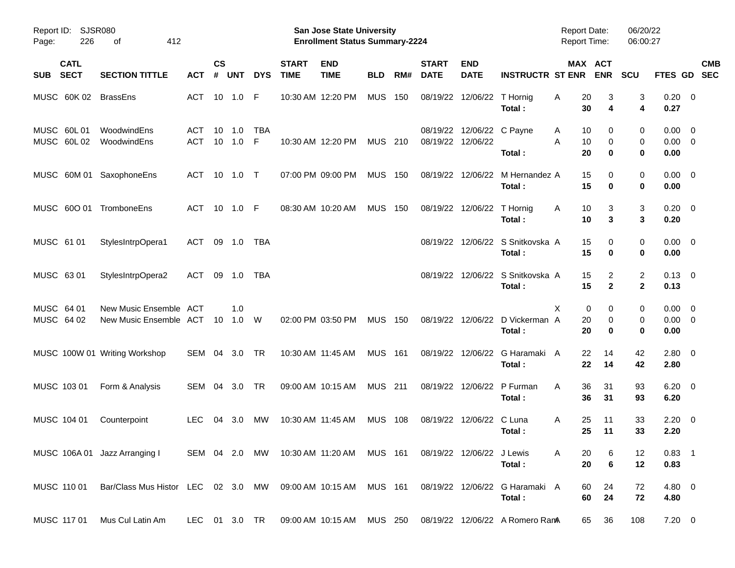| Report ID:<br>226<br>Page:               | <b>SJSR080</b><br>412<br>οf                                  |                   |                |            |                 |                             | San Jose State University<br><b>Enrollment Status Summary-2224</b> |                |     |                             |                           |                                           | <b>Report Date:</b><br><b>Report Time:</b> |                                   | 06/20/22<br>06:00:27           |                                    |                          |
|------------------------------------------|--------------------------------------------------------------|-------------------|----------------|------------|-----------------|-----------------------------|--------------------------------------------------------------------|----------------|-----|-----------------------------|---------------------------|-------------------------------------------|--------------------------------------------|-----------------------------------|--------------------------------|------------------------------------|--------------------------|
| <b>CATL</b><br><b>SECT</b><br><b>SUB</b> | <b>SECTION TITTLE</b>                                        | АСТ               | <b>CS</b><br># | <b>UNT</b> | <b>DYS</b>      | <b>START</b><br><b>TIME</b> | <b>END</b><br><b>TIME</b>                                          | <b>BLD</b>     | RM# | <b>START</b><br><b>DATE</b> | <b>END</b><br><b>DATE</b> | <b>INSTRUCTR ST ENR</b>                   |                                            | MAX ACT<br><b>ENR</b>             | <b>SCU</b>                     | FTES GD                            | <b>CMB</b><br><b>SEC</b> |
| MUSC 60K 02                              | <b>BrassEns</b>                                              | ACT               |                | 10 1.0     | F               |                             | 10:30 AM 12:20 PM                                                  | <b>MUS</b>     | 150 | 08/19/22                    | 12/06/22                  | T Hornig<br>Total:                        | Α<br>30                                    | 20<br>3<br>4                      | 3<br>4                         | $0.20 \ 0$<br>0.27                 |                          |
| MUSC 60L 01<br>MUSC 60L02                | WoodwindEns<br>WoodwindEns                                   | ACT<br><b>ACT</b> | 10<br>10       | 1.0<br>1.0 | <b>TBA</b><br>F |                             | 10:30 AM 12:20 PM                                                  | <b>MUS</b>     | 210 | 08/19/22<br>08/19/22        | 12/06/22                  | 12/06/22 C Payne<br>Total:                | A<br>A<br>20                               | 10<br>0<br>$\mathbf 0$<br>10<br>0 | 0<br>0<br>0                    | 0.00<br>$0.00 \t 0$<br>0.00        | $\overline{\mathbf{0}}$  |
|                                          | MUSC 60M 01 SaxophoneEns                                     | ACT               | 10             | 1.0        | $\top$          |                             | 07:00 PM 09:00 PM                                                  | <b>MUS</b>     | 150 |                             | 08/19/22 12/06/22         | M Hernandez A<br>Total:                   | 15                                         | 15<br>0<br>$\bf{0}$               | 0<br>0                         | $0.00 \t 0$<br>0.00                |                          |
| MUSC 600 01                              | TromboneEns                                                  | <b>ACT</b>        | 10             | 1.0        | - F             |                             | 08:30 AM 10:20 AM                                                  | <b>MUS</b>     | 150 | 08/19/22                    | 12/06/22                  | T Hornig<br>Total:                        | A<br>10                                    | 3<br>10<br>3                      | 3<br>3                         | $0.20 \ 0$<br>0.20                 |                          |
| MUSC 61 01                               | StylesIntrpOpera1                                            | ACT               | 09             | 1.0        | <b>TBA</b>      |                             |                                                                    |                |     | 08/19/22                    |                           | 12/06/22 S Snitkovska A<br>Total:         | 15                                         | 15<br>0<br>$\bf{0}$               | 0<br>0                         | $0.00 \t 0$<br>0.00                |                          |
| MUSC 63 01                               | StylesIntrpOpera2                                            | ACT               | 09             | 1.0        | <b>TBA</b>      |                             |                                                                    |                |     | 08/19/22                    |                           | 12/06/22 S Snitkovska A<br>Total:         | 15                                         | 15<br>2<br>$\overline{2}$         | $\overline{c}$<br>$\mathbf{2}$ | $0.13 \quad 0$<br>0.13             |                          |
| MUSC 64 01<br>MUSC 64 02                 | New Music Ensemble ACT<br>New Music Ensemble ACT             |                   | 10             | 1.0<br>1.0 | W               |                             | 02:00 PM 03:50 PM                                                  | <b>MUS</b>     | 150 |                             |                           | 08/19/22 12/06/22 D Vickerman A<br>Total: | X<br>20<br>20                              | 0<br>0<br>0<br>0                  | 0<br>0<br>0                    | $0.00 \t 0$<br>$0.00 \t 0$<br>0.00 |                          |
|                                          | MUSC 100W 01 Writing Workshop                                | SEM 04            |                | 3.0        | <b>TR</b>       |                             | 10:30 AM 11:45 AM                                                  | <b>MUS</b>     | 161 |                             | 08/19/22 12/06/22         | G Haramaki A<br>Total:                    | 22<br>22                                   | 14<br>14                          | 42<br>42                       | 2.80 0<br>2.80                     |                          |
| MUSC 103 01                              | Form & Analysis                                              | SEM               | 04             | 3.0        | TR              |                             | 09:00 AM 10:15 AM                                                  | <b>MUS</b> 211 |     | 08/19/22                    | 12/06/22                  | P Furman<br>Total:                        | 36<br>A                                    | 31<br>36<br>31                    | 93<br>93                       | $6.20 \quad 0$<br>6.20             |                          |
| MUSC 104 01                              | Counterpoint                                                 | <b>LEC</b>        | 04             | 3.0        | МW              |                             | 10:30 AM 11:45 AM                                                  | <b>MUS</b>     | 108 | 08/19/22                    | 12/06/22                  | C Luna<br>Total:                          | Α<br>25                                    | 11<br>25<br>11                    | 33<br>33                       | $2.20 \t 0$<br>2.20                |                          |
|                                          | MUSC 106A 01 Jazz Arranging I                                |                   |                |            |                 |                             | SEM 04 2.0 MW 10:30 AM 11:20 AM MUS 161                            |                |     |                             | 08/19/22 12/06/22 J Lewis | Total:                                    | A                                          | 20<br>6<br>$\bf 6$<br>20          | 12<br>12                       | $0.83$ 1<br>0.83                   |                          |
| MUSC 110 01                              | Bar/Class Mus Histor LEC 02 3.0 MW 09:00 AM 10:15 AM MUS 161 |                   |                |            |                 |                             |                                                                    |                |     |                             |                           | 08/19/22 12/06/22 G Haramaki A<br>Total:  |                                            | 24<br>60<br>60<br>24              | 72<br>72                       | 4.80 0<br>4.80                     |                          |
| MUSC 117 01                              | Mus Cul Latin Am                                             | LEC 01 3.0 TR     |                |            |                 |                             | 09:00 AM 10:15 AM MUS 250                                          |                |     |                             |                           | 08/19/22 12/06/22 A Romero RamA           |                                            | 36<br>65                          | 108                            | $7.20 \t 0$                        |                          |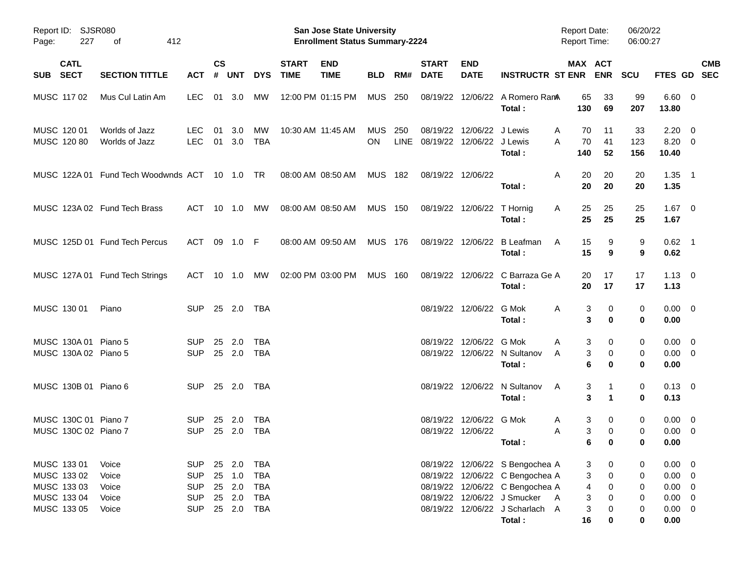| Page:       | Report ID: SJSR080<br>227<br>412<br>оf<br><b>CATL</b> |                                               |                                        |                    |                            |                                        |                             | San Jose State University<br><b>Enrollment Status Summary-2224</b> |                  |     |                                            |                                              |                                                                                                       | <b>Report Date:</b><br>Report Time: |                       | 06/20/22<br>06:00:27 |                                          |                                                      |            |
|-------------|-------------------------------------------------------|-----------------------------------------------|----------------------------------------|--------------------|----------------------------|----------------------------------------|-----------------------------|--------------------------------------------------------------------|------------------|-----|--------------------------------------------|----------------------------------------------|-------------------------------------------------------------------------------------------------------|-------------------------------------|-----------------------|----------------------|------------------------------------------|------------------------------------------------------|------------|
| SUB SECT    |                                                       | <b>SECTION TITTLE</b>                         | <b>ACT</b>                             | $\mathsf{cs}$<br># | <b>UNT</b>                 | <b>DYS</b>                             | <b>START</b><br><b>TIME</b> | <b>END</b><br><b>TIME</b>                                          | <b>BLD</b>       | RM# | <b>START</b><br><b>DATE</b>                | <b>END</b><br><b>DATE</b>                    | <b>INSTRUCTR ST ENR ENR</b>                                                                           | MAX ACT                             |                       | <b>SCU</b>           | FTES GD SEC                              |                                                      | <b>CMB</b> |
|             | MUSC 117 02                                           | Mus Cul Latin Am                              | <b>LEC</b>                             |                    | 01 3.0                     | <b>MW</b>                              |                             | 12:00 PM 01:15 PM                                                  | <b>MUS 250</b>   |     |                                            |                                              | 08/19/22 12/06/22 A Romero RamA<br>Total:                                                             | 65<br>130                           | 33<br>69              | 99<br>207            | $6.60 \quad 0$<br>13.80                  |                                                      |            |
| MUSC 120 01 | MUSC 120 80                                           | Worlds of Jazz<br>Worlds of Jazz              | <b>LEC</b><br>LEC                      | 01                 | 3.0<br>01 3.0              | МW<br>TBA                              |                             | 10:30 AM 11:45 AM                                                  | <b>MUS</b><br>ON | 250 | 08/19/22<br>LINE 08/19/22 12/06/22 J Lewis | 12/06/22 J Lewis                             | Total:                                                                                                | 70<br>A<br>70<br>A<br>140           | 11<br>41<br>52        | 33<br>123<br>156     | 2.20<br>$8.20 \ 0$<br>10.40              | $\overline{\phantom{0}}$                             |            |
|             |                                                       | MUSC 122A 01 Fund Tech Woodwnds ACT 10 1.0 TR |                                        |                    |                            |                                        |                             | 08:00 AM 08:50 AM                                                  | MUS 182          |     |                                            | 08/19/22 12/06/22                            | Total:                                                                                                | 20<br>A<br>20                       | 20<br>20              | 20<br>20             | $1.35$ 1<br>1.35                         |                                                      |            |
|             |                                                       | MUSC 123A 02 Fund Tech Brass                  | ACT 10 1.0                             |                    |                            | МW                                     |                             | 08:00 AM 08:50 AM                                                  | MUS 150          |     |                                            | 08/19/22 12/06/22 T Hornig                   | Total:                                                                                                | 25<br>A<br>25                       | 25<br>25              | 25<br>25             | $1.67 \quad 0$<br>1.67                   |                                                      |            |
|             |                                                       | MUSC 125D 01 Fund Tech Percus                 | ACT 09 1.0 F                           |                    |                            |                                        |                             | 08:00 AM 09:50 AM                                                  | MUS 176          |     |                                            |                                              | 08/19/22 12/06/22 B Leafman<br>Total:                                                                 | 15<br>A<br>15                       | 9<br>9                | 9<br>9               | $0.62$ 1<br>0.62                         |                                                      |            |
|             |                                                       | MUSC 127A 01 Fund Tech Strings                | ACT 10 1.0                             |                    |                            | MW                                     |                             | 02:00 PM 03:00 PM                                                  | <b>MUS 160</b>   |     |                                            |                                              | 08/19/22 12/06/22 C Barraza Ge A<br>Total:                                                            | 20<br>20                            | 17<br>17              | 17<br>17             | $1.13 \ 0$<br>1.13                       |                                                      |            |
|             | MUSC 130 01                                           | Piano                                         | SUP.                                   |                    |                            | 25 2.0 TBA                             |                             |                                                                    |                  |     |                                            | 08/19/22 12/06/22 G Mok                      | Total:                                                                                                | A<br>3<br>3                         | 0<br>0                | 0<br>0               | $0.00 \quad 0$<br>0.00                   |                                                      |            |
|             | MUSC 130A 01 Piano 5<br>MUSC 130A 02 Piano 5          |                                               | <b>SUP</b><br><b>SUP</b>               | 25                 | 2.0<br>25 2.0              | <b>TBA</b><br>TBA                      |                             |                                                                    |                  |     |                                            | 08/19/22 12/06/22 G Mok                      | 08/19/22 12/06/22 N Sultanov<br>Total:                                                                | A<br>3<br>3<br>A<br>6               | 0<br>0<br>0           | 0<br>0<br>0          | $0.00 \quad 0$<br>$0.00 \t 0$<br>0.00    |                                                      |            |
|             | MUSC 130B 01 Piano 6                                  |                                               | SUP 25 2.0 TBA                         |                    |                            |                                        |                             |                                                                    |                  |     |                                            |                                              | 08/19/22 12/06/22 N Sultanov<br>Total:                                                                | A<br>3<br>3                         | $\blacktriangleleft$  | 0<br>0               | $0.13 \quad 0$<br>0.13                   |                                                      |            |
|             | MUSC 130C 01 Piano 7<br>MUSC 130C 02 Piano 7          |                                               | <b>SUP</b><br><b>SUP</b>               | 25<br>25 2.0       | -2.0                       | TBA<br>TBA                             |                             |                                                                    |                  |     |                                            | 08/19/22 12/06/22 G Mok<br>08/19/22 12/06/22 | Total :                                                                                               | 3<br>A<br>3<br>A<br>6               | 0<br>0<br>$\mathbf 0$ | 0<br>0<br>0          | $0.00 \quad 0$<br>$0.00 \quad 0$<br>0.00 |                                                      |            |
| MUSC 133 01 | MUSC 133 02<br>MUSC 133 03                            | Voice<br>Voice<br>Voice                       | <b>SUP</b><br><b>SUP</b><br><b>SUP</b> |                    | 25 2.0<br>25 1.0<br>25 2.0 | <b>TBA</b><br><b>TBA</b><br><b>TBA</b> |                             |                                                                    |                  |     |                                            |                                              | 08/19/22 12/06/22 S Bengochea A<br>08/19/22 12/06/22 C Bengochea A<br>08/19/22 12/06/22 C Bengochea A | 3<br>3<br>4                         | 0<br>0<br>0           | 0<br>0<br>0          | 0.00<br>0.00<br>$0.00 \t 0$              | $\overline{\phantom{0}}$<br>$\overline{\phantom{0}}$ |            |
|             | MUSC 133 04<br>MUSC 133 05                            | Voice<br>Voice                                | <b>SUP</b><br><b>SUP</b>               |                    | 25 2.0<br>25 2.0           | <b>TBA</b><br><b>TBA</b>               |                             |                                                                    |                  |     |                                            |                                              | 08/19/22 12/06/22 J Smucker<br>08/19/22 12/06/22 J Scharlach A<br>Total:                              | 3<br><b>A</b><br>3<br>16            | 0<br>0<br>0           | 0<br>0<br>0          | $0.00 \t 0$<br>$0.00 \t 0$<br>0.00       |                                                      |            |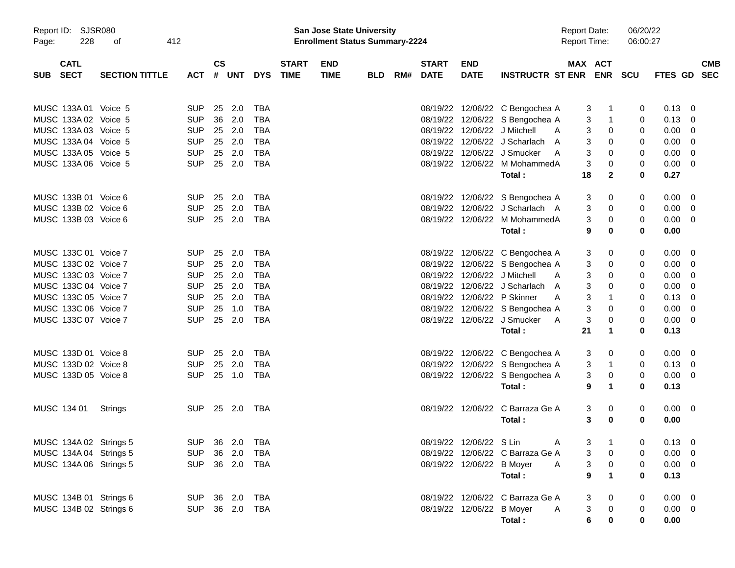| Report ID:<br>228<br>Page:               | <b>SJSR080</b><br>412<br>οf |                |                    |            |              |                             | San Jose State University<br><b>Enrollment Status Summary-2224</b> |            |                          |                           |                                  | <b>Report Date:</b><br><b>Report Time:</b> |                      | 06/20/22<br>06:00:27 |                |                          |  |
|------------------------------------------|-----------------------------|----------------|--------------------|------------|--------------|-----------------------------|--------------------------------------------------------------------|------------|--------------------------|---------------------------|----------------------------------|--------------------------------------------|----------------------|----------------------|----------------|--------------------------|--|
| <b>CATL</b><br><b>SECT</b><br><b>SUB</b> | <b>SECTION TITTLE</b>       | <b>ACT</b>     | $\mathsf{cs}$<br># | <b>UNT</b> | <b>DYS</b>   | <b>START</b><br><b>TIME</b> | <b>END</b><br><b>TIME</b>                                          | <b>BLD</b> | <b>START</b><br>RM# DATE | <b>END</b><br><b>DATE</b> | <b>INSTRUCTR ST ENR ENR</b>      |                                            | MAX ACT              | SCU                  | <b>FTES GD</b> | <b>CMB</b><br><b>SEC</b> |  |
| MUSC 133A 01 Voice 5                     |                             | <b>SUP</b>     | 25                 | 2.0        | TBA          |                             |                                                                    |            |                          |                           | 08/19/22 12/06/22 C Bengochea A  |                                            | 3<br>$\mathbf{1}$    | 0                    | 0.13           | $\overline{0}$           |  |
| MUSC 133A 02 Voice 5                     |                             | <b>SUP</b>     | 36                 | 2.0        | <b>TBA</b>   |                             |                                                                    |            |                          |                           | 08/19/22 12/06/22 S Bengochea A  |                                            | $\mathbf 1$<br>3     | 0                    | 0.13           | 0                        |  |
| MUSC 133A 03 Voice 5                     |                             | <b>SUP</b>     | 25 2.0             |            | <b>TBA</b>   |                             |                                                                    |            |                          |                           | 08/19/22 12/06/22 J Mitchell     | A                                          | 3<br>0               | 0                    | 0.00           | $\overline{0}$           |  |
| MUSC 133A 04 Voice 5                     |                             | <b>SUP</b>     | 25 2.0             |            | <b>TBA</b>   |                             |                                                                    |            |                          |                           | 08/19/22 12/06/22 J Scharlach    | A                                          | 3<br>0               | 0                    | 0.00           | $\overline{0}$           |  |
| MUSC 133A 05 Voice 5                     |                             | <b>SUP</b>     | 25                 | 2.0        | <b>TBA</b>   |                             |                                                                    |            | 08/19/22                 |                           | 12/06/22 J Smucker               | A                                          | 3<br>0               | 0                    | 0.00           | $\overline{0}$           |  |
| MUSC 133A 06 Voice 5                     |                             | <b>SUP</b>     | 25 2.0             |            | <b>TBA</b>   |                             |                                                                    |            |                          |                           | 08/19/22 12/06/22 M MohammedA    |                                            | 3<br>0               | 0                    | 0.00           | $\overline{0}$           |  |
|                                          |                             |                |                    |            |              |                             |                                                                    |            |                          |                           | Total :                          | 18                                         | $\mathbf{2}$         | 0                    | 0.27           |                          |  |
| MUSC 133B 01 Voice 6                     |                             | <b>SUP</b>     | 25                 | 2.0        | TBA          |                             |                                                                    |            |                          |                           | 08/19/22 12/06/22 S Bengochea A  |                                            | 0<br>3               | 0                    | 0.00           | - 0                      |  |
| MUSC 133B 02 Voice 6                     |                             | <b>SUP</b>     | 25                 | 2.0        | <b>TBA</b>   |                             |                                                                    |            |                          |                           | 08/19/22 12/06/22 J Scharlach A  |                                            | 3<br>0               | 0                    | 0.00           | - 0                      |  |
| MUSC 133B 03 Voice 6                     |                             | <b>SUP</b>     | 25 2.0             |            | <b>TBA</b>   |                             |                                                                    |            |                          |                           | 08/19/22 12/06/22 M MohammedA    |                                            | 3<br>0               | 0                    | 0.00           | $\overline{0}$           |  |
|                                          |                             |                |                    |            |              |                             |                                                                    |            |                          |                           | Total:                           |                                            | 0<br>9               | 0                    | 0.00           |                          |  |
| MUSC 133C 01 Voice 7                     |                             | <b>SUP</b>     | 25                 | 2.0        | TBA          |                             |                                                                    |            |                          |                           | 08/19/22 12/06/22 C Bengochea A  |                                            | 3<br>0               | 0                    | 0.00           | - 0                      |  |
| MUSC 133C 02 Voice 7                     |                             | <b>SUP</b>     | 25 2.0             |            | <b>TBA</b>   |                             |                                                                    |            |                          |                           | 08/19/22 12/06/22 S Bengochea A  |                                            | 3<br>0               | 0                    | 0.00           | - 0                      |  |
| MUSC 133C 03 Voice 7                     |                             | <b>SUP</b>     | 25 2.0             |            | <b>TBA</b>   |                             |                                                                    |            |                          |                           | 08/19/22 12/06/22 J Mitchell     | A                                          | 3<br>0               | 0                    | 0.00           | $\overline{0}$           |  |
| MUSC 133C 04 Voice 7                     |                             | <b>SUP</b>     | 25 2.0             |            | <b>TBA</b>   |                             |                                                                    |            |                          |                           | 08/19/22 12/06/22 J Scharlach    | A                                          | 3<br>0               | 0                    | 0.00           | $\overline{0}$           |  |
| MUSC 133C 05 Voice 7                     |                             | <b>SUP</b>     | 25 2.0             |            | <b>TBA</b>   |                             |                                                                    |            |                          |                           | 08/19/22 12/06/22 P Skinner      | A                                          | 3<br>$\mathbf 1$     | 0                    | 0.13           | $\overline{0}$           |  |
| MUSC 133C 06 Voice 7                     |                             | <b>SUP</b>     | 25                 | 1.0        | <b>TBA</b>   |                             |                                                                    |            |                          |                           | 08/19/22 12/06/22 S Bengochea A  |                                            | 3<br>0               | 0                    | 0.00           | $\overline{0}$           |  |
| MUSC 133C 07 Voice 7                     |                             | <b>SUP</b>     | 25 2.0             |            | <b>TBA</b>   |                             |                                                                    |            |                          |                           | 08/19/22 12/06/22 J Smucker      | 3<br>A                                     | 0                    | 0                    | 0.00           | $\overline{0}$           |  |
|                                          |                             |                |                    |            |              |                             |                                                                    |            |                          |                           | Total:                           | 21                                         | $\blacktriangleleft$ | 0                    | 0.13           |                          |  |
| MUSC 133D 01 Voice 8                     |                             | <b>SUP</b>     | 25                 | 2.0        | TBA          |                             |                                                                    |            |                          |                           | 08/19/22 12/06/22 C Bengochea A  |                                            | 3<br>0               | 0                    | 0.00           | - 0                      |  |
| MUSC 133D 02 Voice 8                     |                             | <b>SUP</b>     | 25 2.0             |            | <b>TBA</b>   |                             |                                                                    |            |                          |                           | 08/19/22 12/06/22 S Bengochea A  |                                            | 3<br>-1              | 0                    | 0.13           | $\overline{\mathbf{0}}$  |  |
| MUSC 133D 05 Voice 8                     |                             | <b>SUP</b>     |                    | 25 1.0     | <b>TBA</b>   |                             |                                                                    |            |                          |                           | 08/19/22 12/06/22 S Bengochea A  |                                            | 3<br>0               | 0                    | 0.00           | $\overline{0}$           |  |
|                                          |                             |                |                    |            |              |                             |                                                                    |            |                          |                           | Total:                           |                                            | 9<br>$\mathbf{1}$    | 0                    | 0.13           |                          |  |
| MUSC 134 01                              | Strings                     | SUP 25 2.0 TBA |                    |            |              |                             |                                                                    |            |                          |                           | 08/19/22 12/06/22 C Barraza Ge A |                                            | 3<br>0               | 0                    | $0.00 \quad 0$ |                          |  |
|                                          |                             |                |                    |            |              |                             |                                                                    |            |                          |                           | Total:                           |                                            | 3<br>0               | 0                    | 0.00           |                          |  |
| MUSC 134A 02 Strings 5                   |                             | SUP 36 2.0 TBA |                    |            |              |                             |                                                                    |            |                          | 08/19/22 12/06/22 S Lin   |                                  | A                                          | $3 \quad 1$<br>J.    | $\overline{0}$       | $0.13 \quad 0$ |                          |  |
| MUSC 134A 04 Strings 5                   |                             | <b>SUP</b>     |                    |            | 36  2.0  TBA |                             |                                                                    |            |                          |                           | 08/19/22 12/06/22 C Barraza Ge A |                                            | 3<br>0               | 0                    | $0.00 \t 0$    |                          |  |
| MUSC 134A 06 Strings 5                   |                             | SUP 36 2.0 TBA |                    |            |              |                             |                                                                    |            |                          | 08/19/22 12/06/22 B Moyer |                                  | A                                          | 3<br>$\pmb{0}$       | 0                    | $0.00 \t 0$    |                          |  |
|                                          |                             |                |                    |            |              |                             |                                                                    |            |                          |                           | Total:                           |                                            | $\overline{1}$<br>9  | 0                    | 0.13           |                          |  |
| MUSC 134B 01 Strings 6                   |                             | SUP 36 2.0 TBA |                    |            |              |                             |                                                                    |            |                          |                           | 08/19/22 12/06/22 C Barraza Ge A |                                            | 3<br>0               | 0                    | $0.00 \t 0$    |                          |  |
| MUSC 134B 02 Strings 6                   |                             | SUP 36 2.0 TBA |                    |            |              |                             |                                                                    |            |                          | 08/19/22 12/06/22 B Moyer |                                  | A                                          | 3<br>0               | 0                    | $0.00 \t 0$    |                          |  |
|                                          |                             |                |                    |            |              |                             |                                                                    |            |                          |                           | Total:                           |                                            | $\bf 6$<br>$\pmb{0}$ | 0                    | 0.00           |                          |  |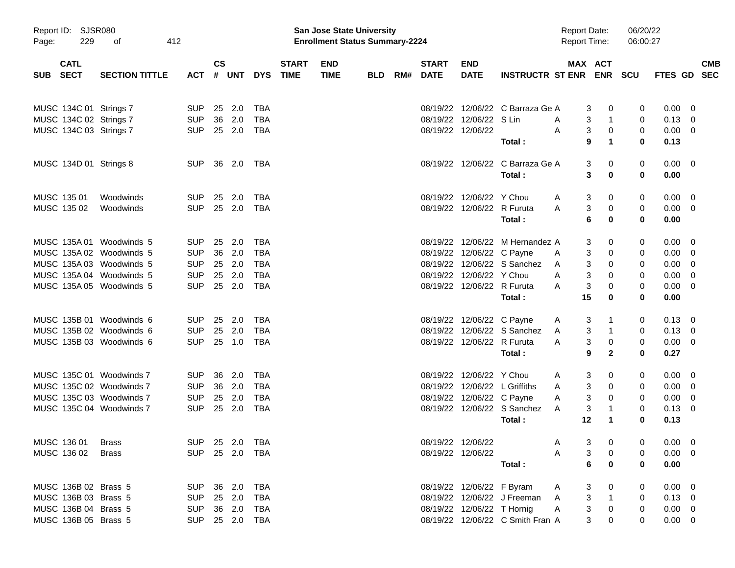| 229<br>Page:                             | Report ID: SJSR080<br>412<br>оf |                |               |       |            |                             | <b>San Jose State University</b><br><b>Enrollment Status Summary-2224</b> |            |     |                             |                            |                                  | <b>Report Date:</b><br><b>Report Time:</b> |                               | 06/20/22<br>06:00:27 |                |                          |  |
|------------------------------------------|---------------------------------|----------------|---------------|-------|------------|-----------------------------|---------------------------------------------------------------------------|------------|-----|-----------------------------|----------------------------|----------------------------------|--------------------------------------------|-------------------------------|----------------------|----------------|--------------------------|--|
| <b>CATL</b><br><b>SECT</b><br><b>SUB</b> | <b>SECTION TITTLE</b>           | <b>ACT</b>     | $\mathsf{cs}$ | # UNT | <b>DYS</b> | <b>START</b><br><b>TIME</b> | <b>END</b><br><b>TIME</b>                                                 | <b>BLD</b> | RM# | <b>START</b><br><b>DATE</b> | <b>END</b><br><b>DATE</b>  | INSTRUCTR ST ENR ENR SCU         |                                            | MAX ACT                       |                      | <b>FTES GD</b> | <b>CMB</b><br><b>SEC</b> |  |
| MUSC 134C 01 Strings 7                   |                                 | <b>SUP</b>     | 25            | 2.0   | <b>TBA</b> |                             |                                                                           |            |     |                             |                            | 08/19/22 12/06/22 C Barraza Ge A |                                            | 3<br>0                        | 0                    | 0.00           | - 0                      |  |
| MUSC 134C 02 Strings 7                   |                                 | <b>SUP</b>     | 36            | 2.0   | <b>TBA</b> |                             |                                                                           |            |     |                             | 08/19/22 12/06/22 S Lin    |                                  | A                                          | 3<br>1                        | 0                    | 0.13           | - 0                      |  |
| MUSC 134C 03 Strings 7                   |                                 | <b>SUP</b>     | 25 2.0        |       | TBA        |                             |                                                                           |            |     |                             | 08/19/22 12/06/22          |                                  | Α                                          | $\mathbf{3}$<br>0             | 0                    | 0.00           | - 0                      |  |
|                                          |                                 |                |               |       |            |                             |                                                                           |            |     |                             |                            | Total:                           |                                            | 9<br>1                        | 0                    | 0.13           |                          |  |
| MUSC 134D 01 Strings 8                   |                                 | <b>SUP</b>     | 36 2.0        |       | TBA        |                             |                                                                           |            |     |                             |                            | 08/19/22 12/06/22 C Barraza Ge A |                                            | 3<br>0                        | 0                    | $0.00 \t 0$    |                          |  |
|                                          |                                 |                |               |       |            |                             |                                                                           |            |     |                             |                            | Total:                           |                                            | 3<br>$\bf{0}$                 | 0                    | 0.00           |                          |  |
| MUSC 135 01                              | Woodwinds                       | <b>SUP</b>     | 25            | 2.0   | <b>TBA</b> |                             |                                                                           |            |     |                             | 08/19/22 12/06/22 Y Chou   |                                  | A                                          | 3<br>0                        | 0                    | 0.00           | $\overline{\mathbf{0}}$  |  |
| MUSC 135 02                              | Woodwinds                       | <b>SUP</b>     | 25 2.0        |       | <b>TBA</b> |                             |                                                                           |            |     |                             | 08/19/22 12/06/22 R Furuta |                                  | A                                          | 3<br>0                        | 0                    | $0.00 \t 0$    |                          |  |
|                                          |                                 |                |               |       |            |                             |                                                                           |            |     |                             |                            | Total:                           |                                            | 6<br>$\bf{0}$                 | 0                    | 0.00           |                          |  |
| MUSC 135A 01 Woodwinds 5                 |                                 | <b>SUP</b>     | 25            | 2.0   | <b>TBA</b> |                             |                                                                           |            |     |                             |                            | 08/19/22 12/06/22 M Hernandez A  |                                            | 3<br>0                        | 0                    | 0.00           | - 0                      |  |
| MUSC 135A 02 Woodwinds 5                 |                                 | <b>SUP</b>     | 36 2.0        |       | <b>TBA</b> |                             |                                                                           |            |     |                             | 08/19/22 12/06/22 C Payne  |                                  | A                                          | 3<br>0                        | 0                    | 0.00           | - 0                      |  |
| MUSC 135A 03 Woodwinds 5                 |                                 | <b>SUP</b>     | 25            | 2.0   | <b>TBA</b> |                             |                                                                           |            |     |                             |                            | 08/19/22 12/06/22 S Sanchez      | A                                          | 3<br>0                        | 0                    | 0.00           | - 0                      |  |
| MUSC 135A 04 Woodwinds 5                 |                                 | <b>SUP</b>     | 25            | 2.0   | <b>TBA</b> |                             |                                                                           |            |     |                             | 08/19/22 12/06/22 Y Chou   |                                  | A                                          | 3<br>0                        | 0                    | 0.00           | 0                        |  |
| MUSC 135A 05 Woodwinds 5                 |                                 | <b>SUP</b>     | 25 2.0        |       | TBA        |                             |                                                                           |            |     |                             | 08/19/22 12/06/22 R Furuta |                                  | A                                          | 3<br>0                        | 0                    | 0.00           | - 0                      |  |
|                                          |                                 |                |               |       |            |                             |                                                                           |            |     |                             |                            | Total:                           | 15                                         | $\bf{0}$                      | 0                    | 0.00           |                          |  |
| MUSC 135B 01 Woodwinds 6                 |                                 | <b>SUP</b>     | 25            | 2.0   | TBA        |                             |                                                                           |            |     |                             | 08/19/22 12/06/22 C Payne  |                                  | A                                          | 3<br>1                        | 0                    | $0.13 \quad 0$ |                          |  |
| MUSC 135B 02 Woodwinds 6                 |                                 | <b>SUP</b>     | 25            | 2.0   | <b>TBA</b> |                             |                                                                           |            |     |                             |                            | 08/19/22 12/06/22 S Sanchez      | A                                          | 3<br>1                        | 0                    | 0.13           | - 0                      |  |
| MUSC 135B 03 Woodwinds 6                 |                                 | <b>SUP</b>     | 25 1.0        |       | TBA        |                             |                                                                           |            |     |                             | 08/19/22 12/06/22 R Furuta |                                  | A                                          | 3<br>0                        | 0                    | 0.00           | - 0                      |  |
|                                          |                                 |                |               |       |            |                             |                                                                           |            |     |                             |                            | Total:                           |                                            | 9<br>$\mathbf{2}$             | 0                    | 0.27           |                          |  |
| MUSC 135C 01 Woodwinds 7                 |                                 | <b>SUP</b>     | 36            | 2.0   | TBA        |                             |                                                                           |            |     |                             | 08/19/22 12/06/22 Y Chou   |                                  | A                                          | 3<br>0                        | 0                    | 0.00           | $\overline{0}$           |  |
| MUSC 135C 02 Woodwinds 7                 |                                 | <b>SUP</b>     | 36            | 2.0   | <b>TBA</b> |                             |                                                                           |            |     |                             |                            | 08/19/22 12/06/22 L Griffiths    | A                                          | 3<br>0                        | 0                    | 0.00           | - 0                      |  |
| MUSC 135C 03 Woodwinds 7                 |                                 | <b>SUP</b>     | 25            | 2.0   | <b>TBA</b> |                             |                                                                           |            |     |                             | 08/19/22 12/06/22 C Payne  |                                  | A                                          | 3<br>0                        | 0                    | 0.00           | - 0                      |  |
| MUSC 135C 04 Woodwinds 7                 |                                 | <b>SUP</b>     | 25 2.0        |       | <b>TBA</b> |                             |                                                                           |            |     |                             |                            | 08/19/22 12/06/22 S Sanchez      | A                                          | 3<br>1                        | 0                    | 0.13           | - 0                      |  |
|                                          |                                 |                |               |       |            |                             |                                                                           |            |     |                             |                            | Total:                           | 12                                         | $\mathbf 1$                   | 0                    | 0.13           |                          |  |
| MUSC 136 01 Brass                        |                                 | SUP 25 2.0 TBA |               |       |            |                             |                                                                           |            |     |                             | 08/19/22 12/06/22          |                                  | $\sim$<br>A                                | $3 \qquad 0$                  | $\overline{0}$       | $0.00 \t 0$    |                          |  |
| MUSC 136 02                              | <b>Brass</b>                    | SUP 25 2.0 TBA |               |       |            |                             |                                                                           |            |     |                             | 08/19/22 12/06/22          |                                  | A                                          | 3<br>0                        | 0                    | $0.00 \t 0$    |                          |  |
|                                          |                                 |                |               |       |            |                             |                                                                           |            |     |                             |                            | Total :                          |                                            | $6\phantom{a}$<br>$\mathbf 0$ | 0                    | 0.00           |                          |  |
| MUSC 136B 02 Brass 5                     |                                 | <b>SUP</b>     | 36 2.0        |       | TBA        |                             |                                                                           |            |     |                             | 08/19/22 12/06/22 F Byram  |                                  | A                                          | 0<br>3                        | 0                    | $0.00 \t 0$    |                          |  |
| MUSC 136B 03 Brass 5                     |                                 | <b>SUP</b>     | 25 2.0        |       | TBA        |                             |                                                                           |            |     |                             |                            | 08/19/22 12/06/22 J Freeman      | A                                          | 3<br>$\mathbf{1}$             | 0                    | $0.13 \quad 0$ |                          |  |
| MUSC 136B 04 Brass 5                     |                                 | <b>SUP</b>     | 36 2.0        |       | TBA        |                             |                                                                           |            |     |                             | 08/19/22 12/06/22 T Hornig |                                  | A                                          | 3<br>0                        | 0                    | $0.00 \t 0$    |                          |  |
| MUSC 136B 05 Brass 5                     |                                 | SUP 25 2.0 TBA |               |       |            |                             |                                                                           |            |     |                             |                            | 08/19/22 12/06/22 C Smith Fran A |                                            | 3<br>0                        | 0                    | $0.00 \t 0$    |                          |  |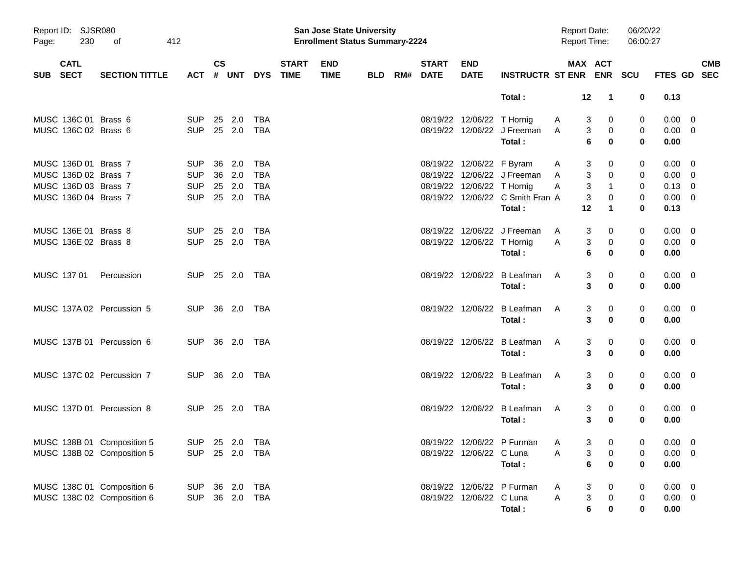| Page:      | Report ID: SJSR080<br>230<br>412<br>оf<br><b>CATL</b> |                            |                |               |              |            |                             | <b>San Jose State University</b><br><b>Enrollment Status Summary-2224</b> |            |                          |                            |                                  | <b>Report Date:</b><br>Report Time: |                      | 06/20/22<br>06:00:27 |                |                          |
|------------|-------------------------------------------------------|----------------------------|----------------|---------------|--------------|------------|-----------------------------|---------------------------------------------------------------------------|------------|--------------------------|----------------------------|----------------------------------|-------------------------------------|----------------------|----------------------|----------------|--------------------------|
| <b>SUB</b> | <b>SECT</b>                                           | <b>SECTION TITTLE</b>      | <b>ACT</b>     | $\mathsf{cs}$ | # UNT        | <b>DYS</b> | <b>START</b><br><b>TIME</b> | <b>END</b><br><b>TIME</b>                                                 | <b>BLD</b> | <b>START</b><br>RM# DATE | <b>END</b><br><b>DATE</b>  | <b>INSTRUCTR ST ENR ENR</b>      |                                     | MAX ACT              | SCU                  | <b>FTES GD</b> | <b>CMB</b><br><b>SEC</b> |
|            |                                                       |                            |                |               |              |            |                             |                                                                           |            |                          |                            | Total:                           | 12                                  | $\mathbf{1}$         | 0                    | 0.13           |                          |
|            | MUSC 136C 01 Brass 6                                  |                            | <b>SUP</b>     |               | 25 2.0       | TBA        |                             |                                                                           |            |                          | 08/19/22 12/06/22 T Hornig |                                  | A                                   | 3<br>0               | 0                    | $0.00 \quad 0$ |                          |
|            | MUSC 136C 02 Brass 6                                  |                            | <b>SUP</b>     |               | 25 2.0       | TBA        |                             |                                                                           |            |                          |                            | 08/19/22 12/06/22 J Freeman      | A                                   | 3<br>0               | 0                    | $0.00 \t 0$    |                          |
|            |                                                       |                            |                |               |              |            |                             |                                                                           |            |                          |                            | Total:                           |                                     | 6<br>$\bf{0}$        | 0                    | 0.00           |                          |
|            | MUSC 136D 01 Brass 7                                  |                            | <b>SUP</b>     | 36            | 2.0          | TBA        |                             |                                                                           |            |                          | 08/19/22 12/06/22 F Byram  |                                  | A                                   | 3<br>0               | 0                    | 0.00           | $\overline{\mathbf{0}}$  |
|            | MUSC 136D 02 Brass 7                                  |                            | <b>SUP</b>     |               | 36 2.0       | <b>TBA</b> |                             |                                                                           |            |                          |                            | 08/19/22 12/06/22 J Freeman      | A                                   | 3<br>0               | 0                    | $0.00 \t 0$    |                          |
|            | MUSC 136D 03 Brass 7                                  |                            | <b>SUP</b>     |               | 25 2.0       | TBA        |                             |                                                                           |            |                          | 08/19/22 12/06/22 T Hornig |                                  | Α                                   | 3<br>$\mathbf{1}$    | 0                    | $0.13 \ 0$     |                          |
|            | MUSC 136D 04 Brass 7                                  |                            | <b>SUP</b>     |               | 25 2.0       | TBA        |                             |                                                                           |            |                          |                            | 08/19/22 12/06/22 C Smith Fran A |                                     | 3<br>0               | 0                    | $0.00 \t 0$    |                          |
|            |                                                       |                            |                |               |              |            |                             |                                                                           |            |                          |                            | Total:                           | 12                                  | 1                    | 0                    | 0.13           |                          |
|            | MUSC 136E 01 Brass 8                                  |                            | <b>SUP</b>     |               | 25 2.0       | TBA        |                             |                                                                           |            |                          |                            | 08/19/22 12/06/22 J Freeman      | A                                   | 3<br>0               | 0                    | $0.00 \t 0$    |                          |
|            | MUSC 136E 02 Brass 8                                  |                            | <b>SUP</b>     |               | 25 2.0       | <b>TBA</b> |                             |                                                                           |            |                          | 08/19/22 12/06/22 T Hornig |                                  | A                                   | 3<br>0               | 0                    | $0.00 \t 0$    |                          |
|            |                                                       |                            |                |               |              |            |                             |                                                                           |            |                          |                            | Total:                           |                                     | 6<br>0               | 0                    | 0.00           |                          |
|            | MUSC 137 01                                           | Percussion                 | <b>SUP</b>     |               | 25  2.0  TBA |            |                             |                                                                           |            |                          |                            | 08/19/22 12/06/22 B Leafman      | A                                   | 3<br>0               | 0                    | $0.00 \quad 0$ |                          |
|            |                                                       |                            |                |               |              |            |                             |                                                                           |            |                          |                            | Total:                           |                                     | 3<br>$\bf{0}$        | 0                    | 0.00           |                          |
|            |                                                       | MUSC 137A 02 Percussion 5  | <b>SUP</b>     |               |              |            |                             |                                                                           |            |                          |                            | 08/19/22 12/06/22 B Leafman      | A                                   | 3<br>0               | 0                    | $0.00 \quad 0$ |                          |
|            |                                                       |                            |                |               |              |            |                             |                                                                           |            |                          |                            | Total:                           |                                     | 3<br>$\bf{0}$        | 0                    | 0.00           |                          |
|            |                                                       | MUSC 137B 01 Percussion 6  | <b>SUP</b>     |               | 36  2.0  TBA |            |                             |                                                                           |            |                          |                            | 08/19/22 12/06/22 B Leafman      | A                                   | 3<br>0               | 0                    | $0.00 \quad 0$ |                          |
|            |                                                       |                            |                |               |              |            |                             |                                                                           |            |                          |                            | Total:                           |                                     | 3<br>$\bf{0}$        | 0                    | 0.00           |                          |
|            |                                                       | MUSC 137C 02 Percussion 7  | <b>SUP</b>     |               |              |            |                             |                                                                           |            |                          |                            | 08/19/22 12/06/22 B Leafman      | A                                   | 3<br>0               | 0                    | $0.00 \quad 0$ |                          |
|            |                                                       |                            |                |               |              |            |                             |                                                                           |            |                          |                            | Total:                           |                                     | 3<br>$\bf{0}$        | 0                    | 0.00           |                          |
|            |                                                       | MUSC 137D 01 Percussion 8  | <b>SUP</b>     |               | 25 2.0 TBA   |            |                             |                                                                           |            |                          |                            | 08/19/22 12/06/22 B Leafman      | A                                   | 3<br>0               | 0                    | $0.00 \quad 0$ |                          |
|            |                                                       |                            |                |               |              |            |                             |                                                                           |            |                          |                            | Total:                           |                                     | 3<br>$\bf{0}$        | 0                    | 0.00           |                          |
|            |                                                       | MUSC 138B 01 Composition 5 | SUP 25 2.0 TBA |               |              |            |                             |                                                                           |            |                          |                            | 08/19/22 12/06/22 P Furman A     |                                     | $3 \t 0$             | $\overline{0}$       | $0.00 \t 0$    |                          |
|            |                                                       | MUSC 138B 02 Composition 5 | SUP 25 2.0 TBA |               |              |            |                             |                                                                           |            |                          | 08/19/22 12/06/22 C Luna   |                                  | Α                                   | 3<br>0               | 0                    | $0.00 \t 0$    |                          |
|            |                                                       |                            |                |               |              |            |                             |                                                                           |            |                          |                            | Total:                           |                                     | 6<br>$\bf{0}$        | $\bf{0}$             | 0.00           |                          |
|            |                                                       | MUSC 138C 01 Composition 6 | <b>SUP</b>     |               | 36 2.0 TBA   |            |                             |                                                                           |            |                          |                            | 08/19/22 12/06/22 P Furman       | A                                   | 3<br>0               | 0                    | $0.00 \t 0$    |                          |
|            |                                                       | MUSC 138C 02 Composition 6 | <b>SUP</b>     |               | 36 2.0 TBA   |            |                             |                                                                           |            |                          | 08/19/22 12/06/22 C Luna   |                                  | A                                   | 3<br>0               | 0                    | $0.00 \t 0$    |                          |
|            |                                                       |                            |                |               |              |            |                             |                                                                           |            |                          |                            | Total:                           |                                     | $\bf 6$<br>$\pmb{0}$ | 0                    | 0.00           |                          |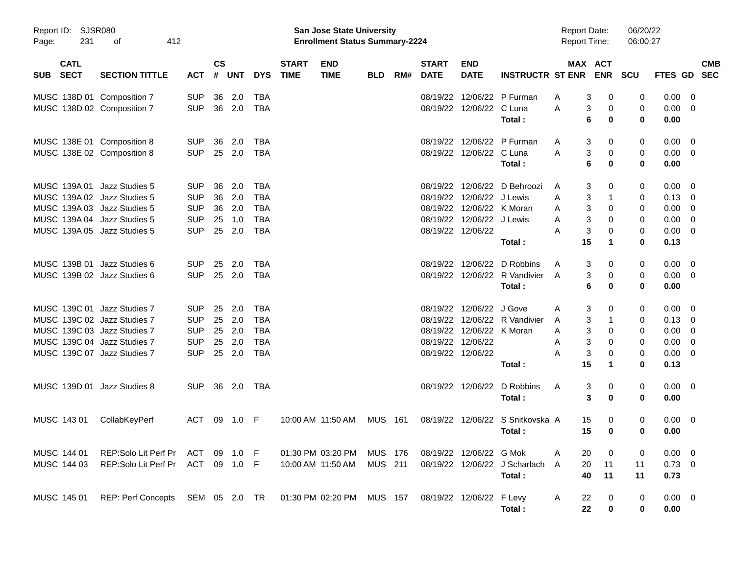| Report ID:<br>231<br>Page:               | SJSR080<br>412<br>οf                                                                      |                                        |                |                   |                                        |                             | <b>San Jose State University</b><br><b>Enrollment Status Summary-2224</b> |                           |     |                             |                                       |                                             | <b>Report Date:</b><br><b>Report Time:</b> |                            | 06/20/22<br>06:00:27 |                              |                                                    |                          |
|------------------------------------------|-------------------------------------------------------------------------------------------|----------------------------------------|----------------|-------------------|----------------------------------------|-----------------------------|---------------------------------------------------------------------------|---------------------------|-----|-----------------------------|---------------------------------------|---------------------------------------------|--------------------------------------------|----------------------------|----------------------|------------------------------|----------------------------------------------------|--------------------------|
| <b>CATL</b><br><b>SECT</b><br><b>SUB</b> | <b>SECTION TITTLE</b>                                                                     | <b>ACT</b>                             | <b>CS</b><br># | <b>UNT</b>        | <b>DYS</b>                             | <b>START</b><br><b>TIME</b> | <b>END</b><br><b>TIME</b>                                                 | <b>BLD</b>                | RM# | <b>START</b><br><b>DATE</b> | <b>END</b><br><b>DATE</b>             | <b>INSTRUCTR ST ENR</b>                     |                                            | MAX ACT<br><b>ENR</b>      | <b>SCU</b>           | FTES GD                      |                                                    | <b>CMB</b><br><b>SEC</b> |
|                                          | MUSC 138D 01 Composition 7<br>MUSC 138D 02 Composition 7                                  | <b>SUP</b><br><b>SUP</b>               | 36<br>36       | 2.0<br>2.0        | <b>TBA</b><br><b>TBA</b>               |                             |                                                                           |                           |     | 08/19/22<br>08/19/22        | 12/06/22                              | 12/06/22 P Furman<br>C Luna<br>Total:       | A<br>Α                                     | 3<br>0<br>3<br>0<br>6<br>0 | 0<br>0<br>0          | 0.00<br>0.00<br>0.00         | 0<br>0                                             |                          |
|                                          | MUSC 138E 01 Composition 8<br>MUSC 138E 02 Composition 8                                  | <b>SUP</b><br><b>SUP</b>               | 36<br>25       | 2.0<br>2.0        | TBA<br><b>TBA</b>                      |                             |                                                                           |                           |     | 08/19/22<br>08/19/22        | 12/06/22                              | 12/06/22 P Furman<br>C Luna                 | A<br>A                                     | 3<br>0<br>3<br>0           | 0<br>0               | 0.00<br>0.00                 | 0<br>$\overline{\mathbf{0}}$                       |                          |
|                                          | MUSC 139A 01 Jazz Studies 5<br>MUSC 139A 02 Jazz Studies 5                                | <b>SUP</b><br><b>SUP</b>               | 36<br>36       | 2.0<br>2.0        | TBA<br><b>TBA</b>                      |                             |                                                                           |                           |     | 08/19/22<br>08/19/22        | 12/06/22 J Lewis                      | Total:<br>12/06/22 D Behroozi               | A<br>Α                                     | 6<br>0<br>3<br>0<br>3<br>1 | 0<br>0<br>0          | 0.00<br>0.00<br>0.13         | - 0<br>0                                           |                          |
|                                          | MUSC 139A 03 Jazz Studies 5<br>MUSC 139A 04 Jazz Studies 5<br>MUSC 139A 05 Jazz Studies 5 | <b>SUP</b><br><b>SUP</b><br><b>SUP</b> | 36<br>25<br>25 | 2.0<br>1.0<br>2.0 | <b>TBA</b><br><b>TBA</b><br><b>TBA</b> |                             |                                                                           |                           |     | 08/19/22<br>08/19/22        | 12/06/22 J Lewis<br>08/19/22 12/06/22 | 12/06/22 K Moran                            | Α<br>Α<br>Α                                | 3<br>0<br>3<br>0<br>3<br>0 | 0<br>0<br>0          | 0.00<br>0.00<br>0.00         | 0<br>0<br>0                                        |                          |
|                                          | MUSC 139B 01 Jazz Studies 6<br>MUSC 139B 02 Jazz Studies 6                                | <b>SUP</b><br><b>SUP</b>               | 25<br>25       | 2.0<br>2.0        | TBA<br><b>TBA</b>                      |                             |                                                                           |                           |     | 08/19/22<br>08/19/22        | 12/06/22                              | Total:<br>12/06/22 D Robbins<br>R Vandivier | 15<br>Α<br>$\overline{A}$                  | 1<br>3<br>0<br>3<br>0      | 0<br>0<br>0          | 0.13<br>0.00<br>0.00         | $\overline{\mathbf{0}}$<br>$\overline{\mathbf{0}}$ |                          |
|                                          | MUSC 139C 01 Jazz Studies 7<br>MUSC 139C 02 Jazz Studies 7                                | <b>SUP</b><br><b>SUP</b>               | 25<br>25       | 2.0<br>2.0        | TBA<br><b>TBA</b>                      |                             |                                                                           |                           |     | 08/19/22<br>08/19/22        | 12/06/22 J Gove                       | Total:<br>12/06/22 R Vandivier              | Α                                          | 6<br>0<br>3<br>0<br>3<br>1 | 0<br>0<br>0          | 0.00<br>0.00<br>0.13         | $\overline{0}$                                     |                          |
|                                          | MUSC 139C 03 Jazz Studies 7<br>MUSC 139C 04 Jazz Studies 7<br>MUSC 139C 07 Jazz Studies 7 | <b>SUP</b><br><b>SUP</b><br><b>SUP</b> | 25<br>25<br>25 | 2.0<br>2.0<br>2.0 | <b>TBA</b><br><b>TBA</b><br><b>TBA</b> |                             |                                                                           |                           |     | 08/19/22<br>08/19/22        | 12/06/22<br>08/19/22 12/06/22         | 12/06/22 K Moran                            | A<br>Α<br>Α<br>Α                           | 3<br>0<br>3<br>0<br>3<br>0 | 0<br>0<br>0          | 0.00<br>0.00<br>0.00         | 0<br>0<br>0<br>0                                   |                          |
|                                          | MUSC 139D 01 Jazz Studies 8                                                               | <b>SUP</b>                             | 36             | 2.0               | TBA                                    |                             |                                                                           |                           |     | 08/19/22                    | 12/06/22                              | Total:<br>D Robbins                         | 15<br>Α                                    | 1<br>3<br>0                | 0<br>0               | 0.13<br>0.00                 | $\overline{\phantom{0}}$                           |                          |
| MUSC 143 01                              | CollabKeyPerf                                                                             | <b>ACT</b>                             | 09             | 1.0               | F                                      |                             | 10:00 AM 11:50 AM                                                         | <b>MUS</b>                | 161 | 08/19/22                    | 12/06/22                              | Total:<br>S Snitkovska A<br>Total:          | 15<br>15                                   | 3<br>0<br>0<br>0           | 0<br>0<br>0          | 0.00<br>0.00<br>0.00         | $\overline{\mathbf{0}}$                            |                          |
| MUSC 144 01<br>MUSC 144 03               | REP:Solo Lit Perf Pr<br>REP:Solo Lit Perf Pr                                              | ACT<br>ACT 09 1.0 F                    | 09             | 1.0               | - F                                    |                             | 01:30 PM 03:20 PM<br>10:00 AM 11:50 AM                                    | <b>MUS 176</b><br>MUS 211 |     |                             | 08/19/22 12/06/22 G Mok               | 08/19/22 12/06/22 J Scharlach               | 20<br>Α<br>20<br>A                         | 0<br>11                    | 0<br>11              | $0.00 \quad 0$<br>$0.73 \ 0$ |                                                    |                          |
| MUSC 145 01                              | REP: Perf Concepts SEM 05 2.0 TR                                                          |                                        |                |                   |                                        |                             | 01:30 PM 02:20 PM                                                         | <b>MUS 157</b>            |     |                             | 08/19/22 12/06/22 F Levy              | Total:<br>Total:                            | 40<br>A<br>22<br>22                        | 11<br>0<br>0               | 11<br>0<br>0         | 0.73<br>$0.00 \t 0$<br>0.00  |                                                    |                          |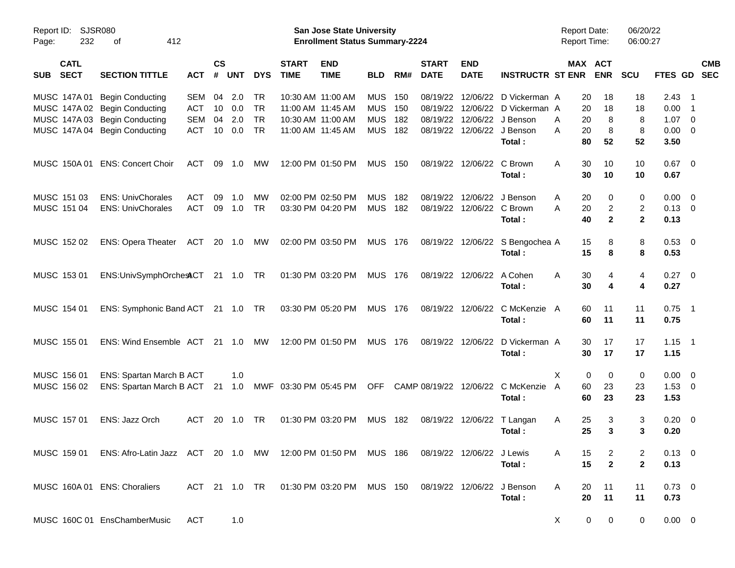| Report ID:<br>232<br>Page:               | <b>SJSR080</b><br>412<br>of                                                                        |            |                    |            |            |                             | <b>San Jose State University</b><br><b>Enrollment Status Summary-2224</b> |            |     |                             |                           |                         | <b>Report Date:</b><br>Report Time: |                       | 06/20/22<br>06:00:27    |                |                          |            |
|------------------------------------------|----------------------------------------------------------------------------------------------------|------------|--------------------|------------|------------|-----------------------------|---------------------------------------------------------------------------|------------|-----|-----------------------------|---------------------------|-------------------------|-------------------------------------|-----------------------|-------------------------|----------------|--------------------------|------------|
| <b>CATL</b><br><b>SECT</b><br><b>SUB</b> | <b>SECTION TITTLE</b>                                                                              | <b>ACT</b> | $\mathsf{cs}$<br># | <b>UNT</b> | <b>DYS</b> | <b>START</b><br><b>TIME</b> | <b>END</b><br><b>TIME</b>                                                 | <b>BLD</b> | RM# | <b>START</b><br><b>DATE</b> | <b>END</b><br><b>DATE</b> | <b>INSTRUCTR ST ENR</b> |                                     | MAX ACT<br><b>ENR</b> | <b>SCU</b>              | FTES GD        | <b>SEC</b>               | <b>CMB</b> |
| MUSC 147A 01                             | <b>Begin Conducting</b>                                                                            | <b>SEM</b> | 04                 | 2.0        | <b>TR</b>  |                             | 10:30 AM 11:00 AM                                                         | <b>MUS</b> | 150 | 08/19/22                    | 12/06/22                  | D Vickerman A           | 20                                  | 18                    | 18                      | $2.43$ 1       |                          |            |
|                                          | MUSC 147A 02 Begin Conducting                                                                      | ACT        | 10                 | 0.0        | <b>TR</b>  |                             | 11:00 AM 11:45 AM                                                         | <b>MUS</b> | 150 | 08/19/22                    | 12/06/22                  | D Vickerman A           | 20                                  | 18                    | 18                      | 0.00           | $\overline{1}$           |            |
| MUSC 147A 03                             | <b>Begin Conducting</b>                                                                            | <b>SEM</b> | 04                 | 2.0        | <b>TR</b>  |                             | 10:30 AM 11:00 AM                                                         | <b>MUS</b> | 182 | 08/19/22                    | 12/06/22                  | J Benson                | 20<br>Α                             | 8                     | 8                       | 1.07           | $\overline{\mathbf{0}}$  |            |
|                                          | MUSC 147A 04 Begin Conducting                                                                      | <b>ACT</b> | 10                 | 0.0        | <b>TR</b>  |                             | 11:00 AM 11:45 AM                                                         | <b>MUS</b> | 182 | 08/19/22                    | 12/06/22                  | J Benson                | Α<br>20                             | 8                     | 8                       | 0.00           | $\overline{\phantom{0}}$ |            |
|                                          |                                                                                                    |            |                    |            |            |                             |                                                                           |            |     |                             |                           | Total:                  | 80                                  | 52                    | 52                      | 3.50           |                          |            |
| MUSC 150A 01                             | <b>ENS: Concert Choir</b>                                                                          | ACT        | 09                 | 1.0        | MW         |                             | 12:00 PM 01:50 PM                                                         | <b>MUS</b> | 150 | 08/19/22                    | 12/06/22                  | C Brown                 | Α<br>30                             | 10                    | 10                      | $0.67$ 0       |                          |            |
|                                          |                                                                                                    |            |                    |            |            |                             |                                                                           |            |     |                             |                           | Total:                  | 30                                  | 10                    | 10                      | 0.67           |                          |            |
| MUSC 151 03                              | <b>ENS: UnivChorales</b>                                                                           | <b>ACT</b> | 09                 | 1.0        | <b>MW</b>  |                             | 02:00 PM 02:50 PM                                                         | <b>MUS</b> | 182 | 08/19/22                    | 12/06/22                  | J Benson                | Α<br>20                             | 0                     | 0                       | 0.00           | $\overline{\phantom{0}}$ |            |
| MUSC 151 04                              | <b>ENS: UnivChorales</b>                                                                           | <b>ACT</b> | 09                 | 1.0        | <b>TR</b>  |                             | 03:30 PM 04:20 PM                                                         | <b>MUS</b> | 182 | 08/19/22                    | 12/06/22                  | C Brown                 | Α<br>20                             | $\overline{c}$        | $\overline{\mathbf{c}}$ | $0.13 \ 0$     |                          |            |
|                                          |                                                                                                    |            |                    |            |            |                             |                                                                           |            |     |                             |                           | Total:                  | 40                                  | $\mathbf{2}$          | $\mathbf{2}$            | 0.13           |                          |            |
| MUSC 152 02                              | <b>ENS: Opera Theater</b>                                                                          | ACT        | 20                 | 1.0        | МW         |                             | 02:00 PM 03:50 PM                                                         | <b>MUS</b> | 176 | 08/19/22                    | 12/06/22                  | S Bengochea A           | 15                                  | 8                     | 8                       | 0.53 0         |                          |            |
|                                          |                                                                                                    |            |                    |            |            |                             |                                                                           |            |     |                             |                           | Total:                  | 15                                  | 8                     | 8                       | 0.53           |                          |            |
| MUSC 153 01                              | ENS:UnivSymphOrchestCT 21 1.0                                                                      |            |                    |            | TR         |                             | 01:30 PM 03:20 PM                                                         | <b>MUS</b> | 176 | 08/19/22                    | 12/06/22                  | A Cohen                 | 30<br>Α                             | 4                     | 4                       | $0.27$ 0       |                          |            |
|                                          |                                                                                                    |            |                    |            |            |                             |                                                                           |            |     |                             |                           | Total:                  | 30                                  | 4                     | 4                       | 0.27           |                          |            |
| MUSC 154 01                              | ENS: Symphonic Band ACT 21 1.0                                                                     |            |                    |            | TR.        |                             | 03:30 PM 05:20 PM                                                         | <b>MUS</b> | 176 | 08/19/22                    | 12/06/22                  | C McKenzie              | 60<br>A                             | 11                    | 11                      | $0.75$ 1       |                          |            |
|                                          |                                                                                                    |            |                    |            |            |                             |                                                                           |            |     |                             |                           | Total:                  | 60                                  | 11                    | 11                      | 0.75           |                          |            |
| MUSC 155 01                              | ENS: Wind Ensemble ACT                                                                             |            | 21                 | 1.0        | МW         |                             | 12:00 PM 01:50 PM                                                         | <b>MUS</b> | 176 | 08/19/22                    | 12/06/22                  | D Vickerman A           | 30                                  | 17                    | 17                      | $1.15$ 1       |                          |            |
|                                          |                                                                                                    |            |                    |            |            |                             |                                                                           |            |     |                             |                           | Total:                  | 30                                  | 17                    | 17                      | 1.15           |                          |            |
| MUSC 156 01                              | ENS: Spartan March B ACT                                                                           |            |                    | 1.0        |            |                             |                                                                           |            |     |                             |                           |                         | X                                   | 0<br>0                | 0                       | $0.00 \t 0$    |                          |            |
| MUSC 156 02                              | ENS: Spartan March B ACT                                                                           |            | 21                 | 1.0        |            | MWF 03:30 PM 05:45 PM       |                                                                           | <b>OFF</b> |     | CAMP 08/19/22               | 12/06/22                  | C McKenzie              | 60<br>A                             | 23                    | 23                      | $1.53 \t 0$    |                          |            |
|                                          |                                                                                                    |            |                    |            |            |                             |                                                                           |            |     |                             |                           | Total:                  | 60                                  | 23                    | 23                      | 1.53           |                          |            |
| MUSC 157 01                              | ENS: Jazz Orch                                                                                     | <b>ACT</b> | 20                 | 1.0        | <b>TR</b>  |                             | 01:30 PM 03:20 PM                                                         | <b>MUS</b> | 182 | 08/19/22                    | 12/06/22                  | T Langan                | 25<br>Α                             | 3                     | 3                       | $0.20 \ 0$     |                          |            |
|                                          |                                                                                                    |            |                    |            |            |                             |                                                                           |            |     |                             |                           | Total:                  | 25                                  | 3                     | 3                       | 0.20           |                          |            |
|                                          | MUSC 159 01 ENS: Afro-Latin Jazz ACT 20 1.0 MW 12:00 PM 01:50 PM MUS 186 08/19/22 12/06/22 J Lewis |            |                    |            |            |                             |                                                                           |            |     |                             |                           |                         | 15<br>A                             | 2                     | 2                       | $0.13 \quad 0$ |                          |            |
|                                          |                                                                                                    |            |                    |            |            |                             |                                                                           |            |     |                             |                           | Total:                  | 15                                  | $\mathbf{2}$          | $\mathbf{2}$            | 0.13           |                          |            |
|                                          | MUSC 160A 01 ENS: Choraliers                                                                       |            |                    |            |            |                             | ACT 21 1.0 TR  01:30 PM  03:20 PM  MUS  150  08/19/22  12/06/22  J Benson |            |     |                             |                           |                         | A<br>20                             | 11                    | 11                      | $0.73 \quad 0$ |                          |            |
|                                          |                                                                                                    |            |                    |            |            |                             |                                                                           |            |     |                             |                           | Total:                  | 20                                  | 11                    | 11                      | 0.73           |                          |            |
|                                          | MUSC 160C 01 EnsChamberMusic                                                                       | ACT        |                    | 1.0        |            |                             |                                                                           |            |     |                             |                           |                         | X                                   | 0<br>$\mathbf{0}$     | 0                       | $0.00 \t 0$    |                          |            |
|                                          |                                                                                                    |            |                    |            |            |                             |                                                                           |            |     |                             |                           |                         |                                     |                       |                         |                |                          |            |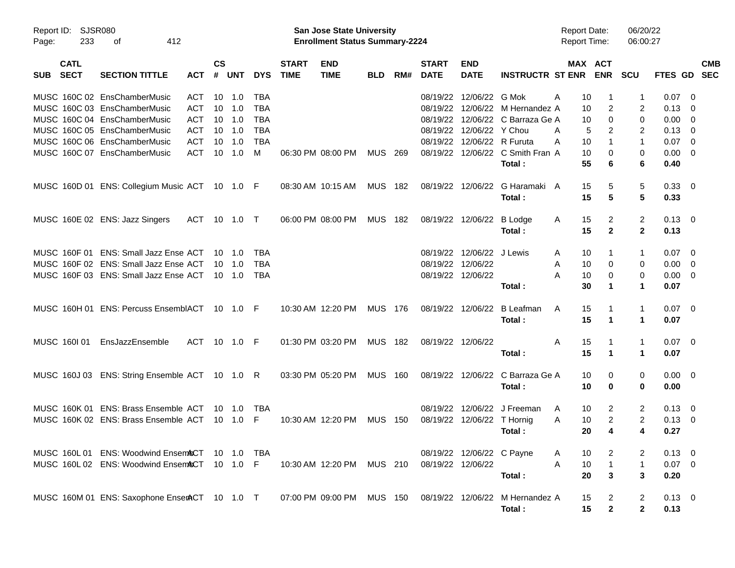| Report ID:<br>Page: | SJSR080<br>233             | 412<br>οf                                      |              |                    |                |            |                             | San Jose State University<br><b>Enrollment Status Summary-2224</b> |                |     |                             |                            |                                            | <b>Report Date:</b><br><b>Report Time:</b> |                | 06/20/22<br>06:00:27 |                     |                          |            |
|---------------------|----------------------------|------------------------------------------------|--------------|--------------------|----------------|------------|-----------------------------|--------------------------------------------------------------------|----------------|-----|-----------------------------|----------------------------|--------------------------------------------|--------------------------------------------|----------------|----------------------|---------------------|--------------------------|------------|
| <b>SUB</b>          | <b>CATL</b><br><b>SECT</b> | <b>SECTION TITTLE</b>                          | <b>ACT</b>   | $\mathsf{cs}$<br># | <b>UNT</b>     | <b>DYS</b> | <b>START</b><br><b>TIME</b> | <b>END</b><br><b>TIME</b>                                          | <b>BLD</b>     | RM# | <b>START</b><br><b>DATE</b> | <b>END</b><br><b>DATE</b>  | <b>INSTRUCTR ST ENR</b>                    | MAX ACT                                    | <b>ENR</b>     | <b>SCU</b>           | FTES GD SEC         |                          | <b>CMB</b> |
|                     |                            | MUSC 160C 02 EnsChamberMusic                   | ACT          | 10                 | 1.0            | TBA        |                             |                                                                    |                |     | 08/19/22                    | 12/06/22 G Mok             |                                            | Α<br>10                                    |                | 1                    | 0.07                | $\overline{\phantom{0}}$ |            |
|                     |                            | MUSC 160C 03 EnsChamberMusic                   | <b>ACT</b>   | 10                 | 1.0            | <b>TBA</b> |                             |                                                                    |                |     | 08/19/22                    |                            | 12/06/22 M Hernandez A                     | 10                                         | 2              | 2                    | $0.13 \quad 0$      |                          |            |
|                     |                            | MUSC 160C 04 EnsChamberMusic                   | <b>ACT</b>   | 10                 | 1.0            | <b>TBA</b> |                             |                                                                    |                |     | 08/19/22                    |                            | 12/06/22 C Barraza Ge A                    | 10                                         | $\mathbf 0$    | 0                    | $0.00 \t 0$         |                          |            |
|                     |                            | MUSC 160C 05 EnsChamberMusic                   | <b>ACT</b>   | 10                 | 1.0            | <b>TBA</b> |                             |                                                                    |                |     | 08/19/22                    | 12/06/22 Y Chou            |                                            | A<br>5                                     | 2              | 2                    | $0.13 \ 0$          |                          |            |
|                     |                            | MUSC 160C 06 EnsChamberMusic                   | <b>ACT</b>   | 10                 | 1.0            | <b>TBA</b> |                             |                                                                    |                |     | 08/19/22                    | 12/06/22 R Furuta          |                                            | A<br>10                                    | $\mathbf{1}$   | $\mathbf{1}$         | $0.07$ 0            |                          |            |
|                     |                            | MUSC 160C 07 EnsChamberMusic                   | <b>ACT</b>   | 10                 | 1.0            | M          |                             | 06:30 PM 08:00 PM                                                  | MUS 269        |     |                             |                            | 08/19/22 12/06/22 C Smith Fran A<br>Total: | 10<br>55                                   | 0<br>6         | 0<br>6               | $0.00 \t 0$<br>0.40 |                          |            |
|                     |                            | MUSC 160D 01 ENS: Collegium Music ACT 10 1.0 F |              |                    |                |            |                             | 08:30 AM 10:15 AM                                                  | MUS 182        |     |                             | 08/19/22 12/06/22          | G Haramaki A                               | 15                                         | 5              | 5                    | $0.33 \ 0$          |                          |            |
|                     |                            |                                                |              |                    |                |            |                             |                                                                    |                |     |                             |                            | Total:                                     | 15                                         | 5              | 5                    | 0.33                |                          |            |
|                     |                            | MUSC 160E 02 ENS: Jazz Singers                 | ACT 10 1.0 T |                    |                |            |                             | 06:00 PM 08:00 PM                                                  | <b>MUS 182</b> |     |                             | 08/19/22 12/06/22          | <b>B</b> Lodge                             | 15<br>A                                    | 2              | 2                    | $0.13 \quad 0$      |                          |            |
|                     |                            |                                                |              |                    |                |            |                             |                                                                    |                |     |                             |                            | Total:                                     | 15                                         | $\overline{2}$ | $\mathbf{2}$         | 0.13                |                          |            |
|                     |                            | MUSC 160F 01 ENS: Small Jazz Ense ACT          |              |                    | 10 1.0         | TBA        |                             |                                                                    |                |     |                             | 08/19/22 12/06/22 J Lewis  |                                            | 10<br>A                                    | 1              | 1                    | $0.07 \quad 0$      |                          |            |
|                     |                            | MUSC 160F 02 ENS: Small Jazz Ense ACT          |              |                    | $10 \quad 1.0$ | <b>TBA</b> |                             |                                                                    |                |     | 08/19/22                    | 12/06/22                   |                                            | 10<br>A                                    | 0              | 0                    | $0.00 \t 0$         |                          |            |
|                     |                            | MUSC 160F 03 ENS: Small Jazz Ense ACT          |              |                    | 10 1.0         | <b>TBA</b> |                             |                                                                    |                |     |                             | 08/19/22 12/06/22          |                                            | A<br>10                                    | 0              | 0                    | $0.00 \t 0$         |                          |            |
|                     |                            |                                                |              |                    |                |            |                             |                                                                    |                |     |                             |                            | Total:                                     | 30                                         | 1              | 1                    | 0.07                |                          |            |
|                     |                            | MUSC 160H 01 ENS: Percuss EnsemblACT 10 1.0 F  |              |                    |                |            |                             | 10:30 AM 12:20 PM                                                  | <b>MUS 176</b> |     |                             | 08/19/22 12/06/22          | B Leafman                                  | 15<br>A                                    | 1              | $\mathbf{1}$         | $0.07$ 0            |                          |            |
|                     |                            |                                                |              |                    |                |            |                             |                                                                    |                |     |                             |                            | Total:                                     | 15                                         | 1              | 1                    | 0.07                |                          |            |
| MUSC 160101         |                            | EnsJazzEnsemble                                | ACT 10 1.0 F |                    |                |            |                             | 01:30 PM 03:20 PM                                                  | <b>MUS 182</b> |     |                             | 08/19/22 12/06/22          |                                            | Α<br>15                                    | $\mathbf{1}$   | $\mathbf{1}$         | $0.07$ 0            |                          |            |
|                     |                            |                                                |              |                    |                |            |                             |                                                                    |                |     |                             |                            | Total:                                     | 15                                         | 1              | 1                    | 0.07                |                          |            |
|                     |                            | MUSC 160J 03 ENS: String Ensemble ACT 10 1.0 R |              |                    |                |            |                             | 03:30 PM 05:20 PM                                                  | <b>MUS 160</b> |     |                             | 08/19/22 12/06/22          | C Barraza Ge A                             | 10                                         | 0              | 0                    | $0.00 \t 0$         |                          |            |
|                     |                            |                                                |              |                    |                |            |                             |                                                                    |                |     |                             |                            | Total:                                     | 10                                         | 0              | 0                    | 0.00                |                          |            |
|                     |                            | MUSC 160K 01 ENS: Brass Ensemble ACT           |              |                    |                | TBA        |                             |                                                                    |                |     | 08/19/22                    | 12/06/22                   | J Freeman                                  | 10<br>A                                    | 2              | 2                    | $0.13 \quad 0$      |                          |            |
|                     |                            | MUSC 160K 02 ENS: Brass Ensemble ACT           |              |                    | $10 \quad 1.0$ | -F         |                             | 10:30 AM 12:20 PM                                                  | MUS            | 150 |                             | 08/19/22 12/06/22 T Hornig |                                            | Α<br>10                                    | $\overline{2}$ | 2                    | $0.13 \ 0$          |                          |            |
|                     |                            |                                                |              |                    |                |            |                             |                                                                    |                |     |                             |                            | Total:                                     | 20                                         | 4              | 4                    | 0.27                |                          |            |
|                     |                            | MUSC 160L 01 ENS: Woodwind EnsemACT 10 1.0 TBA |              |                    |                |            |                             |                                                                    |                |     |                             | 08/19/22 12/06/22 C Payne  |                                            | 10<br>A                                    | 2              | 2                    | $0.13 \quad 0$      |                          |            |
|                     |                            | MUSC 160L 02 ENS: Woodwind EnsemACT 10 1.0 F   |              |                    |                |            |                             | 10:30 AM 12:20 PM                                                  | MUS 210        |     | 08/19/22 12/06/22           |                            |                                            | A<br>10                                    | $\mathbf{1}$   | $\mathbf{1}$         | $0.07$ 0            |                          |            |
|                     |                            |                                                |              |                    |                |            |                             |                                                                    |                |     |                             |                            | Total:                                     | 20                                         | 3              | 3                    | 0.20                |                          |            |
|                     |                            | MUSC 160M 01 ENS: Saxophone EnserACT 10 1.0 T  |              |                    |                |            |                             | 07:00 PM 09:00 PM MUS 150                                          |                |     |                             |                            | 08/19/22 12/06/22 M Hernandez A            | 15                                         | 2              | $\overline{2}$       | $0.13 \quad 0$      |                          |            |
|                     |                            |                                                |              |                    |                |            |                             |                                                                    |                |     |                             |                            | Total:                                     | 15                                         | $\mathbf{2}$   | $\mathbf 2$          | 0.13                |                          |            |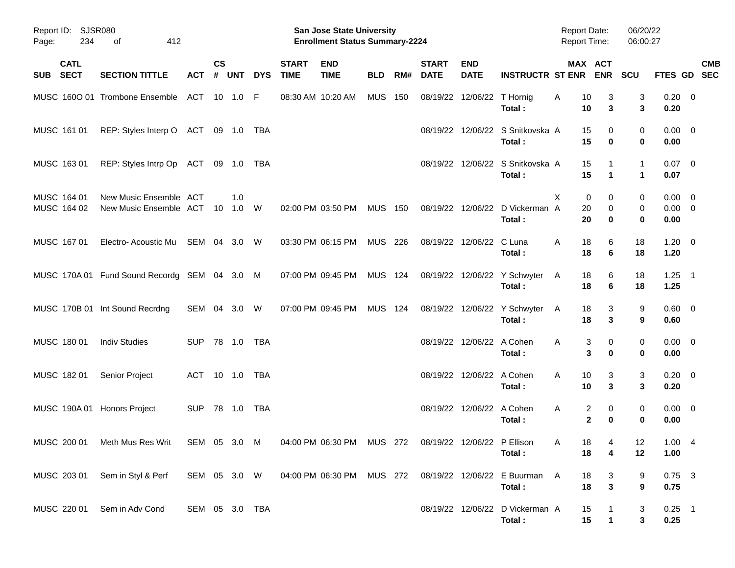| Page: | Report ID: SJSR080<br>234  | 412<br>оf                                        |                |                    |                      |            |                             | <b>San Jose State University</b><br><b>Enrollment Status Summary-2224</b> |            |     |                             |                            |                                            | <b>Report Date:</b><br><b>Report Time:</b> |                             | 06/20/22<br>06:00:27 |                                    |                           |
|-------|----------------------------|--------------------------------------------------|----------------|--------------------|----------------------|------------|-----------------------------|---------------------------------------------------------------------------|------------|-----|-----------------------------|----------------------------|--------------------------------------------|--------------------------------------------|-----------------------------|----------------------|------------------------------------|---------------------------|
| SUB   | <b>CATL</b><br><b>SECT</b> | <b>SECTION TITTLE</b>                            | <b>ACT</b>     | $\mathsf{cs}$<br># | <b>UNT</b>           | <b>DYS</b> | <b>START</b><br><b>TIME</b> | <b>END</b><br><b>TIME</b>                                                 | <b>BLD</b> | RM# | <b>START</b><br><b>DATE</b> | <b>END</b><br><b>DATE</b>  | <b>INSTRUCTR ST ENR</b>                    |                                            | MAX ACT<br><b>ENR</b>       | <b>SCU</b>           |                                    | <b>CMB</b><br>FTES GD SEC |
|       |                            | MUSC 1600 01 Trombone Ensemble                   | ACT 10 1.0 F   |                    |                      |            | 08:30 AM 10:20 AM           |                                                                           | <b>MUS</b> | 150 |                             | 08/19/22 12/06/22 T Hornig | Total:                                     | 10<br>A<br>10                              | 3<br>3                      | 3<br>3               | $0.20 \ 0$<br>0.20                 |                           |
|       | MUSC 161 01                | REP: Styles Interp O ACT 09 1.0 TBA              |                |                    |                      |            |                             |                                                                           |            |     |                             |                            | 08/19/22 12/06/22 S Snitkovska A<br>Total: | 15<br>15                                   | 0<br>0                      | 0<br>0               | $0.00 \t 0$<br>0.00                |                           |
|       | MUSC 163 01                | REP: Styles Intrp Op ACT 09 1.0 TBA              |                |                    |                      |            |                             |                                                                           |            |     |                             |                            | 08/19/22 12/06/22 S Snitkovska A<br>Total: | 15<br>15                                   | 1                           | $\mathbf{1}$<br>1    | $0.07$ 0<br>0.07                   |                           |
|       | MUSC 164 01<br>MUSC 164 02 | New Music Ensemble ACT<br>New Music Ensemble ACT |                | 10                 | 1.0<br>$1.0 \quad W$ |            |                             | 02:00 PM 03:50 PM                                                         | <b>MUS</b> | 150 |                             | 08/19/22 12/06/22          | D Vickerman A<br>Total:                    | X<br>20<br>20                              | 0<br>0<br>0<br>0            | 0<br>0<br>0          | $0.00 \t 0$<br>$0.00 \t 0$<br>0.00 |                           |
|       | MUSC 167 01                | Electro- Acoustic Mu                             | SEM 04 3.0 W   |                    |                      |            |                             | 03:30 PM 06:15 PM                                                         | MUS 226    |     |                             | 08/19/22 12/06/22          | C Luna<br>Total:                           | 18<br>A<br>18                              | 6<br>6                      | 18<br>18             | $1.20 \t 0$<br>1.20                |                           |
|       |                            | MUSC 170A 01 Fund Sound Recordg SEM 04 3.0 M     |                |                    |                      |            | 07:00 PM 09:45 PM           |                                                                           | MUS 124    |     |                             |                            | 08/19/22 12/06/22 Y Schwyter<br>Total:     | 18<br>A<br>18                              | 6<br>6                      | 18<br>18             | $1.25$ 1<br>1.25                   |                           |
|       |                            | MUSC 170B 01 Int Sound Recrdng                   | SEM 04 3.0 W   |                    |                      |            |                             | 07:00 PM 09:45 PM                                                         | MUS 124    |     |                             |                            | 08/19/22 12/06/22 Y Schwyter<br>Total:     | 18<br>A<br>18                              | 3<br>3                      | 9<br>9               | $0.60 \quad 0$<br>0.60             |                           |
|       | MUSC 180 01                | <b>Indiv Studies</b>                             | <b>SUP</b>     |                    |                      |            |                             |                                                                           |            |     |                             | 08/19/22 12/06/22 A Cohen  | Total:                                     | A                                          | 3<br>0<br>3<br>0            | 0<br>0               | $0.00 \t 0$<br>0.00                |                           |
|       | MUSC 182 01                | Senior Project                                   | ACT 10 1.0 TBA |                    |                      |            |                             |                                                                           |            |     |                             | 08/19/22 12/06/22 A Cohen  | Total:                                     | 10<br>A<br>10                              | 3<br>3                      | 3<br>3               | $0.20 \ 0$<br>0.20                 |                           |
|       |                            | MUSC 190A 01 Honors Project                      | <b>SUP</b>     |                    |                      |            |                             |                                                                           |            |     |                             | 08/19/22 12/06/22 A Cohen  | Total:                                     | A                                          | 2<br>0<br>$\mathbf{2}$<br>0 | 0<br>0               | $0.00 \ 0$<br>0.00                 |                           |
|       |                            | MUSC 200 01 Meth Mus Res Writ                    | SEM 05 3.0 M   |                    |                      |            |                             | 04:00 PM 06:30 PM  MUS  272  08/19/22  12/06/22  P  Ellison               |            |     |                             |                            | Total :                                    | 18<br>A<br>18                              | $\overline{4}$<br>4         | 12<br>12             | 1.004<br>1.00                      |                           |
|       |                            | MUSC 203 01 Sem in Styl & Perf                   |                |                    |                      |            |                             | SEM 05 3.0 W 04:00 PM 06:30 PM MUS 272                                    |            |     |                             |                            | 08/19/22 12/06/22 E Buurman A<br>Total:    | 18<br>18                                   | 3<br>$\mathbf{3}$           | 9<br>9               | $0.75$ 3<br>0.75                   |                           |
|       |                            | MUSC 220 01 Sem in Adv Cond                      | SEM 05 3.0 TBA |                    |                      |            |                             |                                                                           |            |     |                             |                            | 08/19/22 12/06/22 D Vickerman A<br>Total:  | 15<br>15                                   | $\mathbf{1}$                | 3<br>3               | $0.25$ 1<br>0.25                   |                           |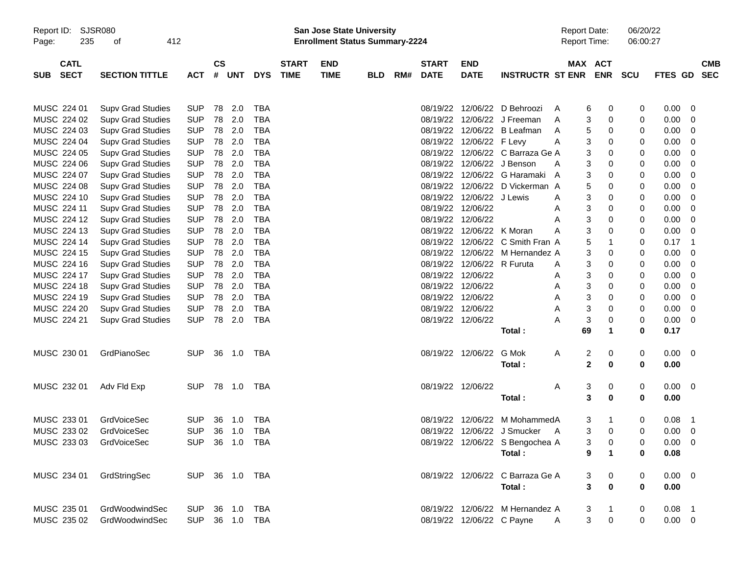| Report ID:<br>235<br>Page:               | SJSR080<br>412<br>οf     |                |                |        |            |                             | San Jose State University<br><b>Enrollment Status Summary-2224</b> |            |     |                             |                            |                                  | <b>Report Date:</b><br><b>Report Time:</b> |                              | 06/20/22<br>06:00:27 |             |                |                          |
|------------------------------------------|--------------------------|----------------|----------------|--------|------------|-----------------------------|--------------------------------------------------------------------|------------|-----|-----------------------------|----------------------------|----------------------------------|--------------------------------------------|------------------------------|----------------------|-------------|----------------|--------------------------|
| <b>CATL</b><br><b>SECT</b><br><b>SUB</b> | <b>SECTION TITTLE</b>    | <b>ACT</b>     | <b>CS</b><br># | UNT    | <b>DYS</b> | <b>START</b><br><b>TIME</b> | <b>END</b><br><b>TIME</b>                                          | <b>BLD</b> | RM# | <b>START</b><br><b>DATE</b> | <b>END</b><br><b>DATE</b>  | <b>INSTRUCTR ST ENR</b>          |                                            | MAX ACT<br><b>ENR</b>        | <b>SCU</b>           | FTES GD     |                | <b>CMB</b><br><b>SEC</b> |
| MUSC 224 01                              | <b>Supv Grad Studies</b> | <b>SUP</b>     | 78             | 2.0    | <b>TBA</b> |                             |                                                                    |            |     | 08/19/22                    |                            | 12/06/22 D Behroozi              | A                                          | 6<br>0                       | 0                    | 0.00        | 0              |                          |
| MUSC 224 02                              | <b>Supv Grad Studies</b> | <b>SUP</b>     | 78             | 2.0    | <b>TBA</b> |                             |                                                                    |            |     | 08/19/22                    |                            | 12/06/22 J Freeman               | A                                          | 3<br>0                       | 0                    | 0.00        | 0              |                          |
| MUSC 224 03                              | <b>Supv Grad Studies</b> | <b>SUP</b>     | 78             | 2.0    | <b>TBA</b> |                             |                                                                    |            |     | 08/19/22                    |                            | 12/06/22 B Leafman               | A                                          | 5<br>0                       | 0                    | 0.00        | 0              |                          |
| MUSC 224 04                              | <b>Supv Grad Studies</b> | <b>SUP</b>     | 78             | 2.0    | <b>TBA</b> |                             |                                                                    |            |     | 08/19/22                    | 12/06/22 F Levy            |                                  | A                                          | 3<br>0                       | 0                    | 0.00        | 0              |                          |
| MUSC 224 05                              | <b>Supv Grad Studies</b> | <b>SUP</b>     | 78             | 2.0    | <b>TBA</b> |                             |                                                                    |            |     | 08/19/22                    |                            | 12/06/22 C Barraza Ge A          |                                            | 3<br>0                       | 0                    | 0.00        | 0              |                          |
| MUSC 224 06                              | <b>Supv Grad Studies</b> | <b>SUP</b>     | 78             | 2.0    | <b>TBA</b> |                             |                                                                    |            |     |                             | 08/19/22 12/06/22 J Benson |                                  | A                                          | 3<br>0                       | 0                    | 0.00        | 0              |                          |
| MUSC 224 07                              | <b>Supv Grad Studies</b> | <b>SUP</b>     | 78             | 2.0    | <b>TBA</b> |                             |                                                                    |            |     | 08/19/22                    |                            | 12/06/22 G Haramaki A            |                                            | 3<br>0                       | 0                    | 0.00        | 0              |                          |
| MUSC 224 08                              | <b>Supv Grad Studies</b> | <b>SUP</b>     | 78             | 2.0    | <b>TBA</b> |                             |                                                                    |            |     | 08/19/22                    |                            | 12/06/22 D Vickerman A           |                                            | 5<br>0                       | 0                    | 0.00        | 0              |                          |
| MUSC 224 10                              | <b>Supv Grad Studies</b> | <b>SUP</b>     | 78             | 2.0    | <b>TBA</b> |                             |                                                                    |            |     | 08/19/22                    | 12/06/22 J Lewis           |                                  | Α                                          | 3<br>0                       | 0                    | 0.00        | 0              |                          |
| MUSC 224 11                              | <b>Supv Grad Studies</b> | <b>SUP</b>     | 78             | 2.0    | <b>TBA</b> |                             |                                                                    |            |     |                             | 08/19/22 12/06/22          |                                  | Α                                          | 3<br>0                       | 0                    | 0.00        | 0              |                          |
| MUSC 224 12                              | <b>Supv Grad Studies</b> | <b>SUP</b>     | 78             | 2.0    | <b>TBA</b> |                             |                                                                    |            |     |                             | 08/19/22 12/06/22          |                                  | Α                                          | 3<br>0                       | 0                    | 0.00        | 0              |                          |
| MUSC 224 13                              | <b>Supv Grad Studies</b> | <b>SUP</b>     | 78             | 2.0    | <b>TBA</b> |                             |                                                                    |            |     | 08/19/22                    | 12/06/22 K Moran           |                                  | Α                                          | 3<br>$\mathbf 0$             | 0                    | 0.00        | 0              |                          |
| MUSC 224 14                              | <b>Supv Grad Studies</b> | <b>SUP</b>     | 78             | 2.0    | <b>TBA</b> |                             |                                                                    |            |     | 08/19/22                    |                            | 12/06/22 C Smith Fran A          |                                            | 5<br>$\mathbf{1}$            | 0                    | 0.17        | -1             |                          |
| MUSC 224 15                              | <b>Supv Grad Studies</b> | <b>SUP</b>     | 78             | 2.0    | <b>TBA</b> |                             |                                                                    |            |     | 08/19/22                    |                            | 12/06/22 M Hernandez A           |                                            | 3<br>0                       | 0                    | 0.00        | 0              |                          |
| MUSC 224 16                              | <b>Supv Grad Studies</b> | <b>SUP</b>     | 78             | 2.0    | <b>TBA</b> |                             |                                                                    |            |     |                             | 08/19/22 12/06/22 R Furuta |                                  | A                                          | 3<br>0                       | 0                    | 0.00        | 0              |                          |
| MUSC 224 17                              | <b>Supv Grad Studies</b> | <b>SUP</b>     | 78             | 2.0    | <b>TBA</b> |                             |                                                                    |            |     |                             | 08/19/22 12/06/22          |                                  | Α                                          | 3<br>0                       | 0                    | 0.00        | 0              |                          |
| MUSC 224 18                              | <b>Supv Grad Studies</b> | <b>SUP</b>     | 78             | 2.0    | <b>TBA</b> |                             |                                                                    |            |     |                             | 08/19/22 12/06/22          |                                  | Α                                          | 3<br>0                       | 0                    | 0.00        | 0              |                          |
| MUSC 224 19                              | <b>Supv Grad Studies</b> | <b>SUP</b>     | 78             | 2.0    | <b>TBA</b> |                             |                                                                    |            |     |                             | 08/19/22 12/06/22          |                                  | Α                                          | 3<br>0                       | 0                    | 0.00        | 0              |                          |
| MUSC 224 20                              | <b>Supv Grad Studies</b> | <b>SUP</b>     | 78             | 2.0    | <b>TBA</b> |                             |                                                                    |            |     |                             | 08/19/22 12/06/22          |                                  | Α                                          | 3<br>0                       | 0                    | 0.00        | 0              |                          |
| MUSC 224 21                              | <b>Supv Grad Studies</b> | <b>SUP</b>     |                | 78 2.0 | TBA        |                             |                                                                    |            |     |                             | 08/19/22 12/06/22          |                                  | Α                                          | 3<br>0                       | 0                    | 0.00        | 0              |                          |
|                                          |                          |                |                |        |            |                             |                                                                    |            |     |                             |                            | Total:                           | 69                                         | $\mathbf 1$                  | 0                    | 0.17        |                |                          |
| MUSC 230 01                              | GrdPianoSec              | <b>SUP</b>     |                | 36 1.0 | TBA        |                             |                                                                    |            |     |                             | 08/19/22 12/06/22          | G Mok                            | Α                                          | $\overline{\mathbf{c}}$<br>0 | 0                    | $0.00 \t 0$ |                |                          |
|                                          |                          |                |                |        |            |                             |                                                                    |            |     |                             |                            | Total:                           |                                            | $\mathbf{2}$<br>0            | 0                    | 0.00        |                |                          |
| MUSC 232 01                              | Adv Fld Exp              | <b>SUP</b>     |                |        | TBA        |                             |                                                                    |            |     |                             | 08/19/22 12/06/22          |                                  | A                                          | 3<br>0                       | 0                    | $0.00 \t 0$ |                |                          |
|                                          |                          |                |                |        |            |                             |                                                                    |            |     |                             |                            | Total:                           |                                            | 3<br>0                       | 0                    | 0.00        |                |                          |
| MUSC 233 01                              | <b>GrdVoiceSec</b>       | <b>SUP</b>     | 36             | 1.0    | TBA        |                             |                                                                    |            |     | 08/19/22                    | 12/06/22                   | M MohammedA                      |                                            | 3<br>-1                      | 0                    | 0.08        | $\overline{1}$ |                          |
| MUSC 233 02                              | GrdVoiceSec              | <b>SUP</b>     | 36             | 1.0    | TBA        |                             |                                                                    |            |     |                             |                            | 08/19/22 12/06/22 J Smucker      | A                                          | 3<br>$\mathbf 0$             | 0                    | 0.00        | 0              |                          |
| MUSC 233 03 GrdVoiceSec                  |                          | SUP 36 1.0 TBA |                |        |            |                             |                                                                    |            |     |                             |                            | 08/19/22 12/06/22 S Bengochea A  |                                            | 3<br>0                       | 0                    | $0.00 \t 0$ |                |                          |
|                                          |                          |                |                |        |            |                             |                                                                    |            |     |                             |                            | Total:                           |                                            | 9<br>$\mathbf 1$             | 0                    | 0.08        |                |                          |
| MUSC 234 01                              | GrdStringSec             | SUP 36 1.0 TBA |                |        |            |                             |                                                                    |            |     |                             |                            | 08/19/22 12/06/22 C Barraza Ge A |                                            | $\boldsymbol{0}$<br>3        | 0                    | $0.00 \t 0$ |                |                          |
|                                          |                          |                |                |        |            |                             |                                                                    |            |     |                             |                            | Total:                           |                                            | $\mathbf{3}$<br>$\bf{0}$     | 0                    | 0.00        |                |                          |
|                                          |                          |                |                |        |            |                             |                                                                    |            |     |                             |                            |                                  |                                            |                              |                      |             |                |                          |
| MUSC 235 01                              | GrdWoodwindSec           | <b>SUP</b>     |                |        | 36 1.0 TBA |                             |                                                                    |            |     |                             |                            | 08/19/22 12/06/22 M Hernandez A  |                                            | 3<br>$\mathbf{1}$            | 0                    | $0.08$ 1    |                |                          |
| MUSC 235 02                              | GrdWoodwindSec           | <b>SUP</b>     |                |        | 36 1.0 TBA |                             |                                                                    |            |     |                             | 08/19/22 12/06/22 C Payne  |                                  | A                                          | 3 <sup>1</sup><br>$\pmb{0}$  | 0                    | $0.00 \t 0$ |                |                          |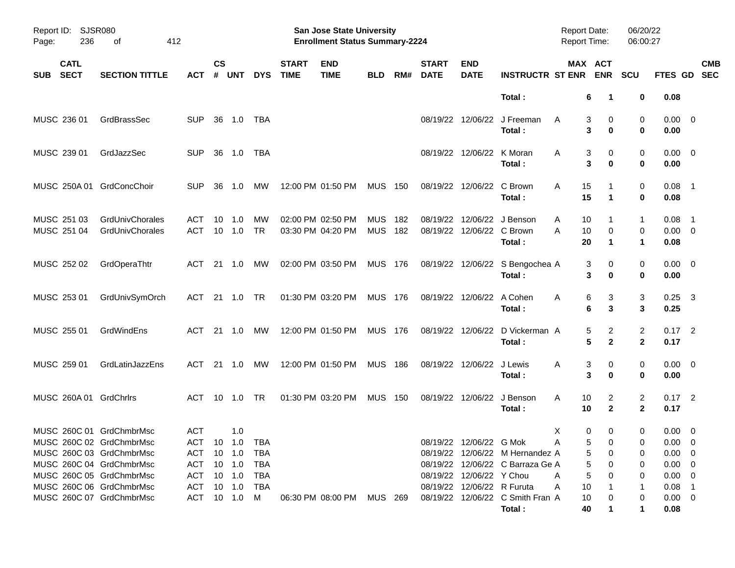| Report ID:<br>Page: | 236                        | SJSR080<br>412<br>оf                                 |                   |                    |                       |                 |                             | <b>San Jose State University</b><br><b>Enrollment Status Summary-2224</b> |                          |            |                             |                                       |                                           | <b>Report Date:</b><br><b>Report Time:</b> |                                                   | 06/20/22<br>06:00:27 |                                 |                          |
|---------------------|----------------------------|------------------------------------------------------|-------------------|--------------------|-----------------------|-----------------|-----------------------------|---------------------------------------------------------------------------|--------------------------|------------|-----------------------------|---------------------------------------|-------------------------------------------|--------------------------------------------|---------------------------------------------------|----------------------|---------------------------------|--------------------------|
| <b>SUB</b>          | <b>CATL</b><br><b>SECT</b> | <b>SECTION TITTLE</b>                                | <b>ACT</b>        | $\mathsf{cs}$<br># | <b>UNT</b>            | <b>DYS</b>      | <b>START</b><br><b>TIME</b> | <b>END</b><br><b>TIME</b>                                                 | <b>BLD</b>               | RM#        | <b>START</b><br><b>DATE</b> | <b>END</b><br><b>DATE</b>             | <b>INSTRUCTR ST ENR</b>                   |                                            | MAX ACT<br><b>ENR</b>                             | <b>SCU</b>           | FTES GD                         | <b>CMB</b><br><b>SEC</b> |
|                     |                            |                                                      |                   |                    |                       |                 |                             |                                                                           |                          |            |                             |                                       | Total:                                    |                                            | 6<br>-1                                           | 0                    | 0.08                            |                          |
|                     | MUSC 236 01                | GrdBrassSec                                          | <b>SUP</b>        | 36                 | 1.0                   | TBA             |                             |                                                                           |                          |            |                             |                                       | 08/19/22 12/06/22 J Freeman<br>Total:     | A                                          | 3<br>0<br>3<br>$\bf{0}$                           | 0<br>0               | $0.00 \t 0$<br>0.00             |                          |
|                     | MUSC 239 01                | GrdJazzSec                                           | <b>SUP</b>        | 36                 | 1.0                   | TBA             |                             |                                                                           |                          |            |                             | 08/19/22 12/06/22                     | K Moran<br>Total:                         | A<br>3                                     | 0<br>3<br>0                                       | 0<br>0               | $0.00 \t 0$<br>0.00             |                          |
|                     | MUSC 250A 01               | GrdConcChoir                                         | <b>SUP</b>        | 36                 | 1.0                   | МW              |                             | 12:00 PM 01:50 PM                                                         | <b>MUS</b>               | 150        |                             | 08/19/22 12/06/22                     | C Brown<br>Total:                         | 15<br>A<br>15                              | $\mathbf 1$                                       | 0<br>0               | $0.08$ 1<br>0.08                |                          |
|                     | MUSC 251 03<br>MUSC 251 04 | GrdUnivChorales<br>GrdUnivChorales                   | ACT<br><b>ACT</b> | 10                 | 1.0<br>$10 \quad 1.0$ | MW<br><b>TR</b> |                             | 02:00 PM 02:50 PM<br>03:30 PM 04:20 PM                                    | <b>MUS</b><br><b>MUS</b> | 182<br>182 | 08/19/22                    | 12/06/22<br>08/19/22 12/06/22 C Brown | J Benson<br>Total:                        | 10<br>A<br>10<br>A<br>20                   | 0<br>1                                            | 1<br>0<br>1          | $0.08$ 1<br>$0.00 \t 0$<br>0.08 |                          |
|                     | MUSC 252 02                | GrdOperaThtr                                         | ACT               |                    | 21  1.0               | МW              |                             | 02:00 PM 03:50 PM                                                         | MUS 176                  |            |                             |                                       | 08/19/22 12/06/22 S Bengochea A<br>Total: | 3                                          | 0<br>3<br>0                                       | 0<br>0               | $0.00 \t 0$<br>0.00             |                          |
|                     | MUSC 253 01                | GrdUnivSymOrch                                       | ACT               |                    | 21 1.0                | TR              |                             | 01:30 PM 03:20 PM                                                         | <b>MUS 176</b>           |            |                             | 08/19/22 12/06/22 A Cohen             | Total:                                    | 6<br>A<br>6                                | 3<br>3                                            | 3<br>3               | $0.25$ 3<br>0.25                |                          |
|                     | MUSC 255 01                | GrdWindEns                                           | ACT               |                    | 21  1.0               | МW              |                             | 12:00 PM 01:50 PM                                                         | <b>MUS 176</b>           |            |                             | 08/19/22 12/06/22                     | D Vickerman A<br>Total:                   | 5                                          | 2<br>5<br>$\mathbf{2}$                            | 2<br>$\mathbf{2}$    | $0.17$ 2<br>0.17                |                          |
|                     | MUSC 259 01                | GrdLatinJazzEns                                      | ACT               |                    | 21 1.0                | МW              |                             | 12:00 PM 01:50 PM                                                         | <b>MUS 186</b>           |            |                             | 08/19/22 12/06/22 J Lewis             | Total:                                    | 3<br>A                                     | 0<br>3<br>0                                       | 0<br>0               | $0.00 \t 0$<br>0.00             |                          |
|                     |                            | MUSC 260A 01 GrdChrlrs                               | ACT 10 1.0        |                    |                       | . TR            |                             | 01:30 PM 03:20 PM                                                         | <b>MUS 150</b>           |            |                             | 08/19/22 12/06/22                     | J Benson<br>Total:                        | 10<br>A<br>10                              | 2<br>$\mathbf{2}$                                 | 2<br>$\mathbf{2}$    | $0.17$ 2<br>0.17                |                          |
|                     |                            | MUSC 260C 01 GrdChmbrMsc<br>MUSC 260C 02 GrdChmbrMsc | <b>ACT</b>        |                    | 1.0                   | ACT 10 1.0 TBA  |                             |                                                                           |                          |            |                             | 08/19/22 12/06/22 G Mok               |                                           | X<br>A                                     | 0<br>$\mathbf 0$<br>5 <sub>5</sub><br>$\mathbf 0$ | 0                    | $0.00 \t 0$<br>$0.00 \t 0$      |                          |
|                     |                            | MUSC 260C 03 GrdChmbrMsc                             |                   |                    |                       | ACT 10 1.0 TBA  |                             |                                                                           |                          |            |                             |                                       | 08/19/22 12/06/22 M Hernandez A           |                                            | 5<br>0                                            | 0                    | $0.00 \t 0$                     |                          |
|                     |                            | MUSC 260C 04 GrdChmbrMsc                             |                   |                    |                       | ACT 10 1.0 TBA  |                             |                                                                           |                          |            |                             |                                       | 08/19/22 12/06/22 C Barraza Ge A          |                                            | 5<br>0                                            | 0                    | $0.00 \t 0$                     |                          |
|                     |                            | MUSC 260C 05 GrdChmbrMsc                             |                   |                    |                       | ACT 10 1.0 TBA  |                             |                                                                           |                          |            |                             | 08/19/22 12/06/22 Y Chou              |                                           | A                                          | 5                                                 | 0                    | $0.00 \t 0$                     |                          |
|                     |                            | MUSC 260C 06 GrdChmbrMsc                             | ACT 10 1.0        |                    |                       | TBA             |                             |                                                                           |                          |            |                             | 08/19/22 12/06/22 R Furuta            |                                           | A<br>10                                    |                                                   |                      | $0.08$ 1                        |                          |
|                     |                            | MUSC 260C 07 GrdChmbrMsc                             | ACT 10 1.0 M      |                    |                       |                 |                             | 06:30 PM 08:00 PM MUS 269                                                 |                          |            |                             |                                       | 08/19/22 12/06/22 C Smith Fran A          | 10                                         |                                                   | 0                    | $0.00 \t 0$                     |                          |
|                     |                            |                                                      |                   |                    |                       |                 |                             |                                                                           |                          |            |                             |                                       | Total:                                    | 40                                         |                                                   | 1                    | 0.08                            |                          |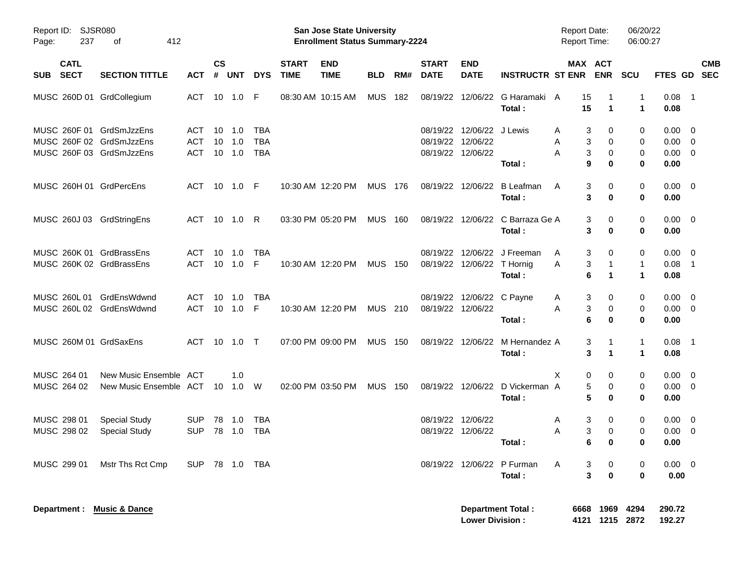| Report ID:<br>237<br>Page:                                                       | <b>SJSR080</b><br>412<br>оf                      |                          |                |                             |                                 |                             | San Jose State University<br><b>Enrollment Status Summary-2224</b> |                |     |                             |                                                                     |                                            | <b>Report Date:</b><br><b>Report Time:</b> |                                      | 06/20/22<br>06:00:27    |                                                      |            |
|----------------------------------------------------------------------------------|--------------------------------------------------|--------------------------|----------------|-----------------------------|---------------------------------|-----------------------------|--------------------------------------------------------------------|----------------|-----|-----------------------------|---------------------------------------------------------------------|--------------------------------------------|--------------------------------------------|--------------------------------------|-------------------------|------------------------------------------------------|------------|
| <b>CATL</b><br><b>SECT</b><br><b>SUB</b>                                         | <b>SECTION TITTLE</b>                            | <b>ACT</b>               | <b>CS</b><br># | UNT                         | <b>DYS</b>                      | <b>START</b><br><b>TIME</b> | <b>END</b><br><b>TIME</b>                                          | <b>BLD</b>     | RM# | <b>START</b><br><b>DATE</b> | <b>END</b><br><b>DATE</b>                                           | <b>INSTRUCTR ST ENR</b>                    |                                            | MAX ACT<br><b>ENR</b>                | <b>SCU</b>              | FTES GD SEC                                          | <b>CMB</b> |
| MUSC 260D 01 GrdCollegium                                                        |                                                  | ACT 10 1.0 F             |                |                             |                                 |                             | 08:30 AM 10:15 AM                                                  | MUS 182        |     |                             |                                                                     | 08/19/22 12/06/22 G Haramaki A<br>Total:   | 15<br>15                                   | 1                                    | 1<br>1                  | $0.08$ 1<br>0.08                                     |            |
| MUSC 260F 01 GrdSmJzzEns<br>MUSC 260F 02 GrdSmJzzEns<br>MUSC 260F 03 GrdSmJzzEns |                                                  | ACT<br>ACT<br>ACT        | 10             | 1.0<br>$10$ $1.0$<br>10 1.0 | <b>TBA</b><br><b>TBA</b><br>TBA |                             |                                                                    |                |     |                             | 08/19/22 12/06/22 J Lewis<br>08/19/22 12/06/22<br>08/19/22 12/06/22 | Total:                                     | A<br>A<br>A                                | 3<br>0<br>3<br>0<br>3<br>0<br>9<br>0 | 0<br>0<br>0<br>$\bf{0}$ | $0.00 \quad 0$<br>$0.00 \t 0$<br>$0.00 \t 0$<br>0.00 |            |
| MUSC 260H 01 GrdPercEns                                                          |                                                  | ACT 10 1.0 F             |                |                             |                                 |                             | 10:30 AM 12:20 PM                                                  | MUS 176        |     |                             |                                                                     | 08/19/22 12/06/22 B Leafman<br>Total:      | A                                          | 3<br>0<br>3<br>0                     | 0<br>0                  | $0.00 \quad 0$<br>0.00                               |            |
| MUSC 260J 03 GrdStringEns                                                        |                                                  | ACT 10 1.0 R             |                |                             |                                 |                             | 03:30 PM 05:20 PM                                                  | <b>MUS 160</b> |     |                             |                                                                     | 08/19/22 12/06/22 C Barraza Ge A<br>Total: |                                            | 0<br>3<br>3<br>0                     | 0<br>0                  | $0.00 \quad 0$<br>0.00                               |            |
| MUSC 260K 01 GrdBrassEns<br>MUSC 260K 02 GrdBrassEns                             |                                                  | ACT<br>ACT               | 10             | 1.0<br>$10 \quad 1.0$       | TBA<br>F                        |                             | 10:30 AM 12:20 PM                                                  | <b>MUS 150</b> |     |                             | 08/19/22 12/06/22 T Hornig                                          | 08/19/22 12/06/22 J Freeman<br>Total:      | A<br>Α                                     | 3<br>0<br>3<br>$\mathbf 1$<br>6<br>1 | 0<br>$\mathbf{1}$<br>1  | $0.00 \quad 0$<br>$0.08$ 1<br>0.08                   |            |
| MUSC 260L 01 GrdEnsWdwnd<br>MUSC 260L 02 GrdEnsWdwnd                             |                                                  | ACT<br>ACT               | 10             | 1.0<br>10 1.0               | TBA<br>-F                       |                             | 10:30 AM 12:20 PM                                                  | MUS 210        |     | 08/19/22 12/06/22           | 08/19/22 12/06/22 C Payne                                           | Total:                                     | A<br>Α                                     | 3<br>0<br>3<br>0<br>6<br>0           | 0<br>0<br>0             | $0.00 \quad 0$<br>$0.00 \t 0$<br>0.00                |            |
| MUSC 260M 01 GrdSaxEns                                                           |                                                  | ACT 10 1.0 T             |                |                             |                                 |                             | 07:00 PM 09:00 PM                                                  | <b>MUS 150</b> |     |                             |                                                                     | 08/19/22 12/06/22 M Hernandez A<br>Total:  |                                            | 3<br>1<br>3<br>1                     | $\mathbf{1}$<br>1       | $0.08$ 1<br>0.08                                     |            |
| MUSC 264 01<br>MUSC 264 02                                                       | New Music Ensemble ACT<br>New Music Ensemble ACT |                          |                | 1.0<br>10 1.0 W             |                                 |                             | 02:00 PM 03:50 PM                                                  | <b>MUS 150</b> |     |                             |                                                                     | 08/19/22 12/06/22 D Vickerman A<br>Total:  | Χ                                          | 0<br>0<br>5<br>0<br>5<br>0           | 0<br>0<br>0             | $0.00 \quad 0$<br>$0.00 \t 0$<br>0.00                |            |
| MUSC 298 01<br>MUSC 298 02                                                       | <b>Special Study</b><br><b>Special Study</b>     | <b>SUP</b><br><b>SUP</b> | 78             | 1.0<br>78 1.0               | <b>TBA</b><br>TBA               |                             |                                                                    |                |     |                             | 08/19/22 12/06/22<br>08/19/22 12/06/22                              | Total:                                     | A<br>A                                     | 3<br>0<br>3<br>0<br>6<br>$\mathbf 0$ | 0<br>0<br>0             | $0.00 \quad 0$<br>$0.00 \ 0$<br>0.00                 |            |
| MUSC 299 01                                                                      | Mstr Ths Rct Cmp                                 | SUP 78 1.0 TBA           |                |                             |                                 |                             |                                                                    |                |     |                             |                                                                     | 08/19/22 12/06/22 P Furman<br>Total:       | A                                          | 3<br>0<br>3<br>$\mathbf 0$           | 0<br>$\bf{0}$           | $0.00 \t 0$<br>0.00                                  |            |
| Department : Music & Dance                                                       |                                                  |                          |                |                             |                                 |                             |                                                                    |                |     |                             | <b>Lower Division:</b>                                              | <b>Department Total:</b>                   |                                            | 6668 1969 4294<br>4121 1215 2872     |                         | 290.72<br>192.27                                     |            |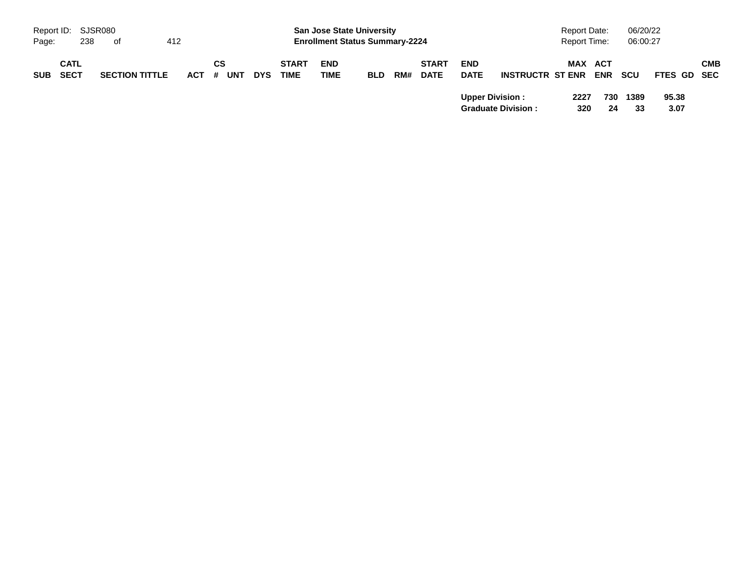|            | Report ID: SJSR080  |     |                       |     |       |    |     |            |                             | <b>San Jose State University</b>      |            |     |                             |                           |                           | <b>Report Date:</b> |             |            | 06/20/22   |               |            |
|------------|---------------------|-----|-----------------------|-----|-------|----|-----|------------|-----------------------------|---------------------------------------|------------|-----|-----------------------------|---------------------------|---------------------------|---------------------|-------------|------------|------------|---------------|------------|
| Page:      |                     | 238 | of                    | 412 |       |    |     |            |                             | <b>Enrollment Status Summary-2224</b> |            |     |                             |                           |                           | Report Time:        |             |            | 06:00:27   |               |            |
| <b>SUB</b> | <b>CATL</b><br>SECT |     | <b>SECTION TITTLE</b> |     | ACT # | СS | UNT | <b>DYS</b> | <b>START</b><br><b>TIME</b> | <b>END</b><br><b>TIME</b>             | <b>BLD</b> | RM# | <b>START</b><br><b>DATE</b> | <b>END</b><br><b>DATE</b> | <b>INSTRUCTR ST ENR</b>   |                     | MAX ACT     | <b>ENR</b> | scu        | FTES GD SEC   | <b>CMB</b> |
|            |                     |     |                       |     |       |    |     |            |                             |                                       |            |     |                             | <b>Upper Division:</b>    | <b>Graduate Division:</b> |                     | 2227<br>320 | 730<br>24  | 1389<br>33 | 95.38<br>3.07 |            |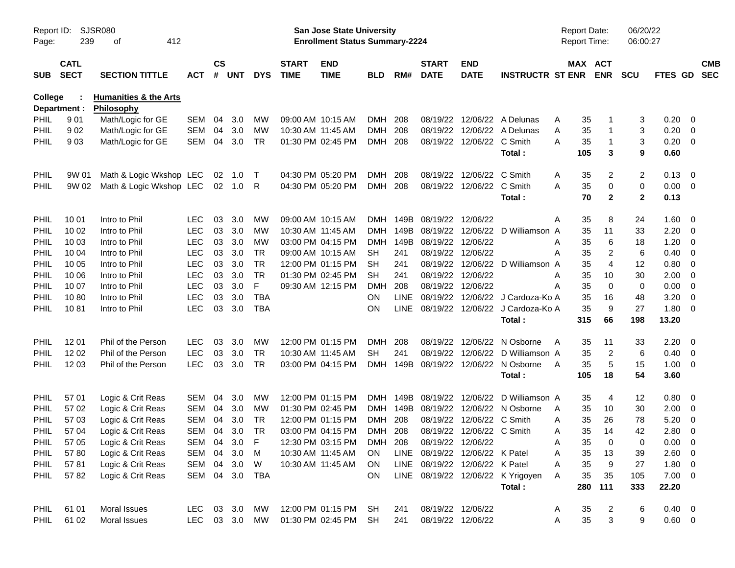| Report ID:<br>Page: | 239                        | SJSR080<br>412<br>оf                           |            |                    |            |              |                             | San Jose State University<br><b>Enrollment Status Summary-2224</b> |            |             |                                |                           |                                   | <b>Report Date:</b><br><b>Report Time:</b> |                       | 06/20/22<br>06:00:27 |                |                         |                          |
|---------------------|----------------------------|------------------------------------------------|------------|--------------------|------------|--------------|-----------------------------|--------------------------------------------------------------------|------------|-------------|--------------------------------|---------------------------|-----------------------------------|--------------------------------------------|-----------------------|----------------------|----------------|-------------------------|--------------------------|
| <b>SUB</b>          | <b>CATL</b><br><b>SECT</b> | <b>SECTION TITTLE</b>                          | <b>ACT</b> | $\mathsf{cs}$<br># | <b>UNT</b> | <b>DYS</b>   | <b>START</b><br><b>TIME</b> | <b>END</b><br><b>TIME</b>                                          | <b>BLD</b> | RM#         | <b>START</b><br><b>DATE</b>    | <b>END</b><br><b>DATE</b> | <b>INSTRUCTR ST ENR</b>           |                                            | MAX ACT<br><b>ENR</b> | <b>SCU</b>           | <b>FTES GD</b> |                         | <b>CMB</b><br><b>SEC</b> |
| <b>College</b>      | Department :               | <b>Humanities &amp; the Arts</b><br>Philosophy |            |                    |            |              |                             |                                                                    |            |             |                                |                           |                                   |                                            |                       |                      |                |                         |                          |
| PHIL                | 901                        | Math/Logic for GE                              | <b>SEM</b> | 04                 | 3.0        | МW           |                             | 09:00 AM 10:15 AM                                                  | <b>DMH</b> | 208         | 08/19/22                       | 12/06/22                  | A Delunas                         | 35<br>A                                    |                       | 3                    | 0.20           | 0                       |                          |
| <b>PHIL</b>         | 902                        | Math/Logic for GE                              | <b>SEM</b> | 04                 | 3.0        | MW           |                             | 10:30 AM 11:45 AM                                                  | <b>DMH</b> | 208         | 08/19/22                       | 12/06/22                  | A Delunas                         | 35<br>Α                                    | 1                     | 3                    | 0.20           | 0                       |                          |
| PHIL                | 903                        | Math/Logic for GE                              | <b>SEM</b> | 04                 | 3.0        | <b>TR</b>    |                             | 01:30 PM 02:45 PM                                                  | DMH 208    |             |                                | 08/19/22 12/06/22         | C Smith                           | A<br>35                                    | $\mathbf 1$           | 3                    | 0.20           | $\overline{0}$          |                          |
|                     |                            |                                                |            |                    |            |              |                             |                                                                    |            |             |                                |                           | Total:                            | 105                                        | 3                     | 9                    | 0.60           |                         |                          |
| PHIL                | 9W 01                      | Math & Logic Wkshop LEC                        |            | 02                 | 1.0        | $\top$       |                             | 04:30 PM 05:20 PM                                                  | DMH        | 208         | 08/19/22                       | 12/06/22                  | C Smith                           | 35<br>A                                    | 2                     | $\overline{2}$       | 0.13           | $\overline{0}$          |                          |
| <b>PHIL</b>         | 9W 02                      | Math & Logic Wkshop LEC                        |            |                    | 02 1.0     | R            |                             | 04:30 PM 05:20 PM                                                  | DMH 208    |             |                                | 08/19/22 12/06/22         | C Smith                           | A<br>35                                    | 0                     | 0                    | 0.00           | $\overline{0}$          |                          |
|                     |                            |                                                |            |                    |            |              |                             |                                                                    |            |             |                                |                           | Total:                            | 70                                         | $\mathbf{2}$          | $\mathbf{2}$         | 0.13           |                         |                          |
| <b>PHIL</b>         | 10 01                      | Intro to Phil                                  | <b>LEC</b> | 03                 | 3.0        | МW           |                             | 09:00 AM 10:15 AM                                                  | DMH        | 149B        | 08/19/22 12/06/22              |                           |                                   | 35<br>Α                                    | 8                     | 24                   | 1.60           | - 0                     |                          |
| PHIL                | 10 02                      | Intro to Phil                                  | <b>LEC</b> | 03                 | 3.0        | МW           |                             | 10:30 AM 11:45 AM                                                  | <b>DMH</b> | 149B        | 08/19/22                       | 12/06/22                  | D Williamson A                    | 35                                         | 11                    | 33                   | 2.20           | 0                       |                          |
| PHIL                | 10 03                      | Intro to Phil                                  | <b>LEC</b> | 03                 | 3.0        | <b>MW</b>    |                             | 03:00 PM 04:15 PM                                                  | <b>DMH</b> | 149B        | 08/19/22                       | 12/06/22                  |                                   | 35<br>Α                                    | 6                     | 18                   | 1.20           | 0                       |                          |
| PHIL                | 10 04                      | Intro to Phil                                  | <b>LEC</b> | 03                 | 3.0        | <b>TR</b>    |                             | 09:00 AM 10:15 AM                                                  | SН         | 241         |                                | 08/19/22 12/06/22         |                                   | Α<br>35                                    | 2                     | 6                    | 0.40           | 0                       |                          |
| PHIL                | 10 05                      | Intro to Phil                                  | <b>LEC</b> | 03                 | 3.0        | <b>TR</b>    |                             | 12:00 PM 01:15 PM                                                  | <b>SH</b>  | 241         | 08/19/22                       | 12/06/22                  | D Williamson A                    | 35                                         | 4                     | 12                   | 0.80           | 0                       |                          |
| PHIL                | 10 06                      | Intro to Phil                                  | <b>LEC</b> | 03                 | 3.0        | <b>TR</b>    |                             | 01:30 PM 02:45 PM                                                  | <b>SH</b>  | 241         | 08/19/22                       | 12/06/22                  |                                   | 35<br>Α                                    | 10                    | 30                   | 2.00           | 0                       |                          |
| PHIL                | 10 07                      | Intro to Phil                                  | <b>LEC</b> | 03                 | 3.0        | F            |                             | 09:30 AM 12:15 PM                                                  | <b>DMH</b> | 208         | 08/19/22 12/06/22              |                           |                                   | 35<br>Α                                    | $\mathbf 0$           | 0                    | 0.00           | 0                       |                          |
| PHIL                | 1080                       | Intro to Phil                                  | <b>LEC</b> | 03                 | 3.0        | <b>TBA</b>   |                             |                                                                    | <b>ON</b>  | <b>LINE</b> | 08/19/22                       | 12/06/22                  | J Cardoza-Ko A                    | 35                                         | 16                    | 48                   | 3.20           | 0                       |                          |
| PHIL                | 1081                       | Intro to Phil                                  | <b>LEC</b> | 03                 | 3.0        | <b>TBA</b>   |                             |                                                                    | ON         | <b>LINE</b> |                                | 08/19/22 12/06/22         | J Cardoza-Ko A                    | 35                                         | 9                     | 27                   | 1.80           | 0                       |                          |
|                     |                            |                                                |            |                    |            |              |                             |                                                                    |            |             |                                |                           | Total:                            | 315                                        | 66                    | 198                  | 13.20          |                         |                          |
| <b>PHIL</b>         | 12 01                      | Phil of the Person                             | <b>LEC</b> | 03                 | 3.0        | MW           |                             | 12:00 PM 01:15 PM                                                  | <b>DMH</b> | 208         | 08/19/22                       | 12/06/22                  | N Osborne                         | 35<br>A                                    | 11                    | 33                   | 2.20           | 0                       |                          |
| <b>PHIL</b>         | 12 02                      | Phil of the Person                             | <b>LEC</b> | 03                 | 3.0        | <b>TR</b>    |                             | 10:30 AM 11:45 AM                                                  | <b>SH</b>  | 241         | 08/19/22                       | 12/06/22                  | D Williamson A                    | 35                                         | $\overline{2}$        | 6                    | 0.40           | 0                       |                          |
| <b>PHIL</b>         | 12 03                      | Phil of the Person                             | <b>LEC</b> | 03                 | 3.0        | <b>TR</b>    |                             | 03:00 PM 04:15 PM                                                  | <b>DMH</b> | 149B        | 08/19/22 12/06/22              |                           | N Osborne                         | 35<br>A                                    | 5                     | 15                   | 1.00           | $\overline{0}$          |                          |
|                     |                            |                                                |            |                    |            |              |                             |                                                                    |            |             |                                |                           | Total:                            | 105                                        | 18                    | 54                   | 3.60           |                         |                          |
| PHIL                | 57 01                      | Logic & Crit Reas                              | <b>SEM</b> | 04                 | 3.0        | MW           |                             | 12:00 PM 01:15 PM                                                  | <b>DMH</b> | 149B        | 08/19/22                       | 12/06/22                  | D Williamson A                    | 35                                         | 4                     | 12                   | 0.80           | - 0                     |                          |
| PHIL                | 57 02                      | Logic & Crit Reas                              | <b>SEM</b> | 04                 | 3.0        | MW           |                             | 01:30 PM 02:45 PM                                                  | DMH        | 149B        | 08/19/22                       | 12/06/22                  | N Osborne                         | 35<br>A                                    | 10                    | 30                   | 2.00           | 0                       |                          |
| PHIL                | 57 03                      | Logic & Crit Reas                              | <b>SEM</b> | 04                 | 3.0        | TR           |                             | 12:00 PM 01:15 PM                                                  | <b>DMH</b> | 208         | 08/19/22                       | 12/06/22                  | C Smith                           | 35<br>A                                    | 26                    | 78                   | 5.20           | $\overline{0}$          |                          |
| PHIL                | 57 04                      | Logic & Crit Reas                              | <b>SEM</b> | 04                 | 3.0        | <b>TR</b>    |                             | 03:00 PM 04:15 PM                                                  | DMH 208    |             |                                | 08/19/22 12/06/22 C Smith |                                   | 35<br>A                                    | 14                    | 42                   | 2.80           | 0                       |                          |
| PHIL                | 57 05                      | Logic & Crit Reas                              | SEM 04     |                    | 3.0        | $\mathsf{F}$ |                             | 12:30 PM 03:15 PM                                                  | <b>DMH</b> | 208         | 08/19/22 12/06/22              |                           |                                   | 35<br>Α                                    | 0                     | 0                    | 0.00           | $\overline{\mathbf{0}}$ |                          |
| <b>PHIL</b>         | 5780                       | Logic & Crit Reas                              | SEM        | 04                 | 3.0        | M            |                             | 10:30 AM 11:45 AM                                                  | <b>ON</b>  |             | LINE 08/19/22 12/06/22 K Patel |                           |                                   | Α<br>35                                    | 13                    | 39                   | 2.60           | $\overline{0}$          |                          |
| <b>PHIL</b>         | 5781                       | Logic & Crit Reas                              | SEM        |                    | 04 3.0     | W            |                             | 10:30 AM 11:45 AM                                                  | <b>ON</b>  |             | LINE 08/19/22 12/06/22 K Patel |                           |                                   | 35<br>Α                                    | 9                     | 27                   | 1.80           | $\overline{0}$          |                          |
| PHIL                | 5782                       | Logic & Crit Reas                              | SEM 04 3.0 |                    |            | TBA          |                             |                                                                    | ON         |             |                                |                           | LINE 08/19/22 12/06/22 K Yrigoyen | Α<br>35                                    | 35                    | 105                  | $7.00 \t 0$    |                         |                          |
|                     |                            |                                                |            |                    |            |              |                             |                                                                    |            |             |                                |                           | Total:                            | 280                                        | 111                   | 333                  | 22.20          |                         |                          |
| <b>PHIL</b>         | 61 01                      | Moral Issues                                   | LEC        |                    | 03 3.0     | МW           |                             | 12:00 PM 01:15 PM                                                  | SH         | 241         |                                | 08/19/22 12/06/22         |                                   | 35<br>A                                    | 2                     | 6                    | $0.40 \quad 0$ |                         |                          |
| PHIL                | 61 02                      | Moral Issues                                   | <b>LEC</b> |                    | 03 3.0     | MW           |                             | 01:30 PM 02:45 PM                                                  | <b>SH</b>  | 241         | 08/19/22 12/06/22              |                           |                                   | 35<br>A                                    | 3                     | 9                    | $0.60 \t 0$    |                         |                          |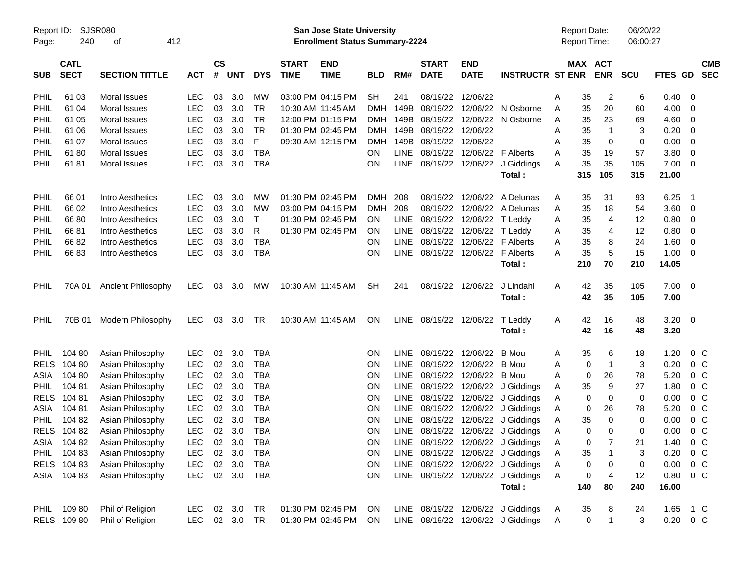| Report ID:  |             | <b>SJSR080</b>        |            |               |            |            |              | <b>San Jose State University</b>      |            |             |                        |                   |                                   |   | <b>Report Date:</b> |                | 06/20/22 |                |                         |            |
|-------------|-------------|-----------------------|------------|---------------|------------|------------|--------------|---------------------------------------|------------|-------------|------------------------|-------------------|-----------------------------------|---|---------------------|----------------|----------|----------------|-------------------------|------------|
| Page:       | 240         | 412<br>οf             |            |               |            |            |              | <b>Enrollment Status Summary-2224</b> |            |             |                        |                   |                                   |   | <b>Report Time:</b> |                | 06:00:27 |                |                         |            |
|             | <b>CATL</b> |                       |            | $\mathsf{cs}$ |            |            | <b>START</b> | <b>END</b>                            |            |             | <b>START</b>           | <b>END</b>        |                                   |   | MAX ACT             |                |          |                |                         | <b>CMB</b> |
| <b>SUB</b>  | <b>SECT</b> | <b>SECTION TITTLE</b> | <b>ACT</b> | #             | <b>UNT</b> | <b>DYS</b> | <b>TIME</b>  | <b>TIME</b>                           | <b>BLD</b> | RM#         | <b>DATE</b>            | <b>DATE</b>       | <b>INSTRUCTR ST ENR</b>           |   |                     | <b>ENR</b>     | SCU      | <b>FTES GD</b> |                         | <b>SEC</b> |
| PHIL        | 61 03       | Moral Issues          | <b>LEC</b> | 03            | 3.0        | МW         |              | 03:00 PM 04:15 PM                     | <b>SH</b>  | 241         | 08/19/22               | 12/06/22          |                                   | Α | 35                  | $\overline{2}$ | 6        | 0.40           | - 0                     |            |
| PHIL        | 61 04       | Moral Issues          | <b>LEC</b> | 03            | 3.0        | <b>TR</b>  |              | 10:30 AM 11:45 AM                     | <b>DMH</b> | 149B        | 08/19/22               | 12/06/22          | N Osborne                         | Α | 35                  | 20             | 60       | 4.00           | 0                       |            |
| PHIL        | 61 05       | Moral Issues          | <b>LEC</b> | 03            | 3.0        | <b>TR</b>  |              | 12:00 PM 01:15 PM                     | DMH        | 149B        | 08/19/22               | 12/06/22          | N Osborne                         | Α | 35                  | 23             | 69       | 4.60           | 0                       |            |
| PHIL        | 61 06       | Moral Issues          | <b>LEC</b> | 03            | 3.0        | <b>TR</b>  |              | 01:30 PM 02:45 PM                     | DMH        | 149B        | 08/19/22               | 12/06/22          |                                   | A | 35                  | $\mathbf{1}$   | 3        | 0.20           | 0                       |            |
| PHIL        | 61 07       | Moral Issues          | <b>LEC</b> | 03            | 3.0        | F          |              | 09:30 AM 12:15 PM                     | <b>DMH</b> | 149B        | 08/19/22               | 12/06/22          |                                   | A | 35                  | 0              | 0        | 0.00           | 0                       |            |
| PHIL        | 6180        | Moral Issues          | <b>LEC</b> | 03            | 3.0        | <b>TBA</b> |              |                                       | ON         | LINE        | 08/19/22               |                   | 12/06/22 F Alberts                | A | 35                  | 19             | 57       | 3.80           | 0                       |            |
| PHIL        | 6181        | Moral Issues          | <b>LEC</b> | 03            | 3.0        | <b>TBA</b> |              |                                       | ON         | LINE        | 08/19/22               | 12/06/22          | J Giddings                        | A | 35                  | 35             | 105      | 7.00           | $\overline{0}$          |            |
|             |             |                       |            |               |            |            |              |                                       |            |             |                        |                   | Total:                            |   | 315                 | 105            | 315      | 21.00          |                         |            |
| PHIL        | 66 01       | Intro Aesthetics      | <b>LEC</b> | 03            | 3.0        | МW         |              | 01:30 PM 02:45 PM                     | <b>DMH</b> | 208         | 08/19/22               | 12/06/22          | A Delunas                         | Α | 35                  | 31             | 93       | 6.25           | - 1                     |            |
| PHIL        | 66 02       | Intro Aesthetics      | <b>LEC</b> | 03            | 3.0        | МW         |              | 03:00 PM 04:15 PM                     | <b>DMH</b> | 208         | 08/19/22               | 12/06/22          | A Delunas                         | Α | 35                  | 18             | 54       | 3.60           | $\overline{\mathbf{0}}$ |            |
| PHIL        | 6680        | Intro Aesthetics      | <b>LEC</b> | 03            | 3.0        | T          |              | 01:30 PM 02:45 PM                     | <b>ON</b>  | LINE        | 08/19/22               | 12/06/22          | T Leddy                           | Α | 35                  | 4              | 12       | 0.80           | - 0                     |            |
| PHIL        | 6681        | Intro Aesthetics      | <b>LEC</b> | 03            | 3.0        | R          |              | 01:30 PM 02:45 PM                     | <b>ON</b>  | <b>LINE</b> | 08/19/22               | 12/06/22          | T Leddy                           | Α | 35                  | 4              | 12       | 0.80           | 0                       |            |
| PHIL        | 6682        | Intro Aesthetics      | <b>LEC</b> | 03            | 3.0        | <b>TBA</b> |              |                                       | <b>ON</b>  | <b>LINE</b> | 08/19/22               | 12/06/22          | <b>F</b> Alberts                  | A | 35                  | 8              | 24       | 1.60           | 0                       |            |
| PHIL        | 6683        | Intro Aesthetics      | <b>LEC</b> | 03            | 3.0        | <b>TBA</b> |              |                                       | ON         | LINE        |                        | 08/19/22 12/06/22 | <b>F</b> Alberts                  | Α | 35                  | 5              | 15       | 1.00           | - 0                     |            |
|             |             |                       |            |               |            |            |              |                                       |            |             |                        |                   | Total:                            |   | 210                 | 70             | 210      | 14.05          |                         |            |
| PHIL        | 70A 01      | Ancient Philosophy    | <b>LEC</b> | 03            | 3.0        | МW         |              | 10:30 AM 11:45 AM                     | <b>SH</b>  | 241         |                        | 08/19/22 12/06/22 | J Lindahl                         | A | 42                  | 35             | 105      | $7.00 \t 0$    |                         |            |
|             |             |                       |            |               |            |            |              |                                       |            |             |                        |                   | Total:                            |   | 42                  | 35             | 105      | 7.00           |                         |            |
| PHIL        | 70B 01      | Modern Philosophy     | <b>LEC</b> | 03            | 3.0        | <b>TR</b>  |              | 10:30 AM 11:45 AM                     | <b>ON</b>  |             | LINE 08/19/22 12/06/22 |                   | T Leddy                           | A | 42                  | 16             | 48       | $3.20 \ 0$     |                         |            |
|             |             |                       |            |               |            |            |              |                                       |            |             |                        |                   | Total:                            |   | 42                  | 16             | 48       | 3.20           |                         |            |
| <b>PHIL</b> | 104 80      | Asian Philosophy      | <b>LEC</b> | 02            | 3.0        | <b>TBA</b> |              |                                       | <b>ON</b>  | <b>LINE</b> |                        | 08/19/22 12/06/22 | B Mou                             | Α | 35                  | 6              | 18       | 1.20           | $0\,C$                  |            |
| <b>RELS</b> | 104 80      | Asian Philosophy      | LEC        | 02            | 3.0        | <b>TBA</b> |              |                                       | <b>ON</b>  | <b>LINE</b> | 08/19/22               | 12/06/22          | B Mou                             | A | 0                   | $\overline{1}$ | 3        | 0.20           | 0 C                     |            |
| ASIA        | 104 80      | Asian Philosophy      | LEC        | 02            | 3.0        | <b>TBA</b> |              |                                       | ON         | <b>LINE</b> | 08/19/22               | 12/06/22          | B Mou                             | A | 0                   | 26             | 78       | 5.20           | 0 <sup>C</sup>          |            |
| <b>PHIL</b> | 10481       | Asian Philosophy      | LEC        | 02            | 3.0        | <b>TBA</b> |              |                                       | ON         | <b>LINE</b> | 08/19/22               |                   | 12/06/22 J Giddings               | Α | 35                  | 9              | 27       | 1.80           | 0 <sup>C</sup>          |            |
| <b>RELS</b> | 104 81      | Asian Philosophy      | LEC        | 02            | 3.0        | <b>TBA</b> |              |                                       | ON         | <b>LINE</b> | 08/19/22               |                   | 12/06/22 J Giddings               | Α | 0                   | 0              | 0        | 0.00           | 0 <sup>C</sup>          |            |
| ASIA        | 104 81      | Asian Philosophy      | LEC        | 02            | 3.0        | <b>TBA</b> |              |                                       | <b>ON</b>  | LINE        | 08/19/22               |                   | 12/06/22 J Giddings               | Α | 0                   | 26             | 78       | 5.20           | 0 <sup>C</sup>          |            |
| <b>PHIL</b> | 104 82      | Asian Philosophy      | <b>LEC</b> | 02            | 3.0        | <b>TBA</b> |              |                                       | <b>ON</b>  | <b>LINE</b> | 08/19/22               |                   | 12/06/22 J Giddings               | Α | 35                  | 0              | 0        | 0.00           | 0 <sup>C</sup>          |            |
|             | RELS 104 82 | Asian Philosophy      | <b>LEC</b> | 02            | 3.0        | <b>TBA</b> |              |                                       | <b>ON</b>  |             |                        |                   | LINE 08/19/22 12/06/22 J Giddings | A | 0                   | 0              | $\Omega$ | 0.00           | 0 <sup>o</sup>          |            |
|             | ASIA 10482  | Asian Philosophy      | LEC.       |               | 02 3.0     | TBA        |              |                                       | <b>ON</b>  |             |                        |                   | LINE 08/19/22 12/06/22 J Giddings | A | 0                   |                | 21       | 1.40           | 0 C                     |            |
|             | PHIL 104 83 | Asian Philosophy      | <b>LEC</b> |               | 02 3.0     | <b>TBA</b> |              |                                       | <b>ON</b>  |             |                        |                   | LINE 08/19/22 12/06/22 J Giddings | Α | 35                  | -1             | 3        | 0.20           | 0 <sup>o</sup>          |            |
|             | RELS 104 83 | Asian Philosophy      | <b>LEC</b> |               | 02 3.0     | <b>TBA</b> |              |                                       | ON         |             |                        |                   | LINE 08/19/22 12/06/22 J Giddings | Α | 0                   | 0              | 0        | 0.00           | $0\,$ C                 |            |
|             | ASIA 104 83 | Asian Philosophy      | <b>LEC</b> |               | 02 3.0     | TBA        |              |                                       | ON         |             |                        |                   | LINE 08/19/22 12/06/22 J Giddings | Α | 0                   | 4              | 12       | 0.80           | $0\,C$                  |            |
|             |             |                       |            |               |            |            |              |                                       |            |             |                        |                   | Total:                            |   | 140                 | 80             | 240      | 16.00          |                         |            |
|             | PHIL 109 80 | Phil of Religion      | LEC.       |               | 02 3.0     | TR         |              | 01:30 PM 02:45 PM                     | ON.        |             |                        |                   | LINE 08/19/22 12/06/22 J Giddings | A | 35                  | 8              | 24       | 1.65 1 C       |                         |            |
|             | RELS 109 80 | Phil of Religion      | LEC.       |               | 02 3.0 TR  |            |              | 01:30 PM 02:45 PM                     | ON.        |             |                        |                   | LINE 08/19/22 12/06/22 J Giddings | Α | $\pmb{0}$           | $\overline{1}$ | 3        | $0.20 \t 0 C$  |                         |            |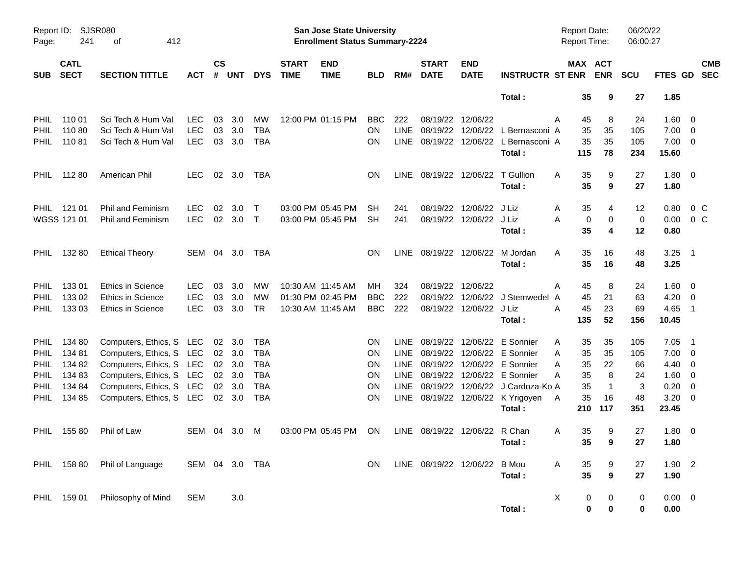| Report ID:<br>Page: | 241                        | SJSR080<br>412<br>оf     |                |                    |                |            |                             | <b>San Jose State University</b><br><b>Enrollment Status Summary-2224</b> |            |             |                               |                           |                                       | Report Date:<br><b>Report Time:</b> |                          | 06/20/22<br>06:00:27 |                |                          |            |
|---------------------|----------------------------|--------------------------|----------------|--------------------|----------------|------------|-----------------------------|---------------------------------------------------------------------------|------------|-------------|-------------------------------|---------------------------|---------------------------------------|-------------------------------------|--------------------------|----------------------|----------------|--------------------------|------------|
| <b>SUB</b>          | <b>CATL</b><br><b>SECT</b> | <b>SECTION TITTLE</b>    | <b>ACT</b>     | $\mathsf{cs}$<br># | <b>UNT</b>     | <b>DYS</b> | <b>START</b><br><b>TIME</b> | <b>END</b><br><b>TIME</b>                                                 | <b>BLD</b> | RM#         | <b>START</b><br><b>DATE</b>   | <b>END</b><br><b>DATE</b> | <b>INSTRUCTR ST ENR</b>               |                                     | MAX ACT<br><b>ENR</b>    | <b>SCU</b>           | FTES GD SEC    |                          | <b>CMB</b> |
|                     |                            |                          |                |                    |                |            |                             |                                                                           |            |             |                               |                           | Total:                                | 35                                  | 9                        | 27                   | 1.85           |                          |            |
| <b>PHIL</b>         | 110 01                     | Sci Tech & Hum Val       | LEC.           | 03                 | 3.0            | MW         |                             | 12:00 PM 01:15 PM                                                         | <b>BBC</b> | 222         |                               | 08/19/22 12/06/22         |                                       | A<br>45                             | 8                        | 24                   | $1.60 \ 0$     |                          |            |
| <b>PHIL</b>         | 11080                      | Sci Tech & Hum Val       | <b>LEC</b>     | 03                 | 3.0            | <b>TBA</b> |                             |                                                                           | <b>ON</b>  | <b>LINE</b> |                               | 08/19/22 12/06/22         | L Bernasconi A                        | 35                                  | 35                       | 105                  | $7.00 \t 0$    |                          |            |
| PHIL.               | 11081                      | Sci Tech & Hum Val       | <b>LEC</b>     | 03                 | 3.0            | <b>TBA</b> |                             |                                                                           | <b>ON</b>  |             |                               |                           | LINE 08/19/22 12/06/22 L Bernasconi A | 35                                  | 35                       | 105                  | $7.00 \t 0$    |                          |            |
|                     |                            |                          |                |                    |                |            |                             |                                                                           |            |             |                               |                           | Total:                                | 115                                 | 78                       | 234                  | 15.60          |                          |            |
| <b>PHIL</b>         | 11280                      | American Phil            | LEC.           |                    | 02 3.0         | TBA        |                             |                                                                           | <b>ON</b>  |             | LINE 08/19/22 12/06/22        |                           | T Gullion                             | 35<br>A                             | 9                        | 27                   | $1.80 \ 0$     |                          |            |
|                     |                            |                          |                |                    |                |            |                             |                                                                           |            |             |                               |                           | Total:                                | 35                                  | 9                        | 27                   | 1.80           |                          |            |
| PHIL                | 121 01                     | Phil and Feminism        | <b>LEC</b>     | 02                 | 3.0            | $\top$     |                             | 03:00 PM 05:45 PM                                                         | <b>SH</b>  | 241         |                               | 08/19/22 12/06/22         | J Liz                                 | 35<br>A                             | 4                        | 12                   | 0.80           | 0 <sup>o</sup>           |            |
|                     | WGSS 121 01                | <b>Phil and Feminism</b> | <b>LEC</b>     |                    | 02 3.0         | $\top$     |                             | 03:00 PM 05:45 PM                                                         | <b>SH</b>  | 241         |                               | 08/19/22 12/06/22 J Liz   |                                       | А                                   | 0<br>$\mathbf 0$         | $\mathbf 0$          | 0.00           | 0 <sup>o</sup>           |            |
|                     |                            |                          |                |                    |                |            |                             |                                                                           |            |             |                               |                           | Total :                               | 35                                  | 4                        | 12                   | 0.80           |                          |            |
| <b>PHIL</b>         | 132 80                     | <b>Ethical Theory</b>    | SEM 04 3.0     |                    |                | TBA        |                             |                                                                           | <b>ON</b>  |             |                               |                           | LINE 08/19/22 12/06/22 M Jordan       | A<br>35                             | 16                       | 48                   | 3.25           | - 1                      |            |
|                     |                            |                          |                |                    |                |            |                             |                                                                           |            |             |                               |                           | Total:                                | 35                                  | 16                       | 48                   | 3.25           |                          |            |
| <b>PHIL</b>         | 13301                      | <b>Ethics in Science</b> | <b>LEC</b>     | 03                 | 3.0            | MW         | 10:30 AM 11:45 AM           |                                                                           | MН         | 324         |                               | 08/19/22 12/06/22         |                                       | 45<br>A                             | 8                        | 24                   | $1.60 \ 0$     |                          |            |
| <b>PHIL</b>         | 133 02                     | <b>Ethics in Science</b> | <b>LEC</b>     | 03                 | 3.0            | MW         |                             | 01:30 PM 02:45 PM                                                         | <b>BBC</b> | 222         |                               |                           | 08/19/22 12/06/22 J Stemwedel A       | 45                                  | 21                       | 63                   | $4.20 \ 0$     |                          |            |
| PHIL                | 133 03                     | <b>Ethics in Science</b> | <b>LEC</b>     | 03                 | 3.0            | TR         | 10:30 AM 11:45 AM           |                                                                           | <b>BBC</b> | 222         |                               | 08/19/22 12/06/22 J Liz   |                                       | Α<br>45                             | 23                       | 69                   | 4.65           | $\overline{\phantom{1}}$ |            |
|                     |                            |                          |                |                    |                |            |                             |                                                                           |            |             |                               |                           | Total:                                | 135                                 | 52                       | 156                  | 10.45          |                          |            |
| <b>PHIL</b>         | 134 80                     | Computers, Ethics, S LEC |                |                    | $02 \quad 3.0$ | TBA        |                             |                                                                           | <b>ON</b>  | <b>LINE</b> |                               |                           | 08/19/22 12/06/22 E Sonnier           | 35<br>A                             | 35                       | 105                  | 7.05           | - 1                      |            |
| <b>PHIL</b>         | 13481                      | Computers, Ethics, S LEC |                |                    | 02 3.0         | <b>TBA</b> |                             |                                                                           | <b>ON</b>  | LINE        |                               |                           | 08/19/22 12/06/22 E Sonnier           | 35<br>A                             | 35                       | 105                  | $7.00 \t 0$    |                          |            |
| <b>PHIL</b>         | 134 82                     | Computers, Ethics, S LEC |                |                    | 02 3.0         | <b>TBA</b> |                             |                                                                           | <b>ON</b>  | LINE        |                               |                           | 08/19/22 12/06/22 E Sonnier           | 35<br>A                             | 22                       | 66                   | $4.40 \quad 0$ |                          |            |
| <b>PHIL</b>         | 134 83                     | Computers, Ethics, S LEC |                |                    | 02 3.0         | <b>TBA</b> |                             |                                                                           | <b>ON</b>  | <b>LINE</b> |                               |                           | 08/19/22 12/06/22 E Sonnier           | 35<br>A                             | 8                        | 24                   | $1.60 \t 0$    |                          |            |
| <b>PHIL</b>         | 134 84                     | Computers, Ethics, S LEC |                |                    | 02 3.0         | <b>TBA</b> |                             |                                                                           | <b>ON</b>  | LINE        |                               |                           | 08/19/22 12/06/22 J Cardoza-Ko A      | 35                                  | $\overline{1}$           | 3                    | 0.20           | $\overline{0}$           |            |
| <b>PHIL</b>         | 134 85                     | Computers, Ethics, S LEC |                |                    | $02 \quad 3.0$ | <b>TBA</b> |                             |                                                                           | <b>ON</b>  |             |                               |                           | LINE 08/19/22 12/06/22 K Yrigoyen     | 35<br>A                             | 16                       | 48                   | 3.20           | $\overline{\mathbf{0}}$  |            |
|                     |                            |                          |                |                    |                |            |                             |                                                                           |            |             |                               |                           | Total:                                | 210                                 | 117                      | 351                  | 23.45          |                          |            |
| <b>PHIL</b>         | 155 80                     | Phil of Law              | SEM 04 3.0     |                    |                | M          |                             | 03:00 PM 05:45 PM                                                         | <b>ON</b>  |             | LINE 08/19/22 12/06/22 R Chan |                           |                                       | 35<br>A                             | 9                        | 27                   | $1.80 \ 0$     |                          |            |
|                     |                            |                          |                |                    |                |            |                             |                                                                           |            |             |                               |                           | Total :                               |                                     | $35 \qquad 9$            | ${\bf 27}$           | 1.80           |                          |            |
|                     | PHIL 158 80                | Phil of Language         | SEM 04 3.0 TBA |                    |                |            |                             |                                                                           | <b>ON</b>  |             | LINE 08/19/22 12/06/22        |                           | <b>B</b> Mou                          | A<br>35                             | 9                        | 27                   | $1.90$ 2       |                          |            |
|                     |                            |                          |                |                    |                |            |                             |                                                                           |            |             |                               |                           | Total:                                | 35                                  | $\boldsymbol{9}$         | 27                   | 1.90           |                          |            |
|                     | PHIL 159 01                | Philosophy of Mind       | <b>SEM</b>     |                    | 3.0            |            |                             |                                                                           |            |             |                               |                           |                                       | X                                   | 0<br>0                   | 0                    | $0.00 \t 0$    |                          |            |
|                     |                            |                          |                |                    |                |            |                             |                                                                           |            |             |                               |                           | Total:                                |                                     | $\mathbf 0$<br>$\pmb{0}$ | 0                    | 0.00           |                          |            |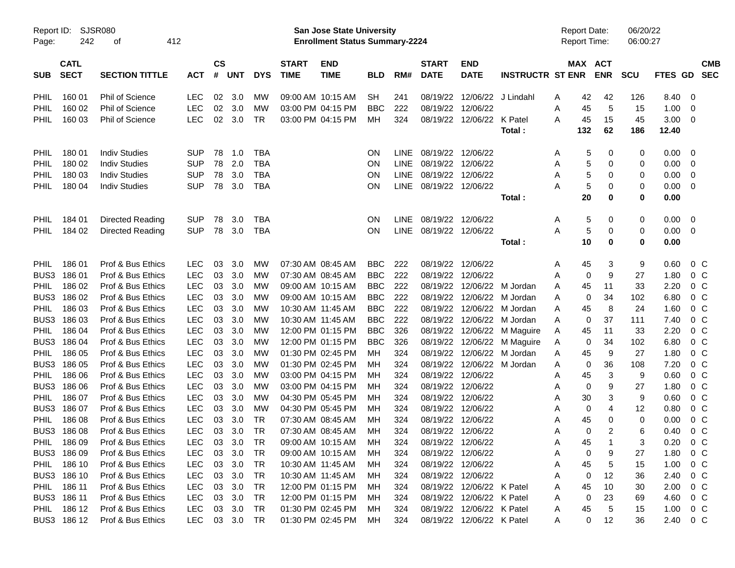| Report ID:  |             | SJSR080                |            |               |            |            |                   | <b>San Jose State University</b>      |            |             |                        |                           |                         | <b>Report Date:</b> |                     | 06/20/22   |                |                |
|-------------|-------------|------------------------|------------|---------------|------------|------------|-------------------|---------------------------------------|------------|-------------|------------------------|---------------------------|-------------------------|---------------------|---------------------|------------|----------------|----------------|
| Page:       | 242         | 412<br>οf              |            |               |            |            |                   | <b>Enrollment Status Summary-2224</b> |            |             |                        |                           |                         | <b>Report Time:</b> |                     | 06:00:27   |                |                |
|             | <b>CATL</b> |                        |            | $\mathsf{cs}$ |            |            | <b>START</b>      | <b>END</b>                            |            |             | <b>START</b>           | <b>END</b>                |                         |                     | MAX ACT             |            |                | <b>CMB</b>     |
| <b>SUB</b>  | <b>SECT</b> | <b>SECTION TITTLE</b>  | <b>ACT</b> | #             | <b>UNT</b> | <b>DYS</b> | <b>TIME</b>       | <b>TIME</b>                           | <b>BLD</b> | RM#         | <b>DATE</b>            | <b>DATE</b>               | <b>INSTRUCTR ST ENR</b> |                     | <b>ENR</b>          | <b>SCU</b> | <b>FTES GD</b> | <b>SEC</b>     |
| <b>PHIL</b> | 160 01      | <b>Phil of Science</b> | <b>LEC</b> | 02            | 3.0        | МW         | 09:00 AM 10:15 AM |                                       | <b>SH</b>  | 241         | 08/19/22               | 12/06/22                  | J Lindahl               | 42<br>A             | 42                  | 126        | 8.40           | 0              |
| PHIL        | 160 02      | Phil of Science        | <b>LEC</b> | 02            | 3.0        | МW         | 03:00 PM 04:15 PM |                                       | <b>BBC</b> | 222         | 08/19/22               | 12/06/22                  |                         | Α<br>45             | 5                   | 15         | 1.00           | 0              |
| <b>PHIL</b> | 160 03      | <b>Phil of Science</b> | <b>LEC</b> |               | 02 3.0     | <b>TR</b>  |                   | 03:00 PM 04:15 PM                     | МH         | 324         |                        | 08/19/22 12/06/22 K Patel |                         | A<br>45             | 15                  | 45         | 3.00           | $\overline{0}$ |
|             |             |                        |            |               |            |            |                   |                                       |            |             |                        |                           | Total:                  | 132                 | 62                  | 186        | 12.40          |                |
| PHIL        | 180 01      | <b>Indiv Studies</b>   | <b>SUP</b> | 78            | 1.0        | <b>TBA</b> |                   |                                       | <b>ON</b>  | <b>LINE</b> | 08/19/22 12/06/22      |                           |                         | A                   | 5<br>0              | 0          | 0.00           | 0              |
| PHIL        | 180 02      | <b>Indiv Studies</b>   | <b>SUP</b> | 78            | 2.0        | <b>TBA</b> |                   |                                       | ON         | LINE        | 08/19/22 12/06/22      |                           |                         | Α                   | 5<br>0              | 0          | 0.00           | $\overline{0}$ |
| PHIL        | 180 03      | <b>Indiv Studies</b>   | <b>SUP</b> | 78            | 3.0        | <b>TBA</b> |                   |                                       | ON         | LINE        | 08/19/22 12/06/22      |                           |                         | A                   | 5<br>0              | 0          | 0.00           | 0              |
| <b>PHIL</b> | 180 04      | <b>Indiv Studies</b>   | <b>SUP</b> | 78            | 3.0        | <b>TBA</b> |                   |                                       | ON         | <b>LINE</b> | 08/19/22 12/06/22      |                           |                         | Α                   | 5<br>0              | 0          | 0.00           | 0              |
|             |             |                        |            |               |            |            |                   |                                       |            |             |                        |                           | Total :                 | 20                  | 0                   | 0          | 0.00           |                |
| PHIL        | 184 01      | Directed Reading       | <b>SUP</b> | 78            | 3.0        | <b>TBA</b> |                   |                                       | <b>ON</b>  | <b>LINE</b> | 08/19/22 12/06/22      |                           |                         | A                   | 5<br>0              | 0          | 0.00           | 0              |
| <b>PHIL</b> | 184 02      | Directed Reading       | <b>SUP</b> | 78            | 3.0        | <b>TBA</b> |                   |                                       | <b>ON</b>  |             | LINE 08/19/22 12/06/22 |                           |                         | Α                   | 5<br>0              | 0          | 0.00           | 0              |
|             |             |                        |            |               |            |            |                   |                                       |            |             |                        |                           | Total:                  | 10                  | 0                   | 0          | 0.00           |                |
| <b>PHIL</b> | 186 01      | Prof & Bus Ethics      | <b>LEC</b> | 03            | 3.0        | MW         | 07:30 AM 08:45 AM |                                       | <b>BBC</b> | 222         |                        | 08/19/22 12/06/22         |                         | 45<br>A             | 3                   | 9          | 0.60           | $0\,$ C        |
| BUS3        | 18601       | Prof & Bus Ethics      | <b>LEC</b> | 03            | 3.0        | MW         | 07:30 AM 08:45 AM |                                       | <b>BBC</b> | 222         | 08/19/22               | 12/06/22                  |                         | Α                   | 9<br>0              | 27         | 1.80           | $0\,C$         |
| PHIL        | 186 02      | Prof & Bus Ethics      | <b>LEC</b> | 03            | 3.0        | MW         |                   | 09:00 AM 10:15 AM                     | <b>BBC</b> | 222         | 08/19/22               |                           | 12/06/22 M Jordan       | 45<br>Α             | 11                  | 33         | 2.20           | 0 <sup>C</sup> |
| BUS3        | 186 02      | Prof & Bus Ethics      | <b>LEC</b> | 03            | 3.0        | MW         |                   | 09:00 AM 10:15 AM                     | <b>BBC</b> | 222         | 08/19/22               | 12/06/22                  | M Jordan                | A                   | 34<br>0             | 102        | 6.80           | 0 <sup>C</sup> |
| PHIL        | 186 03      | Prof & Bus Ethics      | <b>LEC</b> | 03            | 3.0        | MW         | 10:30 AM 11:45 AM |                                       | <b>BBC</b> | 222         | 08/19/22               |                           | 12/06/22 M Jordan       | 45<br>A             | 8                   | 24         | 1.60           | 0 <sup>C</sup> |
| BUS3        | 186 03      | Prof & Bus Ethics      | <b>LEC</b> | 03            | 3.0        | MW         | 10:30 AM 11:45 AM |                                       | <b>BBC</b> | 222         | 08/19/22               |                           | 12/06/22 M Jordan       | A                   | 37<br>0             | 111        | 7.40           | 0 <sup>C</sup> |
| PHIL        | 186 04      | Prof & Bus Ethics      | <b>LEC</b> | 03            | 3.0        | MW         |                   | 12:00 PM 01:15 PM                     | <b>BBC</b> | 326         | 08/19/22               |                           | 12/06/22 M Maguire      | 45<br>A             | 11                  | 33         | 2.20           | 0 <sup>C</sup> |
| BUS3        | 186 04      | Prof & Bus Ethics      | <b>LEC</b> | 03            | 3.0        | MW         |                   | 12:00 PM 01:15 PM                     | <b>BBC</b> | 326         | 08/19/22               |                           | 12/06/22 M Maguire      | A                   | 34<br>0             | 102        | 6.80           | 0 <sup>C</sup> |
| PHIL        | 186 05      | Prof & Bus Ethics      | <b>LEC</b> | 03            | 3.0        | MW         |                   | 01:30 PM 02:45 PM                     | MН         | 324         | 08/19/22               | 12/06/22                  | M Jordan                | 45<br>Α             | 9                   | 27         | 1.80           | 0 <sup>C</sup> |
| BUS3        | 186 05      | Prof & Bus Ethics      | <b>LEC</b> | 03            | 3.0        | MW         |                   | 01:30 PM 02:45 PM                     | MН         | 324         | 08/19/22               |                           | 12/06/22 M Jordan       | A                   | 36<br>0             | 108        | 7.20           | 0 <sup>C</sup> |
| PHIL        | 186 06      | Prof & Bus Ethics      | <b>LEC</b> | 03            | 3.0        | MW         |                   | 03:00 PM 04:15 PM                     | MН         | 324         | 08/19/22               | 12/06/22                  |                         | 45<br>Α             | 3                   | 9          | 0.60           | 0 <sup>C</sup> |
| BUS3        | 186 06      | Prof & Bus Ethics      | <b>LEC</b> | 03            | 3.0        | MW         |                   | 03:00 PM 04:15 PM                     | MН         | 324         | 08/19/22               | 12/06/22                  |                         | Α                   | 9<br>0              | 27         | 1.80           | 0 <sup>C</sup> |
| PHIL        | 186 07      | Prof & Bus Ethics      | <b>LEC</b> | 03            | 3.0        | MW         |                   | 04:30 PM 05:45 PM                     | MН         | 324         | 08/19/22               | 12/06/22                  |                         | 30<br>Α             | 3                   | 9          | 0.60           | 0 <sup>C</sup> |
| BUS3        | 186 07      | Prof & Bus Ethics      | <b>LEC</b> | 03            | 3.0        | MW         |                   | 04:30 PM 05:45 PM                     | MН         | 324         | 08/19/22               | 12/06/22                  |                         | Α                   | $\overline{4}$<br>0 | 12         | 0.80           | 0 <sup>C</sup> |
| PHIL        | 186 08      | Prof & Bus Ethics      | <b>LEC</b> | 03            | 3.0        | TR         | 07:30 AM 08:45 AM |                                       | MН         | 324         | 08/19/22               | 12/06/22                  |                         | 45<br>Α             | $\mathbf 0$         | 0          | 0.00           | 0 <sup>C</sup> |
| BUS3        | 18608       | Prof & Bus Ethics      | <b>LEC</b> | 03            | 3.0        | <b>TR</b>  |                   | 07:30 AM 08:45 AM                     | MН         | 324         | 08/19/22 12/06/22      |                           |                         | Α                   | $\overline{c}$<br>0 | 6          | 0.40           | 0 <sup>o</sup> |
| PHIL        | 186 09      | Prof & Bus Ethics      | LEC        |               | 03 3.0     | <b>TR</b>  |                   | 09:00 AM 10:15 AM                     | MH         | 324         | 08/19/22 12/06/22      |                           |                         | 45<br>Α             |                     | 3          | 0.20           | $0\,C$         |
|             | BUS3 186 09 | Prof & Bus Ethics      | <b>LEC</b> | 03            | 3.0        | TR         |                   | 09:00 AM 10:15 AM                     | MН         | 324         |                        | 08/19/22 12/06/22         |                         | Α                   | 9<br>0              | 27         | 1.80           | $0\,C$         |
| <b>PHIL</b> | 186 10      | Prof & Bus Ethics      | LEC        | 03            | 3.0        | TR         | 10:30 AM 11:45 AM |                                       | MН         | 324         |                        | 08/19/22 12/06/22         |                         | 45<br>Α             | 5                   | 15         | 1.00           | $0\,C$         |
|             | BUS3 186 10 | Prof & Bus Ethics      | LEC        | 03            | 3.0        | TR         |                   | 10:30 AM 11:45 AM                     | MН         | 324         |                        | 08/19/22 12/06/22         |                         | Α                   | 12<br>0             | 36         | 2.40           | $0\,C$         |
| PHIL        | 186 11      | Prof & Bus Ethics      | LEC        | 03            | 3.0        | TR         |                   | 12:00 PM 01:15 PM                     | MН         | 324         |                        | 08/19/22 12/06/22 K Patel |                         | 45<br>Α             | 10                  | 30         | 2.00           | $0\,C$         |
|             | BUS3 186 11 | Prof & Bus Ethics      | LEC        | 03            | 3.0        | TR         |                   | 12:00 PM 01:15 PM                     | MН         | 324         |                        | 08/19/22 12/06/22 K Patel |                         | Α                   | 23<br>0             | 69         | 4.60           | $0\,C$         |
| PHIL        | 186 12      | Prof & Bus Ethics      | LEC        | 03            | 3.0        | <b>TR</b>  |                   | 01:30 PM 02:45 PM                     | MН         | 324         |                        | 08/19/22 12/06/22 K Patel |                         | 45<br>A             | 5                   | 15         | 1.00           | $0\,C$         |
|             | BUS3 186 12 | Prof & Bus Ethics      | <b>LEC</b> |               | 03 3.0     | TR         |                   | 01:30 PM 02:45 PM                     | МH         | 324         |                        | 08/19/22 12/06/22 K Patel |                         | A                   | 0<br>12             | 36         | 2.40           | $0\,C$         |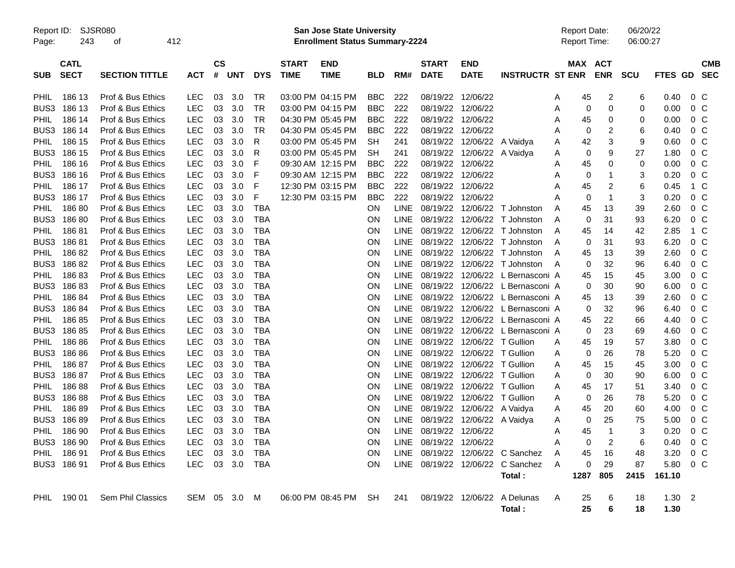| Report ID: |  | SJSR0 |
|------------|--|-------|
|------------|--|-------|

Report ID: SJSR080 **San Jose State University** Report Date: 06/20/22

Page: 243 of 412 **Enrollment Status Summary-2224** Report Time: 06:00:27

|                  | <b>CATL</b> |                          |            | $\mathsf{cs}$ |     |            | <b>START</b> | <b>END</b>        |            |             | <b>START</b>      | <b>END</b>                  |                                  |   | <b>MAX ACT</b> |                |          |             |                | <b>CMB</b> |
|------------------|-------------|--------------------------|------------|---------------|-----|------------|--------------|-------------------|------------|-------------|-------------------|-----------------------------|----------------------------------|---|----------------|----------------|----------|-------------|----------------|------------|
| <b>SUB</b>       | <b>SECT</b> | <b>SECTION TITTLE</b>    | <b>ACT</b> | $\pmb{\#}$    | UNT | <b>DYS</b> | <b>TIME</b>  | <b>TIME</b>       | <b>BLD</b> | RM#         | <b>DATE</b>       | <b>DATE</b>                 | <b>INSTRUCTR ST ENR</b>          |   |                | ENR SCU        |          | FTES GD SEC |                |            |
|                  |             |                          |            |               |     |            |              |                   |            |             |                   |                             |                                  |   |                |                |          |             |                |            |
| <b>PHIL</b>      | 186 13      | Prof & Bus Ethics        | LEC        | 03            | 3.0 | <b>TR</b>  |              | 03:00 PM 04:15 PM | <b>BBC</b> | 222         | 08/19/22 12/06/22 |                             |                                  | A | 45             | 2              | 6        | 0.40        | 0 <sup>C</sup> |            |
| BUS3             | 186 13      | Prof & Bus Ethics        | LEC        | 03            | 3.0 | <b>TR</b>  |              | 03:00 PM 04:15 PM | <b>BBC</b> | 222         | 08/19/22 12/06/22 |                             |                                  | Α | 0              | $\Omega$       | $\Omega$ | 0.00        | 0 C            |            |
| <b>PHIL</b>      | 186 14      | Prof & Bus Ethics        | LEC        | 03            | 3.0 | TR         |              | 04:30 PM 05:45 PM | <b>BBC</b> | 222         | 08/19/22 12/06/22 |                             |                                  | Α | 45             | 0              | 0        | 0.00        | $0\,C$         |            |
| BUS3             | 186 14      | Prof & Bus Ethics        | <b>LEC</b> | 03            | 3.0 | <b>TR</b>  |              | 04:30 PM 05:45 PM | <b>BBC</b> | 222         | 08/19/22 12/06/22 |                             |                                  | A | 0              | 2              | 6        | 0.40        | 0 C            |            |
| PHIL             | 186 15      | Prof & Bus Ethics        | <b>LEC</b> | 03            | 3.0 | R          |              | 03:00 PM 05:45 PM | <b>SH</b>  | 241         |                   | 08/19/22 12/06/22 A Vaidya  |                                  | Α | 42             | 3              | 9        | 0.60        | $0\,C$         |            |
| BUS <sub>3</sub> | 186 15      | Prof & Bus Ethics        | <b>LEC</b> | 03            | 3.0 | R          |              | 03:00 PM 05:45 PM | SH         | 241         |                   | 08/19/22 12/06/22 A Vaidya  |                                  | A | $\mathbf 0$    | 9              | 27       | 1.80        | 0 <sup>o</sup> |            |
| <b>PHIL</b>      | 186 16      | Prof & Bus Ethics        | <b>LEC</b> | 03            | 3.0 | F          |              | 09:30 AM 12:15 PM | <b>BBC</b> | 222         | 08/19/22 12/06/22 |                             |                                  | A | 45             | 0              | 0        | 0.00        | $0\,C$         |            |
| BUS3             | 186 16      | Prof & Bus Ethics        | <b>LEC</b> | 03            | 3.0 | F          |              | 09:30 AM 12:15 PM | <b>BBC</b> | 222         | 08/19/22 12/06/22 |                             |                                  | A | $\mathbf 0$    | -1             | 3        | 0.20        | 0 C            |            |
| <b>PHIL</b>      | 186 17      | Prof & Bus Ethics        | <b>LEC</b> | 03            | 3.0 | F          |              | 12:30 PM 03:15 PM | <b>BBC</b> | 222         | 08/19/22 12/06/22 |                             |                                  | A | 45             | $\overline{c}$ | 6        | 0.45        | 1 C            |            |
| BUS <sub>3</sub> | 186 17      | Prof & Bus Ethics        | <b>LEC</b> | 03            | 3.0 | F          |              | 12:30 PM 03:15 PM | <b>BBC</b> | 222         | 08/19/22 12/06/22 |                             |                                  | А | 0              | $\mathbf{1}$   | 3        | 0.20        | $0\,C$         |            |
| <b>PHIL</b>      | 18680       | Prof & Bus Ethics        | <b>LEC</b> | 03            | 3.0 | <b>TBA</b> |              |                   | ON         | <b>LINE</b> |                   | 08/19/22 12/06/22           | T Johnston                       | A | 45             | 13             | 39       | 2.60        | 0 <sup>C</sup> |            |
| BUS3             | 18680       | Prof & Bus Ethics        | <b>LEC</b> | 03            | 3.0 | <b>TBA</b> |              |                   | <b>ON</b>  | <b>LINE</b> |                   | 08/19/22 12/06/22           | T Johnston                       | A | $\Omega$       | 31             | 93       | 6.20        | $0\,C$         |            |
| <b>PHIL</b>      | 18681       | Prof & Bus Ethics        | <b>LEC</b> | 03            | 3.0 | <b>TBA</b> |              |                   | <b>ON</b>  | <b>LINE</b> |                   | 08/19/22 12/06/22           | T Johnston                       | A | 45             | 14             | 42       | 2.85        | 1 C            |            |
| BUS3             | 18681       | Prof & Bus Ethics        | <b>LEC</b> | 03            | 3.0 | <b>TBA</b> |              |                   | <b>ON</b>  | LINE        |                   |                             | 08/19/22 12/06/22 T Johnston     | A | 0              | 31             | 93       | 6.20        | $0\,C$         |            |
| <b>PHIL</b>      | 18682       | Prof & Bus Ethics        | <b>LEC</b> | 03            | 3.0 | <b>TBA</b> |              |                   | <b>ON</b>  | <b>LINE</b> |                   |                             | 08/19/22 12/06/22 T Johnston     | A | 45             | 13             | 39       | 2.60        | $0\,C$         |            |
| BUS3             | 18682       | Prof & Bus Ethics        | <b>LEC</b> | 03            | 3.0 | <b>TBA</b> |              |                   | <b>ON</b>  | <b>LINE</b> |                   | 08/19/22 12/06/22           | T Johnston                       | A | $\mathbf 0$    | 32             | 96       | 6.40        | 0 <sup>o</sup> |            |
| <b>PHIL</b>      | 18683       | Prof & Bus Ethics        | <b>LEC</b> | 03            | 3.0 | <b>TBA</b> |              |                   | <b>ON</b>  | <b>LINE</b> |                   | 08/19/22 12/06/22           | L Bernasconi A                   |   | 45             | 15             | 45       | 3.00        | 0 <sup>o</sup> |            |
| BUS <sub>3</sub> | 18683       | Prof & Bus Ethics        | LEC        | 03            | 3.0 | <b>TBA</b> |              |                   | <b>ON</b>  | <b>LINE</b> |                   |                             | 08/19/22 12/06/22 L Bernasconi A |   | $\mathbf 0$    | 30             | 90       | 6.00        | $0\,C$         |            |
| <b>PHIL</b>      | 18684       | Prof & Bus Ethics        | <b>LEC</b> | 03            | 3.0 | <b>TBA</b> |              |                   | <b>ON</b>  | LINE        |                   |                             | 08/19/22 12/06/22 L Bernasconi A |   | 45             | 13             | 39       | 2.60        | 0 <sup>o</sup> |            |
| BUS3             | 18684       | Prof & Bus Ethics        | LEC        | 03            | 3.0 | <b>TBA</b> |              |                   | <b>ON</b>  | LINE        |                   |                             | 08/19/22 12/06/22 L Bernasconi A |   | 0              | 32             | 96       | 6.40        | $0\,C$         |            |
| <b>PHIL</b>      | 18685       | Prof & Bus Ethics        | <b>LEC</b> | 03            | 3.0 | <b>TBA</b> |              |                   | <b>ON</b>  | LINE        |                   |                             | 08/19/22 12/06/22 L Bernasconi A |   | 45             | 22             | 66       | 4.40        | 0 C            |            |
| BUS3             | 18685       | Prof & Bus Ethics        | <b>LEC</b> | 03            | 3.0 | <b>TBA</b> |              |                   | <b>ON</b>  | <b>LINE</b> |                   | 08/19/22 12/06/22           | L Bernasconi A                   |   | 0              | 23             | 69       | 4.60        | 0 C            |            |
| <b>PHIL</b>      | 18686       | Prof & Bus Ethics        | <b>LEC</b> | 03            | 3.0 | <b>TBA</b> |              |                   | <b>ON</b>  | <b>LINE</b> |                   | 08/19/22 12/06/22 T Gullion |                                  | A | 45             | 19             | 57       | 3.80        | 0 <sup>o</sup> |            |
| BUS3             | 18686       | Prof & Bus Ethics        | <b>LEC</b> | 03            | 3.0 | <b>TBA</b> |              |                   | <b>ON</b>  | LINE        |                   | 08/19/22 12/06/22 T Gullion |                                  | A | $\mathbf 0$    | 26             | 78       | 5.20        | 0 <sup>o</sup> |            |
| PHIL             | 18687       | Prof & Bus Ethics        | <b>LEC</b> | 03            | 3.0 | <b>TBA</b> |              |                   | <b>ON</b>  | LINE        |                   | 08/19/22 12/06/22 T Gullion |                                  | Α | 45             | 15             | 45       | 3.00        | $0\,C$         |            |
| BUS <sub>3</sub> | 18687       | Prof & Bus Ethics        | LEC        | 03            | 3.0 | <b>TBA</b> |              |                   | <b>ON</b>  | <b>LINE</b> |                   | 08/19/22 12/06/22           | T Gullion                        | A | $\mathbf 0$    | 30             | 90       | 6.00        | $0\,C$         |            |
| <b>PHIL</b>      | 18688       | Prof & Bus Ethics        | <b>LEC</b> | 03            | 3.0 | <b>TBA</b> |              |                   | <b>ON</b>  | <b>LINE</b> |                   | 08/19/22 12/06/22           | T Gullion                        | A | 45             | 17             | 51       | 3.40        | 0 <sup>o</sup> |            |
| BUS <sub>3</sub> | 18688       | Prof & Bus Ethics        | <b>LEC</b> | 03            | 3.0 | <b>TBA</b> |              |                   | <b>ON</b>  | <b>LINE</b> |                   | 08/19/22 12/06/22           | <b>T</b> Gullion                 | A | 0              | 26             | 78       | 5.20        | $0\,C$         |            |
| <b>PHIL</b>      | 18689       | Prof & Bus Ethics        | LEC        | 03            | 3.0 | <b>TBA</b> |              |                   | <b>ON</b>  | LINE        |                   | 08/19/22 12/06/22 A Vaidya  |                                  | A | 45             | 20             | 60       | 4.00        | $0\,$ C        |            |
| BUS3             | 18689       | Prof & Bus Ethics        | <b>LEC</b> | 03            | 3.0 | <b>TBA</b> |              |                   | <b>ON</b>  | LINE        |                   | 08/19/22 12/06/22 A Vaidya  |                                  | A | 0              | 25             | 75       | 5.00        | $0\,C$         |            |
| <b>PHIL</b>      | 186 90      | Prof & Bus Ethics        | <b>LEC</b> | 03            | 3.0 | <b>TBA</b> |              |                   | <b>ON</b>  | <b>LINE</b> | 08/19/22 12/06/22 |                             |                                  | A | 45             | $\overline{1}$ | 3        | 0.20        | 0 <sup>o</sup> |            |
| BUS3             | 186 90      | Prof & Bus Ethics        | LEC        | 03            | 3.0 | <b>TBA</b> |              |                   | ΟN         | <b>LINE</b> | 08/19/22 12/06/22 |                             |                                  | А | 0              | $\overline{c}$ | 6        | 0.40        | 0 <sup>o</sup> |            |
| <b>PHIL</b>      | 18691       | Prof & Bus Ethics        | LEC        | 03            | 3.0 | <b>TBA</b> |              |                   | <b>ON</b>  | <b>LINE</b> | 08/19/22 12/06/22 |                             | C Sanchez                        | A | 45             | 16             | 48       | 3.20        | $0\,C$         |            |
| BUS3             | 18691       | Prof & Bus Ethics        | <b>LEC</b> | 03            | 3.0 | <b>TBA</b> |              |                   | <b>ON</b>  | <b>LINE</b> | 08/19/22 12/06/22 |                             | C Sanchez                        | A | 0              | 29             | 87       | 5.80        | 0 <sup>o</sup> |            |
|                  |             |                          |            |               |     |            |              |                   |            |             |                   |                             | Total:                           |   | 1287           | 805            | 2415     | 161.10      |                |            |
|                  |             |                          |            |               |     |            |              |                   |            |             |                   |                             |                                  |   |                |                |          |             |                |            |
| PHIL.            | 190 01      | <b>Sem Phil Classics</b> | <b>SEM</b> | 05            | 3.0 | M          |              | 06:00 PM 08:45 PM | <b>SH</b>  | 241         |                   | 08/19/22 12/06/22           | A Delunas                        | A | 25             | 6              | 18       | 1.30        | $\overline{2}$ |            |
|                  |             |                          |            |               |     |            |              |                   |            |             |                   |                             | Total:                           |   | 25             | 6              | 18       | 1.30        |                |            |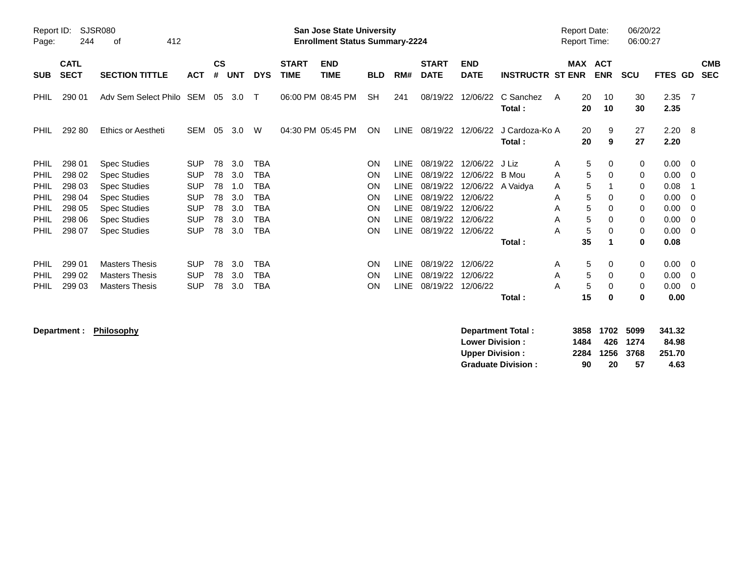| Report ID:<br>Page: | 244                        | SJSR080<br>412<br>οf        |            |                |            |            |                             | <b>San Jose State University</b><br><b>Enrollment Status Summary-2224</b> |            |             |                             |                           |                          |   | <b>Report Date:</b><br><b>Report Time:</b> |                          | 06/20/22<br>06:00:27 |              |     |                          |
|---------------------|----------------------------|-----------------------------|------------|----------------|------------|------------|-----------------------------|---------------------------------------------------------------------------|------------|-------------|-----------------------------|---------------------------|--------------------------|---|--------------------------------------------|--------------------------|----------------------|--------------|-----|--------------------------|
| <b>SUB</b>          | <b>CATL</b><br><b>SECT</b> | <b>SECTION TITTLE</b>       | <b>ACT</b> | <b>CS</b><br># | <b>UNT</b> | <b>DYS</b> | <b>START</b><br><b>TIME</b> | <b>END</b><br><b>TIME</b>                                                 | <b>BLD</b> | RM#         | <b>START</b><br><b>DATE</b> | <b>END</b><br><b>DATE</b> | <b>INSTRUCTR ST ENR</b>  |   | <b>MAX</b>                                 | <b>ACT</b><br><b>ENR</b> | <b>SCU</b>           | FTES GD      |     | <b>CMB</b><br><b>SEC</b> |
| PHIL                | 290 01                     | Adv Sem Select Philo SEM 05 |            |                | 3.0        | $\top$     |                             | 06:00 PM 08:45 PM                                                         | SH         | 241         | 08/19/22                    | 12/06/22                  | C Sanchez<br>Total:      | A | 20<br>20                                   | 10<br>10                 | 30<br>30             | 2.35<br>2.35 | - 7 |                          |
| <b>PHIL</b>         | 292 80                     | Ethics or Aestheti          | <b>SEM</b> | 05             | 3.0        | W          |                             | 04:30 PM 05:45 PM                                                         | <b>ON</b>  | <b>LINE</b> | 08/19/22                    | 12/06/22                  | J Cardoza-Ko A<br>Total: |   | 20<br>20                                   | 9<br>9                   | 27<br>27             | 2.20<br>2.20 | - 8 |                          |
| <b>PHIL</b>         | 298 01                     | <b>Spec Studies</b>         | <b>SUP</b> | 78             | 3.0        | TBA        |                             |                                                                           | ON         | <b>LINE</b> | 08/19/22                    | 12/06/22                  | J Liz                    | A | 5                                          | 0                        | 0                    | 0.00         | - 0 |                          |
| <b>PHIL</b>         | 298 02                     | <b>Spec Studies</b>         | <b>SUP</b> | 78             | 3.0        | TBA        |                             |                                                                           | ON         | <b>LINE</b> | 08/19/22                    | 12/06/22                  | B Mou                    | A | 5                                          | 0                        | 0                    | 0.00         | - 0 |                          |
| <b>PHIL</b>         | 298 03                     | <b>Spec Studies</b>         | <b>SUP</b> | 78             | 1.0        | TBA        |                             |                                                                           | ON         | LINE        | 08/19/22                    |                           | 12/06/22 A Vaidya        | A | 5                                          |                          | 0                    | 0.08         |     |                          |
| <b>PHIL</b>         | 298 04                     | <b>Spec Studies</b>         | <b>SUP</b> | 78             | 3.0        | TBA        |                             |                                                                           | ON         | <b>LINE</b> | 08/19/22                    | 12/06/22                  |                          | A | 5                                          | $\mathbf 0$              | 0                    | 0.00         | -0  |                          |
| <b>PHIL</b>         | 298 05                     | <b>Spec Studies</b>         | <b>SUP</b> | 78             | 3.0        | <b>TBA</b> |                             |                                                                           | ON         | LINE        | 08/19/22                    | 12/06/22                  |                          | A | 5                                          | 0                        | 0                    | 0.00         | - 0 |                          |
| <b>PHIL</b>         | 298 06                     | <b>Spec Studies</b>         | <b>SUP</b> | 78             | 3.0        | TBA        |                             |                                                                           | ON         | LINE        | 08/19/22                    | 12/06/22                  |                          | A | 5                                          | $\Omega$                 | 0                    | 0.00         | -0  |                          |
| PHIL                | 298 07                     | <b>Spec Studies</b>         | <b>SUP</b> | 78             | 3.0        | <b>TBA</b> |                             |                                                                           | ON         | LINE        | 08/19/22                    | 12/06/22                  |                          | A | 5                                          | 0                        | 0                    | 0.00         | - 0 |                          |
|                     |                            |                             |            |                |            |            |                             |                                                                           |            |             |                             |                           | Total:                   |   | 35                                         | -1                       | 0                    | 0.08         |     |                          |
| <b>PHIL</b>         | 299 01                     | <b>Masters Thesis</b>       | <b>SUP</b> | 78             | 3.0        | TBA        |                             |                                                                           | <b>ON</b>  | LINE        | 08/19/22                    | 12/06/22                  |                          | A | 5                                          | 0                        | 0                    | 0.00         | - 0 |                          |
| <b>PHIL</b>         | 299 02                     | <b>Masters Thesis</b>       | <b>SUP</b> | 78             | 3.0        | TBA        |                             |                                                                           | ON         | <b>LINE</b> | 08/19/22                    | 12/06/22                  |                          | A | 5                                          | $\Omega$                 | $\mathbf 0$          | 0.00         | - 0 |                          |
| PHIL                | 299 03                     | <b>Masters Thesis</b>       | <b>SUP</b> | 78             | 3.0        | TBA        |                             |                                                                           | ON         | <b>LINE</b> | 08/19/22                    | 12/06/22                  |                          | A | 5                                          | 0                        | $\mathbf 0$          | 0.00         | - 0 |                          |
|                     |                            |                             |            |                |            |            |                             |                                                                           |            |             |                             |                           | Total:                   |   | 15                                         | 0                        | 0                    | 0.00         |     |                          |

**Department : Philosophy** 

| Department Total:         |      | 3858 1702 5099 |          | 341.32 |
|---------------------------|------|----------------|----------|--------|
| <b>Lower Division:</b>    | 1484 |                | 426 1274 | 84.98  |
| <b>Upper Division:</b>    |      | 2284 1256 3768 |          | 251.70 |
| <b>Graduate Division:</b> | 90   | 20             | 57       | 4.63   |